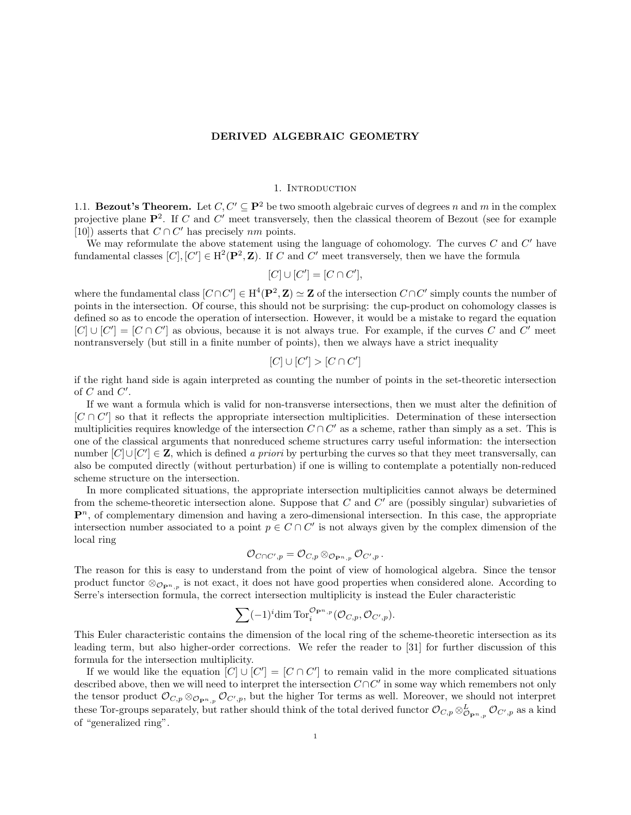#### 1. Introduction

1.1. **Bezout's Theorem.** Let  $C, C' \subseteq \mathbf{P}^2$  be two smooth algebraic curves of degrees n and m in the complex projective plane  $\mathbf{P}^2$ . If C and C' meet transversely, then the classical theorem of Bezout (see for example [10]) asserts that  $C \cap C'$  has precisely nm points.

We may reformulate the above statement using the language of cohomology. The curves  $C$  and  $C'$  have fundamental classes  $[C], [C'] \in H^2(\mathbf{P}^2, \mathbf{Z})$ . If C and C' meet transversely, then we have the formula

$$
[C] \cup [C'] = [C \cap C'],
$$

where the fundamental class  $[C\cap C'] \in H^4(\mathbf{P}^2, \mathbf{Z}) \simeq \mathbf{Z}$  of the intersection  $C\cap C'$  simply counts the number of points in the intersection. Of course, this should not be surprising: the cup-product on cohomology classes is defined so as to encode the operation of intersection. However, it would be a mistake to regard the equation  $[C] \cup [C'] = [C \cap C']$  as obvious, because it is not always true. For example, if the curves C and C' meet nontransversely (but still in a finite number of points), then we always have a strict inequality

$$
[C] \cup [C'] > [C \cap C']
$$

if the right hand side is again interpreted as counting the number of points in the set-theoretic intersection of  $C$  and  $C'$ .

If we want a formula which is valid for non-transverse intersections, then we must alter the definition of  $[C \cap C']$  so that it reflects the appropriate intersection multiplicities. Determination of these intersection multiplicities requires knowledge of the intersection  $C \cap C'$  as a scheme, rather than simply as a set. This is one of the classical arguments that nonreduced scheme structures carry useful information: the intersection number  $[C] \cup [C'] \in \mathbf{Z}$ , which is defined a priori by perturbing the curves so that they meet transversally, can also be computed directly (without perturbation) if one is willing to contemplate a potentially non-reduced scheme structure on the intersection.

In more complicated situations, the appropriate intersection multiplicities cannot always be determined from the scheme-theoretic intersection alone. Suppose that  $C$  and  $C'$  are (possibly singular) subvarieties of  $\mathbf{P}^n$ , of complementary dimension and having a zero-dimensional intersection. In this case, the appropriate intersection number associated to a point  $p \in C \cap C'$  is not always given by the complex dimension of the local ring

$$
{\mathcal O}_{C\cap C',p}={\mathcal O}_{C,p}\otimes_{{\mathcal O}_{{\mathbf P}^n,p}}{\mathcal O}_{C',p}\,.
$$

The reason for this is easy to understand from the point of view of homological algebra. Since the tensor product functor  $\otimes_{\mathcal{O}_{\mathbf{P}^n,p}}$  is not exact, it does not have good properties when considered alone. According to Serre's intersection formula, the correct intersection multiplicity is instead the Euler characteristic

$$
\sum (-1)^{i} \dim \operatorname{Tor}_{i}^{\mathcal{O}_{\mathbf{P}^n, p}}(\mathcal{O}_{C, p}, \mathcal{O}_{C', p}).
$$

This Euler characteristic contains the dimension of the local ring of the scheme-theoretic intersection as its leading term, but also higher-order corrections. We refer the reader to [31] for further discussion of this formula for the intersection multiplicity.

If we would like the equation  $[C] \cup [C'] = [C \cap C']$  to remain valid in the more complicated situations described above, then we will need to interpret the intersection  $C \cap C'$  in some way which remembers not only the tensor product  $\mathcal{O}_{C,p} \otimes_{\mathcal{O}_{\mathbf{P}^n,p}} \mathcal{O}_{C',p}$ , but the higher Tor terms as well. Moreover, we should not interpret these Tor-groups separately, but rather should think of the total derived functor  $\mathcal{O}_{C,p} \otimes_{\mathcal{O}_{\mathbf{P}^n,p}}^L \mathcal{O}_{C',p}$  as a kind of "generalized ring".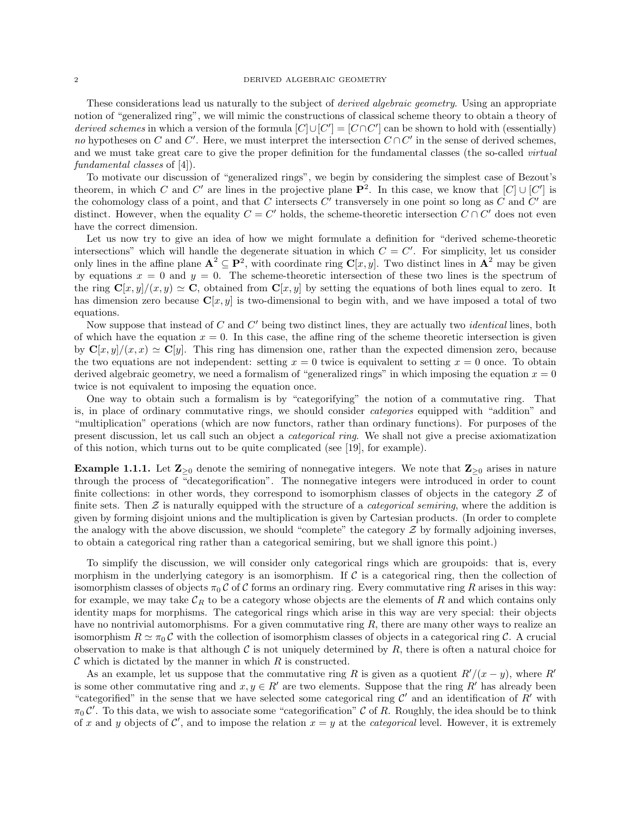These considerations lead us naturally to the subject of *derived algebraic geometry*. Using an appropriate notion of "generalized ring", we will mimic the constructions of classical scheme theory to obtain a theory of derived schemes in which a version of the formula  $[C] \cup [C'] = [C \cap C']$  can be shown to hold with (essentially) no hypotheses on C and C'. Here, we must interpret the intersection  $C \cap C'$  in the sense of derived schemes, and we must take great care to give the proper definition for the fundamental classes (the so-called *virtual* fundamental classes of [4]).

To motivate our discussion of "generalized rings", we begin by considering the simplest case of Bezout's theorem, in which C and C' are lines in the projective plane  $\mathbf{P}^2$ . In this case, we know that  $[C] \cup [C']$  is the cohomology class of a point, and that C intersects  $C'$  transversely in one point so long as C and  $C'$  are distinct. However, when the equality  $C = C'$  holds, the scheme-theoretic intersection  $C \cap C'$  does not even have the correct dimension.

Let us now try to give an idea of how we might formulate a definition for "derived scheme-theoretic intersections" which will handle the degenerate situation in which  $C = C'$ . For simplicity, let us consider only lines in the affine plane  $A^2 \subseteq P^2$ , with coordinate ring  $C[x, y]$ . Two distinct lines in  $A^2$  may be given by equations  $x = 0$  and  $y = 0$ . The scheme-theoretic intersection of these two lines is the spectrum of the ring  $\mathbf{C}[x, y]/(x, y) \simeq \mathbf{C}$ , obtained from  $\mathbf{C}[x, y]$  by setting the equations of both lines equal to zero. It has dimension zero because  $C[x, y]$  is two-dimensional to begin with, and we have imposed a total of two equations.

Now suppose that instead of  $C$  and  $C'$  being two distinct lines, they are actually two *identical* lines, both of which have the equation  $x = 0$ . In this case, the affine ring of the scheme theoretic intersection is given by  $\mathbf{C}[x, y]/(x, x) \simeq \mathbf{C}[y]$ . This ring has dimension one, rather than the expected dimension zero, because the two equations are not independent: setting  $x = 0$  twice is equivalent to setting  $x = 0$  once. To obtain derived algebraic geometry, we need a formalism of "generalized rings" in which imposing the equation  $x = 0$ twice is not equivalent to imposing the equation once.

One way to obtain such a formalism is by "categorifying" the notion of a commutative ring. That is, in place of ordinary commutative rings, we should consider categories equipped with "addition" and "multiplication" operations (which are now functors, rather than ordinary functions). For purposes of the present discussion, let us call such an object a categorical ring. We shall not give a precise axiomatization of this notion, which turns out to be quite complicated (see [19], for example).

**Example 1.1.1.** Let  $\mathbb{Z}_{\geq 0}$  denote the semiring of nonnegative integers. We note that  $\mathbb{Z}_{\geq 0}$  arises in nature through the process of "decategorification". The nonnegative integers were introduced in order to count finite collections: in other words, they correspond to isomorphism classes of objects in the category  $\mathcal Z$  of finite sets. Then  $\mathcal Z$  is naturally equipped with the structure of a *categorical semiring*, where the addition is given by forming disjoint unions and the multiplication is given by Cartesian products. (In order to complete the analogy with the above discussion, we should "complete" the category  $\mathcal Z$  by formally adjoining inverses, to obtain a categorical ring rather than a categorical semiring, but we shall ignore this point.)

To simplify the discussion, we will consider only categorical rings which are groupoids: that is, every morphism in the underlying category is an isomorphism. If  $\mathcal C$  is a categorical ring, then the collection of isomorphism classes of objects  $\pi_0 C$  of C forms an ordinary ring. Every commutative ring R arises in this way: for example, we may take  $\mathcal{C}_R$  to be a category whose objects are the elements of R and which contains only identity maps for morphisms. The categorical rings which arise in this way are very special: their objects have no nontrivial automorphisms. For a given commutative ring  $R$ , there are many other ways to realize an isomorphism  $R \simeq \pi_0 C$  with the collection of isomorphism classes of objects in a categorical ring C. A crucial observation to make is that although  $\mathcal C$  is not uniquely determined by  $R$ , there is often a natural choice for  $\mathcal C$  which is dictated by the manner in which  $R$  is constructed.

As an example, let us suppose that the commutative ring R is given as a quotient  $R'/(x - y)$ , where R<sup>o</sup> is some other commutative ring and  $x, y \in R'$  are two elements. Suppose that the ring R' has already been "categorified" in the sense that we have selected some categorical ring  $\mathcal{C}'$  and an identification of  $R'$  with  $\pi_0 C'$ . To this data, we wish to associate some "categorification" C of R. Roughly, the idea should be to think of x and y objects of C', and to impose the relation  $x = y$  at the *categorical* level. However, it is extremely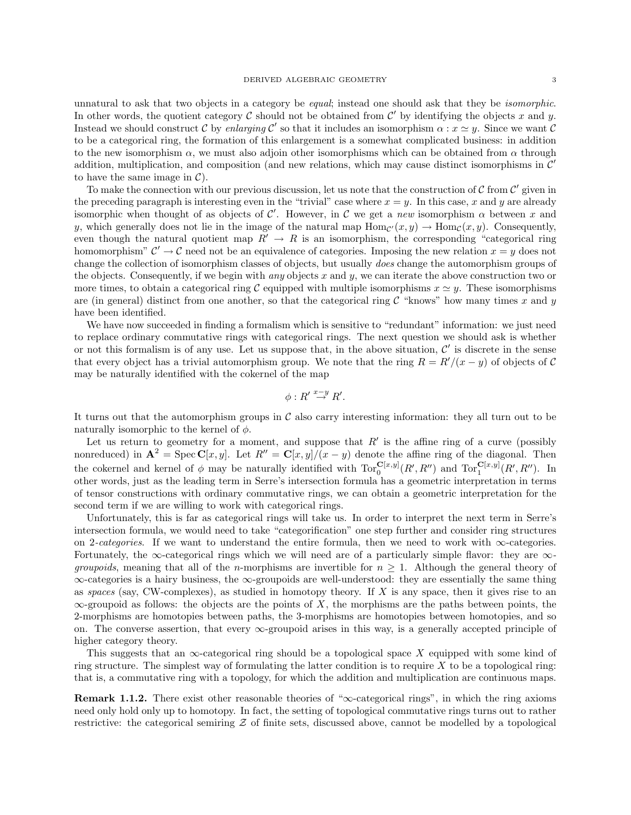unnatural to ask that two objects in a category be *equal*; instead one should ask that they be *isomorphic*. In other words, the quotient category C should not be obtained from  $\mathcal{C}'$  by identifying the objects x and y. Instead we should construct C by enlarging C' so that it includes an isomorphism  $\alpha : x \simeq y$ . Since we want C to be a categorical ring, the formation of this enlargement is a somewhat complicated business: in addition to the new isomorphism  $\alpha$ , we must also adjoin other isomorphisms which can be obtained from  $\alpha$  through addition, multiplication, and composition (and new relations, which may cause distinct isomorphisms in  $\mathcal{C}'$ to have the same image in  $\mathcal{C}$ ).

To make the connection with our previous discussion, let us note that the construction of  $C$  from  $C'$  given in the preceding paragraph is interesting even in the "trivial" case where  $x = y$ . In this case, x and y are already isomorphic when thought of as objects of C'. However, in C we get a new isomorphism  $\alpha$  between x and y, which generally does not lie in the image of the natural map  $Hom_{\mathcal{C}}(x,y) \to Hom_{\mathcal{C}}(x,y)$ . Consequently, even though the natural quotient map  $R' \to R$  is an isomorphism, the corresponding "categorical ring" homomorphism"  $\mathcal{C}' \to \mathcal{C}$  need not be an equivalence of categories. Imposing the new relation  $x = y$  does not change the collection of isomorphism classes of objects, but usually does change the automorphism groups of the objects. Consequently, if we begin with *any* objects  $x$  and  $y$ , we can iterate the above construction two or more times, to obtain a categorical ring C equipped with multiple isomorphisms  $x \approx y$ . These isomorphisms are (in general) distinct from one another, so that the categorical ring  $\mathcal C$  "knows" how many times x and y have been identified.

We have now succeeded in finding a formalism which is sensitive to "redundant" information: we just need to replace ordinary commutative rings with categorical rings. The next question we should ask is whether or not this formalism is of any use. Let us suppose that, in the above situation,  $\mathcal{C}'$  is discrete in the sense that every object has a trivial automorphism group. We note that the ring  $R = R'/(x - y)$  of objects of C may be naturally identified with the cokernel of the map

$$
\phi: R' \stackrel{x-y}{\to} R'.
$$

It turns out that the automorphism groups in  $\mathcal C$  also carry interesting information: they all turn out to be naturally isomorphic to the kernel of  $\phi$ .

Let us return to geometry for a moment, and suppose that  $R'$  is the affine ring of a curve (possibly nonreduced) in  $\mathbf{A}^2 = \text{Spec } \mathbf{C}[x, y]$ . Let  $R'' = \mathbf{C}[x, y]/(x - y)$  denote the affine ring of the diagonal. Then the cokernel and kernel of  $\phi$  may be naturally identified with  $Tor_0^{\mathbf{C}[x,y]}(R',R'')$  and  $Tor_1^{\mathbf{C}[x,y]}(R',R'')$ . In other words, just as the leading term in Serre's intersection formula has a geometric interpretation in terms of tensor constructions with ordinary commutative rings, we can obtain a geometric interpretation for the second term if we are willing to work with categorical rings.

Unfortunately, this is far as categorical rings will take us. In order to interpret the next term in Serre's intersection formula, we would need to take "categorification" one step further and consider ring structures on 2-categories. If we want to understand the entire formula, then we need to work with  $\infty$ -categories. Fortunately, the ∞-categorical rings which we will need are of a particularly simple flavor: they are  $\infty$ *groupoids*, meaning that all of the *n*-morphisms are invertible for  $n \geq 1$ . Although the general theory of ∞-categories is a hairy business, the ∞-groupoids are well-understood: they are essentially the same thing as spaces (say, CW-complexes), as studied in homotopy theory. If X is any space, then it gives rise to an  $\infty$ -groupoid as follows: the objects are the points of X, the morphisms are the paths between points, the 2-morphisms are homotopies between paths, the 3-morphisms are homotopies between homotopies, and so on. The converse assertion, that every ∞-groupoid arises in this way, is a generally accepted principle of higher category theory.

This suggests that an  $\infty$ -categorical ring should be a topological space X equipped with some kind of ring structure. The simplest way of formulating the latter condition is to require  $X$  to be a topological ring: that is, a commutative ring with a topology, for which the addition and multiplication are continuous maps.

**Remark 1.1.2.** There exist other reasonable theories of " $\infty$ -categorical rings", in which the ring axioms need only hold only up to homotopy. In fact, the setting of topological commutative rings turns out to rather restrictive: the categorical semiring  $Z$  of finite sets, discussed above, cannot be modelled by a topological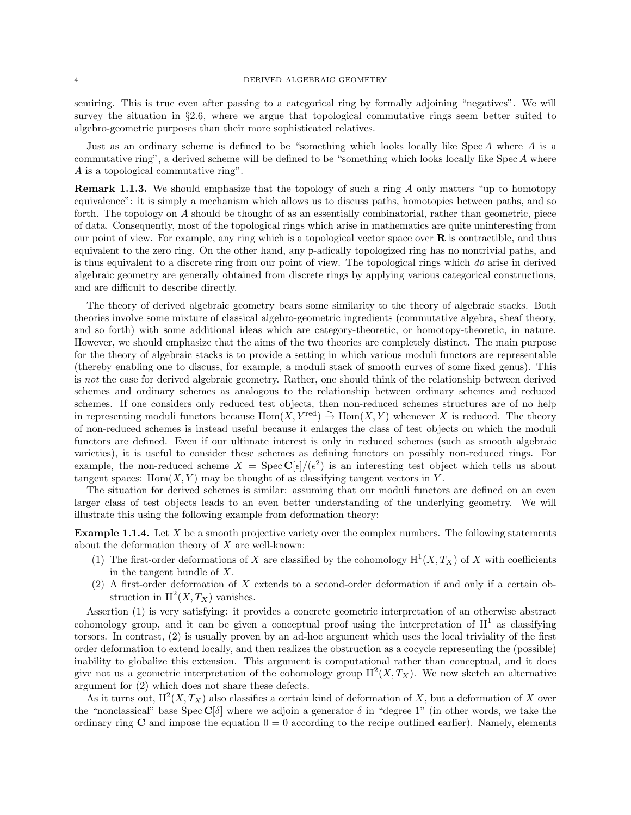semiring. This is true even after passing to a categorical ring by formally adjoining "negatives". We will survey the situation in §2.6, where we argue that topological commutative rings seem better suited to algebro-geometric purposes than their more sophisticated relatives.

Just as an ordinary scheme is defined to be "something which looks locally like  $Spec A$  where  $A$  is a commutative ring", a derived scheme will be defined to be "something which looks locally like Spec A where A is a topological commutative ring".

Remark 1.1.3. We should emphasize that the topology of such a ring A only matters "up to homotopy equivalence": it is simply a mechanism which allows us to discuss paths, homotopies between paths, and so forth. The topology on A should be thought of as an essentially combinatorial, rather than geometric, piece of data. Consequently, most of the topological rings which arise in mathematics are quite uninteresting from our point of view. For example, any ring which is a topological vector space over  $\bf{R}$  is contractible, and thus equivalent to the zero ring. On the other hand, any p-adically topologized ring has no nontrivial paths, and is thus equivalent to a discrete ring from our point of view. The topological rings which do arise in derived algebraic geometry are generally obtained from discrete rings by applying various categorical constructions, and are difficult to describe directly.

The theory of derived algebraic geometry bears some similarity to the theory of algebraic stacks. Both theories involve some mixture of classical algebro-geometric ingredients (commutative algebra, sheaf theory, and so forth) with some additional ideas which are category-theoretic, or homotopy-theoretic, in nature. However, we should emphasize that the aims of the two theories are completely distinct. The main purpose for the theory of algebraic stacks is to provide a setting in which various moduli functors are representable (thereby enabling one to discuss, for example, a moduli stack of smooth curves of some fixed genus). This is not the case for derived algebraic geometry. Rather, one should think of the relationship between derived schemes and ordinary schemes as analogous to the relationship between ordinary schemes and reduced schemes. If one considers only reduced test objects, then non-reduced schemes structures are of no help in representing moduli functors because  $Hom(X, Y^{\text{red}}) \overset{\sim}{\rightarrow} Hom(X, Y)$  whenever X is reduced. The theory of non-reduced schemes is instead useful because it enlarges the class of test objects on which the moduli functors are defined. Even if our ultimate interest is only in reduced schemes (such as smooth algebraic varieties), it is useful to consider these schemes as defining functors on possibly non-reduced rings. For example, the non-reduced scheme  $X = \text{Spec } \mathbb{C}[\epsilon]/(\epsilon^2)$  is an interesting test object which tells us about tangent spaces: Hom $(X, Y)$  may be thought of as classifying tangent vectors in Y.

The situation for derived schemes is similar: assuming that our moduli functors are defined on an even larger class of test objects leads to an even better understanding of the underlying geometry. We will illustrate this using the following example from deformation theory:

**Example 1.1.4.** Let X be a smooth projective variety over the complex numbers. The following statements about the deformation theory of  $X$  are well-known:

- (1) The first-order deformations of X are classified by the cohomology  $H^1(X, T_X)$  of X with coefficients in the tangent bundle of X.
- (2) A first-order deformation of X extends to a second-order deformation if and only if a certain obstruction in  $H^2(X, T_X)$  vanishes.

Assertion (1) is very satisfying: it provides a concrete geometric interpretation of an otherwise abstract cohomology group, and it can be given a conceptual proof using the interpretation of  $H^1$  as classifying torsors. In contrast, (2) is usually proven by an ad-hoc argument which uses the local triviality of the first order deformation to extend locally, and then realizes the obstruction as a cocycle representing the (possible) inability to globalize this extension. This argument is computational rather than conceptual, and it does give not us a geometric interpretation of the cohomology group  $H^2(X,T_X)$ . We now sketch an alternative argument for (2) which does not share these defects.

As it turns out,  $H^2(X, T_X)$  also classifies a certain kind of deformation of X, but a deformation of X over the "nonclassical" base  $\text{Spec } \mathbb{C}[\delta]$  where we adjoin a generator  $\delta$  in "degree 1" (in other words, we take the ordinary ring  $C$  and impose the equation  $0 = 0$  according to the recipe outlined earlier). Namely, elements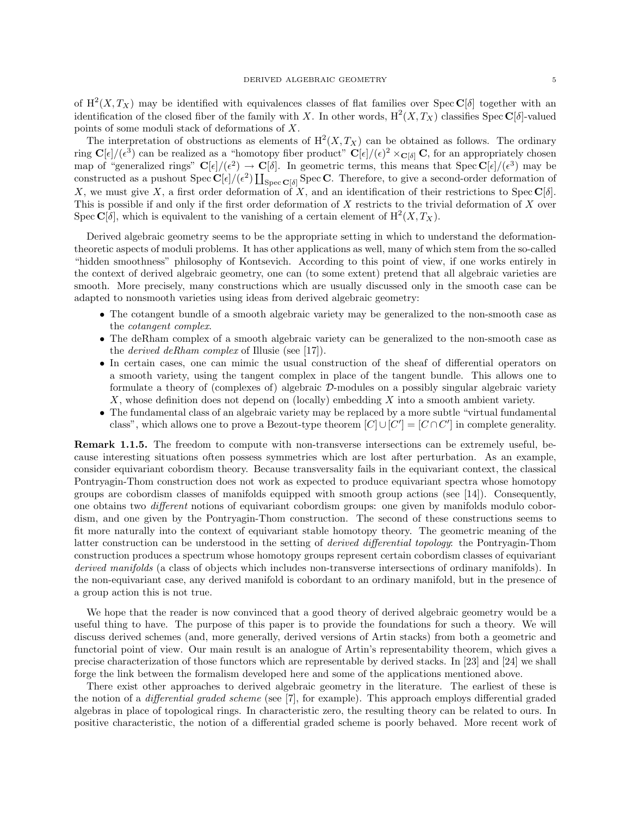of  $H^2(X,T_X)$  may be identified with equivalences classes of flat families over Spec C[ $\delta$ ] together with an identification of the closed fiber of the family with X. In other words,  $H^2(X, T_X)$  classifies Spec  $\mathbb{C}[\delta]$ -valued points of some moduli stack of deformations of X.

The interpretation of obstructions as elements of  $H^2(X,T_X)$  can be obtained as follows. The ordinary ring  $\mathbf{C}[\epsilon]/(\epsilon^3)$  can be realized as a "homotopy fiber product"  $\mathbf{C}[\epsilon]/(\epsilon)^2 \times_{\mathbf{C}[\delta]} \mathbf{C}$ , for an appropriately chosen map of "generalized rings"  $\mathbf{C}[\epsilon]/(\epsilon^2) \to \mathbf{C}[\delta]$ . In geometric terms, this means that  $\text{Spec } \mathbf{C}[\epsilon]/(\epsilon^3)$  may be constructed as a pushout  $Spec \mathbf{C}[\epsilon]/(\epsilon^2) \coprod_{Spec \mathbf{C}[\delta]} Spec \mathbf{C}$ . Therefore, to give a second-order deformation of X, we must give X, a first order deformation of X, and an identification of their restrictions to Spec  $\mathbb{C}[\delta]$ . This is possible if and only if the first order deformation of  $X$  restricts to the trivial deformation of  $X$  over Spec  $\mathbf{C}[\delta]$ , which is equivalent to the vanishing of a certain element of  $\mathrm{H}^2(X,T_X)$ .

Derived algebraic geometry seems to be the appropriate setting in which to understand the deformationtheoretic aspects of moduli problems. It has other applications as well, many of which stem from the so-called "hidden smoothness" philosophy of Kontsevich. According to this point of view, if one works entirely in the context of derived algebraic geometry, one can (to some extent) pretend that all algebraic varieties are smooth. More precisely, many constructions which are usually discussed only in the smooth case can be adapted to nonsmooth varieties using ideas from derived algebraic geometry:

- The cotangent bundle of a smooth algebraic variety may be generalized to the non-smooth case as the cotangent complex.
- The deRham complex of a smooth algebraic variety can be generalized to the non-smooth case as the derived deRham complex of Illusie (see [17]).
- In certain cases, one can mimic the usual construction of the sheaf of differential operators on a smooth variety, using the tangent complex in place of the tangent bundle. This allows one to formulate a theory of (complexes of) algebraic D-modules on a possibly singular algebraic variety X, whose definition does not depend on (locally) embedding X into a smooth ambient variety.
- The fundamental class of an algebraic variety may be replaced by a more subtle "virtual fundamental" class", which allows one to prove a Bezout-type theorem  $[C] \cup [C'] = [C \cap C']$  in complete generality.

Remark 1.1.5. The freedom to compute with non-transverse intersections can be extremely useful, because interesting situations often possess symmetries which are lost after perturbation. As an example, consider equivariant cobordism theory. Because transversality fails in the equivariant context, the classical Pontryagin-Thom construction does not work as expected to produce equivariant spectra whose homotopy groups are cobordism classes of manifolds equipped with smooth group actions (see [14]). Consequently, one obtains two different notions of equivariant cobordism groups: one given by manifolds modulo cobordism, and one given by the Pontryagin-Thom construction. The second of these constructions seems to fit more naturally into the context of equivariant stable homotopy theory. The geometric meaning of the latter construction can be understood in the setting of derived differential topology: the Pontryagin-Thom construction produces a spectrum whose homotopy groups represent certain cobordism classes of equivariant derived manifolds (a class of objects which includes non-transverse intersections of ordinary manifolds). In the non-equivariant case, any derived manifold is cobordant to an ordinary manifold, but in the presence of a group action this is not true.

We hope that the reader is now convinced that a good theory of derived algebraic geometry would be a useful thing to have. The purpose of this paper is to provide the foundations for such a theory. We will discuss derived schemes (and, more generally, derived versions of Artin stacks) from both a geometric and functorial point of view. Our main result is an analogue of Artin's representability theorem, which gives a precise characterization of those functors which are representable by derived stacks. In [23] and [24] we shall forge the link between the formalism developed here and some of the applications mentioned above.

There exist other approaches to derived algebraic geometry in the literature. The earliest of these is the notion of a differential graded scheme (see [7], for example). This approach employs differential graded algebras in place of topological rings. In characteristic zero, the resulting theory can be related to ours. In positive characteristic, the notion of a differential graded scheme is poorly behaved. More recent work of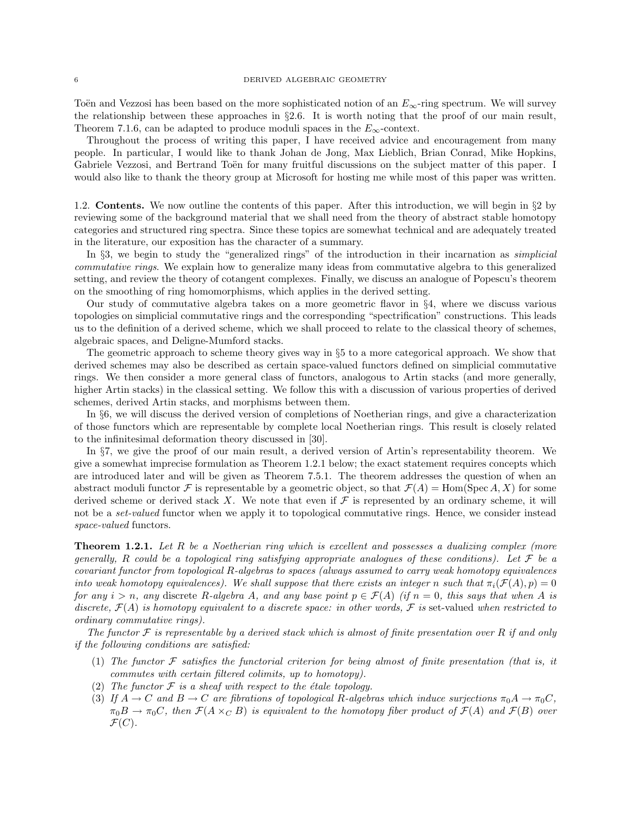Toën and Vezzosi has been based on the more sophisticated notion of an  $E_{\infty}$ -ring spectrum. We will survey the relationship between these approaches in  $\S2.6$ . It is worth noting that the proof of our main result. Theorem 7.1.6, can be adapted to produce moduli spaces in the  $E_{\infty}$ -context.

Throughout the process of writing this paper, I have received advice and encouragement from many people. In particular, I would like to thank Johan de Jong, Max Lieblich, Brian Conrad, Mike Hopkins, Gabriele Vezzosi, and Bertrand Toën for many fruitful discussions on the subject matter of this paper. I would also like to thank the theory group at Microsoft for hosting me while most of this paper was written.

1.2. Contents. We now outline the contents of this paper. After this introduction, we will begin in §2 by reviewing some of the background material that we shall need from the theory of abstract stable homotopy categories and structured ring spectra. Since these topics are somewhat technical and are adequately treated in the literature, our exposition has the character of a summary.

In §3, we begin to study the "generalized rings" of the introduction in their incarnation as *simplicial* commutative rings. We explain how to generalize many ideas from commutative algebra to this generalized setting, and review the theory of cotangent complexes. Finally, we discuss an analogue of Popescu's theorem on the smoothing of ring homomorphisms, which applies in the derived setting.

Our study of commutative algebra takes on a more geometric flavor in  $\S 4$ , where we discuss various topologies on simplicial commutative rings and the corresponding "spectrification" constructions. This leads us to the definition of a derived scheme, which we shall proceed to relate to the classical theory of schemes, algebraic spaces, and Deligne-Mumford stacks.

The geometric approach to scheme theory gives way in §5 to a more categorical approach. We show that derived schemes may also be described as certain space-valued functors defined on simplicial commutative rings. We then consider a more general class of functors, analogous to Artin stacks (and more generally, higher Artin stacks) in the classical setting. We follow this with a discussion of various properties of derived schemes, derived Artin stacks, and morphisms between them.

In §6, we will discuss the derived version of completions of Noetherian rings, and give a characterization of those functors which are representable by complete local Noetherian rings. This result is closely related to the infinitesimal deformation theory discussed in [30].

In §7, we give the proof of our main result, a derived version of Artin's representability theorem. We give a somewhat imprecise formulation as Theorem 1.2.1 below; the exact statement requires concepts which are introduced later and will be given as Theorem 7.5.1. The theorem addresses the question of when an abstract moduli functor F is representable by a geometric object, so that  $\mathcal{F}(A) = \text{Hom}(\text{Spec } A, X)$  for some derived scheme or derived stack X. We note that even if  $\mathcal F$  is represented by an ordinary scheme, it will not be a set-valued functor when we apply it to topological commutative rings. Hence, we consider instead space-valued functors.

**Theorem 1.2.1.** Let R be a Noetherian ring which is excellent and possesses a dualizing complex (more generally, R could be a topological ring satisfying appropriate analogues of these conditions). Let  $\mathcal F$  be a covariant functor from topological R-algebras to spaces (always assumed to carry weak homotopy equivalences into weak homotopy equivalences). We shall suppose that there exists an integer n such that  $\pi_i(\mathcal{F}(A), p) = 0$ for any  $i > n$ , any discrete R-algebra A, and any base point  $p \in \mathcal{F}(A)$  (if  $n = 0$ , this says that when A is discrete,  $\mathcal{F}(A)$  is homotopy equivalent to a discrete space: in other words,  $\mathcal{F}$  is set-valued when restricted to ordinary commutative rings).

The functor  $\mathcal F$  is representable by a derived stack which is almost of finite presentation over R if and only if the following conditions are satisfied:

- (1) The functor  $\mathcal F$  satisfies the functorial criterion for being almost of finite presentation (that is, it commutes with certain filtered colimits, up to homotopy).
- (2) The functor  $\mathcal F$  is a sheaf with respect to the étale topology.
- (3) If  $A \to C$  and  $B \to C$  are fibrations of topological R-algebras which induce surjections  $\pi_0 A \to \pi_0 C$ ,  $\pi_0B \to \pi_0C$ , then  $\mathcal{F}(A \times_C B)$  is equivalent to the homotopy fiber product of  $\mathcal{F}(A)$  and  $\mathcal{F}(B)$  over  $\mathcal{F}(C)$ .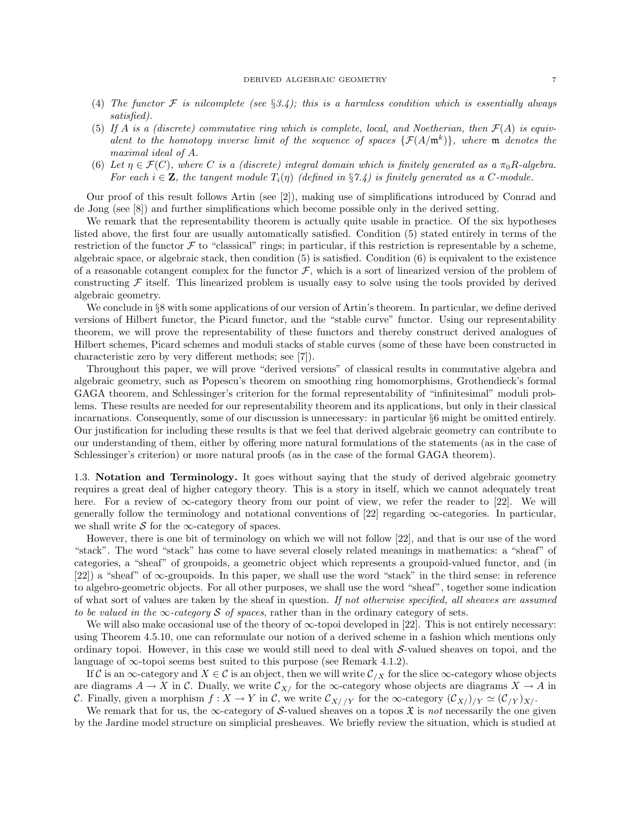- (4) The functor  $\mathcal F$  is nilcomplete (see §3.4); this is a harmless condition which is essentially always satisfied).
- (5) If A is a (discrete) commutative ring which is complete, local, and Noetherian, then  $\mathcal{F}(A)$  is equivalent to the homotopy inverse limit of the sequence of spaces  $\{\mathcal{F}(A/\mathfrak{m}^k)\}\$ , where m denotes the maximal ideal of A.
- (6) Let  $\eta \in \mathcal{F}(C)$ , where C is a (discrete) integral domain which is finitely generated as a  $\pi_0R$ -algebra. For each  $i \in \mathbf{Z}$ , the tangent module  $T_i(\eta)$  (defined in §7.4) is finitely generated as a C-module.

Our proof of this result follows Artin (see [2]), making use of simplifications introduced by Conrad and de Jong (see [8]) and further simplifications which become possible only in the derived setting.

We remark that the representability theorem is actually quite usable in practice. Of the six hypotheses listed above, the first four are usually automatically satisfied. Condition (5) stated entirely in terms of the restriction of the functor  $\mathcal F$  to "classical" rings; in particular, if this restriction is representable by a scheme, algebraic space, or algebraic stack, then condition (5) is satisfied. Condition (6) is equivalent to the existence of a reasonable cotangent complex for the functor  $\mathcal{F}$ , which is a sort of linearized version of the problem of constructing  $\mathcal F$  itself. This linearized problem is usually easy to solve using the tools provided by derived algebraic geometry.

We conclude in §8 with some applications of our version of Artin's theorem. In particular, we define derived versions of Hilbert functor, the Picard functor, and the "stable curve" functor. Using our representability theorem, we will prove the representability of these functors and thereby construct derived analogues of Hilbert schemes, Picard schemes and moduli stacks of stable curves (some of these have been constructed in characteristic zero by very different methods; see [7]).

Throughout this paper, we will prove "derived versions" of classical results in commutative algebra and algebraic geometry, such as Popescu's theorem on smoothing ring homomorphisms, Grothendieck's formal GAGA theorem, and Schlessinger's criterion for the formal representability of "infinitesimal" moduli problems. These results are needed for our representability theorem and its applications, but only in their classical incarnations. Consequently, some of our discussion is unnecessary: in particular §6 might be omitted entirely. Our justification for including these results is that we feel that derived algebraic geometry can contribute to our understanding of them, either by offering more natural formulations of the statements (as in the case of Schlessinger's criterion) or more natural proofs (as in the case of the formal GAGA theorem).

1.3. Notation and Terminology. It goes without saying that the study of derived algebraic geometry requires a great deal of higher category theory. This is a story in itself, which we cannot adequately treat here. For a review of  $\infty$ -category theory from our point of view, we refer the reader to [22]. We will generally follow the terminology and notational conventions of [22] regarding  $\infty$ -categories. In particular, we shall write S for the  $\infty$ -category of spaces.

However, there is one bit of terminology on which we will not follow [22], and that is our use of the word "stack". The word "stack" has come to have several closely related meanings in mathematics: a "sheaf" of categories, a "sheaf" of groupoids, a geometric object which represents a groupoid-valued functor, and (in [22]) a "sheaf" of ∞-groupoids. In this paper, we shall use the word "stack" in the third sense: in reference to algebro-geometric objects. For all other purposes, we shall use the word "sheaf", together some indication of what sort of values are taken by the sheaf in question. If not otherwise specified, all sheaves are assumed to be valued in the  $\infty$ -category S of spaces, rather than in the ordinary category of sets.

We will also make occasional use of the theory of  $\infty$ -topoi developed in [22]. This is not entirely necessary: using Theorem 4.5.10, one can reformulate our notion of a derived scheme in a fashion which mentions only ordinary topoi. However, in this case we would still need to deal with  $S$ -valued sheaves on topoi, and the language of  $\infty$ -topoi seems best suited to this purpose (see Remark 4.1.2).

If C is an  $\infty$ -category and  $X \in \mathcal{C}$  is an object, then we will write  $\mathcal{C}_{X}$  for the slice  $\infty$ -category whose objects are diagrams  $A \to X$  in C. Dually, we write  $\mathcal{C}_{X/}$  for the  $\infty$ -category whose objects are diagrams  $X \to A$  in C. Finally, given a morphism  $f: X \to Y$  in C, we write  $\mathcal{C}_{X//Y}$  for the  $\infty$ -category  $(\mathcal{C}_{X//Y} \simeq (\mathcal{C}_{Y})_{X/Y}$ .

We remark that for us, the  $\infty$ -category of S-valued sheaves on a topos  $\mathfrak X$  is not necessarily the one given by the Jardine model structure on simplicial presheaves. We briefly review the situation, which is studied at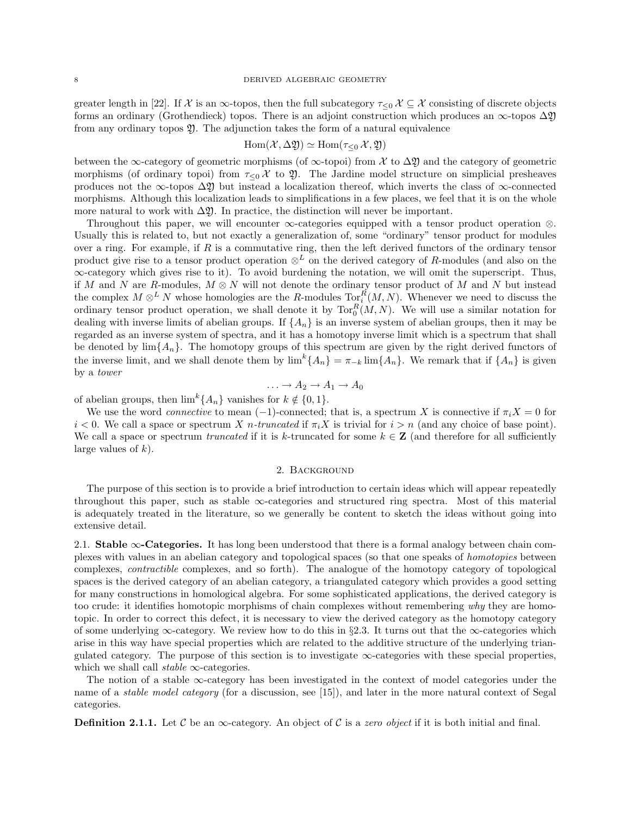greater length in [22]. If  $\mathcal X$  is an  $\infty$ -topos, then the full subcategory  $\tau_{\leq 0}$   $\mathcal X \subseteq \mathcal X$  consisting of discrete objects forms an ordinary (Grothendieck) topos. There is an adjoint construction which produces an  $\infty$ -topos  $\Delta \mathfrak{Y}$ from any ordinary topos Y. The adjunction takes the form of a natural equivalence

$$
\operatorname{Hom}(\mathcal{X}, \Delta \mathfrak{Y}) \simeq \operatorname{Hom}(\tau_{\leq 0} \mathcal{X}, \mathfrak{Y})
$$

between the ∞-category of geometric morphisms (of  $\infty$ -topoi) from X to  $\Delta \mathfrak{Y}$  and the category of geometric morphisms (of ordinary topoi) from  $\tau_{\leq 0}$  X to  $\mathfrak{Y}$ . The Jardine model structure on simplicial presheaves produces not the ∞-topos  $\Delta \mathfrak{Y}$  but instead a localization thereof, which inverts the class of ∞-connected morphisms. Although this localization leads to simplifications in a few places, we feel that it is on the whole more natural to work with  $\Delta \mathfrak{Y}$ . In practice, the distinction will never be important.

Throughout this paper, we will encounter ∞-categories equipped with a tensor product operation ⊗. Usually this is related to, but not exactly a generalization of, some "ordinary" tensor product for modules over a ring. For example, if  $R$  is a commutative ring, then the left derived functors of the ordinary tensor product give rise to a tensor product operation  $\otimes^L$  on the derived category of R-modules (and also on the ∞-category which gives rise to it). To avoid burdening the notation, we will omit the superscript. Thus, if M and N are R-modules,  $M \otimes N$  will not denote the ordinary tensor product of M and N but instead the complex  $M \otimes^L N$  whose homologies are the R-modules  $\text{Tor}_i^R(M, N)$ . Whenever we need to discuss the ordinary tensor product operation, we shall denote it by  $\text{Tor}_0^R(M, N)$ . We will use a similar notation for dealing with inverse limits of abelian groups. If  $\{A_n\}$  is an inverse system of abelian groups, then it may be regarded as an inverse system of spectra, and it has a homotopy inverse limit which is a spectrum that shall be denoted by  $\lim_{h \to 0} \{A_n\}$ . The homotopy groups of this spectrum are given by the right derived functors of the inverse limit, and we shall denote them by  $\lim^k \{A_n\} = \pi_{-k} \lim \{A_n\}$ . We remark that if  $\{A_n\}$  is given by a tower

$$
\ldots \to A_2 \to A_1 \to A_0
$$

of abelian groups, then  $\lim^k \{A_n\}$  vanishes for  $k \notin \{0, 1\}.$ 

We use the word *connective* to mean  $(-1)$ -connected; that is, a spectrum X is connective if  $\pi_i X = 0$  for  $i < 0$ . We call a space or spectrum X n-truncated if  $\pi_i X$  is trivial for  $i > n$  (and any choice of base point). We call a space or spectrum truncated if it is k-truncated for some  $k \in \mathbb{Z}$  (and therefore for all sufficiently large values of  $k$ ).

## 2. Background

The purpose of this section is to provide a brief introduction to certain ideas which will appear repeatedly throughout this paper, such as stable ∞-categories and structured ring spectra. Most of this material is adequately treated in the literature, so we generally be content to sketch the ideas without going into extensive detail.

2.1. Stable ∞-Categories. It has long been understood that there is a formal analogy between chain complexes with values in an abelian category and topological spaces (so that one speaks of homotopies between complexes, contractible complexes, and so forth). The analogue of the homotopy category of topological spaces is the derived category of an abelian category, a triangulated category which provides a good setting for many constructions in homological algebra. For some sophisticated applications, the derived category is too crude: it identifies homotopic morphisms of chain complexes without remembering why they are homotopic. In order to correct this defect, it is necessary to view the derived category as the homotopy category of some underlying  $\infty$ -category. We review how to do this in §2.3. It turns out that the  $\infty$ -categories which arise in this way have special properties which are related to the additive structure of the underlying triangulated category. The purpose of this section is to investigate  $\infty$ -categories with these special properties, which we shall call *stable*  $\infty$ -categories.

The notion of a stable  $\infty$ -category has been investigated in the context of model categories under the name of a *stable model category* (for a discussion, see [15]), and later in the more natural context of Segal categories.

**Definition 2.1.1.** Let C be an  $\infty$ -category. An object of C is a zero object if it is both initial and final.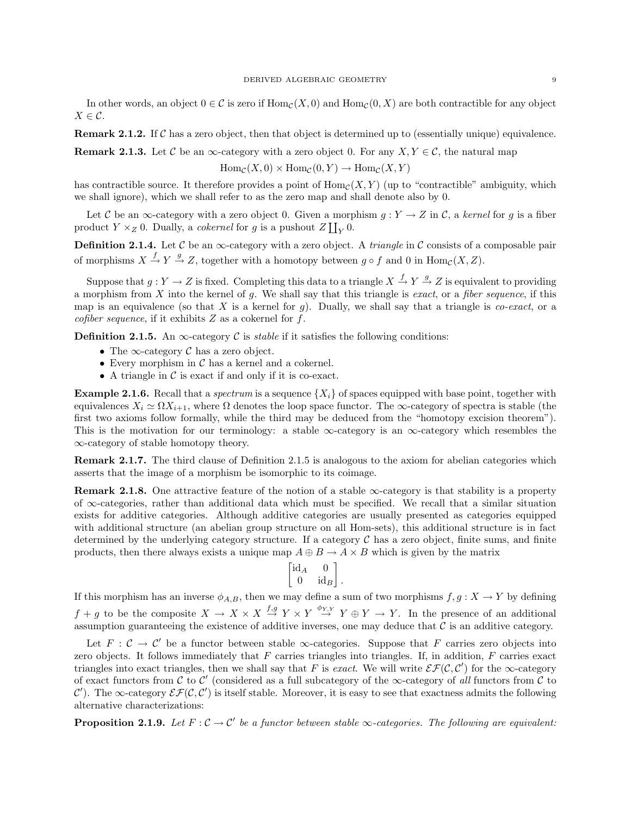In other words, an object  $0 \in \mathcal{C}$  is zero if  $\text{Hom}_{\mathcal{C}}(X,0)$  and  $\text{Hom}_{\mathcal{C}}(0,X)$  are both contractible for any object  $X \in \mathcal{C}$ .

**Remark 2.1.2.** If  $\mathcal{C}$  has a zero object, then that object is determined up to (essentially unique) equivalence.

**Remark 2.1.3.** Let C be an  $\infty$ -category with a zero object 0. For any  $X, Y \in \mathcal{C}$ , the natural map

 $\text{Hom}_{\mathcal{C}}(X,0) \times \text{Hom}_{\mathcal{C}}(0,Y) \to \text{Hom}_{\mathcal{C}}(X,Y)$ 

has contractible source. It therefore provides a point of  $\text{Hom}_{\mathcal{C}}(X, Y)$  (up to "contractible" ambiguity, which we shall ignore), which we shall refer to as the zero map and shall denote also by 0.

Let C be an  $\infty$ -category with a zero object 0. Given a morphism  $g: Y \to Z$  in C, a kernel for g is a fiber product  $Y \times_Z 0$ . Dually, a *cokernel* for g is a pushout  $Z \coprod_Y 0$ .

**Definition 2.1.4.** Let  $\mathcal C$  be an  $\infty$ -category with a zero object. A *triangle* in  $\mathcal C$  consists of a composable pair of morphisms  $X \stackrel{f}{\rightarrow} Y \stackrel{g}{\rightarrow} Z$ , together with a homotopy between  $g \circ f$  and 0 in  $\text{Hom}_{\mathcal{C}}(X, Z)$ .

Suppose that  $g: Y \to Z$  is fixed. Completing this data to a triangle  $X \stackrel{f}{\to} Y \stackrel{g}{\to} Z$  is equivalent to providing a morphism from  $X$  into the kernel of  $g$ . We shall say that this triangle is *exact*, or a *fiber sequence*, if this map is an equivalence (so that X is a kernel for g). Dually, we shall say that a triangle is *co-exact*, or a cofiber sequence, if it exhibits  $Z$  as a cokernel for  $f$ .

**Definition 2.1.5.** An  $\infty$ -category C is *stable* if it satisfies the following conditions:

- The  $\infty$ -category  $\mathcal C$  has a zero object.
- Every morphism in  $\mathcal C$  has a kernel and a cokernel.
- A triangle in  $\mathcal C$  is exact if and only if it is co-exact.

**Example 2.1.6.** Recall that a *spectrum* is a sequence  $\{X_i\}$  of spaces equipped with base point, together with equivalences  $X_i \simeq \Omega X_{i+1}$ , where  $\Omega$  denotes the loop space functor. The  $\infty$ -category of spectra is stable (the first two axioms follow formally, while the third may be deduced from the "homotopy excision theorem"). This is the motivation for our terminology: a stable  $\infty$ -category is an  $\infty$ -category which resembles the ∞-category of stable homotopy theory.

Remark 2.1.7. The third clause of Definition 2.1.5 is analogous to the axiom for abelian categories which asserts that the image of a morphism be isomorphic to its coimage.

**Remark 2.1.8.** One attractive feature of the notion of a stable  $\infty$ -category is that stability is a property of  $\infty$ -categories, rather than additional data which must be specified. We recall that a similar situation exists for additive categories. Although additive categories are usually presented as categories equipped with additional structure (an abelian group structure on all Hom-sets), this additional structure is in fact determined by the underlying category structure. If a category  $\mathcal C$  has a zero object, finite sums, and finite products, then there always exists a unique map  $A \oplus B \to A \times B$  which is given by the matrix

$$
\begin{bmatrix} \mathrm{id}_A & 0 \\ 0 & \mathrm{id}_B \end{bmatrix}.
$$

If this morphism has an inverse  $\phi_{A,B}$ , then we may define a sum of two morphisms  $f, g: X \to Y$  by defining  $f + g$  to be the composite  $X \to X \times X \stackrel{f,g}{\to} Y \times Y \stackrel{\phi_{Y,Y}}{\to} Y \oplus Y \to Y$ . In the presence of an additional assumption guaranteeing the existence of additive inverses, one may deduce that  $\mathcal C$  is an additive category.

Let  $F: \mathcal{C} \to \mathcal{C}'$  be a functor between stable  $\infty$ -categories. Suppose that F carries zero objects into zero objects. It follows immediately that  $F$  carries triangles into triangles. If, in addition,  $F$  carries exact triangles into exact triangles, then we shall say that F is exact. We will write  $\mathcal{EF}(\mathcal{C}, \mathcal{C}')$  for the  $\infty$ -category of exact functors from  $\mathcal C$  to  $\mathcal C'$  (considered as a full subcategory of the  $\infty$ -category of all functors from  $\mathcal C$  to C'). The  $\infty$ -category  $\mathcal{EF}(\mathcal{C}, \mathcal{C}')$  is itself stable. Moreover, it is easy to see that exactness admits the following alternative characterizations:

**Proposition 2.1.9.** Let  $F: \mathcal{C} \to \mathcal{C}'$  be a functor between stable  $\infty$ -categories. The following are equivalent: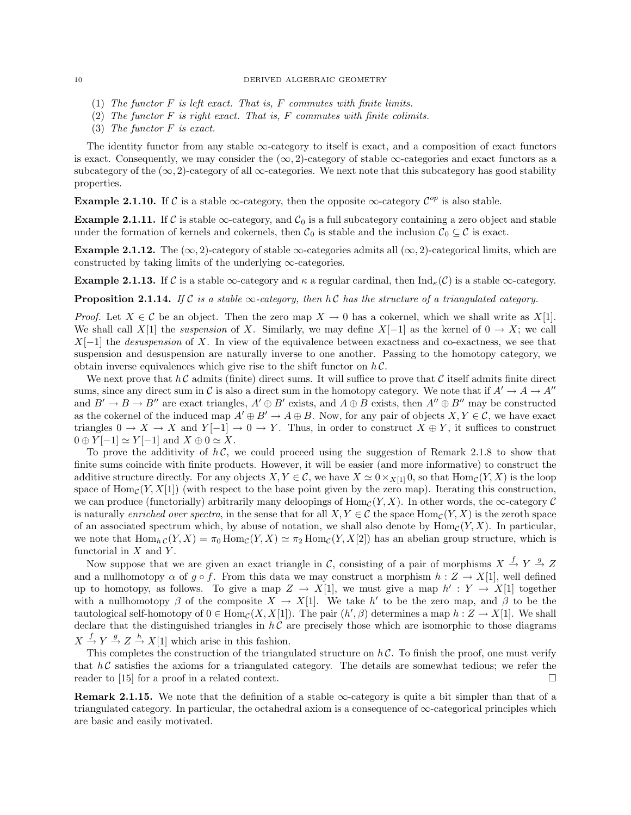- (1) The functor  $F$  is left exact. That is,  $F$  commutes with finite limits.
- (2) The functor  $F$  is right exact. That is,  $F$  commutes with finite colimits.
- (3) The functor F is exact.

The identity functor from any stable  $\infty$ -category to itself is exact, and a composition of exact functors is exact. Consequently, we may consider the  $(\infty, 2)$ -category of stable  $\infty$ -categories and exact functors as a subcategory of the  $(\infty, 2)$ -category of all  $\infty$ -categories. We next note that this subcategory has good stability properties.

**Example 2.1.10.** If C is a stable  $\infty$ -category, then the opposite  $\infty$ -category  $\mathcal{C}^{op}$  is also stable.

**Example 2.1.11.** If C is stable  $\infty$ -category, and  $C_0$  is a full subcategory containing a zero object and stable under the formation of kernels and cokernels, then  $C_0$  is stable and the inclusion  $C_0 \subseteq \mathcal{C}$  is exact.

Example 2.1.12. The  $(\infty, 2)$ -category of stable  $\infty$ -categories admits all  $(\infty, 2)$ -categorical limits, which are constructed by taking limits of the underlying  $\infty$ -categories.

**Example 2.1.13.** If C is a stable  $\infty$ -category and  $\kappa$  a regular cardinal, then  $\text{Ind}_{\kappa}(\mathcal{C})$  is a stable  $\infty$ -category.

**Proposition 2.1.14.** If C is a stable  $\infty$ -category, then hC has the structure of a triangulated category.

*Proof.* Let  $X \in \mathcal{C}$  be an object. Then the zero map  $X \to 0$  has a cokernel, which we shall write as  $X[1]$ . We shall call X[1] the *suspension* of X. Similarly, we may define  $X[-1]$  as the kernel of  $0 \to X$ ; we call  $X[-1]$  the *desuspension* of X. In view of the equivalence between exactness and co-exactness, we see that suspension and desuspension are naturally inverse to one another. Passing to the homotopy category, we obtain inverse equivalences which give rise to the shift functor on  $h\mathcal{C}$ .

We next prove that  $h\mathcal{C}$  admits (finite) direct sums. It will suffice to prove that  $\mathcal{C}$  itself admits finite direct sums, since any direct sum in C is also a direct sum in the homotopy category. We note that if  $A' \to A \to A''$ and  $B' \to B \to B''$  are exact triangles,  $A' \oplus B'$  exists, and  $A \oplus B$  exists, then  $A'' \oplus B''$  may be constructed as the cokernel of the induced map  $A' \oplus B' \to A \oplus B$ . Now, for any pair of objects  $X, Y \in \mathcal{C}$ , we have exact triangles  $0 \to X \to X$  and  $Y[-1] \to 0 \to Y$ . Thus, in order to construct  $X \oplus Y$ , it suffices to construct  $0 \oplus Y[-1] \simeq Y[-1]$  and  $X \oplus 0 \simeq X$ .

To prove the additivity of  $h\mathcal{C}$ , we could proceed using the suggestion of Remark 2.1.8 to show that finite sums coincide with finite products. However, it will be easier (and more informative) to construct the additive structure directly. For any objects  $X, Y \in \mathcal{C}$ , we have  $X \simeq 0 \times_{X[1]} 0$ , so that  $\text{Hom}_{\mathcal{C}}(Y, X)$  is the loop space of  $\text{Hom}_{\mathcal{C}}(Y, X[1])$  (with respect to the base point given by the zero map). Iterating this construction, we can produce (functorially) arbitrarily many deloopings of  $\text{Hom}_{\mathcal{C}}(Y, X)$ . In other words, the  $\infty$ -category  $\mathcal{C}$ is naturally enriched over spectra, in the sense that for all  $X, Y \in \mathcal{C}$  the space Hom<sub>C</sub> $(Y, X)$  is the zeroth space of an associated spectrum which, by abuse of notation, we shall also denote by  $\text{Hom}_{\mathcal{C}}(Y, X)$ . In particular, we note that  $\text{Hom}_{h,C}(Y,X) = \pi_0 \text{Hom}_C(Y,X) \simeq \pi_2 \text{Hom}_C(Y,X[2])$  has an abelian group structure, which is functorial in  $X$  and  $Y$ .

Now suppose that we are given an exact triangle in C, consisting of a pair of morphisms  $X \stackrel{f}{\rightarrow} Y \stackrel{g}{\rightarrow} Z$ and a nullhomotopy  $\alpha$  of  $g \circ f$ . From this data we may construct a morphism  $h : Z \to X[1]$ , well defined up to homotopy, as follows. To give a map  $Z \to X[1]$ , we must give a map  $h' : Y \to X[1]$  together with a nullhomotopy  $\beta$  of the composite  $X \to X[1]$ . We take h' to be the zero map, and  $\beta$  to be the tautological self-homotopy of  $0 \in \text{Hom}_{\mathcal{C}}(X, X[1])$ . The pair  $(h', \beta)$  determines a map  $h: Z \to X[1]$ . We shall declare that the distinguished triangles in  $h\mathcal{C}$  are precisely those which are isomorphic to those diagrams  $X \stackrel{f}{\rightarrow} Y \stackrel{g}{\rightarrow} Z \stackrel{h}{\rightarrow} X[1]$  which arise in this fashion.

This completes the construction of the triangulated structure on  $h\mathcal{C}$ . To finish the proof, one must verify that  $h\mathcal{C}$  satisfies the axioms for a triangulated category. The details are somewhat tedious; we refer the reader to [15] for a proof in a related context.  $\square$ 

**Remark 2.1.15.** We note that the definition of a stable  $\infty$ -category is quite a bit simpler than that of a triangulated category. In particular, the octahedral axiom is a consequence of  $\infty$ -categorical principles which are basic and easily motivated.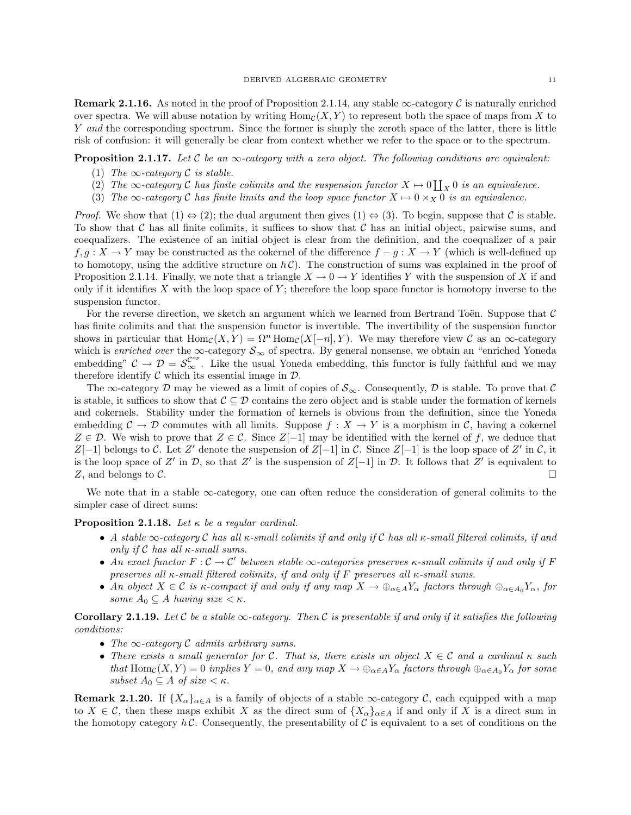**Remark 2.1.16.** As noted in the proof of Proposition 2.1.14, any stable  $\infty$ -category C is naturally enriched over spectra. We will abuse notation by writing  $\text{Hom}_{\mathcal{C}}(X, Y)$  to represent both the space of maps from X to Y and the corresponding spectrum. Since the former is simply the zeroth space of the latter, there is little risk of confusion: it will generally be clear from context whether we refer to the space or to the spectrum.

**Proposition 2.1.17.** Let C be an  $\infty$ -category with a zero object. The following conditions are equivalent:

- (1) The  $\infty$ -category C is stable.
- (2) The  $\infty$ -category C has finite colimits and the suspension functor  $X \mapsto 0 \coprod_X 0$  is an equivalence.
- (3) The  $\infty$ -category C has finite limits and the loop space functor  $X \mapsto 0 \times_X 0$  is an equivalence.

*Proof.* We show that  $(1) \Leftrightarrow (2)$ ; the dual argument then gives  $(1) \Leftrightarrow (3)$ . To begin, suppose that C is stable. To show that C has all finite colimits, it suffices to show that C has an initial object, pairwise sums, and coequalizers. The existence of an initial object is clear from the definition, and the coequalizer of a pair f, g :  $X \to Y$  may be constructed as the cokernel of the difference  $f - g : X \to Y$  (which is well-defined up to homotopy, using the additive structure on  $h\mathcal{C}$ ). The construction of sums was explained in the proof of Proposition 2.1.14. Finally, we note that a triangle  $X \to 0 \to Y$  identifies Y with the suspension of X if and only if it identifies  $X$  with the loop space of  $Y$ ; therefore the loop space functor is homotopy inverse to the suspension functor.

For the reverse direction, we sketch an argument which we learned from Bertrand Toën. Suppose that  $\mathcal C$ has finite colimits and that the suspension functor is invertible. The invertibility of the suspension functor shows in particular that  $\text{Hom}_{\mathcal{C}}(X, Y) = \Omega^n \text{Hom}_{\mathcal{C}}(X[-n], Y)$ . We may therefore view C as an  $\infty$ -category which is enriched over the  $\infty$ -category  $S_{\infty}$  of spectra. By general nonsense, we obtain an "enriched Yoneda" embedding"  $C \to \mathcal{D} = \mathcal{S}_{\infty}^{\mathcal{C}^{op}}$ . Like the usual Yoneda embedding, this functor is fully faithful and we may therefore identify  $\mathcal C$  which its essential image in  $\mathcal D$ .

The  $\infty$ -category D may be viewed as a limit of copies of  $S_{\infty}$ . Consequently, D is stable. To prove that C is stable, it suffices to show that  $\mathcal{C} \subseteq \mathcal{D}$  contains the zero object and is stable under the formation of kernels and cokernels. Stability under the formation of kernels is obvious from the definition, since the Yoneda embedding  $\mathcal{C} \to \mathcal{D}$  commutes with all limits. Suppose  $f : X \to Y$  is a morphism in  $\mathcal{C}$ , having a cokernel  $Z \in \mathcal{D}$ . We wish to prove that  $Z \in \mathcal{C}$ . Since  $Z[-1]$  may be identified with the kernel of f, we deduce that Z[-1] belongs to C. Let Z' denote the suspension of Z[-1] in C. Since Z[-1] is the loop space of Z' in C, it is the loop space of Z' in D, so that Z' is the suspension of  $Z[-1]$  in D. It follows that Z' is equivalent to Z, and belongs to  $\mathcal C$ .

We note that in a stable  $\infty$ -category, one can often reduce the consideration of general colimits to the simpler case of direct sums:

**Proposition 2.1.18.** Let  $\kappa$  be a regular cardinal.

- A stable  $\infty$ -category C has all  $\kappa$ -small colimits if and only if C has all  $\kappa$ -small filtered colimits, if and only if  $C$  has all  $\kappa$ -small sums.
- An exact functor  $F: \mathcal{C} \to \mathcal{C}'$  between stable  $\infty$ -categories preserves  $\kappa$ -small colimits if and only if F preserves all  $\kappa$ -small filtered colimits, if and only if F preserves all  $\kappa$ -small sums.
- An object  $X \in \mathcal{C}$  is  $\kappa$ -compact if and only if any map  $X \to \bigoplus_{\alpha \in A} Y_\alpha$  factors through  $\bigoplus_{\alpha \in A_0} Y_\alpha$ , for some  $A_0 \subseteq A$  having size  $\lt \kappa$ .

**Corollary 2.1.19.** Let C be a stable  $\infty$ -category. Then C is presentable if and only if it satisfies the following conditions:

- The  $\infty$ -category C admits arbitrary sums.
- There exists a small generator for C. That is, there exists an object  $X \in \mathcal{C}$  and a cardinal  $\kappa$  such that  $\text{Hom}_{\mathcal{C}}(X, Y) = 0$  implies  $Y = 0$ , and any map  $X \to \bigoplus_{\alpha \in A} Y_{\alpha}$  factors through  $\bigoplus_{\alpha \in A_0} Y_{\alpha}$  for some subset  $A_0 \subseteq A$  of size  $\lt \kappa$ .

**Remark 2.1.20.** If  $\{X_\alpha\}_{\alpha \in A}$  is a family of objects of a stable  $\infty$ -category C, each equipped with a map to  $X \in \mathcal{C}$ , then these maps exhibit X as the direct sum of  $\{X_{\alpha}\}_{{\alpha \in A}}$  if and only if X is a direct sum in the homotopy category  $h\mathcal{C}$ . Consequently, the presentability of  $\mathcal{C}$  is equivalent to a set of conditions on the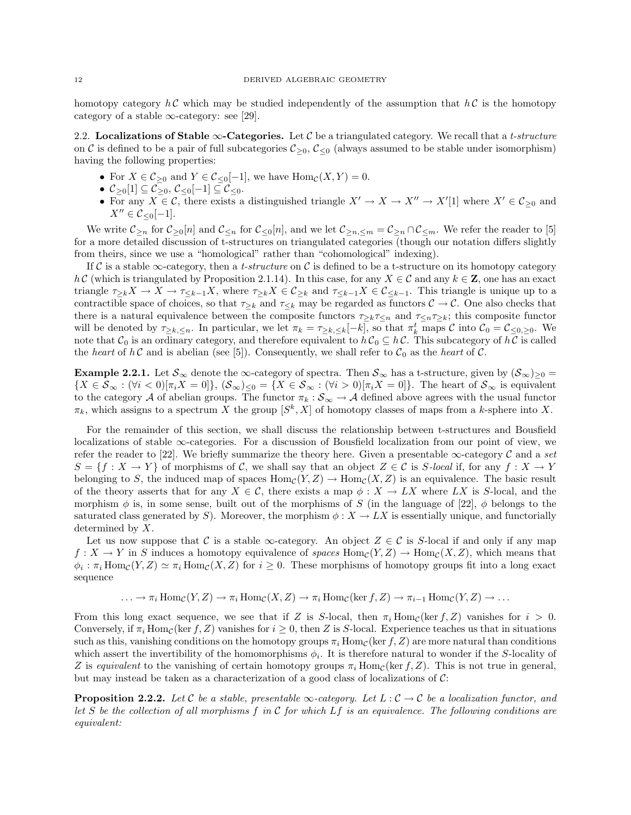homotopy category  $h\mathcal{C}$  which may be studied independently of the assumption that  $h\mathcal{C}$  is the homotopy category of a stable  $\infty$ -category: see [29].

2.2. Localizations of Stable  $\infty$ -Categories. Let C be a triangulated category. We recall that a t-structure on C is defined to be a pair of full subcategories  $C_{>0}$ ,  $C_{<0}$  (always assumed to be stable under isomorphism) having the following properties:

- For  $X \in \mathcal{C}_{\geq 0}$  and  $Y \in \mathcal{C}_{\leq 0}[-1]$ , we have  $\text{Hom}_{\mathcal{C}}(X, Y) = 0$ .
- $\mathcal{C}_{\geq 0}[1] \subseteq \mathcal{C}_{\geq 0}, \, \mathcal{C}_{\leq 0}[-1] \subseteq \mathcal{C}_{\leq 0}.$
- For any  $X \in \mathcal{C}$ , there exists a distinguished triangle  $X' \to X \to X'' \to X'[1]$  where  $X' \in \mathcal{C}_{\geq 0}$  and  $X'' \in C_{\leq 0}[-1].$

We write  $\mathcal{C}_{\geq n}$  for  $\mathcal{C}_{\geq 0}[n]$  and  $\mathcal{C}_{\leq n}$  for  $\mathcal{C}_{\leq 0}[n]$ , and we let  $\mathcal{C}_{\geq n,\leq m} = \mathcal{C}_{\geq n} \cap \mathcal{C}_{\leq m}$ . We refer the reader to [5] for a more detailed discussion of t-structures on triangulated categories (though our notation differs slightly from theirs, since we use a "homological" rather than "cohomological" indexing).

If C is a stable  $\infty$ -category, then a t-structure on C is defined to be a t-structure on its homotopy category  $h \mathcal{C}$  (which is triangulated by Proposition 2.1.14). In this case, for any  $X \in \mathcal{C}$  and any  $k \in \mathbf{Z}$ , one has an exact triangle  $\tau_{\geq k}X \to X \to \tau_{\leq k-1}X$ , where  $\tau_{\geq k}X \in \mathcal{C}_{\geq k}$  and  $\tau_{\leq k-1}X \in \mathcal{C}_{\leq k-1}$ . This triangle is unique up to a contractible space of choices, so that  $\tau_{\geq k}$  and  $\tau_{\leq k}$  may be regarded as functors  $\mathcal{C} \to \mathcal{C}$ . One also checks that there is a natural equivalence between the composite functors  $\tau_{\geq k} \tau_{\leq n}$  and  $\tau_{\leq n} \tau_{\geq k}$ ; this composite functor will be denoted by  $\tau_{\geq k,\leq n}$ . In particular, we let  $\pi_k = \tau_{\geq k,\leq k}[-k]$ , so that  $\pi_k^t$  maps  $\mathcal C$  into  $\mathcal C_0 = \mathcal C_{\leq 0,\geq 0}$ . We note that  $C_0$  is an ordinary category, and therefore equivalent to  $h C_0 \subseteq h C$ . This subcategory of  $h \overline{C}$  is called the heart of hC and is abelian (see [5]). Consequently, we shall refer to  $C_0$  as the heart of C.

**Example 2.2.1.** Let  $\mathcal{S}_{\infty}$  denote the  $\infty$ -category of spectra. Then  $\mathcal{S}_{\infty}$  has a t-structure, given by  $(\mathcal{S}_{\infty})_{\geq 0}$  =  ${X \in \mathcal{S}_{\infty} : (\forall i < 0) [\pi_i X = 0]}, (\mathcal{S}_{\infty})_{\leq 0} = {X \in \mathcal{S}_{\infty} : (\forall i > 0) [\pi_i X = 0]}$ . The heart of  $\mathcal{S}_{\infty}$  is equivalent to the category A of abelian groups. The functor  $\pi_k : S_\infty \to A$  defined above agrees with the usual functor  $\pi_k$ , which assigns to a spectrum X the group  $[S^k, X]$  of homotopy classes of maps from a k-sphere into X.

For the remainder of this section, we shall discuss the relationship between t-structures and Bousfield localizations of stable ∞-categories. For a discussion of Bousfield localization from our point of view, we refer the reader to [22]. We briefly summarize the theory here. Given a presentable  $\infty$ -category C and a set  $S = \{f : X \to Y\}$  of morphisms of C, we shall say that an object  $Z \in \mathcal{C}$  is S-local if, for any  $f : X \to Y$ belonging to S, the induced map of spaces  $\text{Hom}_{\mathcal{C}}(Y, Z) \to \text{Hom}_{\mathcal{C}}(X, Z)$  is an equivalence. The basic result of the theory asserts that for any  $X \in \mathcal{C}$ , there exists a map  $\phi : X \to LX$  where LX is S-local, and the morphism  $\phi$  is, in some sense, built out of the morphisms of S (in the language of [22],  $\phi$  belongs to the saturated class generated by S). Moreover, the morphism  $\phi: X \to LX$  is essentially unique, and functorially determined by X.

Let us now suppose that C is a stable  $\infty$ -category. An object  $Z \in \mathcal{C}$  is S-local if and only if any map  $f: X \to Y$  in S induces a homotopy equivalence of spaces  $\text{Hom}_{\mathcal{C}}(Y, Z) \to \text{Hom}_{\mathcal{C}}(X, Z)$ , which means that  $\phi_i : \pi_i \text{Hom}_{\mathcal{C}}(Y, Z) \simeq \pi_i \text{Hom}_{\mathcal{C}}(X, Z)$  for  $i \geq 0$ . These morphisms of homotopy groups fit into a long exact sequence

$$
\ldots \to \pi_i \operatorname{Hom}_{\mathcal{C}}(Y, Z) \to \pi_i \operatorname{Hom}_{\mathcal{C}}(X, Z) \to \pi_i \operatorname{Hom}_{\mathcal{C}}(\ker f, Z) \to \pi_{i-1} \operatorname{Hom}_{\mathcal{C}}(Y, Z) \to \ldots
$$

From this long exact sequence, we see that if Z is S-local, then  $\pi_i \text{Hom}_{\mathcal{C}}(\ker f, Z)$  vanishes for  $i > 0$ . Conversely, if  $\pi_i$  Hom<sub>C</sub>(ker f, Z) vanishes for  $i \geq 0$ , then Z is S-local. Experience teaches us that in situations such as this, vanishing conditions on the homotopy groups  $\pi_i$  Hom<sub>C</sub> (ker f, Z) are more natural than conditions which assert the invertibility of the homomorphisms  $\phi_i$ . It is therefore natural to wonder if the S-locality of Z is equivalent to the vanishing of certain homotopy groups  $\pi_i$  Hom<sub>C</sub>(ker f, Z). This is not true in general, but may instead be taken as a characterization of a good class of localizations of  $C$ :

**Proposition 2.2.2.** Let C be a stable, presentable  $\infty$ -category. Let  $L : C \to C$  be a localization functor, and let S be the collection of all morphisms f in C for which  $Lf$  is an equivalence. The following conditions are equivalent: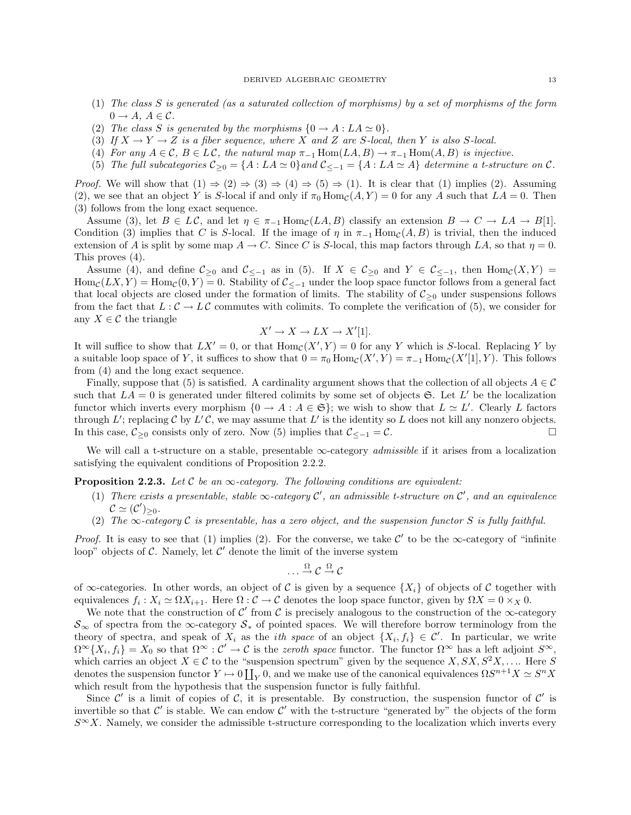- (1) The class S is generated (as a saturated collection of morphisms) by a set of morphisms of the form  $0 \rightarrow A, A \in \mathcal{C}.$
- (2) The class S is generated by the morphisms  $\{0 \rightarrow A : LA \simeq 0\}.$
- (3) If  $X \to Y \to Z$  is a fiber sequence, where X and Z are S-local, then Y is also S-local.
- (4) For any  $A \in \mathcal{C}$ ,  $B \in L\mathcal{C}$ , the natural map  $\pi_{-1}$  Hom $(LA, B) \to \pi_{-1}$  Hom $(A, B)$  is injective.
- (5) The full subcategories  $C_{\geq 0} = \{A : LA \simeq 0\}$  and  $C_{\leq -1} = \{A : LA \simeq A\}$  determine a t-structure on C.

*Proof.* We will show that  $(1) \Rightarrow (2) \Rightarrow (3) \Rightarrow (4) \Rightarrow (5) \Rightarrow (1)$ . It is clear that  $(1)$  implies  $(2)$ . Assuming (2), we see that an object Y is S-local if and only if  $\pi_0$  Hom<sub>C</sub>(A, Y) = 0 for any A such that LA = 0. Then (3) follows from the long exact sequence.

Assume (3), let  $B \in L\mathcal{C}$ , and let  $\eta \in \pi_{-1} \text{Hom}_{\mathcal{C}}(LA, B)$  classify an extension  $B \to C \to LA \to B[1]$ . Condition (3) implies that C is S-local. If the image of  $\eta$  in  $\pi_{-1}$  Hom $_c(A, B)$  is trivial, then the induced extension of A is split by some map  $A \to C$ . Since C is S-local, this map factors through LA, so that  $\eta = 0$ . This proves (4).

Assume (4), and define  $\mathcal{C}_{\geq 0}$  and  $\mathcal{C}_{\leq -1}$  as in (5). If  $X \in \mathcal{C}_{\geq 0}$  and  $Y \in \mathcal{C}_{\leq -1}$ , then  $\text{Hom}_{\mathcal{C}}(X, Y) =$  $Hom_{\mathcal{C}}(LX, Y) = Hom_{\mathcal{C}}(0, Y) = 0$ . Stability of  $\mathcal{C}_{\leq -1}$  under the loop space functor follows from a general fact that local objects are closed under the formation of limits. The stability of  $C_{\geq 0}$  under suspensions follows from the fact that  $L : \mathcal{C} \to L\mathcal{C}$  commutes with colimits. To complete the verification of (5), we consider for any  $X \in \mathcal{C}$  the triangle

$$
X' \to X \to LX \to X'[1].
$$

It will suffice to show that  $LX' = 0$ , or that  $\text{Hom}_{\mathcal{C}}(X', Y) = 0$  for any Y which is S-local. Replacing Y by a suitable loop space of Y, it suffices to show that  $0 = \pi_0 \text{Hom}_{\mathcal{C}}(X', Y) = \pi_{-1} \text{Hom}_{\mathcal{C}}(X'[1], Y)$ . This follows from (4) and the long exact sequence.

Finally, suppose that (5) is satisfied. A cardinality argument shows that the collection of all objects  $A \in \mathcal{C}$ such that  $LA = 0$  is generated under filtered colimits by some set of objects  $\mathfrak{S}$ . Let L' be the localization functor which inverts every morphism  $\{0 \to A : A \in \mathfrak{S}\}\;$  we wish to show that  $L \simeq L'$ . Clearly L factors through L'; replacing C by L'C, we may assume that L' is the identity so L does not kill any nonzero objects. In this case,  $\mathcal{C}_{\geq 0}$  consists only of zero. Now (5) implies that  $\mathcal{C}_{\leq -1} = \mathcal{C}$ . □

We will call a t-structure on a stable, presentable ∞-category *admissible* if it arises from a localization satisfying the equivalent conditions of Proposition 2.2.2.

**Proposition 2.2.3.** Let C be an  $\infty$ -category. The following conditions are equivalent:

- (1) There exists a presentable, stable  $\infty$ -category  $\mathcal{C}'$ , an admissible t-structure on  $\mathcal{C}'$ , and an equivalence  $\mathcal{C} \simeq (\mathcal{C}')_{\geq 0}.$
- (2) The  $\infty$ -category C is presentable, has a zero object, and the suspension functor S is fully faithful.

*Proof.* It is easy to see that (1) implies (2). For the converse, we take  $\mathcal{C}'$  to be the  $\infty$ -category of "infinite" loop" objects of  $\mathcal C$ . Namely, let  $\mathcal C'$  denote the limit of the inverse system

$$
\ldots \xrightarrow{\Omega} \mathcal{C} \xrightarrow{\Omega} \mathcal{C}
$$

of  $\infty$ -categories. In other words, an object of C is given by a sequence  $\{X_i\}$  of objects of C together with equivalences  $f_i: X_i \simeq \Omega X_{i+1}$ . Here  $\Omega: \mathcal{C} \to \mathcal{C}$  denotes the loop space functor, given by  $\Omega X = 0 \times_X 0$ .

We note that the construction of  $\mathcal{C}'$  from  $\mathcal{C}$  is precisely analogous to the construction of the  $\infty$ -category  $S_{\infty}$  of spectra from the  $\infty$ -category  $S_*$  of pointed spaces. We will therefore borrow terminology from the theory of spectra, and speak of  $X_i$  as the *ith space* of an object  $\{X_i, f_i\} \in \mathcal{C}'$ . In particular, we write  $\Omega^{\infty}\{X_i, f_i\} = X_0$  so that  $\Omega^{\infty} : \mathcal{C}' \to \mathcal{C}$  is the *zeroth space* functor. The functor  $\Omega^{\infty}$  has a left adjoint  $S^{\infty}$ , which carries an object  $X \in \mathcal{C}$  to the "suspension spectrum" given by the sequence  $X, SX, S^2X, \ldots$ . Here S denotes the suspension functor  $Y \mapsto 0 \coprod_Y 0$ , and we make use of the canonical equivalences  $\Omega S^{n+1} X \simeq S^n X$ which result from the hypothesis that the suspension functor is fully faithful.

Since  $\mathcal{C}'$  is a limit of copies of  $\mathcal{C}$ , it is presentable. By construction, the suspension functor of  $\mathcal{C}'$  is invertible so that  $\mathcal{C}'$  is stable. We can endow  $\mathcal{C}'$  with the t-structure "generated by" the objects of the form  $S^{\infty}X$ . Namely, we consider the admissible t-structure corresponding to the localization which inverts every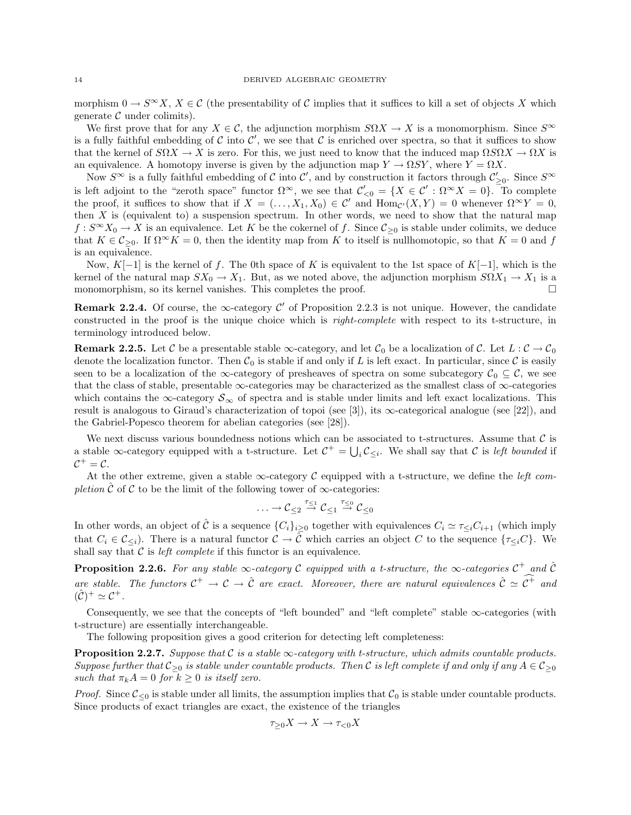morphism  $0 \to S^{\infty}X$ ,  $X \in \mathcal{C}$  (the presentability of C implies that it suffices to kill a set of objects X which generate  $\mathcal C$  under colimits).

We first prove that for any  $X \in \mathcal{C}$ , the adjunction morphism  $S\Omega X \to X$  is a monomorphism. Since  $S^{\infty}$ is a fully faithful embedding of C into C', we see that C is enriched over spectra, so that it suffices to show that the kernel of  $S\Omega X \to X$  is zero. For this, we just need to know that the induced map  $\Omega S\Omega X \to \Omega X$  is an equivalence. A homotopy inverse is given by the adjunction map  $Y \to \Omega SY$ , where  $Y = \Omega X$ .

Now  $S^{\infty}$  is a fully faithful embedding of C into C', and by construction it factors through  $\mathcal{C}'_{\geq 0}$ . Since  $S^{\infty}$ is left adjoint to the "zeroth space" functor  $\Omega^{\infty}$ , we see that  $\mathcal{C}'_{\leq 0} = \{X \in \mathcal{C}' : \Omega^{\infty}X = 0\}$ . To complete the proof, it suffices to show that if  $X = (\ldots, X_1, X_0) \in \mathcal{C}'$  and  $\text{Hom}_{\mathcal{C}'}(X, Y) = 0$  whenever  $\Omega^{\infty} Y = 0$ , then  $X$  is (equivalent to) a suspension spectrum. In other words, we need to show that the natural map  $f: S^{\infty}X_0 \to X$  is an equivalence. Let K be the cokernel of f. Since  $\mathcal{C}_{\geq 0}$  is stable under colimits, we deduce that  $K \in \mathcal{C}_{\geq 0}$ . If  $\Omega^{\infty} K = 0$ , then the identity map from K to itself is nullhomotopic, so that  $K = 0$  and f is an equivalence.

Now, K[−1] is the kernel of f. The 0th space of K is equivalent to the 1st space of K[−1], which is the kernel of the natural map  $SX_0 \to X_1$ . But, as we noted above, the adjunction morphism  $S\Omega X_1 \to X_1$  is a monomorphism, so its kernel vanishes. This completes the proof.  $\square$ 

**Remark 2.2.4.** Of course, the  $\infty$ -category  $\mathcal{C}'$  of Proposition 2.2.3 is not unique. However, the candidate constructed in the proof is the unique choice which is right-complete with respect to its t-structure, in terminology introduced below.

**Remark 2.2.5.** Let C be a presentable stable  $\infty$ -category, and let  $C_0$  be a localization of C. Let  $L : C \to C_0$ denote the localization functor. Then  $C_0$  is stable if and only if L is left exact. In particular, since C is easily seen to be a localization of the ∞-category of presheaves of spectra on some subcategory  $C_0 \subseteq \mathcal{C}$ , we see that the class of stable, presentable  $\infty$ -categories may be characterized as the smallest class of  $\infty$ -categories which contains the ∞-category  $\mathcal{S}_{\infty}$  of spectra and is stable under limits and left exact localizations. This result is analogous to Giraud's characterization of topoi (see [3]), its  $\infty$ -categorical analogue (see [22]), and the Gabriel-Popesco theorem for abelian categories (see [28]).

We next discuss various boundedness notions which can be associated to t-structures. Assume that  $\mathcal C$  is a stable  $\infty$ -category equipped with a t-structure. Let  $\mathcal{C}^+ = \bigcup_i \mathcal{C}_{\leq i}$ . We shall say that  $\mathcal C$  is left bounded if  $C^+$  = C.

At the other extreme, given a stable  $\infty$ -category C equipped with a t-structure, we define the *left com*pletion  $\hat{\mathcal{C}}$  of  $\mathcal{C}$  to be the limit of the following tower of  $\infty$ -categories:

$$
\ldots \to {\mathcal C}_{\leq 2} \stackrel{\tau_{\leq 1}}{\to} {\mathcal C}_{\leq 1} \stackrel{\tau_{\leq 0}}{\to} {\mathcal C}_{\leq 0}
$$

In other words, an object of  $\hat{\mathcal{C}}$  is a sequence  $\{C_i\}_{i\geq 0}$  together with equivalences  $C_i \simeq \tau_{\leq i}C_{i+1}$  (which imply that  $C_i \in \mathcal{C}_{\leq i}$ . There is a natural functor  $\mathcal{C} \to \hat{\mathcal{C}}$  which carries an object C to the sequence  $\{\tau_{\leq i}C\}$ . We shall say that  $C$  is *left complete* if this functor is an equivalence.

**Proposition 2.2.6.** For any stable  $\infty$ -category C equipped with a t-structure, the  $\infty$ -categories  $C^+$  and  $\hat{C}$ are stable. The functors  $C^+ \to C \to \hat{C}$  are exact. Moreover, there are natural equivalences  $\hat{C} \simeq C^+$  and  $(\hat{C})^+ \simeq C^+$ .

Consequently, we see that the concepts of "left bounded" and "left complete" stable  $\infty$ -categories (with t-structure) are essentially interchangeable.

The following proposition gives a good criterion for detecting left completeness:

**Proposition 2.2.7.** Suppose that  $C$  is a stable  $\infty$ -category with t-structure, which admits countable products. Suppose further that  $C_{\geq 0}$  is stable under countable products. Then C is left complete if and only if any  $A \in C_{\geq 0}$ such that  $\pi_k A = 0$  for  $k \geq 0$  is itself zero.

*Proof.* Since  $\mathcal{C}_{\leq 0}$  is stable under all limits, the assumption implies that  $\mathcal{C}_0$  is stable under countable products. Since products of exact triangles are exact, the existence of the triangles

$$
\tau_{\geq 0} X \to X \to \tau_{<0} X
$$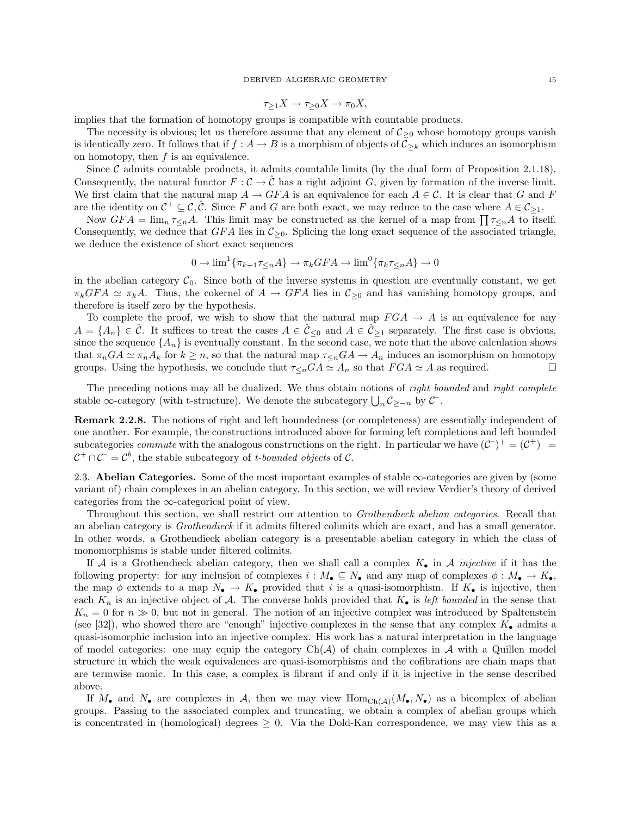$$
\tau_{\geq 1} X \to \tau_{\geq 0} X \to \pi_0 X,
$$

implies that the formation of homotopy groups is compatible with countable products.

The necessity is obvious; let us therefore assume that any element of  $C_{\geq 0}$  whose homotopy groups vanish is identically zero. It follows that if  $f : A \to B$  is a morphism of objects of  $\mathcal{C}_{\geq k}$  which induces an isomorphism on homotopy, then  $f$  is an equivalence.

Since  $\mathcal C$  admits countable products, it admits countable limits (by the dual form of Proposition 2.1.18). Consequently, the natural functor  $F: \mathcal{C} \to \hat{\mathcal{C}}$  has a right adjoint G, given by formation of the inverse limit. We first claim that the natural map  $A \to GFA$  is an equivalence for each  $A \in \mathcal{C}$ . It is clear that G and F are the identity on  $C^+ \subseteq C$ ,  $\hat{C}$ . Since F and G are both exact, we may reduce to the case where  $A \in C_{\geq 1}$ .

Now  $GFA = \lim_{n \to \infty} \tau \leq nA$ . This limit may be constructed as the kernel of a map from  $\prod_{n \to \infty} \tau \leq nA$  to itself. Consequently, we deduce that  $GFA$  lies in  $\mathcal{C}_{\geq 0}$ . Splicing the long exact sequence of the associated triangle, we deduce the existence of short exact sequences

$$
0 \to \lim^1 \{ \pi_{k+1} \tau \leq n} A \} \to \pi_k GFA \to \lim^0 \{ \pi_k \tau \leq n} A \} \to 0
$$

in the abelian category  $C_0$ . Since both of the inverse systems in question are eventually constant, we get  $\pi_k GFA \simeq \pi_k A$ . Thus, the cokernel of  $A \to GFA$  lies in  $\mathcal{C}_{\geq 0}$  and has vanishing homotopy groups, and therefore is itself zero by the hypothesis.

To complete the proof, we wish to show that the natural map  $FGA \rightarrow A$  is an equivalence for any  $A = \{A_n\} \in \hat{\mathcal{C}}$ . It suffices to treat the cases  $A \in \hat{\mathcal{C}}_{\leq 0}$  and  $A \in \hat{\mathcal{C}}_{\geq 1}$  separately. The first case is obvious, since the sequence  $\{A_n\}$  is eventually constant. In the second case, we note that the above calculation shows that  $\pi_nGA \simeq \pi_nA_k$  for  $k \geq n$ , so that the natural map  $\tau_{\leq n}GA \to A_n$  induces an isomorphism on homotopy groups. Using the hypothesis, we conclude that  $\tau_{\leq n}GA \simeq A_n$  so that  $FGA \simeq A$  as required.

The preceding notions may all be dualized. We thus obtain notions of right bounded and right complete stable ∞-category (with t-structure). We denote the subcategory  $\bigcup_n C_{\geq -n}$  by  $\mathcal{C}^-$ .

Remark 2.2.8. The notions of right and left boundedness (or completeness) are essentially independent of one another. For example, the constructions introduced above for forming left completions and left bounded subcategories *commute* with the analogous constructions on the right. In particular we have  $(C^-)^+ = (C^+)^ C^+ \cap C^- = C^b$ , the stable subcategory of *t*-bounded objects of C.

2.3. Abelian Categories. Some of the most important examples of stable ∞-categories are given by (some variant of) chain complexes in an abelian category. In this section, we will review Verdier's theory of derived categories from the  $\infty$ -categorical point of view.

Throughout this section, we shall restrict our attention to Grothendieck abelian categories. Recall that an abelian category is Grothendieck if it admits filtered colimits which are exact, and has a small generator. In other words, a Grothendieck abelian category is a presentable abelian category in which the class of monomorphisms is stable under filtered colimits.

If A is a Grothendieck abelian category, then we shall call a complex  $K_{\bullet}$  in A *injective* if it has the following property: for any inclusion of complexes  $i : M_{\bullet} \subseteq N_{\bullet}$  and any map of complexes  $\phi : M_{\bullet} \to K_{\bullet}$ , the map  $\phi$  extends to a map  $N_{\bullet} \to K_{\bullet}$  provided that i is a quasi-isomorphism. If  $K_{\bullet}$  is injective, then each  $K_n$  is an injective object of A. The converse holds provided that  $K_{\bullet}$  is left bounded in the sense that  $K_n = 0$  for  $n \gg 0$ , but not in general. The notion of an injective complex was introduced by Spaltenstein (see [32]), who showed there are "enough" injective complexes in the sense that any complex  $K_{\bullet}$  admits a quasi-isomorphic inclusion into an injective complex. His work has a natural interpretation in the language of model categories: one may equip the category  $Ch(A)$  of chain complexes in A with a Quillen model structure in which the weak equivalences are quasi-isomorphisms and the cofibrations are chain maps that are termwise monic. In this case, a complex is fibrant if and only if it is injective in the sense described above.

If  $M_{\bullet}$  and  $N_{\bullet}$  are complexes in A, then we may view  $\text{Hom}_{\text{Ch}(\mathcal{A})}(M_{\bullet}, N_{\bullet})$  as a bicomplex of abelian groups. Passing to the associated complex and truncating, we obtain a complex of abelian groups which is concentrated in (homological) degrees  $\geq 0$ . Via the Dold-Kan correspondence, we may view this as a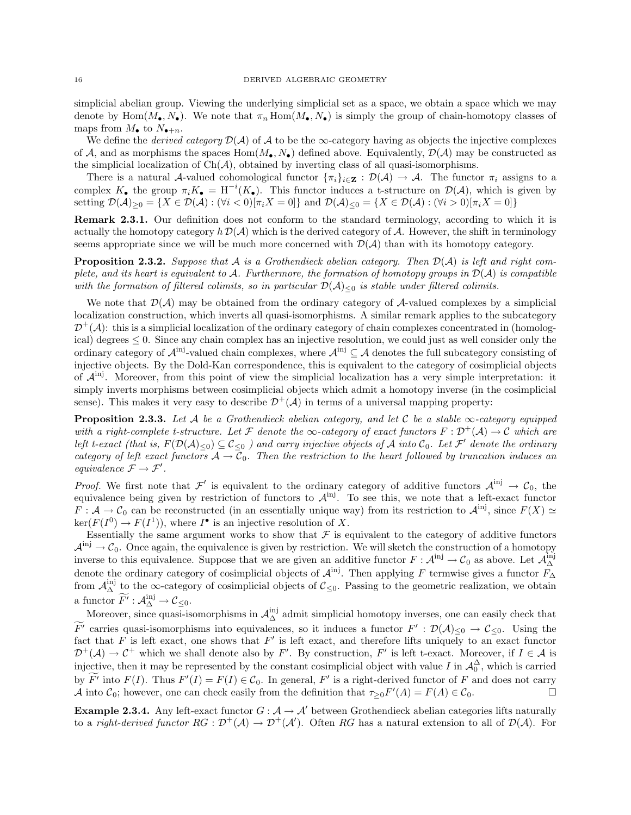simplicial abelian group. Viewing the underlying simplicial set as a space, we obtain a space which we may denote by Hom $(M_{\bullet}, N_{\bullet})$ . We note that  $\pi_n$  Hom $(M_{\bullet}, N_{\bullet})$  is simply the group of chain-homotopy classes of maps from  $M_{\bullet}$  to  $N_{\bullet+n}$ .

We define the *derived category*  $\mathcal{D}(\mathcal{A})$  of  $\mathcal A$  to be the  $\infty$ -category having as objects the injective complexes of A, and as morphisms the spaces  $Hom(M_{\bullet}, N_{\bullet})$  defined above. Equivalently,  $\mathcal{D}(\mathcal{A})$  may be constructed as the simplicial localization of  $Ch(\mathcal{A})$ , obtained by inverting class of all quasi-isomorphisms.

There is a natural A-valued cohomological functor  $\{\pi_i\}_{i\in\mathbf{Z}} : \mathcal{D}(\mathcal{A}) \to \mathcal{A}$ . The functor  $\pi_i$  assigns to a complex  $K_{\bullet}$  the group  $\pi_i K_{\bullet} = \mathbf{H}^{-i}(K_{\bullet})$ . This functor induces a t-structure on  $\mathcal{D}(\mathcal{A})$ , which is given by setting  $\mathcal{D}(\mathcal{A})_{\geq 0} = \{X \in \mathcal{D}(\mathcal{A}) : (\forall i < 0)[\pi_i X = 0]\}$  and  $\mathcal{D}(\mathcal{A})_{\leq 0} = \{X \in \mathcal{D}(\mathcal{A}) : (\forall i > 0)[\pi_i X = 0]\}$ 

Remark 2.3.1. Our definition does not conform to the standard terminology, according to which it is actually the homotopy category  $h \mathcal{D}(\mathcal{A})$  which is the derived category of  $\mathcal{A}$ . However, the shift in terminology seems appropriate since we will be much more concerned with  $\mathcal{D}(\mathcal{A})$  than with its homotopy category.

**Proposition 2.3.2.** Suppose that A is a Grothendieck abelian category. Then  $\mathcal{D}(\mathcal{A})$  is left and right complete, and its heart is equivalent to A. Furthermore, the formation of homotopy groups in  $\mathcal{D}(\mathcal{A})$  is compatible with the formation of filtered colimits, so in particular  $\mathcal{D}(\mathcal{A})_{\leq 0}$  is stable under filtered colimits.

We note that  $\mathcal{D}(\mathcal{A})$  may be obtained from the ordinary category of  $\mathcal{A}$ -valued complexes by a simplicial localization construction, which inverts all quasi-isomorphisms. A similar remark applies to the subcategory  $\mathcal{D}^+(\mathcal{A})$ : this is a simplicial localization of the ordinary category of chain complexes concentrated in (homological) degrees  $\leq 0$ . Since any chain complex has an injective resolution, we could just as well consider only the ordinary category of  $\mathcal{A}^{\text{inj}}$ -valued chain complexes, where  $\mathcal{A}^{\text{inj}} \subseteq \mathcal{A}$  denotes the full subcategory consisting of injective objects. By the Dold-Kan correspondence, this is equivalent to the category of cosimplicial objects of  $A^{inj}$ . Moreover, from this point of view the simplicial localization has a very simple interpretation: it simply inverts morphisms between cosimplicial objects which admit a homotopy inverse (in the cosimplicial sense). This makes it very easy to describe  $\mathcal{D}^+(\mathcal{A})$  in terms of a universal mapping property:

**Proposition 2.3.3.** Let A be a Grothendieck abelian category, and let C be a stable  $\infty$ -category equipped with a right-complete t-structure. Let F denote the  $\infty$ -category of exact functors  $F : \mathcal{D}^+(\mathcal{A}) \to \mathcal{C}$  which are left t-exact (that is,  $F(\mathcal{D}(\mathcal{A})_{\leq 0}) \subseteq \mathcal{C}_{\leq 0}$ ) and carry injective objects of  $\mathcal A$  into  $\mathcal C_0$ . Let  $\mathcal F'$  denote the ordinary category of left exact functors  $A \to C_0$ . Then the restriction to the heart followed by truncation induces an equivalence  $\mathcal{F} \to \mathcal{F}'$ .

*Proof.* We first note that  $\mathcal{F}'$  is equivalent to the ordinary category of additive functors  $\mathcal{A}^{inj} \to \mathcal{C}_0$ , the equivalence being given by restriction of functors to  $\mathcal{A}^{\text{inj}}$ . To see this, we note that a left-exact functor  $F: \mathcal{A} \to \mathcal{C}_0$  can be reconstructed (in an essentially unique way) from its restriction to  $\mathcal{A}^{\text{inj}}$ , since  $F(X) \simeq$  $\ker(F(I^0) \to F(I^1)),$  where  $I^{\bullet}$  is an injective resolution of X.

Essentially the same argument works to show that  $\mathcal F$  is equivalent to the category of additive functors  $A^{inj} \to \mathcal{C}_0$ . Once again, the equivalence is given by restriction. We will sketch the construction of a homotopy inverse to this equivalence. Suppose that we are given an additive functor  $F: \mathcal{A}^{\text{inj}} \to \mathcal{C}_0$  as above. Let  $\mathcal{A}^{\text{inj}}_{\Delta}$ denote the ordinary category of cosimplicial objects of  $\mathcal{A}^{\text{inj}}$ . Then applying F termwise gives a functor  $F_{\Delta}$ from  $\mathcal{A}_{\Delta}^{inj}$  to the  $\infty$ -category of cosimplicial objects of  $\mathcal{C}_{\leq 0}$ . Passing to the geometric realization, we obtain a functor  $\widetilde{F'}: \mathcal{A}_{\Delta}^{\text{inj}} \to \mathcal{C}_{\leq 0}.$ 

Moreover, since quasi-isomorphisms in  $\mathcal{A}_{\Delta}^{inj}$  admit simplicial homotopy inverses, one can easily check that  $F'$  carries quasi-isomorphisms into equivalences, so it induces a functor  $F' : \mathcal{D}(\mathcal{A})_{\leq 0} \to \mathcal{C}_{\leq 0}$ . Using the fact that F is left exact, one shows that F' is left exact, and therefore lifts uniquely to an exact functor  $\mathcal{D}^+(\mathcal{A}) \to \mathcal{C}^+$  which we shall denote also by F'. By construction, F' is left t-exact. Moreover, if  $I \in \mathcal{A}$  is injective, then it may be represented by the constant cosimplicial object with value I in  $\mathcal{A}_0^{\Delta}$ , which is carried by  $\overline{F'}$  into  $F(I)$ . Thus  $F'(I) = F(I) \in \mathcal{C}_0$ . In general,  $F'$  is a right-derived functor of F and does not carry A into  $C_0$ ; however, one can check easily from the definition that  $\tau_{\geq 0} F'(A) = F(A) \in C_0$ .

**Example 2.3.4.** Any left-exact functor  $G : \mathcal{A} \to \mathcal{A}'$  between Grothendieck abelian categories lifts naturally to a *right-derived functor*  $RG : \mathcal{D}^+(\mathcal{A}) \to \mathcal{D}^+(\mathcal{A}')$ . Often RG has a natural extension to all of  $\mathcal{D}(\mathcal{A})$ . For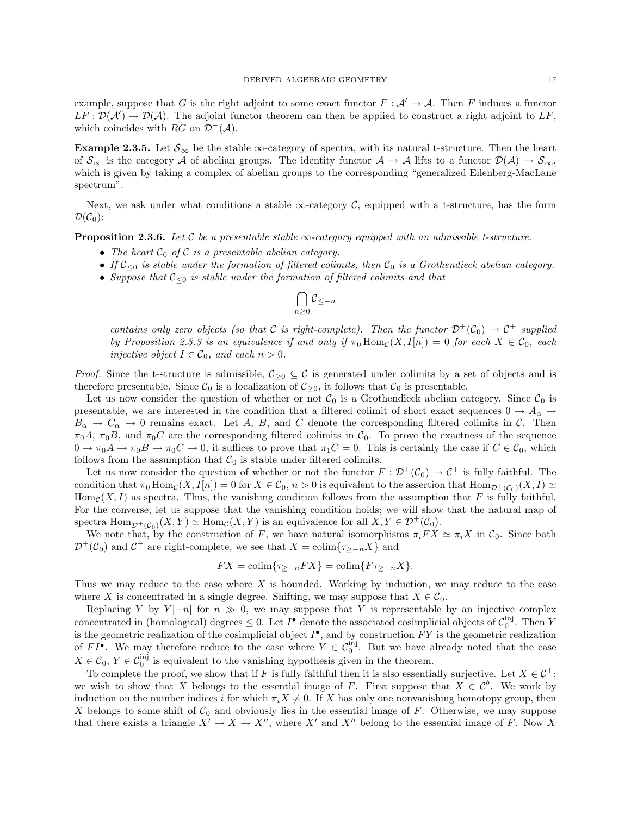example, suppose that G is the right adjoint to some exact functor  $F : A' \to A$ . Then F induces a functor  $LF : \mathcal{D}(\mathcal{A}') \to \mathcal{D}(\mathcal{A})$ . The adjoint functor theorem can then be applied to construct a right adjoint to LF, which coincides with RG on  $\mathcal{D}^+(\mathcal{A})$ .

Example 2.3.5. Let  $S_{\infty}$  be the stable  $\infty$ -category of spectra, with its natural t-structure. Then the heart of  $S_{\infty}$  is the category A of abelian groups. The identity functor  $A \to A$  lifts to a functor  $\mathcal{D}(A) \to S_{\infty}$ , which is given by taking a complex of abelian groups to the corresponding "generalized Eilenberg-MacLane spectrum".

Next, we ask under what conditions a stable  $\infty$ -category  $\mathcal{C}$ , equipped with a t-structure, has the form  $\mathcal{D}(\mathcal{C}_0)$ :

**Proposition 2.3.6.** Let C be a presentable stable  $\infty$ -category equipped with an admissible t-structure.

- The heart  $C_0$  of C is a presentable abelian category.
- If  $C_{\leq 0}$  is stable under the formation of filtered colimits, then  $C_0$  is a Grothendieck abelian category.
- Suppose that  $\mathcal{C}_{\leq 0}$  is stable under the formation of filtered colimits and that

$$
\bigcap_{n\geq 0} \mathcal{C}_{\leq -n}
$$

contains only zero objects (so that C is right-complete). Then the functor  $\mathcal{D}^+(\mathcal{C}_0) \to \mathcal{C}^+$  supplied by Proposition 2.3.3 is an equivalence if and only if  $\pi_0 \text{Hom}_{\mathcal{C}}(X, I[n]) = 0$  for each  $X \in \mathcal{C}_0$ , each injective object  $I \in C_0$ , and each  $n > 0$ .

*Proof.* Since the t-structure is admissible,  $C_{\geq 0} \subseteq \mathcal{C}$  is generated under colimits by a set of objects and is therefore presentable. Since  $C_0$  is a localization of  $C_{>0}$ , it follows that  $C_0$  is presentable.

Let us now consider the question of whether or not  $\mathcal{C}_0$  is a Grothendieck abelian category. Since  $\mathcal{C}_0$  is presentable, we are interested in the condition that a filtered colimit of short exact sequences  $0 \to A_{\alpha} \to$  $B_{\alpha} \to C_{\alpha} \to 0$  remains exact. Let A, B, and C denote the corresponding filtered colimits in C. Then  $\pi_0A$ ,  $\pi_0B$ , and  $\pi_0C$  are the corresponding filtered colimits in  $C_0$ . To prove the exactness of the sequence  $0 \to \pi_0 A \to \pi_0 B \to \pi_0 C \to 0$ , it suffices to prove that  $\pi_1 C = 0$ . This is certainly the case if  $C \in \mathcal{C}_0$ , which follows from the assumption that  $C_0$  is stable under filtered colimits.

Let us now consider the question of whether or not the functor  $F: \mathcal{D}^+(\mathcal{C}_0) \to \mathcal{C}^+$  is fully faithful. The condition that  $\pi_0 \text{Hom}_{\mathcal{C}}(X, I[n]) = 0$  for  $X \in \mathcal{C}_0$ ,  $n > 0$  is equivalent to the assertion that  $\text{Hom}_{\mathcal{D}^+(\mathcal{C}_0)}(X, I) \simeq$  $\text{Hom}_{\mathcal{C}}(X, I)$  as spectra. Thus, the vanishing condition follows from the assumption that F is fully faithful. For the converse, let us suppose that the vanishing condition holds; we will show that the natural map of spectra  $\text{Hom}_{\mathcal{D}^+(C_0)}(X,Y) \simeq \text{Hom}_{\mathcal{C}}(X,Y)$  is an equivalence for all  $X, Y \in \mathcal{D}^+(\mathcal{C}_0)$ .

We note that, by the construction of F, we have natural isomorphisms  $\pi_i FX \simeq \pi_iX$  in  $C_0$ . Since both  $\mathcal{D}^+(\mathcal{C}_0)$  and  $\mathcal{C}^+$  are right-complete, we see that  $X = \text{colim}\{\tau_{\geq -n}X\}$  and

$$
FX = \operatorname{colim}\{\tau_{\geq -n} FX\} = \operatorname{colim}\{F\tau_{\geq -n} X\}.
$$

Thus we may reduce to the case where  $X$  is bounded. Working by induction, we may reduce to the case where X is concentrated in a single degree. Shifting, we may suppose that  $X \in \mathcal{C}_0$ .

Replacing Y by  $Y[-n]$  for  $n \gg 0$ , we may suppose that Y is representable by an injective complex concentrated in (homological) degrees  $\leq 0$ . Let  $I^{\bullet}$  denote the associated cosimplicial objects of  $\mathcal{C}_0^{\text{inj}}$ . Then Y is the geometric realization of the cosimplicial object  $I^{\bullet}$ , and by construction  $FY$  is the geometric realization of  $FI^{\bullet}$ . We may therefore reduce to the case where  $Y \in C_0^{\text{inj}}$ . But we have already noted that the case  $X \in \mathcal{C}_0, Y \in \mathcal{C}_0^{\text{inj}}$  is equivalent to the vanishing hypothesis given in the theorem.

To complete the proof, we show that if F is fully faithful then it is also essentially surjective. Let  $X \in \mathcal{C}^+$ ; we wish to show that X belongs to the essential image of F. First suppose that  $X \in \mathcal{C}^b$ . We work by induction on the number indices i for which  $\pi_i X \neq 0$ . If X has only one nonvanishing homotopy group, then X belongs to some shift of  $C_0$  and obviously lies in the essential image of F. Otherwise, we may suppose that there exists a triangle  $X' \to X \to X''$ , where X' and X'' belong to the essential image of F. Now X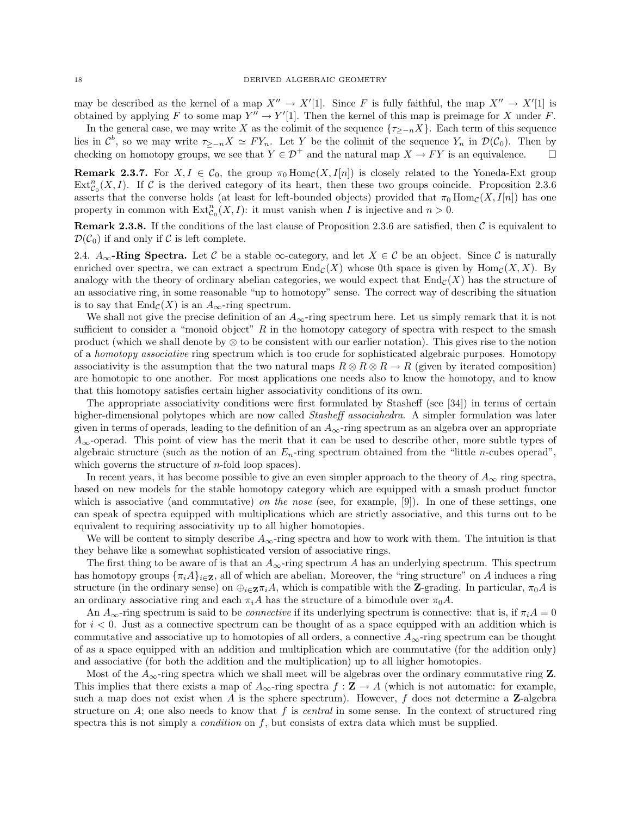may be described as the kernel of a map  $X'' \to X'[1]$ . Since F is fully faithful, the map  $X'' \to X'[1]$  is obtained by applying F to some map  $Y'' \to Y'[1]$ . Then the kernel of this map is preimage for X under F.

In the general case, we may write X as the colimit of the sequence  $\{\tau_{\geq -n}X\}$ . Each term of this sequence lies in  $\mathcal{C}^b$ , so we may write  $\tau_{\geq -n}X \simeq FY_n$ . Let Y be the colimit of the sequence  $Y_n$  in  $\mathcal{D}(\mathcal{C}_0)$ . Then by checking on homotopy groups, we see that  $Y \in \mathcal{D}^+$  and the natural map  $X \to FY$  is an equivalence.

**Remark 2.3.7.** For  $X, I \in \mathcal{C}_0$ , the group  $\pi_0$  Hom $_{\mathcal{C}}(X, I[n])$  is closely related to the Yoneda-Ext group  $Ext_{\mathcal{C}_0}^n(X,I)$ . If C is the derived category of its heart, then these two groups coincide. Proposition 2.3.6 asserts that the converse holds (at least for left-bounded objects) provided that  $\pi_0 \text{Hom}_{\mathcal{C}}(X, I[n])$  has one property in common with  $\text{Ext}^n_{\mathcal{C}_0}(X,I)$ : it must vanish when I is injective and  $n > 0$ .

**Remark 2.3.8.** If the conditions of the last clause of Proposition 2.3.6 are satisfied, then  $\mathcal{C}$  is equivalent to  $\mathcal{D}(\mathcal{C}_0)$  if and only if C is left complete.

2.4.  $A_{\infty}$ -Ring Spectra. Let C be a stable  $\infty$ -category, and let  $X \in \mathcal{C}$  be an object. Since C is naturally enriched over spectra, we can extract a spectrum  $\text{End}_{\mathcal{C}}(X)$  whose 0th space is given by  $\text{Hom}_{\mathcal{C}}(X, X)$ . By analogy with the theory of ordinary abelian categories, we would expect that  $\text{End}_{\mathcal{C}}(X)$  has the structure of an associative ring, in some reasonable "up to homotopy" sense. The correct way of describing the situation is to say that  $\text{End}_{\mathcal{C}}(X)$  is an  $A_{\infty}$ -ring spectrum.

We shall not give the precise definition of an  $A_{\infty}$ -ring spectrum here. Let us simply remark that it is not sufficient to consider a "monoid object"  $R$  in the homotopy category of spectra with respect to the smash product (which we shall denote by ⊗ to be consistent with our earlier notation). This gives rise to the notion of a homotopy associative ring spectrum which is too crude for sophisticated algebraic purposes. Homotopy associativity is the assumption that the two natural maps  $R \otimes R \otimes R \to R$  (given by iterated composition) are homotopic to one another. For most applications one needs also to know the homotopy, and to know that this homotopy satisfies certain higher associativity conditions of its own.

The appropriate associativity conditions were first formulated by Stasheff (see [34]) in terms of certain higher-dimensional polytopes which are now called Stasheff associahedra. A simpler formulation was later given in terms of operads, leading to the definition of an  $A_{\infty}$ -ring spectrum as an algebra over an appropriate  $A_{\infty}$ -operad. This point of view has the merit that it can be used to describe other, more subtle types of algebraic structure (such as the notion of an  $E_n$ -ring spectrum obtained from the "little *n*-cubes operad", which governs the structure of  $n$ -fold loop spaces).

In recent years, it has become possible to give an even simpler approach to the theory of  $A_{\infty}$  ring spectra, based on new models for the stable homotopy category which are equipped with a smash product functor which is associative (and commutative) on the nose (see, for example, [9]). In one of these settings, one can speak of spectra equipped with multiplications which are strictly associative, and this turns out to be equivalent to requiring associativity up to all higher homotopies.

We will be content to simply describe  $A_{\infty}$ -ring spectra and how to work with them. The intuition is that they behave like a somewhat sophisticated version of associative rings.

The first thing to be aware of is that an  $A_{\infty}$ -ring spectrum A has an underlying spectrum. This spectrum has homotopy groups  $\{\pi_i A\}_{i\in \mathbb{Z}}$ , all of which are abelian. Moreover, the "ring structure" on A induces a ring structure (in the ordinary sense) on  $\oplus_{i\in\mathbf{Z}}\pi_iA$ , which is compatible with the **Z**-grading. In particular,  $\pi_0A$  is an ordinary associative ring and each  $\pi_i A$  has the structure of a bimodule over  $\pi_0 A$ .

An  $A_{\infty}$ -ring spectrum is said to be *connective* if its underlying spectrum is connective: that is, if  $\pi_i A = 0$ for  $i < 0$ . Just as a connective spectrum can be thought of as a space equipped with an addition which is commutative and associative up to homotopies of all orders, a connective  $A_{\infty}$ -ring spectrum can be thought of as a space equipped with an addition and multiplication which are commutative (for the addition only) and associative (for both the addition and the multiplication) up to all higher homotopies.

Most of the  $A_{\infty}$ -ring spectra which we shall meet will be algebras over the ordinary commutative ring **Z**. This implies that there exists a map of  $A_{\infty}$ -ring spectra  $f : \mathbf{Z} \to A$  (which is not automatic: for example, such a map does not exist when A is the sphere spectrum). However,  $f$  does not determine a Z-algebra structure on  $A$ ; one also needs to know that f is *central* in some sense. In the context of structured ring spectra this is not simply a *condition* on  $f$ , but consists of extra data which must be supplied.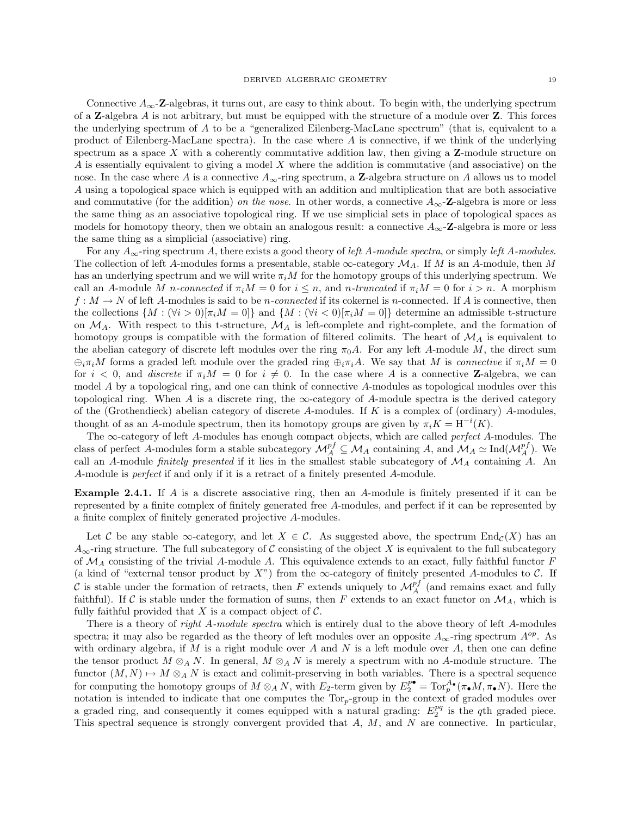Connective  $A_{\infty}$ -Z-algebras, it turns out, are easy to think about. To begin with, the underlying spectrum of a **Z**-algebra A is not arbitrary, but must be equipped with the structure of a module over  $\bf{Z}$ . This forces the underlying spectrum of A to be a "generalized Eilenberg-MacLane spectrum" (that is, equivalent to a product of Eilenberg-MacLane spectra). In the case where A is connective, if we think of the underlying spectrum as a space  $X$  with a coherently commutative addition law, then giving a  $Z$ -module structure on A is essentially equivalent to giving a model X where the addition is commutative (and associative) on the nose. In the case where A is a connective  $A_{\infty}$ -ring spectrum, a **Z**-algebra structure on A allows us to model A using a topological space which is equipped with an addition and multiplication that are both associative and commutative (for the addition) on the nose. In other words, a connective  $A_{\infty}$ -Z-algebra is more or less the same thing as an associative topological ring. If we use simplicial sets in place of topological spaces as models for homotopy theory, then we obtain an analogous result: a connective  $A_{\infty}$ -Z-algebra is more or less the same thing as a simplicial (associative) ring.

For any  $A_{\infty}$ -ring spectrum A, there exists a good theory of left A-module spectra, or simply left A-modules. The collection of left A-modules forms a presentable, stable  $\infty$ -category  $\mathcal{M}_A$ . If M is an A-module, then M has an underlying spectrum and we will write  $\pi_i M$  for the homotopy groups of this underlying spectrum. We call an A-module M n-connected if  $\pi_i M = 0$  for  $i \leq n$ , and n-truncated if  $\pi_i M = 0$  for  $i > n$ . A morphism  $f: M \to N$  of left A-modules is said to be *n*-connected if its cokernel is *n*-connected. If A is connective, then the collections  $\{M : (\forall i > 0) | \pi_i M = 0\}$  and  $\{M : (\forall i < 0) | \pi_i M = 0\}$  determine an admissible t-structure on  $\mathcal{M}_A$ . With respect to this t-structure,  $\mathcal{M}_A$  is left-complete and right-complete, and the formation of homotopy groups is compatible with the formation of filtered colimits. The heart of  $\mathcal{M}_A$  is equivalent to the abelian category of discrete left modules over the ring  $\pi_0 A$ . For any left A-module M, the direct sum  $\oplus_i \pi_i M$  forms a graded left module over the graded ring  $\oplus_i \pi_i A$ . We say that M is connective if  $\pi_i M = 0$ for  $i < 0$ , and *discrete* if  $\pi_i M = 0$  for  $i \neq 0$ . In the case where A is a connective **Z**-algebra, we can model A by a topological ring, and one can think of connective A-modules as topological modules over this topological ring. When A is a discrete ring, the  $\infty$ -category of A-module spectra is the derived category of the (Grothendieck) abelian category of discrete A-modules. If  $K$  is a complex of (ordinary) A-modules, thought of as an A-module spectrum, then its homotopy groups are given by  $\pi_i K = H^{-i}(K)$ .

The  $\infty$ -category of left A-modules has enough compact objects, which are called *perfect* A-modules. The class of perfect A-modules form a stable subcategory  $\mathcal{M}_A^{pf} \subseteq \mathcal{M}_A$  containing A, and  $\mathcal{M}_A \simeq \text{Ind}(\mathcal{M}_A^{pf})$ . We call an A-module finitely presented if it lies in the smallest stable subcategory of  $\mathcal{M}_A$  containing A. An A-module is perfect if and only if it is a retract of a finitely presented A-module.

Example 2.4.1. If A is a discrete associative ring, then an A-module is finitely presented if it can be represented by a finite complex of finitely generated free A-modules, and perfect if it can be represented by a finite complex of finitely generated projective A-modules.

Let C be any stable  $\infty$ -category, and let  $X \in \mathcal{C}$ . As suggested above, the spectrum  $\text{End}_{\mathcal{C}}(X)$  has an  $A_{\infty}$ -ring structure. The full subcategory of C consisting of the object X is equivalent to the full subcategory of  $\mathcal{M}_A$  consisting of the trivial A-module A. This equivalence extends to an exact, fully faithful functor F (a kind of "external tensor product by  $X$ ") from the  $\infty$ -category of finitely presented A-modules to  $\mathcal{C}$ . If C is stable under the formation of retracts, then F extends uniquely to  $\mathcal{M}_A^{pf}$  (and remains exact and fully faithful). If C is stable under the formation of sums, then F extends to an exact functor on  $\mathcal{M}_A$ , which is fully faithful provided that  $X$  is a compact object of  $\mathcal{C}$ .

There is a theory of *right A-module spectra* which is entirely dual to the above theory of left A-modules spectra; it may also be regarded as the theory of left modules over an opposite  $A_{\infty}$ -ring spectrum  $A^{op}$ . As with ordinary algebra, if M is a right module over A and N is a left module over A, then one can define the tensor product  $M \otimes_A N$ . In general,  $M \otimes_A N$  is merely a spectrum with no A-module structure. The functor  $(M, N) \rightarrow M \otimes_A N$  is exact and colimit-preserving in both variables. There is a spectral sequence for computing the homotopy groups of  $M \otimes_A N$ , with  $E_2$ -term given by  $E_2^{p\bullet} = \text{Tor}_p^{A_{\bullet}}(\pi_{\bullet}M, \pi_{\bullet}N)$ . Here the notation is intended to indicate that one computes the  $Tor_p$ -group in the context of graded modules over a graded ring, and consequently it comes equipped with a natural grading:  $E_2^{pq}$  is the qth graded piece. This spectral sequence is strongly convergent provided that  $A$ ,  $M$ , and  $N$  are connective. In particular,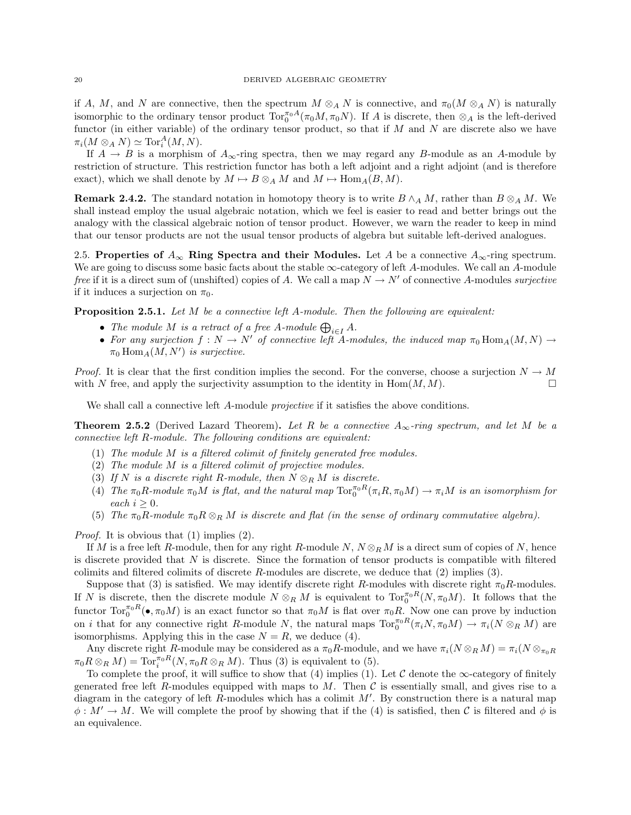if A, M, and N are connective, then the spectrum  $M \otimes_A N$  is connective, and  $\pi_0(M \otimes_A N)$  is naturally isomorphic to the ordinary tensor product  $\text{Tor}_{0}^{\pi_{0}A}(\pi_{0}M,\pi_{0}N)$ . If A is discrete, then  $\otimes_{A}$  is the left-derived functor (in either variable) of the ordinary tensor product, so that if  $M$  and  $N$  are discrete also we have  $\pi_i(M \otimes_A N) \simeq \text{Tor}_i^A(M, N).$ 

If  $A \to B$  is a morphism of  $A_{\infty}$ -ring spectra, then we may regard any B-module as an A-module by restriction of structure. This restriction functor has both a left adjoint and a right adjoint (and is therefore exact), which we shall denote by  $M \mapsto B \otimes_A M$  and  $M \mapsto \text{Hom}_A(B, M)$ .

Remark 2.4.2. The standard notation in homotopy theory is to write  $B \wedge_A M$ , rather than  $B \otimes_A M$ . We shall instead employ the usual algebraic notation, which we feel is easier to read and better brings out the analogy with the classical algebraic notion of tensor product. However, we warn the reader to keep in mind that our tensor products are not the usual tensor products of algebra but suitable left-derived analogues.

2.5. Properties of  $A_{\infty}$  Ring Spectra and their Modules. Let A be a connective  $A_{\infty}$ -ring spectrum. We are going to discuss some basic facts about the stable  $\infty$ -category of left A-modules. We call an A-module free if it is a direct sum of (unshifted) copies of A. We call a map  $N \to N'$  of connective A-modules *surjective* if it induces a surjection on  $\pi_0$ .

**Proposition 2.5.1.** Let  $M$  be a connective left  $A$ -module. Then the following are equivalent:

- The module M is a retract of a free A-module  $\bigoplus_{i\in I} A$ .
- For any surjection  $f: N \to N'$  of connective left A-modules, the induced map  $\pi_0 \text{Hom}_A(M, N) \to$  $\pi_0 \operatorname{Hom}_A(M, N')$  is surjective.

*Proof.* It is clear that the first condition implies the second. For the converse, choose a surjection  $N \to M$ with N free, and apply the surjectivity assumption to the identity in  $\text{Hom}(M, M)$ .

We shall call a connective left A-module *projective* if it satisfies the above conditions.

**Theorem 2.5.2** (Derived Lazard Theorem). Let R be a connective  $A_{\infty}$ -ring spectrum, and let M be a connective left R-module. The following conditions are equivalent:

- (1) The module M is a filtered colimit of finitely generated free modules.
- (2) The module M is a filtered colimit of projective modules.
- (3) If N is a discrete right R-module, then  $N \otimes_R M$  is discrete.
- (4) The  $\pi_0 R$ -module  $\pi_0 M$  is flat, and the natural map  $\text{Tor}_0^{\pi_0 R}(\pi_i R, \pi_0 M) \to \pi_i M$  is an isomorphism for each  $i \geq 0$ .
- (5) The  $\pi_0R$ -module  $\pi_0R\otimes_R M$  is discrete and flat (in the sense of ordinary commutative algebra).

Proof. It is obvious that (1) implies (2).

If M is a free left R-module, then for any right R-module  $N, N \otimes_R M$  is a direct sum of copies of N, hence is discrete provided that  $N$  is discrete. Since the formation of tensor products is compatible with filtered colimits and filtered colimits of discrete  $R$ -modules are discrete, we deduce that  $(2)$  implies  $(3)$ .

Suppose that (3) is satisfied. We may identify discrete right R-modules with discrete right  $\pi_0R$ -modules. If N is discrete, then the discrete module  $N \otimes_R M$  is equivalent to  $\text{Tor}_0^{\pi_0 R}(N, \pi_0 M)$ . It follows that the functor  $\text{Tor}_{0}^{\pi_{0}R}(\bullet,\pi_{0}M)$  is an exact functor so that  $\pi_{0}M$  is flat over  $\pi_{0}R$ . Now one can prove by induction on *i* that for any connective right R-module N, the natural maps  $\text{Tor}_0^{\pi_0 R}(\pi_i N, \pi_0 M) \to \pi_i(N \otimes_R M)$  are isomorphisms. Applying this in the case  $N = R$ , we deduce (4).

Any discrete right R-module may be considered as a  $\pi_0R$ -module, and we have  $\pi_i(N \otimes_R M) = \pi_i(N \otimes_{\pi_0R} M)$  $\pi_0 R \otimes_R M$  = Tor<sub>i</sub><sup> $\pi_0 R(N, \pi_0 R \otimes_R M)$ . Thus (3) is equivalent to (5).</sup>

To complete the proof, it will suffice to show that (4) implies (1). Let C denote the  $\infty$ -category of finitely generated free left R-modules equipped with maps to M. Then  $\mathcal C$  is essentially small, and gives rise to a diagram in the category of left R-modules which has a colimit  $M'$ . By construction there is a natural map  $\phi: M' \to M$ . We will complete the proof by showing that if the (4) is satisfied, then C is filtered and  $\phi$  is an equivalence.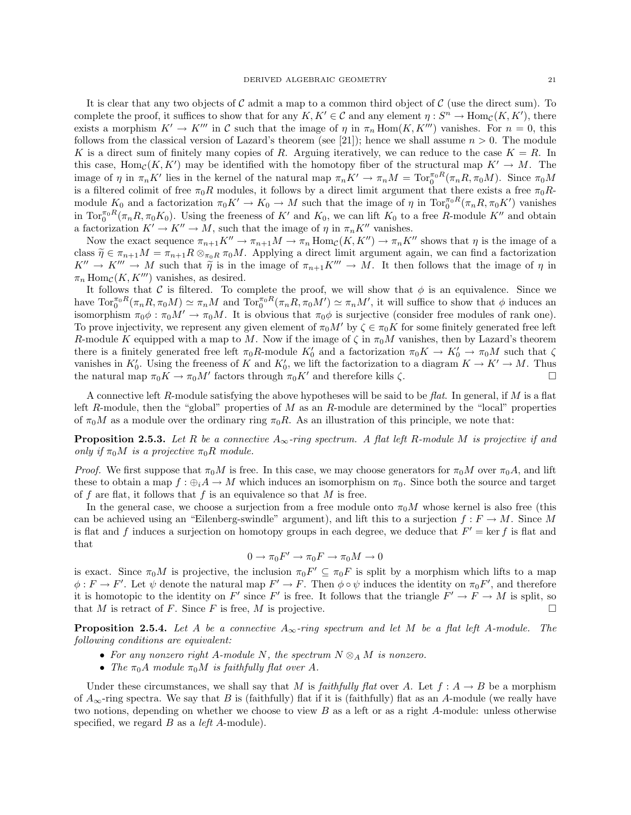It is clear that any two objects of  $\mathcal C$  admit a map to a common third object of  $\mathcal C$  (use the direct sum). To complete the proof, it suffices to show that for any  $K, K' \in \mathcal{C}$  and any element  $\eta: S^n \to \text{Hom}_{\mathcal{C}}(K, K')$ , there exists a morphism  $K' \to K'''$  in C such that the image of  $\eta$  in  $\pi_n \text{Hom}(K, K''')$  vanishes. For  $n = 0$ , this follows from the classical version of Lazard's theorem (see [21]); hence we shall assume  $n > 0$ . The module K is a direct sum of finitely many copies of R. Arguing iteratively, we can reduce to the case  $K = R$ . In this case,  $\text{Hom}_{\mathcal{C}}(K, K')$  may be identified with the homotopy fiber of the structural map  $K' \to M$ . The image of  $\eta$  in  $\pi_n K'$  lies in the kernel of the natural map  $\pi_n K' \to \pi_n M = \text{Tor}_0^{\pi_0 R}(\pi_n R, \pi_0 M)$ . Since  $\pi_0 M$ is a filtered colimit of free  $\pi_0R$  modules, it follows by a direct limit argument that there exists a free  $\pi_0R$ module  $K_0$  and a factorization  $\pi_0 K' \to K_0 \to M$  such that the image of  $\eta$  in  $\text{Tor}_0^{\pi_0 R}(\pi_n R, \pi_0 K')$  vanishes in  $\text{Tor}_{0}^{\pi_{0}R}(\pi_{n}R, \pi_{0}K_{0})$ . Using the freeness of  $K'$  and  $K_{0}$ , we can lift  $K_{0}$  to a free R-module  $K''$  and obtain a factorization  $K' \to K'' \to M$ , such that the image of  $\eta$  in  $\pi_n K''$  vanishes.

Now the exact sequence  $\pi_{n+1}K'' \to \pi_{n+1}M \to \pi_n \text{Hom}_{\mathcal{C}}(K, K'') \to \pi_n K''$  shows that  $\eta$  is the image of a class  $\tilde{\eta} \in \pi_{n+1}M = \pi_{n+1}R \otimes_{\pi_0R} \pi_0M$ . Applying a direct limit argument again, we can find a factorization  $K'' \to K''' \to M$  such that  $\tilde{\eta}$  is in the image of  $\pi_{n+1}K''' \to M$ . It then follows that the image of  $\eta$  in  $\pi_n$  Hom<sub>C</sub>(K, K''') vanishes, as desired.

It follows that C is filtered. To complete the proof, we will show that  $\phi$  is an equivalence. Since we have  $\text{Tor}_{0}^{\pi_{0}R}(\pi_{n}R, \pi_{0}M) \simeq \pi_{n}M$  and  $\text{Tor}_{0}^{\pi_{0}R}(\pi_{n}R, \pi_{0}M') \simeq \pi_{n}M'$ , it will suffice to show that  $\phi$  induces an isomorphism  $\pi_0 \phi : \pi_0 M' \to \pi_0 M$ . It is obvious that  $\pi_0 \phi$  is surjective (consider free modules of rank one). To prove injectivity, we represent any given element of  $\pi_0 M'$  by  $\zeta \in \pi_0 K$  for some finitely generated free left R-module K equipped with a map to M. Now if the image of  $\zeta$  in  $\pi_0 M$  vanishes, then by Lazard's theorem there is a finitely generated free left  $\pi_0 R$ -module  $K'_0$  and a factorization  $\pi_0 K \to K'_0 \to \pi_0 M$  such that  $\zeta$ vanishes in  $K'_0$ . Using the freeness of K and  $K'_0$ , we lift the factorization to a diagram  $K \to K' \to M$ . Thus the natural map  $\pi_0 K \to \pi_0 M'$  factors through  $\pi_0 K'$  and therefore kills  $\zeta$ .

A connective left R-module satisfying the above hypotheses will be said to be flat. In general, if  $M$  is a flat left R-module, then the "global" properties of  $M$  as an R-module are determined by the "local" properties of  $\pi_0 M$  as a module over the ordinary ring  $\pi_0 R$ . As an illustration of this principle, we note that:

**Proposition 2.5.3.** Let R be a connective  $A_{\infty}$ -ring spectrum. A flat left R-module M is projective if and only if  $\pi_0 M$  is a projective  $\pi_0 R$  module.

*Proof.* We first suppose that  $\pi_0 M$  is free. In this case, we may choose generators for  $\pi_0 M$  over  $\pi_0 A$ , and lift these to obtain a map  $f : \bigoplus_i A \to M$  which induces an isomorphism on  $\pi_0$ . Since both the source and target of f are flat, it follows that f is an equivalence so that  $M$  is free.

In the general case, we choose a surjection from a free module onto  $\pi_0 M$  whose kernel is also free (this can be achieved using an "Eilenberg-swindle" argument), and lift this to a surjection  $f : F \to M$ . Since M is flat and f induces a surjection on homotopy groups in each degree, we deduce that  $F' = \ker f$  is flat and that

$$
0 \to \pi_0 F' \to \pi_0 F \to \pi_0 M \to 0
$$

is exact. Since  $\pi_0 M$  is projective, the inclusion  $\pi_0 F' \subseteq \pi_0 F$  is split by a morphism which lifts to a map  $\phi: F \to F'$ . Let  $\psi$  denote the natural map  $F' \to F$ . Then  $\phi \circ \psi$  induces the identity on  $\pi_0 F'$ , and therefore it is homotopic to the identity on F' since F' is free. It follows that the triangle  $F' \to F \to M$  is split, so that M is retract of F. Since F is free, M is projective.  $\square$ 

**Proposition 2.5.4.** Let A be a connective  $A_{\infty}$ -ring spectrum and let M be a flat left A-module. The following conditions are equivalent:

- For any nonzero right A-module N, the spectrum  $N \otimes_A M$  is nonzero.
- The  $\pi_0 A$  module  $\pi_0 M$  is faithfully flat over A.

Under these circumstances, we shall say that M is faithfully flat over A. Let  $f: A \rightarrow B$  be a morphism of  $A_{\infty}$ -ring spectra. We say that B is (faithfully) flat if it is (faithfully) flat as an A-module (we really have two notions, depending on whether we choose to view  $B$  as a left or as a right A-module: unless otherwise specified, we regard  $B$  as a *left A*-module).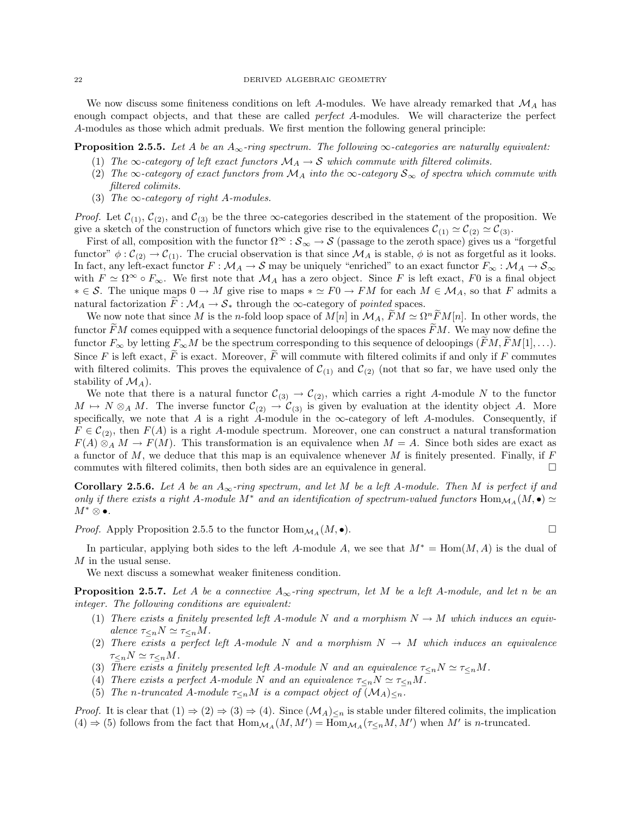We now discuss some finiteness conditions on left A-modules. We have already remarked that  $\mathcal{M}_A$  has enough compact objects, and that these are called *perfect A*-modules. We will characterize the perfect A-modules as those which admit preduals. We first mention the following general principle:

**Proposition 2.5.5.** Let A be an  $A_{\infty}$ -ring spectrum. The following  $\infty$ -categories are naturally equivalent:

- (1) The  $\infty$ -category of left exact functors  $\mathcal{M}_A \to \mathcal{S}$  which commute with filtered colimits.
- (2) The  $\infty$ -category of exact functors from  $M_A$  into the  $\infty$ -category  $S_\infty$  of spectra which commute with filtered colimits.
- (3) The  $\infty$ -category of right A-modules.

*Proof.* Let  $\mathcal{C}_{(1)}$ ,  $\mathcal{C}_{(2)}$ , and  $\mathcal{C}_{(3)}$  be the three  $\infty$ -categories described in the statement of the proposition. We give a sketch of the construction of functors which give rise to the equivalences  $\mathcal{C}_{(1)} \simeq \mathcal{C}_{(2)} \simeq \mathcal{C}_{(3)}$ .

First of all, composition with the functor  $\Omega^{\infty}: \mathcal{S}_{\infty} \to \mathcal{S}$  (passage to the zeroth space) gives us a "forgetful functor"  $\phi : C_{(2)} \to C_{(1)}$ . The crucial observation is that since  $\mathcal{M}_A$  is stable,  $\phi$  is not as forgetful as it looks. In fact, any left-exact functor  $F : \mathcal{M}_A \to \mathcal{S}$  may be uniquely "enriched" to an exact functor  $F_\infty : \mathcal{M}_A \to \mathcal{S}_\infty$ with  $F \simeq \Omega^{\infty} \circ F_{\infty}$ . We first note that  $\mathcal{M}_A$  has a zero object. Since F is left exact, F0 is a final object  $\ast \in \mathcal{S}$ . The unique maps  $0 \to M$  give rise to maps  $\ast \simeq F0 \to FM$  for each  $M \in \mathcal{M}_A$ , so that F admits a natural factorization  $F: \mathcal{M}_A \to \mathcal{S}_*$  through the  $\infty$ -category of pointed spaces.

We now note that since M is the n-fold loop space of  $M[n]$  in  $\mathcal{M}_A$ ,  $\widetilde{F}M \simeq \Omega^n \widetilde{F}M[n]$ . In other words, the functor  $\widetilde{F}M$  comes equipped with a sequence functorial deloopings of the spaces  $\widetilde{F}M$ . We may now define the functor  $F_{\infty}$  by letting  $F_{\infty}M$  be the spectrum corresponding to this sequence of deloopings  $(FM, FM[1], \ldots)$ . Since F is left exact,  $\widetilde{F}$  is exact. Moreover,  $\widetilde{F}$  will commute with filtered colimits if and only if F commutes with filtered colimits. This proves the equivalence of  $\mathcal{C}_{(1)}$  and  $\mathcal{C}_{(2)}$  (not that so far, we have used only the stability of  $\mathcal{M}_A$ ).

We note that there is a natural functor  $C_{(3)} \to C_{(2)}$ , which carries a right A-module N to the functor  $M \mapsto N \otimes_A M$ . The inverse functor  $C_{(2)} \to C_{(3)}$  is given by evaluation at the identity object A. More specifically, we note that A is a right A-module in the  $\infty$ -category of left A-modules. Consequently, if  $F \in C_{(2)}$ , then  $F(A)$  is a right A-module spectrum. Moreover, one can construct a natural transformation  $F(A) \otimes_A M \to F(M)$ . This transformation is an equivalence when  $M = A$ . Since both sides are exact as a functor of  $M$ , we deduce that this map is an equivalence whenever  $M$  is finitely presented. Finally, if  $F$ commutes with filtered colimits, then both sides are an equivalence in general.  $\Box$ 

**Corollary 2.5.6.** Let A be an  $A_{\infty}$ -ring spectrum, and let M be a left A-module. Then M is perfect if and only if there exists a right A-module M<sup>\*</sup> and an identification of spectrum-valued functors  $\text{Hom}_{\mathcal{M}_A}(M, \bullet) \simeq$  $M^{\ast}\otimes\bullet.$ 

*Proof.* Apply Proposition 2.5.5 to the functor  $\text{Hom}_{\mathcal{M}_A}(M, \bullet)$ .

In particular, applying both sides to the left A-module A, we see that  $M^* = \text{Hom}(M, A)$  is the dual of M in the usual sense.

We next discuss a somewhat weaker finiteness condition.

**Proposition 2.5.7.** Let A be a connective  $A_{\infty}$ -ring spectrum, let M be a left A-module, and let n be an integer. The following conditions are equivalent:

- (1) There exists a finitely presented left A-module N and a morphism  $N \to M$  which induces an equivalence  $\tau_{\leq n} N \simeq \tau_{\leq n} M$ .
- (2) There exists a perfect left A-module N and a morphism  $N \to M$  which induces an equivalence  $\tau_{\leq n}N \simeq \tau_{\leq n}M$ .
- (3) There exists a finitely presented left A-module N and an equivalence  $\tau_{\leq n}N \simeq \tau_{\leq n}M$ .
- (4) There exists a perfect A-module N and an equivalence  $\tau_{\leq n}N \simeq \tau_{\leq n}M$ .
- (5) The n-truncated A-module  $\tau_{\leq n}M$  is a compact object of  $(\mathcal{M}_A)_{\leq n}$ .

*Proof.* It is clear that  $(1) \Rightarrow (2) \Rightarrow (3) \Rightarrow (4)$ . Since  $(\mathcal{M}_A)_{\leq n}$  is stable under filtered colimits, the implication  $(4) \Rightarrow (5)$  follows from the fact that  $\text{Hom}_{\mathcal{M}_A}(M, M') = \text{Hom}_{\mathcal{M}_A}(\tau_{\leq n}M, M')$  when  $M'$  is *n*-truncated.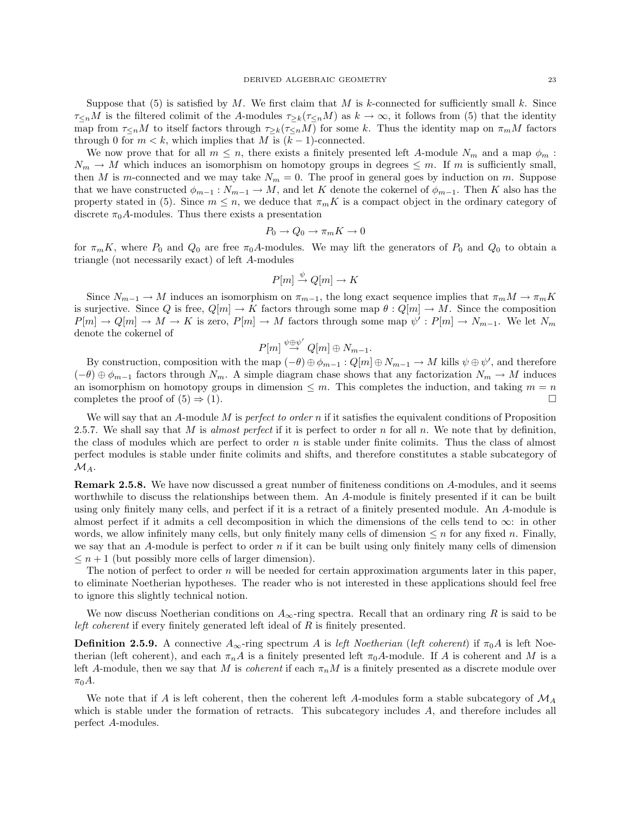Suppose that (5) is satisfied by M. We first claim that M is k-connected for sufficiently small k. Since  $\tau_{\leq n}M$  is the filtered colimit of the A-modules  $\tau_{\geq k}(\tau_{\leq n}M)$  as  $k\to\infty$ , it follows from (5) that the identity map from  $\tau_{\leq n}M$  to itself factors through  $\tau_{\geq k}(\tau_{\leq n}M)$  for some k. Thus the identity map on  $\pi_mM$  factors through 0 for  $m < k$ , which implies that M is  $(k-1)$ -connected.

We now prove that for all  $m \leq n$ , there exists a finitely presented left A-module  $N_m$  and a map  $\phi_m$ :  $N_m \to M$  which induces an isomorphism on homotopy groups in degrees  $\leq m$ . If m is sufficiently small, then M is m-connected and we may take  $N_m = 0$ . The proof in general goes by induction on m. Suppose that we have constructed  $\phi_{m-1}: N_{m-1} \to M$ , and let K denote the cokernel of  $\phi_{m-1}$ . Then K also has the property stated in (5). Since  $m \leq n$ , we deduce that  $\pi_m K$  is a compact object in the ordinary category of discrete  $\pi_0 A$ -modules. Thus there exists a presentation

$$
P_0 \to Q_0 \to \pi_m K \to 0
$$

for  $\pi_m K$ , where  $P_0$  and  $Q_0$  are free  $\pi_0 A$ -modules. We may lift the generators of  $P_0$  and  $Q_0$  to obtain a triangle (not necessarily exact) of left A-modules

$$
P[m] \xrightarrow{\psi} Q[m] \to K
$$

Since  $N_{m-1} \to M$  induces an isomorphism on  $\pi_{m-1}$ , the long exact sequence implies that  $\pi_m M \to \pi_m K$ is surjective. Since Q is free,  $Q[m] \to K$  factors through some map  $\theta: Q[m] \to M$ . Since the composition  $P[m] \to Q[m] \to M \to K$  is zero,  $P[m] \to M$  factors through some map  $\psi': P[m] \to N_{m-1}$ . We let  $N_m$ denote the cokernel of  $\overline{a}$ 

$$
P[m] \stackrel{\psi \oplus \psi'}{\rightarrow} Q[m] \oplus N_{m-1}.
$$

By construction, composition with the map  $(-\theta) \oplus \phi_{m-1} : Q[m] \oplus N_{m-1} \to M$  kills  $\psi \oplus \psi'$ , and therefore  $(-\theta) \oplus \phi_{m-1}$  factors through  $N_m$ . A simple diagram chase shows that any factorization  $N_m \to M$  induces an isomorphism on homotopy groups in dimension  $\leq m$ . This completes the induction, and taking  $m = n$ completes the proof of  $(5) \Rightarrow (1)$ .

We will say that an  $A$ -module  $M$  is perfect to order n if it satisfies the equivalent conditions of Proposition 2.5.7. We shall say that M is almost perfect if it is perfect to order n for all n. We note that by definition, the class of modules which are perfect to order  $n$  is stable under finite colimits. Thus the class of almost perfect modules is stable under finite colimits and shifts, and therefore constitutes a stable subcategory of  $\mathcal{M}_A$ .

Remark 2.5.8. We have now discussed a great number of finiteness conditions on A-modules, and it seems worthwhile to discuss the relationships between them. An A-module is finitely presented if it can be built using only finitely many cells, and perfect if it is a retract of a finitely presented module. An A-module is almost perfect if it admits a cell decomposition in which the dimensions of the cells tend to  $\infty$ : in other words, we allow infinitely many cells, but only finitely many cells of dimension  $\leq n$  for any fixed n. Finally, we say that an A-module is perfect to order n if it can be built using only finitely many cells of dimension  $\leq n+1$  (but possibly more cells of larger dimension).

The notion of perfect to order  $n$  will be needed for certain approximation arguments later in this paper, to eliminate Noetherian hypotheses. The reader who is not interested in these applications should feel free to ignore this slightly technical notion.

We now discuss Noetherian conditions on  $A_{\infty}$ -ring spectra. Recall that an ordinary ring R is said to be left coherent if every finitely generated left ideal of R is finitely presented.

**Definition 2.5.9.** A connective  $A_{\infty}$ -ring spectrum A is left Noetherian (left coherent) if  $\pi_0 A$  is left Noetherian (left coherent), and each  $\pi_n A$  is a finitely presented left  $\pi_0 A$ -module. If A is coherent and M is a left A-module, then we say that M is *coherent* if each  $\pi_n M$  is a finitely presented as a discrete module over  $\pi_0 A$ .

We note that if A is left coherent, then the coherent left A-modules form a stable subcategory of  $\mathcal{M}_A$ which is stable under the formation of retracts. This subcategory includes A, and therefore includes all perfect A-modules.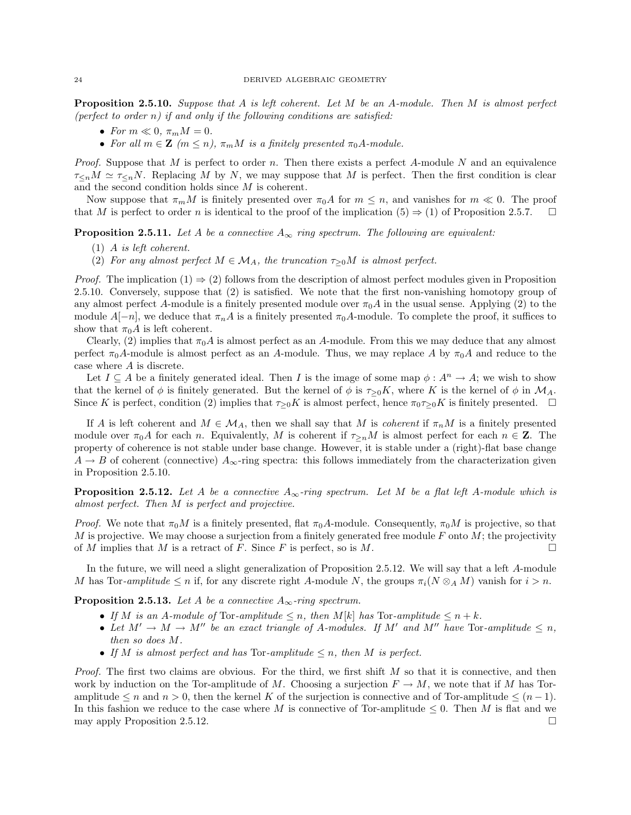**Proposition 2.5.10.** Suppose that A is left coherent. Let M be an A-module. Then M is almost perfect (perfect to order n) if and only if the following conditions are satisfied:

- For  $m \ll 0$ ,  $\pi_m M = 0$ .
- For all  $m \in \mathbb{Z}$   $(m \leq n)$ ,  $\pi_m M$  is a finitely presented  $\pi_0 A$ -module.

*Proof.* Suppose that M is perfect to order n. Then there exists a perfect A-module N and an equivalence  $\tau_{\leq n}M \simeq \tau_{\leq n}N$ . Replacing M by N, we may suppose that M is perfect. Then the first condition is clear and the second condition holds since M is coherent.

Now suppose that  $\pi_m M$  is finitely presented over  $\pi_0 A$  for  $m \leq n$ , and vanishes for  $m \ll 0$ . The proof that M is perfect to order n is identical to the proof of the implication  $(5) \Rightarrow (1)$  of Proposition 2.5.7.  $\Box$ 

**Proposition 2.5.11.** Let A be a connective  $A_{\infty}$  ring spectrum. The following are equivalent:

- (1) A is left coherent.
- (2) For any almost perfect  $M \in \mathcal{M}_A$ , the truncation  $\tau_{>0}M$  is almost perfect.

*Proof.* The implication  $(1) \Rightarrow (2)$  follows from the description of almost perfect modules given in Proposition 2.5.10. Conversely, suppose that (2) is satisfied. We note that the first non-vanishing homotopy group of any almost perfect A-module is a finitely presented module over  $\pi_0 A$  in the usual sense. Applying (2) to the module  $A[-n]$ , we deduce that  $\pi_n A$  is a finitely presented  $\pi_0 A$ -module. To complete the proof, it suffices to show that  $\pi_0 A$  is left coherent.

Clearly, (2) implies that  $\pi_0 A$  is almost perfect as an A-module. From this we may deduce that any almost perfect  $\pi_0 A$ -module is almost perfect as an A-module. Thus, we may replace A by  $\pi_0 A$  and reduce to the case where A is discrete.

Let  $I \subseteq A$  be a finitely generated ideal. Then I is the image of some map  $\phi: A^n \to A$ ; we wish to show that the kernel of  $\phi$  is finitely generated. But the kernel of  $\phi$  is  $\tau_{>0}K$ , where K is the kernel of  $\phi$  in  $\mathcal{M}_A$ . Since K is perfect, condition (2) implies that  $\tau_{\geq 0}K$  is almost perfect, hence  $\pi_0\tau_{\geq 0}K$  is finitely presented.  $\Box$ 

If A is left coherent and  $M \in \mathcal{M}_A$ , then we shall say that M is *coherent* if  $\pi_n M$  is a finitely presented module over  $\pi_0 A$  for each n. Equivalently, M is coherent if  $\tau_{\geq n} M$  is almost perfect for each  $n \in \mathbb{Z}$ . The property of coherence is not stable under base change. However, it is stable under a (right)-flat base change  $A \rightarrow B$  of coherent (connective)  $A_{\infty}$ -ring spectra: this follows immediately from the characterization given in Proposition 2.5.10.

**Proposition 2.5.12.** Let A be a connective  $A_{\infty}$ -ring spectrum. Let M be a flat left A-module which is almost perfect. Then M is perfect and projective.

*Proof.* We note that  $\pi_0 M$  is a finitely presented, flat  $\pi_0 A$ -module. Consequently,  $\pi_0 M$  is projective, so that M is projective. We may choose a surjection from a finitely generated free module F onto  $M$ ; the projectivity of M implies that M is a retract of F. Since F is perfect, so is M.

In the future, we will need a slight generalization of Proposition 2.5.12. We will say that a left A-module M has Tor-amplitude  $\leq n$  if, for any discrete right A-module N, the groups  $\pi_i(N \otimes_A M)$  vanish for  $i > n$ .

**Proposition 2.5.13.** Let A be a connective  $A_{\infty}$ -ring spectrum.

- If M is an A-module of Tor-amplitude  $\leq n$ , then M[k] has Tor-amplitude  $\leq n + k$ .
- Let  $M' \to M \to M''$  be an exact triangle of A-modules. If M' and M'' have Tor-amplitude  $\leq n$ , then so does M.
- If M is almost perfect and has Tor-amplitude  $\leq n$ , then M is perfect.

Proof. The first two claims are obvious. For the third, we first shift M so that it is connective, and then work by induction on the Tor-amplitude of M. Choosing a surjection  $F \to M$ , we note that if M has Toramplitude  $\leq n$  and  $n > 0$ , then the kernel K of the surjection is connective and of Tor-amplitude  $\leq (n-1)$ . In this fashion we reduce to the case where M is connective of Tor-amplitude  $\leq 0$ . Then M is flat and we may apply Proposition 2.5.12.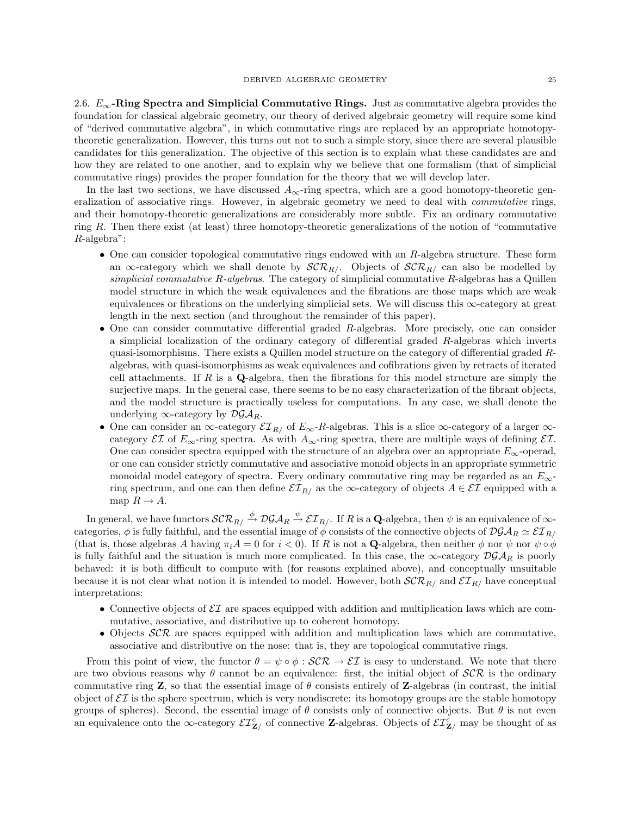2.6.  $E_{\infty}$ -Ring Spectra and Simplicial Commutative Rings. Just as commutative algebra provides the foundation for classical algebraic geometry, our theory of derived algebraic geometry will require some kind of "derived commutative algebra", in which commutative rings are replaced by an appropriate homotopytheoretic generalization. However, this turns out not to such a simple story, since there are several plausible candidates for this generalization. The objective of this section is to explain what these candidates are and how they are related to one another, and to explain why we believe that one formalism (that of simplicial commutative rings) provides the proper foundation for the theory that we will develop later.

In the last two sections, we have discussed  $A_{\infty}$ -ring spectra, which are a good homotopy-theoretic generalization of associative rings. However, in algebraic geometry we need to deal with commutative rings, and their homotopy-theoretic generalizations are considerably more subtle. Fix an ordinary commutative ring R. Then there exist (at least) three homotopy-theoretic generalizations of the notion of "commutative R-algebra":

- One can consider topological commutative rings endowed with an  $R$ -algebra structure. These form an  $\infty$ -category which we shall denote by  $\mathcal{SCR}_{R}/\mathcal{CR}_{R}/\mathcal{CR}_{R}/\mathcal{CR}_{R}/\mathcal{CR}$  can also be modelled by simplicial commutative R-algebras. The category of simplicial commutative R-algebras has a Quillen model structure in which the weak equivalences and the fibrations are those maps which are weak equivalences or fibrations on the underlying simplicial sets. We will discuss this ∞-category at great length in the next section (and throughout the remainder of this paper).
- One can consider commutative differential graded  $R$ -algebras. More precisely, one can consider a simplicial localization of the ordinary category of differential graded R-algebras which inverts quasi-isomorphisms. There exists a Quillen model structure on the category of differential graded Ralgebras, with quasi-isomorphisms as weak equivalences and cofibrations given by retracts of iterated cell attachments. If  $R$  is a  $\mathbf{Q}$ -algebra, then the fibrations for this model structure are simply the surjective maps. In the general case, there seems to be no easy characterization of the fibrant objects, and the model structure is practically useless for computations. In any case, we shall denote the underlying  $\infty$ -category by  $\mathcal{D} \mathcal{G} \mathcal{A}_{R}$ .
- One can consider an  $\infty$ -category  $\mathcal{EI}_{R/}$  of  $E_{\infty}$ -R-algebras. This is a slice  $\infty$ -category of a larger  $\infty$ category  $\mathcal{EI}$  of  $E_{\infty}$ -ring spectra. As with  $A_{\infty}$ -ring spectra, there are multiple ways of defining  $\mathcal{EI}$ . One can consider spectra equipped with the structure of an algebra over an appropriate  $E_{\infty}$ -operad, or one can consider strictly commutative and associative monoid objects in an appropriate symmetric monoidal model category of spectra. Every ordinary commutative ring may be regarded as an  $E_{\infty}$ ring spectrum, and one can then define  $\mathcal{EI}_{R/}$  as the ∞-category of objects  $A \in \mathcal{EI}$  equipped with a map  $R \to A$ .

In general, we have functors  $\mathcal{SCR}_R \stackrel{\phi}{\to} \mathcal{DGA}_R \stackrel{\psi}{\to} \mathcal{EI}_{R/-}$  If  $R$  is a **Q**-algebra, then  $\psi$  is an equivalence of  $\infty$ categories,  $\phi$  is fully faithful, and the essential image of  $\phi$  consists of the connective objects of  $\mathcal{DGA}_R \simeq \mathcal{EI}_{R/A}$ (that is, those algebras A having  $\pi_i A = 0$  for  $i < 0$ ). If R is not a **Q**-algebra, then neither  $\phi$  nor  $\psi$  nor  $\psi \circ \phi$ is fully faithful and the situation is much more complicated. In this case, the  $\infty$ -category  $\mathcal{D}G\mathcal{A}_R$  is poorly behaved: it is both difficult to compute with (for reasons explained above), and conceptually unsuitable because it is not clear what notion it is intended to model. However, both  $\mathcal{SCR}_R$  and  $\mathcal{ER}_R$  have conceptual interpretations:

- Connective objects of  $\mathcal{E}I$  are spaces equipped with addition and multiplication laws which are commutative, associative, and distributive up to coherent homotopy.
- Objects  $\mathcal{SCR}$  are spaces equipped with addition and multiplication laws which are commutative, associative and distributive on the nose: that is, they are topological commutative rings.

From this point of view, the functor  $\theta = \psi \circ \phi : \mathcal{SCR} \to \mathcal{EI}$  is easy to understand. We note that there are two obvious reasons why  $\theta$  cannot be an equivalence: first, the initial object of  $\mathcal{SCR}$  is the ordinary commutative ring **Z**, so that the essential image of  $\theta$  consists entirely of **Z**-algebras (in contrast, the initial object of  $\mathcal{E}I$  is the sphere spectrum, which is very nondiscrete: its homotopy groups are the stable homotopy groups of spheres). Second, the essential image of  $\theta$  consists only of connective objects. But  $\theta$  is not even an equivalence onto the  $\infty$ -category  $\mathcal{E}T^c_{\mathbf{Z}/\ }$  of connective **Z**-algebras. Objects of  $\mathcal{E}T^c_{\mathbf{Z}/\ }$  may be thought of as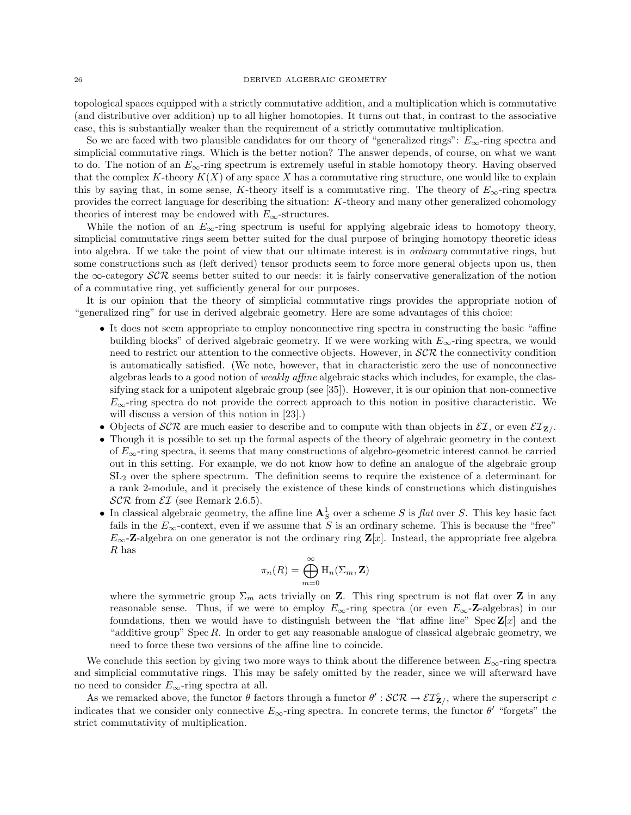topological spaces equipped with a strictly commutative addition, and a multiplication which is commutative (and distributive over addition) up to all higher homotopies. It turns out that, in contrast to the associative case, this is substantially weaker than the requirement of a strictly commutative multiplication.

So we are faced with two plausible candidates for our theory of "generalized rings":  $E_{\infty}$ -ring spectra and simplicial commutative rings. Which is the better notion? The answer depends, of course, on what we want to do. The notion of an  $E_{\infty}$ -ring spectrum is extremely useful in stable homotopy theory. Having observed that the complex K-theory  $K(X)$  of any space X has a commutative ring structure, one would like to explain this by saying that, in some sense, K-theory itself is a commutative ring. The theory of  $E_{\infty}$ -ring spectra provides the correct language for describing the situation: K-theory and many other generalized cohomology theories of interest may be endowed with  $E_{\infty}$ -structures.

While the notion of an  $E_{\infty}$ -ring spectrum is useful for applying algebraic ideas to homotopy theory, simplicial commutative rings seem better suited for the dual purpose of bringing homotopy theoretic ideas into algebra. If we take the point of view that our ultimate interest is in ordinary commutative rings, but some constructions such as (left derived) tensor products seem to force more general objects upon us, then the  $\infty$ -category  $\mathcal{SCR}$  seems better suited to our needs: it is fairly conservative generalization of the notion of a commutative ring, yet sufficiently general for our purposes.

It is our opinion that the theory of simplicial commutative rings provides the appropriate notion of "generalized ring" for use in derived algebraic geometry. Here are some advantages of this choice:

- It does not seem appropriate to employ nonconnective ring spectra in constructing the basic "affine building blocks" of derived algebraic geometry. If we were working with  $E_{\infty}$ -ring spectra, we would need to restrict our attention to the connective objects. However, in  $\mathcal{SCR}$  the connectivity condition is automatically satisfied. (We note, however, that in characteristic zero the use of nonconnective algebras leads to a good notion of weakly affine algebraic stacks which includes, for example, the classifying stack for a unipotent algebraic group (see [35]). However, it is our opinion that non-connective  $E_{\infty}$ -ring spectra do not provide the correct approach to this notion in positive characteristic. We will discuss a version of this notion in [23].)
- Objects of SCR are much easier to describe and to compute with than objects in  $\mathcal{EI}_1$ , or even  $\mathcal{EI}_2$ .
- Though it is possible to set up the formal aspects of the theory of algebraic geometry in the context of  $E_{\infty}$ -ring spectra, it seems that many constructions of algebro-geometric interest cannot be carried out in this setting. For example, we do not know how to define an analogue of the algebraic group SL<sup>2</sup> over the sphere spectrum. The definition seems to require the existence of a determinant for a rank 2-module, and it precisely the existence of these kinds of constructions which distinguishes  $\mathcal{SCR}$  from  $\mathcal{EI}$  (see Remark 2.6.5).
- In classical algebraic geometry, the affine line  $A_S^1$  over a scheme S is flat over S. This key basic fact fails in the  $E_{\infty}$ -context, even if we assume that S is an ordinary scheme. This is because the "free"  $E_{\infty}$ -Z-algebra on one generator is not the ordinary ring  $\mathbf{Z}[x]$ . Instead, the appropriate free algebra R has

$$
\pi_n(R) = \bigoplus_{m=0}^{\infty} \mathrm{H}_n(\Sigma_m, \mathbf{Z})
$$

where the symmetric group  $\Sigma_m$  acts trivially on Z. This ring spectrum is not flat over Z in any reasonable sense. Thus, if we were to employ  $E_{\infty}$ -ring spectra (or even  $E_{\infty}$ -**Z**-algebras) in our foundations, then we would have to distinguish between the "flat affine line" Spec  $\mathbf{Z}[x]$  and the "additive group" Spec  $R$ . In order to get any reasonable analogue of classical algebraic geometry, we need to force these two versions of the affine line to coincide.

We conclude this section by giving two more ways to think about the difference between  $E_{\infty}$ -ring spectra and simplicial commutative rings. This may be safely omitted by the reader, since we will afterward have no need to consider  $E_{\infty}$ -ring spectra at all.

As we remarked above, the functor  $\theta$  factors through a functor  $\theta' : \mathcal{SCR} \to \mathcal{EI}_{\mathbf{Z}/2}^c$ , where the superscript c indicates that we consider only connective  $E_{\infty}$ -ring spectra. In concrete terms, the functor  $\theta'$  "forgets" the strict commutativity of multiplication.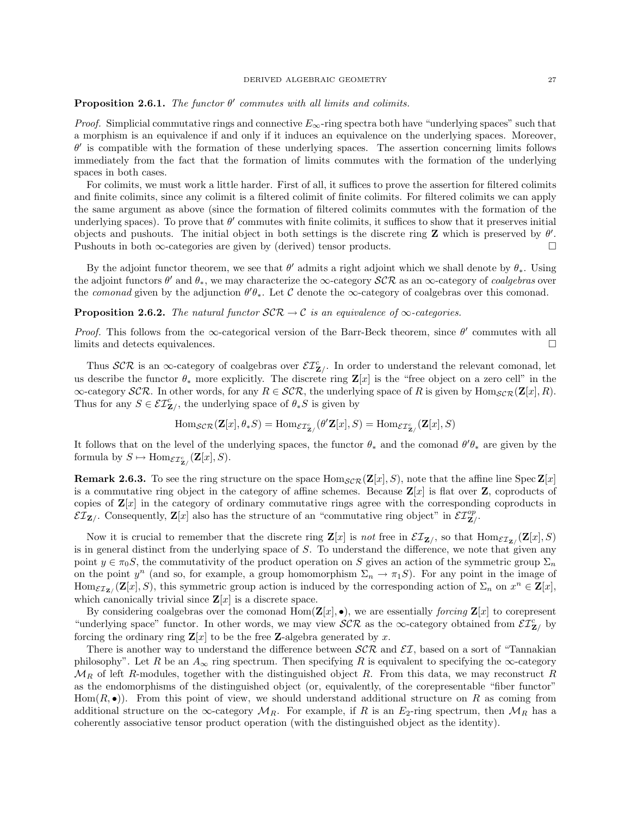# **Proposition 2.6.1.** The functor  $\theta'$  commutes with all limits and colimits.

*Proof.* Simplicial commutative rings and connective  $E_{\infty}$ -ring spectra both have "underlying spaces" such that a morphism is an equivalence if and only if it induces an equivalence on the underlying spaces. Moreover,  $\theta'$  is compatible with the formation of these underlying spaces. The assertion concerning limits follows immediately from the fact that the formation of limits commutes with the formation of the underlying spaces in both cases.

For colimits, we must work a little harder. First of all, it suffices to prove the assertion for filtered colimits and finite colimits, since any colimit is a filtered colimit of finite colimits. For filtered colimits we can apply the same argument as above (since the formation of filtered colimits commutes with the formation of the underlying spaces). To prove that  $\theta'$  commutes with finite colimits, it suffices to show that it preserves initial objects and pushouts. The initial object in both settings is the discrete ring  $Z$  which is preserved by  $\theta'$ . Pushouts in both ∞-categories are given by (derived) tensor products.  $\Box$ 

By the adjoint functor theorem, we see that  $\theta'$  admits a right adjoint which we shall denote by  $\theta_*$ . Using the adjoint functors  $\theta'$  and  $\theta_*$ , we may characterize the  $\infty$ -category  $\mathcal{SCR}$  as an  $\infty$ -category of *coalgebras* over the comonad given by the adjunction  $\theta'\theta_*$ . Let C denote the  $\infty$ -category of coalgebras over this comonad.

## **Proposition 2.6.2.** The natural functor  $\mathcal{SCR} \to \mathcal{C}$  is an equivalence of  $\infty$ -categories.

Proof. This follows from the  $\infty$ -categorical version of the Barr-Beck theorem, since  $\theta'$  commutes with all limits and detects equivalences.

Thus  $\mathcal{SCR}$  is an  $\infty$ -category of coalgebras over  $\mathcal{ET}_{\mathbf{Z}/\cdot}^c$ . In order to understand the relevant comonad, let us describe the functor  $\theta_*$  more explicitly. The discrete ring  $\mathbf{Z}[x]$  is the "free object on a zero cell" in the  $\infty$ -category SCR. In other words, for any  $R \in \mathcal{SCR}$ , the underlying space of R is given by Hom $_{\mathcal{SCR}}(\mathbf{Z}[x], R)$ . Thus for any  $S \in \mathcal{EI}_{\mathbf{Z}/}^c$ , the underlying space of  $\theta_*S$  is given by

$$
\mathrm{Hom}_{\mathcal{SCR}}(\mathbf{Z}[x], \theta_*S) = \mathrm{Hom}_{\mathcal{EI}_{\mathbf{Z}/}^c}(\theta'\mathbf{Z}[x], S) = \mathrm{Hom}_{\mathcal{EI}_{\mathbf{Z}/}^c}(\mathbf{Z}[x], S)
$$

It follows that on the level of the underlying spaces, the functor  $\theta_*$  and the comonad  $\theta'\theta_*$  are given by the formula by  $S \mapsto \text{Hom}_{\mathcal{EI}_{\mathbf{Z}/}^c}(\mathbf{Z}[x], S)$ .

**Remark 2.6.3.** To see the ring structure on the space  $\text{Hom}_{\mathcal{SCR}}(\mathbf{Z}[x], S)$ , note that the affine line Spec  $\mathbf{Z}[x]$ is a commutative ring object in the category of affine schemes. Because  $\mathbf{Z}[x]$  is flat over  $\mathbf{Z}$ , coproducts of copies of  $\mathbf{Z}[x]$  in the category of ordinary commutative rings agree with the corresponding coproducts in  $\mathcal{EI}_{\mathbf{Z}/}$ . Consequently,  $\mathbf{Z}[x]$  also has the structure of an "commutative ring object" in  $\mathcal{EI}_{\mathbf{Z}/}^{\text{op}}$ .

Now it is crucial to remember that the discrete ring  $\mathbf{Z}[x]$  is not free in  $\mathcal{EI}_{\mathbf{Z}/}$ , so that  $\text{Hom}_{\mathcal{EI}_{\mathbf{Z}/}}(\mathbf{Z}[x], S)$ is in general distinct from the underlying space of  $S$ . To understand the difference, we note that given any point  $y \in \pi_0 S$ , the commutativity of the product operation on S gives an action of the symmetric group  $\Sigma_n$ on the point  $y^n$  (and so, for example, a group homomorphism  $\Sigma_n \to \pi_1 S$ ). For any point in the image of  $\text{Hom}_{\mathcal{EI}_{\mathbf{Z}/2}}(\mathbf{Z}[x], S)$ , this symmetric group action is induced by the corresponding action of  $\Sigma_n$  on  $x^n \in \mathbf{Z}[x]$ , which canonically trivial since  $\mathbf{Z}[x]$  is a discrete space.

By considering coalgebras over the comonad  $\text{Hom}(\mathbf{Z}[x], \bullet)$ , we are essentially forcing  $\mathbf{Z}[x]$  to corepresent "underlying space" functor. In other words, we may view  $\mathcal{SCR}$  as the  $\infty$ -category obtained from  $\mathcal{EI}_{\mathbf{Z}/2}^c$  by forcing the ordinary ring  $\mathbf{Z}[x]$  to be the free Z-algebra generated by x.

There is another way to understand the difference between  $\mathcal{SCR}$  and  $\mathcal{EI}$ , based on a sort of "Tannakian philosophy". Let R be an  $A_{\infty}$  ring spectrum. Then specifying R is equivalent to specifying the  $\infty$ -category  $\mathcal{M}_R$  of left R-modules, together with the distinguished object R. From this data, we may reconstruct R as the endomorphisms of the distinguished object (or, equivalently, of the corepresentable "fiber functor"  $\text{Hom}(R, \bullet)$ . From this point of view, we should understand additional structure on R as coming from additional structure on the  $\infty$ -category  $\mathcal{M}_R$ . For example, if R is an E<sub>2</sub>-ring spectrum, then  $\mathcal{M}_R$  has a coherently associative tensor product operation (with the distinguished object as the identity).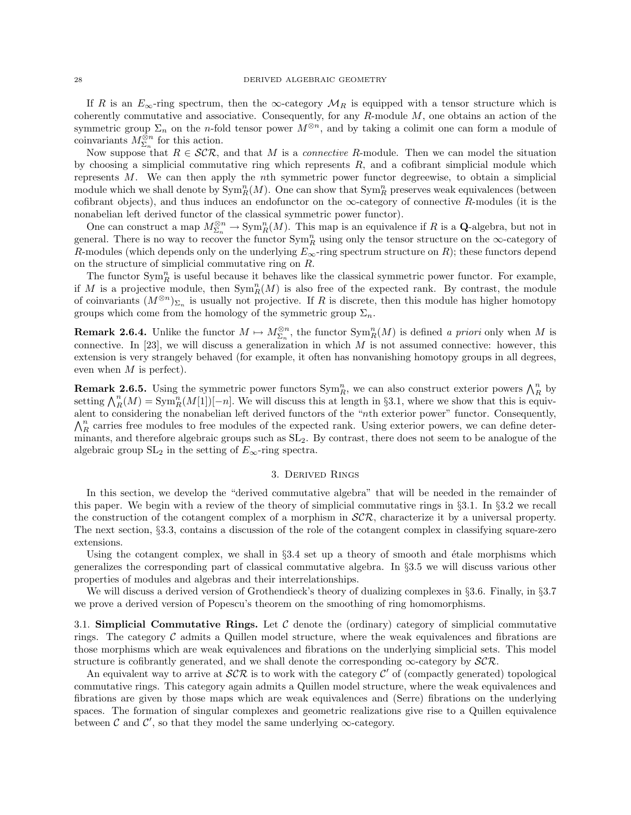If R is an  $E_{\infty}$ -ring spectrum, then the  $\infty$ -category  $\mathcal{M}_R$  is equipped with a tensor structure which is coherently commutative and associative. Consequently, for any  $R$ -module  $M$ , one obtains an action of the symmetric group  $\Sigma_n$  on the *n*-fold tensor power  $M^{\otimes n}$ , and by taking a colimit one can form a module of coinvariants  $M_{\Sigma_n}^{\otimes n}$  for this action.

Now suppose that  $R \in \mathcal{SCR}$ , and that M is a *connective R*-module. Then we can model the situation by choosing a simplicial commutative ring which represents  $R$ , and a cofibrant simplicial module which represents M. We can then apply the nth symmetric power functor degreewise, to obtain a simplicial module which we shall denote by  $\text{Sym}_R^n(M)$ . One can show that  $\text{Sym}_R^n$  preserves weak equivalences (between cofibrant objects), and thus induces an endofunctor on the  $\infty$ -category of connective R-modules (it is the nonabelian left derived functor of the classical symmetric power functor).

One can construct a map  $M_{\Sigma_n}^{\otimes n} \to \text{Sym}_R^n(M)$ . This map is an equivalence if R is a **Q**-algebra, but not in general. There is no way to recover the functor  $\text{Sym}_R^n$  using only the tensor structure on the  $\infty$ -category of R-modules (which depends only on the underlying  $E_{\infty}$ -ring spectrum structure on R); these functors depend on the structure of simplicial commutative ring on R.

The functor  $\text{Sym}_R^n$  is useful because it behaves like the classical symmetric power functor. For example, if M is a projective module, then  $\text{Sym}_R^n(M)$  is also free of the expected rank. By contrast, the module of coinvariants  $(M^{\otimes n})_{\Sigma_n}$  is usually not projective. If R is discrete, then this module has higher homotopy groups which come from the homology of the symmetric group  $\Sigma_n$ .

**Remark 2.6.4.** Unlike the functor  $M \mapsto M_{\Sigma_n}^{\otimes n}$ , the functor  $\text{Sym}_R^n(M)$  is defined a priori only when M is connective. In [23], we will discuss a generalization in which  $M$  is not assumed connective: however, this extension is very strangely behaved (for example, it often has nonvanishing homotopy groups in all degrees, even when M is perfect).

**Remark 2.6.5.** Using the symmetric power functors  $\text{Sym}_R^n$ , we can also construct exterior powers  $\bigwedge_R^n$  by setting  $\bigwedge_R^n(M) = \text{Sym}_R^n(M[1])[-n]$ . We will discuss this at length in §3.1, where we show that this is equivalent to considering the nonabelian left derived functors of the "nth exterior power" functor. Consequently,  $\bigwedge^n_R$  carries free modules to free modules of the expected rank. Using exterior powers, we can define determinants, and therefore algebraic groups such as SL2. By contrast, there does not seem to be analogue of the algebraic group  $SL_2$  in the setting of  $E_{\infty}$ -ring spectra.

#### 3. Derived Rings

In this section, we develop the "derived commutative algebra" that will be needed in the remainder of this paper. We begin with a review of the theory of simplicial commutative rings in §3.1. In §3.2 we recall the construction of the cotangent complex of a morphism in  $\mathcal{SCR}$ , characterize it by a universal property. The next section, §3.3, contains a discussion of the role of the cotangent complex in classifying square-zero extensions.

Using the cotangent complex, we shall in  $\S 3.4$  set up a theory of smooth and étale morphisms which generalizes the corresponding part of classical commutative algebra. In §3.5 we will discuss various other properties of modules and algebras and their interrelationships.

We will discuss a derived version of Grothendieck's theory of dualizing complexes in §3.6. Finally, in §3.7 we prove a derived version of Popescu's theorem on the smoothing of ring homomorphisms.

3.1. Simplicial Commutative Rings. Let  $\mathcal C$  denote the (ordinary) category of simplicial commutative rings. The category  $\mathcal C$  admits a Quillen model structure, where the weak equivalences and fibrations are those morphisms which are weak equivalences and fibrations on the underlying simplicial sets. This model structure is cofibrantly generated, and we shall denote the corresponding  $\infty$ -category by  $\mathcal{SCR}$ .

An equivalent way to arrive at  $\mathcal{SCR}$  is to work with the category  $\mathcal{C}'$  of (compactly generated) topological commutative rings. This category again admits a Quillen model structure, where the weak equivalences and fibrations are given by those maps which are weak equivalences and (Serre) fibrations on the underlying spaces. The formation of singular complexes and geometric realizations give rise to a Quillen equivalence between  $\mathcal C$  and  $\mathcal C'$ , so that they model the same underlying  $\infty$ -category.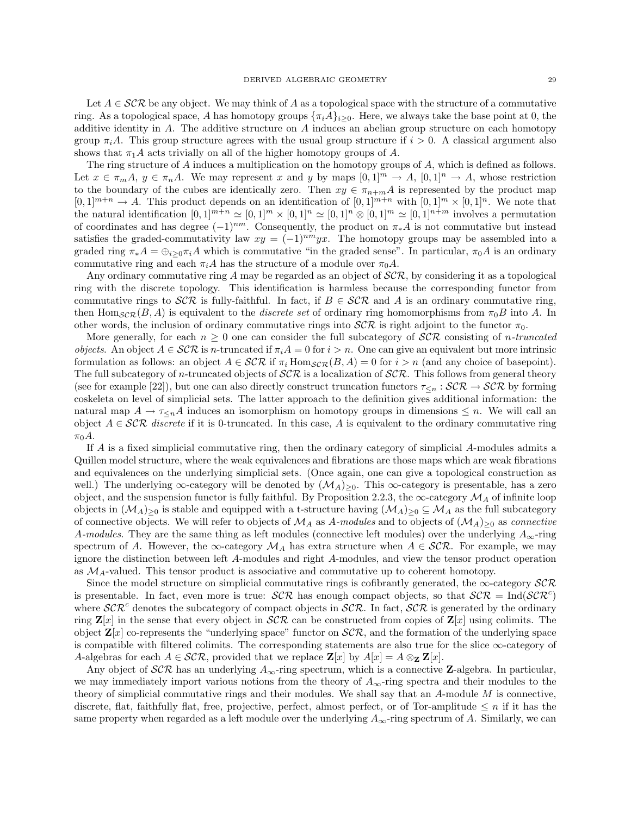Let  $A \in \mathcal{SCR}$  be any object. We may think of A as a topological space with the structure of a commutative ring. As a topological space, A has homotopy groups  ${\{\pi_i A\}_{i>0}}$ . Here, we always take the base point at 0, the additive identity in  $A$ . The additive structure on  $A$  induces an abelian group structure on each homotopy group  $\pi_i A$ . This group structure agrees with the usual group structure if  $i > 0$ . A classical argument also shows that  $\pi_1 A$  acts trivially on all of the higher homotopy groups of A.

The ring structure of A induces a multiplication on the homotopy groups of A, which is defined as follows. Let  $x \in \pi_m A$ ,  $y \in \pi_n A$ . We may represent x and y by maps  $[0,1]^m \to A$ ,  $[0,1]^n \to A$ , whose restriction to the boundary of the cubes are identically zero. Then  $xy \in \pi_{n+m}A$  is represented by the product map  $[0,1]^{m+n} \to A$ . This product depends on an identification of  $[0,1]^{m+n}$  with  $[0,1]^{m} \times [0,1]^{n}$ . We note that the natural identification  $[0, 1]^{m+n} \simeq [0, 1]^m \times [0, 1]^n \simeq [0, 1]^m \otimes [0, 1]^m \simeq [0, 1]^{n+m}$  involves a permutation of coordinates and has degree  $(-1)^{nm}$ . Consequently, the product on  $\pi_* A$  is not commutative but instead satisfies the graded-commutativity law  $xy = (-1)^{nm}yx$ . The homotopy groups may be assembled into a graded ring  $\pi_*A = \bigoplus_{i>0} \pi_iA$  which is commutative "in the graded sense". In particular,  $\pi_0A$  is an ordinary commutative ring and each  $\pi_i A$  has the structure of a module over  $\pi_0 A$ .

Any ordinary commutative ring A may be regarded as an object of  $\mathcal{SCR}$ , by considering it as a topological ring with the discrete topology. This identification is harmless because the corresponding functor from commutative rings to  $\mathcal{SCR}$  is fully-faithful. In fact, if  $B \in \mathcal{SCR}$  and A is an ordinary commutative ring, then Hom $_{SCR}(B, A)$  is equivalent to the *discrete set* of ordinary ring homomorphisms from  $\pi_0B$  into A. In other words, the inclusion of ordinary commutative rings into  $\mathcal{SCR}$  is right adjoint to the functor  $\pi_0$ .

More generally, for each  $n \geq 0$  one can consider the full subcategory of  $\mathcal{SCR}$  consisting of *n*-truncated *objects.* An object  $A \in \mathcal{SCR}$  is n-truncated if  $\pi_i A = 0$  for  $i > n$ . One can give an equivalent but more intrinsic formulation as follows: an object  $A \in \mathcal{SCR}$  if  $\pi_i$  Hom $_{\mathcal{SCR}}(B, A) = 0$  for  $i > n$  (and any choice of basepoint). The full subcategory of n-truncated objects of  $\mathcal{SCR}$  is a localization of  $\mathcal{SCR}$ . This follows from general theory (see for example [22]), but one can also directly construct truncation functors  $\tau_{\leq n} : \mathcal{SCR} \to \mathcal{SCR}$  by forming coskeleta on level of simplicial sets. The latter approach to the definition gives additional information: the natural map  $A \to \tau \epsilon_n A$  induces an isomorphism on homotopy groups in dimensions  $\leq n$ . We will call an object  $A \in \mathcal{SCR}$  discrete if it is 0-truncated. In this case, A is equivalent to the ordinary commutative ring  $\pi_0 A$ .

If A is a fixed simplicial commutative ring, then the ordinary category of simplicial A-modules admits a Quillen model structure, where the weak equivalences and fibrations are those maps which are weak fibrations and equivalences on the underlying simplicial sets. (Once again, one can give a topological construction as well.) The underlying  $\infty$ -category will be denoted by  $(\mathcal{M}_A)_{\geq 0}$ . This  $\infty$ -category is presentable, has a zero object, and the suspension functor is fully faithful. By Proposition 2.2.3, the  $\infty$ -category  $\mathcal{M}_A$  of infinite loop objects in  $(\mathcal{M}_A)_{\geq 0}$  is stable and equipped with a t-structure having  $(\mathcal{M}_A)_{\geq 0} \subseteq \mathcal{M}_A$  as the full subcategory of connective objects. We will refer to objects of  $\mathcal{M}_A$  as A-modules and to objects of  $(\mathcal{M}_A)_{\geq 0}$  as connective A-modules. They are the same thing as left modules (connective left modules) over the underlying  $A_{\infty}$ -ring spectrum of A. However, the  $\infty$ -category  $\mathcal{M}_A$  has extra structure when  $A \in \mathcal{SCR}$ . For example, we may ignore the distinction between left A-modules and right A-modules, and view the tensor product operation as  $\mathcal{M}_A$ -valued. This tensor product is associative and commutative up to coherent homotopy.

Since the model structure on simplicial commutative rings is cofibrantly generated, the  $\infty$ -category  $\mathcal{SCR}$ is presentable. In fact, even more is true:  $\mathcal{SCR}$  has enough compact objects, so that  $\mathcal{SCR} = \text{Ind}(\mathcal{SCR}^c)$ where  $\mathcal{SCR}^c$  denotes the subcategory of compact objects in  $\mathcal{SCR}$ . In fact,  $\mathcal{SCR}$  is generated by the ordinary ring  $\mathbf{Z}[x]$  in the sense that every object in  $\mathcal{SCR}$  can be constructed from copies of  $\mathbf{Z}[x]$  using colimits. The object  $\mathbf{Z}[x]$  co-represents the "underlying space" functor on  $\mathcal{SCR}$ , and the formation of the underlying space is compatible with filtered colimits. The corresponding statements are also true for the slice  $\infty$ -category of A-algebras for each  $A \in \mathcal{SCR}$ , provided that we replace  $\mathbf{Z}[x]$  by  $A[x] = A \otimes_{\mathbf{Z}} \mathbf{Z}[x]$ .

Any object of  $\mathcal{SCR}$  has an underlying  $A_{\infty}$ -ring spectrum, which is a connective **Z**-algebra. In particular, we may immediately import various notions from the theory of  $A_{\infty}$ -ring spectra and their modules to the theory of simplicial commutative rings and their modules. We shall say that an  $A$ -module  $M$  is connective, discrete, flat, faithfully flat, free, projective, perfect, almost perfect, or of Tor-amplitude  $\leq n$  if it has the same property when regarded as a left module over the underlying  $A_{\infty}$ -ring spectrum of A. Similarly, we can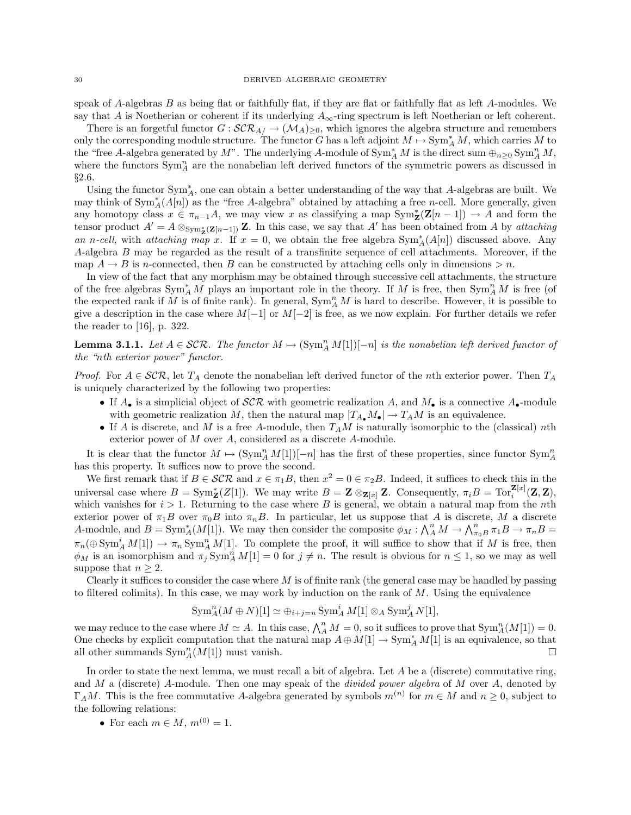speak of A-algebras B as being flat or faithfully flat, if they are flat or faithfully flat as left A-modules. We say that A is Noetherian or coherent if its underlying  $A_{\infty}$ -ring spectrum is left Noetherian or left coherent.

There is an forgetful functor  $G : \mathcal{SCR}_{A/} \to (\mathcal{M}_A)_{\geq 0}$ , which ignores the algebra structure and remembers only the corresponding module structure. The functor G has a left adjoint  $M \mapsto \text{Sym}_{A}^{*} M$ , which carries M to the "free A-algebra generated by M". The underlying A-module of  $\text{Sym}_{A}^{*} M$  is the direct sum  $\oplus_{n\geq 0} \text{Sym}_{A}^{n} M$ , where the functors  $\text{Sym}_A^n$  are the nonabelian left derived functors of the symmetric powers as discussed in §2.6.

Using the functor Sym<sup>∗</sup> <sup>A</sup>, one can obtain a better understanding of the way that A-algebras are built. We may think of  $Sym_A^*(A[n])$  as the "free A-algebra" obtained by attaching a free n-cell. More generally, given any homotopy class  $x \in \pi_{n-1}A$ , we may view x as classifying a map  $\text{Sym}_{\mathbf{Z}}^{\ast}(\mathbf{Z}[n-1]) \to A$  and form the tensor product  $A'=A\otimes_{\text{Sym}_\mathbb{Z}^*(\mathbb{Z}[n-1])}\mathbb{Z}$ . In this case, we say that A' has been obtained from A by attaching an n-cell, with attaching map x. If  $x = 0$ , we obtain the free algebra  $Sym_A^*(A[n])$  discussed above. Any A-algebra B may be regarded as the result of a transfinite sequence of cell attachments. Moreover, if the map  $A \rightarrow B$  is n-connected, then B can be constructed by attaching cells only in dimensions  $\geq n$ .

In view of the fact that any morphism may be obtained through successive cell attachments, the structure of the free algebras  $\text{Sym}_{A}^{*}M$  plays an important role in the theory. If M is free, then  $\text{Sym}_{A}^{n}M$  is free (of the expected rank if M is of finite rank). In general,  $\text{Sym}_A^n M$  is hard to describe. However, it is possible to give a description in the case where  $M[-1]$  or  $M[-2]$  is free, as we now explain. For further details we refer the reader to [16], p. 322.

**Lemma 3.1.1.** Let  $A \in \mathcal{SCR}$ . The functor  $M \mapsto (\text{Sym}_A^n M[1])[-n]$  is the nonabelian left derived functor of the "nth exterior power" functor.

*Proof.* For  $A \in \mathcal{SCR}$ , let  $T_A$  denote the nonabelian left derived functor of the *n*th exterior power. Then  $T_A$ is uniquely characterized by the following two properties:

- If  $A_{\bullet}$  is a simplicial object of  $SCR$  with geometric realization A, and  $M_{\bullet}$  is a connective  $A_{\bullet}$ -module with geometric realization M, then the natural map  $|T_{A_{\bullet}}M_{\bullet}| \to T_{A}M$  is an equivalence.
- If A is discrete, and M is a free A-module, then  $T_A M$  is naturally isomorphic to the (classical) nth exterior power of M over A, considered as a discrete A-module.

It is clear that the functor  $M \mapsto (\text{Sym}_A^n M[1])[-n]$  has the first of these properties, since functor  $\text{Sym}_A^n$ has this property. It suffices now to prove the second.

We first remark that if  $B \in \mathcal{SCR}$  and  $x \in \pi_1B$ , then  $x^2 = 0 \in \pi_2B$ . Indeed, it suffices to check this in the universal case where  $B = \text{Sym}_{\mathbf{Z}}^{\ast}(Z[1])$ . We may write  $B = \mathbf{Z} \otimes_{\mathbf{Z}[x]} \mathbf{Z}$ . Consequently,  $\pi_i B = \text{Tor}_i^{\mathbf{Z}[x]}(\mathbf{Z}, \mathbf{Z})$ , which vanishes for  $i > 1$ . Returning to the case where B is general, we obtain a natural map from the *n*th exterior power of  $\pi_1 B$  over  $\pi_0 B$  into  $\pi_n B$ . In particular, let us suppose that A is discrete, M a discrete A-module, and  $B = \text{Sym}_{A}^{*}(M[1])$ . We may then consider the composite  $\phi_M : \bigwedge_{A}^{n} M \to \bigwedge_{\pi_0 B}^{n} \pi_1 B \to \pi_n B =$  $\pi_n(\oplus \text{Sym}_A^i M[1]) \to \pi_n \text{Sym}_A^n M[1]$ . To complete the proof, it will suffice to show that if M is free, then  $\phi_M$  is an isomorphism and  $\pi_j \text{Sym}_A^n M[1] = 0$  for  $j \neq n$ . The result is obvious for  $n \leq 1$ , so we may as well suppose that  $n \geq 2$ .

Clearly it suffices to consider the case where  $M$  is of finite rank (the general case may be handled by passing to filtered colimits). In this case, we may work by induction on the rank of  $M$ . Using the equivalence

$$
\operatorname{Sym}^n_A(M \oplus N)[1] \simeq \oplus_{i+j=n} \operatorname{Sym}^i_A M[1] \otimes_A \operatorname{Sym}^j_A N[1],
$$

we may reduce to the case where  $M \simeq A$ . In this case,  $\bigwedge_A^n M = 0$ , so it suffices to prove that  $\text{Sym}_A^n(M[1]) = 0$ . One checks by explicit computation that the natural map  $A \oplus M[1] \to \text{Sym}_A^* M[1]$  is an equivalence, so that all other summands  $\text{Sym}_A^n(M[1])$  must vanish.

In order to state the next lemma, we must recall a bit of algebra. Let  $A$  be a (discrete) commutative ring, and M a (discrete) A-module. Then one may speak of the *divided power algebra* of M over A, denoted by  $\Gamma_A M$ . This is the free commutative A-algebra generated by symbols  $m^{(n)}$  for  $m \in M$  and  $n \geq 0$ , subject to the following relations:

• For each  $m \in M$ ,  $m^{(0)} = 1$ .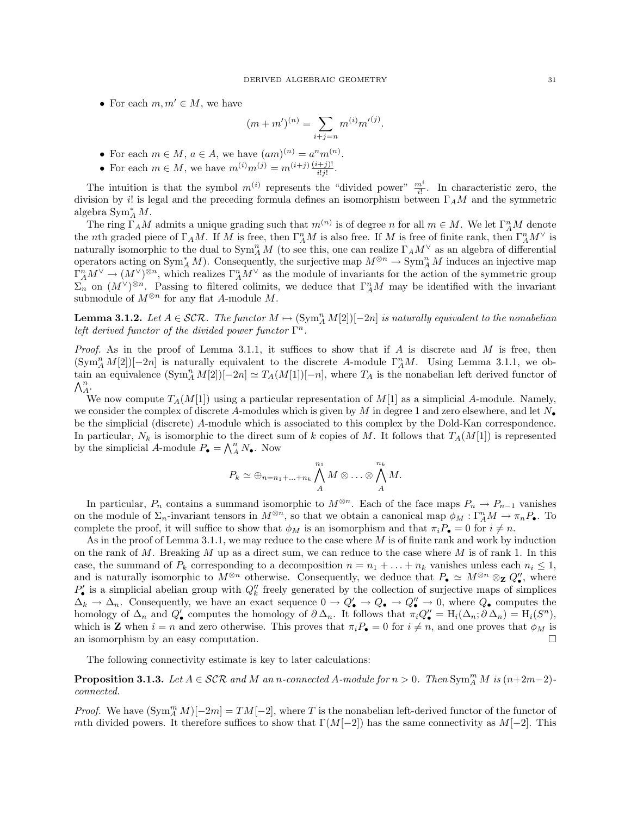• For each  $m, m' \in M$ , we have

$$
(m+m')^{(n)} = \sum_{i+j=n} m^{(i)} m'^{(j)}.
$$

- For each  $m \in M$ ,  $a \in A$ , we have  $(am)^{(n)} = a^n m^{(n)}$ .
- For each  $m \in M$ , we have  $m^{(i)}m^{(j)} = m^{(i+j)} \frac{(i+j)!}{i!j!}$ .

The intuition is that the symbol  $m^{(i)}$  represents the "divided power"  $\frac{m^i}{i!}$ . In characteristic zero, the division by i! is legal and the preceding formula defines an isomorphism between  $\Gamma_A M$  and the symmetric algebra  $\operatorname{Sym}_{A}^{*} M$ .

The ring  $\Gamma_A M$  admits a unique grading such that  $m^{(n)}$  is of degree n for all  $m \in M$ . We let  $\Gamma_A^n M$  denote the nth graded piece of  $\Gamma_A M$ . If M is free, then  $\Gamma^n_A M$  is also free. If M is free of finite rank, then  $\Gamma^n_A M^{\vee}$  is naturally isomorphic to the dual to  $\text{Sym}_{A}^{n} M$  (to see this, one can realize  $\Gamma_{A} M^{\vee}$  as an algebra of differential operators acting on  $\text{Sym}_{A}^* M$ ). Consequently, the surjective map  $M^{\otimes n} \to \text{Sym}_{A}^n M$  induces an injective map  $\Gamma_A^n M^\vee \to (M^\vee)^{\otimes n}$ , which realizes  $\Gamma_A^n M^\vee$  as the module of invariants for the action of the symmetric group  $\Sigma_n$  on  $(M^{\vee})^{\otimes n}$ . Passing to filtered colimits, we deduce that  $\Gamma^n_A M$  may be identified with the invariant submodule of  $M^{\otimes n}$  for any flat A-module M.

**Lemma 3.1.2.** Let  $A \in \mathcal{SCR}$ . The functor  $M \mapsto (\text{Sym}_A^n M[2])[-2n]$  is naturally equivalent to the nonabelian left derived functor of the divided power functor  $\Gamma^n$ .

*Proof.* As in the proof of Lemma 3.1.1, it suffices to show that if A is discrete and M is free, then  $(\text{Sym}_A^n M[2])[-2n]$  is naturally equivalent to the discrete A-module  $\Gamma^n_A M$ . Using Lemma 3.1.1, we obtain an equivalence  $(\text{Sym}_A^n M[2])[-2n] \simeq T_A(M[1])[-n]$ , where  $T_A$  is the nonabelian left derived functor of  $\bigwedge^n_A$ .

We now compute  $T_A(M[1])$  using a particular representation of  $M[1]$  as a simplicial A-module. Namely, we consider the complex of discrete A-modules which is given by M in degree 1 and zero elsewhere, and let  $N_{\bullet}$ be the simplicial (discrete) A-module which is associated to this complex by the Dold-Kan correspondence. In particular,  $N_k$  is isomorphic to the direct sum of k copies of M. It follows that  $T_A(M[1])$  is represented by the simplicial A-module  $P_{\bullet} = \bigwedge_{A}^{n} N_{\bullet}$ . Now

$$
P_k \simeq \bigoplus_{n=n_1+\ldots+n_k} \bigwedge_{A}^{n_1} M \otimes \ldots \otimes \bigwedge_{A}^{n_k} M.
$$

In particular,  $P_n$  contains a summand isomorphic to  $M^{\otimes n}$ . Each of the face maps  $P_n \to P_{n-1}$  vanishes on the module of  $\Sigma_n$ -invariant tensors in  $M^{\otimes n}$ , so that we obtain a canonical map  $\phi_M : \Gamma^n_A M \to \pi_n P_\bullet$ . To complete the proof, it will suffice to show that  $\phi_M$  is an isomorphism and that  $\pi_i P_{\bullet} = 0$  for  $i \neq n$ .

As in the proof of Lemma 3.1.1, we may reduce to the case where  $M$  is of finite rank and work by induction on the rank of  $M$ . Breaking  $M$  up as a direct sum, we can reduce to the case where  $M$  is of rank 1. In this case, the summand of  $P_k$  corresponding to a decomposition  $n = n_1 + \ldots + n_k$  vanishes unless each  $n_i \leq 1$ , and is naturally isomorphic to  $M^{\otimes n}$  otherwise. Consequently, we deduce that  $P_{\bullet} \simeq M^{\otimes n} \otimes_{\mathbf{Z}} Q''_{\bullet}$ , where  $P'_{\bullet}$  is a simplicial abelian group with  $Q''_k$  freely generated by the collection of surjective maps of simplices  $\Delta_k \to \Delta_n$ . Consequently, we have an exact sequence  $0 \to Q'_\bullet \to Q_\bullet \to Q''_\bullet \to 0$ , where  $Q_\bullet$  computes the homology of  $\Delta_n$  and  $Q'_\bullet$  computes the homology of  $\partial \Delta_n$ . It follows that  $\pi_i Q''_\bullet = H_i(\Delta_n; \partial \Delta_n) = H_i(S^n)$ , which is **Z** when  $i = n$  and zero otherwise. This proves that  $\pi_i P_{\bullet} = 0$  for  $i \neq n$ , and one proves that  $\phi_M$  is an isomorphism by an easy computation.

The following connectivity estimate is key to later calculations:

**Proposition 3.1.3.** Let  $A \in \mathcal{SCR}$  and M an n-connected A-module for  $n > 0$ . Then  $\text{Sym}_{A}^{m} M$  is  $(n+2m-2)$ connected.

*Proof.* We have  $(\text{Sym}_{A}^{m} M)[-2m] = TM[-2]$ , where T is the nonabelian left-derived functor of the functor of mth divided powers. It therefore suffices to show that  $\Gamma(M[-2])$  has the same connectivity as  $M[-2]$ . This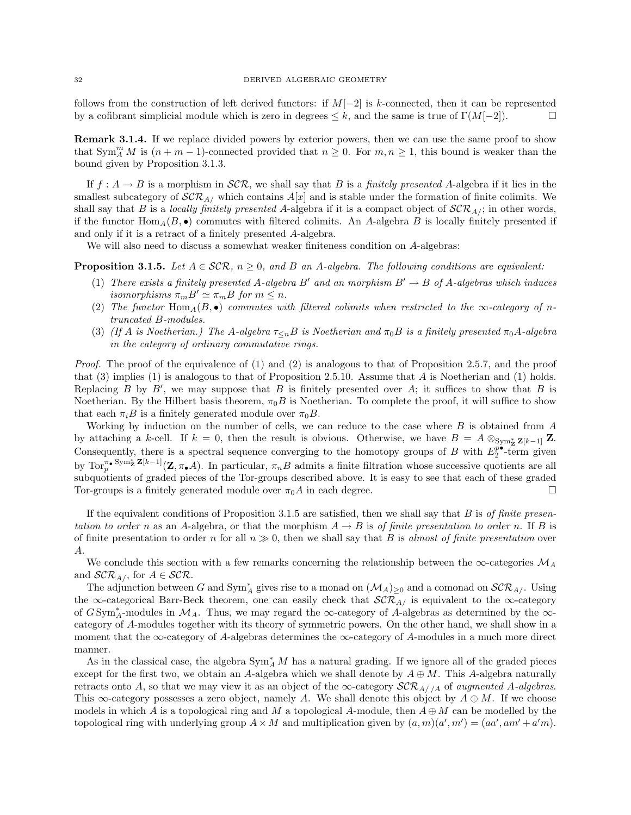follows from the construction of left derived functors: if  $M[-2]$  is k-connected, then it can be represented by a cofibrant simplicial module which is zero in degrees  $\leq k$ , and the same is true of  $\Gamma(M[-2])$ .

Remark 3.1.4. If we replace divided powers by exterior powers, then we can use the same proof to show that  $\text{Sym}_{A}^{m} M$  is  $(n + m - 1)$ -connected provided that  $n \geq 0$ . For  $m, n \geq 1$ , this bound is weaker than the bound given by Proposition 3.1.3.

If  $f : A \to B$  is a morphism in  $\mathcal{SCR}$ , we shall say that B is a finitely presented A-algebra if it lies in the smallest subcategory of  $\mathcal{SCR}_{A}$  which contains  $A[x]$  and is stable under the formation of finite colimits. We shall say that B is a locally finitely presented A-algebra if it is a compact object of  $\mathcal{SCR}_{A/}$ ; in other words, if the functor  $\text{Hom}_{A}(B, \bullet)$  commutes with filtered colimits. An A-algebra B is locally finitely presented if and only if it is a retract of a finitely presented A-algebra.

We will also need to discuss a somewhat weaker finiteness condition on A-algebras:

**Proposition 3.1.5.** Let  $A \in \mathcal{SCR}$ ,  $n \geq 0$ , and B an A-algebra. The following conditions are equivalent:

- (1) There exists a finitely presented A-algebra B' and an morphism  $B' \rightarrow B$  of A-algebras which induces isomorphisms  $\pi_m B' \simeq \pi_m B$  for  $m \leq n$ .
- (2) The functor  $\text{Hom}_{A}(B,\bullet)$  commutes with filtered colimits when restricted to the  $\infty$ -category of ntruncated B-modules.
- (3) (If A is Noetherian.) The A-algebra  $\tau_{\leq n}B$  is Noetherian and  $\pi_0B$  is a finitely presented  $\pi_0A$ -algebra in the category of ordinary commutative rings.

Proof. The proof of the equivalence of (1) and (2) is analogous to that of Proposition 2.5.7, and the proof that (3) implies (1) is analogous to that of Proposition 2.5.10. Assume that A is Noetherian and (1) holds. Replacing  $B$  by  $B'$ , we may suppose that  $B$  is finitely presented over  $A$ ; it suffices to show that  $B$  is Noetherian. By the Hilbert basis theorem,  $\pi_0 B$  is Noetherian. To complete the proof, it will suffice to show that each  $\pi_i B$  is a finitely generated module over  $\pi_0 B$ .

Working by induction on the number of cells, we can reduce to the case where B is obtained from A by attaching a k-cell. If  $k = 0$ , then the result is obvious. Otherwise, we have  $B = A \otimes_{Sym_{\mathbb{Z}}^*} \mathbb{Z}[k-1]$  Z. Consequently, there is a spectral sequence converging to the homotopy groups of B with  $E_2^{p^{\bullet}}$ -term given by  $\text{Tor}_{p}^{\pi_{\bullet}} \text{Sym}_{\mathbf{Z}}^{\ast} \mathbf{Z}[k-1](\mathbf{Z}, \pi_{\bullet}A)$ . In particular,  $\pi_{n}B$  admits a finite filtration whose successive quotients are all subquotients of graded pieces of the Tor-groups described above. It is easy to see that each of these graded Tor-groups is a finitely generated module over  $\pi_0 A$  in each degree.

If the equivalent conditions of Proposition 3.1.5 are satisfied, then we shall say that  $B$  is of finite presentation to order n as an A-algebra, or that the morphism  $A \to B$  is of finite presentation to order n. If B is of finite presentation to order n for all  $n \gg 0$ , then we shall say that B is almost of finite presentation over A.

We conclude this section with a few remarks concerning the relationship between the  $\infty$ -categories  $\mathcal{M}_A$ and  $\mathcal{SCR}_{A\text{/}}$ , for  $A \in \mathcal{SCR}$ .

The adjunction between G and  $\text{Sym}_{A}^{*}$  gives rise to a monad on  $(\mathcal{M}_{A})_{\geq 0}$  and a comonad on  $\mathcal{SCR}_{A}/$ . Using the ∞-categorical Barr-Beck theorem, one can easily check that  $\mathcal{SCR}_{A/\ }$  is equivalent to the ∞-category of G Sym<sup>\*</sup><sub>4</sub>-modules in  $\mathcal{M}_A$ . Thus, we may regard the ∞-category of A-algebras as determined by the ∞category of A-modules together with its theory of symmetric powers. On the other hand, we shall show in a moment that the  $\infty$ -category of A-algebras determines the  $\infty$ -category of A-modules in a much more direct manner.

As in the classical case, the algebra  $\text{Sym}_{A}^{*} M$  has a natural grading. If we ignore all of the graded pieces except for the first two, we obtain an A-algebra which we shall denote by  $A \oplus M$ . This A-algebra naturally retracts onto A, so that we may view it as an object of the  $\infty$ -category  $\mathcal{SCR}_{A//A}$  of augmented A-algebras. This  $\infty$ -category possesses a zero object, namely A. We shall denote this object by  $A \oplus M$ . If we choose models in which A is a topological ring and M a topological A-module, then  $A \oplus M$  can be modelled by the topological ring with underlying group  $A \times M$  and multiplication given by  $(a, m)(a', m') = (aa', am' + a'm)$ .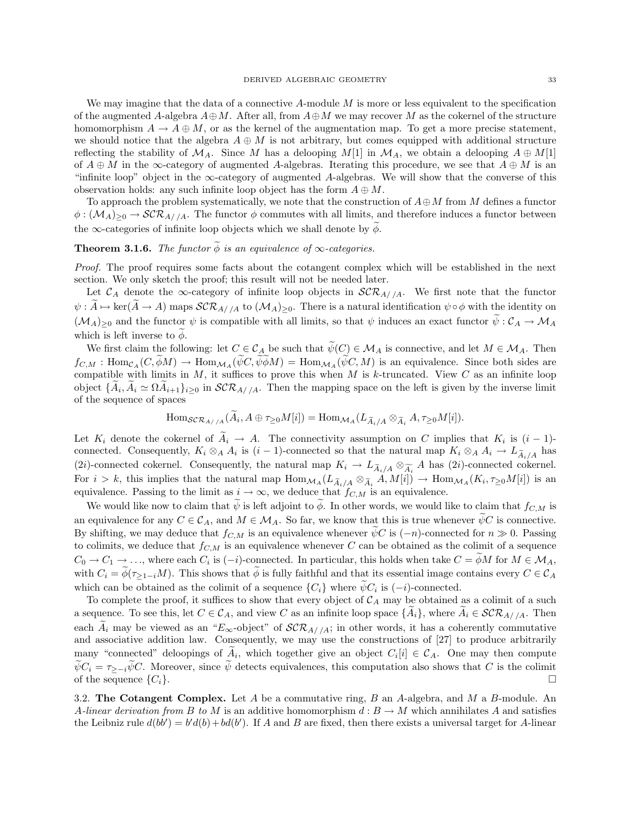We may imagine that the data of a connective  $A$ -module  $M$  is more or less equivalent to the specification of the augmented A-algebra  $A \oplus M$ . After all, from  $A \oplus M$  we may recover M as the cokernel of the structure homomorphism  $A \to A \oplus M$ , or as the kernel of the augmentation map. To get a more precise statement, we should notice that the algebra  $A \oplus M$  is not arbitrary, but comes equipped with additional structure reflecting the stability of  $\mathcal{M}_A$ . Since M has a delooping  $M[1]$  in  $\mathcal{M}_A$ , we obtain a delooping  $A \oplus M[1]$ of  $A \oplus M$  in the ∞-category of augmented A-algebras. Iterating this procedure, we see that  $A \oplus M$  is an "infinite loop" object in the  $\infty$ -category of augmented A-algebras. We will show that the converse of this observation holds: any such infinite loop object has the form  $A \oplus M$ .

To approach the problem systematically, we note that the construction of  $A \oplus M$  from M defines a functor  $\phi: (M_A)_{\geq 0} \to \mathcal{SCR}_{A//A}$ . The functor  $\phi$  commutes with all limits, and therefore induces a functor between the  $\infty$ -categories of infinite loop objects which we shall denote by  $\phi$ .

# **Theorem 3.1.6.** The functor  $\widetilde{\phi}$  is an equivalence of  $\infty$ -categories.

Proof. The proof requires some facts about the cotangent complex which will be established in the next section. We only sketch the proof; this result will not be needed later.

Let  $\mathcal{C}_A$  denote the  $\infty$ -category of infinite loop objects in  $\mathcal{SCR}_{A//A}$ . We first note that the functor  $\psi: A\mapsto \ker(A\to A)$  maps  $\mathcal{SCR}_{A//A}$  to  $(\mathcal{M}_A)_{\geq 0}$ . There is a natural identification  $\psi\circ\phi$  with the identity on  $(\mathcal{M}_A)_{\geq 0}$  and the functor  $\psi$  is compatible with all limits, so that  $\psi$  induces an exact functor  $\psi : \mathcal{C}_A \to \mathcal{M}_A$ which is left inverse to  $\phi$ .

We first claim the following: let  $C \in \mathcal{C}_A$  be such that  $\psi(C) \in \mathcal{M}_A$  is connective, and let  $M \in \mathcal{M}_A$ . Then  $f_{C,M}: \text{Hom}_{\mathcal{C}_A}(C, \widetilde{\phi}M) \to \text{Hom}_{\mathcal{M}_A}(\widetilde{\psi}C, \widetilde{\psi}\widetilde{\phi}M) = \text{Hom}_{\mathcal{M}_A}(\widetilde{\psi}C, M)$  is an equivalence. Since both sides are compatible with limits in  $M$ , it suffices to prove this when  $M$  is k-truncated. View  $C$  as an infinite loop object  $\{A_i, A_i \simeq \Omega A_{i+1}\}_{i\geq 0}$  in  $\mathcal{SCR}_{A//A}$ . Then the mapping space on the left is given by the inverse limit of the sequence of spaces

$$
\mathrm{Hom}_{\mathcal{SCR}_{A//A}}(A_i, A \oplus \tau_{\geq 0} M[i]) = \mathrm{Hom}_{\mathcal{MA}}(L_{\widetilde{A}_i/A} \otimes_{\widetilde{A}_i} A, \tau_{\geq 0} M[i]).
$$

Let  $K_i$  denote the cokernel of  $A_i \rightarrow A$ . The connectivity assumption on C implies that  $K_i$  is  $(i-1)$ connected. Consequently,  $K_i \otimes_A A_i$  is  $(i-1)$ -connected so that the natural map  $K_i \otimes_A A_i \to L_{\widetilde{A}_i/A}$  has (2i)-connected cokernel. Consequently, the natural map  $K_i \to L_{\widetilde{A}_i/A} \otimes_{\widetilde{A}_i} A$  has (2i)-connected cokernel. For  $i > k$ , this implies that the natural map  $\text{Hom}_{\mathcal{M}_A}(L_{\widetilde{A}_i/A} \otimes_{\widetilde{A}_i} A, M[i]) \to \text{Hom}_{\mathcal{M}_A}(K_i, \tau_{\geq 0}M[i])$  is an equivalence. Passing to the limit as  $i \to \infty$ , we deduce that  $f_{C,M}$  is an equivalence.

We would like now to claim that  $\tilde{\psi}$  is left adjoint to  $\tilde{\phi}$ . In other words, we would like to claim that  $f_{C,M}$  is an equivalence for any  $C \in \mathcal{C}_A$ , and  $M \in \mathcal{M}_A$ . So far, we know that this is true whenever  $\tilde{\psi}C$  is connective. By shifting, we may deduce that  $f_{C,M}$  is an equivalence whenever  $\widetilde{\psi}C$  is  $(-n)$ -connected for  $n \gg 0$ . Passing to colimits, we deduce that  $f_{C,M}$  is an equivalence whenever C can be obtained as the colimit of a sequence  $C_0 \to C_1 \to \ldots$ , where each  $C_i$  is  $(-i)$ -connected. In particular, this holds when take  $C = \phi M$  for  $M \in M_A$ , with  $C_i = \widetilde{\phi}(\tau_{\geq 1-i}M)$ . This shows that  $\widetilde{\phi}$  is fully faithful and that its essential image contains every  $C \in \mathcal{C}_A$ which can be obtained as the colimit of a sequence  $\{C_i\}$  where  $\psi C_i$  is  $(-i)$ -connected.

To complete the proof, it suffices to show that every object of  $\mathcal{C}_A$  may be obtained as a colimit of a such a sequence. To see this, let  $C \in \mathcal{C}_A$ , and view C as an infinite loop space  $\{\widetilde{A}_i\}$ , where  $\widetilde{A}_i \in \mathcal{SCR}_{A//A}$ . Then each  $A_i$  may be viewed as an " $E_{\infty}$ -object" of  $\mathcal{SCR}_{A//A}$ ; in other words, it has a coherently commutative and associative addition law. Consequently, we may use the constructions of [27] to produce arbitrarily many "connected" deloopings of  $A_i$ , which together give an object  $C_i[i] \in \mathcal{C}_A$ . One may then compute  $\psi C_i = \tau_{\geq -i}\psi C$ . Moreover, since  $\psi$  detects equivalences, this computation also shows that C is the colimit of the sequence  $\{C_i\}$ . of the sequence  $\{C_i\}$ .

3.2. The Cotangent Complex. Let A be a commutative ring, B an A-algebra, and M a B-module. An A-linear derivation from B to M is an additive homomorphism  $d : B \to M$  which annihilates A and satisfies the Leibniz rule  $d(bb') = b'd(b) + bd(b')$ . If A and B are fixed, then there exists a universal target for A-linear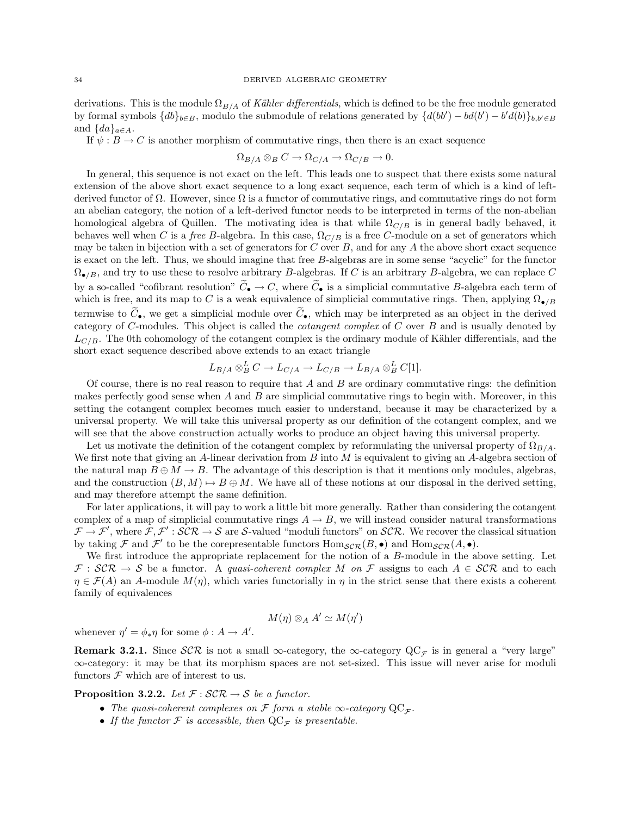derivations. This is the module  $\Omega_{B/A}$  of Kähler differentials, which is defined to be the free module generated by formal symbols  $\{db\}_{b\in B}$ , modulo the submodule of relations generated by  $\{d(bb') - bd(b') - b'd(b)\}_{b,b'\in B}$ and  $\{da\}_{a\in A}$ .

If  $\psi : B \to C$  is another morphism of commutative rings, then there is an exact sequence

$$
\Omega_{B/A} \otimes_B C \to \Omega_{C/A} \to \Omega_{C/B} \to 0.
$$

In general, this sequence is not exact on the left. This leads one to suspect that there exists some natural extension of the above short exact sequence to a long exact sequence, each term of which is a kind of leftderived functor of  $\Omega$ . However, since  $\Omega$  is a functor of commutative rings, and commutative rings do not form an abelian category, the notion of a left-derived functor needs to be interpreted in terms of the non-abelian homological algebra of Quillen. The motivating idea is that while  $\Omega_{C/B}$  is in general badly behaved, it behaves well when C is a free B-algebra. In this case,  $\Omega_{C/B}$  is a free C-module on a set of generators which may be taken in bijection with a set of generators for  $C$  over  $B$ , and for any  $A$  the above short exact sequence is exact on the left. Thus, we should imagine that free B-algebras are in some sense "acyclic" for the functor  $\Omega_{\bullet/B}$ , and try to use these to resolve arbitrary B-algebras. If C is an arbitrary B-algebra, we can replace C by a so-called "cofibrant resolution"  $\tilde{C}_{\bullet} \to C$ , where  $\tilde{C}_{\bullet}$  is a simplicial commutative B-algebra each term of which is free, and its map to C is a weak equivalence of simplicial commutative rings. Then, applying  $\Omega_{\bullet/B}$ termwise to  $\widetilde{C}_{\bullet}$ , we get a simplicial module over  $\widetilde{C}_{\bullet}$ , which may be interpreted as an object in the derived category of C-modules. This object is called the cotangent complex of C over B and is usually denoted by  $L_{C/B}$ . The 0th cohomology of the cotangent complex is the ordinary module of Kähler differentials, and the short exact sequence described above extends to an exact triangle

$$
L_{B/A} \otimes_B^L C \to L_{C/A} \to L_{C/B} \to L_{B/A} \otimes_B^L C[1].
$$

Of course, there is no real reason to require that  $A$  and  $B$  are ordinary commutative rings: the definition makes perfectly good sense when  $A$  and  $B$  are simplicial commutative rings to begin with. Moreover, in this setting the cotangent complex becomes much easier to understand, because it may be characterized by a universal property. We will take this universal property as our definition of the cotangent complex, and we will see that the above construction actually works to produce an object having this universal property.

Let us motivate the definition of the cotangent complex by reformulating the universal property of  $\Omega_{B/A}$ . We first note that giving an A-linear derivation from  $B$  into  $M$  is equivalent to giving an A-algebra section of the natural map  $B \oplus M \to B$ . The advantage of this description is that it mentions only modules, algebras, and the construction  $(B, M) \mapsto B \oplus M$ . We have all of these notions at our disposal in the derived setting, and may therefore attempt the same definition.

For later applications, it will pay to work a little bit more generally. Rather than considering the cotangent complex of a map of simplicial commutative rings  $A \rightarrow B$ , we will instead consider natural transformations  $\mathcal{F} \to \mathcal{F}'$ , where  $\mathcal{F}, \mathcal{F}' : \mathcal{SCR} \to \mathcal{S}$  are S-valued "moduli functors" on SCR. We recover the classical situation by taking  $\mathcal F$  and  $\mathcal F'$  to be the corepresentable functors  $\text{Hom}_{\mathcal{SCR}}(B,\bullet)$  and  $\text{Hom}_{\mathcal{SCR}}(A,\bullet)$ .

We first introduce the appropriate replacement for the notion of a B-module in the above setting. Let  $\mathcal{F}: \mathcal{SCR} \to \mathcal{S}$  be a functor. A quasi-coherent complex M on  $\mathcal{F}$  assigns to each  $A \in \mathcal{SCR}$  and to each  $\eta \in \mathcal{F}(A)$  an A-module  $M(\eta)$ , which varies functorially in  $\eta$  in the strict sense that there exists a coherent family of equivalences

$$
M(\eta) \otimes_A A' \simeq M(\eta')
$$

whenever  $\eta' = \phi_* \eta$  for some  $\phi : A \to A'$ .

Remark 3.2.1. Since  $\mathcal{SCR}$  is not a small  $\infty$ -category, the  $\infty$ -category  $\mathbb{Q}C_{\mathcal{F}}$  is in general a "very large" ∞-category: it may be that its morphism spaces are not set-sized. This issue will never arise for moduli functors  $\mathcal F$  which are of interest to us.

**Proposition 3.2.2.** Let  $\mathcal{F}: \mathcal{SCR} \to \mathcal{S}$  be a functor.

- The quasi-coherent complexes on F form a stable  $\infty$ -category  $\operatorname{QC}_\mathcal{F}$ .
- If the functor  $\mathcal F$  is accessible, then  $\mathrm{QC}_{\mathcal F}$  is presentable.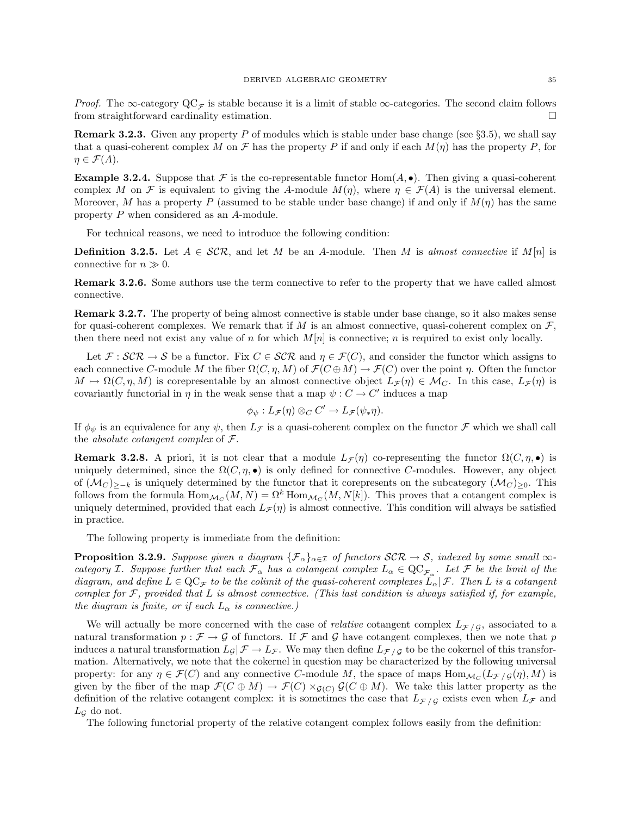*Proof.* The ∞-category  $\mathbf{QC}_{\mathcal{F}}$  is stable because it is a limit of stable ∞-categories. The second claim follows from straightforward cardinality estimation.

**Remark 3.2.3.** Given any property P of modules which is stable under base change (see  $\S 3.5$ ), we shall say that a quasi-coherent complex M on F has the property P if and only if each  $M(\eta)$  has the property P, for  $\eta \in \mathcal{F}(A).$ 

**Example 3.2.4.** Suppose that F is the co-representable functor Hom $(A, \bullet)$ . Then giving a quasi-coherent complex M on F is equivalent to giving the A-module  $M(\eta)$ , where  $\eta \in \mathcal{F}(A)$  is the universal element. Moreover, M has a property P (assumed to be stable under base change) if and only if  $M(\eta)$  has the same property P when considered as an A-module.

For technical reasons, we need to introduce the following condition:

**Definition 3.2.5.** Let  $A \in \mathcal{SCR}$ , and let M be an A-module. Then M is almost connective if  $M[n]$  is connective for  $n \gg 0$ .

Remark 3.2.6. Some authors use the term connective to refer to the property that we have called almost connective.

Remark 3.2.7. The property of being almost connective is stable under base change, so it also makes sense for quasi-coherent complexes. We remark that if M is an almost connective, quasi-coherent complex on  $\mathcal{F}$ . then there need not exist any value of n for which  $M[n]$  is connective; n is required to exist only locally.

Let  $\mathcal{F}: \mathcal{SCR} \to \mathcal{S}$  be a functor. Fix  $C \in \mathcal{SCR}$  and  $\eta \in \mathcal{F}(C)$ , and consider the functor which assigns to each connective C-module M the fiber  $\Omega(C, \eta, M)$  of  $\mathcal{F}(C \oplus M) \to \mathcal{F}(C)$  over the point  $\eta$ . Often the functor  $M \mapsto \Omega(C, \eta, M)$  is corepresentable by an almost connective object  $L_{\mathcal{F}}(\eta) \in \mathcal{M}_C$ . In this case,  $L_{\mathcal{F}}(\eta)$  is covariantly functorial in  $\eta$  in the weak sense that a map  $\psi : C \to C'$  induces a map

$$
\phi_{\psi}: L_{\mathcal{F}}(\eta) \otimes_C C' \to L_{\mathcal{F}}(\psi_*\eta).
$$

If  $\phi_{\psi}$  is an equivalence for any  $\psi$ , then  $L_{\mathcal{F}}$  is a quasi-coherent complex on the functor  $\mathcal{F}$  which we shall call the *absolute cotangent complex* of  $\mathcal{F}$ .

**Remark 3.2.8.** A priori, it is not clear that a module  $L_{\mathcal{F}}(\eta)$  co-representing the functor  $\Omega(C, \eta, \bullet)$  is uniquely determined, since the  $\Omega(C, \eta, \bullet)$  is only defined for connective C-modules. However, any object of  $(\mathcal{M}_C)_{\geq-k}$  is uniquely determined by the functor that it corepresents on the subcategory  $(\mathcal{M}_C)_{\geq0}$ . This follows from the formula  $\text{Hom}_{\mathcal{M}_C}(M,N) = \Omega^k \text{Hom}_{\mathcal{M}_C}(M,N[k])$ . This proves that a cotangent complex is uniquely determined, provided that each  $L_{\mathcal{F}}(\eta)$  is almost connective. This condition will always be satisfied in practice.

The following property is immediate from the definition:

**Proposition 3.2.9.** Suppose given a diagram  $\{\mathcal{F}_{\alpha}\}_{{\alpha \in \mathcal{I}}}$  of functors  $\mathcal{SCR} \to \mathcal{S}$ , indexed by some small  $\infty$ category I. Suppose further that each  $\mathcal{F}_{\alpha}$  has a cotangent complex  $L_{\alpha} \in \mathrm{QC}_{\mathcal{F}_{\alpha}}$ . Let F be the limit of the diagram, and define  $L \in \mathbb{Q}C_{\mathcal{F}}$  to be the colimit of the quasi-coherent complexes  $L_{\alpha}|\mathcal{F}$ . Then L is a cotangent complex for  $\mathcal F$ , provided that L is almost connective. (This last condition is always satisfied if, for example, the diagram is finite, or if each  $L_{\alpha}$  is connective.)

We will actually be more concerned with the case of *relative* cotangent complex  $L_{\mathcal{F}}/g$ , associated to a natural transformation  $p : \mathcal{F} \to \mathcal{G}$  of functors. If  $\mathcal{F}$  and  $\mathcal{G}$  have cotangent complexes, then we note that p induces a natural transformation  $L_{\mathcal{G}}|\mathcal{F} \to L_{\mathcal{F}}$ . We may then define  $L_{\mathcal{F}}/g$  to be the cokernel of this transformation. Alternatively, we note that the cokernel in question may be characterized by the following universal property: for any  $\eta \in \mathcal{F}(C)$  and any connective C-module M, the space of maps  $\text{Hom}_{\mathcal{M}_C}(L_{\mathcal{F}/\mathcal{G}}(\eta), M)$  is given by the fiber of the map  $\mathcal{F}(C \oplus M) \to \mathcal{F}(C) \times_{\mathcal{G}(C)} \mathcal{G}(C \oplus M)$ . We take this latter property as the definition of the relative cotangent complex: it is sometimes the case that  $L_{\mathcal{F}/\mathcal{G}}$  exists even when  $L_{\mathcal{F}}$  and  $L_G$  do not.

The following functorial property of the relative cotangent complex follows easily from the definition: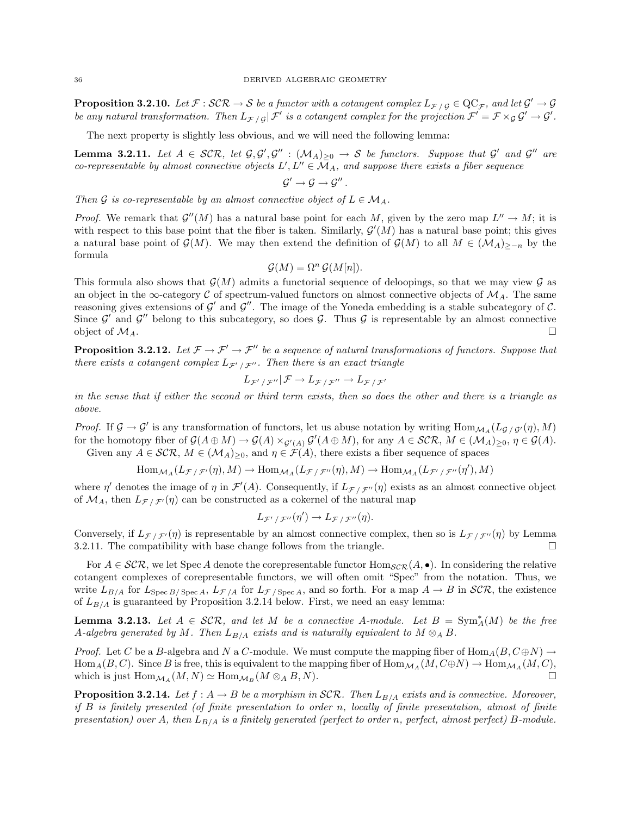**Proposition 3.2.10.** Let  $\mathcal{F}: \mathcal{SCR} \to \mathcal{S}$  be a functor with a cotangent complex  $L_{\mathcal{F}/\mathcal{G}} \in \text{QC}_{\mathcal{F}}$ , and let  $\mathcal{G}' \to \mathcal{G}$ be any natural transformation. Then  $L_{\mathcal{F}/\mathcal{G}}|\mathcal{F}'$  is a cotangent complex for the projection  $\mathcal{F}' = \mathcal{F} \times_{\mathcal{G}} \mathcal{G}' \to \mathcal{G}'.$ 

The next property is slightly less obvious, and we will need the following lemma:

**Lemma 3.2.11.** Let  $A \in \mathcal{SCR}$ , let  $\mathcal{G}, \mathcal{G}', \mathcal{G}'' : (\mathcal{M}_A)_{\geq 0} \to \mathcal{S}$  be functors. Suppose that  $\mathcal{G}'$  and  $\mathcal{G}''$  are co-representable by almost connective objects  $L', L'' \in \overline{\mathcal{M}}_A$ , and suppose there exists a fiber sequence  $\mathcal{G}' \rightarrow \mathcal{G} \rightarrow \mathcal{G}''$  .

Then G is co-representable by an almost connective object of  $L \in \mathcal{M}_A$ .

*Proof.* We remark that  $\mathcal{G}''(M)$  has a natural base point for each M, given by the zero map  $L'' \to M$ ; it is with respect to this base point that the fiber is taken. Similarly,  $\mathcal{G}'(M)$  has a natural base point; this gives a natural base point of  $\mathcal{G}(M)$ . We may then extend the definition of  $\mathcal{G}(M)$  to all  $M \in (\mathcal{M}_A)_{\geq n}$  by the formula

$$
\mathcal{G}(M) = \Omega^n \mathcal{G}(M[n]).
$$

This formula also shows that  $\mathcal{G}(M)$  admits a functorial sequence of deloopings, so that we may view  $\mathcal G$  as an object in the  $\infty$ -category C of spectrum-valued functors on almost connective objects of  $M_A$ . The same reasoning gives extensions of  $\mathcal{G}'$  and  $\mathcal{G}''$ . The image of the Yoneda embedding is a stable subcategory of  $\mathcal{C}$ . Since  $\mathcal{G}'$  and  $\mathcal{G}''$  belong to this subcategory, so does  $\mathcal{G}$ . Thus  $\mathcal{G}$  is representable by an almost connective object of  $\mathcal{M}_A$ .

**Proposition 3.2.12.** Let  $\mathcal{F} \to \mathcal{F}' \to \mathcal{F}''$  be a sequence of natural transformations of functors. Suppose that there exists a cotangent complex  $L_{\mathcal{F}'/\mathcal{F}''}$ . Then there is an exact triangle

$$
L_{\mathcal{F}'\,/\,\mathcal{F}''}|\,\mathcal{F}\to L_{\mathcal{F}\,/\,\mathcal{F}''}\to L_{\mathcal{F}\,/\,\mathcal{F}'}
$$

in the sense that if either the second or third term exists, then so does the other and there is a triangle as above.

*Proof.* If  $\mathcal{G} \to \mathcal{G}'$  is any transformation of functors, let us abuse notation by writing  $\text{Hom}_{\mathcal{M}_A}(L_{\mathcal{G}/\mathcal{G}'}(\eta), M)$ for the homotopy fiber of  $\mathcal{G}(A \oplus M) \to \mathcal{G}(A) \times_{\mathcal{G}'(A)} \mathcal{G}'(A \oplus M)$ , for any  $A \in \mathcal{SCR}, M \in (\mathcal{M}_A)_{\geq 0}, \eta \in \mathcal{G}(A)$ . Given any  $A \in \mathcal{SCR}, M \in (\mathcal{M}_A)_{\geq 0}$ , and  $\eta \in \mathcal{F}(A)$ , there exists a fiber sequence of spaces

$$
\text{Hom}_{\mathcal{M}_A}(L_{\mathcal{F}/\mathcal{F}'}(\eta),M)\to\text{Hom}_{\mathcal{M}_A}(L_{\mathcal{F}/\mathcal{F}''}(\eta),M)\to\text{Hom}_{\mathcal{M}_A}(L_{\mathcal{F}'/\mathcal{F}''}(\eta'),M)
$$

where  $\eta'$  denotes the image of  $\eta$  in  $\mathcal{F}'(A)$ . Consequently, if  $L_{\mathcal{F}/\mathcal{F}''}(\eta)$  exists as an almost connective object of  $\mathcal{M}_A$ , then  $L_{\mathcal{F}}/\mathcal{F}'(\eta)$  can be constructed as a cokernel of the natural map

$$
L_{\mathcal{F}'/\mathcal{F}''}(\eta') \to L_{\mathcal{F}/\mathcal{F}''}(\eta).
$$

Conversely, if  $L_{\mathcal{F}}$  / $\mathcal{F}'(\eta)$  is representable by an almost connective complex, then so is  $L_{\mathcal{F}}$ / $\mathcal{F}''(\eta)$  by Lemma 3.2.11. The compatibility with base change follows from the triangle.  $\square$ 

For  $A \in \mathcal{SCR}$ , we let Spec A denote the corepresentable functor  $\text{Hom}_{\mathcal{SCR}}(A, \bullet)$ . In considering the relative cotangent complexes of corepresentable functors, we will often omit "Spec" from the notation. Thus, we write  $L_{B/A}$  for  $L_{\text{Spec }B/\text{Spec }A}$ ,  $L_{\mathcal{F}/A}$  for  $L_{\mathcal{F}/\text{Spec }A}$ , and so forth. For a map  $A \to B$  in  $\mathcal{SCR}$ , the existence of  $L_{B/A}$  is guaranteed by Proposition 3.2.14 below. First, we need an easy lemma:

**Lemma 3.2.13.** Let  $A \in \mathcal{SCR}$ , and let M be a connective A-module. Let  $B = \text{Sym}_{A}^{*}(M)$  be the free A-algebra generated by M. Then  $L_{B/A}$  exists and is naturally equivalent to  $M \otimes_A B$ .

*Proof.* Let C be a B-algebra and N a C-module. We must compute the mapping fiber of  $\text{Hom}_{A}(B, C \oplus N) \rightarrow$  $\text{Hom}_A(B, C)$ . Since B is free, this is equivalent to the mapping fiber of  $\text{Hom}_{\mathcal{M}_A}(M, C \oplus N) \to \text{Hom}_{\mathcal{M}_A}(M, C)$ , which is just  $\text{Hom}_{\mathcal{M}_A}(M, N) \simeq \text{Hom}_{\mathcal{M}_B}(M \otimes_A B, N).$ 

**Proposition 3.2.14.** Let  $f : A \to B$  be a morphism in SCR. Then  $L_{B/A}$  exists and is connective. Moreover, if B is finitely presented (of finite presentation to order n, locally of finite presentation, almost of finite presentation) over A, then  $L_{B/A}$  is a finitely generated (perfect to order n, perfect, almost perfect) B-module.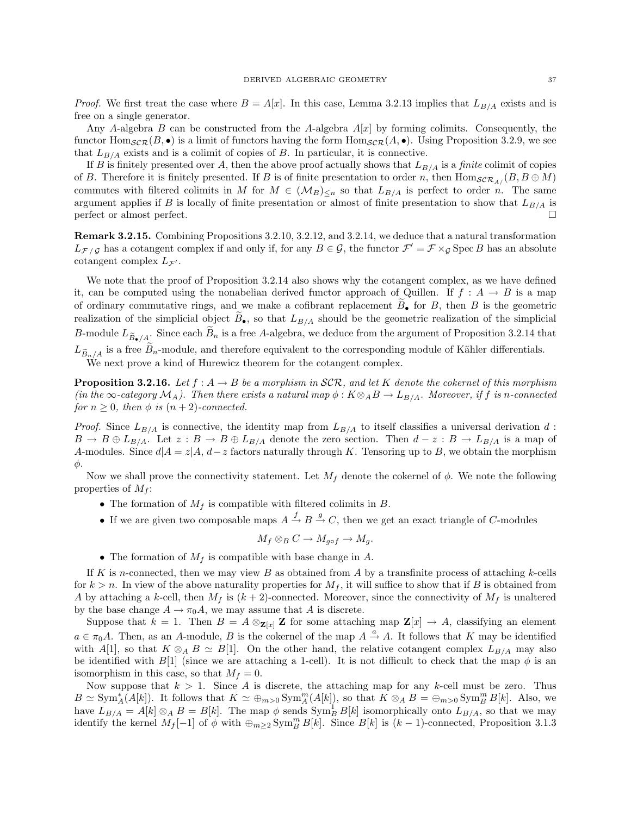*Proof.* We first treat the case where  $B = A[x]$ . In this case, Lemma 3.2.13 implies that  $L_{B/A}$  exists and is free on a single generator.

Any A-algebra B can be constructed from the A-algebra  $A[x]$  by forming colimits. Consequently, the functor  $\text{Hom}_{\mathcal{SCR}}(B, \bullet)$  is a limit of functors having the form  $\text{Hom}_{\mathcal{SCR}}(A, \bullet)$ . Using Proposition 3.2.9, we see that  $L_{B/A}$  exists and is a colimit of copies of B. In particular, it is connective.

If B is finitely presented over A, then the above proof actually shows that  $L_{B/A}$  is a *finite* colimit of copies of B. Therefore it is finitely presented. If B is of finite presentation to order n, then  $\text{Hom}_{\mathcal{SCR}_A}(B, B \oplus M)$ commutes with filtered colimits in M for  $M \in (\mathcal{M}_B)_{\leq n}$  so that  $L_{B/A}$  is perfect to order n. The same argument applies if B is locally of finite presentation or almost of finite presentation to show that  $L_{B/A}$  is perfect or almost perfect.

Remark 3.2.15. Combining Propositions 3.2.10, 3.2.12, and 3.2.14, we deduce that a natural transformation  $L_{\mathcal{F}/\mathcal{G}}$  has a cotangent complex if and only if, for any  $B \in \mathcal{G}$ , the functor  $\mathcal{F}' = \mathcal{F} \times_{\mathcal{G}} \text{Spec } B$  has an absolute cotangent complex  $L_{\mathcal{F}}$ .

We note that the proof of Proposition 3.2.14 also shows why the cotangent complex, as we have defined it, can be computed using the nonabelian derived functor approach of Quillen. If  $f : A \rightarrow B$  is a map of ordinary commutative rings, and we make a cofibrant replacement  $B_{\bullet}$  for B, then B is the geometric realization of the simplicial object  $\widetilde{B}_{\bullet}$ , so that  $L_{B/A}$  should be the geometric realization of the simplicial B-module  $L_{\widetilde{B}_\bullet/A}$ . Since each  $\widetilde{B}_n$  is a free A-algebra, we deduce from the argument of Proposition 3.2.14 that

 $L_{\tilde{B}_n/A}$  is a free  $B_n$ -module, and therefore equivalent to the corresponding module of Kähler differentials.

We next prove a kind of Hurewicz theorem for the cotangent complex.

**Proposition 3.2.16.** Let  $f : A \to B$  be a morphism in SCR, and let K denote the cokernel of this morphism (in the  $\infty$ -category  $\mathcal{M}_A$ ). Then there exists a natural map  $\phi : K \otimes_A B \to L_{B/A}$ . Moreover, if f is n-connected for  $n \geq 0$ , then  $\phi$  is  $(n+2)$ -connected.

*Proof.* Since  $L_{B/A}$  is connective, the identity map from  $L_{B/A}$  to itself classifies a universal derivation d:  $B \to B \oplus L_{B/A}$ . Let  $z : B \to B \oplus L_{B/A}$  denote the zero section. Then  $d-z : B \to L_{B/A}$  is a map of A-modules. Since  $d|A = z|A$ ,  $d-z$  factors naturally through K. Tensoring up to B, we obtain the morphism φ.

Now we shall prove the connectivity statement. Let  $M_f$  denote the cokernel of  $\phi$ . We note the following properties of  $M_f$ :

- The formation of  $M_f$  is compatible with filtered colimits in  $B$ .
- If we are given two composable maps  $A \stackrel{f}{\rightarrow} B \stackrel{g}{\rightarrow} C$ , then we get an exact triangle of C-modules

$$
M_f \otimes_B C \to M_{g \circ f} \to M_g.
$$

• The formation of  $M_f$  is compatible with base change in A.

If K is n-connected, then we may view B as obtained from A by a transfinite process of attaching k-cells for  $k > n$ . In view of the above naturality properties for  $M_f$ , it will suffice to show that if B is obtained from A by attaching a k-cell, then  $M_f$  is  $(k+2)$ -connected. Moreover, since the connectivity of  $M_f$  is unaltered by the base change  $A \to \pi_0 A$ , we may assume that A is discrete.

Suppose that  $k = 1$ . Then  $B = A \otimes_{\mathbf{Z}[x]} \mathbf{Z}$  for some attaching map  $\mathbf{Z}[x] \to A$ , classifying an element  $a \in \pi_0 A$ . Then, as an A-module, B is the cokernel of the map  $A \stackrel{a}{\rightarrow} A$ . It follows that K may be identified with A[1], so that  $K \otimes_A B \simeq B[1]$ . On the other hand, the relative cotangent complex  $L_{B/A}$  may also be identified with  $B[1]$  (since we are attaching a 1-cell). It is not difficult to check that the map  $\phi$  is an isomorphism in this case, so that  $M_f = 0$ .

Now suppose that  $k > 1$ . Since A is discrete, the attaching map for any k-cell must be zero. Thus  $B \simeq \text{Sym}_{A}^{*}(A[k])$ . It follows that  $K \simeq \bigoplus_{m>0} \text{Sym}_{A}^{m}(A[k])$ , so that  $K \otimes_{A} B = \bigoplus_{m>0} \text{Sym}_{B}^{m}B[k]$ . Also, we have  $L_{B/A} = A[k] \otimes_A B = B[k]$ . The map  $\phi$  sends  $\text{Sym}_B^1 B[k]$  isomorphically onto  $L_{B/A}$ , so that we may identify the kernel  $M_f[-1]$  of  $\phi$  with  $\oplus_{m\geq 2} \text{Sym}_B^m B[k]$ . Since  $B[k]$  is  $(k-1)$ -connected, Proposition 3.1.3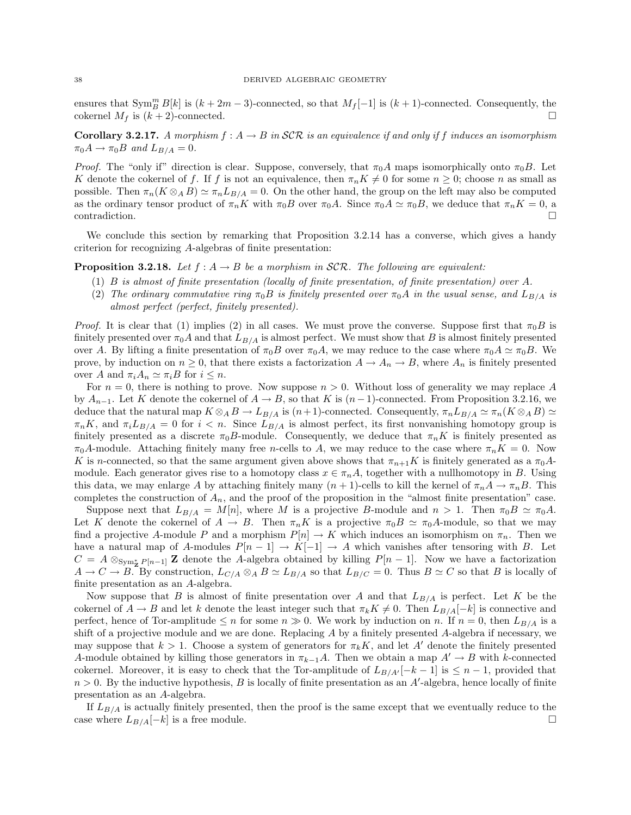ensures that  $\text{Sym}_{B}^{m} B[k]$  is  $(k+2m-3)$ -connected, so that  $M_f[-1]$  is  $(k+1)$ -connected. Consequently, the cokernel  $M_f$  is  $(k+2)$ -connected.

**Corollary 3.2.17.** A morphism  $f : A \to B$  in SCR is an equivalence if and only if f induces an isomorphism  $\pi_0 A \rightarrow \pi_0 B$  and  $L_{B/A} = 0$ .

*Proof.* The "only if" direction is clear. Suppose, conversely, that  $\pi_0 A$  maps isomorphically onto  $\pi_0 B$ . Let K denote the cokernel of f. If f is not an equivalence, then  $\pi_n K \neq 0$  for some  $n \geq 0$ ; choose n as small as possible. Then  $\pi_n(K \otimes_A B) \simeq \pi_n L_{B/A} = 0$ . On the other hand, the group on the left may also be computed as the ordinary tensor product of  $\pi_n K$  with  $\pi_0 B$  over  $\pi_0 A$ . Since  $\pi_0 A \simeq \pi_0 B$ , we deduce that  $\pi_n K = 0$ , a contradiction.

We conclude this section by remarking that Proposition 3.2.14 has a converse, which gives a handy criterion for recognizing A-algebras of finite presentation:

**Proposition 3.2.18.** Let  $f : A \rightarrow B$  be a morphism in SCR. The following are equivalent:

- (1)  $B$  is almost of finite presentation (locally of finite presentation, of finite presentation) over  $A$ .
- (2) The ordinary commutative ring  $\pi_0B$  is finitely presented over  $\pi_0A$  in the usual sense, and  $L_{B/A}$  is almost perfect (perfect, finitely presented).

*Proof.* It is clear that (1) implies (2) in all cases. We must prove the converse. Suppose first that  $\pi_0 B$  is finitely presented over  $\pi_0 A$  and that  $L_{B/A}$  is almost perfect. We must show that B is almost finitely presented over A. By lifting a finite presentation of  $\pi_0 B$  over  $\pi_0 A$ , we may reduce to the case where  $\pi_0 A \simeq \pi_0 B$ . We prove, by induction on  $n \geq 0$ , that there exists a factorization  $A \to A_n \to B$ , where  $A_n$  is finitely presented over A and  $\pi_i A_n \simeq \pi_i B$  for  $i \leq n$ .

For  $n = 0$ , there is nothing to prove. Now suppose  $n > 0$ . Without loss of generality we may replace A by  $A_{n-1}$ . Let K denote the cokernel of  $A \to B$ , so that K is  $(n-1)$ -connected. From Proposition 3.2.16, we deduce that the natural map  $K \otimes_A B \to L_{B/A}$  is  $(n+1)$ -connected. Consequently,  $\pi_n L_{B/A} \simeq \pi_n (K \otimes_A B) \simeq$  $\pi_n K$ , and  $\pi_i L_{B/A} = 0$  for  $i < n$ . Since  $L_{B/A}$  is almost perfect, its first nonvanishing homotopy group is finitely presented as a discrete  $\pi_0 B$ -module. Consequently, we deduce that  $\pi_n K$  is finitely presented as  $\pi_0A$ -module. Attaching finitely many free n-cells to A, we may reduce to the case where  $\pi_nK = 0$ . Now K is n-connected, so that the same argument given above shows that  $\pi_{n+1}K$  is finitely generated as a  $\pi_0A$ module. Each generator gives rise to a homotopy class  $x \in \pi_n A$ , together with a nullhomotopy in B. Using this data, we may enlarge A by attaching finitely many  $(n+1)$ -cells to kill the kernel of  $\pi_n A \to \pi_n B$ . This completes the construction of  $A_n$ , and the proof of the proposition in the "almost finite presentation" case.

Suppose next that  $L_{B/A} = M[n]$ , where M is a projective B-module and  $n > 1$ . Then  $\pi_0 B \simeq \pi_0 A$ . Let K denote the cokernel of  $A \to B$ . Then  $\pi_n K$  is a projective  $\pi_0 B \simeq \pi_0 A$ -module, so that we may find a projective A-module P and a morphism  $P[n] \to K$  which induces an isomorphism on  $\pi_n$ . Then we have a natural map of A-modules  $P[n-1] \to K[-1] \to A$  which vanishes after tensoring with B. Let  $C = A \otimes_{Sym_{\mathbf{Z}}^* P[n-1]} \mathbf{Z}$  denote the A-algebra obtained by killing  $P[n-1]$ . Now we have a factorization  $A \to C \to B$ . By construction,  $L_{C/A} \otimes_A B \simeq L_{B/A}$  so that  $L_{B/C} = 0$ . Thus  $B \simeq C$  so that B is locally of finite presentation as an A-algebra.

Now suppose that B is almost of finite presentation over A and that  $L_{B/A}$  is perfect. Let K be the cokernel of  $A \to B$  and let k denote the least integer such that  $\pi_k K \neq 0$ . Then  $L_{B/A}[-k]$  is connective and perfect, hence of Tor-amplitude  $\leq n$  for some  $n \geq 0$ . We work by induction on n. If  $n = 0$ , then  $L_{B/A}$  is a shift of a projective module and we are done. Replacing A by a finitely presented A-algebra if necessary, we may suppose that  $k > 1$ . Choose a system of generators for  $\pi_k K$ , and let A' denote the finitely presented A-module obtained by killing those generators in  $\pi_{k-1}A$ . Then we obtain a map  $A' \to B$  with k-connected cokernel. Moreover, it is easy to check that the Tor-amplitude of  $L_{B/A'}[-k-1]$  is  $\leq n-1$ , provided that  $n > 0$ . By the inductive hypothesis, B is locally of finite presentation as an A'-algebra, hence locally of finite presentation as an A-algebra.

If  $L_{B/A}$  is actually finitely presented, then the proof is the same except that we eventually reduce to the case where  $L_{B/A}[-k]$  is a free module.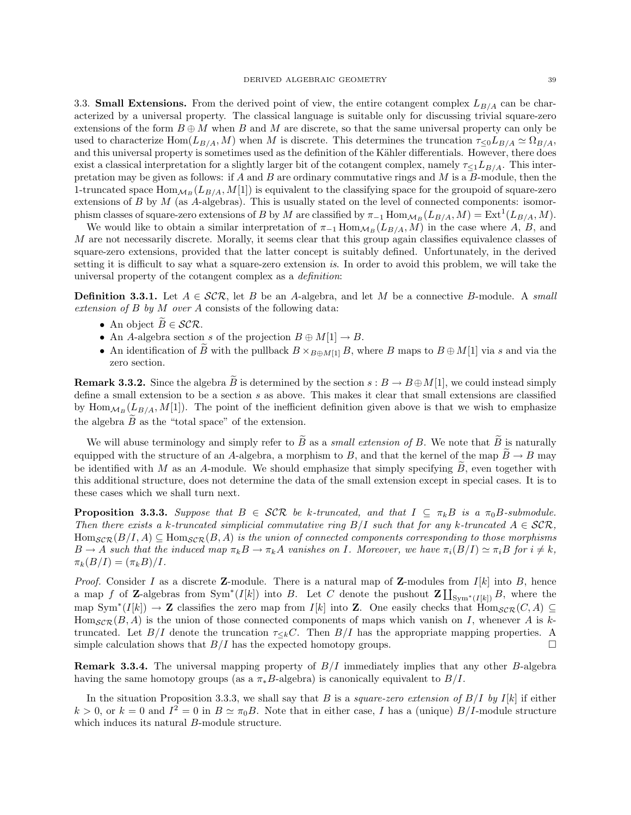3.3. **Small Extensions.** From the derived point of view, the entire cotangent complex  $L_{B/A}$  can be characterized by a universal property. The classical language is suitable only for discussing trivial square-zero extensions of the form  $B \oplus M$  when B and M are discrete, so that the same universal property can only be used to characterize Hom( $L_{B/A}$ , M) when M is discrete. This determines the truncation  $\tau_{\leq 0}L_{B/A} \simeq \Omega_{B/A}$ , and this universal property is sometimes used as the definition of the Kähler differentials. However, there does exist a classical interpretation for a slightly larger bit of the cotangent complex, namely  $\tau_{\leq 1}L_{B/A}$ . This interpretation may be given as follows: if A and B are ordinary commutative rings and  $M$  is a B-module, then the 1-truncated space  $\text{Hom}_{\mathcal{M}_B}(L_{B/A}, M[1])$  is equivalent to the classifying space for the groupoid of square-zero extensions of B by  $M$  (as A-algebras). This is usually stated on the level of connected components: isomorphism classes of square-zero extensions of B by M are classified by  $\pi_{-1}$  Hom $_{\mathcal{M}_B}(L_{B/A}, M) = \text{Ext}^1(L_{B/A}, M)$ .

We would like to obtain a similar interpretation of  $\pi_{-1}$  Hom $_{\mathcal{M}_B}(L_{B/A}, M)$  in the case where A, B, and M are not necessarily discrete. Morally, it seems clear that this group again classifies equivalence classes of square-zero extensions, provided that the latter concept is suitably defined. Unfortunately, in the derived setting it is difficult to say what a square-zero extension is. In order to avoid this problem, we will take the universal property of the cotangent complex as a definition:

**Definition 3.3.1.** Let  $A \in \mathcal{SCR}$ , let B be an A-algebra, and let M be a connective B-module. A small extension of B by M over A consists of the following data:

- An object  $B \in \mathcal{SCR}$ .
- An A-algebra section s of the projection  $B \oplus M[1] \rightarrow B$ .
- An identification of B with the pullback  $B \times_{B \oplus M[1]} B$ , where B maps to  $B \oplus M[1]$  via s and via the zero section.

**Remark 3.3.2.** Since the algebra B is determined by the section  $s : B \to B \oplus M[1]$ , we could instead simply define a small extension to be a section s as above. This makes it clear that small extensions are classified by  $\text{Hom}_{\mathcal{M}_B}(L_{B/A}, M[1])$ . The point of the inefficient definition given above is that we wish to emphasize the algebra  $\widetilde{B}$  as the "total space" of the extension.

We will abuse terminology and simply refer to  $\widetilde{B}$  as a *small extension of B*. We note that  $\widetilde{B}$  is naturally equipped with the structure of an A-algebra, a morphism to B, and that the kernel of the map  $\tilde{B} \to B$  may be identified with M as an A-module. We should emphasize that simply specifying  $\tilde{B}$ , even together with this additional structure, does not determine the data of the small extension except in special cases. It is to these cases which we shall turn next.

**Proposition 3.3.3.** Suppose that  $B \in \mathcal{SCR}$  be k-truncated, and that  $I \subseteq \pi_k B$  is a  $\pi_0 B$ -submodule. Then there exists a k-truncated simplicial commutative ring  $B/I$  such that for any k-truncated  $A \in \mathcal{SCR}$ ,  $\text{Hom}_{\mathcal{SCR}}(B/I, A) \subseteq \text{Hom}_{\mathcal{SCR}}(B, A)$  is the union of connected components corresponding to those morphisms  $B \to A$  such that the induced map  $\pi_k B \to \pi_k A$  vanishes on I. Moreover, we have  $\pi_i(B/I) \simeq \pi_i B$  for  $i \neq k$ ,  $\pi_k(B/I) = (\pi_k B)/I.$ 

*Proof.* Consider I as a discrete **Z**-module. There is a natural map of **Z**-modules from  $I[k]$  into B, hence a map f of Z-algebras from Sym<sup>\*</sup>(I[k]) into B. Let C denote the pushout  $\mathbf{Z}[\mathbf{I}_{\text{Sym}^*(I[k])}B]$ , where the map  $Sym^*(I[k]) \to \mathbb{Z}$  classifies the zero map from  $I[k]$  into  $\mathbb{Z}$ . One easily checks that  $Hom_{\mathcal{SCR}}(C, A) \subseteq$  $\text{Hom}_{\mathcal{SCR}}(B, A)$  is the union of those connected components of maps which vanish on I, whenever A is ktruncated. Let  $B/I$  denote the truncation  $\tau_{\leq k}C$ . Then  $B/I$  has the appropriate mapping properties. A simple calculation shows that  $B/I$  has the expected homotopy groups.

**Remark 3.3.4.** The universal mapping property of  $B/I$  immediately implies that any other B-algebra having the same homotopy groups (as a  $\pi_* B$ -algebra) is canonically equivalent to  $B/I$ .

In the situation Proposition 3.3.3, we shall say that B is a *square-zero extension of B/I by I[k]* if either  $k > 0$ , or  $k = 0$  and  $I^2 = 0$  in  $B \simeq \pi_0 B$ . Note that in either case, I has a (unique)  $B/I$ -module structure which induces its natural B-module structure.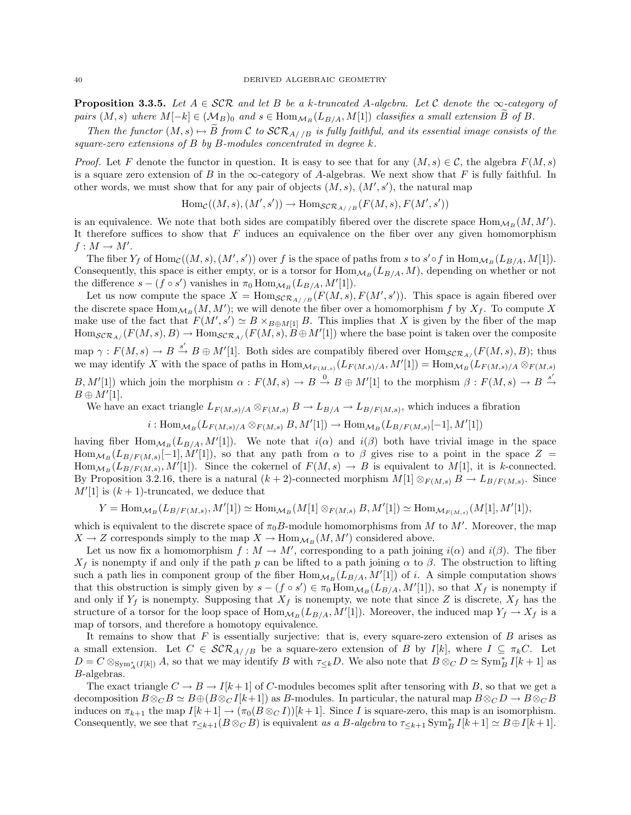**Proposition 3.3.5.** Let  $A \in \mathcal{SCR}$  and let B be a k-truncated A-algebra. Let C denote the  $\infty$ -category of pairs  $(M, s)$  where  $M[-k] \in (\mathcal{M}_B)_0$  and  $s \in \text{Hom}_{\mathcal{M}_B}(L_{B/A}, M[1])$  classifies a small extension  $\widetilde{B}$  of B.

Then the functor  $(M, s) \mapsto \widetilde{B}$  from C to  $\mathcal{SCR}_{A//B}$  is fully faithful, and its essential image consists of the square-zero extensions of  $B$  by  $B$ -modules concentrated in degree  $k$ .

*Proof.* Let F denote the functor in question. It is easy to see that for any  $(M, s) \in \mathcal{C}$ , the algebra  $F(M, s)$ is a square zero extension of B in the  $\infty$ -category of A-algebras. We next show that F is fully faithful. In other words, we must show that for any pair of objects  $(M, s)$ ,  $(M', s')$ , the natural map

$$
\text{Hom}_{\mathcal{C}}((M,s),(M',s')) \to \text{Hom}_{\mathcal{SCR}_{A//B}}(F(M,s),F(M',s'))
$$

is an equivalence. We note that both sides are compatibly fibered over the discrete space  $\text{Hom}_{\mathcal{M}_B}(M, M').$ It therefore suffices to show that  $F$  induces an equivalence on the fiber over any given homomorphism  $f: M \to M'.$ 

The fiber  $Y_f$  of  $\text{Hom}_{\mathcal{C}}((M, s), (M', s'))$  over f is the space of paths from s to  $s' \circ f$  in  $\text{Hom}_{\mathcal{M}_B}(L_{B/A}, M[1])$ . Consequently, this space is either empty, or is a torsor for  $\text{Hom}_{\mathcal{M}_B}(L_{B/A}, M)$ , depending on whether or not the difference  $s - (f \circ s')$  vanishes in  $\pi_0 \text{Hom}_{\mathcal{M}_B}(L_{B/A}, M'[1]).$ 

Let us now compute the space  $X = \text{Hom}_{\mathcal{SCR}_{A//B}}(F(M, s), F(M', s'))$ . This space is again fibered over the discrete space  $\text{Hom}_{\mathcal{M}_B}(M, M')$ ; we will denote the fiber over a homomorphism f by  $X_f$ . To compute X make use of the fact that  $F(M', s') \simeq B \times_{B \oplus M[1]} B$ . This implies that X is given by the fiber of the map  $\text{Hom}_{\mathcal{SCR}_A/F}(M, s), B) \to \text{Hom}_{\mathcal{SCR}_{A/F}}(F(M, s), B \oplus M'[1])$  where the base point is taken over the composite map  $\gamma: F(M, s) \to B \stackrel{s'}{\to} B \oplus M'[1]$ . Both sides are compatibly fibered over  $\text{Hom}_{\mathcal{SCR}_A/F}(M, s), B)$ ; thus we may identify X with the space of paths in  $\text{Hom}_{\mathcal{M}_{F(M,s)}}(L_{F(M,s)/A}, M'[1]) = \text{Hom}_{\mathcal{M}_B}(L_{F(M,s)/A} \otimes_{F(M,s)} M')$  $B, M'[1]$  which join the morphism  $\alpha : F(M, s) \to B \stackrel{0}{\to} B \oplus M'[1]$  to the morphism  $\beta : F(M, s) \to B \stackrel{s'}{\to}$  $B \oplus M'[1]$ .

We have an exact triangle  $L_{F(M,s)/A} \otimes_{F(M,s)} B \to L_{B/A} \to L_{B/F(M,s)}$ , which induces a fibration

$$
i: \operatorname{Hom}_{\mathcal{M}_B}(L_{F(M,s)/A} \otimes_{F(M,s)} B, M'[1]) \to \operatorname{Hom}_{\mathcal{M}_B}(L_{B/F(M,s)}[-1], M'[1])
$$

having fiber  $\text{Hom}_{M_B}(L_{B/A}, M'[1])$ . We note that  $i(\alpha)$  and  $i(\beta)$  both have trivial image in the space  $\text{Hom}_{\mathcal{M}_B}(L_{B/F(M,s)}[-1], \dot{M}'[1]),$  so that any path from  $\alpha$  to  $\beta$  gives rise to a point in the space  $Z =$  $\text{Hom}_{\mathcal{M}_B}(L_{B/F(M,s)}, M'[1])$ . Since the cokernel of  $F(M, s) \to B$  is equivalent to  $M[1]$ , it is k-connected. By Proposition 3.2.16, there is a natural  $(k+2)$ -connected morphism  $M[1] \otimes_{F(M,s)} B \to L_{B/F(M,s)}$ . Since  $M'[1]$  is  $(k + 1)$ -truncated, we deduce that

$$
Y = \text{Hom}_{\mathcal{M}_B}(L_{B/F(M,s)}, M'[1]) \simeq \text{Hom}_{\mathcal{M}_B}(M[1] \otimes_{F(M,s)} B, M'[1]) \simeq \text{Hom}_{\mathcal{M}_{F(M,s)}}(M[1], M'[1]),
$$

which is equivalent to the discrete space of  $\pi_0 B$ -module homomorphisms from M to M'. Moreover, the map  $X \to Z$  corresponds simply to the map  $X \to \text{Hom}_{\mathcal{M}_B}(M, M')$  considered above.

Let us now fix a homomorphism  $f : M \to M'$ , corresponding to a path joining  $i(\alpha)$  and  $i(\beta)$ . The fiber  $X_f$  is nonempty if and only if the path p can be lifted to a path joining  $\alpha$  to  $\beta$ . The obstruction to lifting such a path lies in component group of the fiber  $\text{Hom}_{\mathcal{M}_B}(L_{B/A}, M'[1])$  of *i*. A simple computation shows that this obstruction is simply given by  $s - (f \circ s') \in \pi_0 \text{Hom}_{\mathcal{M}_B}(L_{B/A}, M'[1])$ , so that  $X_f$  is nonempty if and only if  $Y_f$  is nonempty. Supposing that  $X_f$  is nonempty, we note that since Z is discrete,  $X_f$  has the structure of a torsor for the loop space of  $\text{Hom}_{\mathcal{M}_B}(L_{B/A}, M'[1])$ . Moreover, the induced map  $Y_f \to X_f$  is a map of torsors, and therefore a homotopy equivalence.

It remains to show that  $F$  is essentially surjective: that is, every square-zero extension of  $B$  arises as a small extension. Let  $C \in \mathcal{SCR}_{A//B}$  be a square-zero extension of B by  $I[k]$ , where  $I \subseteq \pi_k C$ . Let  $D = C \otimes_{\text{Sym}_{A}^{*}(I[k])} A$ , so that we may identify B with  $\tau_{\leq k}D$ . We also note that  $B \otimes_{C} D \simeq \text{Sym}_{B}^{*} I[k+1]$  as B-algebras.

The exact triangle  $C \to B \to I[k+1]$  of C-modules becomes split after tensoring with B, so that we get a decomposition  $B \otimes_C B \simeq B \oplus (B \otimes_C I[k+1])$  as B-modules. In particular, the natural map  $B \otimes_C D \to B \otimes_C B$ induces on  $\pi_{k+1}$  the map  $I[k+1] \to (\pi_0(B \otimes_C I))[k+1]$ . Since I is square-zero, this map is an isomorphism. Consequently, we see that  $\tau_{\leq k+1}(B \otimes_C B)$  is equivalent as a B-algebra to  $\tau_{\leq k+1}$  Sym<sup>\*</sup><sub>B</sub> I[k+1]  $\simeq B \oplus I[k+1]$ .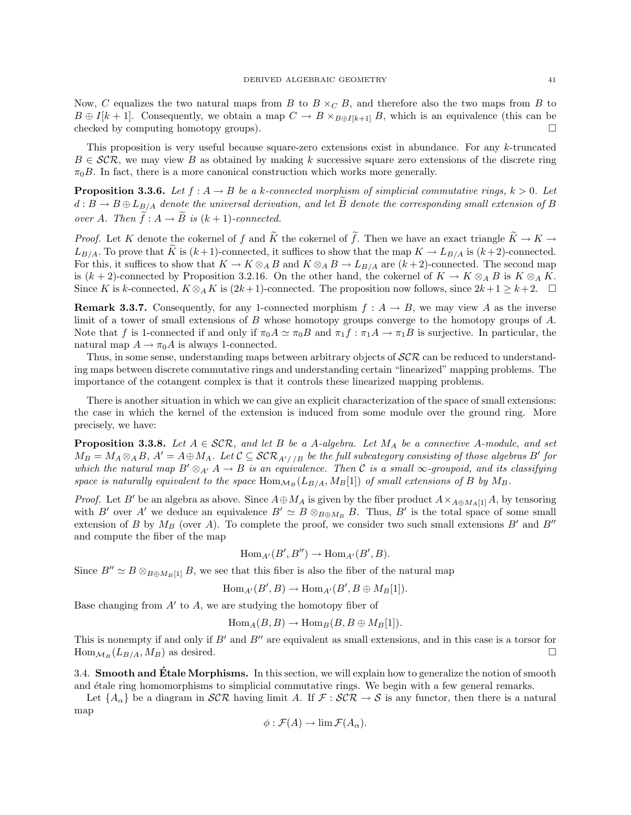Now, C equalizes the two natural maps from B to  $B \times_C B$ , and therefore also the two maps from B to  $B \oplus I[k+1]$ . Consequently, we obtain a map  $C \to B \times_{B \oplus I[k+1]} B$ , which is an equivalence (this can be checked by computing homotopy groups).

This proposition is very useful because square-zero extensions exist in abundance. For any k-truncated  $B \in \mathcal{SCR}$ , we may view B as obtained by making k successive square zero extensions of the discrete ring  $\pi_0 B$ . In fact, there is a more canonical construction which works more generally.

**Proposition 3.3.6.** Let  $f : A \rightarrow B$  be a k-connected morphism of simplicial commutative rings,  $k > 0$ . Let  $d: B \to B \oplus L_{B/A}$  denote the universal derivation, and let  $\widetilde{B}$  denote the corresponding small extension of B over A. Then  $\tilde{f}: A \to \tilde{B}$  is  $(k+1)$ -connected.

*Proof.* Let K denote the cokernel of f and  $\widetilde{K}$  the cokernel of  $\widetilde{f}$ . Then we have an exact triangle  $\widetilde{K} \to K \to$  $L_{B/A}$ . To prove that  $\tilde{K}$  is  $(k+1)$ -connected, it suffices to show that the map  $K \to L_{B/A}$  is  $(k+2)$ -connected. For this, it suffices to show that  $K \to K \otimes_A B$  and  $K \otimes_A B \to L_{B/A}$  are  $(k+2)$ -connected. The second map is  $(k+2)$ -connected by Proposition 3.2.16. On the other hand, the cokernel of  $K \to K \otimes_A B$  is  $K \otimes_A K$ . Since K is k-connected,  $K \otimes_A K$  is  $(2k+1)$ -connected. The proposition now follows, since  $2k+1 \geq k+2$ .  $\Box$ 

**Remark 3.3.7.** Consequently, for any 1-connected morphism  $f : A \rightarrow B$ , we may view A as the inverse limit of a tower of small extensions of B whose homotopy groups converge to the homotopy groups of A. Note that f is 1-connected if and only if  $\pi_0 A \simeq \pi_0 B$  and  $\pi_1 f : \pi_1 A \to \pi_1 B$  is surjective. In particular, the natural map  $A \to \pi_0 A$  is always 1-connected.

Thus, in some sense, understanding maps between arbitrary objects of  $SCR$  can be reduced to understanding maps between discrete commutative rings and understanding certain "linearized" mapping problems. The importance of the cotangent complex is that it controls these linearized mapping problems.

There is another situation in which we can give an explicit characterization of the space of small extensions: the case in which the kernel of the extension is induced from some module over the ground ring. More precisely, we have:

**Proposition 3.3.8.** Let  $A \in \mathcal{SCR}$ , and let B be a A-algebra. Let  $M_A$  be a connective A-module, and set  $M_B = M_A \otimes_A B$ ,  $A' = A \oplus M_A$ . Let  $C \subseteq \mathcal{SCR}_{A'/B}$  be the full subcategory consisting of those algebras B' for which the natural map  $B' \otimes_{A'} A \to B$  is an equivalence. Then C is a small  $\infty$ -groupoid, and its classifying space is naturally equivalent to the space  $\text{Hom}_{\mathcal{M}_B}(L_{B/A}, M_B[1])$  of small extensions of B by  $M_B$ .

*Proof.* Let B' be an algebra as above. Since  $A \oplus M_A$  is given by the fiber product  $A \times_{A \oplus M_A[1]} A$ , by tensoring with B' over A' we deduce an equivalence  $B' \simeq B \otimes_{B \oplus M_B} B$ . Thus, B' is the total space of some small extension of B by  $M_B$  (over A). To complete the proof, we consider two such small extensions B' and B'' and compute the fiber of the map

$$
\operatorname{Hom}_{A'}(B',B'') \to \operatorname{Hom}_{A'}(B',B).
$$

Since  $B'' \simeq B \otimes_{B \oplus M_B[1]} B$ , we see that this fiber is also the fiber of the natural map

$$
\text{Hom}_{A'}(B',B)\to\text{Hom}_{A'}(B',B\oplus M_B[1]).
$$

Base changing from  $A'$  to  $A$ , we are studying the homotopy fiber of

$$
Hom_A(B, B) \to Hom_B(B, B \oplus M_B[1]).
$$

This is nonempty if and only if  $B'$  and  $B''$  are equivalent as small extensions, and in this case is a torsor for  $\text{Hom}_{\mathcal{M}_B}(L_{B/A}, M_B)$  as desired.

3.4. Smooth and Etale Morphisms. In this section, we will explain how to generalize the notion of smooth and étale ring homomorphisms to simplicial commutative rings. We begin with a few general remarks.

Let  $\{A_\alpha\}$  be a diagram in  $\mathcal{SCR}$  having limit A. If  $\mathcal{F}: \mathcal{SCR} \to \mathcal{S}$  is any functor, then there is a natural map

$$
\phi : \mathcal{F}(A) \to \lim \mathcal{F}(A_{\alpha}).
$$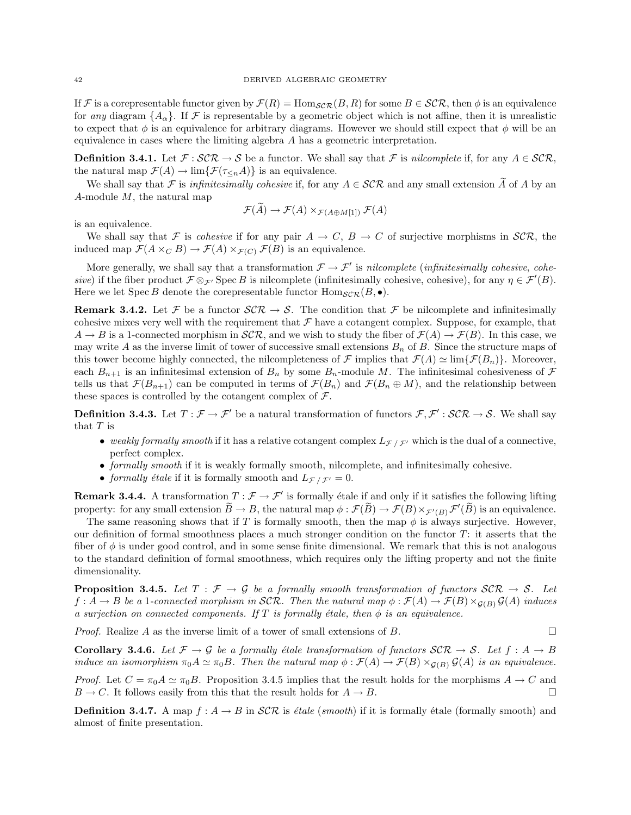If F is a corepresentable functor given by  $\mathcal{F}(R) = \text{Hom}_{\mathcal{SCR}}(B, R)$  for some  $B \in \mathcal{SCR}$ , then  $\phi$  is an equivalence for any diagram  $\{A_{\alpha}\}\.$  If F is representable by a geometric object which is not affine, then it is unrealistic to expect that  $\phi$  is an equivalence for arbitrary diagrams. However we should still expect that  $\phi$  will be an equivalence in cases where the limiting algebra A has a geometric interpretation.

**Definition 3.4.1.** Let  $\mathcal{F} : \mathcal{SCR} \to \mathcal{S}$  be a functor. We shall say that  $\mathcal{F}$  is *nilcomplete* if, for any  $A \in \mathcal{SCR}$ , the natural map  $\mathcal{F}(A) \to \lim{\{\mathcal{F}(\tau_{\leq n}A)\}}$  is an equivalence.

We shall say that F is *infinitesimally cohesive* if, for any  $A \in \mathcal{SCR}$  and any small extension  $\widetilde{A}$  of A by an A-module  $M$ , the natural map

$$
\mathcal{F}(\widetilde{A}) \to \mathcal{F}(A) \times_{\mathcal{F}(A \oplus M[1])} \mathcal{F}(A)
$$

is an equivalence.

We shall say that F is *cohesive* if for any pair  $A \to C$ ,  $B \to C$  of surjective morphisms in  $\mathcal{SCR}$ , the induced map  $\mathcal{F}(A \times_C B) \to \mathcal{F}(A) \times_{\mathcal{F}(C)} \mathcal{F}(B)$  is an equivalence.

More generally, we shall say that a transformation  $\mathcal{F} \to \mathcal{F}'$  is nilcomplete (infinitesimally cohesive, cohesive) if the fiber product  $\mathcal{F} \otimes_{\mathcal{F}'} \text{Spec } B$  is nilcomplete (infinitesimally cohesive, cohesive), for any  $\eta \in \mathcal{F}'(B)$ . Here we let Spec B denote the corepresentable functor  $\text{Hom}_{\mathcal{SCR}}(B, \bullet)$ .

**Remark 3.4.2.** Let F be a functor  $\mathcal{SCR} \to \mathcal{S}$ . The condition that F be nilcomplete and infinitesimally cohesive mixes very well with the requirement that  $\mathcal F$  have a cotangent complex. Suppose, for example, that  $A \to B$  is a 1-connected morphism in  $\mathcal{SCR}$ , and we wish to study the fiber of  $\mathcal{F}(A) \to \mathcal{F}(B)$ . In this case, we may write A as the inverse limit of tower of successive small extensions  $B_n$  of B. Since the structure maps of this tower become highly connected, the nilcompleteness of F implies that  $\mathcal{F}(A) \simeq \lim \{ \mathcal{F}(B_n) \}$ . Moreover, each  $B_{n+1}$  is an infinitesimal extension of  $B_n$  by some  $B_n$ -module M. The infinitesimal cohesiveness of  $\mathcal F$ tells us that  $\mathcal{F}(B_{n+1})$  can be computed in terms of  $\mathcal{F}(B_n)$  and  $\mathcal{F}(B_n \oplus M)$ , and the relationship between these spaces is controlled by the cotangent complex of  $\mathcal{F}$ .

**Definition 3.4.3.** Let  $T: \mathcal{F} \to \mathcal{F}'$  be a natural transformation of functors  $\mathcal{F}, \mathcal{F}': \mathcal{SCR} \to \mathcal{S}$ . We shall say that  $T$  is

- weakly formally smooth if it has a relative cotangent complex  $L_{\mathcal{F}}/F$  which is the dual of a connective, perfect complex.
- formally smooth if it is weakly formally smooth, nilcomplete, and infinitesimally cohesive.
- formally étale if it is formally smooth and  $L_{\mathcal{F}}$  /  $\mathcal{F}^{\prime} = 0$ .

**Remark 3.4.4.** A transformation  $T : \mathcal{F} \to \mathcal{F}'$  is formally étale if and only if it satisfies the following lifting property: for any small extension  $\widetilde{B} \to B$ , the natural map  $\phi : \mathcal{F}(\widetilde{B}) \to \mathcal{F}(B) \times_{\mathcal{F}'(B)} \mathcal{F}'(\widetilde{B})$  is an equivalence.

The same reasoning shows that if T is formally smooth, then the map  $\phi$  is always surjective. However, our definition of formal smoothness places a much stronger condition on the functor  $T$ : it asserts that the fiber of  $\phi$  is under good control, and in some sense finite dimensional. We remark that this is not analogous to the standard definition of formal smoothness, which requires only the lifting property and not the finite dimensionality.

**Proposition 3.4.5.** Let  $T : \mathcal{F} \to \mathcal{G}$  be a formally smooth transformation of functors  $\mathcal{SCR} \to \mathcal{S}$ . Let  $f: A \to B$  be a 1-connected morphism in SCR. Then the natural map  $\phi: \mathcal{F}(A) \to \mathcal{F}(B) \times_{\mathcal{G}(B)} \mathcal{G}(A)$  induces a surjection on connected components. If T is formally étale, then  $\phi$  is an equivalence.

*Proof.* Realize A as the inverse limit of a tower of small extensions of B.

**Corollary 3.4.6.** Let  $\mathcal{F} \to \mathcal{G}$  be a formally étale transformation of functors  $\mathcal{SCR} \to \mathcal{S}$ . Let  $f : A \to B$ induce an isomorphism  $\pi_0 A \simeq \pi_0 B$ . Then the natural map  $\phi : \mathcal{F}(A) \to \mathcal{F}(B) \times_{\mathcal{G}(B)} \mathcal{G}(A)$  is an equivalence.

*Proof.* Let  $C = \pi_0 A \simeq \pi_0 B$ . Proposition 3.4.5 implies that the result holds for the morphisms  $A \to C$  and  $B \to C$ . It follows easily from this that the result holds for  $A \to B$ .

**Definition 3.4.7.** A map  $f : A \rightarrow B$  in  $\mathcal{SCR}$  is *étale (smooth)* if it is formally *étale (formally smooth)* and almost of finite presentation.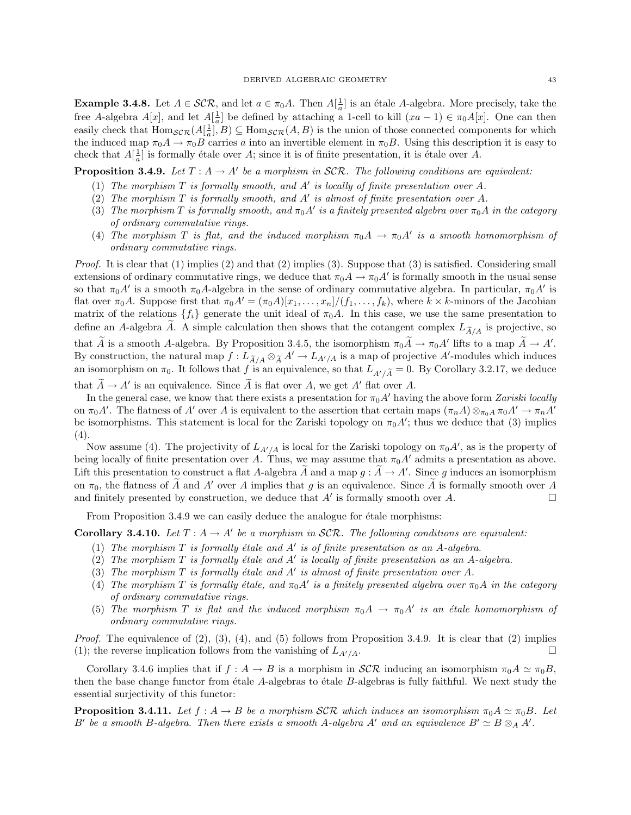**Example 3.4.8.** Let  $A \in \mathcal{SCR}$ , and let  $a \in \pi_0A$ . Then  $A[\frac{1}{a}]$  is an étale A-algebra. More precisely, take the free A-algebra  $A[x]$ , and let  $A[\frac{1}{a}]$  be defined by attaching a 1-cell to kill  $(xa-1) \in \pi_0A[x]$ . One can then easily check that  $\text{Hom}_{\mathcal{SCR}}(A[\frac{1}{a}], B) \subseteq \text{Hom}_{\mathcal{SCR}}(A, B)$  is the union of those connected components for which the induced map  $\pi_0 A \to \pi_0 B$  carries a into an invertible element in  $\pi_0 B$ . Using this description it is easy to check that  $A[\frac{1}{a}]$  is formally étale over A; since it is of finite presentation, it is étale over A.

**Proposition 3.4.9.** Let  $T : A \to A'$  be a morphism in SCR. The following conditions are equivalent:

- (1) The morphism  $T$  is formally smooth, and  $A'$  is locally of finite presentation over  $A$ .
- (2) The morphism  $T$  is formally smooth, and  $A'$  is almost of finite presentation over  $A$ .
- (3) The morphism T is formally smooth, and  $\pi_0 A'$  is a finitely presented algebra over  $\pi_0 A$  in the category of ordinary commutative rings.
- (4) The morphism T is flat, and the induced morphism  $\pi_0 A \to \pi_0 A'$  is a smooth homomorphism of ordinary commutative rings.

*Proof.* It is clear that  $(1)$  implies  $(2)$  and that  $(2)$  implies  $(3)$ . Suppose that  $(3)$  is satisfied. Considering small extensions of ordinary commutative rings, we deduce that  $\pi_0 A \to \pi_0 A'$  is formally smooth in the usual sense so that  $\pi_0 A'$  is a smooth  $\pi_0 A$ -algebra in the sense of ordinary commutative algebra. In particular,  $\pi_0 A'$  is flat over  $\pi_0A$ . Suppose first that  $\pi_0A'=(\pi_0A)[x_1,\ldots,x_n]/(f_1,\ldots,f_k)$ , where  $k\times k$ -minors of the Jacobian matrix of the relations  $\{f_i\}$  generate the unit ideal of  $\pi_0 A$ . In this case, we use the same presentation to define an A-algebra A. A simple calculation then shows that the cotangent complex  $L_{A/A}$  is projective, so

that  $\tilde{A}$  is a smooth A-algebra. By Proposition 3.4.5, the isomorphism  $\pi_0 \tilde{A} \to \pi_0 A'$  lifts to a map  $\tilde{A} \to A'$ . By construction, the natural map  $f : L_{A/A} \otimes_A A' \to L_{A'/A}$  is a map of projective A'-modules which induces an isomorphism on  $\pi_0$ . It follows that f is an equivalence, so that  $L_{A'/\widetilde{A}} = 0$ . By Corollary 3.2.17, we deduce

that  $\widetilde{A} \to A'$  is an equivalence. Since  $\widetilde{A}$  is flat over A, we get A' flat over A.

In the general case, we know that there exists a presentation for  $\pi_0 A'$  having the above form Zariski locally on  $\pi_0 A'$ . The flatness of A' over A is equivalent to the assertion that certain maps  $(\pi_n A) \otimes_{\pi_0 A} \pi_0 A' \to \pi_n A'$ be isomorphisms. This statement is local for the Zariski topology on  $\pi_0 A'$ ; thus we deduce that (3) implies (4).

Now assume (4). The projectivity of  $L_{A'/A}$  is local for the Zariski topology on  $\pi_0 A'$ , as is the property of being locally of finite presentation over A. Thus, we may assume that  $\pi_0 A'$  admits a presentation as above. Lift this presentation to construct a flat A-algebra  $\widetilde{A}$  and a map  $g : \widetilde{A} \to A'$ . Since g induces an isomorphism on  $\pi_0$ , the flatness of A and A' over A implies that g is an equivalence. Since A is formally smooth over A and finitely presented by construction, we deduce that A' is formally smooth over A. and finitely presented by construction, we deduce that  $A'$  is formally smooth over  $A$ .

From Proposition 3.4.9 we can easily deduce the analogue for étale morphisms:

**Corollary 3.4.10.** Let  $T : A \to A'$  be a morphism in SCR. The following conditions are equivalent:

- (1) The morphism  $T$  is formally étale and  $A'$  is of finite presentation as an A-algebra.
- (2) The morphism  $T$  is formally étale and  $A'$  is locally of finite presentation as an  $A$ -algebra.
- (3) The morphism  $T$  is formally étale and  $A'$  is almost of finite presentation over  $A$ .
- (4) The morphism T is formally étale, and  $\pi_0 A'$  is a finitely presented algebra over  $\pi_0 A$  in the category of ordinary commutative rings.
- (5) The morphism T is flat and the induced morphism  $\pi_0 A \to \pi_0 A'$  is an étale homomorphism of ordinary commutative rings.

*Proof.* The equivalence of  $(2)$ ,  $(3)$ ,  $(4)$ , and  $(5)$  follows from Proposition 3.4.9. It is clear that  $(2)$  implies (1); the reverse implication follows from the vanishing of  $L_{A'/A}$ .

Corollary 3.4.6 implies that if  $f : A \to B$  is a morphism in  $\mathcal{SCR}$  inducing an isomorphism  $\pi_0 A \simeq \pi_0 B$ , then the base change functor from étale A-algebras to étale  $B$ -algebras is fully faithful. We next study the essential surjectivity of this functor:

**Proposition 3.4.11.** Let  $f : A \to B$  be a morphism SCR which induces an isomorphism  $\pi_0 A \simeq \pi_0 B$ . Let B' be a smooth B-algebra. Then there exists a smooth A-algebra A' and an equivalence  $B' \simeq B \otimes_A A'$ .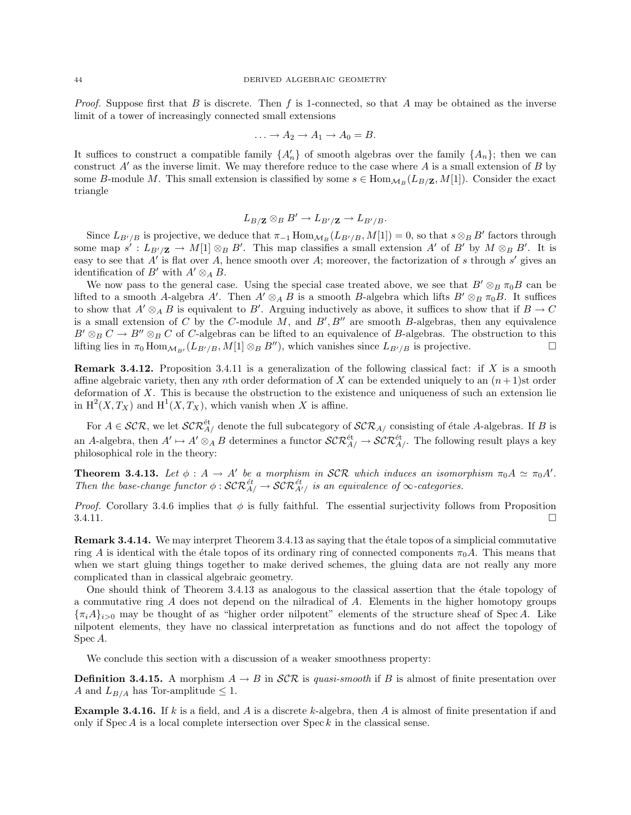*Proof.* Suppose first that B is discrete. Then f is 1-connected, so that A may be obtained as the inverse limit of a tower of increasingly connected small extensions

$$
\ldots \to A_2 \to A_1 \to A_0 = B.
$$

It suffices to construct a compatible family  $\{A'_n\}$  of smooth algebras over the family  $\{A_n\}$ ; then we can construct  $A'$  as the inverse limit. We may therefore reduce to the case where  $A$  is a small extension of  $B$  by some B-module M. This small extension is classified by some  $s \in \text{Hom}_{M_B}(L_{B/\mathbf{Z}}, M[1])$ . Consider the exact triangle

$$
L_{B/\mathbf{Z}} \otimes_B B' \to L_{B'/\mathbf{Z}} \to L_{B'/B}.
$$

Since  $L_{B'/B}$  is projective, we deduce that  $\pi_{-1}$  Hom $_{M_B}(L_{B'/B}, M[1]) = 0$ , so that  $s \otimes_B B'$  factors through some map  $s': L_{B'/\mathbf{Z}} \to M[1] \otimes_B B'$ . This map classifies a small extension A' of B' by  $M \otimes_B B'$ . It is easy to see that  $A'$  is flat over A, hence smooth over A; moreover, the factorization of s through s' gives an identification of B' with  $A' \otimes_A B$ .

We now pass to the general case. Using the special case treated above, we see that  $B' \otimes_B \pi_0 B$  can be lifted to a smooth A-algebra A'. Then  $A' \otimes_A B$  is a smooth B-algebra which lifts  $B' \otimes_B \pi_0 B$ . It suffices to show that  $A' \otimes_A B$  is equivalent to B'. Arguing inductively as above, it suffices to show that if  $B \to C$ is a small extension of C by the C-module  $M$ , and  $B'$ ,  $B''$  are smooth B-algebras, then any equivalence  $B' \otimes_B C \to B'' \otimes_B C$  of C-algebras can be lifted to an equivalence of B-algebras. The obstruction to this lifting lies in  $\pi_0$  Hom $_{\mathcal{M}_{B'}}(L_{B'/B}, M[1] \otimes_B B'')$ , which vanishes since  $L_{B'/B}$  is projective.

**Remark 3.4.12.** Proposition 3.4.11 is a generalization of the following classical fact: if X is a smooth affine algebraic variety, then any nth order deformation of X can be extended uniquely to an  $(n + 1)$ st order deformation of X. This is because the obstruction to the existence and uniqueness of such an extension lie in  $H^2(X, T_X)$  and  $H^1(X, T_X)$ , which vanish when X is affine.

For  $A \in \mathcal{SCR}$ , we let  $\mathcal{SCR}_{A}^{\text{\'et}}$  denote the full subcategory of  $\mathcal{SCR}_{A}$  consisting of étale A-algebras. If B is an A-algebra, then  $A' \mapsto A' \otimes_A B$  determines a functor  $\mathcal{SCR}_{A/}^{\text{\'et}} \to \mathcal{SCR}_{A/}^{\text{\'et}}$ . The following result plays a key philosophical role in the theory:

**Theorem 3.4.13.** Let  $\phi : A \to A'$  be a morphism in SCR which induces an isomorphism  $\pi_0 A \simeq \pi_0 A'$ . Then the base-change functor  $\phi: \mathcal{SCR}^{\text{\'et}}_{A/} \to \mathcal{SCR}^{\text{\'et}}_{A/}$  is an equivalence of  $\infty$ -categories.

*Proof.* Corollary 3.4.6 implies that  $\phi$  is fully faithful. The essential surjectivity follows from Proposition  $3.4.11.$ 

**Remark 3.4.14.** We may interpret Theorem 3.4.13 as saying that the étale topos of a simplicial commutative ring A is identical with the étale topos of its ordinary ring of connected components  $\pi_0 A$ . This means that when we start gluing things together to make derived schemes, the gluing data are not really any more complicated than in classical algebraic geometry.

One should think of Theorem 3.4.13 as analogous to the classical assertion that the étale topology of a commutative ring A does not depend on the nilradical of A. Elements in the higher homotopy groups  ${\lbrace \pi_i A \rbrace}_{i>0}$  may be thought of as "higher order nilpotent" elements of the structure sheaf of Spec A. Like nilpotent elements, they have no classical interpretation as functions and do not affect the topology of Spec A.

We conclude this section with a discussion of a weaker smoothness property:

**Definition 3.4.15.** A morphism  $A \to B$  in  $\mathcal{SCR}$  is quasi-smooth if B is almost of finite presentation over A and  $L_{B/A}$  has Tor-amplitude  $\leq 1$ .

**Example 3.4.16.** If k is a field, and A is a discrete k-algebra, then A is almost of finite presentation if and only if  $Spec A$  is a local complete intersection over  $Spec k$  in the classical sense.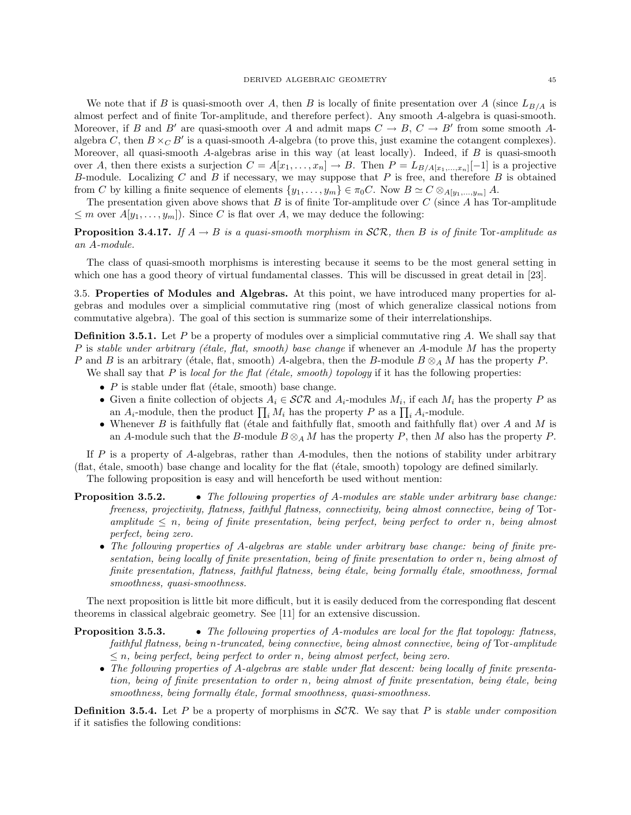We note that if B is quasi-smooth over A, then B is locally of finite presentation over A (since  $L_{B/A}$  is almost perfect and of finite Tor-amplitude, and therefore perfect). Any smooth A-algebra is quasi-smooth. Moreover, if B and B' are quasi-smooth over A and admit maps  $C \to B$ ,  $C \to B'$  from some smooth Aalgebra C, then  $B \times_C B'$  is a quasi-smooth A-algebra (to prove this, just examine the cotangent complexes). Moreover, all quasi-smooth A-algebras arise in this way (at least locally). Indeed, if  $B$  is quasi-smooth over A, then there exists a surjection  $C = A[x_1, \ldots, x_n] \to B$ . Then  $P = L_{B/A[x_1, \ldots, x_n]}[-1]$  is a projective B-module. Localizing  $C$  and  $B$  if necessary, we may suppose that  $P$  is free, and therefore  $B$  is obtained from C by killing a finite sequence of elements  $\{y_1, \ldots, y_m\} \in \pi_0 C$ . Now  $B \simeq C \otimes_{A[y_1,\ldots,y_m]} A$ .

The presentation given above shows that  $B$  is of finite Tor-amplitude over  $C$  (since  $A$  has Tor-amplitude  $\leq m$  over  $A[y_1,\ldots,y_m]$ . Since C is flat over A, we may deduce the following:

**Proposition 3.4.17.** If  $A \rightarrow B$  is a quasi-smooth morphism in  $\mathcal{SCR}$ , then B is of finite Tor-amplitude as an A-module.

The class of quasi-smooth morphisms is interesting because it seems to be the most general setting in which one has a good theory of virtual fundamental classes. This will be discussed in great detail in [23].

3.5. Properties of Modules and Algebras. At this point, we have introduced many properties for algebras and modules over a simplicial commutative ring (most of which generalize classical notions from commutative algebra). The goal of this section is summarize some of their interrelationships.

**Definition 3.5.1.** Let P be a property of modules over a simplicial commutative ring A. We shall say that P is stable under arbitrary (étale, flat, smooth) base change if whenever an A-module M has the property P and B is an arbitrary (étale, flat, smooth) A-algebra, then the B-module  $B \otimes_A M$  has the property P.

We shall say that P is local for the flat (étale, smooth) topology if it has the following properties:

- $P$  is stable under flat (étale, smooth) base change.
- Given a finite collection of objects  $A_i \in \mathcal{SCR}$  and  $A_i$ -modules  $M_i$ , if each  $M_i$  has the property P as an  $A_i$ -module, then the product  $\prod_i M_i$  has the property P as a  $\prod_i A_i$ -module.
- Whenever  $B$  is faithfully flat (étale and faithfully flat, smooth and faithfully flat) over  $A$  and  $M$  is an A-module such that the B-module  $B \otimes_A M$  has the property P, then M also has the property P.

If  $P$  is a property of A-algebras, rather than A-modules, then the notions of stability under arbitrary (flat, ´etale, smooth) base change and locality for the flat (´etale, smooth) topology are defined similarly. The following proposition is easy and will henceforth be used without mention:

**Proposition 3.5.2.** • The following properties of A-modules are stable under arbitrary base change: freeness, projectivity, flatness, faithful flatness, connectivity, being almost connective, being of Toramplitude  $\leq n$ , being of finite presentation, being perfect, being perfect to order n, being almost

perfect, being zero. • The following properties of A-algebras are stable under arbitrary base change: being of finite presentation, being locally of finite presentation, being of finite presentation to order n, being almost of finite presentation, flatness, faithful flatness, being étale, being formally étale, smoothness, formal smoothness, quasi-smoothness.

The next proposition is little bit more difficult, but it is easily deduced from the corresponding flat descent theorems in classical algebraic geometry. See [11] for an extensive discussion.

**Proposition 3.5.3.** • The following properties of A-modules are local for the flat topology: flatness, faithful flatness, being n-truncated, being connective, being almost connective, being of Tor-amplitude  $\leq n$ , being perfect, being perfect to order n, being almost perfect, being zero.

• The following properties of A-algebras are stable under flat descent: being locally of finite presentation, being of finite presentation to order n, being almost of finite presentation, being étale, being smoothness, being formally étale, formal smoothness, quasi-smoothness.

**Definition 3.5.4.** Let P be a property of morphisms in  $SCR$ . We say that P is *stable under composition* if it satisfies the following conditions: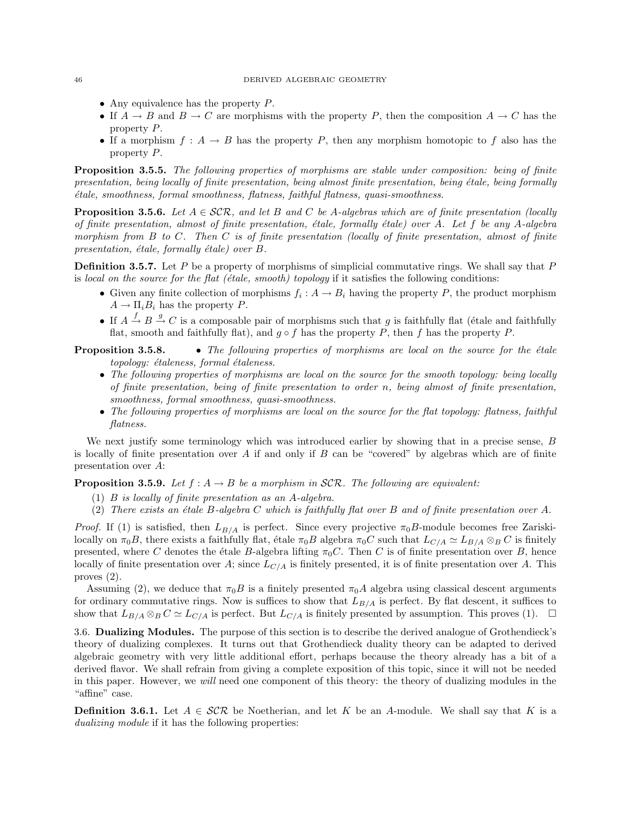#### 46 DERIVED ALGEBRAIC GEOMETRY

- Any equivalence has the property P.
- If  $A \to B$  and  $B \to C$  are morphisms with the property P, then the composition  $A \to C$  has the property P.
- If a morphism  $f : A \to B$  has the property P, then any morphism homotopic to f also has the property P.

Proposition 3.5.5. The following properties of morphisms are stable under composition: being of finite presentation, being locally of finite presentation, being almost finite presentation, being étale, being formally ´etale, smoothness, formal smoothness, flatness, faithful flatness, quasi-smoothness.

**Proposition 3.5.6.** Let  $A \in \mathcal{SCR}$ , and let B and C be A-algebras which are of finite presentation (locally of finite presentation, almost of finite presentation, étale, formally étale) over A. Let f be any A-algebra morphism from  $B$  to  $C$ . Then  $C$  is of finite presentation (locally of finite presentation, almost of finite presentation, étale, formally étale) over  $B$ .

**Definition 3.5.7.** Let P be a property of morphisms of simplicial commutative rings. We shall say that P is local on the source for the flat ( $\epsilon$ tale, smooth) topology if it satisfies the following conditions:

- Given any finite collection of morphisms  $f_i: A \to B_i$  having the property P, the product morphism  $A \to \Pi_i B_i$  has the property P.
- If  $A \stackrel{f}{\rightarrow} B \stackrel{g}{\rightarrow} C$  is a composable pair of morphisms such that g is faithfully flat (étale and faithfully flat, smooth and faithfully flat), and  $g \circ f$  has the property P, then f has the property P.

**Proposition 3.5.8.** • The following properties of morphisms are local on the source for the étale topology: étaleness, formal étaleness.

- The following properties of morphisms are local on the source for the smooth topology: being locally of finite presentation, being of finite presentation to order n, being almost of finite presentation, smoothness, formal smoothness, quasi-smoothness.
- The following properties of morphisms are local on the source for the flat topology: flatness, faithful flatness.

We next justify some terminology which was introduced earlier by showing that in a precise sense, B is locally of finite presentation over A if and only if B can be "covered" by algebras which are of finite presentation over A:

**Proposition 3.5.9.** Let  $f : A \rightarrow B$  be a morphism in SCR. The following are equivalent:

- (1) B is locally of finite presentation as an A-algebra.
- (2) There exists an étale B-algebra C which is faithfully flat over B and of finite presentation over A.

*Proof.* If (1) is satisfied, then  $L_{B/A}$  is perfect. Since every projective  $\pi_0 B$ -module becomes free Zariskilocally on  $\pi_0B$ , there exists a faithfully flat, étale  $\pi_0B$  algebra  $\pi_0C$  such that  $L_{C/A} \simeq L_{B/A} \otimes_B C$  is finitely presented, where C denotes the étale B-algebra lifting  $\pi_0 C$ . Then C is of finite presentation over B, hence locally of finite presentation over A; since  $L_{C/A}$  is finitely presented, it is of finite presentation over A. This proves (2).

Assuming (2), we deduce that  $\pi_0B$  is a finitely presented  $\pi_0A$  algebra using classical descent arguments for ordinary commutative rings. Now is suffices to show that  $L_{B/A}$  is perfect. By flat descent, it suffices to show that  $L_{B/A} \otimes_B C \simeq L_{C/A}$  is perfect. But  $L_{C/A}$  is finitely presented by assumption. This proves (1).  $\Box$ 

3.6. Dualizing Modules. The purpose of this section is to describe the derived analogue of Grothendieck's theory of dualizing complexes. It turns out that Grothendieck duality theory can be adapted to derived algebraic geometry with very little additional effort, perhaps because the theory already has a bit of a derived flavor. We shall refrain from giving a complete exposition of this topic, since it will not be needed in this paper. However, we will need one component of this theory: the theory of dualizing modules in the "affine" case.

**Definition 3.6.1.** Let  $A \in \mathcal{SCR}$  be Noetherian, and let K be an A-module. We shall say that K is a dualizing module if it has the following properties: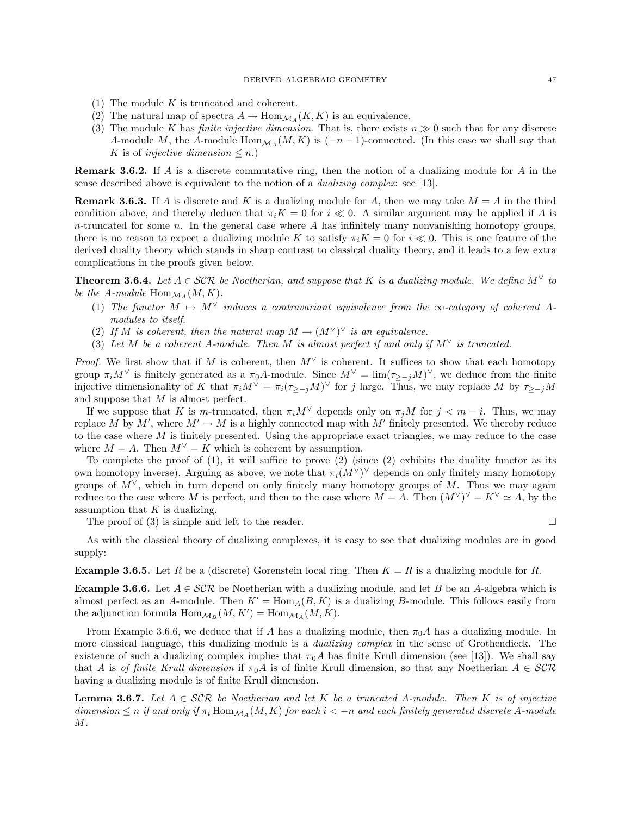- (1) The module  $K$  is truncated and coherent.
- (2) The natural map of spectra  $A \to \text{Hom}_{\mathcal{M}_A}(K, K)$  is an equivalence.
- (3) The module K has *finite injective dimension*. That is, there exists  $n \geq 0$  such that for any discrete A-module M, the A-module Hom $_{\mathcal{M}_A}(M, K)$  is  $(-n-1)$ -connected. (In this case we shall say that K is of *injective dimension*  $\leq n$ .)

Remark 3.6.2. If A is a discrete commutative ring, then the notion of a dualizing module for A in the sense described above is equivalent to the notion of a dualizing complex: see [13].

**Remark 3.6.3.** If A is discrete and K is a dualizing module for A, then we may take  $M = A$  in the third condition above, and thereby deduce that  $\pi_i K = 0$  for  $i \ll 0$ . A similar argument may be applied if A is  $n$ -truncated for some  $n$ . In the general case where  $A$  has infinitely many nonvanishing homotopy groups, there is no reason to expect a dualizing module K to satisfy  $\pi_i K = 0$  for  $i \ll 0$ . This is one feature of the derived duality theory which stands in sharp contrast to classical duality theory, and it leads to a few extra complications in the proofs given below.

**Theorem 3.6.4.** Let  $A \in \mathcal{SCR}$  be Noetherian, and suppose that K is a dualizing module. We define  $M^{\vee}$  to be the A-module  $\text{Hom}_{\mathcal{M}_A}(M,K)$ .

- (1) The functor  $M \mapsto M^{\vee}$  induces a contravariant equivalence from the  $\infty$ -category of coherent Amodules to itself.
- (2) If M is coherent, then the natural map  $M \to (M^{\vee})^{\vee}$  is an equivalence.
- (3) Let M be a coherent A-module. Then M is almost perfect if and only if  $M^{\vee}$  is truncated.

*Proof.* We first show that if M is coherent, then  $M^{\vee}$  is coherent. It suffices to show that each homotopy group  $\pi_i M^\vee$  is finitely generated as a  $\pi_0 A$ -module. Since  $M^\vee = \lim_{z \to i} (\tau_{\geq -i} M)^\vee$ , we deduce from the finite injective dimensionality of K that  $\pi_i M^{\vee} = \pi_i (\tau_{\geq -j} M)^{\vee}$  for j large. Thus, we may replace M by  $\tau_{\geq -j} M$ and suppose that M is almost perfect.

If we suppose that K is m-truncated, then  $\pi_i M^\vee$  depends only on  $\pi_i M$  for  $j < m - i$ . Thus, we may replace M by M', where  $M' \to M$  is a highly connected map with M' finitely presented. We thereby reduce to the case where  $M$  is finitely presented. Using the appropriate exact triangles, we may reduce to the case where  $M = A$ . Then  $M^{\vee} = K$  which is coherent by assumption.

To complete the proof of  $(1)$ , it will suffice to prove  $(2)$  (since  $(2)$  exhibits the duality functor as its own homotopy inverse). Arguing as above, we note that  $\pi_i(M^{\vee})^{\vee}$  depends on only finitely many homotopy groups of  $M^{\vee}$ , which in turn depend on only finitely many homotopy groups of M. Thus we may again reduce to the case where M is perfect, and then to the case where  $M = A$ . Then  $(M^{\vee})^{\vee} = K^{\vee} \simeq A$ , by the assumption that  $K$  is dualizing.

The proof of (3) is simple and left to the reader.

$$
\qquad \qquad \Box
$$

As with the classical theory of dualizing complexes, it is easy to see that dualizing modules are in good supply:

**Example 3.6.5.** Let R be a (discrete) Gorenstein local ring. Then  $K = R$  is a dualizing module for R.

**Example 3.6.6.** Let  $A \in \mathcal{SCR}$  be Noetherian with a dualizing module, and let B be an A-algebra which is almost perfect as an A-module. Then  $K' = \text{Hom}_A(B, K)$  is a dualizing B-module. This follows easily from the adjunction formula  $\text{Hom}_{\mathcal{M}_B}(M, K') = \text{Hom}_{\mathcal{M}_A}(M, K)$ .

From Example 3.6.6, we deduce that if A has a dualizing module, then  $\pi_0 A$  has a dualizing module. In more classical language, this dualizing module is a *dualizing complex* in the sense of Grothendieck. The existence of such a dualizing complex implies that  $\pi_0 A$  has finite Krull dimension (see [13]). We shall say that A is of finite Krull dimension if  $\pi_0 A$  is of finite Krull dimension, so that any Noetherian  $A \in \mathcal{SCR}$ having a dualizing module is of finite Krull dimension.

**Lemma 3.6.7.** Let  $A \in \mathcal{SCR}$  be Noetherian and let K be a truncated A-module. Then K is of injective dimension  $\leq n$  if and only if  $\pi_i$  Hom $_{\mathcal{M}_A}(M, K)$  for each  $i < -n$  and each finitely generated discrete A-module M.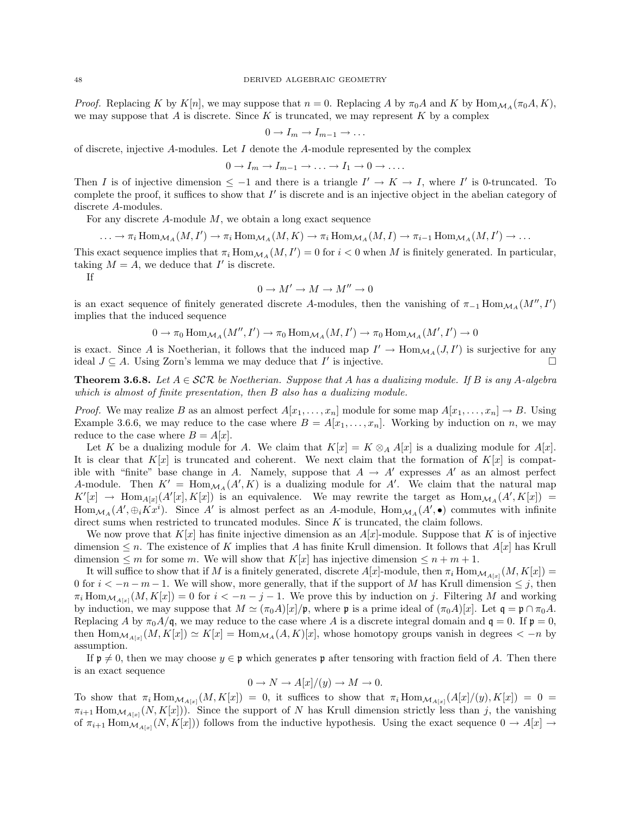*Proof.* Replacing K by  $K[n]$ , we may suppose that  $n = 0$ . Replacing A by  $\pi_0 A$  and K by Hom $_{\mathcal{M}_A}(\pi_0 A, K)$ , we may suppose that A is discrete. Since K is truncated, we may represent K by a complex

$$
0 \to I_m \to I_{m-1} \to \dots
$$

of discrete, injective  $A$ -modules. Let  $I$  denote the  $A$ -module represented by the complex

$$
0 \to I_m \to I_{m-1} \to \ldots \to I_1 \to 0 \to \ldots
$$

Then I is of injective dimension  $\leq -1$  and there is a triangle  $I' \to K \to I$ , where I' is 0-truncated. To complete the proof, it suffices to show that  $I'$  is discrete and is an injective object in the abelian category of discrete A-modules.

For any discrete  $A$ -module  $M$ , we obtain a long exact sequence

 $\ldots \to \pi_i \operatorname{Hom}_{\mathcal{M}_A}(M, I') \to \pi_i \operatorname{Hom}_{\mathcal{M}_A}(M, K) \to \pi_i \operatorname{Hom}_{\mathcal{M}_A}(M, I) \to \pi_{i-1} \operatorname{Hom}_{\mathcal{M}_A}(M, I') \to \ldots$ 

This exact sequence implies that  $\pi_i \text{Hom}_{\mathcal{M}_A}(M, I') = 0$  for  $i < 0$  when M is finitely generated. In particular, taking  $M = A$ , we deduce that  $I'$  is discrete.

If

$$
0\to M'\to M\to M''\to 0
$$

is an exact sequence of finitely generated discrete A-modules, then the vanishing of  $\pi_{-1}$  Hom $_{\mathcal{M}_A}(M'', I')$ implies that the induced sequence

$$
0 \to \pi_0 \operatorname{Hom}_{\mathcal{M}_A}(M'', I') \to \pi_0 \operatorname{Hom}_{\mathcal{M}_A}(M, I') \to \pi_0 \operatorname{Hom}_{\mathcal{M}_A}(M', I') \to 0
$$

is exact. Since A is Noetherian, it follows that the induced map  $I' \to \text{Hom}_{\mathcal{M}_A}(J, I')$  is surjective for any ideal  $J \subseteq A$ . Using Zorn's lemma we may deduce that I' is injective.

**Theorem 3.6.8.** Let  $A \in \mathcal{SCR}$  be Noetherian. Suppose that A has a dualizing module. If B is any A-algebra which is almost of finite presentation, then B also has a dualizing module.

*Proof.* We may realize B as an almost perfect  $A[x_1, \ldots, x_n]$  module for some map  $A[x_1, \ldots, x_n] \rightarrow B$ . Using Example 3.6.6, we may reduce to the case where  $B = A[x_1, \ldots, x_n]$ . Working by induction on n, we may reduce to the case where  $B = A[x]$ .

Let K be a dualizing module for A. We claim that  $K[x] = K \otimes_A A[x]$  is a dualizing module for  $A[x]$ . It is clear that  $K[x]$  is truncated and coherent. We next claim that the formation of  $K[x]$  is compatible with "finite" base change in A. Namely, suppose that  $A \to A'$  expresses  $A'$  as an almost perfect A-module. Then  $K' = \text{Hom}_{\mathcal{M}_A}(A', K)$  is a dualizing module for A'. We claim that the natural map  $K'[x] \rightarrow \text{Hom}_{A[x]}(A'[x], K[x])$  is an equivalence. We may rewrite the target as  $\text{Hom}_{\mathcal{M}_A}(A', K[x]) =$  $\text{Hom}_{\mathcal{M}_A}(A', \oplus_i \overline{K}x^i)$ . Since A' is almost perfect as an A-module,  $\text{Hom}_{\mathcal{M}_A}(A', \bullet)$  commutes with infinite direct sums when restricted to truncated modules. Since K is truncated, the claim follows.

We now prove that  $K[x]$  has finite injective dimension as an  $A[x]$ -module. Suppose that K is of injective dimension  $\leq n$ . The existence of K implies that A has finite Krull dimension. It follows that  $A[x]$  has Krull dimension  $\leq m$  for some m. We will show that  $K[x]$  has injective dimension  $\leq n+m+1$ .

It will suffice to show that if M is a finitely generated, discrete  $A[x]$ -module, then  $\pi_i$  Hom $\mathcal{M}_{A[x]}(M, K[x]) =$ 0 for  $i < -n-m-1$ . We will show, more generally, that if the support of M has Krull dimension  $\leq j$ , then  $\pi_i \text{Hom}_{\mathcal{M}_{A[x]}}(M, K[x]) = 0$  for  $i < -n - j - 1$ . We prove this by induction on j. Filtering M and working by induction, we may suppose that  $M \simeq (\pi_0 A)[x]/\mathfrak{p}$ , where  $\mathfrak{p}$  is a prime ideal of  $(\pi_0 A)[x]$ . Let  $\mathfrak{q} = \mathfrak{p} \cap \pi_0 A$ . Replacing A by  $\pi_0 A/\mathfrak{q}$ , we may reduce to the case where A is a discrete integral domain and  $\mathfrak{q} = 0$ . If  $\mathfrak{p} = 0$ , then  $\text{Hom}_{\mathcal{M}_{A[x]}}(M, K[x]) \simeq K[x] = \text{Hom}_{\mathcal{M}_{A}}(A, K)[x]$ , whose homotopy groups vanish in degrees  $\lt -n$  by assumption.

If  $\mathfrak{p} \neq 0$ , then we may choose  $y \in \mathfrak{p}$  which generates  $\mathfrak{p}$  after tensoring with fraction field of A. Then there is an exact sequence

$$
0 \to N \to A[x]/(y) \to M \to 0.
$$

To show that  $\pi_i \text{Hom}_{\mathcal{M}_{A[x]}}(M,K[x]) = 0$ , it suffices to show that  $\pi_i \text{Hom}_{\mathcal{M}_{A[x]}}(A[x]/(y),K[x]) = 0$  $\pi_{i+1}$  Hom $\mathcal{M}_{A[x]}(N,K[x])$ ). Since the support of N has Krull dimension strictly less than j, the vanishing of  $\pi_{i+1}$  Hom $\mathcal{M}_{A[x]}(N,K[x])$  follows from the inductive hypothesis. Using the exact sequence  $0 \to A[x] \to$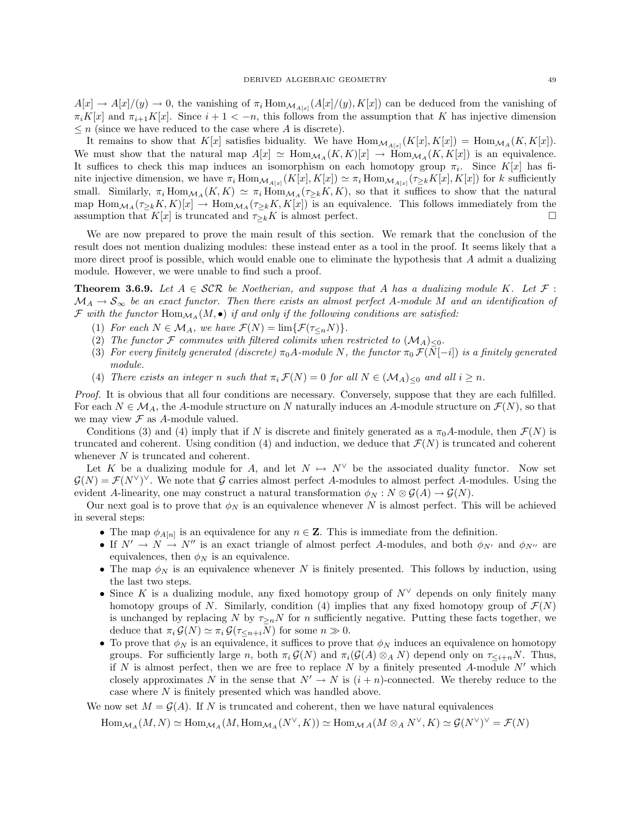$A[x] \to A[x]/(y) \to 0$ , the vanishing of  $\pi_i \text{Hom}_{\mathcal{M}_{A[x]}}(A[x]/(y), K[x])$  can be deduced from the vanishing of  $\pi_i K[x]$  and  $\pi_{i+1} K[x]$ . Since  $i+1 < -n$ , this follows from the assumption that K has injective dimension  $\leq n$  (since we have reduced to the case where A is discrete).

It remains to show that  $K[x]$  satisfies biduality. We have  $\text{Hom}_{\mathcal{M}_{A[x]}}(K[x], K[x]) = \text{Hom}_{\mathcal{M}_{A}}(K, K[x])$ . We must show that the natural map  $A[x] \simeq \text{Hom}_{\mathcal{M}_A}(K, K)[x] \to \text{Hom}_{\mathcal{M}_A}(K, K[x])$  is an equivalence. It suffices to check this map induces an isomorphism on each homotopy group  $\pi_i$ . Since  $K[x]$  has finite injective dimension, we have  $\pi_i \text{Hom}_{\mathcal{M}_{A[x]}}(K[x], K[x]) \simeq \pi_i \text{Hom}_{\mathcal{M}_{A[x]}}(\tau_{\geq k}K[x], K[x])$  for k sufficiently small. Similarly,  $\pi_i \text{Hom}_{\mathcal{M}_A}(K, K) \simeq \pi_i \text{Hom}_{\mathcal{M}_A}(\tau_{\geq k}K, K)$ , so that it suffices to show that the natural map  $\text{Hom}_{\mathcal{M}_A}(\tau_{\geq k}K, K[x]) \to \text{Hom}_{\mathcal{M}_A}(\tau_{\geq k}K, K[x])$  is an equivalence. This follows immediately from the assumption that  $K[x]$  is truncated and  $\tau_{\geq k}K$  is almost perfect.

We are now prepared to prove the main result of this section. We remark that the conclusion of the result does not mention dualizing modules: these instead enter as a tool in the proof. It seems likely that a more direct proof is possible, which would enable one to eliminate the hypothesis that  $A$  admit a dualizing module. However, we were unable to find such a proof.

**Theorem 3.6.9.** Let  $A \in \mathcal{SCR}$  be Noetherian, and suppose that A has a dualizing module K. Let  $\mathcal{F}$ :  $\mathcal{M}_A \to \mathcal{S}_{\infty}$  be an exact functor. Then there exists an almost perfect A-module M and an identification of  $\mathcal F$  with the functor  $\text{Hom}_{\mathcal M_A}(M,\bullet)$  if and only if the following conditions are satisfied:

- (1) For each  $N \in \mathcal{M}_A$ , we have  $\mathcal{F}(N) = \lim \{ \mathcal{F}(\tau \leq n} N) \}.$
- (2) The functor F commutes with filtered colimits when restricted to  $(\mathcal{M}_A)_{\leq 0}$ .
- (3) For every finitely generated (discrete)  $\pi_0 A$ -module N, the functor  $\pi_0 \mathcal{F}(N[-i])$  is a finitely generated module.
- (4) There exists an integer n such that  $\pi_i \mathcal{F}(N) = 0$  for all  $N \in (\mathcal{M}_A)_{\leq 0}$  and all  $i \geq n$ .

Proof. It is obvious that all four conditions are necessary. Conversely, suppose that they are each fulfilled. For each  $N \in \mathcal{M}_A$ , the A-module structure on N naturally induces an A-module structure on  $\mathcal{F}(N)$ , so that we may view  $\mathcal F$  as A-module valued.

Conditions (3) and (4) imply that if N is discrete and finitely generated as a  $\pi_0A$ -module, then  $\mathcal{F}(N)$  is truncated and coherent. Using condition (4) and induction, we deduce that  $\mathcal{F}(N)$  is truncated and coherent whenever N is truncated and coherent.

Let K be a dualizing module for A, and let  $N \mapsto N^{\vee}$  be the associated duality functor. Now set  $\mathcal{G}(N) = \mathcal{F}(N^{\vee})^{\vee}$ . We note that G carries almost perfect A-modules to almost perfect A-modules. Using the evident A-linearity, one may construct a natural transformation  $\phi_N : N \otimes \mathcal{G}(A) \to \mathcal{G}(N)$ .

Our next goal is to prove that  $\phi_N$  is an equivalence whenever N is almost perfect. This will be achieved in several steps:

- The map  $\phi_{A[n]}$  is an equivalence for any  $n \in \mathbb{Z}$ . This is immediate from the definition.
- If  $N' \to N \to N''$  is an exact triangle of almost perfect A-modules, and both  $\phi_{N'}$  and  $\phi_{N''}$  are equivalences, then  $\phi_N$  is an equivalence.
- The map  $\phi_N$  is an equivalence whenever N is finitely presented. This follows by induction, using the last two steps.
- Since K is a dualizing module, any fixed homotopy group of  $N^{\vee}$  depends on only finitely many homotopy groups of N. Similarly, condition (4) implies that any fixed homotopy group of  $\mathcal{F}(N)$ is unchanged by replacing N by  $\tau_{\geq n}N$  for n sufficiently negative. Putting these facts together, we deduce that  $\pi_i \mathcal{G}(N) \simeq \pi_i \mathcal{G}(\tau_{\leq n+i}N)$  for some  $n \gg 0$ .
- To prove that  $\phi_N$  is an equivalence, it suffices to prove that  $\phi_N$  induces an equivalence on homotopy groups. For sufficiently large n, both  $\pi_i \mathcal{G}(N)$  and  $\pi_i(\mathcal{G}(A) \otimes_A N)$  depend only on  $\tau_{\leq i+n}N$ . Thus, if N is almost perfect, then we are free to replace N by a finitely presented A-module  $N'$  which closely approximates N in the sense that  $N' \to N$  is  $(i + n)$ -connected. We thereby reduce to the case where N is finitely presented which was handled above.

We now set  $M = \mathcal{G}(A)$ . If N is truncated and coherent, then we have natural equivalences

 $\text{Hom}_{\mathcal{M}_A}(M,N) \simeq \text{Hom}_{\mathcal{M}_A}(M, \text{Hom}_{\mathcal{M}_A}(N^\vee, K)) \simeq \text{Hom}_{\mathcal{M}_A}(M \otimes_A N^\vee, K) \simeq \mathcal{G}(N^\vee)^\vee = \mathcal{F}(N)$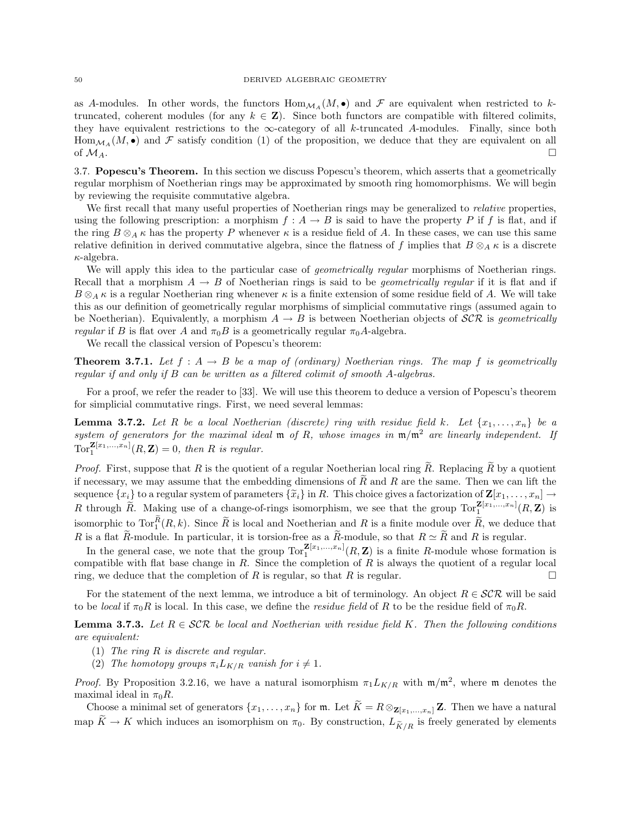as A-modules. In other words, the functors  $\text{Hom}_{\mathcal{M}_A}(M, \bullet)$  and  $\mathcal F$  are equivalent when restricted to ktruncated, coherent modules (for any  $k \in \mathbb{Z}$ ). Since both functors are compatible with filtered colimits, they have equivalent restrictions to the  $\infty$ -category of all k-truncated A-modules. Finally, since both Hom<sub>MA</sub>( $M$ , •) and  $\mathcal F$  satisfy condition (1) of the proposition, we deduce that they are equivalent on all of  $M_A$ . of  $M_A$ .

3.7. Popescu's Theorem. In this section we discuss Popescu's theorem, which asserts that a geometrically regular morphism of Noetherian rings may be approximated by smooth ring homomorphisms. We will begin by reviewing the requisite commutative algebra.

We first recall that many useful properties of Noetherian rings may be generalized to relative properties, using the following prescription: a morphism  $f : A \to B$  is said to have the property P if f is flat, and if the ring  $B \otimes_A \kappa$  has the property P whenever  $\kappa$  is a residue field of A. In these cases, we can use this same relative definition in derived commutative algebra, since the flatness of f implies that  $B \otimes_A \kappa$  is a discrete  $\kappa$ -algebra.

We will apply this idea to the particular case of *geometrically regular* morphisms of Noetherian rings. Recall that a morphism  $A \to B$  of Noetherian rings is said to be *geometrically regular* if it is flat and if  $B \otimes_A \kappa$  is a regular Noetherian ring whenever  $\kappa$  is a finite extension of some residue field of A. We will take this as our definition of geometrically regular morphisms of simplicial commutative rings (assumed again to be Noetherian). Equivalently, a morphism  $A \to B$  is between Noetherian objects of  $\mathcal{SCR}$  is geometrically *regular* if B is flat over A and  $\pi_0 B$  is a geometrically regular  $\pi_0 A$ -algebra.

We recall the classical version of Popescu's theorem:

**Theorem 3.7.1.** Let  $f : A \rightarrow B$  be a map of (ordinary) Noetherian rings. The map f is geometrically regular if and only if B can be written as a filtered colimit of smooth A-algebras.

For a proof, we refer the reader to [33]. We will use this theorem to deduce a version of Popescu's theorem for simplicial commutative rings. First, we need several lemmas:

**Lemma 3.7.2.** Let R be a local Noetherian (discrete) ring with residue field k. Let  $\{x_1, \ldots, x_n\}$  be a system of generators for the maximal ideal  $m$  of R, whose images in  $m/m^2$  are linearly independent. If  $\operatorname{Tor}^{\mathbf{Z}[x_1,...,x_n]}_1(R,\mathbf{Z})=0$ , then R is regular.

*Proof.* First, suppose that R is the quotient of a regular Noetherian local ring  $\tilde{R}$ . Replacing  $\tilde{R}$  by a quotient if necessary, we may assume that the embedding dimensions of  $R$  and  $R$  are the same. Then we can lift the sequence  $\{x_i\}$  to a regular system of parameters  $\{\tilde{x}_i\}$  in R. This choice gives a factorization of  $\mathbf{Z}[x_1, \ldots, x_n] \rightarrow$ R through  $\widetilde{R}$ . Making use of a change-of-rings isomorphism, we see that the group  $\text{Tor}_{1}^{\mathbf{Z}[x_1,...,x_n]}(R,\mathbf{Z})$  is isomorphic to  $Tor_1^R(R, k)$ . Since  $\widetilde{R}$  is local and Noetherian and R is a finite module over  $\widetilde{R}$ , we deduce that R is a flat R-module. In particular, it is torsion-free as a R-module, so that  $R \simeq R$  and R is regular.

In the general case, we note that the group  $Tor_1^{\mathbf{Z}[x_1,...,x_n]}(R,\mathbf{Z})$  is a finite R-module whose formation is compatible with flat base change in  $R$ . Since the completion of  $R$  is always the quotient of a regular local ring, we deduce that the completion of  $R$  is regular, so that  $R$  is regular.

For the statement of the next lemma, we introduce a bit of terminology. An object  $R \in \mathcal{SCR}$  will be said to be local if  $\pi_0 R$  is local. In this case, we define the residue field of R to be the residue field of  $\pi_0 R$ .

**Lemma 3.7.3.** Let  $R \in \mathcal{SCR}$  be local and Noetherian with residue field K. Then the following conditions are equivalent:

- (1) The ring R is discrete and regular.
- (2) The homotopy groups  $\pi_i L_{K/R}$  vanish for  $i \neq 1$ .

*Proof.* By Proposition 3.2.16, we have a natural isomorphism  $\pi_1 L_{K/R}$  with  $\mathfrak{m}/\mathfrak{m}^2$ , where  $\mathfrak{m}$  denotes the maximal ideal in  $\pi_0 R$ .

Choose a minimal set of generators  $\{x_1, \ldots, x_n\}$  for m. Let  $\widetilde{K} = R \otimes_{\mathbf{Z}[x_1,\ldots,x_n]} \mathbf{Z}$ . Then we have a natural map  $\widetilde{K} \to K$  which induces an isomorphism on  $\pi_0$ . By construction,  $L_{\widetilde{K}/R}$  is freely generated by elements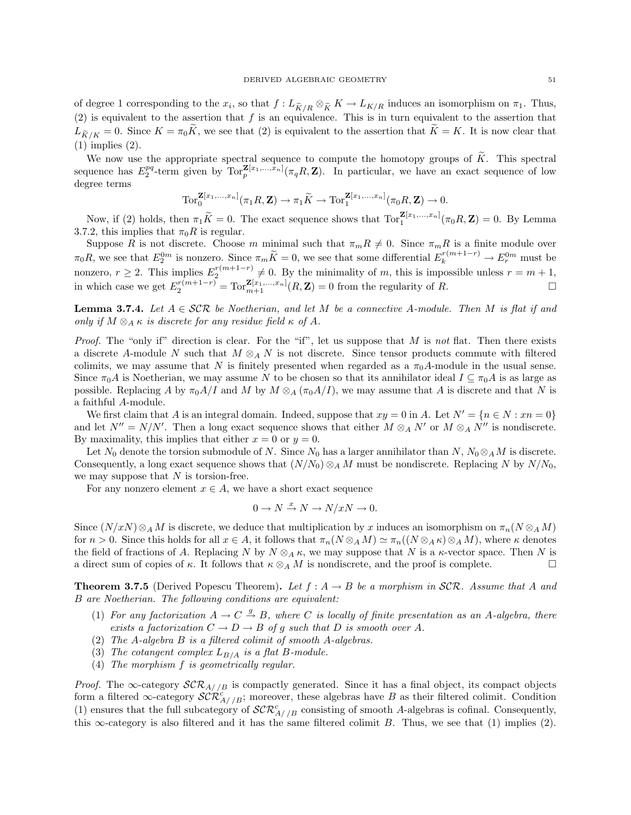of degree 1 corresponding to the  $x_i$ , so that  $f: L_{\tilde{K}/R} \otimes_{\tilde{K}} K \to L_{K/R}$  induces an isomorphism on  $\pi_1$ . Thus, (2) is equivalent to the assertion that  $f$  is an equivalence. This is in turn equivalent to the assertion that  $L_{\widetilde{K}/K} = 0$ . Since  $K = \pi_0 \widetilde{K}$ , we see that (2) is equivalent to the assertion that  $\widetilde{K} = K$ . It is now clear that (1) implies (2).

We now use the appropriate spectral sequence to compute the homotopy groups of  $\tilde{K}$ . This spectral sequence has  $E_2^{pq}$ -term given by  $\text{Tor}_p^{\mathbf{Z}[x_1,...,x_n]}(\pi_q R, \mathbf{Z})$ . In particular, we have an exact sequence of low degree terms

$$
\text{Tor}_0^{\mathbf{Z}[x_1,\ldots,x_n]}(\pi_1 R,\mathbf{Z}) \to \pi_1 \widetilde{K} \to \text{Tor}_1^{\mathbf{Z}[x_1,\ldots,x_n]}(\pi_0 R,\mathbf{Z}) \to 0.
$$

Now, if (2) holds, then  $\pi_1 \widetilde{K} = 0$ . The exact sequence shows that  $\text{Tor}_1^{\mathbf{Z}[x_1,...,x_n]}(\pi_0 R, \mathbf{Z}) = 0$ . By Lemma 3.7.2, this implies that  $\pi_0 R$  is regular.

Suppose R is not discrete. Choose m minimal such that  $\pi_m R \neq 0$ . Since  $\pi_m R$  is a finite module over  $\pi_0 R$ , we see that  $E_2^{0m}$  is nonzero. Since  $\pi_m \widetilde{K} = 0$ , we see that some differential  $E_k^{r(m+1-r)} \to E_r^{0m}$  must be nonzero,  $r \geq 2$ . This implies  $E_2^{r(m+1-r)} \neq 0$ . By the minimality of m, this is impossible unless  $r = m + 1$ , in which case we get  $E_2^{r(m+1-r)} = \text{Tor}_{m+1}^{\mathbf{Z}[x_1,...,x_n]}(R, \mathbf{Z}) = 0$  from the regularity of R.

**Lemma 3.7.4.** Let  $A \in \mathcal{SCR}$  be Noetherian, and let M be a connective A-module. Then M is flat if and only if  $M \otimes_A \kappa$  is discrete for any residue field  $\kappa$  of A.

*Proof.* The "only if" direction is clear. For the "if", let us suppose that M is not flat. Then there exists a discrete A-module N such that  $M \otimes_A N$  is not discrete. Since tensor products commute with filtered colimits, we may assume that N is finitely presented when regarded as a  $\pi_0 A$ -module in the usual sense. Since  $\pi_0A$  is Noetherian, we may assume N to be chosen so that its annihilator ideal  $I \subseteq \pi_0A$  is as large as possible. Replacing A by  $\pi_0 A/I$  and M by  $M \otimes_A (\pi_0 A/I)$ , we may assume that A is discrete and that N is a faithful A-module.

We first claim that A is an integral domain. Indeed, suppose that  $xy = 0$  in A. Let  $N' = \{n \in N : xn = 0\}$ and let  $N'' = N/N'$ . Then a long exact sequence shows that either  $M \otimes_A N'$  or  $M \otimes_A N''$  is nondiscrete. By maximality, this implies that either  $x = 0$  or  $y = 0$ .

Let N<sub>0</sub> denote the torsion submodule of N. Since N<sub>0</sub> has a larger annihilator than N,  $N_0 \otimes_A M$  is discrete. Consequently, a long exact sequence shows that  $(N/N_0) \otimes_A M$  must be nondiscrete. Replacing N by  $N/N_0$ , we may suppose that  $N$  is torsion-free.

For any nonzero element  $x \in A$ , we have a short exact sequence

$$
0 \to N \xrightarrow{x} N \to N/xN \to 0.
$$

Since  $(N/xN)\otimes_A M$  is discrete, we deduce that multiplication by x induces an isomorphism on  $\pi_n(N\otimes_A M)$ for  $n > 0$ . Since this holds for all  $x \in A$ , it follows that  $\pi_n(N \otimes_A M) \simeq \pi_n((N \otimes_A \kappa) \otimes_A M)$ , where  $\kappa$  denotes the field of fractions of A. Replacing N by  $N \otimes_A \kappa$ , we may suppose that N is a  $\kappa$ -vector space. Then N is a direct sum of copies of  $\kappa$ . It follows that  $\kappa \otimes_A M$  is nondiscrete, and the proof is complete.

**Theorem 3.7.5** (Derived Popescu Theorem). Let  $f : A \rightarrow B$  be a morphism in SCR. Assume that A and B are Noetherian. The following conditions are equivalent:

- (1) For any factorization  $A \to C \stackrel{g}{\to} B$ , where C is locally of finite presentation as an A-algebra, there exists a factorization  $C \to D \to B$  of g such that D is smooth over A.
- (2) The A-algebra B is a filtered colimit of smooth A-algebras.
- (3) The cotangent complex  $L_{B/A}$  is a flat B-module.
- (4) The morphism f is geometrically regular.

*Proof.* The  $\infty$ -category  $\mathcal{SCR}_{A//B}$  is compactly generated. Since it has a final object, its compact objects form a filtered  $\infty$ -category  $\mathcal{SCR}_{A//B}^c$ ; moreover, these algebras have B as their filtered colimit. Condition (1) ensures that the full subcategory of  $\mathcal{SCR}_{A//B}^c$  consisting of smooth A-algebras is cofinal. Consequently, this  $\infty$ -category is also filtered and it has the same filtered colimit B. Thus, we see that (1) implies (2).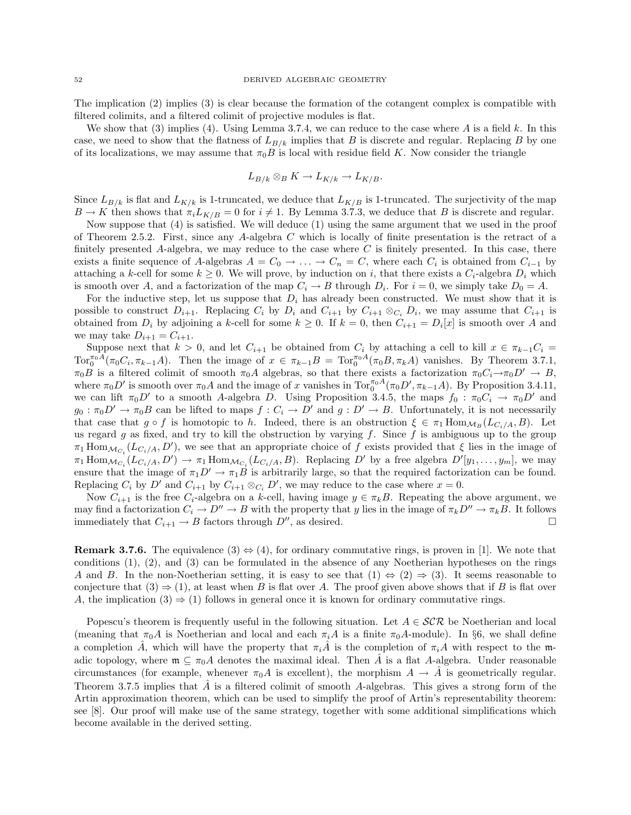The implication (2) implies (3) is clear because the formation of the cotangent complex is compatible with filtered colimits, and a filtered colimit of projective modules is flat.

We show that (3) implies (4). Using Lemma 3.7.4, we can reduce to the case where A is a field k. In this case, we need to show that the flatness of  $L_{B/k}$  implies that B is discrete and regular. Replacing B by one of its localizations, we may assume that  $\pi_0 B$  is local with residue field K. Now consider the triangle

$$
L_{B/k} \otimes_B K \to L_{K/k} \to L_{K/B}.
$$

Since  $L_{B/k}$  is flat and  $L_{K/k}$  is 1-truncated, we deduce that  $L_{K/B}$  is 1-truncated. The surjectivity of the map  $B \to K$  then shows that  $\pi_i L_{K/B} = 0$  for  $i \neq 1$ . By Lemma 3.7.3, we deduce that B is discrete and regular.

Now suppose that (4) is satisfied. We will deduce (1) using the same argument that we used in the proof of Theorem 2.5.2. First, since any A-algebra  $C$  which is locally of finite presentation is the retract of a finitely presented A-algebra, we may reduce to the case where  $C$  is finitely presented. In this case, there exists a finite sequence of A-algebras  $A = C_0 \rightarrow \ldots \rightarrow C_n = C$ , where each  $C_i$  is obtained from  $C_{i-1}$  by attaching a k-cell for some  $k \geq 0$ . We will prove, by induction on i, that there exists a  $C_i$ -algebra  $D_i$  which is smooth over A, and a factorization of the map  $C_i \to B$  through  $D_i$ . For  $i = 0$ , we simply take  $D_0 = A$ .

For the inductive step, let us suppose that  $D_i$  has already been constructed. We must show that it is possible to construct  $D_{i+1}$ . Replacing  $C_i$  by  $D_i$  and  $C_{i+1}$  by  $C_{i+1} \otimes_{C_i} D_i$ , we may assume that  $C_{i+1}$  is obtained from  $D_i$  by adjoining a k-cell for some  $k \geq 0$ . If  $k = 0$ , then  $C_{i+1} = D_i[x]$  is smooth over A and we may take  $D_{i+1} = C_{i+1}$ .

Suppose next that  $k > 0$ , and let  $C_{i+1}$  be obtained from  $C_i$  by attaching a cell to kill  $x \in \pi_{k-1}C_i$  $\text{Tor}_{0}^{\pi_{0}A}(\pi_{0}C_{i},\pi_{k-1}A)$ . Then the image of  $x \in \pi_{k-1}B = \text{Tor}_{0}^{\pi_{0}A}(\pi_{0}B,\pi_{k}A)$  vanishes. By Theorem 3.7.1,  $\pi_0B$  is a filtered colimit of smooth  $\pi_0A$  algebras, so that there exists a factorization  $\pi_0C_i\rightarrow\pi_0D'\rightarrow B$ , where  $\pi_0 D'$  is smooth over  $\pi_0 A$  and the image of x vanishes in  $\text{Tor}_0^{\pi_0 A}(\pi_0 D', \pi_{k-1} A)$ . By Proposition 3.4.11, we can lift  $\pi_0 D'$  to a smooth A-algebra D. Using Proposition 3.4.5, the maps  $f_0 : \pi_0 C_i \to \pi_0 D'$  and  $g_0 : \pi_0 D' \to \pi_0 B$  can be lifted to maps  $f : C_i \to D'$  and  $g : D' \to B$ . Unfortunately, it is not necessarily that case that  $g \circ f$  is homotopic to h. Indeed, there is an obstruction  $\xi \in \pi_1 \text{Hom}_{\mathcal{M}_B}(L_{C_i/A}, B)$ . Let us regard g as fixed, and try to kill the obstruction by varying f. Since f is ambiguous up to the group  $\pi_1$  Hom $_{\mathcal{M}_{C_i}}(L_{C_i/A}, D')$ , we see that an appropriate choice of f exists provided that  $\xi$  lies in the image of  $\pi_1 \text{Hom}_{\mathcal{M}_{C_i}}(L_{C_i/A}, D') \to \pi_1 \text{Hom}_{\mathcal{M}_{C_i}}(L_{C_i/A}, B)$ . Replacing D' by a free algebra  $D'[y_1, \ldots, y_m]$ , we may ensure that the image of  $\pi_1 D' \to \pi_1 B$  is arbitrarily large, so that the required factorization can be found. Replacing  $C_i$  by  $D'$  and  $C_{i+1}$  by  $C_{i+1} \otimes_{C_i} D'$ , we may reduce to the case where  $x = 0$ .

Now  $C_{i+1}$  is the free  $C_i$ -algebra on a k-cell, having image  $y \in \pi_k B$ . Repeating the above argument, we may find a factorization  $C_i \to D'' \to B$  with the property that y lies in the image of  $\pi_k D'' \to \pi_k B$ . It follows immediately that  $C_{i+1} \to B$  factors through  $D''$ , as desired.

**Remark 3.7.6.** The equivalence  $(3) \Leftrightarrow (4)$ , for ordinary commutative rings, is proven in [1]. We note that conditions (1), (2), and (3) can be formulated in the absence of any Noetherian hypotheses on the rings A and B. In the non-Noetherian setting, it is easy to see that  $(1) \Leftrightarrow (2) \Rightarrow (3)$ . It seems reasonable to conjecture that  $(3) \Rightarrow (1)$ , at least when B is flat over A. The proof given above shows that if B is flat over A, the implication  $(3) \Rightarrow (1)$  follows in general once it is known for ordinary commutative rings.

Popescu's theorem is frequently useful in the following situation. Let  $A \in \mathcal{SCR}$  be Noetherian and local (meaning that  $\pi_0 A$  is Noetherian and local and each  $\pi_i A$  is a finite  $\pi_0 A$ -module). In §6, we shall define a completion  $\hat{A}$ , which will have the property that  $\pi_i\hat{A}$  is the completion of  $\pi_i\hat{A}$  with respect to the madic topology, where  $\mathfrak{m} \subseteq \pi_0 A$  denotes the maximal ideal. Then  $\tilde{A}$  is a flat A-algebra. Under reasonable circumstances (for example, whenever  $\pi_0 A$  is excellent), the morphism  $A \to \tilde{A}$  is geometrically regular. Theorem 3.7.5 implies that  $\hat{A}$  is a filtered colimit of smooth A-algebras. This gives a strong form of the Artin approximation theorem, which can be used to simplify the proof of Artin's representability theorem: see [8]. Our proof will make use of the same strategy, together with some additional simplifications which become available in the derived setting.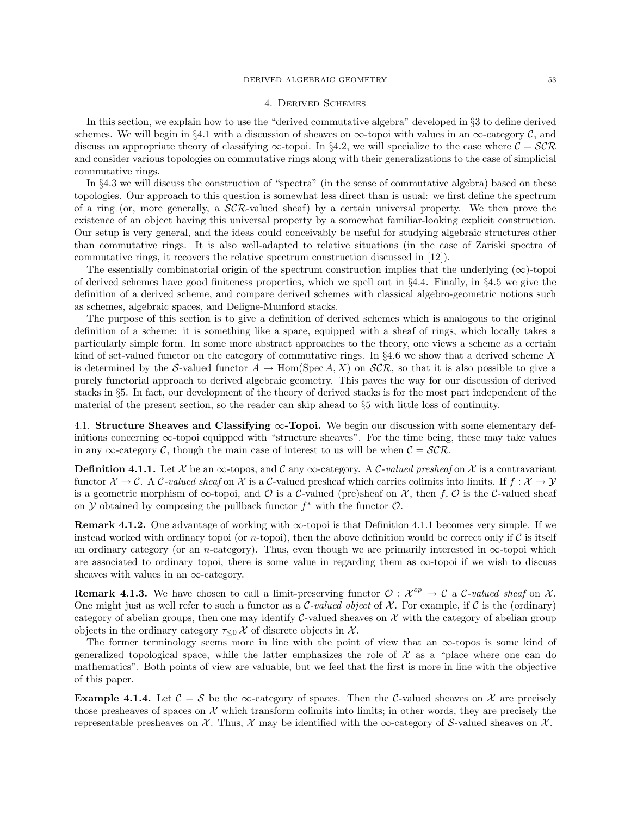#### DERIVED ALGEBRAIC GEOMETRY 53

### 4. Derived Schemes

In this section, we explain how to use the "derived commutative algebra" developed in §3 to define derived schemes. We will begin in §4.1 with a discussion of sheaves on  $\infty$ -topoi with values in an  $\infty$ -category  $\mathcal{C}$ , and discuss an appropriate theory of classifying  $\infty$ -topoi. In §4.2, we will specialize to the case where  $C = \mathcal{SCR}$ and consider various topologies on commutative rings along with their generalizations to the case of simplicial commutative rings.

In §4.3 we will discuss the construction of "spectra" (in the sense of commutative algebra) based on these topologies. Our approach to this question is somewhat less direct than is usual: we first define the spectrum of a ring (or, more generally, a  $\mathcal{SCR}\text{-}$ valued sheaf) by a certain universal property. We then prove the existence of an object having this universal property by a somewhat familiar-looking explicit construction. Our setup is very general, and the ideas could conceivably be useful for studying algebraic structures other than commutative rings. It is also well-adapted to relative situations (in the case of Zariski spectra of commutative rings, it recovers the relative spectrum construction discussed in [12]).

The essentially combinatorial origin of the spectrum construction implies that the underlying  $(\infty)$ -topoi of derived schemes have good finiteness properties, which we spell out in §4.4. Finally, in §4.5 we give the definition of a derived scheme, and compare derived schemes with classical algebro-geometric notions such as schemes, algebraic spaces, and Deligne-Mumford stacks.

The purpose of this section is to give a definition of derived schemes which is analogous to the original definition of a scheme: it is something like a space, equipped with a sheaf of rings, which locally takes a particularly simple form. In some more abstract approaches to the theory, one views a scheme as a certain kind of set-valued functor on the category of commutative rings. In  $\S 4.6$  we show that a derived scheme X is determined by the S-valued functor  $A \mapsto \text{Hom}(\text{Spec } A, X)$  on  $\mathcal{SCR}$ , so that it is also possible to give a purely functorial approach to derived algebraic geometry. This paves the way for our discussion of derived stacks in §5. In fact, our development of the theory of derived stacks is for the most part independent of the material of the present section, so the reader can skip ahead to §5 with little loss of continuity.

4.1. Structure Sheaves and Classifying ∞-Topoi. We begin our discussion with some elementary definitions concerning  $\infty$ -topoi equipped with "structure sheaves". For the time being, these may take values in any ∞-category C, though the main case of interest to us will be when  $\mathcal{C} = \mathcal{SCR}$ .

**Definition 4.1.1.** Let X be an  $\infty$ -topos, and C any  $\infty$ -category. A C-valued presheaf on X is a contravariant functor  $\mathcal{X} \to \mathcal{C}$ . A  $\mathcal{C}$ -valued sheaf on  $\mathcal{X}$  is a  $\mathcal{C}$ -valued presheaf which carries colimits into limits. If  $f : \mathcal{X} \to \mathcal{Y}$ is a geometric morphism of  $\infty$ -topoi, and  $\mathcal O$  is a C-valued (pre)sheaf on X, then  $f_* \mathcal O$  is the C-valued sheaf on Y obtained by composing the pullback functor  $f^*$  with the functor  $\mathcal{O}$ .

**Remark 4.1.2.** One advantage of working with  $\infty$ -topoi is that Definition 4.1.1 becomes very simple. If we instead worked with ordinary topoi (or *n*-topoi), then the above definition would be correct only if  $C$  is itself an ordinary category (or an n-category). Thus, even though we are primarily interested in  $\infty$ -topoi which are associated to ordinary topoi, there is some value in regarding them as  $\infty$ -topoi if we wish to discuss sheaves with values in an  $\infty$ -category.

**Remark 4.1.3.** We have chosen to call a limit-preserving functor  $\mathcal{O}: \mathcal{X}^{op} \to \mathcal{C}$  a C-valued sheaf on X. One might just as well refer to such a functor as a C-valued object of  $\mathcal X$ . For example, if C is the (ordinary) category of abelian groups, then one may identify C-valued sheaves on  $\mathcal X$  with the category of abelian group objects in the ordinary category  $\tau_{\leq 0}$  X of discrete objects in X.

The former terminology seems more in line with the point of view that an  $\infty$ -topos is some kind of generalized topological space, while the latter emphasizes the role of  $\mathcal X$  as a "place where one can do mathematics". Both points of view are valuable, but we feel that the first is more in line with the objective of this paper.

**Example 4.1.4.** Let  $\mathcal{C} = \mathcal{S}$  be the  $\infty$ -category of spaces. Then the C-valued sheaves on X are precisely those presheaves of spaces on  $\mathcal X$  which transform colimits into limits; in other words, they are precisely the representable presheaves on  $\mathcal X$ . Thus,  $\mathcal X$  may be identified with the  $\infty$ -category of S-valued sheaves on  $\mathcal X$ .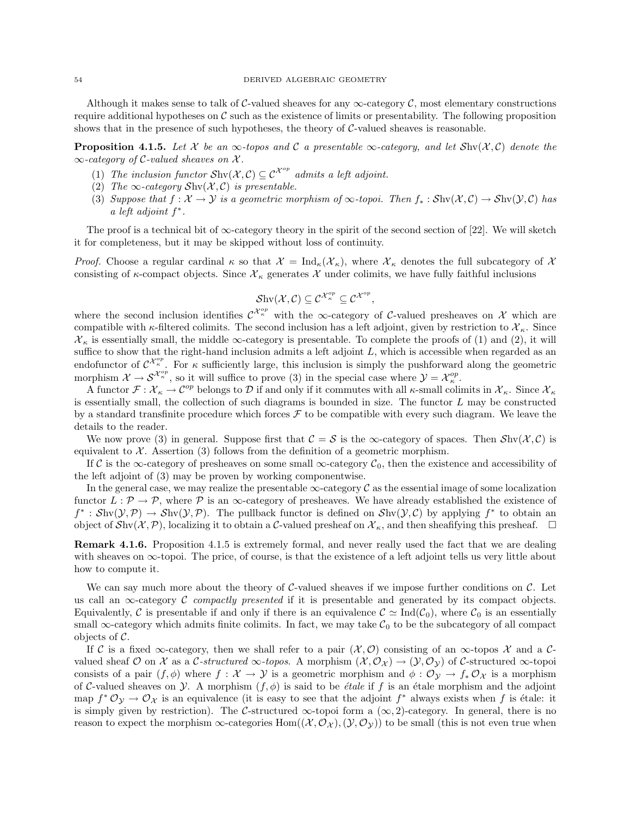Although it makes sense to talk of C-valued sheaves for any  $\infty$ -category C, most elementary constructions require additional hypotheses on  $\mathcal C$  such as the existence of limits or presentability. The following proposition shows that in the presence of such hypotheses, the theory of  $C$ -valued sheaves is reasonable.

**Proposition 4.1.5.** Let X be an  $\infty$ -topos and C a presentable  $\infty$ -category, and let  $\text{Shv}(\mathcal{X}, \mathcal{C})$  denote the  $\infty$ -category of C-valued sheaves on X.

- (1) The inclusion functor  $\text{Shv}(\mathcal{X}, \mathcal{C}) \subseteq \mathcal{C}^{\mathcal{X}^{op}}$  admits a left adjoint.
- (2) The  $\infty$ -category Shv $(\mathcal{X}, \mathcal{C})$  is presentable.
- (3) Suppose that  $f: \mathcal{X} \to \mathcal{Y}$  is a geometric morphism of  $\infty$ -topoi. Then  $f_* : \mathcal{S}$ hv $(\mathcal{X}, \mathcal{C}) \to \mathcal{S}$ hv $(\mathcal{Y}, \mathcal{C})$  has a left adjoint  $f^*$ .

The proof is a technical bit of  $\infty$ -category theory in the spirit of the second section of [22]. We will sketch it for completeness, but it may be skipped without loss of continuity.

*Proof.* Choose a regular cardinal  $\kappa$  so that  $\mathcal{X} = \text{Ind}_{\kappa}(\mathcal{X}_{\kappa})$ , where  $\mathcal{X}_{\kappa}$  denotes the full subcategory of  $\mathcal{X}$ consisting of  $\kappa$ -compact objects. Since  $\mathcal{X}_\kappa$  generates X under colimits, we have fully faithful inclusions

$$
\mathcal{S}\mathrm{hv}(\mathcal{X},\mathcal{C})\subseteq\mathcal{C}^{\mathcal{X}_\kappa^{op}}\subseteq\mathcal{C}^{\mathcal{X}^{op}},
$$

where the second inclusion identifies  $\mathcal{C}^{\mathcal{X}_{\kappa}^{op}}$  with the  $\infty$ -category of C-valued presheaves on X which are compatible with  $\kappa$ -filtered colimits. The second inclusion has a left adjoint, given by restriction to  $\mathcal{X}_{\kappa}$ . Since  $\mathcal{X}_\kappa$  is essentially small, the middle  $\infty$ -category is presentable. To complete the proofs of (1) and (2), it will suffice to show that the right-hand inclusion admits a left adjoint  $L$ , which is accessible when regarded as an endofunctor of  $\mathcal{C}^{\mathcal{X}_{\kappa}^{op}}$ . For  $\kappa$  sufficiently large, this inclusion is simply the pushforward along the geometric morphism  $\mathcal{X} \to \mathcal{S}^{\mathcal{X}_\kappa^{op}}$ , so it will suffice to prove (3) in the special case where  $\mathcal{Y} = \mathcal{X}_\kappa^{op}$ .

A functor  $\mathcal{F}: \mathcal{X}_\kappa \to \mathcal{C}^{op}$  belongs to  $\mathcal D$  if and only if it commutes with all  $\kappa$ -small colimits in  $\mathcal{X}_\kappa$ . Since  $\mathcal{X}_\kappa$ is essentially small, the collection of such diagrams is bounded in size. The functor  $L$  may be constructed by a standard transfinite procedure which forces  $\mathcal F$  to be compatible with every such diagram. We leave the details to the reader.

We now prove (3) in general. Suppose first that  $C = S$  is the  $\infty$ -category of spaces. Then  $\mathcal{S}$ hv $(\mathcal{X}, \mathcal{C})$  is equivalent to  $X$ . Assertion (3) follows from the definition of a geometric morphism.

If C is the ∞-category of presheaves on some small  $\infty$ -category  $C_0$ , then the existence and accessibility of the left adjoint of (3) may be proven by working componentwise.

In the general case, we may realize the presentable  $\infty$ -category C as the essential image of some localization functor  $L : \mathcal{P} \to \mathcal{P}$ , where  $\mathcal{P}$  is an  $\infty$ -category of presheaves. We have already established the existence of  $f^*: Shv(\mathcal{Y}, \mathcal{P}) \to Shv(\mathcal{Y}, \mathcal{P})$ . The pullback functor is defined on  $Shv(\mathcal{Y}, \mathcal{C})$  by applying  $f^*$  to obtain an object of  $\mathcal{S}_{hv}(\mathcal{X}, \mathcal{P})$ , localizing it to obtain a C-valued presheaf on  $\mathcal{X}_{\kappa}$ , and then sheafifying this presheaf.  $\Box$ 

Remark 4.1.6. Proposition 4.1.5 is extremely formal, and never really used the fact that we are dealing with sheaves on  $\infty$ -topoi. The price, of course, is that the existence of a left adjoint tells us very little about how to compute it.

We can say much more about the theory of C-valued sheaves if we impose further conditions on  $\mathcal{C}$ . Let us call an  $\infty$ -category C compactly presented if it is presentable and generated by its compact objects. Equivalently, C is presentable if and only if there is an equivalence  $\mathcal{C} \simeq \text{Ind}(\mathcal{C}_0)$ , where  $\mathcal{C}_0$  is an essentially small  $\infty$ -category which admits finite colimits. In fact, we may take  $\mathcal{C}_0$  to be the subcategory of all compact objects of  $\mathcal{C}$ .

If C is a fixed  $\infty$ -category, then we shall refer to a pair  $(\mathcal{X}, \mathcal{O})$  consisting of an  $\infty$ -topos X and a Cvalued sheaf  $\mathcal O$  on  $\mathcal X$  as a C-structured  $\infty$ -topos. A morphism  $(\mathcal X, \mathcal O_{\mathcal X}) \to (\mathcal Y, \mathcal O_{\mathcal Y})$  of C-structured  $\infty$ -topoi consists of a pair  $(f, \phi)$  where  $f : \mathcal{X} \to \mathcal{Y}$  is a geometric morphism and  $\phi : \mathcal{O}_{\mathcal{Y}} \to f_* \mathcal{O}_{\mathcal{X}}$  is a morphism of C-valued sheaves on  $\mathcal Y$ . A morphism  $(f, \phi)$  is said to be *étale* if f is an étale morphism and the adjoint map  $f^* \mathcal{O}_{\mathcal{Y}} \to \mathcal{O}_{\mathcal{X}}$  is an equivalence (it is easy to see that the adjoint  $f^*$  always exists when f is étale: it is simply given by restriction). The C-structured  $\infty$ -topoi form a  $(\infty, 2)$ -category. In general, there is no reason to expect the morphism  $\infty$ -categories  $Hom((X, \mathcal{O}_X), (\mathcal{Y}, \mathcal{O}_Y))$  to be small (this is not even true when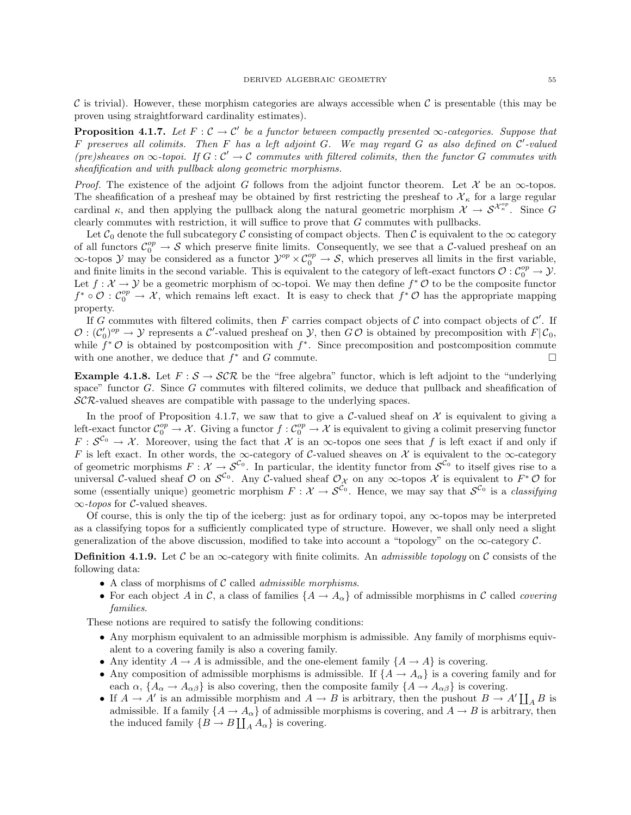C is trivial). However, these morphism categories are always accessible when C is presentable (this may be proven using straightforward cardinality estimates).

**Proposition 4.1.7.** Let  $F: \mathcal{C} \to \mathcal{C}'$  be a functor between compactly presented  $\infty$ -categories. Suppose that  $F$  preserves all colimits. Then  $F$  has a left adjoint  $G$ . We may regard  $G$  as also defined on  $\mathcal{C}'$ -valued (pre)sheaves on  $\infty$ -topoi. If  $G: \mathcal{C}' \to \mathcal{C}$  commutes with filtered colimits, then the functor G commutes with sheafification and with pullback along geometric morphisms.

*Proof.* The existence of the adjoint G follows from the adjoint functor theorem. Let X be an  $\infty$ -topos. The sheafification of a presheaf may be obtained by first restricting the presheaf to  $\mathcal{X}_\kappa$  for a large regular cardinal  $\kappa$ , and then applying the pullback along the natural geometric morphism  $\mathcal{X} \to \mathcal{S}^{\mathcal{X}_{\kappa}^{op}}$ . Since G clearly commutes with restriction, it will suffice to prove that G commutes with pullbacks.

Let  $\mathcal{C}_0$  denote the full subcategory C consisting of compact objects. Then C is equivalent to the  $\infty$  category of all functors  $\mathcal{C}_0^{op} \to \mathcal{S}$  which preserve finite limits. Consequently, we see that a C-valued presheaf on an  $\infty$ -topos  $\mathcal Y$  may be considered as a functor  $\mathcal Y^{op} \times \mathcal C_0^{op} \to \mathcal S$ , which preserves all limits in the first variable, and finite limits in the second variable. This is equivalent to the category of left-exact functors  $\mathcal{O}: \mathcal{C}_0^{op} \to \mathcal{Y}$ . Let  $f: \mathcal{X} \to \mathcal{Y}$  be a geometric morphism of  $\infty$ -topoi. We may then define  $f^* \mathcal{O}$  to be the composite functor  $f^* \circ \mathcal{O} : \mathcal{C}_0^{op} \to \mathcal{X}$ , which remains left exact. It is easy to check that  $f^* \mathcal{O}$  has the appropriate mapping property.

If G commutes with filtered colimits, then F carries compact objects of C into compact objects of  $\mathcal{C}'$ . If  $\mathcal{O}: (\mathcal{C}'_0)^{op} \to \mathcal{Y}$  represents a  $\mathcal{C}'$ -valued presheaf on  $\mathcal{Y}$ , then  $G\mathcal{O}$  is obtained by precomposition with  $F|\mathcal{C}_0$ , while  $f^*$  O is obtained by postcomposition with  $f^*$ . Since precomposition and postcomposition commute with one another, we deduce that  $f^*$  and  $G$  commute.

**Example 4.1.8.** Let  $F : S \to \mathcal{SCR}$  be the "free algebra" functor, which is left adjoint to the "underlying" space" functor G. Since G commutes with filtered colimits, we deduce that pullback and sheafification of  $\mathcal{SCR}\text{-}$  valued sheaves are compatible with passage to the underlying spaces.

In the proof of Proposition 4.1.7, we saw that to give a C-valued sheaf on  $\mathcal X$  is equivalent to giving a left-exact functor  $\mathcal{C}_0^{op} \to \mathcal{X}$ . Giving a functor  $f: \mathcal{C}_0^{op} \to \mathcal{X}$  is equivalent to giving a colimit preserving functor  $F: \mathcal{S}^{\mathcal{C}_0} \to \mathcal{X}$ . Moreover, using the fact that X is an  $\infty$ -topos one sees that f is left exact if and only if F is left exact. In other words, the  $\infty$ -category of C-valued sheaves on X is equivalent to the  $\infty$ -category of geometric morphisms  $F: \mathcal{X} \to \mathcal{S}^{\mathcal{C}_0}$ . In particular, the identity functor from  $\mathcal{S}^{\mathcal{C}_0}$  to itself gives rise to a universal C-valued sheaf  $\mathcal O$  on  $\mathcal S^{c_0}$ . Any C-valued sheaf  $\mathcal O_\mathcal X$  on any  $\infty$ -topos  $\mathcal X$  is equivalent to  $F^*\mathcal O$  for some (essentially unique) geometric morphism  $F: \mathcal{X} \to \mathcal{S}^{\mathcal{C}_0}$ . Hence, we may say that  $\mathcal{S}^{\mathcal{C}_0}$  is a *classifying*  $\infty$ -topos for C-valued sheaves.

Of course, this is only the tip of the iceberg: just as for ordinary topoi, any  $\infty$ -topos may be interpreted as a classifying topos for a sufficiently complicated type of structure. However, we shall only need a slight generalization of the above discussion, modified to take into account a "topology" on the  $\infty$ -category  $\mathcal{C}$ .

**Definition 4.1.9.** Let C be an  $\infty$ -category with finite colimits. An *admissible topology* on C consists of the following data:

- A class of morphisms of  $C$  called *admissible morphisms*.
- For each object A in C, a class of families  $\{A \to A_\alpha\}$  of admissible morphisms in C called covering families.

These notions are required to satisfy the following conditions:

- Any morphism equivalent to an admissible morphism is admissible. Any family of morphisms equivalent to a covering family is also a covering family.
- Any identity  $A \to A$  is admissible, and the one-element family  $\{A \to A\}$  is covering.
- Any composition of admissible morphisms is admissible. If  ${A \rightarrow A_{\alpha}}$  is a covering family and for each  $\alpha$ ,  $\{A_{\alpha} \to A_{\alpha\beta}\}\$ is also covering, then the composite family  $\{A \to A_{\alpha\beta}\}\$ is covering.
- If  $A \to A'$  is an admissible morphism and  $A \to B$  is arbitrary, then the pushout  $B \to A' \coprod_A B$  is admissible. If a family  $\{A \to A_\alpha\}$  of admissible morphisms is covering, and  $A \to B$  is arbitrary, then the induced family  $\{B \to B \coprod_A A_\alpha\}$  is covering.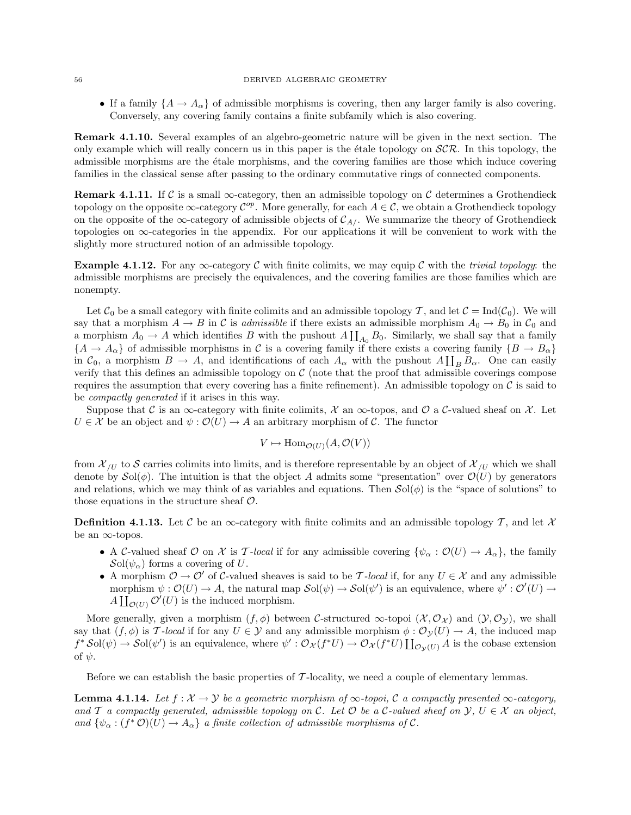#### 56 DERIVED ALGEBRAIC GEOMETRY

• If a family  $\{A \to A_\alpha\}$  of admissible morphisms is covering, then any larger family is also covering. Conversely, any covering family contains a finite subfamily which is also covering.

Remark 4.1.10. Several examples of an algebro-geometric nature will be given in the next section. The only example which will really concern us in this paper is the étale topology on  $\mathcal{SCR}$ . In this topology, the admissible morphisms are the *étale morphisms*, and the covering families are those which induce covering families in the classical sense after passing to the ordinary commutative rings of connected components.

**Remark 4.1.11.** If C is a small  $\infty$ -category, then an admissible topology on C determines a Grothendieck topology on the opposite  $\infty$ -category  $\mathcal{C}^{op}$ . More generally, for each  $A \in \mathcal{C}$ , we obtain a Grothendieck topology on the opposite of the  $\infty$ -category of admissible objects of  $C_{A}$ . We summarize the theory of Grothendieck topologies on  $\infty$ -categories in the appendix. For our applications it will be convenient to work with the slightly more structured notion of an admissible topology.

Example 4.1.12. For any  $\infty$ -category C with finite colimits, we may equip C with the trivial topology: the admissible morphisms are precisely the equivalences, and the covering families are those families which are nonempty.

Let  $C_0$  be a small category with finite colimits and an admissible topology T, and let  $C = \text{Ind}(C_0)$ . We will say that a morphism  $A \to B$  in C is admissible if there exists an admissible morphism  $A_0 \to B_0$  in  $C_0$  and a morphism  $A_0 \to A$  which identifies B with the pushout  $A \coprod_{A_0} B_0$ . Similarly, we shall say that a family  ${A \to A_{\alpha}}$  of admissible morphisms in C is a covering family if there exists a covering family  ${B \to B_{\alpha}}$ in  $C_0$ , a morphism  $B \to A$ , and identifications of each  $A_\alpha$  with the pushout  $A\coprod_B B_\alpha$ . One can easily verify that this defines an admissible topology on  $C$  (note that the proof that admissible coverings compose requires the assumption that every covering has a finite refinement). An admissible topology on  $\mathcal C$  is said to be compactly generated if it arises in this way.

Suppose that C is an ∞-category with finite colimits, X an ∞-topos, and O a C-valued sheaf on X. Let  $U \in \mathcal{X}$  be an object and  $\psi : \mathcal{O}(U) \to A$  an arbitrary morphism of C. The functor

$$
V \mapsto \text{Hom}_{\mathcal{O}(U)}(A, \mathcal{O}(V))
$$

from  $\mathcal{X}_{\ell U}$  to S carries colimits into limits, and is therefore representable by an object of  $\mathcal{X}_{\ell U}$  which we shall denote by  $\mathcal{S}ol(\phi)$ . The intuition is that the object A admits some "presentation" over  $\mathcal{O}(U)$  by generators and relations, which we may think of as variables and equations. Then  $\mathcal{S}ol(\phi)$  is the "space of solutions" to those equations in the structure sheaf  $\mathcal{O}$ .

**Definition 4.1.13.** Let C be an  $\infty$ -category with finite colimits and an admissible topology T, and let X be an  $\infty$ -topos.

- A C-valued sheaf O on X is T-local if for any admissible covering  $\{\psi_{\alpha} : \mathcal{O}(U) \to A_{\alpha}\}\)$ , the family  $\mathcal{S}ol(\psi_\alpha)$  forms a covering of U.
- A morphism  $\mathcal{O} \to \mathcal{O}'$  of C-valued sheaves is said to be T-local if, for any  $U \in \mathcal{X}$  and any admissible morphism  $\psi : \mathcal{O}(U) \to A$ , the natural map  $\mathcal{S}ol(\psi) \to \mathcal{S}ol(\psi')$  is an equivalence, where  $\psi' : \mathcal{O}'(U) \to$  $A\coprod_{\mathcal{O}(U)}\mathcal{O}'(U)$  is the induced morphism.

More generally, given a morphism  $(f, \phi)$  between C-structured  $\infty$ -topoi  $(\mathcal{X}, \mathcal{O}_{\mathcal{X}})$  and  $(\mathcal{Y}, \mathcal{O}_{\mathcal{Y}})$ , we shall say that  $(f, \phi)$  is T-local if for any  $U \in \mathcal{Y}$  and any admissible morphism  $\phi : \mathcal{O}_{\mathcal{Y}}(U) \to A$ , the induced map  $f^*Sol(\psi) \to Sol(\psi')$  is an equivalence, where  $\psi': \mathcal{O}_{\mathcal{X}}(f^*U) \to \mathcal{O}_{\mathcal{X}}(f^*U) \coprod_{\mathcal{O}_{\mathcal{Y}}(U)} A$  is the cobase extension of  $\psi$ .

Before we can establish the basic properties of T-locality, we need a couple of elementary lemmas.

**Lemma 4.1.14.** Let  $f: \mathcal{X} \to \mathcal{Y}$  be a geometric morphism of  $\infty$ -topoi, C a compactly presented  $\infty$ -category, and T a compactly generated, admissible topology on C. Let  $\mathcal O$  be a C-valued sheaf on  $\mathcal Y, U \in \mathcal X$  an object, and  $\{\psi_{\alpha}:(f^*\mathcal{O})(U)\to A_{\alpha}\}\$ a finite collection of admissible morphisms of  $\mathcal{C}.$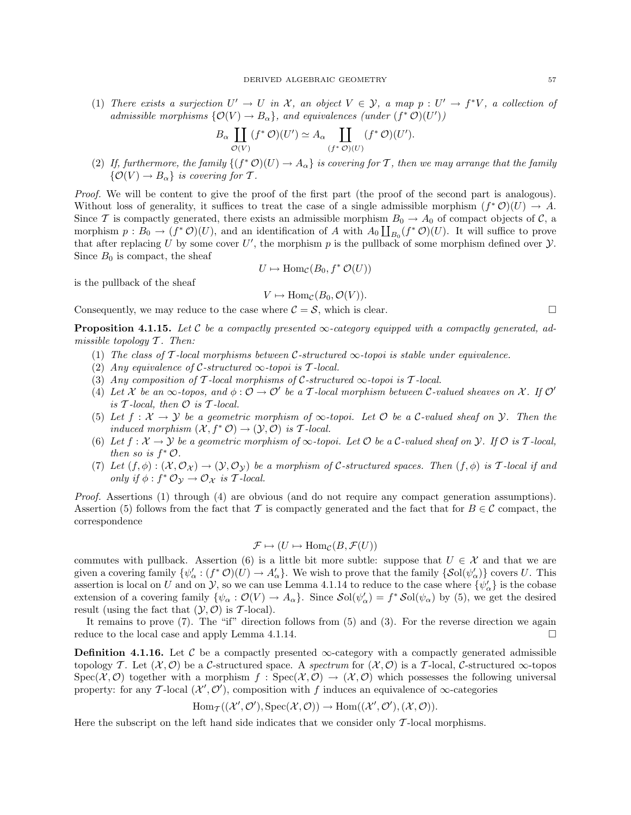(1) There exists a surjection  $U' \to U$  in X, an object  $V \in \mathcal{Y}$ , a map  $p : U' \to f^*V$ , a collection of admissible morphisms  $\{O(V) \rightarrow B_{\alpha}\}\$ , and equivalences (under  $(f^* \mathcal{O})(U')$ )

$$
B_{\alpha} \coprod_{\mathcal{O}(V)} (f^* \mathcal{O})(U') \simeq A_{\alpha} \coprod_{(f^* \mathcal{O})(U)} (f^* \mathcal{O})(U').
$$

(2) If, furthermore, the family  $\{(f^*\mathcal{O})(U) \to A_\alpha\}$  is covering for T, then we may arrange that the family  $\{\mathcal{O}(V) \to B_\alpha\}$  is covering for T.

Proof. We will be content to give the proof of the first part (the proof of the second part is analogous). Without loss of generality, it suffices to treat the case of a single admissible morphism  $(f^*\mathcal{O})(U) \to A$ . Since T is compactly generated, there exists an admissible morphism  $B_0 \to A_0$  of compact objects of C, a morphism  $p: B_0 \to (f^*\mathcal{O})(U)$ , and an identification of A with  $A_0 \coprod_{B_0} (f^*\mathcal{O})(U)$ . It will suffice to prove that after replacing U by some cover U', the morphism p is the pullback of some morphism defined over  $\mathcal{Y}$ . Since  $B_0$  is compact, the sheaf

$$
U \mapsto \operatorname{Hom}_{\mathcal{C}}(B_0, f^* \mathcal{O}(U))
$$

is the pullback of the sheaf

$$
V \mapsto \text{Hom}_{\mathcal{C}}(B_0, \mathcal{O}(V)).
$$

Consequently, we may reduce to the case where  $C = S$ , which is clear.

**Proposition 4.1.15.** Let C be a compactly presented  $\infty$ -category equipped with a compactly generated, admissible topology  $T$ . Then:

- (1) The class of T-local morphisms between C-structured  $\infty$ -topoi is stable under equivalence.
- (2) Any equivalence of C-structured  $\infty$ -topoi is T-local.
- (3) Any composition of T-local morphisms of C-structured  $\infty$ -topoi is T-local.
- (4) Let X be an  $\infty$ -topos, and  $\phi : \mathcal{O} \to \mathcal{O}'$  be a T-local morphism between C-valued sheaves on X. If  $\mathcal{O}'$ is  $\mathcal T$ -local, then  $\mathcal O$  is  $\mathcal T$ -local.
- (5) Let  $f: \mathcal{X} \to \mathcal{Y}$  be a geometric morphism of  $\infty$ -topoi. Let  $\mathcal{O}$  be a C-valued sheaf on  $\mathcal{Y}$ . Then the induced morphism  $(\mathcal{X}, f^* \mathcal{O}) \to (\mathcal{Y}, \mathcal{O})$  is T-local.
- (6) Let  $f: \mathcal{X} \to \mathcal{Y}$  be a geometric morphism of  $\infty$ -topoi. Let  $\mathcal O$  be a C-valued sheaf on  $\mathcal Y$ . If  $\mathcal O$  is T-local, then so is  $f^*$   $\mathcal{O}$ .
- (7) Let  $(f, \phi) : (\mathcal{X}, \mathcal{O}_{\mathcal{X}}) \to (\mathcal{Y}, \mathcal{O}_{\mathcal{Y}})$  be a morphism of C-structured spaces. Then  $(f, \phi)$  is T-local if and only if  $\phi : f^* \mathcal{O}_{\mathcal{Y}} \to \mathcal{O}_{\mathcal{X}}$  is T-local.

Proof. Assertions (1) through (4) are obvious (and do not require any compact generation assumptions). Assertion (5) follows from the fact that T is compactly generated and the fact that for  $B \in \mathcal{C}$  compact, the correspondence

$$
\mathcal{F} \mapsto (U \mapsto \text{Hom}_{\mathcal{C}}(B, \mathcal{F}(U))
$$

commutes with pullback. Assertion (6) is a little bit more subtle: suppose that  $U \in \mathcal{X}$  and that we are given a covering family  $\{\psi_\alpha': (f^*\mathcal{O})(U) \to A_\alpha'\}$ . We wish to prove that the family  $\{\mathcal{S}ol(\psi_\alpha')\}$  covers U. This assertion is local on U and on Y, so we can use Lemma 4.1.14 to reduce to the case where  $\{\psi'_\alpha\}$  is the cobase extension of a covering family  $\{\psi_\alpha : \mathcal{O}(V) \to A_\alpha\}$ . Since  $\mathcal{S}ol(\psi'_\alpha) = f^* \mathcal{S}ol(\psi_\alpha)$  by (5), we get the desired result (using the fact that  $(\mathcal{Y}, \mathcal{O})$  is T-local).

It remains to prove (7). The "if" direction follows from (5) and (3). For the reverse direction we again reduce to the local case and apply Lemma 4.1.14.

**Definition 4.1.16.** Let C be a compactly presented  $\infty$ -category with a compactly generated admissible topology T. Let  $(\mathcal{X}, \mathcal{O})$  be a C-structured space. A spectrum for  $(\mathcal{X}, \mathcal{O})$  is a T-local, C-structured  $\infty$ -topos  $Spec(\mathcal{X},\mathcal{O})$  together with a morphism  $f : Spec(\mathcal{X},\mathcal{O}) \to (\mathcal{X},\mathcal{O})$  which possesses the following universal property: for any T-local  $(\mathcal{X}', \mathcal{O}')$ , composition with f induces an equivalence of  $\infty$ -categories

$$
\operatorname{Hom}\nolimits_{\operatorname{\mathcal{T}}\nolimits}((\mathcal{X}', \mathcal{O}'), \operatorname{Spec}\nolimits(\mathcal{X}, \mathcal{O})) \to \operatorname{Hom}\nolimits((\mathcal{X}', \mathcal{O}'), (\mathcal{X}, \mathcal{O})).
$$

Here the subscript on the left hand side indicates that we consider only  $\mathcal{T}$ -local morphisms.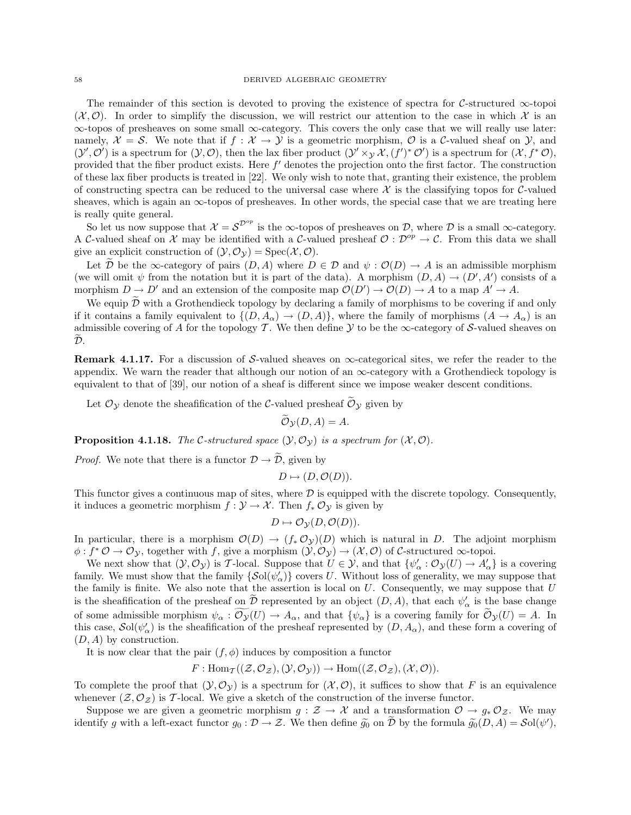The remainder of this section is devoted to proving the existence of spectra for C-structured ∞-topoi  $(\mathcal{X}, \mathcal{O})$ . In order to simplify the discussion, we will restrict our attention to the case in which X is an ∞-topos of presheaves on some small ∞-category. This covers the only case that we will really use later: namely,  $\mathcal{X} = \mathcal{S}$ . We note that if  $f : \mathcal{X} \to \mathcal{Y}$  is a geometric morphism,  $\mathcal{O}$  is a C-valued sheaf on  $\mathcal{Y}$ , and  $(\mathcal{Y}', \mathcal{O}')$  is a spectrum for  $(\mathcal{Y}, \mathcal{O})$ , then the lax fiber product  $(\mathcal{Y}' \times_{\mathcal{Y}} \mathcal{X}, (f')^* \mathcal{O}')$  is a spectrum for  $(\mathcal{X}, f^* \mathcal{O})$ , provided that the fiber product exists. Here  $f'$  denotes the projection onto the first factor. The construction of these lax fiber products is treated in [22]. We only wish to note that, granting their existence, the problem of constructing spectra can be reduced to the universal case where  $\mathcal X$  is the classifying topos for C-valued sheaves, which is again an  $\infty$ -topos of presheaves. In other words, the special case that we are treating here is really quite general.

So let us now suppose that  $\mathcal{X} = \mathcal{S}^{\mathcal{D}^{op}}$  is the  $\infty$ -topos of presheaves on  $\mathcal{D}$ , where  $\mathcal D$  is a small  $\infty$ -category. A C-valued sheaf on X may be identified with a C-valued presheaf  $\mathcal{O}: \mathcal{D}^{op} \to \mathcal{C}$ . From this data we shall give an explicit construction of  $(\mathcal{Y}, \mathcal{O}_{\mathcal{Y}}) = \text{Spec}(\mathcal{X}, \mathcal{O})$ .

Let  $\mathcal D$  be the  $\infty$ -category of pairs  $(D, A)$  where  $D \in \mathcal D$  and  $\psi : \mathcal O(D) \to A$  is an admissible morphism (we will omit  $\psi$  from the notation but it is part of the data). A morphism  $(D, A) \to (D', A')$  consists of a morphism  $D \to D'$  and an extension of the composite map  $\mathcal{O}(D') \to \mathcal{O}(D) \to A$  to a map  $A' \to A$ .

We equip  $\tilde{\mathcal{D}}$  with a Grothendieck topology by declaring a family of morphisms to be covering if and only if it contains a family equivalent to  $\{(D, A_{\alpha}) \to (D, A)\}\)$ , where the family of morphisms  $(A \to A_{\alpha})$  is an admissible covering of A for the topology T. We then define  $\mathcal Y$  to be the  $\infty$ -category of S-valued sheaves on  $\widetilde{\mathcal{D}}$ .

**Remark 4.1.17.** For a discussion of S-valued sheaves on  $\infty$ -categorical sites, we refer the reader to the appendix. We warn the reader that although our notion of an  $\infty$ -category with a Grothendieck topology is equivalent to that of [39], our notion of a sheaf is different since we impose weaker descent conditions.

Let  $\mathcal{O}_{\mathcal{Y}}$  denote the sheafification of the  $\mathcal{C}\text{-valued presheaf}\ \widetilde{\mathcal{O}}_{\mathcal{Y}}$  given by

 $\widetilde{\mathcal{O}}_{\mathcal{V}}(D, A) = A.$ 

**Proposition 4.1.18.** The C-structured space  $(\mathcal{Y}, \mathcal{O}_{\mathcal{Y}})$  is a spectrum for  $(\mathcal{X}, \mathcal{O})$ .

*Proof.* We note that there is a functor  $\mathcal{D} \rightarrow \widetilde{\mathcal{D}}$ , given by

 $D \mapsto (D, \mathcal{O}(D)).$ 

This functor gives a continuous map of sites, where  $\mathcal D$  is equipped with the discrete topology. Consequently, it induces a geometric morphism  $f: \mathcal{Y} \to \mathcal{X}$ . Then  $f_* \mathcal{O}_{\mathcal{Y}}$  is given by

 $D \mapsto \mathcal{O}_{\mathcal{V}}(D, \mathcal{O}(D)).$ 

In particular, there is a morphism  $\mathcal{O}(D) \to (f_* \mathcal{O}_{\mathcal{Y}})(D)$  which is natural in D. The adjoint morphism  $\phi: f^* \mathcal{O} \to \mathcal{O}_{\mathcal{Y}}$ , together with f, give a morphism  $(\mathcal{Y}, \mathcal{O}_{\mathcal{Y}}) \to (\mathcal{X}, \mathcal{O})$  of C-structured  $\infty$ -topoi.

We next show that  $(\mathcal{Y}, \mathcal{O}_{\mathcal{Y}})$  is T-local. Suppose that  $U \in \mathcal{Y}$ , and that  $\{\psi_{\alpha}': \mathcal{O}_{\mathcal{Y}}(U) \to A_{\alpha}'\}$  is a covering family. We must show that the family  $\{\mathcal{S}ol(\psi'_\alpha)\}$  covers U. Without loss of generality, we may suppose that the family is finite. We also note that the assertion is local on  $U$ . Consequently, we may suppose that  $U$ is the sheafification of the presheaf on  $\tilde{\mathcal{D}}$  represented by an object  $(D, A)$ , that each  $\psi'_\alpha$  is the base change of some admissible morphism  $\psi_{\alpha} : \widetilde{\mathcal{O}_{\mathcal{Y}}}(U) \to A_{\alpha}$ , and that  $\{\psi_{\alpha}\}\$ is a covering family for  $\widetilde{\mathcal{O}}_{\mathcal{Y}}(U) = A$ . In this case,  $\mathcal{S}ol(\psi_\alpha')$  is the sheafification of the presheaf represented by  $(D, A_\alpha)$ , and these form a covering of  $(D, A)$  by construction.

It is now clear that the pair  $(f, \phi)$  induces by composition a functor

$$
F: \text{Hom}_{\mathcal{T}}((\mathcal{Z},\mathcal{O}_{\mathcal{Z}}),(\mathcal{Y},\mathcal{O}_{\mathcal{Y}})) \to \text{Hom}((\mathcal{Z},\mathcal{O}_{\mathcal{Z}}),(\mathcal{X},\mathcal{O})).
$$

To complete the proof that  $(\mathcal{Y}, \mathcal{O}_{\mathcal{Y}})$  is a spectrum for  $(\mathcal{X}, \mathcal{O})$ , it suffices to show that F is an equivalence whenever  $(\mathcal{Z}, \mathcal{O}_{\mathcal{Z}})$  is T-local. We give a sketch of the construction of the inverse functor.

Suppose we are given a geometric morphism  $g : \mathcal{Z} \to \mathcal{X}$  and a transformation  $\mathcal{O} \to g_* \mathcal{O}_{\mathcal{Z}}$ . We may identify g with a left-exact functor  $g_0: \mathcal{D} \to \mathcal{Z}$ . We then define  $\widetilde{g_0}$  on  $\widetilde{\mathcal{D}}$  by the formula  $\widetilde{g_0}(D, A) = \mathcal{S}ol(\psi'),$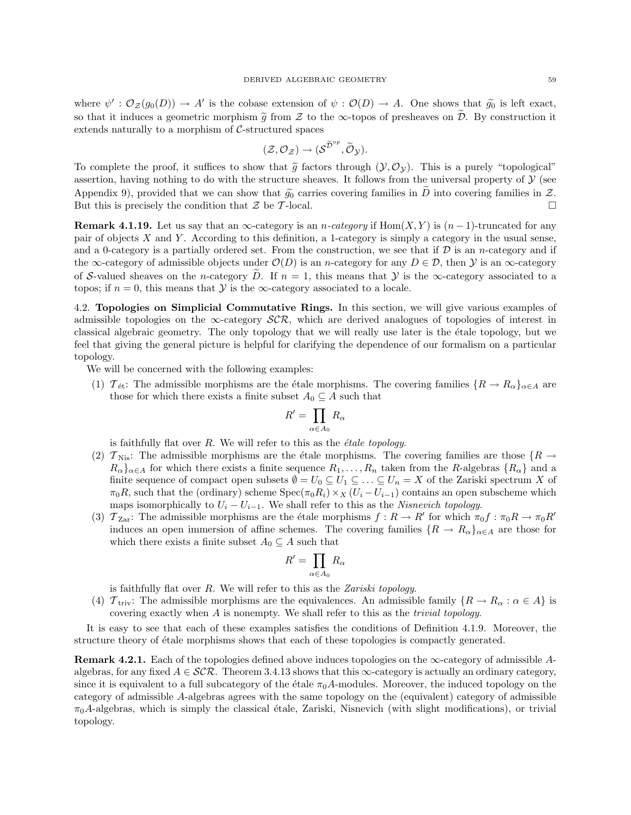where  $\psi' : \mathcal{O}_{\mathcal{Z}}(g_0(D)) \to A'$  is the cobase extension of  $\psi : \mathcal{O}(D) \to A$ . One shows that  $\widetilde{g_0}$  is left exact, so that it induces a geometric morphism  $\tilde{g}$  from  $\mathcal Z$  to the  $\infty$ -topos of presheaves on  $\mathcal D$ . By construction it extends naturally to a morphism of C-structured spaces

$$
(\mathcal{Z},\mathcal{O}_{\mathcal{Z}})\rightarrow (\mathcal{S}^{\widetilde{\mathcal{D}}^{op}},\widetilde{\mathcal{O}}_{\mathcal{Y}}).
$$

To complete the proof, it suffices to show that  $\tilde{g}$  factors through  $(\mathcal{Y}, \mathcal{O}_{\mathcal{Y}})$ . This is a purely "topological" assertion, having nothing to do with the structure sheaves. It follows from the universal property of  $\mathcal{Y}$  (see Appendix 9), provided that we can show that  $\widetilde{g}_0$  carries covering families in  $\widetilde{D}$  into covering families in  $\mathcal{Z}$ .<br>But this is precisely the condition that  $\mathcal{Z}$  be  $\mathcal{T}$ -local. But this is precisely the condition that  $\mathcal Z$  be T-local.

**Remark 4.1.19.** Let us say that an  $\infty$ -category is an *n*-category if Hom $(X, Y)$  is  $(n-1)$ -truncated for any pair of objects X and Y . According to this definition, a 1-category is simply a category in the usual sense, and a 0-category is a partially ordered set. From the construction, we see that if  $D$  is an *n*-category and if the  $\infty$ -category of admissible objects under  $\mathcal{O}(D)$  is an *n*-category for any  $D \in \mathcal{D}$ , then  $\mathcal{Y}$  is an  $\infty$ -category of S-valued sheaves on the n-category  $\overline{D}$ . If  $n = 1$ , this means that  $\mathcal Y$  is the  $\infty$ -category associated to a topos; if  $n = 0$ , this means that  $\mathcal Y$  is the  $\infty$ -category associated to a locale.

4.2. Topologies on Simplicial Commutative Rings. In this section, we will give various examples of admissible topologies on the  $\infty$ -category  $\mathcal{SCR}$ , which are derived analogues of topologies of interest in classical algebraic geometry. The only topology that we will really use later is the étale topology, but we feel that giving the general picture is helpful for clarifying the dependence of our formalism on a particular topology.

We will be concerned with the following examples:

(1)  $\mathcal{T}_{\text{\'et}}$ : The admissible morphisms are the étale morphisms. The covering families  $\{R \to R_\alpha\}_{\alpha \in A}$  are those for which there exists a finite subset  $A_0 \subseteq A$  such that

$$
R' = \prod_{\alpha \in A_0} R_{\alpha}
$$

is faithfully flat over  $R$ . We will refer to this as the  $\acute{e}tale$  topology.

- (2)  $T_{\text{Nis}}$ : The admissible morphisms are the étale morphisms. The covering families are those  $\{R \rightarrow$  $R_{\alpha}\}_{\alpha\in A}$  for which there exists a finite sequence  $R_1,\ldots,R_n$  taken from the R-algebras  $\{R_{\alpha}\}\$  and a finite sequence of compact open subsets  $\emptyset = U_0 \subseteq U_1 \subseteq \ldots \subseteq U_n = X$  of the Zariski spectrum X of  $\pi_0R$ , such that the (ordinary) scheme Spec( $\pi_0R_i$ ) ×  $_X(U_i-U_{i-1})$  contains an open subscheme which maps isomorphically to  $U_i - U_{i-1}$ . We shall refer to this as the *Nisnevich topology*.
- (3)  $T_{\text{Zar}}$ : The admissible morphisms are the étale morphisms  $f: R \to R'$  for which  $\pi_0 f: \pi_0 R \to \pi_0 R'$ induces an open immersion of affine schemes. The covering families  $\{R \to R_\alpha\}_{\alpha \in A}$  are those for which there exists a finite subset  $A_0 \subseteq A$  such that

$$
R' = \prod_{\alpha \in A_0} R_\alpha
$$

is faithfully flat over  $R$ . We will refer to this as the Zariski topology.

(4)  $\mathcal{T}_{\text{triv}}$ : The admissible morphisms are the equivalences. An admissible family  $\{R \to R_\alpha : \alpha \in A\}$  is covering exactly when A is nonempty. We shall refer to this as the trivial topology.

It is easy to see that each of these examples satisfies the conditions of Definition 4.1.9. Moreover, the structure theory of étale morphisms shows that each of these topologies is compactly generated.

**Remark 4.2.1.** Each of the topologies defined above induces topologies on the  $\infty$ -category of admissible Aalgebras, for any fixed  $A \in \mathcal{SCR}$ . Theorem 3.4.13 shows that this  $\infty$ -category is actually an ordinary category, since it is equivalent to a full subcategory of the étale  $\pi_0A$ -modules. Moreover, the induced topology on the category of admissible A-algebras agrees with the same topology on the (equivalent) category of admissible  $\pi_0A$ -algebras, which is simply the classical étale, Zariski, Nisnevich (with slight modifications), or trivial topology.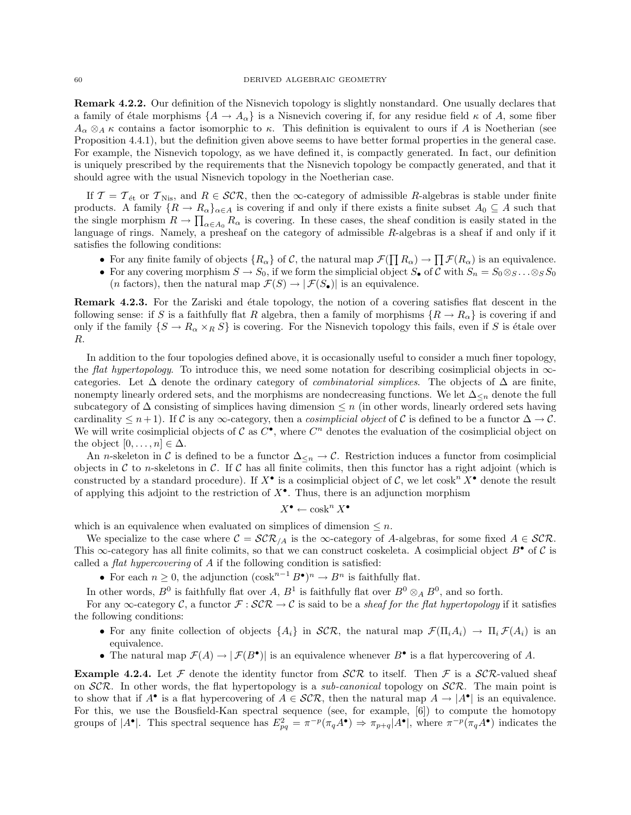Remark 4.2.2. Our definition of the Nisnevich topology is slightly nonstandard. One usually declares that a family of étale morphisms  ${A \to A_{\alpha}}$  is a Nisnevich covering if, for any residue field  $\kappa$  of A, some fiber  $A_{\alpha} \otimes_A \kappa$  contains a factor isomorphic to  $\kappa$ . This definition is equivalent to ours if A is Noetherian (see Proposition 4.4.1), but the definition given above seems to have better formal properties in the general case. For example, the Nisnevich topology, as we have defined it, is compactly generated. In fact, our definition is uniquely prescribed by the requirements that the Nisnevich topology be compactly generated, and that it should agree with the usual Nisnevich topology in the Noetherian case.

If  $\mathcal{T} = \mathcal{T}_{\text{\'et}}$  or  $\mathcal{T}_{\text{Nis}}$ , and  $R \in \mathcal{SCR}$ , then the  $\infty$ -category of admissible R-algebras is stable under finite products. A family  $\{R \to R_\alpha\}_{\alpha \in A}$  is covering if and only if there exists a finite subset  $A_0 \subseteq A$  such that the single morphism  $R \to \prod_{\alpha \in A_0} R_\alpha$  is covering. In these cases, the sheaf condition is easily stated in the language of rings. Namely, a presheaf on the category of admissible R-algebras is a sheaf if and only if it satisfies the following conditions:

- For any finite family of objects  $\{R_{\alpha}\}\$  of C, the natural map  $\mathcal{F}(\prod R_{\alpha}) \to \prod \mathcal{F}(R_{\alpha})$  is an equivalence.
- For any covering morphism  $S \to S_0$ , if we form the simplicial object  $S_{\bullet}$  of C with  $S_n = S_0 \otimes_S \dots \otimes_S S_0$ (*n* factors), then the natural map  $\mathcal{F}(S) \to |\mathcal{F}(S_{\bullet})|$  is an equivalence.

Remark 4.2.3. For the Zariski and étale topology, the notion of a covering satisfies flat descent in the following sense: if S is a faithfully flat R algebra, then a family of morphisms  $\{R \to R_\alpha\}$  is covering if and only if the family  $\{S \to R_\alpha \times_R S\}$  is covering. For the Nisnevich topology this fails, even if S is étale over R.

In addition to the four topologies defined above, it is occasionally useful to consider a much finer topology, the *flat hypertopology*. To introduce this, we need some notation for describing cosimplicial objects in  $\infty$ categories. Let  $\Delta$  denote the ordinary category of *combinatorial simplices*. The objects of  $\Delta$  are finite, nonempty linearly ordered sets, and the morphisms are nondecreasing functions. We let  $\Delta_{\leq n}$  denote the full subcategory of  $\Delta$  consisting of simplices having dimension  $\leq n$  (in other words, linearly ordered sets having cardinality  $\leq n+1$ ). If C is any  $\infty$ -category, then a *cosimplicial object* of C is defined to be a functor  $\Delta \to \mathcal{C}$ . We will write cosimplicial objects of  $\mathcal C$  as  $C^{\bullet}$ , where  $C^n$  denotes the evaluation of the cosimplicial object on the object  $[0, \ldots, n] \in \Delta$ .

An n-skeleton in C is defined to be a functor  $\Delta_{\leq n} \to \mathcal{C}$ . Restriction induces a functor from cosimplicial objects in  $\mathcal C$  to *n*-skeletons in  $\mathcal C$ . If  $\mathcal C$  has all finite colimits, then this functor has a right adjoint (which is constructed by a standard procedure). If  $X^{\bullet}$  is a cosimplicial object of C, we let  $\cosh^{n} X^{\bullet}$  denote the result of applying this adjoint to the restriction of  $X^{\bullet}$ . Thus, there is an adjunction morphism

$$
X^{\bullet} \leftarrow \operatorname{cosk}^n X^{\bullet}
$$

which is an equivalence when evaluated on simplices of dimension  $\leq n$ .

We specialize to the case where  $\mathcal{C} = \mathcal{SCR}_A$  is the  $\infty$ -category of A-algebras, for some fixed  $A \in \mathcal{SCR}$ . This  $\infty$ -category has all finite colimits, so that we can construct coskeleta. A cosimplicial object  $B^{\bullet}$  of C is called a flat hypercovering of A if the following condition is satisfied:

• For each  $n \geq 0$ , the adjunction  $(\cosh^{n-1} B^{\bullet})^n \to B^n$  is faithfully flat.

In other words,  $B^0$  is faithfully flat over  $A, B^1$  is faithfully flat over  $B^0 \otimes_A B^0$ , and so forth.

For any  $\infty$ -category C, a functor  $\mathcal{F}: \mathcal{SCR} \to \mathcal{C}$  is said to be a *sheaf for the flat hypertopology* if it satisfies the following conditions:

- For any finite collection of objects  $\{A_i\}$  in  $\mathcal{SCR}$ , the natural map  $\mathcal{F}(\Pi_i A_i) \to \Pi_i \mathcal{F}(A_i)$  is an equivalence.
- The natural map  $\mathcal{F}(A) \to |\mathcal{F}(B^{\bullet})|$  is an equivalence whenever  $B^{\bullet}$  is a flat hypercovering of A.

**Example 4.2.4.** Let  $\mathcal F$  denote the identity functor from  $\mathcal{SCR}$  to itself. Then  $\mathcal F$  is a  $\mathcal{SCR}$ -valued sheaf on  $SCR$ . In other words, the flat hypertopology is a *sub-canonical* topology on  $SCR$ . The main point is to show that if  $A^{\bullet}$  is a flat hypercovering of  $A \in \mathcal{SCR}$ , then the natural map  $A \to |A^{\bullet}|$  is an equivalence. For this, we use the Bousfield-Kan spectral sequence (see, for example, [6]) to compute the homotopy groups of  $|A^{\bullet}|$ . This spectral sequence has  $E_{pq}^2 = \pi^{-p}(\pi_q A^{\bullet}) \Rightarrow \pi_{p+q}|A^{\bullet}|$ , where  $\pi^{-p}(\pi_q A^{\bullet})$  indicates the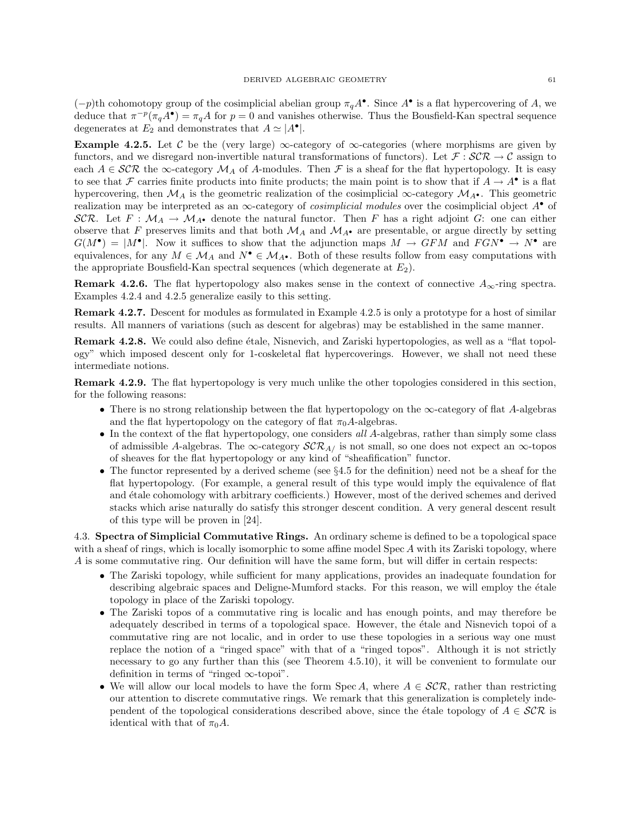$(-p)$ th cohomotopy group of the cosimplicial abelian group  $\pi_q A^{\bullet}$ . Since  $A^{\bullet}$  is a flat hypercovering of A, we deduce that  $\pi^{-p}(\pi_q A^{\bullet}) = \pi_q A$  for  $p = 0$  and vanishes otherwise. Thus the Bousfield-Kan spectral sequence degenerates at  $E_2$  and demonstrates that  $A \simeq |A^{\bullet}|$ .

Example 4.2.5. Let C be the (very large)  $\infty$ -category of  $\infty$ -categories (where morphisms are given by functors, and we disregard non-invertible natural transformations of functors). Let  $\mathcal{F}: \mathcal{SCR} \to \mathcal{C}$  assign to each  $A \in \mathcal{SCR}$  the  $\infty$ -category  $\mathcal{M}_A$  of A-modules. Then F is a sheaf for the flat hypertopology. It is easy to see that F carries finite products into finite products; the main point is to show that if  $A \to A^{\bullet}$  is a flat hypercovering, then  $\mathcal{M}_A$  is the geometric realization of the cosimplicial  $\infty$ -category  $\mathcal{M}_{A^{\bullet}}$ . This geometric realization may be interpreted as an  $\infty$ -category of *cosimplicial modules* over the cosimplicial object  $A^{\bullet}$  of SCR. Let  $F : \mathcal{M}_A \to \mathcal{M}_{A^{\bullet}}$  denote the natural functor. Then F has a right adjoint G: one can either observe that F preserves limits and that both  $\mathcal{M}_A$  and  $\mathcal{M}_{A^{\bullet}}$  are presentable, or argue directly by setting  $G(M^{\bullet}) = |M^{\bullet}|$ . Now it suffices to show that the adjunction maps  $M \to GFM$  and  $FGN^{\bullet} \to N^{\bullet}$  are equivalences, for any  $M \in \mathcal{M}_A$  and  $N^{\bullet} \in \mathcal{M}_{A^{\bullet}}$ . Both of these results follow from easy computations with the appropriate Bousfield-Kan spectral sequences (which degenerate at  $E_2$ ).

**Remark 4.2.6.** The flat hypertopology also makes sense in the context of connective  $A_{\infty}$ -ring spectra. Examples 4.2.4 and 4.2.5 generalize easily to this setting.

Remark 4.2.7. Descent for modules as formulated in Example 4.2.5 is only a prototype for a host of similar results. All manners of variations (such as descent for algebras) may be established in the same manner.

Remark 4.2.8. We could also define étale, Nisnevich, and Zariski hypertopologies, as well as a "flat topology" which imposed descent only for 1-coskeletal flat hypercoverings. However, we shall not need these intermediate notions.

Remark 4.2.9. The flat hypertopology is very much unlike the other topologies considered in this section, for the following reasons:

- There is no strong relationship between the flat hypertopology on the  $\infty$ -category of flat A-algebras and the flat hypertopology on the category of flat  $\pi_0A$ -algebras.
- In the context of the flat hypertopology, one considers all A-algebras, rather than simply some class of admissible A-algebras. The  $\infty$ -category  $\mathcal{SCR}_{A/}$  is not small, so one does not expect an  $\infty$ -topos of sheaves for the flat hypertopology or any kind of "sheafification" functor.
- The functor represented by a derived scheme (see §4.5 for the definition) need not be a sheaf for the flat hypertopology. (For example, a general result of this type would imply the equivalence of flat and étale cohomology with arbitrary coefficients.) However, most of the derived schemes and derived stacks which arise naturally do satisfy this stronger descent condition. A very general descent result of this type will be proven in [24].

4.3. Spectra of Simplicial Commutative Rings. An ordinary scheme is defined to be a topological space with a sheaf of rings, which is locally isomorphic to some affine model  $\text{Spec } A$  with its Zariski topology, where A is some commutative ring. Our definition will have the same form, but will differ in certain respects:

- The Zariski topology, while sufficient for many applications, provides an inadequate foundation for describing algebraic spaces and Deligne-Mumford stacks. For this reason, we will employ the étale topology in place of the Zariski topology.
- The Zariski topos of a commutative ring is localic and has enough points, and may therefore be adequately described in terms of a topological space. However, the étale and Nisnevich topoi of a commutative ring are not localic, and in order to use these topologies in a serious way one must replace the notion of a "ringed space" with that of a "ringed topos". Although it is not strictly necessary to go any further than this (see Theorem 4.5.10), it will be convenient to formulate our definition in terms of "ringed ∞-topoi".
- We will allow our local models to have the form Spec A, where  $A \in \mathcal{SCR}$ , rather than restricting our attention to discrete commutative rings. We remark that this generalization is completely independent of the topological considerations described above, since the étale topology of  $A \in \mathcal{SCR}$  is identical with that of  $\pi_0 A$ .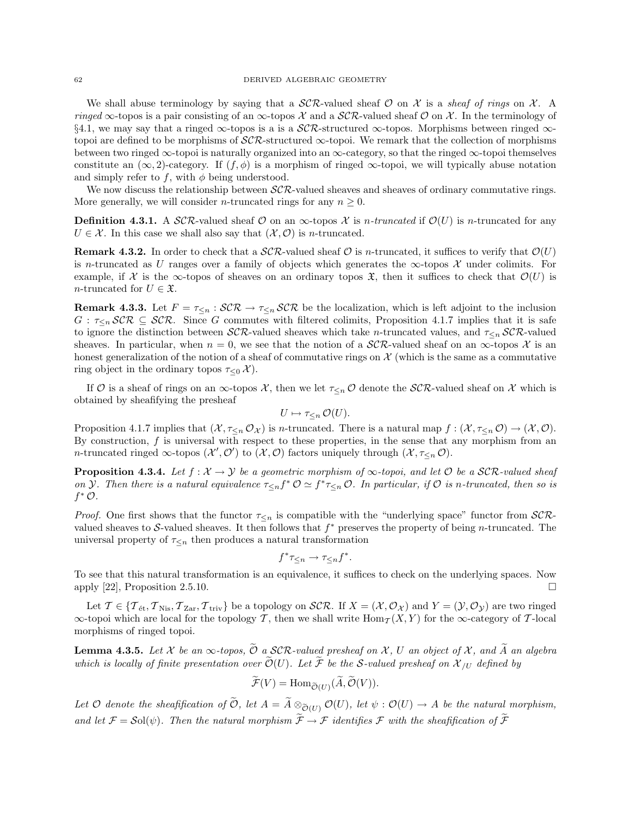We shall abuse terminology by saying that a  $\mathcal{SCR}\text{-valued sheaf }\mathcal{O}$  on X is a sheaf of rings on X. A ringed  $\infty$ -topos is a pair consisting of an  $\infty$ -topos X and a SCR-valued sheaf O on X. In the terminology of §4.1, we may say that a ringed  $\infty$ -topos is a is a  $\mathcal{SCR}\text{-}structured \infty$ -topos. Morphisms between ringed  $\infty$ topoi are defined to be morphisms of  $\mathcal{SCR}\text{-}structured \infty$ -topoi. We remark that the collection of morphisms between two ringed  $\infty$ -topoi is naturally organized into an  $\infty$ -category, so that the ringed  $\infty$ -topoi themselves constitute an  $(\infty, 2)$ -category. If  $(f, \phi)$  is a morphism of ringed  $\infty$ -topoi, we will typically abuse notation and simply refer to f, with  $\phi$  being understood.

We now discuss the relationship between  $\mathcal{SCR}$ -valued sheaves and sheaves of ordinary commutative rings. More generally, we will consider *n*-truncated rings for any  $n \geq 0$ .

**Definition 4.3.1.** A SCR-valued sheaf O on an  $\infty$ -topos X is n-truncated if  $\mathcal{O}(U)$  is n-truncated for any  $U \in \mathcal{X}$ . In this case we shall also say that  $(\mathcal{X}, \mathcal{O})$  is *n*-truncated.

**Remark 4.3.2.** In order to check that a  $\mathcal{SCR}\text{-valued sheaf }\mathcal{O}$  is *n*-truncated, it suffices to verify that  $\mathcal{O}(U)$ is n-truncated as U ranges over a family of objects which generates the  $\infty$ -topos X under colimits. For example, if X is the  $\infty$ -topos of sheaves on an ordinary topos  $\mathfrak{X}$ , then it suffices to check that  $\mathcal{O}(U)$  is *n*-truncated for  $U \in \mathfrak{X}$ .

**Remark 4.3.3.** Let  $F = \tau \leq n : \mathcal{SCR} \to \tau \leq n \mathcal{SCR}$  be the localization, which is left adjoint to the inclusion  $G : \tau_{\leq n}$  SCR  $\subseteq$  SCR. Since G commutes with filtered colimits, Proposition 4.1.7 implies that it is safe to ignore the distinction between  $\mathcal{SCR}\text{-}$ valued sheaves which take n-truncated values, and  $\tau_{\leq n}$   $\mathcal{SCR}\text{-}$ valued sheaves. In particular, when  $n = 0$ , we see that the notion of a  $\mathcal{SCR}\text{-}$ -valued sheaf on an  $\infty$ -topos X is an honest generalization of the notion of a sheaf of commutative rings on  $\mathcal X$  (which is the same as a commutative ring object in the ordinary topos  $\tau_{\leq 0} \mathcal{X}$ ).

If O is a sheaf of rings on an  $\infty$ -topos X, then we let  $\tau_{\leq n}$  O denote the SCR-valued sheaf on X which is obtained by sheafifying the presheaf

$$
U \mapsto \tau_{\leq n} \mathcal{O}(U).
$$

Proposition 4.1.7 implies that  $(\mathcal{X}, \tau_{\leq n} \mathcal{O}_{\mathcal{X}})$  is *n*-truncated. There is a natural map  $f : (\mathcal{X}, \tau_{\leq n} \mathcal{O}) \to (\mathcal{X}, \mathcal{O})$ . By construction,  $f$  is universal with respect to these properties, in the sense that any morphism from an *n*-truncated ringed  $\infty$ -topos  $(\mathcal{X}', \mathcal{O}')$  to  $(\mathcal{X}, \mathcal{O})$  factors uniquely through  $(\mathcal{X}, \tau_{\leq n} \mathcal{O})$ .

**Proposition 4.3.4.** Let  $f: \mathcal{X} \to \mathcal{Y}$  be a geometric morphism of  $\infty$ -topoi, and let  $\mathcal{O}$  be a SCR-valued sheaf on *Y*. Then there is a natural equivalence  $\tau_{\leq n} f^* \mathcal{O} \simeq f^* \tau_{\leq n} \mathcal{O}$ . In particular, if  $\mathcal{O}$  is n-truncated, then so is  $f^*$   $\mathcal{O}$ .

*Proof.* One first shows that the functor  $\tau_{\leq n}$  is compatible with the "underlying space" functor from SCRvalued sheaves to S-valued sheaves. It then follows that  $f^*$  preserves the property of being n-truncated. The universal property of  $\tau_{\leq n}$  then produces a natural transformation

$$
f^*\tau_{\leq n} \to \tau_{\leq n}f^*.
$$

To see that this natural transformation is an equivalence, it suffices to check on the underlying spaces. Now apply [22], Proposition 2.5.10.

Let  $\mathcal{T} \in \{ \mathcal{T}_{\text{\'et}}, \mathcal{T}_{\text{Nis}}, \mathcal{T}_{\text{Zar}}, \mathcal{T}_{\text{triv}} \}$  be a topology on  $\mathcal{SCR}$ . If  $X = (\mathcal{X}, \mathcal{O}_{\mathcal{X}})$  and  $Y = (\mathcal{Y}, \mathcal{O}_{\mathcal{Y}})$  are two ringed  $\infty$ -topoi which are local for the topology T, then we shall write  $\text{Hom}_T(X, Y)$  for the  $\infty$ -category of T-local morphisms of ringed topoi.

**Lemma 4.3.5.** Let X be an  $\infty$ -topos,  $\hat{\mathcal{O}}$  a SCR-valued presheaf on X, U an object of X, and A an algebra which is locally of finite presentation over  $\widetilde{\mathcal{O}}(U)$ . Let  $\widetilde{\mathcal{F}}$  be the S-valued presheaf on  $\mathcal{X}_{UU}$  defined by

$$
\widetilde{\mathcal{F}}(V) = \text{Hom}_{\widetilde{\mathcal{O}}(U)}(\widetilde{A}, \widetilde{\mathcal{O}}(V)).
$$

Let O denote the sheafification of  $\tilde{O}$ , let  $A = \tilde{A} \otimes_{\tilde{O}(U)} O(U)$ , let  $\psi : O(U) \to A$  be the natural morphism, and let  $\mathcal{F} = \mathcal{S}ol(\psi)$ . Then the natural morphism  $\widetilde{\mathcal{F}} \to \mathcal{F}$  identifies  $\mathcal F$  with the sheafification of  $\widetilde{\mathcal{F}}$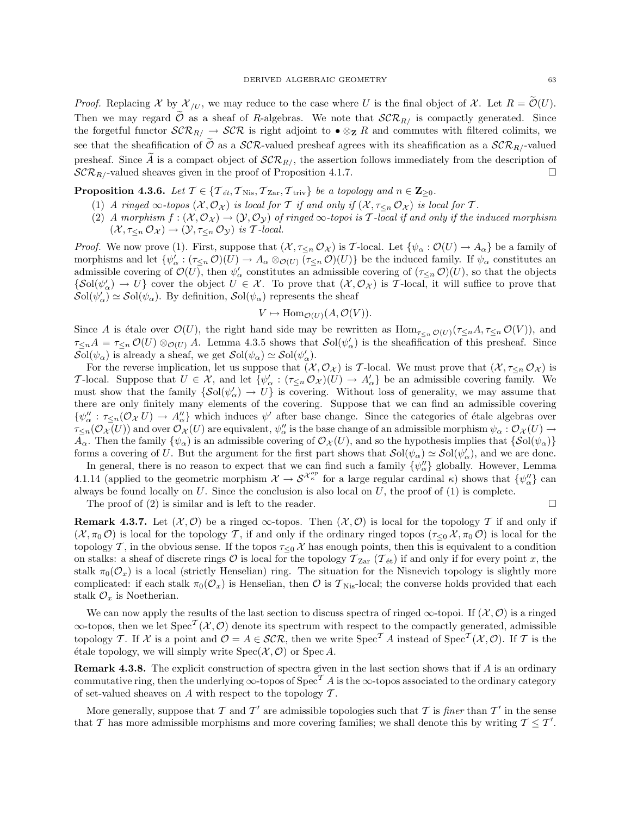*Proof.* Replacing X by  $\mathcal{X}_{/U}$ , we may reduce to the case where U is the final object of X. Let  $R = \mathcal{O}(U)$ . Then we may regard  $\tilde{\mathcal{O}}$  as a sheaf of R-algebras. We note that  $\mathcal{SCR}_{R/2}$  is compactly generated. Since the forgetful functor  $\mathcal{SCR}_R \rightarrow \mathcal{SCR}$  is right adjoint to  $\bullet \otimes_{\mathbf{Z}} R$  and commutes with filtered colimits, we see that the sheafification of  $\tilde{O}$  as a  $\cal{SCR}$ -valued presheaf agrees with its sheafification as a  $\cal{SCR}_R$ -valued presheaf. Since A is a compact object of  $\mathcal{SCR}_{R/}$ , the assertion follows immediately from the description of  $\mathcal{SCR}_{R/}$ -valued sheaves given in the proof of Proposition 4.1.7.  $\mathcal{SCR}_{R}/$ -valued sheaves given in the proof of Proposition 4.1.7.

**Proposition 4.3.6.** Let  $\mathcal{T} \in \{ \mathcal{T}_{\text{\textit{\'et}}}, \mathcal{T}_{\text{Nis}}, \mathcal{T}_{\text{Zar}}, \mathcal{T}_{\text{triv}} \}$  be a topology and  $n \in \mathbb{Z}_{\geq 0}$ .

- (1) A ringed  $\infty$ -topos  $(\mathcal{X}, \mathcal{O}_{\mathcal{X}})$  is local for T if and only if  $(\mathcal{X}, \tau_{\leq n} \mathcal{O}_{\mathcal{X}})$  is local for T.
- (2) A morphism  $f: (\mathcal{X}, \mathcal{O}_{\mathcal{X}}) \to (\mathcal{Y}, \mathcal{O}_{\mathcal{Y}})$  of ringed  $\infty$ -topoi is T-local if and only if the induced morphism  $(\mathcal{X}, \tau_{\leq n} \mathcal{O}_{\mathcal{X}}) \to (\mathcal{Y}, \tau_{\leq n} \mathcal{O}_{\mathcal{Y}})$  is T-local.

*Proof.* We now prove (1). First, suppose that  $(\mathcal{X}, \tau_{\leq n} \mathcal{O}_{\mathcal{X}})$  is T-local. Let  $\{\psi_{\alpha} : \mathcal{O}(U) \to A_{\alpha}\}\$ be a family of morphisms and let  $\{\psi_\alpha': (\tau_{\leq n} \mathcal{O})(U) \to A_\alpha \otimes_{\mathcal{O}(U)} (\overline{\tau_{\leq n} \mathcal{O})(U)}\}$  be the induced family. If  $\psi_\alpha$  constitutes an admissible covering of  $\mathcal{O}(U)$ , then  $\psi'_\alpha$  constitutes an admissible covering of  $(\tau_{\leq n} \mathcal{O})(U)$ , so that the objects  ${\{\mathcal{S}ol}(\psi_\alpha') \to U\}$  cover the object  $U \in \mathcal{X}$ . To prove that  $(\mathcal{X}, \mathcal{O}_\mathcal{X})$  is T-local, it will suffice to prove that  $\mathcal{S}ol(\psi_\alpha') \simeq \mathcal{S}ol(\psi_\alpha)$ . By definition,  $\mathcal{S}ol(\psi_\alpha)$  represents the sheaf

$$
V \mapsto \text{Hom}_{\mathcal{O}(U)}(A, \mathcal{O}(V)).
$$

Since A is étale over  $\mathcal{O}(U)$ , the right hand side may be rewritten as  $\text{Hom}_{\tau\leq n}\mathcal{O}(U)(\tau\leq nA,\tau\leq n\mathcal{O}(V))$ , and  $\tau_{\leq n}A = \tau_{\leq n} \mathcal{O}(U) \otimes_{\mathcal{O}(U)} A$ . Lemma 4.3.5 shows that  $\mathcal{S}ol(\psi_{\alpha}')$  is the sheafification of this presheaf. Since  $\mathcal{S}ol(\psi_\alpha)$  is already a sheaf, we get  $\mathcal{S}ol(\psi_\alpha) \simeq \mathcal{S}ol(\psi'_\alpha)$ .

For the reverse implication, let us suppose that  $(\mathcal{X}, \mathcal{O}_{\mathcal{X}})$  is T-local. We must prove that  $(\mathcal{X}, \tau_{\leq n} \mathcal{O}_{\mathcal{X}})$  is T-local. Suppose that  $U \in \mathcal{X}$ , and let  $\{\psi_\alpha : (\tau_{\leq n} \mathcal{O}_{\mathcal{X}})(U) \to A_\alpha'\}$  be an admissible covering family. We must show that the family  $\{\mathcal{S}ol(\psi_\alpha') \to U\}$  is covering. Without loss of generality, we may assume that there are only finitely many elements of the covering. Suppose that we can find an admissible covering  $\{\psi''_{\alpha} : \tau_{\leq n}(\mathcal{O}_{\mathcal{X}} U) \to A''_{\alpha}\}\$  which induces  $\psi'$  after base change. Since the categories of étale algebras over  $\tau_{\leq n}(\mathcal{O}_{\mathcal{X}}(U))$  and over  $\mathcal{O}_{\mathcal{X}}(U)$  are equivalent,  $\psi''_\alpha$  is the base change of an admissible morphism  $\psi_\alpha: \mathcal{O}_{\mathcal{X}}(U) \to$  $A_{\alpha}$ . Then the family  $\{\psi_{\alpha}\}\$ is an admissible covering of  $\mathcal{O}_{\mathcal{X}}(U)$ , and so the hypothesis implies that  $\{\mathcal{S}ol(\psi_{\alpha})\}$ forms a covering of U. But the argument for the first part shows that  $\mathcal{S}ol(\psi_\alpha) \simeq \mathcal{S}ol(\psi_\alpha')$ , and we are done.

In general, there is no reason to expect that we can find such a family  $\{\psi''_{\alpha}\}$  globally. However, Lemma 4.1.14 (applied to the geometric morphism  $\mathcal{X} \to \mathcal{S}^{\mathcal{X}_{\kappa}^{op}}$  for a large regular cardinal  $\kappa$ ) shows that  $\{\psi''_{\alpha}\}$  can always be found locally on  $U$ . Since the conclusion is also local on  $U$ , the proof of  $(1)$  is complete.

The proof of (2) is similar and is left to the reader.

**Remark 4.3.7.** Let  $(X, \mathcal{O})$  be a ringed  $\infty$ -topos. Then  $(X, \mathcal{O})$  is local for the topology T if and only if  $(\mathcal{X}, \pi_0 \mathcal{O})$  is local for the topology T, if and only if the ordinary ringed topos  $(\tau_{\leq 0} \mathcal{X}, \pi_0 \mathcal{O})$  is local for the topology T, in the obvious sense. If the topos  $\tau \leq 0$  X has enough points, then this is equivalent to a condition on stalks: a sheaf of discrete rings  $\mathcal O$  is local for the topology  $\mathcal T_{\rm Zar}$  ( $\mathcal T_{\rm \acute{e}t}$ ) if and only if for every point x, the stalk  $\pi_0(\mathcal{O}_x)$  is a local (strictly Henselian) ring. The situation for the Nisnevich topology is slightly more complicated: if each stalk  $\pi_0(\mathcal{O}_x)$  is Henselian, then  $\mathcal O$  is  $\mathcal T_{\text{Nis}}$ -local; the converse holds provided that each stalk  $\mathcal{O}_x$  is Noetherian.

We can now apply the results of the last section to discuss spectra of ringed  $\infty$ -topoi. If  $(\mathcal{X}, \mathcal{O})$  is a ringed  $\infty$ -topos, then we let  $Spec^{\mathcal{T}}(\mathcal{X}, \mathcal{O})$  denote its spectrum with respect to the compactly generated, admissible topology T. If X is a point and  $\mathcal{O} = A \in \mathcal{SCR}$ , then we write  $\text{Spec}^T A$  instead of  $\text{Spec}^T(\mathcal{X}, \mathcal{O})$ . If T is the étale topology, we will simply write  $Spec(\mathcal{X}, \mathcal{O})$  or  $Spec A$ .

**Remark 4.3.8.** The explicit construction of spectra given in the last section shows that if  $A$  is an ordinary commutative ring, then the underlying  $\infty$ -topos of Spec<sup>T</sup> A is the  $\infty$ -topos associated to the ordinary category of set-valued sheaves on A with respect to the topology  $\mathcal T$ .

More generally, suppose that T and T' are admissible topologies such that T is finer than T' in the sense that T has more admissible morphisms and more covering families; we shall denote this by writing  $T \leq T'$ .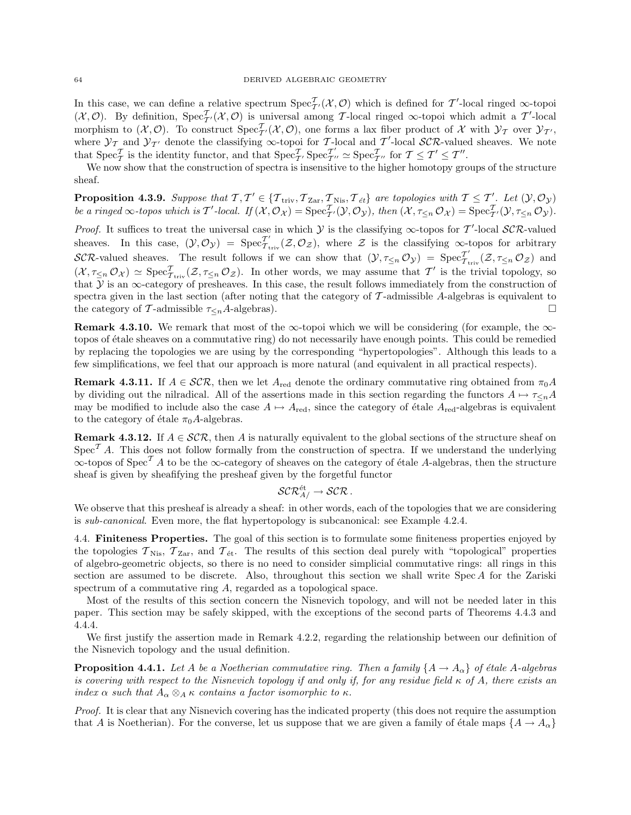In this case, we can define a relative spectrum  $Spec_{\mathcal{T}'}^{\mathcal{T}}(\mathcal{X},\mathcal{O})$  which is defined for T'-local ringed  $\infty$ -topoi  $(\mathcal{X},\mathcal{O})$ . By definition,  $Spec_{\mathcal{T}}^{\mathcal{T}}(\mathcal{X},\mathcal{O})$  is universal among T-local ringed  $\infty$ -topoi which admit a T'-local morphism to  $(\mathcal{X}, \mathcal{O})$ . To construct  $Spec_{\mathcal{T}'}^{\mathcal{T}}(\mathcal{X}, \mathcal{O})$ , one forms a lax fiber product of X with  $\mathcal{Y}_{\mathcal{T}}$  over  $\mathcal{Y}_{\mathcal{T}'},$ where  $\mathcal{Y}_\mathcal{T}$  and  $\mathcal{Y}_{\mathcal{T}'}$  denote the classifying  $\infty$ -topoi for T-local and T'-local SCR-valued sheaves. We note that  $\operatorname{Spec}^{\mathcal T}_{\mathcal T}$  is the identity functor, and that  $\operatorname{Spec}^{\mathcal T}_{\mathcal T'} \operatorname{Spec}^{\mathcal T'}_{\mathcal T'}$  $T''_{T''} \simeq \text{Spec}^{\mathcal{T}}_{T''}$  for  $T \leq T' \leq T''$ .

We now show that the construction of spectra is insensitive to the higher homotopy groups of the structure sheaf.

**Proposition 4.3.9.** Suppose that  $\mathcal{T}, \mathcal{T}' \in \{ \mathcal{T}_{\text{triv}}, \mathcal{T}_{\text{Zar}}, \mathcal{T}_{\text{Nis}}, \mathcal{T}_{\text{\textit{\'et}}} \}$  are topologies with  $\mathcal{T} \leq \mathcal{T}'$ . Let  $(\mathcal{Y}, \mathcal{O}_{\mathcal{Y}})$ be a ringed  $\infty$ -topos which is T'-local. If  $(\mathcal{X}, \mathcal{O}_{\mathcal{X}}) = \text{Spec}_{\mathcal{T}}^{\mathcal{T}}(\mathcal{Y}, \mathcal{O}_{\mathcal{Y}})$ , then  $(\mathcal{X}, \tau_{\leq n} \mathcal{O}_{\mathcal{X}}) = \text{Spec}_{\mathcal{T}}^{\mathcal{T}}(\mathcal{Y}, \tau_{\leq n} \mathcal{O}_{\mathcal{Y}})$ .

*Proof.* It suffices to treat the universal case in which  $Y$  is the classifying  $\infty$ -topos for T'-local SCR-valued sheaves. In this case,  $(\mathcal{Y}, \mathcal{O}_{\mathcal{Y}}) = \text{Spec}_{\mathcal{T}_{t}}^{\mathcal{T}'_{t}}$  $T_{\text{triv}}(\mathcal{Z},\mathcal{O}_{\mathcal{Z}})$ , where  $\mathcal Z$  is the classifying  $\infty$ -topos for arbitrary SCR-valued sheaves. The result follows if we can show that  $(\mathcal{Y}, \tau_{\leq n} \mathcal{O}_{\mathcal{Y}}) = \text{Spec}^{\mathcal{I}'}_{\mathcal{I}^+}$  $T_{\text{triv}}(\mathcal{Z}, \tau_{\leq n} \mathcal{O}_{\mathcal{Z}})$  and  $(\mathcal{X}, \tau_{\leq n} \mathcal{O}_{\mathcal{X}}) \simeq \text{Spec}_{\mathcal{T}_{\text{triv}}}^{\mathcal{T}}(\mathcal{Z}, \tau_{\leq n} \mathcal{O}_{\mathcal{Z}}).$  In other words, we may assume that  $\mathcal{T}'$  is the trivial topology, so that  $\bar{y}$  is an  $\infty$ -category of presheaves. In this case, the result follows immediately from the construction of spectra given in the last section (after noting that the category of  $\mathcal{T}$ -admissible A-algebras is equivalent to the category of T-admissible  $\tau_{\leq n}A$ -algebras).

**Remark 4.3.10.** We remark that most of the  $\infty$ -topoi which we will be considering (for example, the  $\infty$ topos of étale sheaves on a commutative ring) do not necessarily have enough points. This could be remedied by replacing the topologies we are using by the corresponding "hypertopologies". Although this leads to a few simplifications, we feel that our approach is more natural (and equivalent in all practical respects).

**Remark 4.3.11.** If  $A \in \mathcal{SCR}$ , then we let  $A_{\text{red}}$  denote the ordinary commutative ring obtained from  $\pi_0 A$ by dividing out the nilradical. All of the assertions made in this section regarding the functors  $A \mapsto \tau \leq_n A$ may be modified to include also the case  $A \mapsto A_{\text{red}}$ , since the category of étale  $A_{\text{red}}$ -algebras is equivalent to the category of étale  $\pi_0A$ -algebras.

**Remark 4.3.12.** If  $A \in \mathcal{SCR}$ , then A is naturally equivalent to the global sections of the structure sheaf on  $Spec<sup>T</sup> A$ . This does not follow formally from the construction of spectra. If we understand the underlying  $\infty$ -topos of Spec<sup>T</sup> A to be the  $\infty$ -category of sheaves on the category of étale A-algebras, then the structure sheaf is given by sheafifying the presheaf given by the forgetful functor

$$
\mathcal{SCR}^{\text{\'et}}_{A/}\rightarrow \mathcal{SCR}\,.
$$

We observe that this presheaf is already a sheaf: in other words, each of the topologies that we are considering is sub-canonical. Even more, the flat hypertopology is subcanonical: see Example 4.2.4.

4.4. Finiteness Properties. The goal of this section is to formulate some finiteness properties enjoyed by the topologies  $T_{\text{Nis}}$ ,  $T_{\text{Zar}}$ , and  $T_{\text{\'et}}$ . The results of this section deal purely with "topological" properties of algebro-geometric objects, so there is no need to consider simplicial commutative rings: all rings in this section are assumed to be discrete. Also, throughout this section we shall write Spec A for the Zariski spectrum of a commutative ring A, regarded as a topological space.

Most of the results of this section concern the Nisnevich topology, and will not be needed later in this paper. This section may be safely skipped, with the exceptions of the second parts of Theorems 4.4.3 and 4.4.4.

We first justify the assertion made in Remark 4.2.2, regarding the relationship between our definition of the Nisnevich topology and the usual definition.

**Proposition 4.4.1.** Let A be a Noetherian commutative ring. Then a family  $\{A \rightarrow A_\alpha\}$  of étale A-algebras is covering with respect to the Nisnevich topology if and only if, for any residue field  $\kappa$  of A, there exists an index  $\alpha$  such that  $A_{\alpha} \otimes_A \kappa$  contains a factor isomorphic to  $\kappa$ .

Proof. It is clear that any Nisnevich covering has the indicated property (this does not require the assumption that A is Noetherian). For the converse, let us suppose that we are given a family of étale maps  $\{A \to A_\alpha\}$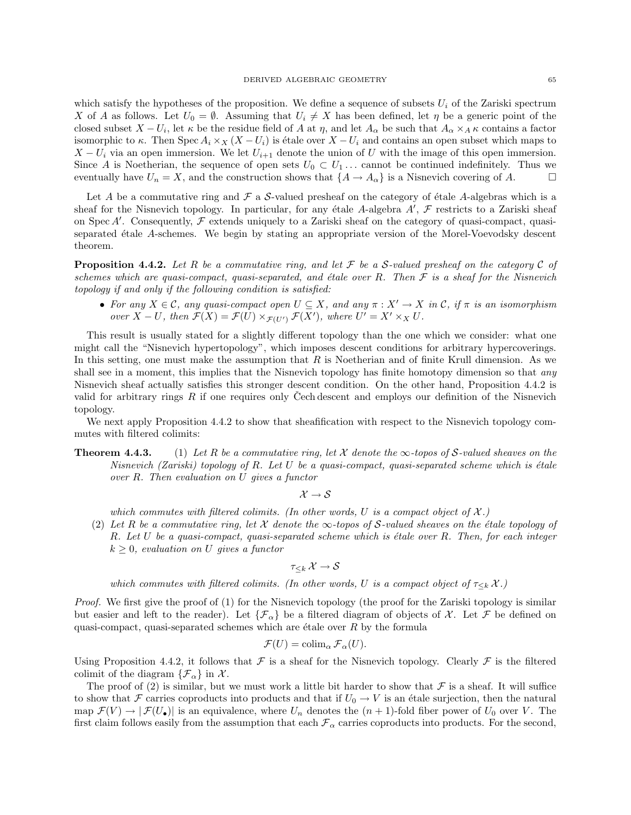which satisfy the hypotheses of the proposition. We define a sequence of subsets  $U_i$  of the Zariski spectrum X of A as follows. Let  $U_0 = \emptyset$ . Assuming that  $U_i \neq X$  has been defined, let  $\eta$  be a generic point of the closed subset  $X - U_i$ , let  $\kappa$  be the residue field of A at  $\eta$ , and let  $A_\alpha$  be such that  $A_\alpha \times_A \kappa$  contains a factor isomorphic to  $\kappa$ . Then Spec  $A_i \times_X (X - U_i)$  is étale over  $X - U_i$  and contains an open subset which maps to  $X - U_i$  via an open immersion. We let  $U_{i+1}$  denote the union of U with the image of this open immersion. Since A is Noetherian, the sequence of open sets  $U_0 \subset U_1 \ldots$  cannot be continued indefinitely. Thus we eventually have  $U_n = X$ , and the construction shows that  $\{A \to A_\alpha\}$  is a Nisnevich covering of A.

Let A be a commutative ring and  $\mathcal F$  a S-valued presheaf on the category of étale A-algebras which is a sheaf for the Nisnevich topology. In particular, for any étale A-algebra  $A'$ ,  $\mathcal F$  restricts to a Zariski sheaf on Spec  $A'$ . Consequently,  $\mathcal F$  extends uniquely to a Zariski sheaf on the category of quasi-compact, quasiseparated étale A-schemes. We begin by stating an appropriate version of the Morel-Voevodsky descent theorem.

**Proposition 4.4.2.** Let R be a commutative ring, and let F be a S-valued presheaf on the category C of schemes which are quasi-compact, quasi-separated, and étale over R. Then  $\mathcal F$  is a sheaf for the Nisnevich topology if and only if the following condition is satisfied:

• For any  $X \in \mathcal{C}$ , any quasi-compact open  $U \subseteq X$ , and any  $\pi : X' \to X$  in  $\mathcal{C}$ , if  $\pi$  is an isomorphism over  $X - U$ , then  $\mathcal{F}(X) = \mathcal{F}(U) \times_{\mathcal{F}(U')} \mathcal{F}(X')$ , where  $U' = X' \times_X U$ .

This result is usually stated for a slightly different topology than the one which we consider: what one might call the "Nisnevich hypertopology", which imposes descent conditions for arbitrary hypercoverings. In this setting, one must make the assumption that  $R$  is Noetherian and of finite Krull dimension. As we shall see in a moment, this implies that the Nisnevich topology has finite homotopy dimension so that any Nisnevich sheaf actually satisfies this stronger descent condition. On the other hand, Proposition 4.4.2 is valid for arbitrary rings R if one requires only Cech descent and employs our definition of the Nisnevich topology.

We next apply Proposition 4.4.2 to show that sheafification with respect to the Nisnevich topology commutes with filtered colimits:

**Theorem 4.4.3.** (1) Let R be a commutative ring, let X denote the  $\infty$ -topos of S-valued sheaves on the Nisnevich (Zariski) topology of R. Let U be a quasi-compact, quasi-separated scheme which is étale over R. Then evaluation on U gives a functor

 $\mathcal{X} \rightarrow \mathcal{S}$ 

which commutes with filtered colimits. (In other words, U is a compact object of  $\mathcal{X}$ .)

(2) Let R be a commutative ring, let X denote the  $\infty$ -topos of S-valued sheaves on the étale topology of R. Let U be a quasi-compact, quasi-separated scheme which is étale over R. Then, for each integer  $k \geq 0$ , evaluation on U gives a functor

$$
\tau_{\leq k}\: {\mathcal X} \to {\mathcal S}
$$

which commutes with filtered colimits. (In other words, U is a compact object of  $\tau_{\leq k} \mathcal{X}$ .)

Proof. We first give the proof of (1) for the Nisnevich topology (the proof for the Zariski topology is similar but easier and left to the reader). Let  $\{\mathcal{F}_{\alpha}\}\$ be a filtered diagram of objects of  $\mathcal{X}$ . Let  $\mathcal{F}$  be defined on quasi-compact, quasi-separated schemes which are étale over  $R$  by the formula

$$
\mathcal{F}(U) = \operatorname{colim}_{\alpha} \mathcal{F}_{\alpha}(U).
$$

Using Proposition 4.4.2, it follows that  $\mathcal F$  is a sheaf for the Nisnevich topology. Clearly  $\mathcal F$  is the filtered colimit of the diagram  $\{\mathcal{F}_{\alpha}\}\$ in  $\mathcal{X}$ .

The proof of (2) is similar, but we must work a little bit harder to show that  $\mathcal F$  is a sheaf. It will suffice to show that F carries coproducts into products and that if  $U_0 \to V$  is an étale surjection, then the natural map  $\mathcal{F}(V) \to |\mathcal{F}(U_{\bullet})|$  is an equivalence, where  $U_n$  denotes the  $(n + 1)$ -fold fiber power of  $U_0$  over V. The first claim follows easily from the assumption that each  $\mathcal{F}_{\alpha}$  carries coproducts into products. For the second,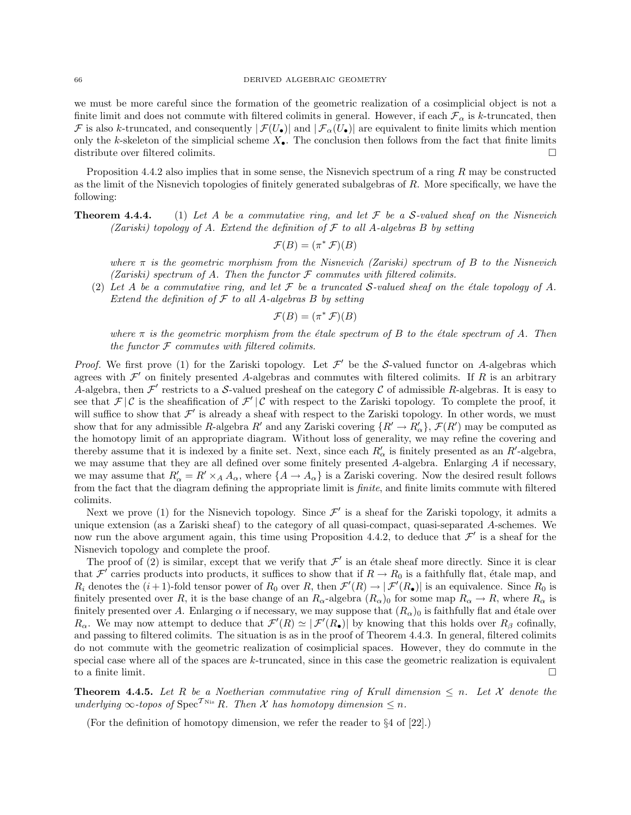we must be more careful since the formation of the geometric realization of a cosimplicial object is not a finite limit and does not commute with filtered colimits in general. However, if each  $\mathcal{F}_{\alpha}$  is k-truncated, then  $\mathcal F$  is also k-truncated, and consequently  $|\mathcal F(U_\bullet)|$  and  $|\mathcal F_\alpha(U_\bullet)|$  are equivalent to finite limits which mention only the k-skeleton of the simplicial scheme  $X_{\bullet}$ . The conclusion then follows from the fact that finite limits distribute over filtered colimits.  $\Box$ 

Proposition 4.4.2 also implies that in some sense, the Nisnevich spectrum of a ring  $R$  may be constructed as the limit of the Nisnevich topologies of finitely generated subalgebras of R. More specifically, we have the following:

**Theorem 4.4.4.** (1) Let A be a commutative ring, and let  $\mathcal F$  be a S-valued sheaf on the Nisnevich (Zariski) topology of A. Extend the definition of  $\mathcal F$  to all A-algebras B by setting

$$
\mathcal{F}(B) = (\pi^* \mathcal{F})(B)
$$

where  $\pi$  is the geometric morphism from the Nisnevich (Zariski) spectrum of B to the Nisnevich (Zariski) spectrum of A. Then the functor  $\mathcal F$  commutes with filtered colimits.

(2) Let A be a commutative ring, and let F be a truncated S-valued sheaf on the étale topology of A. Extend the definition of  $\mathcal F$  to all A-algebras  $B$  by setting

$$
\mathcal{F}(B) = (\pi^* \mathcal{F})(B)
$$

where  $\pi$  is the geometric morphism from the étale spectrum of B to the étale spectrum of A. Then the functor  $F$  commutes with filtered colimits.

*Proof.* We first prove (1) for the Zariski topology. Let  $\mathcal{F}'$  be the S-valued functor on A-algebras which agrees with  $\mathcal{F}'$  on finitely presented A-algebras and commutes with filtered colimits. If R is an arbitrary A-algebra, then  $\mathcal{F}'$  restricts to a S-valued presheaf on the category C of admissible R-algebras. It is easy to see that  $\mathcal{F} | \mathcal{C}$  is the sheafification of  $\mathcal{F}' | \mathcal{C}$  with respect to the Zariski topology. To complete the proof, it will suffice to show that  $\mathcal{F}'$  is already a sheaf with respect to the Zariski topology. In other words, we must show that for any admissible R-algebra  $R'$  and any Zariski covering  $\{R' \to R'_\alpha\}$ ,  $\mathcal{F}(R')$  may be computed as the homotopy limit of an appropriate diagram. Without loss of generality, we may refine the covering and thereby assume that it is indexed by a finite set. Next, since each  $R'_\n\alpha$  is finitely presented as an  $R'$ -algebra, we may assume that they are all defined over some finitely presented A-algebra. Enlarging A if necessary, we may assume that  $R'_\n\alpha = R' \times_A A_\alpha$ , where  $\{A \to A_\alpha\}$  is a Zariski covering. Now the desired result follows from the fact that the diagram defining the appropriate limit is *finite*, and finite limits commute with filtered colimits.

Next we prove (1) for the Nisnevich topology. Since  $\mathcal{F}'$  is a sheaf for the Zariski topology, it admits a unique extension (as a Zariski sheaf) to the category of all quasi-compact, quasi-separated A-schemes. We now run the above argument again, this time using Proposition 4.4.2, to deduce that  $\mathcal{F}'$  is a sheaf for the Nisnevich topology and complete the proof.

The proof of (2) is similar, except that we verify that  $\mathcal{F}'$  is an étale sheaf more directly. Since it is clear that  $\mathcal{F}'$  carries products into products, it suffices to show that if  $R \to R_0$  is a faithfully flat, étale map, and  $R_i$  denotes the  $(i+1)$ -fold tensor power of  $R_0$  over R, then  $\mathcal{F}'(R) \to |\mathcal{F}'(R_{\bullet})|$  is an equivalence. Since  $R_0$  is finitely presented over R, it is the base change of an  $R_{\alpha}$ -algebra  $(R_{\alpha})_0$  for some map  $R_{\alpha} \to R$ , where  $R_{\alpha}$  is finitely presented over A. Enlarging  $\alpha$  if necessary, we may suppose that  $(R_{\alpha})_0$  is faithfully flat and étale over  $R_{\alpha}$ . We may now attempt to deduce that  $\mathcal{F}'(R) \simeq |\mathcal{F}'(R_{\bullet})|$  by knowing that this holds over  $R_{\beta}$  cofinally, and passing to filtered colimits. The situation is as in the proof of Theorem 4.4.3. In general, filtered colimits do not commute with the geometric realization of cosimplicial spaces. However, they do commute in the special case where all of the spaces are  $k$ -truncated, since in this case the geometric realization is equivalent to a finite limit.

**Theorem 4.4.5.** Let R be a Noetherian commutative ring of Krull dimension  $\leq n$ . Let X denote the underlying  $\infty$ -topos of Spec<sup>T Nis</sup> R. Then X has homotopy dimension  $\leq n$ .

(For the definition of homotopy dimension, we refer the reader to §4 of [22].)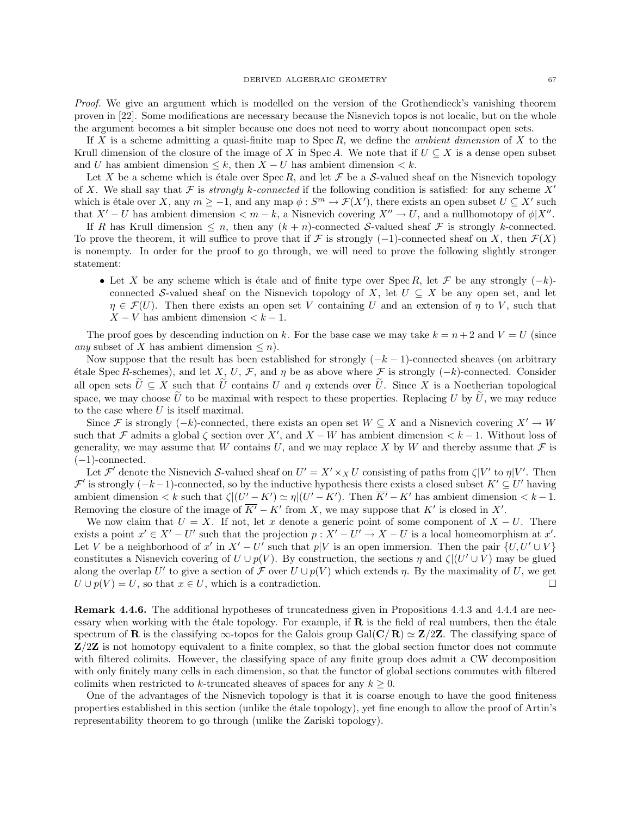Proof. We give an argument which is modelled on the version of the Grothendieck's vanishing theorem proven in [22]. Some modifications are necessary because the Nisnevich topos is not localic, but on the whole the argument becomes a bit simpler because one does not need to worry about noncompact open sets.

If X is a scheme admitting a quasi-finite map to  $Spec R$ , we define the *ambient dimension* of X to the Krull dimension of the closure of the image of X in Spec A. We note that if  $U \subseteq X$  is a dense open subset and U has ambient dimension  $\leq k$ , then  $X - U$  has ambient dimension  $\leq k$ .

Let X be a scheme which is étale over  $Spec R$ , and let  $\mathcal F$  be a S-valued sheaf on the Nisnevich topology of X. We shall say that F is *strongly k-connected* if the following condition is satisfied: for any scheme X<sup>'</sup> which is étale over X, any  $m \ge -1$ , and any map  $\phi : S^m \to \mathcal{F}(X')$ , there exists an open subset  $U \subseteq X'$  such that  $X'-U$  has ambient dimension  $\lt m-k$ , a Nisnevich covering  $X'' \to U$ , and a nullhomotopy of  $\phi|X''$ .

If R has Krull dimension  $\leq n$ , then any  $(k+n)$ -connected S-valued sheaf F is strongly k-connected. To prove the theorem, it will suffice to prove that if F is strongly (-1)-connected sheaf on X, then  $\mathcal{F}(X)$ is nonempty. In order for the proof to go through, we will need to prove the following slightly stronger statement:

• Let X be any scheme which is étale and of finite type over Spec R, let F be any strongly  $(-k)$ connected S-valued sheaf on the Nisnevich topology of X, let  $U \subseteq X$  be any open set, and let  $\eta \in \mathcal{F}(U)$ . Then there exists an open set V containing U and an extension of  $\eta$  to V, such that  $X - V$  has ambient dimension  $\lt k - 1$ .

The proof goes by descending induction on k. For the base case we may take  $k = n + 2$  and  $V = U$  (since any subset of X has ambient dimension  $\leq n$ ).

Now suppose that the result has been established for strongly  $(-k-1)$ -connected sheaves (on arbitrary étale Spec R-schemes), and let X, U, F, and  $\eta$  be as above where F is strongly (-k)-connected. Consider all open sets  $\tilde{U} \subseteq X$  such that  $\tilde{U}$  contains U and  $\eta$  extends over  $\tilde{U}$ . Since X is a Noetherian topological space, we may choose  $\widetilde{U}$  to be maximal with respect to these properties. Replacing U by  $\widetilde{U}$ , we may reduce to the case where  $U$  is itself maximal.

Since F is strongly  $(-k)$ -connected, there exists an open set  $W \subseteq X$  and a Nisnevich covering  $X' \to W$ such that F admits a global  $\zeta$  section over X', and X – W has ambient dimension  $\zeta$  k – 1. Without loss of generality, we may assume that W contains U, and we may replace X by W and thereby assume that  $\mathcal F$  is  $(-1)$ -connected.

Let  $\mathcal{F}'$  denote the Nisnevich S-valued sheaf on  $U' = X' \times_X U$  consisting of paths from  $\zeta | V'$  to  $\eta | V'$ . Then  $\mathcal{F}'$  is strongly  $(-k-1)$ -connected, so by the inductive hypothesis there exists a closed subset  $K' \subseteq U'$  having ambient dimension  $\lt k$  such that  $\zeta$  $\mid$  $(U'-K') \simeq \eta$  $\mid$  $(U'-K')$ . Then  $\overline{K'} - K'$  has ambient dimension  $\lt k - 1$ . Removing the closure of the image of  $\overline{K}$  – K' from X, we may suppose that K' is closed in X'.

We now claim that  $U = X$ . If not, let x denote a generic point of some component of  $X - U$ . There exists a point  $x' \in X' - U'$  such that the projection  $p : X' - U' \to X - U$  is a local homeomorphism at x'. Let V be a neighborhood of x' in  $X' - U'$  such that  $p|V$  is an open immersion. Then the pair  $\{U, U' \cup V\}$ constitutes a Nisnevich covering of  $U \cup p(V)$ . By construction, the sections  $\eta$  and  $\zeta$ |( $U' \cup V$ ) may be glued along the overlap U' to give a section of F over  $U \cup p(V)$  which extends  $\eta$ . By the maximality of U, we get  $U \cup p(V) = U$ , so that  $x \in U$ , which is a contradiction.

Remark 4.4.6. The additional hypotheses of truncatedness given in Propositions 4.4.3 and 4.4.4 are necessary when working with the étale topology. For example, if  $\bf{R}$  is the field of real numbers, then the étale spectrum of **R** is the classifying  $\infty$ -topos for the Galois group Gal(**C**/**R**)  $\simeq$  **Z**/2**Z**. The classifying space of  $\mathbb{Z}/2\mathbb{Z}$  is not homotopy equivalent to a finite complex, so that the global section functor does not commute with filtered colimits. However, the classifying space of any finite group does admit a CW decomposition with only finitely many cells in each dimension, so that the functor of global sections commutes with filtered colimits when restricted to k-truncated sheaves of spaces for any  $k \geq 0$ .

One of the advantages of the Nisnevich topology is that it is coarse enough to have the good finiteness properties established in this section (unlike the ´etale topology), yet fine enough to allow the proof of Artin's representability theorem to go through (unlike the Zariski topology).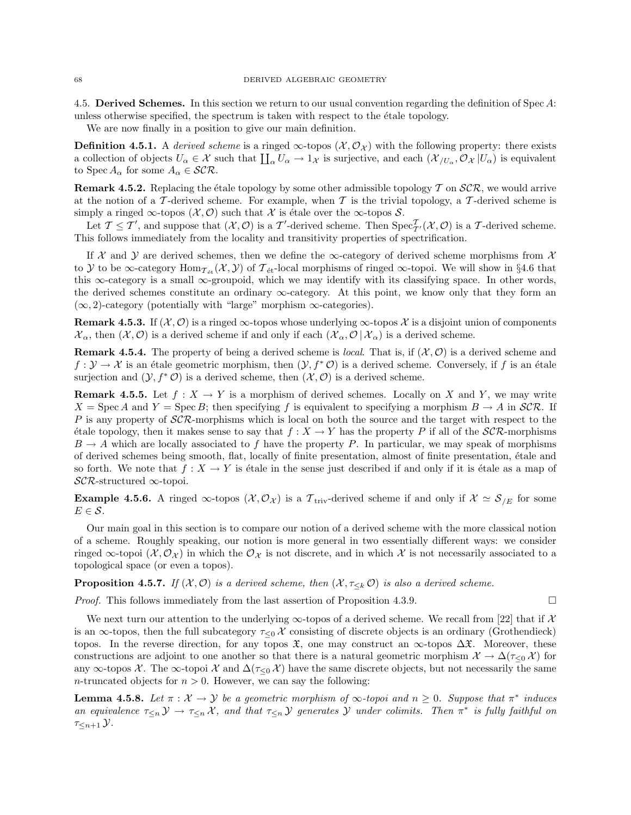4.5. Derived Schemes. In this section we return to our usual convention regarding the definition of Spec A: unless otherwise specified, the spectrum is taken with respect to the étale topology.

We are now finally in a position to give our main definition.

**Definition 4.5.1.** A derived scheme is a ringed  $\infty$ -topos  $(\mathcal{X}, \mathcal{O}_{\mathcal{X}})$  with the following property: there exists a collection of objects  $U_{\alpha} \in \mathcal{X}$  such that  $\prod_{\alpha} U_{\alpha} \to 1_{\mathcal{X}}$  is surjective, and each  $(\mathcal{X}_{/U_{\alpha}}, \mathcal{O}_{\mathcal{X}} | U_{\alpha})$  is equivalent to Spec  $A_{\alpha}$  for some  $A_{\alpha} \in \mathcal{SCR}.$ 

**Remark 4.5.2.** Replacing the étale topology by some other admissible topology  $\mathcal T$  on  $\mathcal{SCR}$ , we would arrive at the notion of a T-derived scheme. For example, when T is the trivial topology, a T-derived scheme is simply a ringed ∞-topos  $(\mathcal{X}, \mathcal{O})$  such that X is étale over the ∞-topos S.

Let  $\mathcal{T} \leq \mathcal{T}'$ , and suppose that  $(\mathcal{X}, \mathcal{O})$  is a  $\mathcal{T}'$ -derived scheme. Then  $\text{Spec}_{\mathcal{T}'}^{\mathcal{T}}(\mathcal{X}, \mathcal{O})$  is a  $\mathcal{T}$ -derived scheme. This follows immediately from the locality and transitivity properties of spectrification.

If X and Y are derived schemes, then we define the  $\infty$ -category of derived scheme morphisms from X to Y to be  $\infty$ -category Hom $_{\mathcal{T}_{\text{\'et}}}(X, Y)$  of  $\mathcal{T}_{\text{\'et}}$ -local morphisms of ringed  $\infty$ -topoi. We will show in §4.6 that this ∞-category is a small ∞-groupoid, which we may identify with its classifying space. In other words, the derived schemes constitute an ordinary  $\infty$ -category. At this point, we know only that they form an  $(\infty, 2)$ -category (potentially with "large" morphism  $\infty$ -categories).

**Remark 4.5.3.** If  $(X, \mathcal{O})$  is a ringed  $\infty$ -topos whose underlying  $\infty$ -topos X is a disjoint union of components  $\mathcal{X}_{\alpha}$ , then  $(\mathcal{X}, \mathcal{O})$  is a derived scheme if and only if each  $(\mathcal{X}_{\alpha}, \mathcal{O} | \mathcal{X}_{\alpha})$  is a derived scheme.

**Remark 4.5.4.** The property of being a derived scheme is *local*. That is, if  $(\mathcal{X}, \mathcal{O})$  is a derived scheme and  $f: \mathcal{Y} \to \mathcal{X}$  is an étale geometric morphism, then  $(\mathcal{Y}, f^* \mathcal{O})$  is a derived scheme. Conversely, if f is an étale surjection and  $(\mathcal{Y}, f^*\mathcal{O})$  is a derived scheme, then  $(\mathcal{X}, \mathcal{O})$  is a derived scheme.

**Remark 4.5.5.** Let  $f : X \to Y$  is a morphism of derived schemes. Locally on X and Y, we may write  $X = \text{Spec } A$  and  $Y = \text{Spec } B$ ; then specifying f is equivalent to specifying a morphism  $B \to A$  in  $\mathcal{SCR}$ . If P is any property of  $\mathcal{SCR}$ -morphisms which is local on both the source and the target with respect to the étale topology, then it makes sense to say that  $f : X \to Y$  has the property P if all of the  $\mathcal{SCR}$ -morphisms  $B \to A$  which are locally associated to f have the property P. In particular, we may speak of morphisms of derived schemes being smooth, flat, locally of finite presentation, almost of finite presentation, ´etale and so forth. We note that  $f : X \to Y$  is étale in the sense just described if and only if it is étale as a map of SCR-structured ∞-topoi.

**Example 4.5.6.** A ringed  $\infty$ -topos  $(\mathcal{X}, \mathcal{O}_{\mathcal{X}})$  is a  $\mathcal{T}_{\text{triv}}$ -derived scheme if and only if  $\mathcal{X} \simeq \mathcal{S}_{/E}$  for some  $E \in \mathcal{S}$ .

Our main goal in this section is to compare our notion of a derived scheme with the more classical notion of a scheme. Roughly speaking, our notion is more general in two essentially different ways: we consider ringed  $\infty$ -topoi  $(\mathcal{X}, \mathcal{O}_{\mathcal{X}})$  in which the  $\mathcal{O}_{\mathcal{X}}$  is not discrete, and in which X is not necessarily associated to a topological space (or even a topos).

**Proposition 4.5.7.** If  $(X, \mathcal{O})$  is a derived scheme, then  $(X, \tau_{\leq k} \mathcal{O})$  is also a derived scheme.

*Proof.* This follows immediately from the last assertion of Proposition 4.3.9.

We next turn our attention to the underlying  $\infty$ -topos of a derived scheme. We recall from [22] that if X is an  $\infty$ -topos, then the full subcategory  $\tau_{\leq 0}$  X consisting of discrete objects is an ordinary (Grothendieck) topos. In the reverse direction, for any topos  $\mathfrak{X}$ , one may construct an  $\infty$ -topos  $\Delta \mathfrak{X}$ . Moreover, these constructions are adjoint to one another so that there is a natural geometric morphism  $\mathcal{X} \to \Delta(\tau_{\leq 0} \mathcal{X})$  for any  $\infty$ -topos X. The  $\infty$ -topoi X and  $\Delta(\tau_{\leq 0} X)$  have the same discrete objects, but not necessarily the same n-truncated objects for  $n > 0$ . However, we can say the following:

**Lemma 4.5.8.** Let  $\pi : \mathcal{X} \to \mathcal{Y}$  be a geometric morphism of  $\infty$ -topoi and  $n \geq 0$ . Suppose that  $\pi^*$  induces an equivalence  $\tau_{\leq n}$   $\mathcal{Y} \to \tau_{\leq n}$   $\mathcal{X}$ , and that  $\tau_{\leq n}$   $\mathcal{Y}$  generates  $\mathcal{Y}$  under colimits. Then  $\pi^*$  is fully faithful on  $\tau_{\leq n+1}$   $\mathcal{Y}.$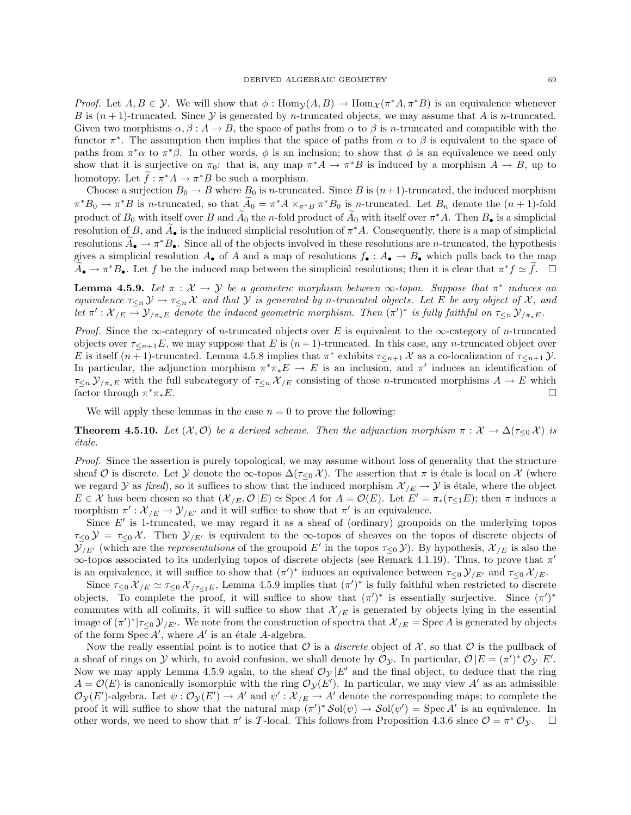*Proof.* Let  $A, B \in \mathcal{Y}$ . We will show that  $\phi : \text{Hom}_{\mathcal{Y}}(A, B) \to \text{Hom}_{\mathcal{X}}(\pi^* A, \pi^* B)$  is an equivalence whenever B is  $(n+1)$ -truncated. Since Y is generated by n-truncated objects, we may assume that A is n-truncated. Given two morphisms  $\alpha, \beta : A \to B$ , the space of paths from  $\alpha$  to  $\beta$  is *n*-truncated and compatible with the functor  $\pi^*$ . The assumption then implies that the space of paths from  $\alpha$  to  $\beta$  is equivalent to the space of paths from  $\pi^*\alpha$  to  $\pi^*\beta$ . In other words,  $\phi$  is an inclusion; to show that  $\phi$  is an equivalence we need only show that it is surjective on  $\pi_0$ : that is, any map  $\pi^*A \to \pi^*B$  is induced by a morphism  $A \to B$ , up to homotopy. Let  $\hat{f}: \pi^* A \to \pi^* B$  be such a morphism.

Choose a surjection  $B_0 \to B$  where  $B_0$  is n-truncated. Since B is  $(n+1)$ -truncated, the induced morphism  $\pi^*B_0 \to \pi^*B$  is n-truncated, so that  $\widetilde{A}_0 = \pi^*A \times_{\pi^*B} \pi^*B_0$  is n-truncated. Let  $B_n$  denote the  $(n+1)$ -fold product of  $B_0$  with itself over B and  $\widetilde{A}_0$  the n-fold product of  $\widetilde{A}_0$  with itself over  $\pi^*A$ . Then  $B_{\bullet}$  is a simplicial resolution of B, and  $\tilde{A}_{\bullet}$  is the induced simplicial resolution of  $\pi^*A$ . Consequently, there is a map of simplicial resolutions  $\tilde{A}_{\bullet} \to \pi^* B_{\bullet}$ . Since all of the objects involved in these resolutions are *n*-truncated, the hypothesis gives a simplicial resolution  $A_{\bullet}$  of A and a map of resolutions  $f_{\bullet}: A_{\bullet} \to B_{\bullet}$  which pulls back to the map  $\widetilde{A}_{\bullet} \to \pi^* B_{\bullet}$ . Let f be the induced map between the simplicial resolutions; then it is clear that  $\pi^* f \simeq \widetilde{f}$ .  $\Box$ 

**Lemma 4.5.9.** Let  $\pi : \mathcal{X} \to \mathcal{Y}$  be a geometric morphism between  $\infty$ -topoi. Suppose that  $\pi^*$  induces an equivalence  $\tau_{\leq n}$   $\mathcal{Y} \to \tau_{\leq n}$  X and that Y is generated by n-truncated objects. Let E be any object of X, and let  $\pi': \mathcal{X}_{/E} \to \mathcal{Y}_{/\pi_*E}$  denote the induced geometric morphism. Then  $(\pi')^*$  is fully faithful on  $\tau_{\leq n} \mathcal{Y}_{/\pi_*E}$ .

*Proof.* Since the ∞-category of *n*-truncated objects over E is equivalent to the ∞-category of *n*-truncated objects over  $\tau_{\leq n+1}E$ , we may suppose that E is  $(n+1)$ -truncated. In this case, any n-truncated object over E is itself  $(n+1)$ -truncated. Lemma 4.5.8 implies that  $\pi^*$  exhibits  $\tau_{\leq n+1}$  X as a co-localization of  $\tau_{\leq n+1}$  Y. In particular, the adjunction morphism  $\pi^*\pi_*E \to E$  is an inclusion, and  $\pi'$  induces an identification of  $\tau_{\leq n}$   $\mathcal{Y}_{\pi_*E}$  with the full subcategory of  $\tau_{\leq n}$   $\mathcal{X}_{/E}$  consisting of those *n*-truncated morphisms  $A \to E$  which factor through  $\pi^* \pi_* E$ .  $*_{\pi_*E}$ .

We will apply these lemmas in the case  $n = 0$  to prove the following:

**Theorem 4.5.10.** Let  $(X, \mathcal{O})$  be a derived scheme. Then the adjunction morphism  $\pi : X \to \Delta(\tau_{\leq 0} X)$  is ´etale.

Proof. Since the assertion is purely topological, we may assume without loss of generality that the structure sheaf O is discrete. Let Y denote the  $\infty$ -topos  $\Delta(\tau_{\leq 0} \chi)$ . The assertion that  $\pi$  is étale is local on X (where we regard Y as fixed), so it suffices to show that the induced morphism  $\mathcal{X}_{/E} \to \mathcal{Y}$  is étale, where the object  $E \in \mathcal{X}$  has been chosen so that  $(\mathcal{X}_{/E}, \mathcal{O}|E) \simeq \text{Spec } A$  for  $A = \mathcal{O}(E)$ . Let  $E' = \pi_*(\tau \leq_1 E)$ ; then  $\pi$  induces a morphism  $\pi': \mathcal{X}_{/E} \to \mathcal{Y}_{/E'}$  and it will suffice to show that  $\pi'$  is an equivalence.

Since  $E'$  is 1-truncated, we may regard it as a sheaf of (ordinary) groupoids on the underlying topos  $\tau_{\leq 0}$   $\mathcal{Y} = \tau_{\leq 0}$  X. Then  $\mathcal{Y}_{/E'}$  is equivalent to the  $\infty$ -topos of sheaves on the topos of discrete objects of  $\mathcal{Y}_{/E'}$  (which are the *representations* of the groupoid E' in the topos  $\tau_{\leq 0}$ ). By hypothesis,  $\mathcal{X}_{/E}$  is also the  $\infty$ -topos associated to its underlying topos of discrete objects (see Remark 4.1.19). Thus, to prove that  $\pi'$ is an equivalence, it will suffice to show that  $(\pi')^*$  induces an equivalence between  $\tau_{\leq 0} \mathcal{Y}_{/E'}$  and  $\tau_{\leq 0} \mathcal{X}_{/E}$ .

Since  $\tau_{\leq 0} \mathcal{X}_{/E} \simeq \tau_{\leq 0} \mathcal{X}_{/\tau_{\leq 1}E}$ , Lemma 4.5.9 implies that  $(\pi')^*$  is fully faithful when restricted to discrete objects. To complete the proof, it will suffice to show that  $(\pi')^*$  is essentially surjective. Since  $(\pi')^*$ commutes with all colimits, it will suffice to show that  $\mathcal{X}_{/E}$  is generated by objects lying in the essential image of  $(\pi')^*|_{\tau\leq 0}$   $\mathcal{Y}_{/E'}$ . We note from the construction of spectra that  $\mathcal{X}_{/E} = \text{Spec } A$  is generated by objects of the form  $Spec A'$ , where  $A'$  is an étale A-algebra.

Now the really essential point is to notice that  $\mathcal O$  is a *discrete* object of  $\mathcal X$ , so that  $\mathcal O$  is the pullback of a sheaf of rings on Y which, to avoid confusion, we shall denote by  $\mathcal{O}_{\mathcal{Y}}$ . In particular,  $\mathcal{O}|E = (\pi')^* \mathcal{O}_{\mathcal{Y}}|E'.$ Now we may apply Lemma 4.5.9 again, to the sheaf  $\mathcal{O}_{\mathcal{Y}}|E'$  and the final object, to deduce that the ring  $A = \mathcal{O}(E)$  is canonically isomorphic with the ring  $\mathcal{O}_{\mathcal{Y}}(E')$ . In particular, we may view A' as an admissible  $\mathcal{O}_{\mathcal{Y}}(E')$ -algebra. Let  $\psi : \mathcal{O}_{\mathcal{Y}}(E') \to A'$  and  $\psi' : \mathcal{X}_{/E} \to A'$  denote the corresponding maps; to complete the proof it will suffice to show that the natural map  $(\pi')^* \mathcal{S}ol(\psi) \to \mathcal{S}ol(\psi') = \text{Spec } A'$  is an equivalence. In other words, we need to show that  $\pi'$  is T-local. This follows from Proposition 4.3.6 since  $\mathcal{O} = \pi^* \mathcal{O}_{\mathcal{Y}}$ .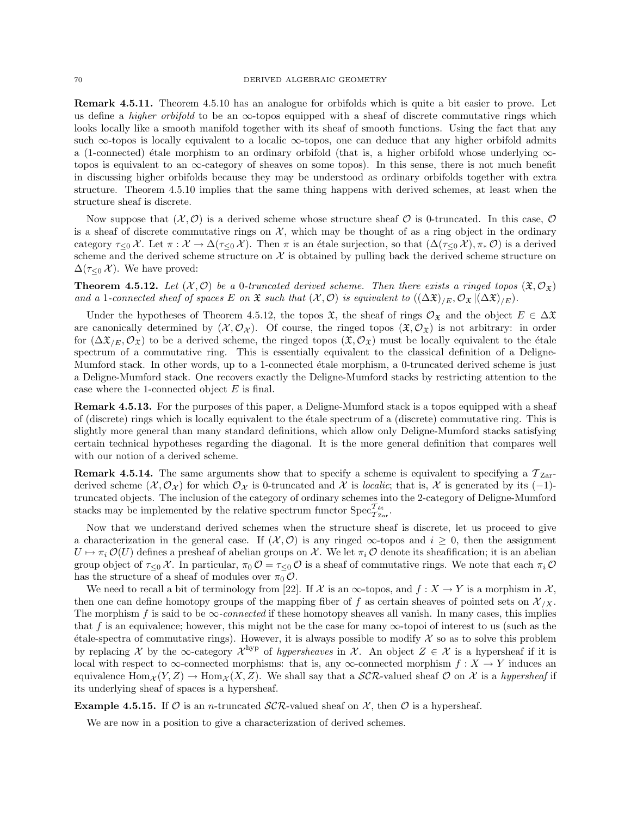Remark 4.5.11. Theorem 4.5.10 has an analogue for orbifolds which is quite a bit easier to prove. Let us define a *higher orbifold* to be an  $\infty$ -topos equipped with a sheaf of discrete commutative rings which looks locally like a smooth manifold together with its sheaf of smooth functions. Using the fact that any such ∞-topos is locally equivalent to a localic ∞-topos, one can deduce that any higher orbifold admits a (1-connected) étale morphism to an ordinary orbifold (that is, a higher orbifold whose underlying  $\infty$ topos is equivalent to an  $\infty$ -category of sheaves on some topos). In this sense, there is not much benefit in discussing higher orbifolds because they may be understood as ordinary orbifolds together with extra structure. Theorem 4.5.10 implies that the same thing happens with derived schemes, at least when the structure sheaf is discrete.

Now suppose that  $(\mathcal{X}, \mathcal{O})$  is a derived scheme whose structure sheaf  $\mathcal{O}$  is 0-truncated. In this case,  $\mathcal{O}$ is a sheaf of discrete commutative rings on  $X$ , which may be thought of as a ring object in the ordinary category  $\tau_{\leq 0} \mathcal{X}$ . Let  $\pi : \mathcal{X} \to \Delta(\tau_{\leq 0} \mathcal{X})$ . Then  $\pi$  is an étale surjection, so that  $(\Delta(\tau_{\leq 0} \mathcal{X}), \pi_* \mathcal{O})$  is a derived scheme and the derived scheme structure on  $\mathcal X$  is obtained by pulling back the derived scheme structure on  $\Delta(\tau_{\leq 0} \mathcal{X})$ . We have proved:

**Theorem 4.5.12.** Let  $(\mathcal{X}, \mathcal{O})$  be a 0-truncated derived scheme. Then there exists a ringed topos  $(\mathfrak{X}, \mathcal{O}_{\mathfrak{X}})$ and a 1-connected sheaf of spaces E on  $\mathfrak X$  such that  $(\mathcal X, \mathcal O)$  is equivalent to  $((\Delta \mathfrak X)_{/E}, \mathcal O_{\mathfrak X})(\Delta \mathfrak X)_{/E}).$ 

Under the hypotheses of Theorem 4.5.12, the topos  $\mathfrak{X}$ , the sheaf of rings  $\mathcal{O}_{\mathfrak{X}}$  and the object  $E \in \Delta \mathfrak{X}$ are canonically determined by  $(\mathcal{X}, \mathcal{O}_{\mathcal{X}})$ . Of course, the ringed topos  $(\mathfrak{X}, \mathcal{O}_{\mathfrak{X}})$  is not arbitrary: in order for  $(\Delta \mathfrak{X}_{E}, \mathcal{O}_{\mathfrak{X}})$  to be a derived scheme, the ringed topos  $(\mathfrak{X}, \mathcal{O}_{\mathfrak{X}})$  must be locally equivalent to the étale spectrum of a commutative ring. This is essentially equivalent to the classical definition of a Deligne-Mumford stack. In other words, up to a 1-connected étale morphism, a 0-truncated derived scheme is just a Deligne-Mumford stack. One recovers exactly the Deligne-Mumford stacks by restricting attention to the case where the 1-connected object  $E$  is final.

Remark 4.5.13. For the purposes of this paper, a Deligne-Mumford stack is a topos equipped with a sheaf of (discrete) rings which is locally equivalent to the ´etale spectrum of a (discrete) commutative ring. This is slightly more general than many standard definitions, which allow only Deligne-Mumford stacks satisfying certain technical hypotheses regarding the diagonal. It is the more general definition that compares well with our notion of a derived scheme.

**Remark 4.5.14.** The same arguments show that to specify a scheme is equivalent to specifying a  $T_{\text{Zar}}$ derived scheme  $(\mathcal{X}, \mathcal{O}_{\mathcal{X}})$  for which  $\mathcal{O}_{\mathcal{X}}$  is 0-truncated and X is *localic*; that is, X is generated by its (-1)truncated objects. The inclusion of the category of ordinary schemes into the 2-category of Deligne-Mumford stacks may be implemented by the relative spectrum functor  $\mathrm{Spec}^{\mathcal{T}_{\text{\'et}}}_{\mathcal{T}_{\text{Zar}}}$ 

Now that we understand derived schemes when the structure sheaf is discrete, let us proceed to give a characterization in the general case. If  $(\mathcal{X}, \mathcal{O})$  is any ringed  $\infty$ -topos and  $i > 0$ , then the assignment  $U \mapsto \pi_i \mathcal{O}(U)$  defines a presheaf of abelian groups on X. We let  $\pi_i \mathcal{O}$  denote its sheafification; it is an abelian group object of  $\tau_{\leq 0} \chi$ . In particular,  $\pi_0 \mathcal{O} = \tau_{\leq 0} \mathcal{O}$  is a sheaf of commutative rings. We note that each  $\pi_i \mathcal{O}$ has the structure of a sheaf of modules over  $\pi_0 \mathcal{O}$ .

We need to recall a bit of terminology from [22]. If  $\mathcal X$  is an  $\infty$ -topos, and  $f : X \to Y$  is a morphism in  $\mathcal X$ , then one can define homotopy groups of the mapping fiber of f as certain sheaves of pointed sets on  $\mathcal{X}_{\chi}$ . The morphism f is said to be  $\infty$ -connected if these homotopy sheaves all vanish. In many cases, this implies that f is an equivalence; however, this might not be the case for many  $\infty$ -topoi of interest to us (such as the  $\ell$ tale-spectra of commutative rings). However, it is always possible to modify X so as to solve this problem by replacing X by the  $\infty$ -category  $\mathcal{X}^{\text{hyp}}$  of *hypersheaves* in X. An object  $Z \in \mathcal{X}$  is a hypersheaf if it is local with respect to  $\infty$ -connected morphisms: that is, any  $\infty$ -connected morphism  $f: X \to Y$  induces an equivalence  $\text{Hom}_{\mathcal{X}}(Y, Z) \to \text{Hom}_{\mathcal{X}}(X, Z)$ . We shall say that a SCR-valued sheaf O on X is a hypersheaf if its underlying sheaf of spaces is a hypersheaf.

**Example 4.5.15.** If O is an *n*-truncated  $\mathcal{SCR}$ -valued sheaf on X, then O is a hypersheaf.

We are now in a position to give a characterization of derived schemes.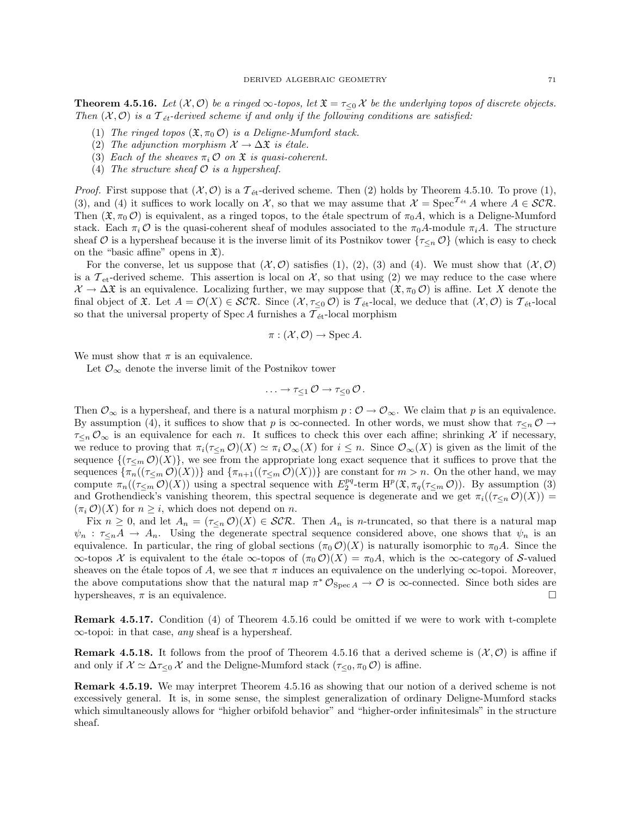**Theorem 4.5.16.** Let  $(\mathcal{X}, \mathcal{O})$  be a ringed  $\infty$ -topos, let  $\mathfrak{X} = \tau_{\leq 0} \mathcal{X}$  be the underlying topos of discrete objects. Then  $(\mathcal{X}, \mathcal{O})$  is a  $\mathcal{T}_{\acute{e}t}$ -derived scheme if and only if the following conditions are satisfied:

- (1) The ringed topos  $(\mathfrak{X}, \pi_0 \mathcal{O})$  is a Deligne-Mumford stack.
- (2) The adjunction morphism  $\mathcal{X} \to \Delta \mathfrak{X}$  is étale.
- (3) Each of the sheaves  $\pi_i \mathcal{O}$  on  $\mathfrak{X}$  is quasi-coherent.
- (4) The structure sheaf  $O$  is a hypersheaf.

*Proof.* First suppose that  $(\mathcal{X}, \mathcal{O})$  is a  $\mathcal{T}_{\text{\'et}}$ -derived scheme. Then (2) holds by Theorem 4.5.10. To prove (1), (3), and (4) it suffices to work locally on X, so that we may assume that  $\mathcal{X} = \text{Spec}^{\mathcal{T}_{\text{\'et}}} A$  where  $A \in \mathcal{SCR}$ . Then  $(\mathfrak{X}, \pi_0 \mathcal{O})$  is equivalent, as a ringed topos, to the étale spectrum of  $\pi_0 A$ , which is a Deligne-Mumford stack. Each  $\pi_i \mathcal{O}$  is the quasi-coherent sheaf of modules associated to the  $\pi_0 A$ -module  $\pi_i A$ . The structure sheaf O is a hypersheaf because it is the inverse limit of its Postnikov tower  $\{\tau_{\leq n} \mathcal{O}\}\$  (which is easy to check on the "basic affine" opens in  $\mathfrak{X}$ ).

For the converse, let us suppose that  $(\mathcal{X}, \mathcal{O})$  satisfies (1), (2), (3) and (4). We must show that  $(\mathcal{X}, \mathcal{O})$ is a  $\mathcal{T}_{et}$ -derived scheme. This assertion is local on  $\mathcal{X}$ , so that using (2) we may reduce to the case where  $\mathcal{X} \to \Delta \mathfrak{X}$  is an equivalence. Localizing further, we may suppose that  $(\mathfrak{X}, \pi_0 \mathcal{O})$  is affine. Let X denote the final object of  $\mathfrak{X}$ . Let  $A = \mathcal{O}(X) \in \mathcal{SCR}$ . Since  $(\mathcal{X}, \tau_{\leq 0} \mathcal{O})$  is  $\mathcal{T}_{\text{\'et}}$ -local, we deduce that  $(\mathcal{X}, \mathcal{O})$  is  $\mathcal{T}_{\text{\'et}}$ -local so that the universal property of Spec A furnishes a  $\mathcal{T}_{\text{\'et}}$ -local morphism

$$
\pi : (\mathcal{X}, \mathcal{O}) \to \operatorname{Spec} A.
$$

We must show that  $\pi$  is an equivalence.

Let  $\mathcal{O}_{\infty}$  denote the inverse limit of the Postnikov tower

$$
\ldots \to \tau_{\leq 1} \mathcal{O} \to \tau_{\leq 0} \mathcal{O} \, .
$$

Then  $\mathcal{O}_{\infty}$  is a hypersheaf, and there is a natural morphism  $p : \mathcal{O} \to \mathcal{O}_{\infty}$ . We claim that p is an equivalence. By assumption (4), it suffices to show that p is  $\infty$ -connected. In other words, we must show that  $\tau_{\leq n}$   $\mathcal{O}$   $\rightarrow$  $\tau_{\leq n}$  O<sub>∞</sub> is an equivalence for each n. It suffices to check this over each affine; shrinking X if necessary, we reduce to proving that  $\pi_i(\tau_{\leq n} \mathcal{O})(X) \simeq \pi_i \mathcal{O}_{\infty}(X)$  for  $i \leq n$ . Since  $\mathcal{O}_{\infty}(X)$  is given as the limit of the sequence  $\{(\tau_{\leq m} \mathcal{O})(X)\}\)$ , we see from the appropriate long exact sequence that it suffices to prove that the sequences  $\{\pi_n((\tau_{\leq m} \mathcal{O})(X))\}$  and  $\{\pi_{n+1}((\tau_{\leq m} \mathcal{O})(X))\}$  are constant for  $m > n$ . On the other hand, we may compute  $\pi_n((\tau_{\leq m} \mathcal{O})(X))$  using a spectral sequence with  $E_2^{pq}$ -term  $\mathrm{H}^p(\mathfrak{X}, \pi_q(\tau_{\leq m} \mathcal{O}))$ . By assumption (3) and Grothendieck's vanishing theorem, this spectral sequence is degenerate and we get  $\pi_i((\tau_{\leq n} \mathcal{O})(X))$  =  $(\pi_i \mathcal{O})(X)$  for  $n \geq i$ , which does not depend on n.

Fix  $n \geq 0$ , and let  $A_n = (\tau_{\leq n} \mathcal{O})(X) \in \mathcal{SCR}$ . Then  $A_n$  is *n*-truncated, so that there is a natural map  $\psi_n$ :  $\tau_{\leq n}A \to A_n$ . Using the degenerate spectral sequence considered above, one shows that  $\psi_n$  is an equivalence. In particular, the ring of global sections  $(\pi_0 \mathcal{O})(X)$  is naturally isomorphic to  $\pi_0 A$ . Since the  $\infty$ -topos X is equivalent to the étale  $\infty$ -topos of  $(\pi_0 O)(X) = \pi_0 A$ , which is the  $\infty$ -category of S-valued sheaves on the étale topos of A, we see that  $\pi$  induces an equivalence on the underlying  $\infty$ -topoi. Moreover, the above computations show that the natural map  $\pi^* \mathcal{O}_{Spec A} \to \mathcal{O}$  is  $\infty$ -connected. Since both sides are hypersheaves,  $\pi$  is an equivalence.

Remark 4.5.17. Condition (4) of Theorem 4.5.16 could be omitted if we were to work with t-complete  $\infty$ -topoi: in that case, *any* sheaf is a hypersheaf.

**Remark 4.5.18.** It follows from the proof of Theorem 4.5.16 that a derived scheme is  $(\mathcal{X}, \mathcal{O})$  is affine if and only if  $\mathcal{X} \simeq \Delta \tau_{\leq 0} \mathcal{X}$  and the Deligne-Mumford stack  $(\tau_{\leq 0}, \pi_0 \mathcal{O})$  is affine.

Remark 4.5.19. We may interpret Theorem 4.5.16 as showing that our notion of a derived scheme is not excessively general. It is, in some sense, the simplest generalization of ordinary Deligne-Mumford stacks which simultaneously allows for "higher orbifold behavior" and "higher-order infinitesimals" in the structure sheaf.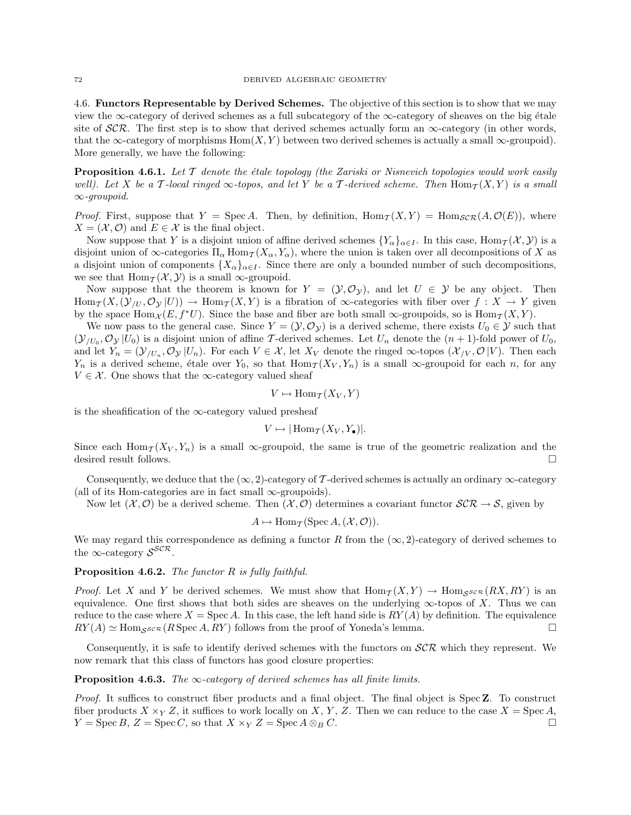4.6. Functors Representable by Derived Schemes. The objective of this section is to show that we may view the  $\infty$ -category of derived schemes as a full subcategory of the  $\infty$ -category of sheaves on the big étale site of  $\mathcal{SCR}$ . The first step is to show that derived schemes actually form an  $\infty$ -category (in other words, that the ∞-category of morphisms  $Hom(X, Y)$  between two derived schemes is actually a small  $\infty$ -groupoid). More generally, we have the following:

**Proposition 4.6.1.** Let  $\mathcal T$  denote the étale topology (the Zariski or Nisnevich topologies would work easily well). Let X be a T-local ringed  $\infty$ -topos, and let Y be a T-derived scheme. Then  $\text{Hom}_{\mathcal{T}}(X, Y)$  is a small ∞-groupoid.

*Proof.* First, suppose that  $Y = \text{Spec } A$ . Then, by definition,  $\text{Hom}_T(X, Y) = \text{Hom}_{\mathcal{SCR}}(A, \mathcal{O}(E))$ , where  $X = (\mathcal{X}, \mathcal{O})$  and  $E \in \mathcal{X}$  is the final object.

Now suppose that Y is a disjoint union of affine derived schemes  $\{Y_\alpha\}_{\alpha\in I}$ . In this case,  $\text{Hom}_{\mathcal{I}}(\mathcal{X},\mathcal{Y})$  is a disjoint union of  $\infty$ -categories  $\Pi_{\alpha}$  Hom $\tau(X_{\alpha}, Y_{\alpha})$ , where the union is taken over all decompositions of X as a disjoint union of components  $\{X_{\alpha}\}_{{\alpha}\in I}$ . Since there are only a bounded number of such decompositions, we see that  $\text{Hom}_{\mathcal{T}}(\mathcal{X}, \mathcal{Y})$  is a small  $\infty$ -groupoid.

Now suppose that the theorem is known for  $Y = (\mathcal{Y}, \mathcal{O}_{\mathcal{Y}})$ , and let  $U \in \mathcal{Y}$  be any object. Then  $\text{Hom}_{\mathcal{T}}(X,(\mathcal{Y}_{U},\mathcal{O}_{\mathcal{Y}}|U)) \to \text{Hom}_{\mathcal{T}}(X,Y)$  is a fibration of  $\infty$ -categories with fiber over  $f: X \to Y$  given by the space Hom $_{\mathcal{X}}(E, f^*U)$ . Since the base and fiber are both small  $\infty$ -groupoids, so is Hom $_{\mathcal{T}}(X, Y)$ .

We now pass to the general case. Since  $Y = (\mathcal{Y}, \mathcal{O}_{\mathcal{Y}})$  is a derived scheme, there exists  $U_0 \in \mathcal{Y}$  such that  $(\mathcal{Y}_{/U_0}, \mathcal{O}_{\mathcal{Y}} | U_0)$  is a disjoint union of affine T-derived schemes. Let  $U_n$  denote the  $(n+1)$ -fold power of  $U_0$ , and let  $Y_n = (\mathcal{Y}_{/U_n}, \mathcal{O}_{\mathcal{Y}} | U_n)$ . For each  $V \in \mathcal{X}$ , let  $X_V$  denote the ringed  $\infty$ -topos  $(\mathcal{X}_{/V}, \mathcal{O}|V)$ . Then each  $Y_n$  is a derived scheme, étale over  $Y_0$ , so that  $\text{Hom}_{\mathcal{T}}(X_V, Y_n)$  is a small  $\infty$ -groupoid for each n, for any  $V \in \mathcal{X}$ . One shows that the ∞-category valued sheaf

$$
V \mapsto \text{Hom}_{\mathcal{T}}(X_V, Y)
$$

is the sheafification of the  $\infty$ -category valued presheaf

$$
V \mapsto |\operatorname{Hom}_{\mathcal{T}}(X_V, Y_{\bullet})|.
$$

Since each  $\text{Hom}_{\mathcal{T}}(X_V, Y_n)$  is a small  $\infty$ -groupoid, the same is true of the geometric realization and the desired result follows.

Consequently, we deduce that the  $(\infty, 2)$ -category of T-derived schemes is actually an ordinary  $\infty$ -category (all of its Hom-categories are in fact small  $\infty$ -groupoids).

Now let  $(\mathcal{X}, \mathcal{O})$  be a derived scheme. Then  $(\mathcal{X}, \mathcal{O})$  determines a covariant functor  $\mathcal{SCR} \to \mathcal{S}$ , given by

$$
A \mapsto \operatorname{Hom}_{\mathcal{T}}(\operatorname{Spec} A, (\mathcal{X}, \mathcal{O})).
$$

We may regard this correspondence as defining a functor R from the  $(\infty, 2)$ -category of derived schemes to the  $\infty$ -category  $S^{\mathcal{SCR}}$ .

# **Proposition 4.6.2.** The functor  $R$  is fully faithful.

*Proof.* Let X and Y be derived schemes. We must show that  $\text{Hom}_{\mathcal{T}}(X, Y) \to \text{Hom}_{\mathcal{S}^{\mathcal{S}\mathcal{C}\mathcal{R}}}(RX, RY)$  is an equivalence. One first shows that both sides are sheaves on the underlying  $\infty$ -topos of X. Thus we can reduce to the case where  $X = \text{Spec } A$ . In this case, the left hand side is  $RY(A)$  by definition. The equivalence  $RY(A) \simeq \text{Hom}_{S^{SCR}}(R \text{ Spec } A, RY)$  follows from the proof of Yoneda's lemma.

Consequently, it is safe to identify derived schemes with the functors on  $\mathcal{SCR}$  which they represent. We now remark that this class of functors has good closure properties:

## **Proposition 4.6.3.** The  $\infty$ -category of derived schemes has all finite limits.

Proof. It suffices to construct fiber products and a final object. The final object is Spec **Z**. To construct fiber products  $X \times_Y Z$ , it suffices to work locally on X, Y, Z. Then we can reduce to the case  $X = \text{Spec } A$ ,  $Y = \text{Spec } B, Z = \text{Spec } C, \text{ so that } X \times_Y Z = \text{Spec } A \otimes_B C.$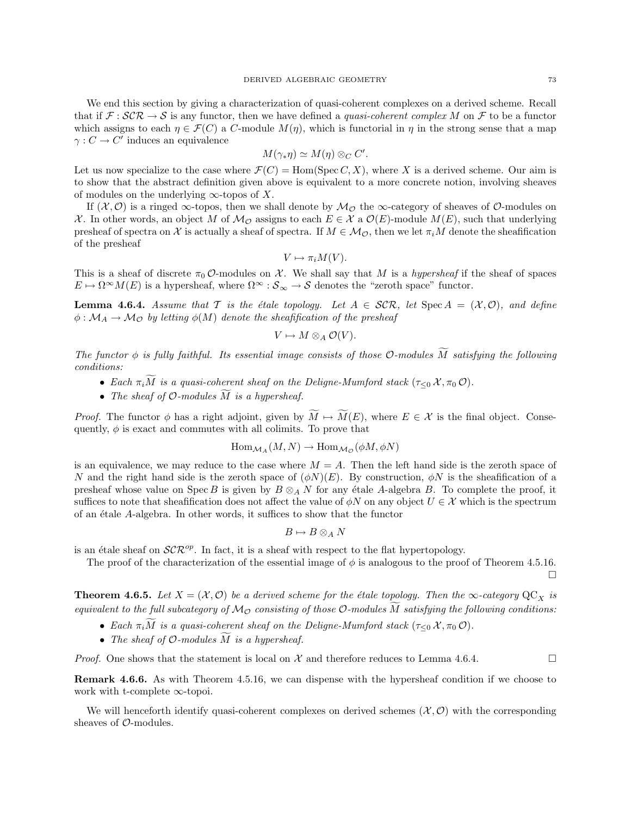We end this section by giving a characterization of quasi-coherent complexes on a derived scheme. Recall that if  $\mathcal{F}: \mathcal{SCR} \to \mathcal{S}$  is any functor, then we have defined a *quasi-coherent complex M* on  $\mathcal{F}$  to be a functor which assigns to each  $\eta \in \mathcal{F}(C)$  a C-module  $M(\eta)$ , which is functorial in  $\eta$  in the strong sense that a map  $\gamma: C \to C'$  induces an equivalence

$$
M(\gamma_*\eta) \simeq M(\eta) \otimes_C C'.
$$

Let us now specialize to the case where  $\mathcal{F}(C) = \text{Hom}(\text{Spec } C, X)$ , where X is a derived scheme. Our aim is to show that the abstract definition given above is equivalent to a more concrete notion, involving sheaves of modules on the underlying  $\infty$ -topos of X.

If  $(\mathcal{X}, \mathcal{O})$  is a ringed  $\infty$ -topos, then we shall denote by  $\mathcal{M}_{\mathcal{O}}$  the  $\infty$ -category of sheaves of  $\mathcal{O}$ -modules on X. In other words, an object M of  $\mathcal{M}_{\mathcal{O}}$  assigns to each  $E \in \mathcal{X}$  a  $\mathcal{O}(E)$ -module  $M(E)$ , such that underlying presheaf of spectra on X is actually a sheaf of spectra. If  $M \in \mathcal{M}_{\mathcal{O}}$ , then we let  $\pi_i M$  denote the sheafification of the presheaf

$$
V \mapsto \pi_i M(V).
$$

This is a sheaf of discrete  $\pi_0$  O-modules on X. We shall say that M is a hypersheaf if the sheaf of spaces  $E \mapsto \Omega^{\infty}M(E)$  is a hypersheaf, where  $\Omega^{\infty}$  :  $S_{\infty} \to S$  denotes the "zeroth space" functor.

**Lemma 4.6.4.** Assume that T is the étale topology. Let  $A \in \mathcal{SCR}$ , let  $\text{Spec } A = (\mathcal{X}, \mathcal{O})$ , and define  $\phi : \mathcal{M}_A \to \mathcal{M}_\mathcal{O}$  by letting  $\phi(M)$  denote the sheafification of the presheaf

$$
V \mapsto M \otimes_A \mathcal{O}(V).
$$

The functor  $\phi$  is fully faithful. Its essential image consists of those O-modules  $\widetilde{M}$  satisfying the following conditions:

- Each  $\pi_i\widetilde{M}$  is a quasi-coherent sheaf on the Deligne-Mumford stack  $(\tau_{\leq 0}\mathcal{X},\pi_0\mathcal{O})$ .
- The sheaf of  $\mathcal O$ -modules  $\widetilde M$  is a hypersheaf.

*Proof.* The functor  $\phi$  has a right adjoint, given by  $\widetilde{M} \mapsto \widetilde{M}(E)$ , where  $E \in \mathcal{X}$  is the final object. Consequently,  $\phi$  is exact and commutes with all colimits. To prove that

$$
\operatorname{Hom}_{\mathcal{M}_A}(M,N) \to \operatorname{Hom}_{\mathcal{M}_{\mathcal{O}}}(\phi M, \phi N)
$$

is an equivalence, we may reduce to the case where  $M = A$ . Then the left hand side is the zeroth space of N and the right hand side is the zeroth space of  $(\phi N)(E)$ . By construction,  $\phi N$  is the sheafification of a presheaf whose value on Spec B is given by  $B \otimes_A N$  for any étale A-algebra B. To complete the proof, it suffices to note that sheafification does not affect the value of  $\phi N$  on any object  $U \in \mathcal{X}$  which is the spectrum of an ´etale A-algebra. In other words, it suffices to show that the functor

$$
B\mapsto B\otimes_A N
$$

is an étale sheaf on  $\mathcal{SCR}^{op}$ . In fact, it is a sheaf with respect to the flat hypertopology.

The proof of the characterization of the essential image of  $\phi$  is analogous to the proof of Theorem 4.5.16.  $\Box$ 

**Theorem 4.6.5.** Let  $X = (\mathcal{X}, \mathcal{O})$  be a derived scheme for the étale topology. Then the  $\infty$ -category  $\mathbb{Q}C_X$  is equivalent to the full subcategory of  $\mathcal{M}_{\mathcal{O}}$  consisting of those  $\mathcal{O}\text{-modules}\,\overline{M}$  satisfying the following conditions:

- Each  $\pi_i\tilde{M}$  is a quasi-coherent sheaf on the Deligne-Mumford stack  $(\tau_{\leq 0}\mathcal{X},\pi_0\mathcal{O})$ .
- The sheaf of  $O$ -modules  $\widetilde{M}$  is a hypersheaf.

*Proof.* One shows that the statement is local on  $\mathcal X$  and therefore reduces to Lemma 4.6.4.

Remark 4.6.6. As with Theorem 4.5.16, we can dispense with the hypersheaf condition if we choose to work with t-complete ∞-topoi.

We will henceforth identify quasi-coherent complexes on derived schemes  $(\mathcal{X}, \mathcal{O})$  with the corresponding sheaves of  $\mathcal{O}\text{-modules.}$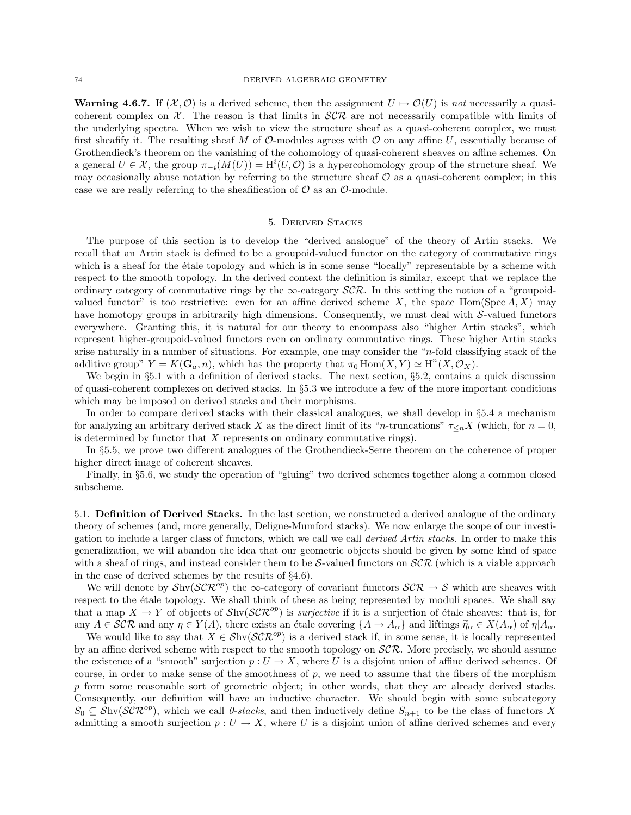**Warning 4.6.7.** If  $(\mathcal{X}, \mathcal{O})$  is a derived scheme, then the assignment  $U \mapsto \mathcal{O}(U)$  is not necessarily a quasicoherent complex on  $\mathcal{X}$ . The reason is that limits in  $\mathcal{SCR}$  are not necessarily compatible with limits of the underlying spectra. When we wish to view the structure sheaf as a quasi-coherent complex, we must first sheafify it. The resulting sheaf M of  $\mathcal O$ -modules agrees with  $\mathcal O$  on any affine U, essentially because of Grothendieck's theorem on the vanishing of the cohomology of quasi-coherent sheaves on affine schemes. On a general  $U \in \mathcal{X}$ , the group  $\pi_{-i}(M(U)) = H^i(U, \mathcal{O})$  is a hypercohomology group of the structure sheaf. We may occasionally abuse notation by referring to the structure sheaf  $\mathcal O$  as a quasi-coherent complex; in this case we are really referring to the sheafification of  $\mathcal O$  as an  $\mathcal O$ -module.

### 5. Derived Stacks

The purpose of this section is to develop the "derived analogue" of the theory of Artin stacks. We recall that an Artin stack is defined to be a groupoid-valued functor on the category of commutative rings which is a sheaf for the étale topology and which is in some sense "locally" representable by a scheme with respect to the smooth topology. In the derived context the definition is similar, except that we replace the ordinary category of commutative rings by the  $\infty$ -category  $\mathcal{SCR}$ . In this setting the notion of a "groupoidvalued functor" is too restrictive: even for an affine derived scheme X, the space Hom(Spec A, X) may have homotopy groups in arbitrarily high dimensions. Consequently, we must deal with  $S$ -valued functors everywhere. Granting this, it is natural for our theory to encompass also "higher Artin stacks", which represent higher-groupoid-valued functors even on ordinary commutative rings. These higher Artin stacks arise naturally in a number of situations. For example, one may consider the "n-fold classifying stack of the additive group"  $Y = K(\mathbf{G}_a, n)$ , which has the property that  $\pi_0 \text{Hom}(X, Y) \simeq H^n(X, \mathcal{O}_X)$ .

We begin in §5.1 with a definition of derived stacks. The next section, §5.2, contains a quick discussion of quasi-coherent complexes on derived stacks. In §5.3 we introduce a few of the more important conditions which may be imposed on derived stacks and their morphisms.

In order to compare derived stacks with their classical analogues, we shall develop in §5.4 a mechanism for analyzing an arbitrary derived stack X as the direct limit of its "n-truncations"  $\tau_{\leq n}X$  (which, for  $n=0$ , is determined by functor that  $X$  represents on ordinary commutative rings).

In §5.5, we prove two different analogues of the Grothendieck-Serre theorem on the coherence of proper higher direct image of coherent sheaves.

Finally, in §5.6, we study the operation of "gluing" two derived schemes together along a common closed subscheme.

5.1. Definition of Derived Stacks. In the last section, we constructed a derived analogue of the ordinary theory of schemes (and, more generally, Deligne-Mumford stacks). We now enlarge the scope of our investigation to include a larger class of functors, which we call we call *derived Artin stacks*. In order to make this generalization, we will abandon the idea that our geometric objects should be given by some kind of space with a sheaf of rings, and instead consider them to be S-valued functors on  $\mathcal{SCR}$  (which is a viable approach in the case of derived schemes by the results of §4.6).

We will denote by  $\mathcal{S}hv(\mathcal{SCR}^{op})$  the  $\infty$ -category of covariant functors  $\mathcal{SCR} \to \mathcal{S}$  which are sheaves with respect to the étale topology. We shall think of these as being represented by moduli spaces. We shall say that a map  $X \to Y$  of objects of  $\mathcal{S}hv(\mathcal{SCR}^{op})$  is *surjective* if it is a surjection of étale sheaves: that is, for any  $A \in \mathcal{SCR}$  and any  $\eta \in Y(A)$ , there exists an étale covering  $\{A \to A_\alpha\}$  and liftings  $\widetilde{\eta}_\alpha \in X(A_\alpha)$  of  $\eta | A_\alpha$ .

We would like to say that  $X \in \mathcal{S}hv(\mathcal{SCR}^{op})$  is a derived stack if, in some sense, it is locally represented by an affine derived scheme with respect to the smooth topology on  $\mathcal{SCR}$ . More precisely, we should assume the existence of a "smooth" surjection  $p: U \to X$ , where U is a disjoint union of affine derived schemes. Of course, in order to make sense of the smoothness of  $p$ , we need to assume that the fibers of the morphism p form some reasonable sort of geometric object; in other words, that they are already derived stacks. Consequently, our definition will have an inductive character. We should begin with some subcategory  $S_0 \subseteq \mathcal{S}_{\text{hv}}(\mathcal{SCR}^{op})$ , which we call *0-stacks*, and then inductively define  $S_{n+1}$  to be the class of functors X admitting a smooth surjection  $p: U \to X$ , where U is a disjoint union of affine derived schemes and every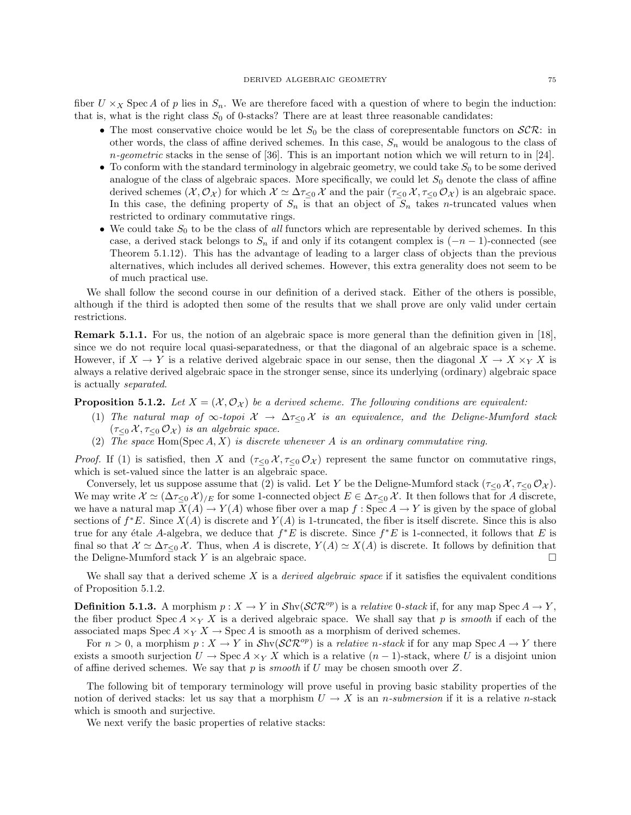fiber  $U \times_X \text{Spec } A$  of p lies in  $S_n$ . We are therefore faced with a question of where to begin the induction: that is, what is the right class  $S_0$  of 0-stacks? There are at least three reasonable candidates:

- The most conservative choice would be let  $S_0$  be the class of corepresentable functors on  $\mathcal{SCR}$ : in other words, the class of affine derived schemes. In this case,  $S_n$  would be analogous to the class of  $n$ -geometric stacks in the sense of [36]. This is an important notion which we will return to in [24].
- To conform with the standard terminology in algebraic geometry, we could take  $S_0$  to be some derived analogue of the class of algebraic spaces. More specifically, we could let  $S_0$  denote the class of affine derived schemes  $(\mathcal{X}, \mathcal{O}_{\mathcal{X}})$  for which  $\mathcal{X} \simeq \Delta \tau_{\leq 0} \mathcal{X}$  and the pair  $(\tau_{\leq 0} \mathcal{X}, \tau_{\leq 0} \mathcal{O}_{\mathcal{X}})$  is an algebraic space. In this case, the defining property of  $S_n$  is that an object of  $S_n$  takes n-truncated values when restricted to ordinary commutative rings.
- We could take  $S_0$  to be the class of all functors which are representable by derived schemes. In this case, a derived stack belongs to  $S_n$  if and only if its cotangent complex is  $(-n-1)$ -connected (see Theorem 5.1.12). This has the advantage of leading to a larger class of objects than the previous alternatives, which includes all derived schemes. However, this extra generality does not seem to be of much practical use.

We shall follow the second course in our definition of a derived stack. Either of the others is possible, although if the third is adopted then some of the results that we shall prove are only valid under certain restrictions.

Remark 5.1.1. For us, the notion of an algebraic space is more general than the definition given in [18], since we do not require local quasi-separatedness, or that the diagonal of an algebraic space is a scheme. However, if  $X \to Y$  is a relative derived algebraic space in our sense, then the diagonal  $X \to X \times_Y X$  is always a relative derived algebraic space in the stronger sense, since its underlying (ordinary) algebraic space is actually separated.

**Proposition 5.1.2.** Let  $X = (X, \mathcal{O}_X)$  be a derived scheme. The following conditions are equivalent:

- (1) The natural map of  $\infty$ -topoi  $\mathcal{X} \to \Delta \tau_{\leq 0} \mathcal{X}$  is an equivalence, and the Deligne-Mumford stack  $(\tau_{\leq 0} \mathcal{X}, \tau_{\leq 0} \mathcal{O}_{\mathcal{X}})$  is an algebraic space.
- (2) The space  $\text{Hom}(Spec\, A, X)$  is discrete whenever A is an ordinary commutative ring.

*Proof.* If (1) is satisfied, then X and  $(\tau \leq 0 \mathcal{X}, \tau \leq 0 \mathcal{X})$  represent the same functor on commutative rings, which is set-valued since the latter is an algebraic space.

Conversely, let us suppose assume that (2) is valid. Let Y be the Deligne-Mumford stack  $(\tau_{\leq 0} \mathcal{X}, \tau_{\leq 0} \mathcal{O}_{\mathcal{X}})$ . We may write  $\mathcal{X} \simeq (\Delta \tau_{\leq 0} \mathcal{X})/E$  for some 1-connected object  $E \in \Delta \tau_{\leq 0} \mathcal{X}$ . It then follows that for A discrete, we have a natural map  $\overline{X(A)} \to Y(A)$  whose fiber over a map  $f : \operatorname{Spec} A \to Y$  is given by the space of global sections of  $f^*E$ . Since  $X(A)$  is discrete and  $Y(A)$  is 1-truncated, the fiber is itself discrete. Since this is also true for any étale A-algebra, we deduce that  $f^*E$  is discrete. Since  $f^*E$  is 1-connected, it follows that E is final so that  $\mathcal{X} \simeq \Delta \tau_{\leq 0} \mathcal{X}$ . Thus, when A is discrete,  $Y(A) \simeq X(A)$  is discrete. It follows by definition that the Deligne-Mumford stack Y is an algebraic space.  $\square$ 

We shall say that a derived scheme  $X$  is a *derived algebraic space* if it satisfies the equivalent conditions of Proposition 5.1.2.

**Definition 5.1.3.** A morphism  $p: X \to Y$  in  $\mathcal{S}h\n\mathcal{SCR}^{op}$  is a *relative* 0-stack if, for any map  $\mathcal{S}pec A \to Y$ , the fiber product Spec  $A \times_Y X$  is a derived algebraic space. We shall say that p is smooth if each of the associated maps  $Spec A \times_Y X \to Spec A$  is smooth as a morphism of derived schemes.

For  $n > 0$ , a morphism  $p: X \to Y$  in  $\mathcal{S}h\nu(\mathcal{SCR}^{op})$  is a *relative n-stack* if for any map  $\text{Spec } A \to Y$  there exists a smooth surjection  $U \to \text{Spec } A \times_Y X$  which is a relative  $(n-1)$ -stack, where U is a disjoint union of affine derived schemes. We say that  $p$  is *smooth* if  $U$  may be chosen smooth over  $Z$ .

The following bit of temporary terminology will prove useful in proving basic stability properties of the notion of derived stacks: let us say that a morphism  $U \to X$  is an *n*-submersion if it is a relative *n*-stack which is smooth and surjective.

We next verify the basic properties of relative stacks: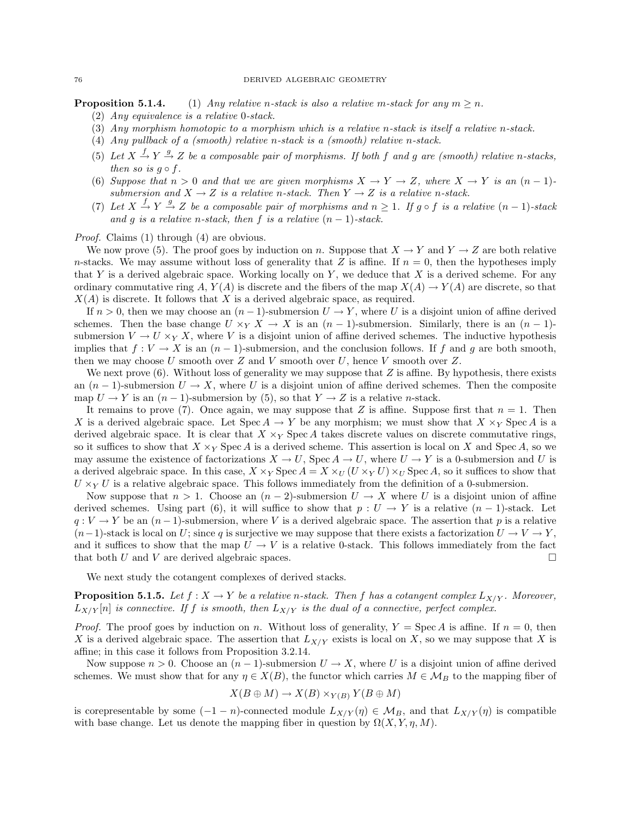#### 76 DERIVED ALGEBRAIC GEOMETRY

**Proposition 5.1.4.** (1) Any relative n-stack is also a relative m-stack for any  $m \geq n$ .

- (2) Any equivalence is a relative 0-stack.
- (3) Any morphism homotopic to a morphism which is a relative n-stack is itself a relative n-stack.
- (4) Any pullback of a (smooth) relative n-stack is a (smooth) relative n-stack.
- (5) Let  $X \xrightarrow{f} Y \xrightarrow{g} Z$  be a composable pair of morphisms. If both f and g are (smooth) relative n-stacks, then so is  $g \circ f$ .
- (6) Suppose that  $n > 0$  and that we are given morphisms  $X \to Y \to Z$ , where  $X \to Y$  is an  $(n-1)$ submersion and  $X \to Z$  is a relative n-stack. Then  $Y \to Z$  is a relative n-stack.
- (7) Let  $X \stackrel{f}{\rightarrow} Y \stackrel{g}{\rightarrow} Z$  be a composable pair of morphisms and  $n \geq 1$ . If  $g \circ f$  is a relative  $(n-1)$ -stack and g is a relative n-stack, then f is a relative  $(n-1)$ -stack.

Proof. Claims (1) through (4) are obvious.

We now prove (5). The proof goes by induction on n. Suppose that  $X \to Y$  and  $Y \to Z$  are both relative n-stacks. We may assume without loss of generality that Z is affine. If  $n = 0$ , then the hypotheses imply that Y is a derived algebraic space. Working locally on Y, we deduce that X is a derived scheme. For any ordinary commutative ring A,  $Y(A)$  is discrete and the fibers of the map  $X(A) \to Y(A)$  are discrete, so that  $X(A)$  is discrete. It follows that X is a derived algebraic space, as required.

If  $n > 0$ , then we may choose an  $(n - 1)$ -submersion  $U \to Y$ , where U is a disjoint union of affine derived schemes. Then the base change  $U \times_Y X \to X$  is an  $(n-1)$ -submersion. Similarly, there is an  $(n-1)$ submersion  $V \to U \times_Y X$ , where V is a disjoint union of affine derived schemes. The inductive hypothesis implies that  $f: V \to X$  is an  $(n-1)$ -submersion, and the conclusion follows. If f and g are both smooth, then we may choose U smooth over  $Z$  and V smooth over  $U$ , hence V smooth over  $Z$ .

We next prove  $(6)$ . Without loss of generality we may suppose that Z is affine. By hypothesis, there exists an  $(n-1)$ -submersion  $U \to X$ , where U is a disjoint union of affine derived schemes. Then the composite map  $U \to Y$  is an  $(n-1)$ -submersion by (5), so that  $Y \to Z$  is a relative *n*-stack.

It remains to prove (7). Once again, we may suppose that Z is affine. Suppose first that  $n = 1$ . Then X is a derived algebraic space. Let  $Spec A \to Y$  be any morphism; we must show that  $X \times_Y Spec A$  is a derived algebraic space. It is clear that  $X \times_Y \text{Spec } A$  takes discrete values on discrete commutative rings, so it suffices to show that  $X \times_Y \text{Spec } A$  is a derived scheme. This assertion is local on X and Spec A, so we may assume the existence of factorizations  $X \to U$ , Spec  $A \to U$ , where  $U \to Y$  is a 0-submersion and U is a derived algebraic space. In this case,  $X \times_Y \text{Spec } A = X \times_U (U \times_Y U) \times_U \text{Spec } A$ , so it suffices to show that  $U \times_Y U$  is a relative algebraic space. This follows immediately from the definition of a 0-submersion.

Now suppose that  $n > 1$ . Choose an  $(n-2)$ -submersion  $U \to X$  where U is a disjoint union of affine derived schemes. Using part (6), it will suffice to show that  $p: U \to Y$  is a relative  $(n-1)$ -stack. Let  $q: V \to Y$  be an  $(n-1)$ -submersion, where V is a derived algebraic space. The assertion that p is a relative  $(n-1)$ -stack is local on U; since q is surjective we may suppose that there exists a factorization  $U \to V \to Y$ , and it suffices to show that the map  $U \to V$  is a relative 0-stack. This follows immediately from the fact that both U and V are derived algebraic spaces.  $\square$ 

We next study the cotangent complexes of derived stacks.

**Proposition 5.1.5.** Let  $f : X \to Y$  be a relative n-stack. Then f has a cotangent complex  $L_{X/Y}$ . Moreover,  $L_{X/Y}[n]$  is connective. If f is smooth, then  $L_{X/Y}$  is the dual of a connective, perfect complex.

*Proof.* The proof goes by induction on n. Without loss of generality,  $Y = \text{Spec } A$  is affine. If  $n = 0$ , then X is a derived algebraic space. The assertion that  $L_{X/Y}$  exists is local on X, so we may suppose that X is affine; in this case it follows from Proposition 3.2.14.

Now suppose  $n > 0$ . Choose an  $(n - 1)$ -submersion  $U \to X$ , where U is a disjoint union of affine derived schemes. We must show that for any  $\eta \in X(B)$ , the functor which carries  $M \in \mathcal{M}_B$  to the mapping fiber of

$$
X(B\oplus M)\to X(B)\times_{Y(B)}Y(B\oplus M)
$$

is corepresentable by some  $(-1 - n)$ -connected module  $L_{X/Y}(\eta) \in \mathcal{M}_B$ , and that  $L_{X/Y}(\eta)$  is compatible with base change. Let us denote the mapping fiber in question by  $\Omega(X, Y, \eta, M)$ .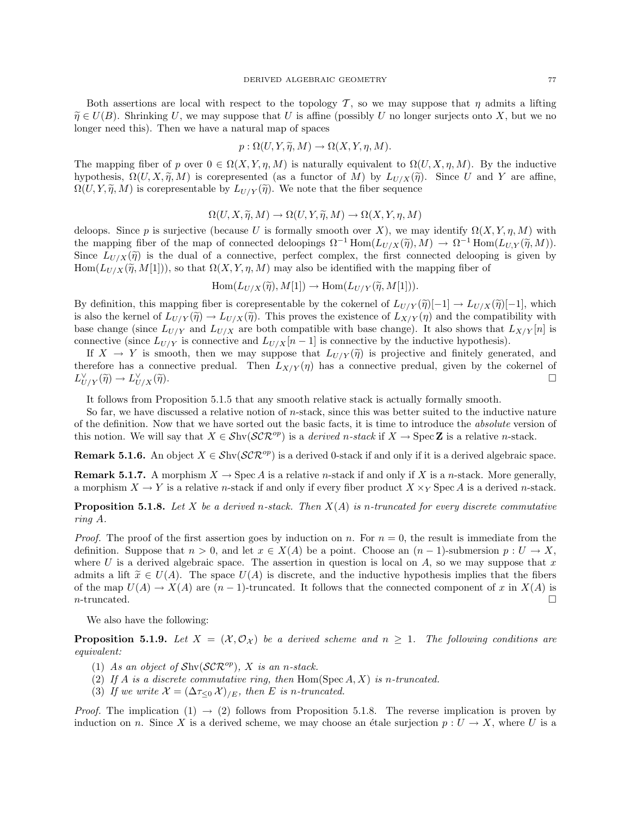Both assertions are local with respect to the topology T, so we may suppose that  $\eta$  admits a lifting  $\widetilde{\eta} \in U(B)$ . Shrinking U, we may suppose that U is affine (possibly U no longer surjects onto X, but we no longer need this). Then we have a natural map of spaces

$$
p: \Omega(U, Y, \widetilde{\eta}, M) \to \Omega(X, Y, \eta, M).
$$

The mapping fiber of p over  $0 \in \Omega(X, Y, \eta, M)$  is naturally equivalent to  $\Omega(U, X, \eta, M)$ . By the inductive hypothesis,  $\Omega(U, X, \tilde{\eta}, M)$  is corepresented (as a functor of M) by  $L_{U/X}(\tilde{\eta})$ . Since U and Y are affine,  $\Omega(U, Y, \tilde{\eta}, M)$  is corepresentable by  $L_{U/Y}(\tilde{\eta})$ . We note that the fiber sequence

$$
\Omega(U, X, \widetilde{\eta}, M) \to \Omega(U, Y, \widetilde{\eta}, M) \to \Omega(X, Y, \eta, M)
$$

deloops. Since p is surjective (because U is formally smooth over X), we may identify  $\Omega(X, Y, \eta, M)$  with the mapping fiber of the map of connected deloopings  $\Omega^{-1}$  Hom $(L_{U/X}(\tilde{\eta}), M) \to \Omega^{-1}$  Hom $(L_{U,Y}(\tilde{\eta}, M))$ .<br>Since  $L_{U/X}(\tilde{\eta})$  is the dual of a connective perfect complex, the first connected delooping is given by Since  $L_{U/X}(\tilde{\eta})$  is the dual of a connective, perfect complex, the first connected delooping is given by Hom $(L_{U/X}(\widetilde{\eta}, M[1]))$ , so that  $\Omega(X, Y, \eta, M)$  may also be identified with the mapping fiber of

 $\text{Hom}(L_{U/X}(\widetilde{\eta}), M[1]) \to \text{Hom}(L_{U/Y}(\widetilde{\eta}, M[1])).$ 

By definition, this mapping fiber is corepresentable by the cokernel of  $L_{U/Y}(\tilde{\eta})[-1] \to L_{U/X}(\tilde{\eta})[-1]$ , which is also the kernel of  $L_{U/Y}(\tilde{\eta}) \to L_{U/X}(\tilde{\eta})$ . This proves the existence of  $L_{X/Y}(\eta)$  and the compatibility with base change (since  $L_{U/Y}$  and  $L_{U/X}$  are both compatible with base change). It also shows that  $L_{X/Y}[n]$  is connective (since  $L_{U/Y}$  is connective and  $L_{U/X}[n-1]$  is connective by the inductive hypothesis).

If  $X \to Y$  is smooth, then we may suppose that  $L_{U/Y}(\tilde{\eta})$  is projective and finitely generated, and therefore has a connective predual. Then  $L_{X/Y}(\eta)$  has a connective predual, given by the cokernel of  $L_{U/Y}^{\vee}(\widetilde{\eta}) \to L_U^{\vee}$  $U_{U/X}(\widetilde{\eta}).$ 

It follows from Proposition 5.1.5 that any smooth relative stack is actually formally smooth.

So far, we have discussed a relative notion of  $n$ -stack, since this was better suited to the inductive nature of the definition. Now that we have sorted out the basic facts, it is time to introduce the absolute version of this notion. We will say that  $X \in \mathcal{S}hv(\mathcal{SCR}^{op})$  is a *derived n-stack* if  $X \to \text{Spec } \mathbb{Z}$  is a relative *n*-stack.

**Remark 5.1.6.** An object  $X \in Shv(\mathcal{SCR}^{op})$  is a derived 0-stack if and only if it is a derived algebraic space.

**Remark 5.1.7.** A morphism  $X \to \text{Spec } A$  is a relative *n*-stack if and only if X is a *n*-stack. More generally, a morphism  $X \to Y$  is a relative *n*-stack if and only if every fiber product  $X \times_Y$  Spec A is a derived *n*-stack.

**Proposition 5.1.8.** Let X be a derived n-stack. Then  $X(A)$  is n-truncated for every discrete commutative ring A.

*Proof.* The proof of the first assertion goes by induction on n. For  $n = 0$ , the result is immediate from the definition. Suppose that  $n > 0$ , and let  $x \in X(A)$  be a point. Choose an  $(n-1)$ -submersion  $p: U \to X$ , where U is a derived algebraic space. The assertion in question is local on  $A$ , so we may suppose that x admits a lift  $\tilde{x} \in U(A)$ . The space  $U(A)$  is discrete, and the inductive hypothesis implies that the fibers of the map  $U(A) \to X(A)$  are  $(n-1)$ -truncated. It follows that the connected component of x in  $X(A)$  is *n*-truncated.  $\Box$ 

We also have the following:

**Proposition 5.1.9.** Let  $X = (X, \mathcal{O}_X)$  be a derived scheme and  $n \geq 1$ . The following conditions are equivalent:

- (1) As an object of  $\mathcal{S}hw(\mathcal{SCR}^{op})$ , X is an n-stack.
- (2) If A is a discrete commutative ring, then  $Hom(Spec A, X)$  is n-truncated.
- (3) If we write  $\mathcal{X} = (\Delta \tau_{\leq 0} \mathcal{X})_{/E}$ , then E is n-truncated.

*Proof.* The implication (1)  $\rightarrow$  (2) follows from Proposition 5.1.8. The reverse implication is proven by induction on n. Since X is a derived scheme, we may choose an étale surjection  $p : U \to X$ , where U is a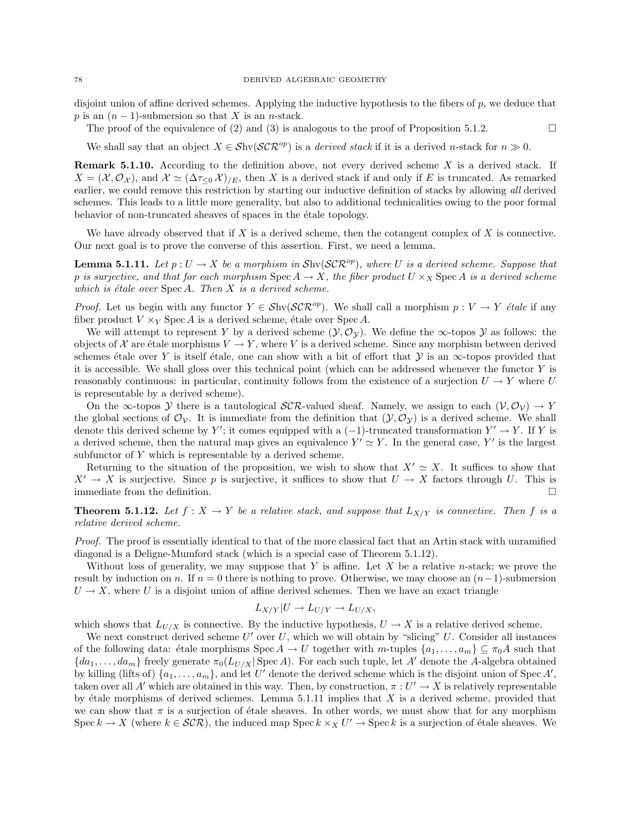disjoint union of affine derived schemes. Applying the inductive hypothesis to the fibers of p, we deduce that p is an  $(n-1)$ -submersion so that X is an n-stack.

The proof of the equivalence of (2) and (3) is analogous to the proof of Proposition 5.1.2.

We shall say that an object  $X \in \mathcal{S}hv(\mathcal{SCR}^{op})$  is a derived stack if it is a derived n-stack for  $n \gg 0$ .

**Remark 5.1.10.** According to the definition above, not every derived scheme  $X$  is a derived stack. If  $X = (\mathcal{X}, \mathcal{O}_{\mathcal{X}})$ , and  $\mathcal{X} \simeq (\Delta \tau \langle \mathcal{O}, \mathcal{X}) \rangle_{E}$ , then X is a derived stack if and only if E is truncated. As remarked earlier, we could remove this restriction by starting our inductive definition of stacks by allowing all derived schemes. This leads to a little more generality, but also to additional technicalities owing to the poor formal behavior of non-truncated sheaves of spaces in the étale topology.

We have already observed that if X is a derived scheme, then the cotangent complex of X is connective. Our next goal is to prove the converse of this assertion. First, we need a lemma.

**Lemma 5.1.11.** Let  $p: U \to X$  be a morphism in  $\text{Shv}(SCR^{op})$ , where U is a derived scheme. Suppose that p is surjective, and that for each morphism  $Spec A \to X$ , the fiber product  $U \times_X Spec A$  is a derived scheme which is étale over  $Spec A$ . Then  $X$  is a derived scheme.

*Proof.* Let us begin with any functor  $Y \in Shv(\mathcal{SCR}^{op})$ . We shall call a morphism  $p: V \to Y$  étale if any fiber product  $V \times_Y \text{Spec } A$  is a derived scheme, étale over Spec A.

We will attempt to represent Y by a derived scheme  $(\mathcal{Y}, \mathcal{O}_{\mathcal{Y}})$ . We define the  $\infty$ -topos Y as follows: the objects of X are étale morphisms  $V \to Y$ , where V is a derived scheme. Since any morphism between derived schemes étale over Y is itself étale, one can show with a bit of effort that  $\mathcal Y$  is an  $\infty$ -topos provided that it is accessible. We shall gloss over this technical point (which can be addressed whenever the functor  $Y$  is reasonably continuous: in particular, continuity follows from the existence of a surjection  $U \to Y$  where U is representable by a derived scheme).

On the ∞-topos Y there is a tautological  $\mathcal{SCR}\text{-}$ valued sheaf. Namely, we assign to each  $(\mathcal{V}, \mathcal{O}_{\mathcal{V}}) \to Y$ the global sections of  $\mathcal{O}_\mathcal{V}$ . It is immediate from the definition that  $(\mathcal{Y}, \mathcal{O}_\mathcal{V})$  is a derived scheme. We shall denote this derived scheme by Y'; it comes equipped with a  $(-1)$ -truncated transformation  $Y' \to Y$ . If Y is a derived scheme, then the natural map gives an equivalence  $Y' \simeq Y$ . In the general case, Y' is the largest subfunctor of Y which is representable by a derived scheme.

Returning to the situation of the proposition, we wish to show that  $X' \simeq X$ . It suffices to show that  $X' \to X$  is surjective. Since p is surjective, it suffices to show that  $U \to X$  factors through U. This is immediate from the definition.  $\Box$ 

**Theorem 5.1.12.** Let  $f: X \to Y$  be a relative stack, and suppose that  $L_{X/Y}$  is connective. Then f is a relative derived scheme.

Proof. The proof is essentially identical to that of the more classical fact that an Artin stack with unramified diagonal is a Deligne-Mumford stack (which is a special case of Theorem 5.1.12).

Without loss of generality, we may suppose that Y is affine. Let X be a relative n-stack; we prove the result by induction on n. If  $n = 0$  there is nothing to prove. Otherwise, we may choose an  $(n-1)$ -submersion  $U \rightarrow X$ , where U is a disjoint union of affine derived schemes. Then we have an exact triangle

$$
L_{X/Y}|U \to L_{U/Y} \to L_{U/X},
$$

which shows that  $L_{U/X}$  is connective. By the inductive hypothesis,  $U \to X$  is a relative derived scheme.

We next construct derived scheme  $U'$  over U, which we will obtain by "slicing" U. Consider all instances of the following data: étale morphisms  $Spec A \to U$  together with m-tuples  $\{a_1, \ldots, a_m\} \subseteq \pi_0A$  such that  ${da_1, \ldots, da_m}$  freely generate  $\pi_0(L_{U/X} | \text{Spec } A)$ . For each such tuple, let A' denote the A-algebra obtained by killing (lifts of)  $\{a_1, \ldots, a_m\}$ , and let U' denote the derived scheme which is the disjoint union of Spec A', taken over all A' which are obtained in this way. Then, by construction,  $\pi : U' \to X$  is relatively representable by étale morphisms of derived schemes. Lemma  $5.1.11$  implies that X is a derived scheme, provided that we can show that  $\pi$  is a surjection of étale sheaves. In other words, we must show that for any morphism Spec  $k \to X$  (where  $k \in \mathcal{SCR}$ ), the induced map Spec  $k \times_X U' \to \text{Spec } k$  is a surjection of étale sheaves. We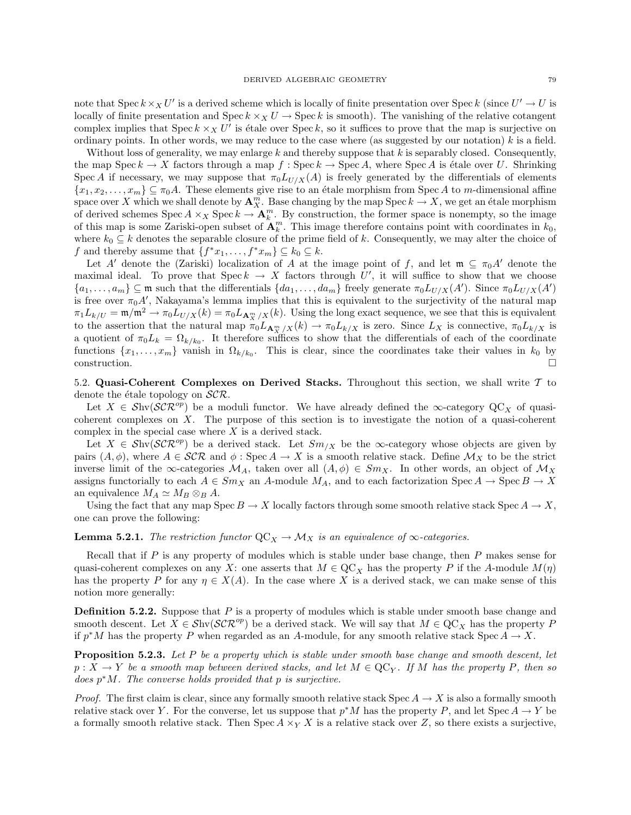note that  $Spec k \times_X U'$  is a derived scheme which is locally of finite presentation over  $Spec k$  (since  $U' \to U$  is locally of finite presentation and  $\operatorname{Spec} k \times_X U \to \operatorname{Spec} k$  is smooth). The vanishing of the relative cotangent complex implies that  $Spec k \times_X U'$  is étale over  $Spec k$ , so it suffices to prove that the map is surjective on ordinary points. In other words, we may reduce to the case where (as suggested by our notation)  $k$  is a field.

Without loss of generality, we may enlarge  $k$  and thereby suppose that  $k$  is separably closed. Consequently, the map Spec  $k \to X$  factors through a map  $f : \text{Spec } k \to \text{Spec } A$ , where Spec A is étale over U. Shrinking Spec A if necessary, we may suppose that  $\pi_0 L_{U/X}(A)$  is freely generated by the differentials of elements  ${x_1, x_2, \ldots, x_m} \subseteq \pi_0 A$ . These elements give rise to an étale morphism from Spec A to m-dimensional affine space over X which we shall denote by  $\mathbf{A}_X^m$ . Base changing by the map  $\text{Spec } k \to X$ , we get an étale morphism of derived schemes Spec  $A \times_X \text{Spec } k \to \mathbf{A}_k^m$ . By construction, the former space is nonempty, so the image of this map is some Zariski-open subset of  $\mathbf{A}_k^m$ . This image therefore contains point with coordinates in  $k_0$ , where  $k_0 \subseteq k$  denotes the separable closure of the prime field of k. Consequently, we may alter the choice of f and thereby assume that  $\{f^*x_1, \ldots, f^*x_m\} \subseteq k_0 \subseteq k$ .

Let A' denote the (Zariski) localization of A at the image point of f, and let  $\mathfrak{m} \subseteq \pi_0A'$  denote the maximal ideal. To prove that  $\text{Spec } k \to X$  factors through U', it will suffice to show that we choose  ${a_1, \ldots, a_m} \subseteq \mathfrak{m}$  such that the differentials  ${da_1, \ldots, da_m}$  freely generate  $\pi_0 L_{U/X}(A')$ . Since  $\pi_0 L_{U/X}(A')$ is free over  $\pi_0 A'$ , Nakayama's lemma implies that this is equivalent to the surjectivity of the natural map  $\pi_1 L_{k/U} = \mathfrak{m}/\mathfrak{m}^2 \to \pi_0 L_{U/X}(k) = \pi_0 L_{\mathbf{A}_X^m/X}(k)$ . Using the long exact sequence, we see that this is equivalent to the assertion that the natural map  $\pi_0 L_{\mathbf{A}_{X}^m/X}(k) \to \pi_0 L_{k/X}$  is zero. Since  $L_X$  is connective,  $\pi_0 L_{k/X}$  is a quotient of  $\pi_0 L_k = \Omega_{k/k_0}$ . It therefore suffices to show that the differentials of each of the coordinate functions  $\{x_1, \ldots, x_m\}$  vanish in  $\Omega_{k/k_0}$ . This is clear, since the coordinates take their values in  $k_0$  by  $\Box$ construction.

5.2. Quasi-Coherent Complexes on Derived Stacks. Throughout this section, we shall write  $\mathcal T$  to denote the étale topology on  $\mathcal{SCR}.$ 

Let  $X \in Shv(\mathcal{SCR}^{op})$  be a moduli functor. We have already defined the  $\infty$ -category  $\mathcal{QC}_X$  of quasicoherent complexes on  $X$ . The purpose of this section is to investigate the notion of a quasi-coherent complex in the special case where  $X$  is a derived stack.

Let  $X \in Shv(SCR^{op})$  be a derived stack. Let  $Sm_{X}$  be the  $\infty$ -category whose objects are given by pairs  $(A, \phi)$ , where  $A \in \mathcal{SCR}$  and  $\phi : \text{Spec } A \to X$  is a smooth relative stack. Define  $\mathcal{M}_X$  to be the strict inverse limit of the  $\infty$ -categories  $\mathcal{M}_A$ , taken over all  $(A, \phi) \in Sm_X$ . In other words, an object of  $\mathcal{M}_X$ assigns functorially to each  $A \in Sm_X$  an A-module  $M_A$ , and to each factorization Spec  $A \to \text{Spec } B \to X$ an equivalence  $M_A \simeq M_B \otimes_B A$ .

Using the fact that any map  $Spec B \to X$  locally factors through some smooth relative stack  $Spec A \to X$ , one can prove the following:

**Lemma 5.2.1.** The restriction functor  $QC_X \to \mathcal{M}_X$  is an equivalence of  $\infty$ -categories.

Recall that if  $P$  is any property of modules which is stable under base change, then  $P$  makes sense for quasi-coherent complexes on any X: one asserts that  $M \in \text{QC}_X$  has the property P if the A-module  $M(\eta)$ has the property P for any  $\eta \in X(A)$ . In the case where X is a derived stack, we can make sense of this notion more generally:

**Definition 5.2.2.** Suppose that  $P$  is a property of modules which is stable under smooth base change and smooth descent. Let  $X \in \mathcal{S}$ hv $(\mathcal{SCR}^{op})$  be a derived stack. We will say that  $M \in \mathbb{Q}C_X$  has the property P if  $p^*M$  has the property P when regarded as an A-module, for any smooth relative stack Spec  $A \to X$ .

Proposition 5.2.3. Let P be a property which is stable under smooth base change and smooth descent, let  $p: X \to Y$  be a smooth map between derived stacks, and let  $M \in \text{QC}_Y$ . If M has the property P, then so  $does p^*M$ . The converse holds provided that p is surjective.

*Proof.* The first claim is clear, since any formally smooth relative stack Spec  $A \to X$  is also a formally smooth relative stack over Y. For the converse, let us suppose that  $p^*M$  has the property P, and let  $Spec A \to Y$  be a formally smooth relative stack. Then Spec  $A \times_Y X$  is a relative stack over Z, so there exists a surjective,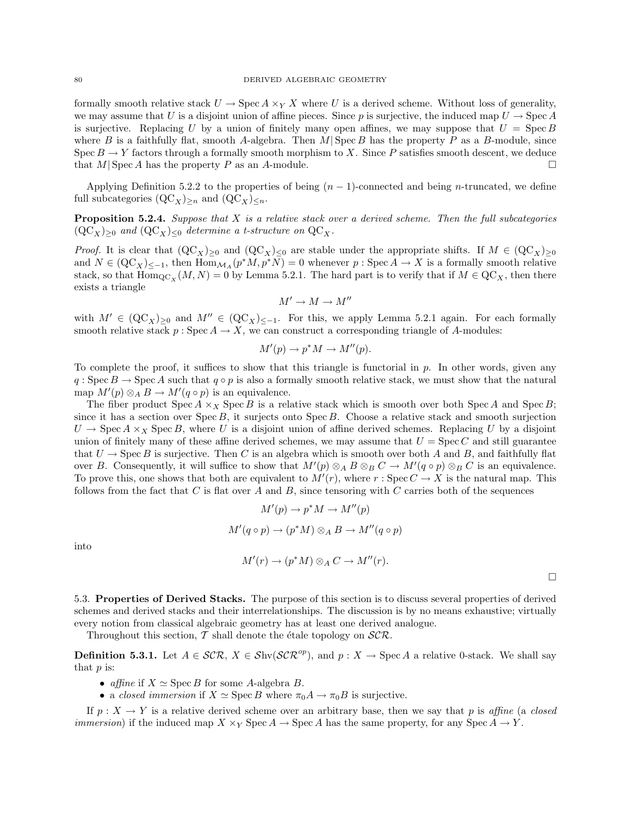formally smooth relative stack  $U \to \text{Spec } A \times_Y X$  where U is a derived scheme. Without loss of generality, we may assume that U is a disjoint union of affine pieces. Since p is surjective, the induced map  $U \to \text{Spec } A$ is surjective. Replacing U by a union of finitely many open affines, we may suppose that  $U = \text{Spec } B$ where B is a faithfully flat, smooth A-algebra. Then  $M|\operatorname{Spec} B$  has the property P as a B-module, since Spec  $B \to Y$  factors through a formally smooth morphism to X. Since P satisfies smooth descent, we deduce that  $M|\operatorname{Spec} A$  has the property P as an A-module.

Applying Definition 5.2.2 to the properties of being  $(n - 1)$ -connected and being *n*-truncated, we define full subcategories  $(QC_X)_{\geq n}$  and  $(QC_X)_{\leq n}$ .

**Proposition 5.2.4.** Suppose that  $X$  is a relative stack over a derived scheme. Then the full subcategories  $(QC_X)_{\geq 0}$  and  $(QC_X)_{\leq 0}$  determine a t-structure on  $QC_X$ .

*Proof.* It is clear that  $(QC_X)_{\geq 0}$  and  $(QC_X)_{\leq 0}$  are stable under the appropriate shifts. If  $M \in (QC_X)_{\geq 0}$ and  $N \in (\mathrm{QC}_X)_{\le -1}$ , then  $\text{Hom}_{\mathcal{M}_A}(p^*M, p^*\overline{N}) = 0$  whenever  $p: \mathrm{Spec}\,A \to X$  is a formally smooth relative stack, so that  $\text{Hom}_{\text{QC}_X}(M, N) = 0$  by Lemma 5.2.1. The hard part is to verify that if  $M \in \text{QC}_X$ , then there exists a triangle

$$
M' \to M \to M''
$$

with  $M' \in (QC_X)_{\geq 0}$  and  $M'' \in (QC_X)_{\leq -1}$ . For this, we apply Lemma 5.2.1 again. For each formally smooth relative stack  $p : \text{Spec } A \to X$ , we can construct a corresponding triangle of A-modules:

$$
M'(p) \to p^*M \to M''(p).
$$

To complete the proof, it suffices to show that this triangle is functorial in  $p$ . In other words, given any  $q : \text{Spec } B \to \text{Spec } A$  such that  $q \circ p$  is also a formally smooth relative stack, we must show that the natural map  $M'(p) \otimes_A B \to M'(q \circ p)$  is an equivalence.

The fiber product  $Spec A \times_X Spec B$  is a relative stack which is smooth over both  $Spec A$  and  $Spec B$ ; since it has a section over  $Spec B$ , it surjects onto  $Spec B$ . Choose a relative stack and smooth surjection  $U \to \text{Spec } A \times_X \text{Spec } B$ , where U is a disjoint union of affine derived schemes. Replacing U by a disjoint union of finitely many of these affine derived schemes, we may assume that  $U = \text{Spec } C$  and still guarantee that  $U \to \text{Spec } B$  is surjective. Then C is an algebra which is smooth over both A and B, and faithfully flat over B. Consequently, it will suffice to show that  $M'(p) \otimes_A B \otimes_B C \to M'(q \circ p) \otimes_B C$  is an equivalence. To prove this, one shows that both are equivalent to  $M'(r)$ , where  $r : \text{Spec } C \to X$  is the natural map. This follows from the fact that C is flat over A and B, since tensoring with C carries both of the sequences

$$
M'(p) \to p^*M \to M''(p)
$$
  

$$
M'(q \circ p) \to (p^*M) \otimes_A B \to M''(q \circ p)
$$

into

$$
M'(r) \to (p^*M) \otimes_A C \to M''(r).
$$

 $\Box$ 

5.3. Properties of Derived Stacks. The purpose of this section is to discuss several properties of derived schemes and derived stacks and their interrelationships. The discussion is by no means exhaustive; virtually every notion from classical algebraic geometry has at least one derived analogue.

Throughout this section,  $\mathcal T$  shall denote the étale topology on  $\mathcal{SCR}$ .

**Definition 5.3.1.** Let  $A \in \mathcal{SCR}, X \in \mathcal{Shv}(\mathcal{SCR}^{op})$ , and  $p : X \to \text{Spec } A$  a relative 0-stack. We shall say that  $p$  is:

- *affine* if  $X \simeq \text{Spec } B$  for some A-algebra B.
- a closed immersion if  $X \simeq \operatorname{Spec} B$  where  $\pi_0 A \to \pi_0 B$  is surjective.

If  $p: X \to Y$  is a relative derived scheme over an arbitrary base, then we say that p is affine (a closed *immersion*) if the induced map  $X \times_Y \text{Spec } A \to \text{Spec } A$  has the same property, for any  $\text{Spec } A \to Y$ .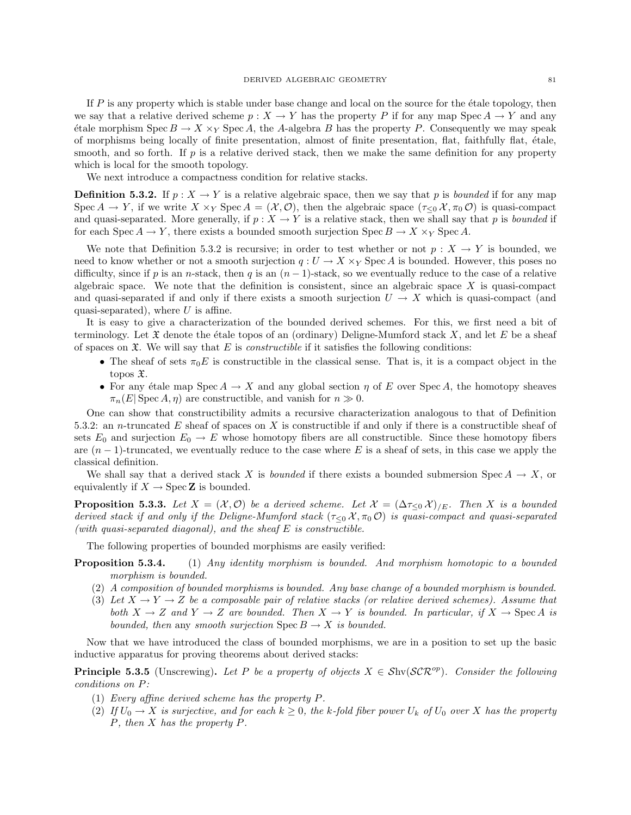If  $P$  is any property which is stable under base change and local on the source for the étale topology, then we say that a relative derived scheme  $p : X \to Y$  has the property P if for any map Spec  $A \to Y$  and any  $\forall$  etale morphism  $Spec B \to X \times_Y Spec A$ , the A-algebra B has the property P. Consequently we may speak of morphisms being locally of finite presentation, almost of finite presentation, flat, faithfully flat, ´etale, smooth, and so forth. If  $p$  is a relative derived stack, then we make the same definition for any property which is local for the smooth topology.

We next introduce a compactness condition for relative stacks.

**Definition 5.3.2.** If  $p: X \to Y$  is a relative algebraic space, then we say that p is *bounded* if for any map Spec  $A \to Y$ , if we write  $X \times_Y \text{Spec } A = (\mathcal{X}, \mathcal{O})$ , then the algebraic space  $(\tau_{\leq 0} \mathcal{X}, \pi_0 \mathcal{O})$  is quasi-compact and quasi-separated. More generally, if  $p : X \to Y$  is a relative stack, then we shall say that p is bounded if for each Spec  $A \to Y$ , there exists a bounded smooth surjection Spec  $B \to X \times_Y S$ pec A.

We note that Definition 5.3.2 is recursive; in order to test whether or not  $p: X \to Y$  is bounded, we need to know whether or not a smooth surjection  $q: U \to X \times_Y \text{Spec } A$  is bounded. However, this poses no difficulty, since if p is an n-stack, then q is an  $(n - 1)$ -stack, so we eventually reduce to the case of a relative algebraic space. We note that the definition is consistent, since an algebraic space  $X$  is quasi-compact and quasi-separated if and only if there exists a smooth surjection  $U \to X$  which is quasi-compact (and quasi-separated), where  $U$  is affine.

It is easy to give a characterization of the bounded derived schemes. For this, we first need a bit of terminology. Let  $\mathfrak X$  denote the étale topos of an (ordinary) Deligne-Mumford stack X, and let E be a sheaf of spaces on  $\mathfrak{X}$ . We will say that E is *constructible* if it satisfies the following conditions:

- The sheaf of sets  $\pi_0E$  is constructible in the classical sense. That is, it is a compact object in the topos  $\mathfrak{X}.$
- For any étale map  $Spec A \to X$  and any global section  $\eta$  of E over Spec A, the homotopy sheaves  $\pi_n(E|\operatorname{Spec} A, \eta)$  are constructible, and vanish for  $n \gg 0$ .

One can show that constructibility admits a recursive characterization analogous to that of Definition 5.3.2: an n-truncated E sheaf of spaces on X is constructible if and only if there is a constructible sheaf of sets  $E_0$  and surjection  $E_0 \to E$  whose homotopy fibers are all constructible. Since these homotopy fibers are  $(n-1)$ -truncated, we eventually reduce to the case where E is a sheaf of sets, in this case we apply the classical definition.

We shall say that a derived stack X is *bounded* if there exists a bounded submersion Spec  $A \rightarrow X$ , or equivalently if  $X \to \operatorname{Spec} \mathbb{Z}$  is bounded.

**Proposition 5.3.3.** Let  $X = (\mathcal{X}, \mathcal{O})$  be a derived scheme. Let  $\mathcal{X} = (\Delta \tau_{\leq 0} \mathcal{X})/E$ . Then X is a bounded derived stack if and only if the Deligne-Mumford stack ( $\tau <sub>0</sub>$   $\chi$ ,  $\pi<sub>0</sub>$   $\mathcal{O}$ ) is quasi-compact and quasi-separated (with quasi-separated diagonal), and the sheaf  $E$  is constructible.

The following properties of bounded morphisms are easily verified:

- **Proposition 5.3.4.** (1) Any identity morphism is bounded. And morphism homotopic to a bounded morphism is bounded.
	- (2) A composition of bounded morphisms is bounded. Any base change of a bounded morphism is bounded.
	- (3) Let  $X \to Y \to Z$  be a composable pair of relative stacks (or relative derived schemes). Assume that both  $X \to Z$  and  $Y \to Z$  are bounded. Then  $X \to Y$  is bounded. In particular, if  $X \to \text{Spec } A$  is bounded, then any smooth surjection  $\text{Spec } B \to X$  is bounded.

Now that we have introduced the class of bounded morphisms, we are in a position to set up the basic inductive apparatus for proving theorems about derived stacks:

**Principle 5.3.5** (Unscrewing). Let P be a property of objects  $X \in Shv(SCR^{op})$ . Consider the following conditions on P:

- (1) Every affine derived scheme has the property P.
- (2) If  $U_0 \to X$  is surjective, and for each  $k \geq 0$ , the k-fold fiber power  $U_k$  of  $U_0$  over X has the property P, then X has the property P.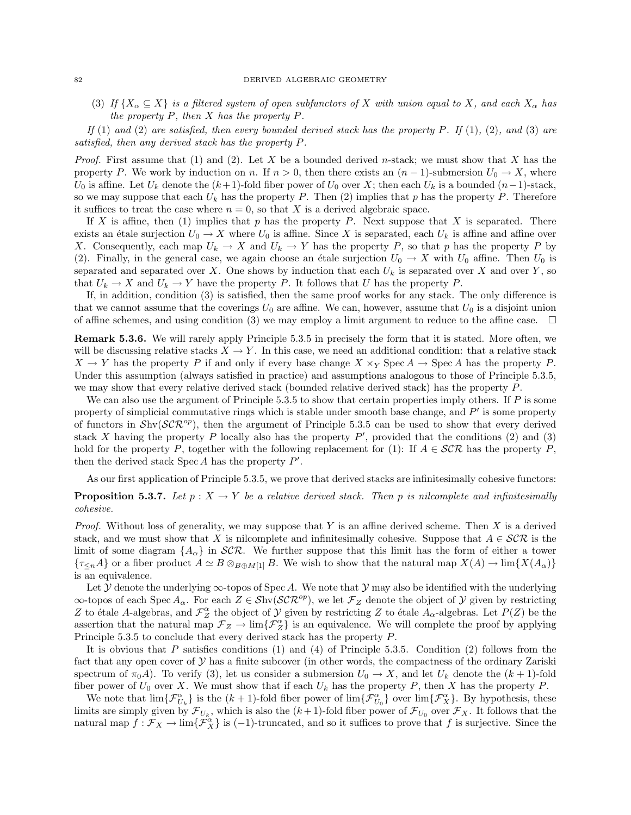(3) If  $\{X_\alpha \subseteq X\}$  is a filtered system of open subfunctors of X with union equal to X, and each  $X_\alpha$  has the property  $P$ , then  $X$  has the property  $P$ .

If (1) and (2) are satisfied, then every bounded derived stack has the property P. If (1), (2), and (3) are satisfied, then any derived stack has the property P.

*Proof.* First assume that (1) and (2). Let X be a bounded derived n-stack; we must show that X has the property P. We work by induction on n. If  $n > 0$ , then there exists an  $(n - 1)$ -submersion  $U_0 \to X$ , where U<sub>0</sub> is affine. Let U<sub>k</sub> denote the  $(k+1)$ -fold fiber power of U<sub>0</sub> over X; then each U<sub>k</sub> is a bounded  $(n-1)$ -stack, so we may suppose that each  $U_k$  has the property P. Then (2) implies that p has the property P. Therefore it suffices to treat the case where  $n = 0$ , so that X is a derived algebraic space.

If X is affine, then (1) implies that p has the property P. Next suppose that X is separated. There exists an étale surjection  $U_0 \to X$  where  $U_0$  is affine. Since X is separated, each  $U_k$  is affine and affine over X. Consequently, each map  $U_k \to X$  and  $U_k \to Y$  has the property P, so that p has the property P by (2). Finally, in the general case, we again choose an étale surjection  $U_0 \to X$  with  $U_0$  affine. Then  $U_0$  is separated and separated over X. One shows by induction that each  $U_k$  is separated over X and over Y, so that  $U_k \to X$  and  $U_k \to Y$  have the property P. It follows that U has the property P.

If, in addition, condition (3) is satisfied, then the same proof works for any stack. The only difference is that we cannot assume that the coverings  $U_0$  are affine. We can, however, assume that  $U_0$  is a disjoint union of affine schemes, and using condition (3) we may employ a limit argument to reduce to the affine case.  $\Box$ 

Remark 5.3.6. We will rarely apply Principle 5.3.5 in precisely the form that it is stated. More often, we will be discussing relative stacks  $X \to Y$ . In this case, we need an additional condition: that a relative stack  $X \to Y$  has the property P if and only if every base change  $X \times_Y$  Spec A  $\to$  Spec A has the property P. Under this assumption (always satisfied in practice) and assumptions analogous to those of Principle 5.3.5, we may show that every relative derived stack (bounded relative derived stack) has the property P.

We can also use the argument of Principle  $5.3.5$  to show that certain properties imply others. If  $P$  is some property of simplicial commutative rings which is stable under smooth base change, and  $P'$  is some property of functors in  $\mathcal{S}h\nu(\mathcal{SCR}^{op})$ , then the argument of Principle 5.3.5 can be used to show that every derived stack X having the property P locally also has the property  $P'$ , provided that the conditions (2) and (3) hold for the property P, together with the following replacement for (1): If  $A \in \mathcal{SCR}$  has the property P, then the derived stack  $\text{Spec } A$  has the property  $P'$ .

As our first application of Principle 5.3.5, we prove that derived stacks are infinitesimally cohesive functors:

# **Proposition 5.3.7.** Let  $p : X \to Y$  be a relative derived stack. Then p is nilcomplete and infinitesimally cohesive.

*Proof.* Without loss of generality, we may suppose that Y is an affine derived scheme. Then X is a derived stack, and we must show that X is nilcomplete and infinitesimally cohesive. Suppose that  $A \in \mathcal{SCR}$  is the limit of some diagram  $\{A_{\alpha}\}\$ in SCR. We further suppose that this limit has the form of either a tower  ${\tau_{\leq n}}A$  or a fiber product  $A \simeq B \otimes_{B \oplus M[1]} B$ . We wish to show that the natural map  $X(A) \to \lim\{X(A_\alpha)\}$ is an equivalence.

Let  $\mathcal Y$  denote the underlying  $\infty$ -topos of Spec A. We note that  $\mathcal Y$  may also be identified with the underlying  $\infty$ -topos of each Spec  $A_{\alpha}$ . For each  $Z \in Shv(\mathcal{SCR}^{op})$ , we let  $\mathcal{F}_Z$  denote the object of  $\mathcal Y$  given by restricting Z to étale A-algebras, and  $\mathcal{F}_{Z}^{\alpha}$  the object of  $\mathcal Y$  given by restricting Z to étale  $A_{\alpha}$ -algebras. Let  $P(Z)$  be the assertion that the natural map  $\mathcal{F}_Z \to \lim{\{\mathcal{F}_Z^{\alpha}\}}$  is an equivalence. We will complete the proof by applying Principle 5.3.5 to conclude that every derived stack has the property P.

It is obvious that P satisfies conditions  $(1)$  and  $(4)$  of Principle 5.3.5. Condition  $(2)$  follows from the fact that any open cover of  $Y$  has a finite subcover (in other words, the compactness of the ordinary Zariski spectrum of  $\pi_0 A$ ). To verify (3), let us consider a submersion  $U_0 \to X$ , and let  $U_k$  denote the  $(k+1)$ -fold fiber power of  $U_0$  over X. We must show that if each  $U_k$  has the property P, then X has the property P.

We note that  $\lim_{\epsilon \to 0} {\{\mathcal{F}_{U_{k}}^{\alpha}\}}$  is the  $(k+1)$ -fold fiber power of  $\lim_{\epsilon \to 0} {\{\mathcal{F}_{U_{0}}^{\alpha}\}}$  over  $\lim_{\epsilon \to 0} {\{\mathcal{F}_{X}}^{\alpha}\}$ . By hypothesis, these limits are simply given by  $\mathcal{F}_{U_k}$ , which is also the  $(k+1)$ -fold fiber power of  $\mathcal{F}_{U_0}$  over  $\mathcal{F}_X$ . It follows that the natural map  $f: \mathcal{F}_X \to \lim{\{\mathcal{F}_X^{\alpha}\}}$  is (-1)-truncated, and so it suffices to prove that f is surjective. Since the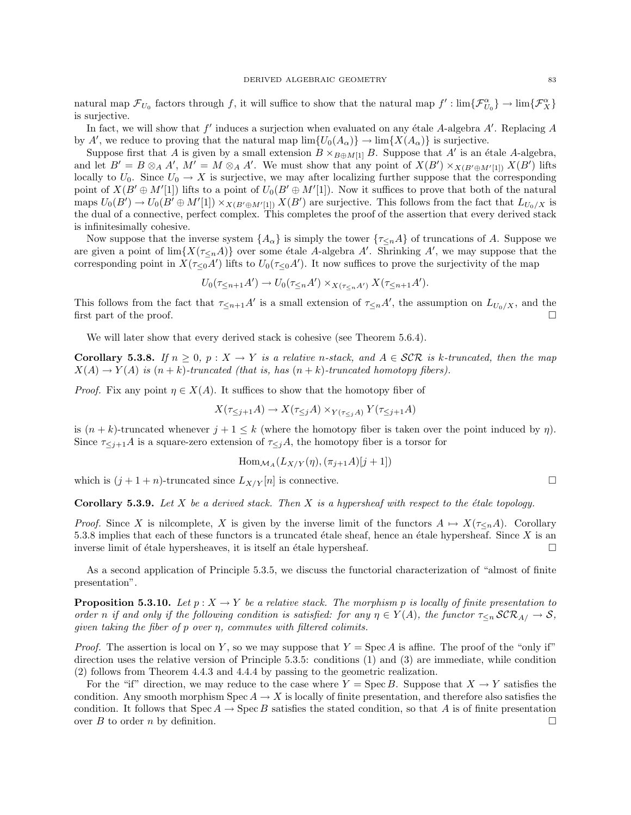natural map  $\mathcal{F}_{U_0}$  factors through f, it will suffice to show that the natural map  $f': \lim{\lbrace \mathcal{F}_{U_0}^{\alpha} \rbrace \rightarrow \lim{\lbrace \mathcal{F}_{X}^{\alpha} \rbrace}}$ is surjective.

In fact, we will show that  $f'$  induces a surjection when evaluated on any étale A-algebra  $A'$ . Replacing  $A$ by A', we reduce to proving that the natural map  $\lim \{U_0(A_\alpha)\} \to \lim \{X(A_\alpha)\}\$ is surjective.

Suppose first that A is given by a small extension  $B \times_{B \oplus M[1]} B$ . Suppose that A' is an étale A-algebra, and let  $B' = B \otimes_A A'$ ,  $M' = M \otimes_A A'$ . We must show that any point of  $X(B') \times_{X(B' \oplus M'[1])} X(B')$  lifts locally to  $U_0$ . Since  $U_0 \to X$  is surjective, we may after localizing further suppose that the corresponding point of  $X(B' \oplus M'[1])$  lifts to a point of  $U_0(B' \oplus M'[1])$ . Now it suffices to prove that both of the natural maps  $U_0(B') \to U_0(B' \oplus M'[1]) \times_{X(B' \oplus M'[1])} X(B')$  are surjective. This follows from the fact that  $L_{U_0/X}$  is the dual of a connective, perfect complex. This completes the proof of the assertion that every derived stack is infinitesimally cohesive.

Now suppose that the inverse system  $\{A_{\alpha}\}\$ is simply the tower  $\{\tau_{\leq n}A\}$  of truncations of A. Suppose we are given a point of  $\lim\{X(\tau_{\leq n}A)\}\$  over some étale A-algebra A'. Shrinking A', we may suppose that the corresponding point in  $X(\tau_{\leq 0}A')$  lifts to  $U_0(\tau_{\leq 0}A')$ . It now suffices to prove the surjectivity of the map

$$
U_0(\tau_{\leq n+1}A') \to U_0(\tau_{\leq n}A') \times_{X(\tau_{\leq n}A')} X(\tau_{\leq n+1}A').
$$

This follows from the fact that  $\tau_{\leq n+1}A'$  is a small extension of  $\tau_{\leq n}A'$ , the assumption on  $L_{U_0/X}$ , and the first part of the proof.  $\Box$ 

We will later show that every derived stack is cohesive (see Theorem 5.6.4).

**Corollary 5.3.8.** If  $n > 0$ ,  $p : X \to Y$  is a relative n-stack, and  $A \in \mathcal{SCR}$  is k-truncated, then the map  $X(A) \to Y(A)$  is  $(n+k)$ -truncated (that is, has  $(n+k)$ -truncated homotopy fibers).

*Proof.* Fix any point  $\eta \in X(A)$ . It suffices to show that the homotopy fiber of

$$
X(\tau_{\leq j+1}A) \to X(\tau_{\leq j}A) \times_{Y(\tau_{\leq j}A)} Y(\tau_{\leq j+1}A)
$$

is  $(n + k)$ -truncated whenever  $j + 1 \leq k$  (where the homotopy fiber is taken over the point induced by  $\eta$ ). Since  $\tau_{\leq j+1}A$  is a square-zero extension of  $\tau_{\leq j}A$ , the homotopy fiber is a torsor for

$$
\operatorname{Hom}_{\mathcal{M}_A}(L_{X/Y}(\eta), (\pi_{j+1}A)[j+1])
$$

which is  $(j+1+n)$ -truncated since  $L_{X/Y}[n]$  is connective.

**Corollary 5.3.9.** Let X be a derived stack. Then X is a hypersheaf with respect to the étale topology.

*Proof.* Since X is nilcomplete, X is given by the inverse limit of the functors  $A \mapsto X(\tau \leq nA)$ . Corollary 5.3.8 implies that each of these functors is a truncated étale sheaf, hence an étale hypersheaf. Since  $X$  is an inverse limit of étale hypersheaves, it is itself an étale hypersheaf.  $\Box$ 

As a second application of Principle 5.3.5, we discuss the functorial characterization of "almost of finite presentation".

**Proposition 5.3.10.** Let  $p: X \to Y$  be a relative stack. The morphism p is locally of finite presentation to order n if and only if the following condition is satisfied: for any  $\eta \in Y(A)$ , the functor  $\tau \leq n \mathcal{S} \mathcal{R}_{A/\rightarrow} \mathcal{S}$ , given taking the fiber of  $p$  over  $\eta$ , commutes with filtered colimits.

*Proof.* The assertion is local on Y, so we may suppose that  $Y = \text{Spec } A$  is affine. The proof of the "only if" direction uses the relative version of Principle 5.3.5: conditions (1) and (3) are immediate, while condition (2) follows from Theorem 4.4.3 and 4.4.4 by passing to the geometric realization.

For the "if" direction, we may reduce to the case where  $Y = \text{Spec } B$ . Suppose that  $X \to Y$  satisfies the condition. Any smooth morphism  $\text{Spec } A \to X$  is locally of finite presentation, and therefore also satisfies the condition. It follows that  $Spec A \rightarrow Spec B$  satisfies the stated condition, so that A is of finite presentation over B to order n by definition.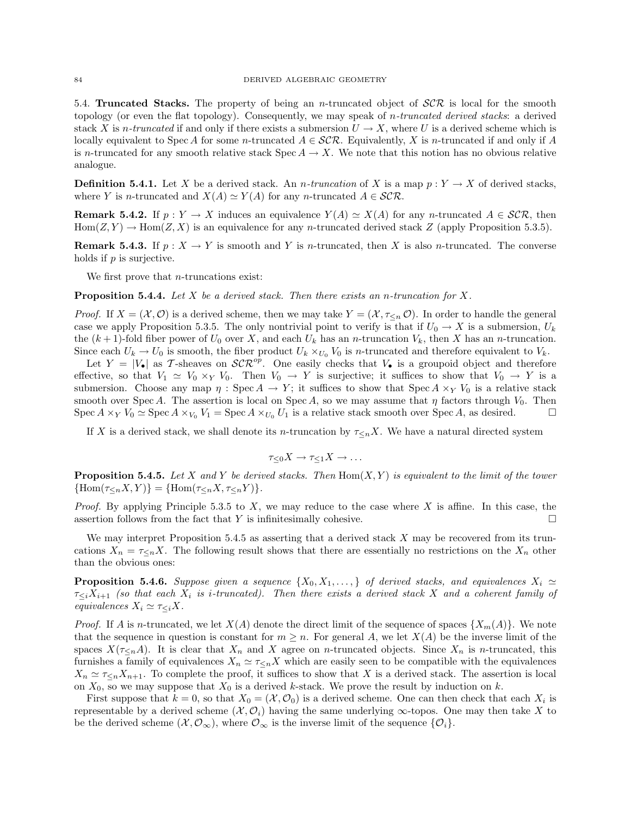5.4. Truncated Stacks. The property of being an *n*-truncated object of  $\mathcal{SCR}$  is local for the smooth topology (or even the flat topology). Consequently, we may speak of *n*-truncated derived stacks: a derived stack X is n-truncated if and only if there exists a submersion  $U \to X$ , where U is a derived scheme which is locally equivalent to Spec A for some n-truncated  $A \in \mathcal{SCR}$ . Equivalently, X is n-truncated if and only if A is n-truncated for any smooth relative stack  $Spec A \to X$ . We note that this notion has no obvious relative analogue.

**Definition 5.4.1.** Let X be a derived stack. An *n*-truncation of X is a map  $p: Y \to X$  of derived stacks, where Y is n-truncated and  $X(A) \simeq Y(A)$  for any n-truncated  $A \in \mathcal{SCR}$ .

**Remark 5.4.2.** If  $p: Y \to X$  induces an equivalence  $Y(A) \simeq X(A)$  for any n-truncated  $A \in \mathcal{SCR}$ , then  $\text{Hom}(Z, Y) \to \text{Hom}(Z, X)$  is an equivalence for any *n*-truncated derived stack Z (apply Proposition 5.3.5).

**Remark 5.4.3.** If  $p: X \to Y$  is smooth and Y is *n*-truncated, then X is also *n*-truncated. The converse holds if  $p$  is surjective.

We first prove that *n*-truncations exist:

**Proposition 5.4.4.** Let X be a derived stack. Then there exists an n-truncation for X.

*Proof.* If  $X = (\mathcal{X}, \mathcal{O})$  is a derived scheme, then we may take  $Y = (\mathcal{X}, \tau \leq n \mathcal{O})$ . In order to handle the general case we apply Proposition 5.3.5. The only nontrivial point to verify is that if  $U_0 \to X$  is a submersion,  $U_k$ the  $(k+1)$ -fold fiber power of  $U_0$  over X, and each  $U_k$  has an n-truncation  $V_k$ , then X has an n-truncation. Since each  $U_k \to U_0$  is smooth, the fiber product  $U_k \times_{U_0} V_0$  is *n*-truncated and therefore equivalent to  $V_k$ . Let  $Y = |V_{\bullet}|$  as T-sheaves on  $\mathcal{SCR}^{op}$ . One easily checks that  $V_{\bullet}$  is a groupoid object and therefore effective, so that  $V_1 \simeq V_0 \times_Y V_0$ . Then  $V_0 \to Y$  is surjective; it suffices to show that  $V_0 \to Y$  is a submersion. Choose any map  $\eta$ : Spec  $A \to Y$ ; it suffices to show that Spec  $A \times_Y V_0$  is a relative stack

smooth over Spec A. The assertion is local on Spec A, so we may assume that  $\eta$  factors through  $V_0$ . Then Spec  $A \times_Y V_0 \simeq$  Spec  $A \times_{V_0} V_1 =$  Spec  $A \times_{V_0} U_1$  is a relative stack smooth over Spec A, as desired.

If X is a derived stack, we shall denote its n-truncation by  $\tau_{\leq n}X$ . We have a natural directed system

$$
\tau_{\leq 0} X \to \tau_{\leq 1} X \to \dots
$$

**Proposition 5.4.5.** Let X and Y be derived stacks. Then  $Hom(X, Y)$  is equivalent to the limit of the tower  ${\rm Hom}(\tau_{\leq n}X,Y)={\rm Hom}(\tau_{\leq n}X,\tau_{\leq n}Y).$ 

*Proof.* By applying Principle 5.3.5 to  $X$ , we may reduce to the case where  $X$  is affine. In this case, the assertion follows from the fact that Y is infinitesimally cohesive.  $\Box$ 

We may interpret Proposition 5.4.5 as asserting that a derived stack  $X$  may be recovered from its truncations  $X_n = \tau \leq nX$ . The following result shows that there are essentially no restrictions on the  $X_n$  other than the obvious ones:

**Proposition 5.4.6.** Suppose given a sequence  $\{X_0, X_1, \ldots\}$  of derived stacks, and equivalences  $X_i \simeq$  $\tau_{\leq i}X_{i+1}$  (so that each  $X_i$  is *i*-truncated). Then there exists a derived stack X and a coherent family of equivalences  $X_i \simeq \tau \lt_i X$ .

*Proof.* If A is n-truncated, we let  $X(A)$  denote the direct limit of the sequence of spaces  $\{X_m(A)\}\$ . We note that the sequence in question is constant for  $m \geq n$ . For general A, we let  $X(A)$  be the inverse limit of the spaces  $X(\tau_{\leq n}A)$ . It is clear that  $X_n$  and X agree on n-truncated objects. Since  $X_n$  is n-truncated, this furnishes a family of equivalences  $X_n \simeq \tau \leq_n X$  which are easily seen to be compatible with the equivalences  $X_n \simeq \tau \le_n X_{n+1}$ . To complete the proof, it suffices to show that X is a derived stack. The assertion is local on  $X_0$ , so we may suppose that  $X_0$  is a derived k-stack. We prove the result by induction on k.

First suppose that  $k = 0$ , so that  $X_0 = (\mathcal{X}, \mathcal{O}_0)$  is a derived scheme. One can then check that each  $X_i$  is representable by a derived scheme  $(\mathcal{X}, \mathcal{O}_i)$  having the same underlying  $\infty$ -topos. One may then take X to be the derived scheme  $(\mathcal{X}, \mathcal{O}_{\infty})$ , where  $\mathcal{O}_{\infty}$  is the inverse limit of the sequence  $\{\mathcal{O}_i\}$ .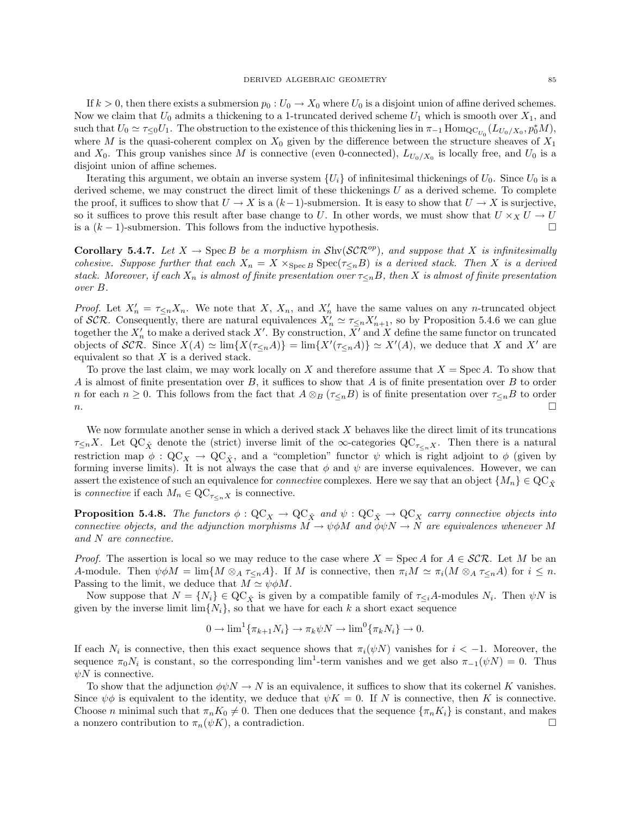If  $k > 0$ , then there exists a submersion  $p_0 : U_0 \to X_0$  where  $U_0$  is a disjoint union of affine derived schemes. Now we claim that  $U_0$  admits a thickening to a 1-truncated derived scheme  $U_1$  which is smooth over  $X_1$ , and such that  $U_0 \simeq \tau \leq 0$ . The obstruction to the existence of this thickening lies in  $\pi_{-1}$  Hom $_{\text{QC}_{U_0}}(L_{U_0/X_0}, p_0^*M)$ , where M is the quasi-coherent complex on  $X_0$  given by the difference between the structure sheaves of  $X_1$ and  $X_0$ . This group vanishes since M is connective (even 0-connected),  $L_{U_0/X_0}$  is locally free, and  $U_0$  is a disjoint union of affine schemes.

Iterating this argument, we obtain an inverse system  $\{U_i\}$  of infinitesimal thickenings of  $U_0$ . Since  $U_0$  is a derived scheme, we may construct the direct limit of these thickenings  $U$  as a derived scheme. To complete the proof, it suffices to show that  $U \to X$  is a  $(k-1)$ -submersion. It is easy to show that  $U \to X$  is surjective, so it suffices to prove this result after base change to U. In other words, we must show that  $U \times_X U \to U$ is a  $(k-1)$ -submersion. This follows from the inductive hypothesis.  $□$ 

**Corollary 5.4.7.** Let  $X \to \text{Spec } B$  be a morphism in  $\text{Shv}(\mathcal{SCR}^{op})$ , and suppose that X is infinitesimally cohesive. Suppose further that each  $X_n = X \times_{\text{Spec } B} \text{Spec}(\tau_{\leq n}B)$  is a derived stack. Then X is a derived stack. Moreover, if each  $X_n$  is almost of finite presentation over  $\tau_{\le n}B$ , then X is almost of finite presentation over B.

*Proof.* Let  $X'_n = \tau_{\leq n} X_n$ . We note that X,  $X_n$ , and  $X'_n$  have the same values on any n-truncated object of SCR. Consequently, there are natural equivalences  $X'_n \simeq \tau_{\leq n} X'_{n+1}$ , so by Proposition 5.4.6 we can glue together the  $X'_n$  to make a derived stack X'. By construction,  $\overline{X'}$  and X define the same functor on truncated objects of SCR. Since  $X(A) \simeq \lim \{ X(\tau_{\leq n}A) \} = \lim \{ X'(\tau_{\leq n}A) \} \simeq X'(A)$ , we deduce that X and X' are equivalent so that  $X$  is a derived stack.

To prove the last claim, we may work locally on X and therefore assume that  $X = \text{Spec } A$ . To show that A is almost of finite presentation over B, it suffices to show that A is of finite presentation over B to order n for each  $n \geq 0$ . This follows from the fact that  $A \otimes_B (\tau \leq_n B)$  is of finite presentation over  $\tau \leq_n B$  to order n.

We now formulate another sense in which a derived stack  $X$  behaves like the direct limit of its truncations  $\tau_{\leq n}X$ . Let  $\mathbf{QC}_{\hat{X}}$  denote the (strict) inverse limit of the  $\infty$ -categories  $\mathbf{QC}_{\tau_{\leq n}X}$ . Then there is a natural restriction map  $\phi$  :  $\mathbf{QC}_X \to \mathbf{QC}_{\hat{X}}$ , and a "completion" functor  $\psi$  which is right adjoint to  $\phi$  (given by forming inverse limits). It is not always the case that  $\phi$  and  $\psi$  are inverse equivalences. However, we can assert the existence of such an equivalence for *connective* complexes. Here we say that an object  $\{M_n\} \in \text{QC}_{\hat{\mathcal{X}}}$ is *connective* if each  $M_n \in \text{QC}_{\tau \leq n}$  is connective.

**Proposition 5.4.8.** The functors  $\phi$  :  $QC_X \to QC_{\hat{X}}$  and  $\psi$  :  $QC_{\hat{X}} \to QC_X$  carry connective objects into connective objects, and the adjunction morphisms  $M \to \psi \phi M$  and  $\phi \psi N \to N$  are equivalences whenever M and N are connective.

*Proof.* The assertion is local so we may reduce to the case where  $X = \text{Spec } A$  for  $A \in \mathcal{SCR}$ . Let M be an A-module. Then  $\psi \phi M = \lim \{ M \otimes_A \tau \leq nA \}$ . If M is connective, then  $\pi_i M \simeq \pi_i (M \otimes_A \tau \leq nA)$  for  $i \leq n$ . Passing to the limit, we deduce that  $M \simeq \psi \phi M$ .

Now suppose that  $N = \{N_i\} \in \mathbf{QC}_{\hat{X}}$  is given by a compatible family of  $\tau_{\leq i}A$ -modules  $N_i$ . Then  $\psi N$  is given by the inverse limit  $\lim\{N_i\}$ , so that we have for each k a short exact sequence

$$
0 \to \lim^1\{\pi_{k+1}N_i\} \to \pi_k\psi N \to \lim^0\{\pi_kN_i\} \to 0.
$$

If each  $N_i$  is connective, then this exact sequence shows that  $\pi_i(\psi N)$  vanishes for  $i < -1$ . Moreover, the sequence  $\pi_0 N_i$  is constant, so the corresponding lim<sup>1</sup>-term vanishes and we get also  $\pi_{-1}(\psi N) = 0$ . Thus  $\psi N$  is connective.

To show that the adjunction  $\phi \psi N \to N$  is an equivalence, it suffices to show that its cokernel K vanishes. Since  $\psi \phi$  is equivalent to the identity, we deduce that  $\psi K = 0$ . If N is connective, then K is connective. Choose n minimal such that  $\pi_n K_0 \neq 0$ . Then one deduces that the sequence  ${\pi_n K_i}$  is constant, and makes a nonzero contribution to  $\pi_n(\psi K)$ , a contradiction.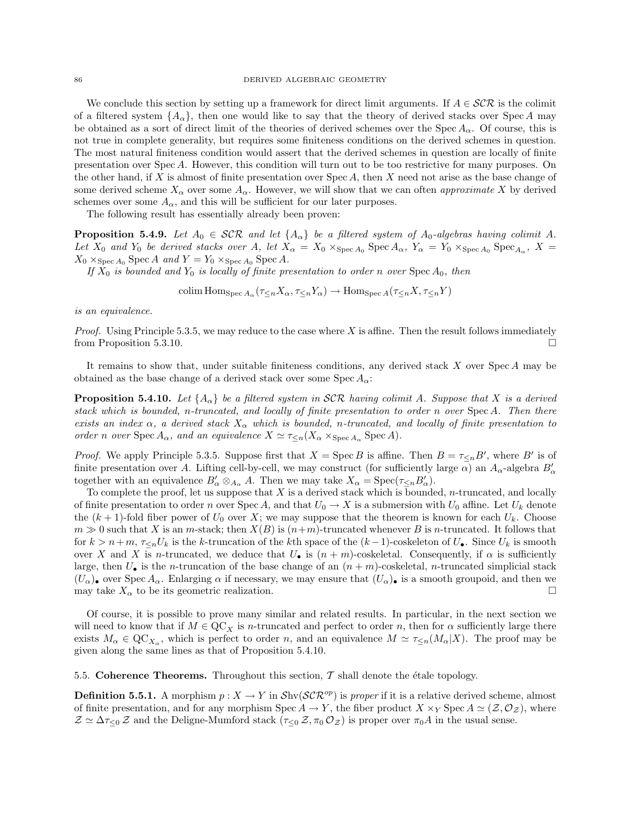We conclude this section by setting up a framework for direct limit arguments. If  $A \in \mathcal{SCR}$  is the colimit of a filtered system  $\{A_{\alpha}\}\$ , then one would like to say that the theory of derived stacks over Spec A may be obtained as a sort of direct limit of the theories of derived schemes over the Spec  $A_{\alpha}$ . Of course, this is not true in complete generality, but requires some finiteness conditions on the derived schemes in question. The most natural finiteness condition would assert that the derived schemes in question are locally of finite presentation over Spec A. However, this condition will turn out to be too restrictive for many purposes. On the other hand, if X is almost of finite presentation over  $\text{Spec } A$ , then X need not arise as the base change of some derived scheme  $X_{\alpha}$  over some  $A_{\alpha}$ . However, we will show that we can often *approximate* X by derived schemes over some  $A_{\alpha}$ , and this will be sufficient for our later purposes.

The following result has essentially already been proven:

**Proposition 5.4.9.** Let  $A_0 \in \mathcal{SCR}$  and let  $\{A_\alpha\}$  be a filtered system of  $A_0$ -algebras having colimit A. Let  $X_0$  and  $Y_0$  be derived stacks over A, let  $X_\alpha = X_0 \times_{Spec A_0} Spec A_\alpha$ ,  $Y_\alpha = Y_0 \times_{Spec A_0} Spec_{A_\alpha}$ ,  $X =$  $X_0 \times_{\text{Spec } A_0} \text{Spec } A$  and  $Y = Y_0 \times_{\text{Spec } A_0} \text{Spec } A$ .

If  $X_0$  is bounded and  $Y_0$  is locally of finite presentation to order n over Spec  $A_0$ , then

colim  $\text{Hom}_{\text{Spec } A_{\alpha}}(\tau_{\leq n}X_{\alpha}, \tau_{\leq n}Y_{\alpha}) \to \text{Hom}_{\text{Spec } A}(\tau_{\leq n}X, \tau_{\leq n}Y)$ 

is an equivalence.

*Proof.* Using Principle 5.3.5, we may reduce to the case where X is affine. Then the result follows immediately from Proposition 5.3.10.

It remains to show that, under suitable finiteness conditions, any derived stack  $X$  over  $Spec A$  may be obtained as the base change of a derived stack over some  $Spec A_{\alpha}$ :

**Proposition 5.4.10.** Let  $\{A_{\alpha}\}\$ be a filtered system in SCR having colimit A. Suppose that X is a derived stack which is bounded, n-truncated, and locally of finite presentation to order n over Spec A. Then there exists an index  $\alpha$ , a derived stack  $X_{\alpha}$  which is bounded, n-truncated, and locally of finite presentation to order n over  $\text{Spec } A_{\alpha}$ , and an equivalence  $X \simeq \tau_{\leq n}(X_{\alpha} \times_{\text{Spec } A_{\alpha}} \text{Spec } A)$ .

*Proof.* We apply Principle 5.3.5. Suppose first that  $X = \text{Spec } B$  is affine. Then  $B = \tau_{\leq n} B'$ , where B' is of finite presentation over A. Lifting cell-by-cell, we may construct (for sufficiently large  $\alpha$ ) an  $A_{\alpha}$ -algebra  $B'_{\alpha}$ together with an equivalence  $B'_\alpha \otimes_{A_\alpha} A$ . Then we may take  $X_\alpha = \text{Spec}(\tau_{\leq n} B'_\alpha)$ .

To complete the proof, let us suppose that  $X$  is a derived stack which is bounded, n-truncated, and locally of finite presentation to order n over  $Spec A$ , and that  $U_0 \to X$  is a submersion with  $U_0$  affine. Let  $U_k$  denote the  $(k+1)$ -fold fiber power of  $U_0$  over X; we may suppose that the theorem is known for each  $U_k$ . Choose  $m \gg 0$  such that X is an m-stack; then  $X(B)$  is  $(n+m)$ -truncated whenever B is n-truncated. It follows that for  $k > n+m$ ,  $\tau \leq n U_k$  is the k-truncation of the kth space of the  $(k-1)$ -coskeleton of  $U_{\bullet}$ . Since  $U_k$  is smooth over X and X is n-truncated, we deduce that  $U_{\bullet}$  is  $(n + m)$ -coskeletal. Consequently, if  $\alpha$  is sufficiently large, then  $U_{\bullet}$  is the n-truncation of the base change of an  $(n + m)$ -coskeletal, n-truncated simplicial stack  $(U_\alpha)_\bullet$  over Spec  $A_\alpha$ . Enlarging  $\alpha$  if necessary, we may ensure that  $(U_\alpha)_\bullet$  is a smooth groupoid, and then we may take  $X_{\alpha}$  to be its geometric realization.

Of course, it is possible to prove many similar and related results. In particular, in the next section we will need to know that if  $M \in \text{QC}_X$  is n-truncated and perfect to order n, then for  $\alpha$  sufficiently large there exists  $M_{\alpha} \in \text{QC}_{X_{\alpha}}$ , which is perfect to order n, and an equivalence  $M \simeq \tau_{\leq n}(M_{\alpha}|X)$ . The proof may be given along the same lines as that of Proposition 5.4.10.

5.5. Coherence Theorems. Throughout this section,  $\mathcal T$  shall denote the étale topology.

**Definition 5.5.1.** A morphism  $p: X \to Y$  in  $\mathcal{S}h\n\mathcal{S}(\mathcal{K}^{op})$  is proper if it is a relative derived scheme, almost of finite presentation, and for any morphism  $Spec A \to Y$ , the fiber product  $X \times_Y Spec A \simeq (Z, \mathcal{O}_Z)$ , where  $\mathcal{Z} \simeq \Delta \tau_{\leq 0} \mathcal{Z}$  and the Deligne-Mumford stack  $(\tau_{\leq 0} \mathcal{Z}, \pi_0 \mathcal{O}_{\mathcal{Z}})$  is proper over  $\pi_0 A$  in the usual sense.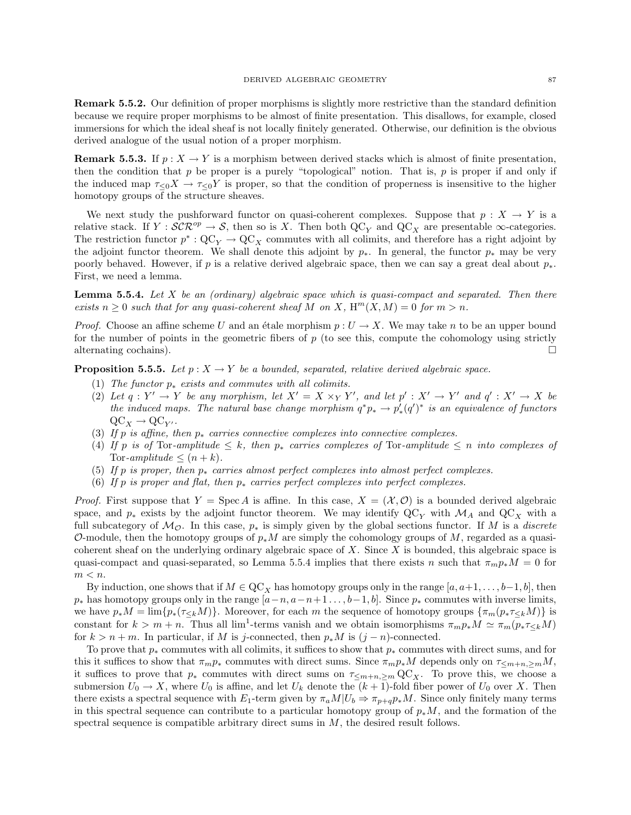Remark 5.5.2. Our definition of proper morphisms is slightly more restrictive than the standard definition because we require proper morphisms to be almost of finite presentation. This disallows, for example, closed immersions for which the ideal sheaf is not locally finitely generated. Otherwise, our definition is the obvious derived analogue of the usual notion of a proper morphism.

**Remark 5.5.3.** If  $p: X \to Y$  is a morphism between derived stacks which is almost of finite presentation, then the condition that p be proper is a purely "topological" notion. That is, p is proper if and only if the induced map  $\tau \leq 0 \leq X \to \tau \leq 0$  is proper, so that the condition of properness is insensitive to the higher homotopy groups of the structure sheaves.

We next study the pushforward functor on quasi-coherent complexes. Suppose that  $p : X \to Y$  is a relative stack. If  $Y : \mathcal{SCR}^{op} \to \mathcal{S}$ , then so is X. Then both  $\mathbb{Q}C_V$  and  $\mathbb{Q}C_V$  are presentable  $\infty$ -categories. The restriction functor  $p^*:\mathbf{QC}_Y\to \mathbf{QC}_X$  commutes with all colimits, and therefore has a right adjoint by the adjoint functor theorem. We shall denote this adjoint by  $p_{*}$ . In general, the functor  $p_{*}$  may be very poorly behaved. However, if p is a relative derived algebraic space, then we can say a great deal about  $p_*$ . First, we need a lemma.

**Lemma 5.5.4.** Let  $X$  be an (ordinary) algebraic space which is quasi-compact and separated. Then there exists  $n \geq 0$  such that for any quasi-coherent sheaf M on X,  $H^m(X, M) = 0$  for  $m > n$ .

*Proof.* Choose an affine scheme U and an étale morphism  $p : U \to X$ . We may take n to be an upper bound for the number of points in the geometric fibers of  $p$  (to see this, compute the cohomology using strictly alternating cochains).

**Proposition 5.5.5.** Let  $p : X \to Y$  be a bounded, separated, relative derived algebraic space.

- (1) The functor  $p_*$  exists and commutes with all colimits.
- (2) Let  $q: Y' \to Y$  be any morphism, let  $X' = X \times_Y Y'$ , and let  $p' : X' \to Y'$  and  $q' : X' \to X$  be the induced maps. The natural base change morphism  $q^*p_* \to p'_*(q')^*$  is an equivalence of functors  $\mathrm{QC}_X \rightarrow \mathrm{QC}_{Y'}$ .
- (3) If p is affine, then  $p_*$  carries connective complexes into connective complexes.
- (4) If p is of Tor-amplitude  $\leq k$ , then  $p_*$  carries complexes of Tor-amplitude  $\leq n$  into complexes of Tor-amplitude  $\leq (n+k)$ .
- (5) If p is proper, then  $p_*$  carries almost perfect complexes into almost perfect complexes.
- (6) If p is proper and flat, then  $p_*$  carries perfect complexes into perfect complexes.

*Proof.* First suppose that  $Y = \text{Spec } A$  is affine. In this case,  $X = (\mathcal{X}, \mathcal{O})$  is a bounded derived algebraic space, and  $p_*$  exists by the adjoint functor theorem. We may identify  $QC_V$  with  $\mathcal{M}_A$  and  $QC_V$  with a full subcategory of  $\mathcal{M}_{\mathcal{O}}$ . In this case,  $p_*$  is simply given by the global sections functor. If M is a discrete O-module, then the homotopy groups of  $p_*M$  are simply the cohomology groups of M, regarded as a quasicoherent sheaf on the underlying ordinary algebraic space of  $X$ . Since  $X$  is bounded, this algebraic space is quasi-compact and quasi-separated, so Lemma 5.5.4 implies that there exists n such that  $\pi_m p_* M = 0$  for  $m < n$ .

By induction, one shows that if  $M \in \mathbb{Q}C_X$  has homotopy groups only in the range  $[a, a+1, \ldots, b-1, b]$ , then  $p_*$  has homotopy groups only in the range  $[a-n, a-n+1, \ldots, b-1, b]$ . Since  $p_*$  commutes with inverse limits, we have  $p_*M = \lim\{p_*(\tau_{\leq k}M)\}\.$  Moreover, for each m the sequence of homotopy groups  $\{\pi_m(p_*\tau_{\leq k}M)\}\.$ constant for  $k > m + n$ . Thus all lim<sup>1</sup>-terms vanish and we obtain isomorphisms  $\pi_m p_* M \simeq \pi_m (p_* \tau_{\leq k} M)$ for  $k > n + m$ . In particular, if M is j-connected, then  $p_*M$  is  $(j - n)$ -connected.

To prove that  $p_*$  commutes with all colimits, it suffices to show that  $p_*$  commutes with direct sums, and for this it suffices to show that  $\pi_m p_*$  commutes with direct sums. Since  $\pi_m p_*M$  depends only on  $\tau_{\leq m+n,\geq m}M$ , it suffices to prove that  $p_*$  commutes with direct sums on  $\tau_{\leq m+n,\geq m} \mathbb{Q} C_X$ . To prove this, we choose a submersion  $U_0 \to X$ , where  $U_0$  is affine, and let  $U_k$  denote the  $(k+1)$ -fold fiber power of  $U_0$  over X. Then there exists a spectral sequence with  $E_1$ -term given by  $\pi_a M|U_b \Rightarrow \pi_{p+q} p_* M$ . Since only finitely many terms in this spectral sequence can contribute to a particular homotopy group of  $p_*M$ , and the formation of the spectral sequence is compatible arbitrary direct sums in  $M$ , the desired result follows.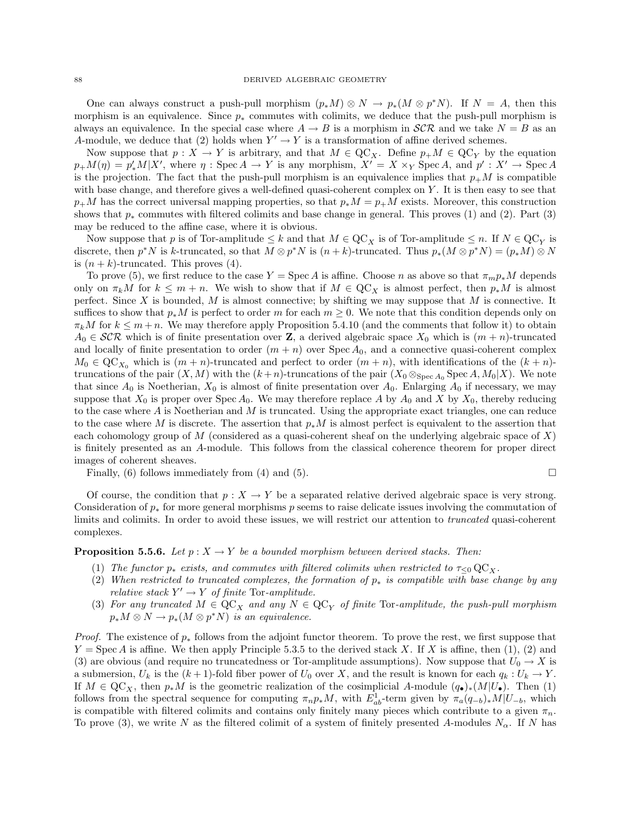One can always construct a push-pull morphism  $(p_*M) \otimes N \to p_*(M \otimes p^*N)$ . If  $N = A$ , then this morphism is an equivalence. Since  $p_*$  commutes with colimits, we deduce that the push-pull morphism is always an equivalence. In the special case where  $A \rightarrow B$  is a morphism in  $\mathcal{SCR}$  and we take  $N = B$  as an A-module, we deduce that (2) holds when  $Y' \to Y$  is a transformation of affine derived schemes.

Now suppose that  $p: X \to Y$  is arbitrary, and that  $M \in \mathbb{Q}C_X$ . Define  $p_+M \in \mathbb{Q}C_Y$  by the equation  $p_+M(\eta) = p'_*M|X'$ , where  $\eta$ : Spec  $A \to Y$  is any morphism,  $X' = X \times_Y \text{Spec } A$ , and  $p' : X' \to \text{Spec } A$ is the projection. The fact that the push-pull morphism is an equivalence implies that  $p_+M$  is compatible with base change, and therefore gives a well-defined quasi-coherent complex on Y. It is then easy to see that  $p_+M$  has the correct universal mapping properties, so that  $p_*M = p_+M$  exists. Moreover, this construction shows that  $p_*$  commutes with filtered colimits and base change in general. This proves (1) and (2). Part (3) may be reduced to the affine case, where it is obvious.

Now suppose that p is of Tor-amplitude  $\leq k$  and that  $M \in \mathrm{QC}_X$  is of Tor-amplitude  $\leq n$ . If  $N \in \mathrm{QC}_Y$  is discrete, then  $p^*N$  is k-truncated, so that  $M \otimes p^*N$  is  $(n+k)$ -truncated. Thus  $p_*(M \otimes p^*N) = (p_*M) \otimes N$ is  $(n + k)$ -truncated. This proves (4).

To prove (5), we first reduce to the case  $Y = \text{Spec } A$  is affine. Choose n as above so that  $\pi_m p_* M$  depends only on  $\pi_k M$  for  $k \leq m + n$ . We wish to show that if  $M \in \mathbb{Q}C_X$  is almost perfect, then  $p_*M$  is almost perfect. Since X is bounded, M is almost connective; by shifting we may suppose that M is connective. It suffices to show that  $p_*M$  is perfect to order m for each  $m \geq 0$ . We note that this condition depends only on  $\pi_k M$  for  $k \leq m+n$ . We may therefore apply Proposition 5.4.10 (and the comments that follow it) to obtain  $A_0 \in \mathcal{SCR}$  which is of finite presentation over Z, a derived algebraic space  $X_0$  which is  $(m+n)$ -truncated and locally of finite presentation to order  $(m + n)$  over  $Spec A_0$ , and a connective quasi-coherent complex  $M_0 \in \text{QC}_{X_0}$  which is  $(m+n)$ -truncated and perfect to order  $(m+n)$ , with identifications of the  $(k+n)$ truncations of the pair  $(X, M)$  with the  $(k+n)$ -truncations of the pair  $(X_0 \otimes_{Spec A_0} Spec A, M_0|X)$ . We note that since  $A_0$  is Noetherian,  $X_0$  is almost of finite presentation over  $A_0$ . Enlarging  $A_0$  if necessary, we may suppose that  $X_0$  is proper over Spec  $A_0$ . We may therefore replace A by  $A_0$  and X by  $X_0$ , thereby reducing to the case where  $A$  is Noetherian and  $M$  is truncated. Using the appropriate exact triangles, one can reduce to the case where M is discrete. The assertion that  $p_*M$  is almost perfect is equivalent to the assertion that each cohomology group of M (considered as a quasi-coherent sheaf on the underlying algebraic space of  $X$ ) is finitely presented as an A-module. This follows from the classical coherence theorem for proper direct images of coherent sheaves.

Finally, (6) follows immediately from (4) and (5).

$$
\sqcup
$$

Of course, the condition that  $p : X \to Y$  be a separated relative derived algebraic space is very strong. Consideration of  $p_*$  for more general morphisms p seems to raise delicate issues involving the commutation of limits and colimits. In order to avoid these issues, we will restrict our attention to truncated quasi-coherent complexes.

## **Proposition 5.5.6.** Let  $p : X \to Y$  be a bounded morphism between derived stacks. Then:

- (1) The functor  $p_*$  exists, and commutes with filtered colimits when restricted to  $\tau_{\leq 0} \, \mathrm{QC}_{X}$ .
- (2) When restricted to truncated complexes, the formation of  $p_*$  is compatible with base change by any relative stack  $Y' \to Y$  of finite Tor-amplitude.
- (3) For any truncated  $M \in \mathbb{Q}C_X$  and any  $N \in \mathbb{Q}C_Y$  of finite Tor-amplitude, the push-pull morphism  $p_*M \otimes N \to p_*(M \otimes p^*N)$  is an equivalence.

*Proof.* The existence of  $p_*$  follows from the adjoint functor theorem. To prove the rest, we first suppose that  $Y = \text{Spec } A$  is affine. We then apply Principle 5.3.5 to the derived stack X. If X is affine, then (1), (2) and (3) are obvious (and require no truncatedness or Tor-amplitude assumptions). Now suppose that  $U_0 \to X$  is a submersion,  $U_k$  is the  $(k+1)$ -fold fiber power of  $U_0$  over X, and the result is known for each  $q_k : U_k \to Y$ . If  $M \in \text{QC}_X$ , then  $p_*M$  is the geometric realization of the cosimplicial A-module  $(q_\bullet)_*(M|U_\bullet)$ . Then (1) follows from the spectral sequence for computing  $\pi_np_*M$ , with  $E_{ab}^1$ -term given by  $\pi_a(q_{-b})_*M|U_{-b}$ , which is compatible with filtered colimits and contains only finitely many pieces which contribute to a given  $\pi_n$ . To prove (3), we write N as the filtered colimit of a system of finitely presented A-modules  $N_{\alpha}$ . If N has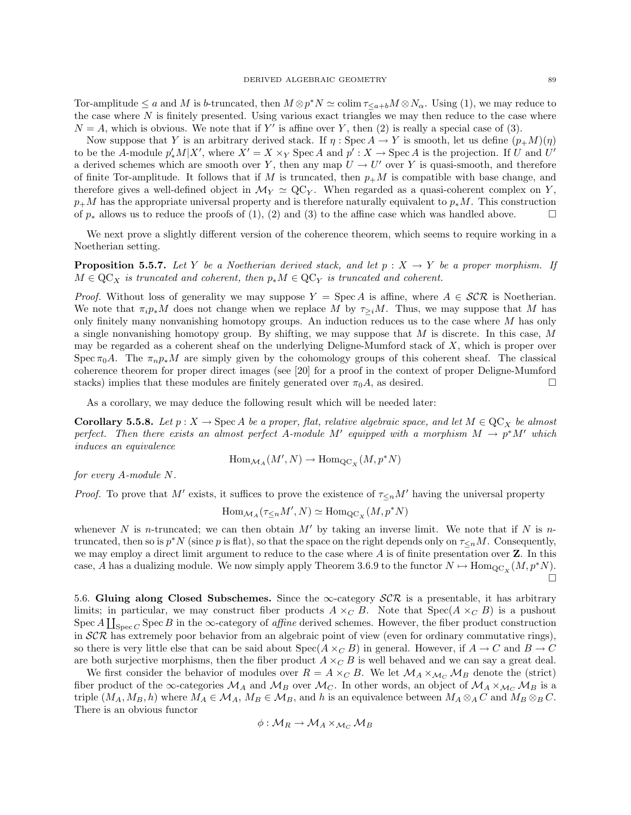Tor-amplitude  $\leq a$  and M is b-truncated, then  $M \otimes p^*N \simeq \text{colim } \tau_{\leq a+b} M \otimes N_\alpha$ . Using (1), we may reduce to the case where  $N$  is finitely presented. Using various exact triangles we may then reduce to the case where  $N = A$ , which is obvious. We note that if Y' is affine over Y, then (2) is really a special case of (3).

Now suppose that Y is an arbitrary derived stack. If  $\eta$ : Spec  $A \to Y$  is smooth, let us define  $(p_+M)(\eta)$ to be the A-module  $p'_*M|X'$ , where  $X'=X\times_Y \text{Spec }A$  and  $p':X\to \text{Spec }A$  is the projection. If U and U' a derived schemes which are smooth over Y, then any map  $U \to U'$  over Y is quasi-smooth, and therefore of finite Tor-amplitude. It follows that if M is truncated, then  $p_+M$  is compatible with base change, and therefore gives a well-defined object in  $\mathcal{M}_Y \simeq \text{QC}_Y$ . When regarded as a quasi-coherent complex on Y,  $p_+M$  has the appropriate universal property and is therefore naturally equivalent to  $p_*M$ . This construction of  $p_*$  allows us to reduce the proofs of (1), (2) and (3) to the affine case which was handled above.  $\Box$ 

We next prove a slightly different version of the coherence theorem, which seems to require working in a Noetherian setting.

**Proposition 5.5.7.** Let Y be a Noetherian derived stack, and let  $p : X \rightarrow Y$  be a proper morphism. If  $M \in \mathrm{QC}_X$  is truncated and coherent, then  $p_*M \in \mathrm{QC}_Y$  is truncated and coherent.

*Proof.* Without loss of generality we may suppose  $Y = \text{Spec } A$  is affine, where  $A \in \mathcal{SCR}$  is Noetherian. We note that  $\pi_i p_* M$  does not change when we replace M by  $\tau_{\geq i}M$ . Thus, we may suppose that M has only finitely many nonvanishing homotopy groups. An induction reduces us to the case where  $M$  has only a single nonvanishing homotopy group. By shifting, we may suppose that  $M$  is discrete. In this case,  $M$ may be regarded as a coherent sheaf on the underlying Deligne-Mumford stack of  $X$ , which is proper over Spec π<sub>0</sub>A. The  $\pi_n p_* M$  are simply given by the cohomology groups of this coherent sheaf. The classical coherence theorem for proper direct images (see [20] for a proof in the context of proper Deligne-Mumford stacks) implies that these modules are finitely generated over  $\pi_0 A$ , as desired.

As a corollary, we may deduce the following result which will be needed later:

**Corollary 5.5.8.** Let  $p: X \to \text{Spec } A$  be a proper, flat, relative algebraic space, and let  $M \in \text{QC}_X$  be almost perfect. Then there exists an almost perfect A-module M' equipped with a morphism  $M \to p^*M'$  which induces an equivalence

$$
\operatorname{Hom}_{\mathcal{M}_A}(M',N)\to\operatorname{Hom}_{\mathrm{QC}_X}(M,p^*N)
$$

for every A-module N.

*Proof.* To prove that M' exists, it suffices to prove the existence of  $\tau_{\leq n}M'$  having the universal property

$$
\operatorname{Hom}_{\mathcal{M}_A}(\tau_{\leq n}M',N)\simeq \operatorname{Hom}_{\mathrm{QC}_X}(M,p^*N)
$$

whenever N is n-truncated; we can then obtain M' by taking an inverse limit. We note that if N is ntruncated, then so is  $p^*N$  (since p is flat), so that the space on the right depends only on  $\tau_{\leq n}M$ . Consequently, we may employ a direct limit argument to reduce to the case where  $A$  is of finite presentation over  $Z$ . In this case, A has a dualizing module. We now simply apply Theorem 3.6.9 to the functor  $N \mapsto \text{Hom}_{\text{QC}_X}(M, p^*N)$ .  $\Box$ 

5.6. Gluing along Closed Subschemes. Since the  $\infty$ -category  $\mathcal{SCR}$  is a presentable, it has arbitrary limits; in particular, we may construct fiber products  $A \times_C B$ . Note that  $Spec(A \times_C B)$  is a pushout Spec  $A \coprod_{\text{Spec } C}$  Spec B in the  $\infty$ -category of *affine* derived schemes. However, the fiber product construction in  $SCR$  has extremely poor behavior from an algebraic point of view (even for ordinary commutative rings), so there is very little else that can be said about  $Spec(A \times_{C} B)$  in general. However, if  $A \to C$  and  $B \to C$ are both surjective morphisms, then the fiber product  $A \times_C B$  is well behaved and we can say a great deal.

We first consider the behavior of modules over  $R = A \times_C B$ . We let  $M_A \times_{\mathcal{M}_C} M_B$  denote the (strict) fiber product of the  $\infty$ -categories  $M_A$  and  $M_B$  over  $M_C$ . In other words, an object of  $M_A \times_{M_C} M_B$  is a triple  $(M_A, M_B, h)$  where  $M_A \in \mathcal{M}_A$ ,  $M_B \in \mathcal{M}_B$ , and h is an equivalence between  $M_A \otimes_A C$  and  $M_B \otimes_B C$ . There is an obvious functor

$$
\phi: \mathcal{M}_R \to \mathcal{M}_A \times_{\mathcal{M}_C} \mathcal{M}_B
$$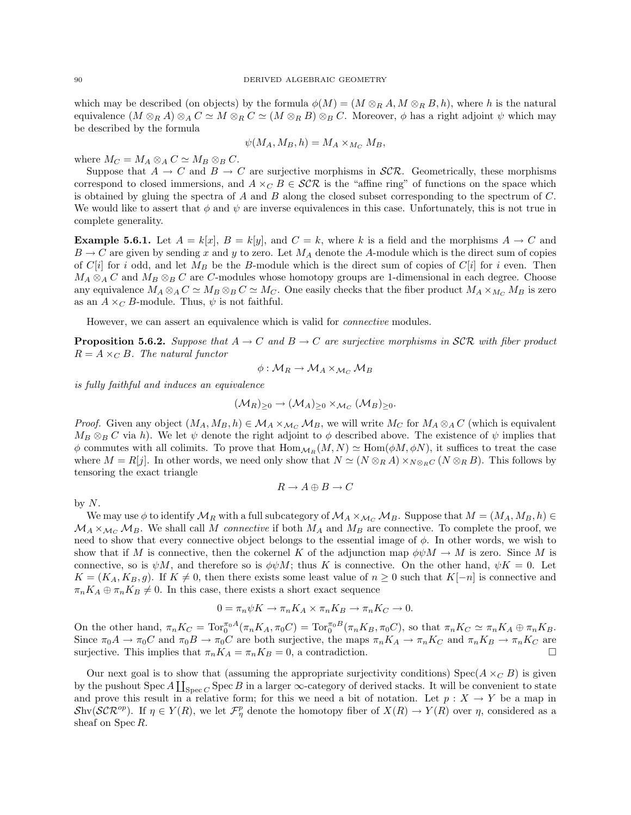which may be described (on objects) by the formula  $\phi(M) = (M \otimes_R A, M \otimes_R B, h)$ , where h is the natural equivalence  $(M \otimes_R A) \otimes_A C \simeq M \otimes_R C \simeq (M \otimes_R B) \otimes_B C$ . Moreover,  $\phi$  has a right adjoint  $\psi$  which may be described by the formula

$$
\psi(M_A, M_B, h) = M_A \times_{M_C} M_B,
$$

where  $M_C = M_A \otimes_A C \simeq M_B \otimes_B C$ .

Suppose that  $A \to C$  and  $B \to C$  are surjective morphisms in  $\mathcal{SCR}$ . Geometrically, these morphisms correspond to closed immersions, and  $A \times_C B \in \mathcal{SCR}$  is the "affine ring" of functions on the space which is obtained by gluing the spectra of A and B along the closed subset corresponding to the spectrum of C. We would like to assert that  $\phi$  and  $\psi$  are inverse equivalences in this case. Unfortunately, this is not true in complete generality.

**Example 5.6.1.** Let  $A = k[x]$ ,  $B = k[y]$ , and  $C = k$ , where k is a field and the morphisms  $A \rightarrow C$  and  $B \to C$  are given by sending x and y to zero. Let  $M_A$  denote the A-module which is the direct sum of copies of C[i] for i odd, and let  $M_B$  be the B-module which is the direct sum of copies of C[i] for i even. Then  $M_A \otimes_A C$  and  $M_B \otimes_B C$  are C-modules whose homotopy groups are 1-dimensional in each degree. Choose any equivalence  $M_A \otimes_A C \simeq M_B \otimes_B C \simeq M_C$ . One easily checks that the fiber product  $M_A \times_{M_C} M_B$  is zero as an  $A \times_C B$ -module. Thus,  $\psi$  is not faithful.

However, we can assert an equivalence which is valid for connective modules.

**Proposition 5.6.2.** Suppose that  $A \to C$  and  $B \to C$  are surjective morphisms in SCR with fiber product  $R = A \times_C B$ . The natural functor

$$
\phi: \mathcal{M}_R \to \mathcal{M}_A \times_{\mathcal{M}_C} \mathcal{M}_B
$$

is fully faithful and induces an equivalence

$$
(\mathcal{M}_R)_{\geq 0} \to (\mathcal{M}_A)_{\geq 0} \times_{\mathcal{M}_C} (\mathcal{M}_B)_{\geq 0}.
$$

*Proof.* Given any object  $(M_A, M_B, h) \in M_A \times_{\mathcal{M}_C} M_B$ , we will write  $M_C$  for  $M_A \otimes_A C$  (which is equivalent  $M_B \otimes_B C$  via h). We let  $\psi$  denote the right adjoint to  $\phi$  described above. The existence of  $\psi$  implies that  $\phi$  commutes with all colimits. To prove that  $\text{Hom}_{M_R}(M, N) \simeq \text{Hom}(\phi M, \phi N)$ , it suffices to treat the case where  $M = R[j]$ . In other words, we need only show that  $N \simeq (N \otimes_R A) \times_{N \otimes_R C} (N \otimes_R B)$ . This follows by tensoring the exact triangle

$$
R \to A \oplus B \to C
$$

by  $N$ .

We may use  $\phi$  to identify  $\mathcal{M}_R$  with a full subcategory of  $\mathcal{M}_A \times_{\mathcal{M}_C} \mathcal{M}_B$ . Suppose that  $M = (M_A, M_B, h) \in$  $\mathcal{M}_A \times_{\mathcal{M}_C} \mathcal{M}_B$ . We shall call M connective if both  $M_A$  and  $M_B$  are connective. To complete the proof, we need to show that every connective object belongs to the essential image of  $\phi$ . In other words, we wish to show that if M is connective, then the cokernel K of the adjunction map  $\phi \psi M \to M$  is zero. Since M is connective, so is  $\psi M$ , and therefore so is  $\phi \psi M$ ; thus K is connective. On the other hand,  $\psi K = 0$ . Let  $K = (K_A, K_B, g)$ . If  $K \neq 0$ , then there exists some least value of  $n \geq 0$  such that  $K[-n]$  is connective and  $\pi_n K_A \oplus \pi_n K_B \neq 0$ . In this case, there exists a short exact sequence

$$
0 = \pi_n \psi K \to \pi_n K_A \times \pi_n K_B \to \pi_n K_C \to 0.
$$

On the other hand,  $\pi_n K_C = \text{Tor}_0^{\pi_0 A}(\pi_n K_A, \pi_0 C) = \text{Tor}_0^{\pi_0 B}(\pi_n K_B, \pi_0 C)$ , so that  $\pi_n K_C \simeq \pi_n K_A \oplus \pi_n K_B$ . Since  $\pi_0 A \to \pi_0 C$  and  $\pi_0 B \to \pi_0 C$  are both surjective, the maps  $\pi_n K_A \to \pi_n K_C$  and  $\pi_n K_B \to \pi_n K_C$  are surjective. This implies that  $\pi_n K_A = \pi_n K_B = 0$ , a contradiction.

Our next goal is to show that (assuming the appropriate surjectivity conditions)  $Spec(A \times_C B)$  is given by the pushout  $\text{Spec } A \coprod_{\text{Spec } C} \text{Spec } B$  in a larger  $\infty$ -category of derived stacks. It will be convenient to state and prove this result in a relative form; for this we need a bit of notation. Let  $p : X \to Y$  be a map in Shv(SCR<sup>op</sup>). If  $\eta \in Y(R)$ , we let  $\mathcal{F}_{\eta}^p$  denote the homotopy fiber of  $X(R) \to Y(R)$  over  $\eta$ , considered as a sheaf on Spec R.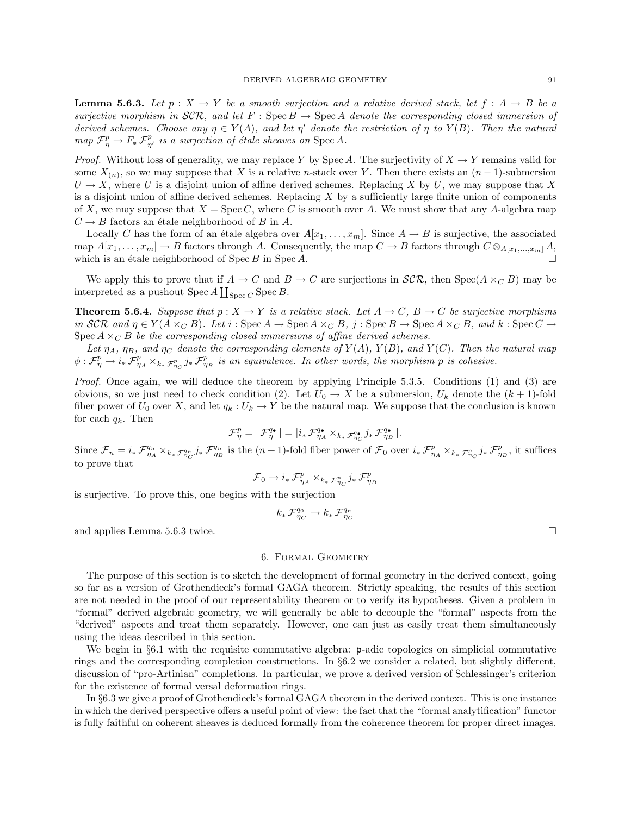**Lemma 5.6.3.** Let  $p : X \to Y$  be a smooth surjection and a relative derived stack, let  $f : A \to B$  be a surjective morphism in SCR, and let F : Spec B  $\rightarrow$  Spec A denote the corresponding closed immersion of derived schemes. Choose any  $\eta \in Y(A)$ , and let  $\eta'$  denote the restriction of  $\eta$  to  $Y(B)$ . Then the natural map  $\mathcal{F}_{\eta}^p \to F_* \mathcal{F}_{\eta'}^p$  is a surjection of étale sheaves on Spec A.

*Proof.* Without loss of generality, we may replace Y by Spec A. The surjectivity of  $X \to Y$  remains valid for some  $X_{(n)}$ , so we may suppose that X is a relative n-stack over Y. Then there exists an  $(n-1)$ -submersion  $U \to X$ , where U is a disjoint union of affine derived schemes. Replacing X by U, we may suppose that X is a disjoint union of affine derived schemes. Replacing  $X$  by a sufficiently large finite union of components of X, we may suppose that  $X = \text{Spec } C$ , where C is smooth over A. We must show that any A-algebra map  $C \rightarrow B$  factors an étale neighborhood of B in A.

Locally C has the form of an étale algebra over  $A[x_1, \ldots, x_m]$ . Since  $A \to B$  is surjective, the associated map  $A[x_1, \ldots, x_m] \to B$  factors through A. Consequently, the map  $C \to B$  factors through  $C \otimes_{A[x_1,\ldots,x_m]} A$ , which is an étale neighborhood of  $Spec B$  in  $Spec A$ .

We apply this to prove that if  $A \to C$  and  $B \to C$  are surjections in  $\mathcal{SCR}$ , then  $Spec(A \times_C B)$  may be interpreted as a pushout  $\text{Spec } A \coprod_{\text{Spec } C} \text{Spec } B$ .

**Theorem 5.6.4.** Suppose that  $p: X \to Y$  is a relative stack. Let  $A \to C$ ,  $B \to C$  be surjective morphisms in SCR and  $\eta \in Y(A \times_C B)$ . Let  $i : \text{Spec } A \to \text{Spec } A \times_C B$ ,  $j : \text{Spec } B \to \text{Spec } A \times_C B$ , and  $k : \text{Spec } C \to$ Spec  $A \times_{C} B$  be the corresponding closed immersions of affine derived schemes.

Let  $\eta_A$ ,  $\eta_B$ , and  $\eta_C$  denote the corresponding elements of  $Y(A)$ ,  $Y(B)$ , and  $Y(C)$ . Then the natural map  $\phi: \mathcal{F}_{\eta}^p \to i_* \mathcal{F}_{\eta_A}^p \times_{k_* \mathcal{F}_{\eta_C}^p} j_* \mathcal{F}_{\eta_B}^p$  is an equivalence. In other words, the morphism p is cohesive.

Proof. Once again, we will deduce the theorem by applying Principle 5.3.5. Conditions (1) and (3) are obvious, so we just need to check condition (2). Let  $U_0 \to X$  be a submersion,  $U_k$  denote the  $(k+1)$ -fold fiber power of  $U_0$  over X, and let  $q_k : U_k \to Y$  be the natural map. We suppose that the conclusion is known for each  $q_k$ . Then

$$
\mathcal{F}^p_\eta = |\, \mathcal{F}^{q_\bullet}_\eta \, | = | i_*\, \mathcal{F}^{q_\bullet}_{\eta_A} \times_{k_*\, \mathcal{F}^{q_\bullet}_{\eta_C}} j_*\, \mathcal{F}^{q_\bullet}_{\eta_B} \, |.
$$

Since  $\mathcal{F}_n = i_* \mathcal{F}_{\eta_A}^{q_n} \times_{k_*} \mathcal{F}_{\eta_B}^{q_n} j_* \mathcal{F}_{\eta_B}^{q_n}$  is the  $(n+1)$ -fold fiber power of  $\mathcal{F}_0$  over  $i_* \mathcal{F}_{\eta_A}^p \times_{k_*} \mathcal{F}_{\eta_C}^p j_* \mathcal{F}_{\eta_B}^p$ , it suffices to prove that

$$
\mathcal{F}_0 \to i_*\,\mathcal{F}^p_{\eta_A}\times_{k_*\,\mathcal{F}^p_{\eta_C}} j_*\,\mathcal{F}^p_{\eta_B}
$$

is surjective. To prove this, one begins with the surjection

$$
k_*\, \mathcal{F}_{\eta_C}^{q_0} \to k_*\, \mathcal{F}_{\eta_C}^{q_n}
$$

and applies Lemma 5.6.3 twice.  $\Box$ 

#### 6. Formal Geometry

The purpose of this section is to sketch the development of formal geometry in the derived context, going so far as a version of Grothendieck's formal GAGA theorem. Strictly speaking, the results of this section are not needed in the proof of our representability theorem or to verify its hypotheses. Given a problem in "formal" derived algebraic geometry, we will generally be able to decouple the "formal" aspects from the "derived" aspects and treat them separately. However, one can just as easily treat them simultaneously using the ideas described in this section.

We begin in §6.1 with the requisite commutative algebra:  $\mathfrak{p}$ -adic topologies on simplicial commutative rings and the corresponding completion constructions. In §6.2 we consider a related, but slightly different, discussion of "pro-Artinian" completions. In particular, we prove a derived version of Schlessinger's criterion for the existence of formal versal deformation rings.

In §6.3 we give a proof of Grothendieck's formal GAGA theorem in the derived context. This is one instance in which the derived perspective offers a useful point of view: the fact that the "formal analytification" functor is fully faithful on coherent sheaves is deduced formally from the coherence theorem for proper direct images.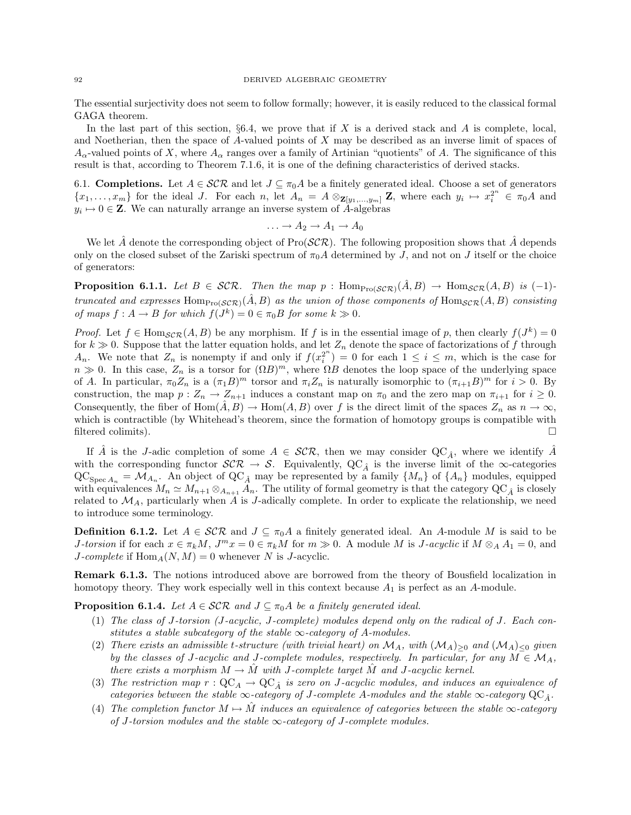#### 92 DERIVED ALGEBRAIC GEOMETRY

The essential surjectivity does not seem to follow formally; however, it is easily reduced to the classical formal GAGA theorem.

In the last part of this section,  $\S6.4$ , we prove that if X is a derived stack and A is complete, local, and Noetherian, then the space of  $A$ -valued points of  $X$  may be described as an inverse limit of spaces of  $A_{\alpha}$ -valued points of X, where  $A_{\alpha}$  ranges over a family of Artinian "quotients" of A. The significance of this result is that, according to Theorem 7.1.6, it is one of the defining characteristics of derived stacks.

6.1. **Completions.** Let  $A \in \mathcal{SCR}$  and let  $J \subseteq \pi_0 A$  be a finitely generated ideal. Choose a set of generators  ${x_1, \ldots, x_m}$  for the ideal J. For each n, let  $A_n = A \otimes_{\mathbf{Z}[y_1, \ldots, y_m]} \mathbf{Z}$ , where each  $y_i \mapsto x_i^{2^n} \in \pi_0 A$  and  $y_i \mapsto 0 \in \mathbb{Z}$ . We can naturally arrange an inverse system of A-algebras

$$
\ldots \to A_2 \to A_1 \to A_0
$$

We let  $\hat{A}$  denote the corresponding object of Pro(SCR). The following proposition shows that  $\hat{A}$  depends only on the closed subset of the Zariski spectrum of  $\pi_0A$  determined by J, and not on J itself or the choice of generators:

**Proposition 6.1.1.** Let  $B \in \mathcal{SCR}$ . Then the map p : Hom $_{\text{Pro}(\mathcal{SCR})}(\tilde{A}, B) \rightarrow \text{Hom}_{\mathcal{SCR}}(A, B)$  is (-1)truncated and expresses  $\text{Hom}_{\text{Pro}(\mathcal{SCR})}(\hat{A}, B)$  as the union of those components of  $\text{Hom}_{\mathcal{SCR}}(A, B)$  consisting of maps  $f : A \to B$  for which  $f(J^k) = 0 \in \pi_0 B$  for some  $k \gg 0$ .

*Proof.* Let  $f \in Hom_{SCR}(A, B)$  be any morphism. If f is in the essential image of p, then clearly  $f(J^k) = 0$ for  $k \gg 0$ . Suppose that the latter equation holds, and let  $Z_n$  denote the space of factorizations of f through  $A_n$ . We note that  $Z_n$  is nonempty if and only if  $f(x_i^{2^n}) = 0$  for each  $1 \leq i \leq m$ , which is the case for  $n \gg 0$ . In this case,  $Z_n$  is a torsor for  $(\Omega B)^m$ , where  $\Omega B$  denotes the loop space of the underlying space of A. In particular,  $\pi_0 Z_n$  is a  $(\pi_1 B)^m$  torsor and  $\pi_i Z_n$  is naturally isomorphic to  $(\pi_{i+1} B)^m$  for  $i > 0$ . By construction, the map  $p: Z_n \to Z_{n+1}$  induces a constant map on  $\pi_0$  and the zero map on  $\pi_{i+1}$  for  $i \geq 0$ . Consequently, the fiber of  $\text{Hom}(A, B) \to \text{Hom}(A, B)$  over f is the direct limit of the spaces  $Z_n$  as  $n \to \infty$ , which is contractible (by Whitehead's theorem, since the formation of homotopy groups is compatible with filtered colimits).

If A<sup> $\hat{A}$ </sup> is the J-adic completion of some  $A \in \mathcal{SCR}$ , then we may consider QC<sub>A</sub><sup> $\hat{A}$ </sup>, where we identify A<sup> $\hat{A}$ </sup> with the corresponding functor  $\mathcal{SCR} \to \mathcal{S}$ . Equivalently,  $\mathcal{QC}_{\hat{A}}$  is the inverse limit of the  $\infty$ -categories  $\mathrm{QC}_{\mathrm{Spec}\,A_n} = \mathcal{M}_{A_n}$ . An object of  $\mathrm{QC}_{\hat{A}}$  may be represented by a family  $\{M_n\}$  of  $\{A_n\}$  modules, equipped with equivalences  $M_n \simeq M_{n+1} \otimes_{A_{n+1}} A_n$ . The utility of formal geometry is that the category  $\text{QC}_{\hat{A}}$  is closely related to  $\mathcal{M}_A$ , particularly when A is J-adically complete. In order to explicate the relationship, we need to introduce some terminology.

**Definition 6.1.2.** Let  $A \in \mathcal{SCR}$  and  $J \subseteq \pi_0 A$  a finitely generated ideal. An A-module M is said to be *J*-torsion if for each  $x \in \pi_k M$ ,  $J^m x = 0 \in \pi_k M$  for  $m \gg 0$ . A module M is *J*-acyclic if  $M \otimes_A A_1 = 0$ , and J-complete if  $\text{Hom}_A(N, M) = 0$  whenever N is J-acyclic.

Remark 6.1.3. The notions introduced above are borrowed from the theory of Bousfield localization in homotopy theory. They work especially well in this context because  $A_1$  is perfect as an  $A$ -module.

**Proposition 6.1.4.** Let  $A \in \mathcal{SCR}$  and  $J \subseteq \pi_0 A$  be a finitely generated ideal.

- (1) The class of J-torsion (J-acyclic, J-complete) modules depend only on the radical of J. Each constitutes a stable subcategory of the stable  $\infty$ -category of A-modules.
- (2) There exists an admissible t-structure (with trivial heart) on  $\mathcal{M}_A$ , with  $(\mathcal{M}_A)_{\geq 0}$  and  $(\mathcal{M}_A)_{\leq 0}$  given by the classes of J-acyclic and J-complete modules, respectively. In particular, for any  $M \in \mathcal{M}_A$ , there exists a morphism  $M \to M$  with J-complete target M and J-acyclic kernel.
- (3) The restriction map  $r: \mathrm{QC}_A \to \mathrm{QC}_{\hat{A}}$  is zero on J-acyclic modules, and induces an equivalence of categories between the stable  $\infty$ -category of J-complete A-modules and the stable  $\infty$ -category  $QC_{\hat{A}}$ .
- (4) The completion functor  $M \mapsto \tilde{M}$  induces an equivalence of categories between the stable  $\infty$ -category of J-torsion modules and the stable  $\infty$ -category of J-complete modules.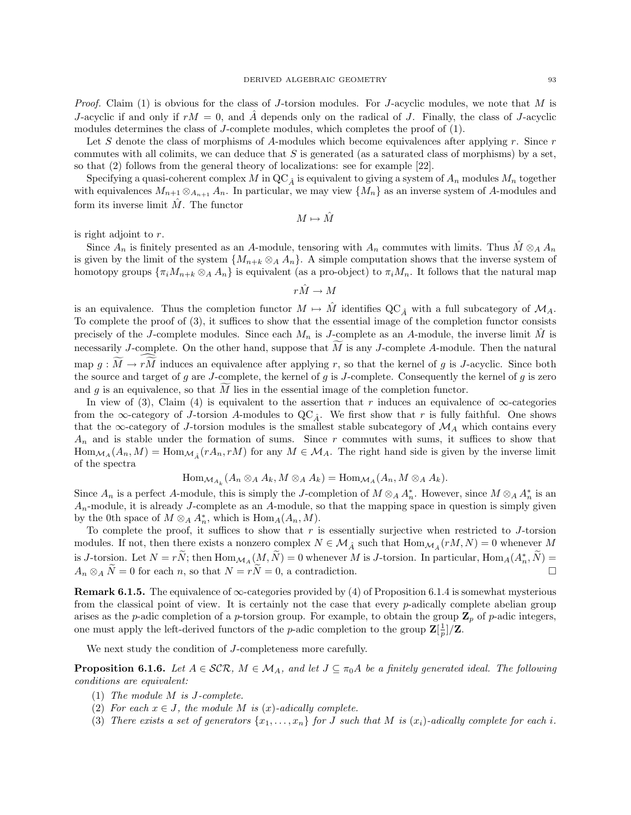*Proof.* Claim (1) is obvious for the class of J-torsion modules. For J-acyclic modules, we note that M is J-acyclic if and only if  $rM = 0$ , and A depends only on the radical of J. Finally, the class of J-acyclic modules determines the class of J-complete modules, which completes the proof of (1).

Let S denote the class of morphisms of A-modules which become equivalences after applying  $r$ . Since  $r$ commutes with all colimits, we can deduce that  $S$  is generated (as a saturated class of morphisms) by a set, so that (2) follows from the general theory of localizations: see for example [22].

Specifying a quasi-coherent complex M in  $QC_{\hat{A}}$  is equivalent to giving a system of  $A_n$  modules  $M_n$  together with equivalences  $M_{n+1} \otimes_{A_{n+1}} A_n$ . In particular, we may view  $\{M_n\}$  as an inverse system of A-modules and form its inverse limit  $\hat{M}$ . The functor

 $M \mapsto \hat{M}$ 

is right adjoint to r.

Since  $A_n$  is finitely presented as an A-module, tensoring with  $A_n$  commutes with limits. Thus  $\tilde{M} \otimes_A A_n$ is given by the limit of the system  $\{M_{n+k} \otimes_A A_n\}$ . A simple computation shows that the inverse system of homotopy groups  $\{\pi_i M_{n+k} \otimes_A A_n\}$  is equivalent (as a pro-object) to  $\pi_i M_n$ . It follows that the natural map

 $r\hat{M} \to M$ 

is an equivalence. Thus the completion functor  $M \mapsto M$  identifies  $\mathbb{Q}C_{\hat{A}}$  with a full subcategory of  $\mathcal{M}_A$ . To complete the proof of (3), it suffices to show that the essential image of the completion functor consists precisely of the J-complete modules. Since each  $M_n$  is J-complete as an A-module, the inverse limit M is necessarily J-complete. On the other hand, suppose that  $M$  is any J-complete A-module. Then the natural map  $g: \overline{M} \to r\overline{M}$  induces an equivalence after applying r, so that the kernel of g is J-acyclic. Since both the source and target of g are J-complete, the kernel of g is J-complete. Consequently the kernel of g is zero and g is an equivalence, so that  $\tilde{M}$  lies in the essential image of the completion functor.

In view of (3), Claim (4) is equivalent to the assertion that r induces an equivalence of  $\infty$ -categories from the  $\infty$ -category of J-torsion A-modules to  $QC_{\hat{A}}$ . We first show that r is fully faithful. One shows that the  $\infty$ -category of J-torsion modules is the smallest stable subcategory of  $\mathcal{M}_A$  which contains every  $A_n$  and is stable under the formation of sums. Since r commutes with sums, it suffices to show that  $\text{Hom}_{\mathcal{M}_A}(A_n, M) = \text{Hom}_{\mathcal{M}_{\hat{A}}}(rA_n, rM)$  for any  $M \in \mathcal{M}_A$ . The right hand side is given by the inverse limit of the spectra

$$
\operatorname{Hom}_{\mathcal{M}_{A_k}}(A_n \otimes_A A_k, M \otimes_A A_k) = \operatorname{Hom}_{\mathcal{M}_A}(A_n, M \otimes_A A_k).
$$

Since  $A_n$  is a perfect A-module, this is simply the J-completion of  $M \otimes_A A_n^*$ . However, since  $M \otimes_A A_n^*$  is an  $A_n$ -module, it is already J-complete as an A-module, so that the mapping space in question is simply given by the 0th space of  $M \otimes_A A_n^*$ , which is  $\text{Hom}_A(A_n, M)$ .

To complete the proof, it suffices to show that  $r$  is essentially surjective when restricted to  $J$ -torsion modules. If not, then there exists a nonzero complex  $N \in \mathcal{M}_{\hat{A}}$  such that  $\text{Hom}_{\mathcal{M}_{\hat{A}}}(rM, N) = 0$  whenever M is J-torsion. Let  $N = r\tilde{N}$ ; then  $\text{Hom}_{\mathcal{M}_A}(M, \tilde{N}) = 0$  whenever M is J-torsion. In particular,  $\text{Hom}_A(A_n^*, \tilde{N}) =$  $A_n \otimes_A \tilde{N} = 0$  for each n, so that  $N = r\tilde{N} = 0$ , a contradiction.

**Remark 6.1.5.** The equivalence of  $\infty$ -categories provided by (4) of Proposition 6.1.4 is somewhat mysterious from the classical point of view. It is certainly not the case that every p-adically complete abelian group arises as the *p*-adic completion of a *p*-torsion group. For example, to obtain the group  $\mathbb{Z}_p$  of *p*-adic integers, one must apply the left-derived functors of the *p*-adic completion to the group  $\mathbf{Z}[\frac{1}{p}]/\mathbf{Z}$ .

We next study the condition of *J*-completeness more carefully.

**Proposition 6.1.6.** Let  $A \in \mathcal{SCR}$ ,  $M \in \mathcal{M}_A$ , and let  $J \subseteq \pi_0A$  be a finitely generated ideal. The following conditions are equivalent:

- (1) The module M is J-complete.
- (2) For each  $x \in J$ , the module M is  $(x)$ -adically complete.
- (3) There exists a set of generators  $\{x_1, \ldots, x_n\}$  for J such that M is  $(x_i)$ -adically complete for each i.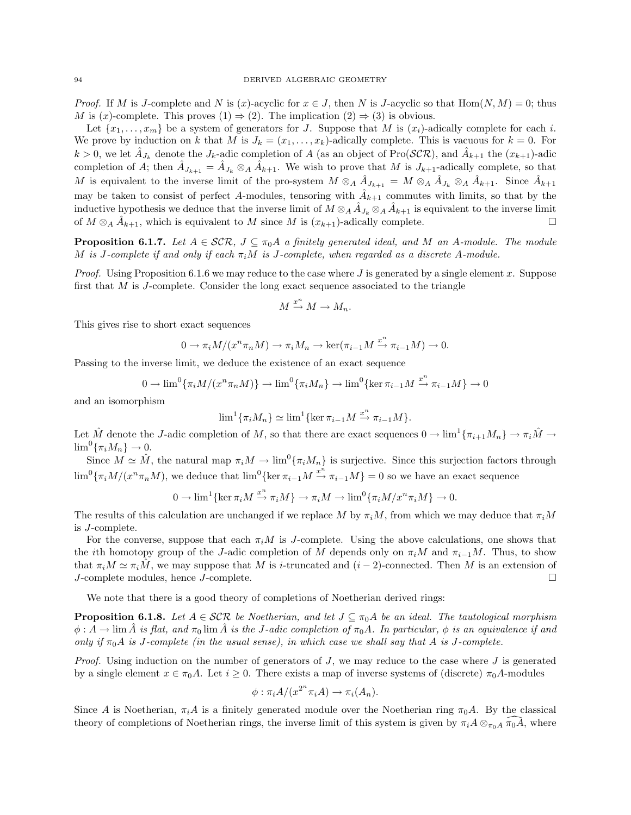*Proof.* If M is J-complete and N is (x)-acyclic for  $x \in J$ , then N is J-acyclic so that  $Hom(N, M) = 0$ ; thus M is  $(x)$ -complete. This proves  $(1) \Rightarrow (2)$ . The implication  $(2) \Rightarrow (3)$  is obvious.

Let  $\{x_1, \ldots, x_m\}$  be a system of generators for J. Suppose that M is  $(x_i)$ -adically complete for each i. We prove by induction on k that M is  $J_k = (x_1, \ldots, x_k)$ -adically complete. This is vacuous for  $k = 0$ . For  $k > 0$ , we let  $\hat{A}_{J_k}$  denote the  $J_k$ -adic completion of A (as an object of Pro(SCR), and  $\hat{A}_{k+1}$  the  $(x_{k+1})$ -adic completion of A; then  $\hat{A}_{J_{k+1}} = \hat{A}_{J_k} \otimes_A \hat{A}_{k+1}$ . We wish to prove that M is  $J_{k+1}$ -adically complete, so that M is equivalent to the inverse limit of the pro-system  $M \otimes_A \hat{A}_{J_{k+1}} = M \otimes_A \hat{A}_{J_k} \otimes_A \hat{A}_{k+1}$ . Since  $\hat{A}_{k+1}$ may be taken to consist of perfect A-modules, tensoring with  $\hat{A}_{k+1}$  commutes with limits, so that by the inductive hypothesis we deduce that the inverse limit of  $M \otimes_A \hat{A}_{J_k} \otimes_A \hat{A}_{k+1}$  is equivalent to the inverse limit of  $M \otimes_A \hat{A}_{k+1}$ , which is equivalent to M since M is  $(x_{k+1})$ -adically complete.

**Proposition 6.1.7.** Let  $A \in \mathcal{SCR}$ ,  $J \subseteq \pi_0A$  a finitely generated ideal, and M an A-module. The module M is J-complete if and only if each  $\pi_i M$  is J-complete, when regarded as a discrete A-module.

*Proof.* Using Proposition 6.1.6 we may reduce to the case where J is generated by a single element x. Suppose first that M is J-complete. Consider the long exact sequence associated to the triangle

$$
M \xrightarrow{x^n} M \to M_n.
$$

This gives rise to short exact sequences

$$
0 \to \pi_i M/(x^n \pi_n M) \to \pi_i M_n \to \ker(\pi_{i-1} M \xrightarrow{x^n} \pi_{i-1} M) \to 0.
$$

Passing to the inverse limit, we deduce the existence of an exact sequence

$$
0 \to \lim^{0} {\{\pi_i M/(x^n \pi_n M)\}} \to \lim^{0} {\{\pi_i M_n\}} \to \lim^{0} {\{\ker \pi_{i-1} M \xrightarrow{x^n} \pi_{i-1} M\}} \to 0
$$

and an isomorphism

$$
\lim^1\{\pi_i M_n\} \simeq \lim^1\{\ker \pi_{i-1} M \xrightarrow{x^n} \pi_{i-1} M\}.
$$

Let  $\hat{M}$  denote the J-adic completion of M, so that there are exact sequences  $0 \to \lim^1\{\pi_{i+1}M_n\} \to \pi_i\hat{M} \to$  $\lim^0\{\pi_i M_n\}\to 0.$ 

Since  $M \simeq \hat{M}$ , the natural map  $\pi_i M \to \lim^0 \{\pi_i M_n\}$  is surjective. Since this surjection factors through  $\lim^0 {\{\pi_i M/(x^n \pi_n M)}}$ , we deduce that  $\lim^0 {\{\ker \pi_{i-1} M \xrightarrow{x^n} \pi_{i-1} M\}} = 0$  so we have an exact sequence

$$
0 \to \lim^{1} \{ \ker \pi_{i} M \xrightarrow{x^{n}} \pi_{i} M \} \to \pi_{i} M \to \lim^{0} \{ \pi_{i} M / x^{n} \pi_{i} M \} \to 0.
$$

The results of this calculation are unchanged if we replace M by  $\pi_iM$ , from which we may deduce that  $\pi_iM$ is J-complete.

For the converse, suppose that each  $\pi_i M$  is J-complete. Using the above calculations, one shows that the ith homotopy group of the J-adic completion of M depends only on  $\pi_iM$  and  $\pi_{i-1}M$ . Thus, to show that  $\pi_i M \simeq \pi_i \hat{M}$ , we may suppose that M is i-truncated and  $(i-2)$ -connected. Then M is an extension of J-complete modules, hence J-complete.

We note that there is a good theory of completions of Noetherian derived rings:

**Proposition 6.1.8.** Let  $A \in \mathcal{SCR}$  be Noetherian, and let  $J \subseteq \pi_0 A$  be an ideal. The tautological morphism  $\phi: A \to \lim \hat{A}$  is flat, and  $\pi_0 \lim \hat{A}$  is the J-adic completion of  $\pi_0 A$ . In particular,  $\phi$  is an equivalence if and only if  $\pi_0A$  is J-complete (in the usual sense), in which case we shall say that A is J-complete.

*Proof.* Using induction on the number of generators of  $J$ , we may reduce to the case where  $J$  is generated by a single element  $x \in \pi_0 A$ . Let  $i \geq 0$ . There exists a map of inverse systems of (discrete)  $\pi_0 A$ -modules

$$
\phi : \pi_i A / (x^{2^n} \pi_i A) \to \pi_i (A_n).
$$

Since A is Noetherian,  $\pi_i A$  is a finitely generated module over the Noetherian ring  $\pi_0 A$ . By the classical theory of completions of Noetherian rings, the inverse limit of this system is given by  $\pi_i A \otimes_{\pi_0 A} \pi_0 A$ , where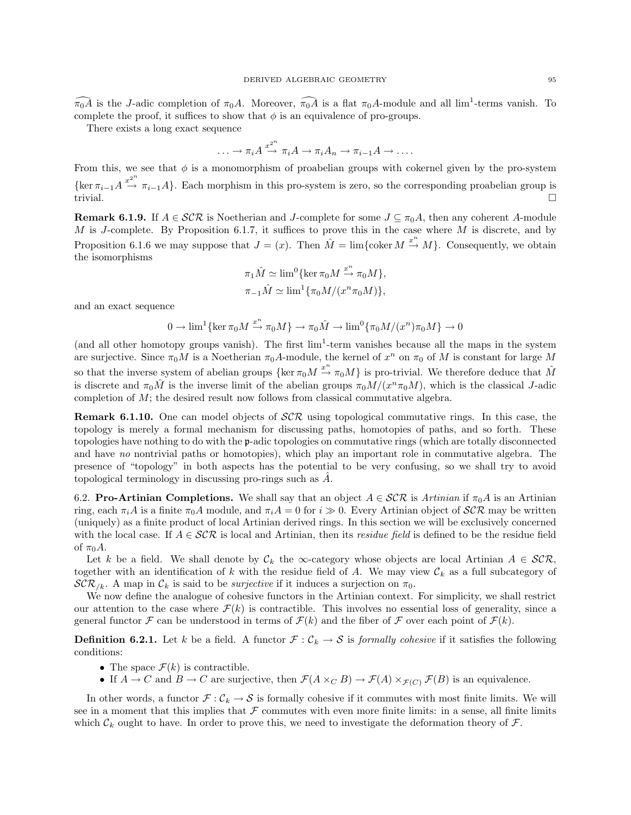$\widehat{\pi_0A}$  is the J-adic completion of  $\pi_0A$ . Moreover,  $\widehat{\pi_0A}$  is a flat  $\pi_0A$ -module and all lim<sup>1</sup>-terms vanish. To complete the proof, it suffices to show that  $\phi$  is an equivalence of pro-groups.

There exists a long exact sequence

$$
\ldots \to \pi_i A \stackrel{x^{2^n}}{\to} \pi_i A \to \pi_i A_n \to \pi_{i-1} A \to \ldots
$$

From this, we see that  $\phi$  is a monomorphism of proabelian groups with cokernel given by the pro-system  $\{\ker \pi_{i-1} A \stackrel{x^{2^n}}{\rightarrow} \pi_{i-1} A\}.$  Each morphism in this pro-system is zero, so the corresponding proabelian group is trivial.

**Remark 6.1.9.** If  $A \in \mathcal{SCR}$  is Noetherian and J-complete for some  $J \subseteq \pi_0 A$ , then any coherent A-module M is J-complete. By Proposition 6.1.7, it suffices to prove this in the case where  $M$  is discrete, and by Proposition 6.1.6 we may suppose that  $J = (x)$ . Then  $\hat{M} = \lim \{ \text{coker } M \stackrel{x^n}{\to} M \}$ . Consequently, we obtain the isomorphisms

$$
\pi_1 \hat{M} \simeq \lim^0 \{ \ker \pi_0 M \xrightarrow{x^n} \pi_0 M \},
$$
  

$$
\pi_{-1} \hat{M} \simeq \lim^1 \{ \pi_0 M / (x^n \pi_0 M) \},
$$

and an exact sequence

$$
0 \to \lim^1 \{ \ker \pi_0 M \xrightarrow{x^n} \pi_0 M \} \to \pi_0 \hat{M} \to \lim^0 \{ \pi_0 M / (x^n) \pi_0 M \} \to 0
$$

(and all other homotopy groups vanish). The first  $\lim^1$ -term vanishes because all the maps in the system are surjective. Since  $\pi_0 M$  is a Noetherian  $\pi_0 A$ -module, the kernel of  $x^n$  on  $\pi_0$  of M is constant for large M so that the inverse system of abelian groups  $\{\ker \pi_0 M \stackrel{x^n}{\to} \pi_0 M\}$  is pro-trivial. We therefore deduce that  $\hat{M}$ is discrete and  $\pi_0 \hat{M}$  is the inverse limit of the abelian groups  $\pi_0 M/(x^n \pi_0 M)$ , which is the classical J-adic completion of M; the desired result now follows from classical commutative algebra.

**Remark 6.1.10.** One can model objects of  $\mathcal{SCR}$  using topological commutative rings. In this case, the topology is merely a formal mechanism for discussing paths, homotopies of paths, and so forth. These topologies have nothing to do with the p-adic topologies on commutative rings (which are totally disconnected and have no nontrivial paths or homotopies), which play an important role in commutative algebra. The presence of "topology" in both aspects has the potential to be very confusing, so we shall try to avoid topological terminology in discussing pro-rings such as  $\ddot{A}$ .

6.2. Pro-Artinian Completions. We shall say that an object  $A \in \mathcal{SCR}$  is Artinian if  $\pi_0 A$  is an Artinian ring, each  $\pi_i A$  is a finite  $\pi_0 A$  module, and  $\pi_i A = 0$  for  $i \gg 0$ . Every Artinian object of  $\mathcal{SCR}$  may be written (uniquely) as a finite product of local Artinian derived rings. In this section we will be exclusively concerned with the local case. If  $A \in \mathcal{SCR}$  is local and Artinian, then its residue field is defined to be the residue field of  $\pi_0 A$ .

Let k be a field. We shall denote by  $\mathcal{C}_k$  the  $\infty$ -category whose objects are local Artinian  $A \in \mathcal{SCR}$ , together with an identification of k with the residue field of A. We may view  $\mathcal{C}_k$  as a full subcategory of  $\mathcal{SCR}_{/k}$ . A map in  $\mathcal{C}_k$  is said to be *surjective* if it induces a surjection on  $\pi_0$ .

We now define the analogue of cohesive functors in the Artinian context. For simplicity, we shall restrict our attention to the case where  $\mathcal{F}(k)$  is contractible. This involves no essential loss of generality, since a general functor F can be understood in terms of  $\mathcal{F}(k)$  and the fiber of F over each point of  $\mathcal{F}(k)$ .

**Definition 6.2.1.** Let k be a field. A functor  $\mathcal{F} : \mathcal{C}_k \to \mathcal{S}$  is formally cohesive if it satisfies the following conditions:

- The space  $\mathcal{F}(k)$  is contractible.
- If  $A \to C$  and  $B \to C$  are surjective, then  $\mathcal{F}(A \times_C B) \to \mathcal{F}(A) \times_{\mathcal{F}(C)} \mathcal{F}(B)$  is an equivalence.

In other words, a functor  $\mathcal{F} : \mathcal{C}_k \to \mathcal{S}$  is formally cohesive if it commutes with most finite limits. We will see in a moment that this implies that  $\mathcal F$  commutes with even more finite limits: in a sense, all finite limits which  $\mathcal{C}_k$  ought to have. In order to prove this, we need to investigate the deformation theory of  $\mathcal{F}$ .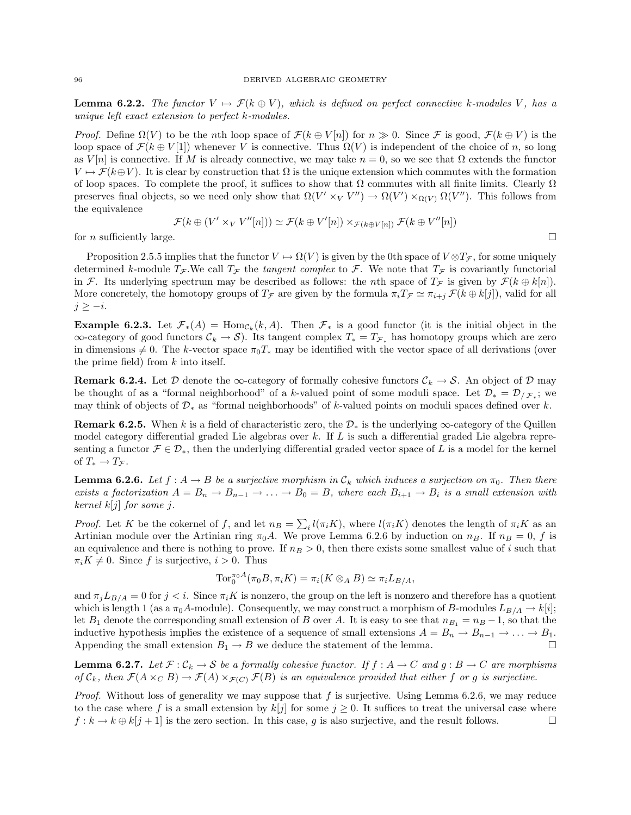**Lemma 6.2.2.** The functor  $V \mapsto \mathcal{F}(k \oplus V)$ , which is defined on perfect connective k-modules V, has a unique left exact extension to perfect k-modules.

*Proof.* Define  $\Omega(V)$  to be the nth loop space of  $\mathcal{F}(k \oplus V[n])$  for  $n \gg 0$ . Since F is good,  $\mathcal{F}(k \oplus V)$  is the loop space of  $\mathcal{F}(k \oplus V[1])$  whenever V is connective. Thus  $\Omega(V)$  is independent of the choice of n, so long as  $V[n]$  is connective. If M is already connective, we may take  $n = 0$ , so we see that  $\Omega$  extends the functor  $V \mapsto \mathcal{F}(k \oplus V)$ . It is clear by construction that  $\Omega$  is the unique extension which commutes with the formation of loop spaces. To complete the proof, it suffices to show that  $\Omega$  commutes with all finite limits. Clearly  $\Omega$ preserves final objects, so we need only show that  $\Omega(V' \times_V V'') \to \Omega(V') \times_{\Omega(V)} \Omega(V'')$ . This follows from the equivalence

$$
\mathcal{F}(k \oplus (V' \times_V V''[n])) \simeq \mathcal{F}(k \oplus V'[n]) \times_{\mathcal{F}(k \oplus V[n])} \mathcal{F}(k \oplus V''[n])
$$

for *n* sufficiently large.  $\square$ 

Proposition 2.5.5 implies that the functor  $V \mapsto \Omega(V)$  is given by the 0th space of  $V \otimes T_{\mathcal{F}}$ , for some uniquely determined k-module  $T_{\mathcal{F}}$ . We call  $T_{\mathcal{F}}$  the tangent complex to  $\mathcal{F}$ . We note that  $T_{\mathcal{F}}$  is covariantly functorial in F. Its underlying spectrum may be described as follows: the *n*th space of  $T<sub>F</sub>$  is given by  $\mathcal{F}(k \oplus k[n])$ . More concretely, the homotopy groups of  $T<sub>\mathcal{F}</sub>$  are given by the formula  $\pi_i T_{\mathcal{F}} \simeq \pi_{i+j} \mathcal{F}(k \oplus k[j])$ , valid for all  $j \geq -i$ .

**Example 6.2.3.** Let  $\mathcal{F}_*(A) = \text{Hom}_{\mathcal{C}_k}(k, A)$ . Then  $\mathcal{F}_*$  is a good functor (it is the initial object in the  $\infty$ -category of good functors  $C_k \to S$ ). Its tangent complex  $T_* = T_{\mathcal{F}_*}$  has homotopy groups which are zero in dimensions  $\neq 0$ . The k-vector space  $\pi_0 T_*$  may be identified with the vector space of all derivations (over the prime field) from  $k$  into itself.

**Remark 6.2.4.** Let D denote the  $\infty$ -category of formally cohesive functors  $\mathcal{C}_k \to \mathcal{S}$ . An object of D may be thought of as a "formal neighborhood" of a k-valued point of some moduli space. Let  $\mathcal{D}_* = \mathcal{D}_{/\mathcal{F}_*}$ ; we may think of objects of  $\mathcal{D}_*$  as "formal neighborhoods" of k-valued points on moduli spaces defined over k.

**Remark 6.2.5.** When k is a field of characteristic zero, the  $\mathcal{D}_*$  is the underlying  $\infty$ -category of the Quillen model category differential graded Lie algebras over k. If  $L$  is such a differential graded Lie algebra representing a functor  $\mathcal{F} \in \mathcal{D}_{*}$ , then the underlying differential graded vector space of L is a model for the kernel of  $T_* \to T_{\mathcal{F}}$ .

**Lemma 6.2.6.** Let  $f : A \to B$  be a surjective morphism in  $C_k$  which induces a surjection on  $\pi_0$ . Then there exists a factorization  $A = B_n \to B_{n-1} \to \ldots \to B_0 = B$ , where each  $B_{i+1} \to B_i$  is a small extension with kernel  $k[j]$  for some j.

*Proof.* Let K be the cokernel of f, and let  $n_B = \sum_i l(\pi_i K)$ , where  $l(\pi_i K)$  denotes the length of  $\pi_i K$  as an Artinian module over the Artinian ring  $\pi_0 A$ . We prove Lemma 6.2.6 by induction on  $n_B$ . If  $n_B = 0$ , f is an equivalence and there is nothing to prove. If  $n_B > 0$ , then there exists some smallest value of i such that  $\pi_i K \neq 0$ . Since f is surjective,  $i > 0$ . Thus

$$
\operatorname{Tor}_0^{\pi_0 A}(\pi_0 B, \pi_i K) = \pi_i(K \otimes_A B) \simeq \pi_i L_{B/A},
$$

and  $\pi_j L_{B/A} = 0$  for  $j < i$ . Since  $\pi_i K$  is nonzero, the group on the left is nonzero and therefore has a quotient which is length 1 (as a  $\pi_0A$ -module). Consequently, we may construct a morphism of B-modules  $L_{B/A} \to k[i];$ let  $B_1$  denote the corresponding small extension of B over A. It is easy to see that  $n_{B_1} = n_B - 1$ , so that the inductive hypothesis implies the existence of a sequence of small extensions  $A = B_n \to B_{n-1} \to \ldots \to B_1$ . Appending the small extension  $B_1 \to B$  we deduce the statement of the lemma.

**Lemma 6.2.7.** Let  $\mathcal{F}: \mathcal{C}_k \to \mathcal{S}$  be a formally cohesive functor. If  $f: A \to C$  and  $g: B \to C$  are morphisms of  $C_k$ , then  $\mathcal{F}(A \times_C B) \to \mathcal{F}(A) \times_{\mathcal{F}(C)} \mathcal{F}(B)$  is an equivalence provided that either f or g is surjective.

*Proof.* Without loss of generality we may suppose that  $f$  is surjective. Using Lemma 6.2.6, we may reduce to the case where f is a small extension by  $k[j]$  for some  $j \geq 0$ . It suffices to treat the universal case where  $f : k \to k \oplus k[j+1]$  is the zero section. In this case, g is also surjective, and the result follows.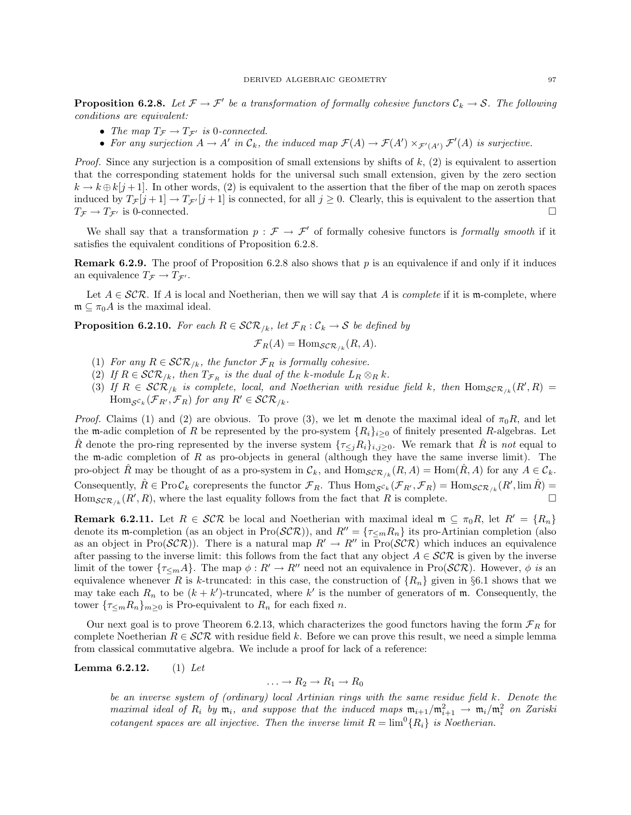**Proposition 6.2.8.** Let  $\mathcal{F} \to \mathcal{F}'$  be a transformation of formally cohesive functors  $\mathcal{C}_k \to \mathcal{S}$ . The following conditions are equivalent:

- The map  $T_{\mathcal{F}} \to T_{\mathcal{F}'}$  is 0-connected.
- For any surjection  $A \to A'$  in  $\mathcal{C}_k$ , the induced map  $\mathcal{F}(A) \to \mathcal{F}(A') \times_{\mathcal{F}'(A')} \mathcal{F}'(A)$  is surjective.

*Proof.* Since any surjection is a composition of small extensions by shifts of  $k$ ,  $(2)$  is equivalent to assertion that the corresponding statement holds for the universal such small extension, given by the zero section  $k \to k \oplus k[j+1]$ . In other words, (2) is equivalent to the assertion that the fiber of the map on zeroth spaces induced by  $T_{\mathcal{F}}[j+1] \to T_{\mathcal{F}'}[j+1]$  is connected, for all  $j \geq 0$ . Clearly, this is equivalent to the assertion that  $T_{\mathcal{F}} \to T_{\mathcal{F}'}$  is 0-connected.

We shall say that a transformation  $p : \mathcal{F} \to \mathcal{F}'$  of formally cohesive functors is *formally smooth* if it satisfies the equivalent conditions of Proposition 6.2.8.

**Remark 6.2.9.** The proof of Proposition 6.2.8 also shows that p is an equivalence if and only if it induces an equivalence  $T_{\mathcal{F}} \to T_{\mathcal{F}'}$ .

Let  $A \in \mathcal{SCR}$ . If A is local and Noetherian, then we will say that A is *complete* if it is m-complete, where  $\mathfrak{m} \subset \pi_0 A$  is the maximal ideal.

**Proposition 6.2.10.** For each  $R \in \mathcal{SCR}_{/k}$ , let  $\mathcal{F}_R : \mathcal{C}_k \to \mathcal{S}$  be defined by

$$
\mathcal{F}_R(A) = \text{Hom}_{\mathcal{SCR}_{/k}}(R, A).
$$

- (1) For any  $R \in \mathcal{SCR}_{/k}$ , the functor  $\mathcal{F}_R$  is formally cohesive.
- (2) If  $R \in \mathcal{SCR}_{/k}$ , then  $T_{\mathcal{F}_R}$  is the dual of the k-module  $L_R \otimes_R k$ .
- (3) If  $R \in \mathcal{SCR}_{/k}$  is complete, local, and Noetherian with residue field k, then  $\text{Hom}_{\mathcal{SCR}_{/k}}(R',R)$  $\text{Hom}_{\mathcal{S}^{c_k}}(\mathcal{F}_{R'}, \mathcal{F}_R)$  for any  $R' \in \mathcal{SCR}_{/k}$ .

*Proof.* Claims (1) and (2) are obvious. To prove (3), we let m denote the maximal ideal of  $\pi_0 R$ , and let the m-adic completion of R be represented by the pro-system  $\{R_i\}_{i\geq 0}$  of finitely presented R-algebras. Let  $\hat{R}$  denote the pro-ring represented by the inverse system  $\{\tau_{\leq j}R_i\}_{i,j\geq 0}$ . We remark that R is not equal to the m-adic completion of  $R$  as pro-objects in general (although they have the same inverse limit). The pro-object R may be thought of as a pro-system in  $\mathcal{C}_k$ , and  $\text{Hom}_{\mathcal{SCR}/k}(R, A) = \text{Hom}(R, A)$  for any  $A \in \mathcal{C}_k$ . Consequently,  $\hat{R} \in \text{Pro}\,\mathcal{C}_k$  corepresents the functor  $\mathcal{F}_R$ . Thus  $\text{Hom}_{\mathcal{S}^{\mathcal{C}_k}}(\mathcal{F}_{R'}, \mathcal{F}_R) = \text{Hom}_{\mathcal{S}^{\mathcal{C}}\mathcal{R}/k}(R', \lim \hat{R}) =$ Hom ${}_{\mathcal{SCR}_{/k}}(R',R)$ , where the last equality follows from the fact that R is complete.

**Remark 6.2.11.** Let  $R \in \mathcal{SCR}$  be local and Noetherian with maximal ideal  $\mathfrak{m} \subseteq \pi_0 R$ , let  $R' = \{R_n\}$ denote its m-completion (as an object in Pro( $\mathcal{SCR}$ )), and  $R'' = {\tau \leq_m R_n}$  its pro-Artinian completion (also as an object in Pro( $\mathcal{SCR}$ ). There is a natural map  $R' \to R''$  in Pro( $\mathcal{SCR}$ ) which induces an equivalence after passing to the inverse limit: this follows from the fact that any object  $A \in \mathcal{SCR}$  is given by the inverse limit of the tower  $\{\tau_{\leq m}A\}$ . The map  $\phi: R' \to R''$  need not an equivalence in Pro(SCR). However,  $\phi$  is an equivalence whenever R is k-truncated: in this case, the construction of  $\{R_n\}$  given in §6.1 shows that we may take each  $R_n$  to be  $(k + k')$ -truncated, where k' is the number of generators of m. Consequently, the tower  $\{\tau_{\leq m}R_n\}_{m\geq 0}$  is Pro-equivalent to  $R_n$  for each fixed n.

Our next goal is to prove Theorem 6.2.13, which characterizes the good functors having the form  $\mathcal{F}_R$  for complete Noetherian  $R \in \mathcal{SCR}$  with residue field k. Before we can prove this result, we need a simple lemma from classical commutative algebra. We include a proof for lack of a reference:

**Lemma 6.2.12.** (1) Let

$$
\ldots \to R_2 \to R_1 \to R_0
$$

be an inverse system of (ordinary) local Artinian rings with the same residue field k. Denote the maximal ideal of  $R_i$  by  $\mathfrak{m}_i$ , and suppose that the induced maps  $\mathfrak{m}_{i+1}/\mathfrak{m}_{i+1}^2 \rightarrow \mathfrak{m}_i/\mathfrak{m}_i^2$  on Zariski cotangent spaces are all injective. Then the inverse limit  $R = \lim^{0} \{R_i\}$  is Noetherian.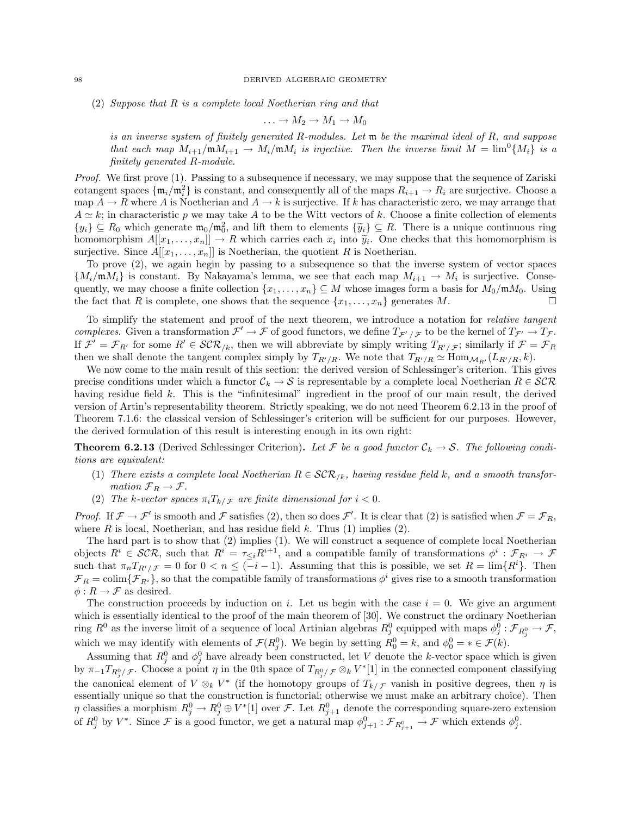(2) Suppose that R is a complete local Noetherian ring and that

$$
\ldots \to M_2 \to M_1 \to M_0
$$

is an inverse system of finitely generated R-modules. Let m be the maximal ideal of R, and suppose that each map  $M_{i+1}/mM_{i+1} \to M_i/mM_i$  is injective. Then the inverse limit  $M = \lim^0 \{M_i\}$  is a finitely generated R-module.

Proof. We first prove (1). Passing to a subsequence if necessary, we may suppose that the sequence of Zariski cotangent spaces  $\{\mathfrak{m}_i/\mathfrak{m}_i^2\}$  is constant, and consequently all of the maps  $R_{i+1} \to R_i$  are surjective. Choose a map  $A \to R$  where A is Noetherian and  $A \to k$  is surjective. If k has characteristic zero, we may arrange that  $A \simeq k$ ; in characteristic p we may take A to be the Witt vectors of k. Choose a finite collection of elements  $\{y_i\} \subseteq R_0$  which generate  $\mathfrak{m}_0/\mathfrak{m}_0^2$ , and lift them to elements  $\{\tilde{y}_i\} \subseteq R$ . There is a unique continuous ring<br>homomorphism  $A[[x, x]] \to R$  which carries oach x, into  $\tilde{y}_i$ . One chocks that this homomorph homomorphism  $A[[x_1, \ldots, x_n]] \to R$  which carries each  $x_i$  into  $\tilde{y}_i$ . One checks that this homomorphism is<br>surjective Since  $A[[x_i, \ldots, x_n]]$  is Notherian, the quotient R is Nootherian surjective. Since  $A[[x_1, \ldots, x_n]]$  is Noetherian, the quotient R is Noetherian.

To prove (2), we again begin by passing to a subsequence so that the inverse system of vector spaces  ${M_i/\mathfrak{m}}M_i$  is constant. By Nakayama's lemma, we see that each map  $M_{i+1} \to M_i$  is surjective. Consequently, we may choose a finite collection  $\{x_1, \ldots, x_n\} \subseteq M$  whose images form a basis for  $M_0/\mathfrak{m}M_0$ . Using the fact that R is complete, one shows that the sequence  $\{x_1, \ldots, x_n\}$  generates M.

To simplify the statement and proof of the next theorem, we introduce a notation for relative tangent complexes. Given a transformation  $\mathcal{F}' \to \mathcal{F}$  of good functors, we define  $T_{\mathcal{F}'/\mathcal{F}}$  to be the kernel of  $T_{\mathcal{F}'} \to T_{\mathcal{F}}$ . If  $\mathcal{F}' = \mathcal{F}_{R'}$  for some  $R' \in \mathcal{SCR}_{/k}$ , then we will abbreviate by simply writing  $T_{R'/\mathcal{F}}$ ; similarly if  $\mathcal{F} = \mathcal{F}_R$ then we shall denote the tangent complex simply by  $T_{R'/R}$ . We note that  $T_{R'/R} \simeq \text{Hom}_{\mathcal{M}_{R'}}(L_{R'/R}, k)$ .

We now come to the main result of this section: the derived version of Schlessinger's criterion. This gives precise conditions under which a functor  $\mathcal{C}_k \to \mathcal{S}$  is representable by a complete local Noetherian  $R \in \mathcal{SCR}$ having residue field k. This is the "infinitesimal" ingredient in the proof of our main result, the derived version of Artin's representability theorem. Strictly speaking, we do not need Theorem 6.2.13 in the proof of Theorem 7.1.6: the classical version of Schlessinger's criterion will be sufficient for our purposes. However, the derived formulation of this result is interesting enough in its own right:

**Theorem 6.2.13** (Derived Schlessinger Criterion). Let F be a good functor  $\mathcal{C}_k \to \mathcal{S}$ . The following conditions are equivalent:

- (1) There exists a complete local Noetherian  $R \in \mathcal{SCR}_{/k}$ , having residue field k, and a smooth transformation  $\mathcal{F}_R \to \mathcal{F}$ .
- (2) The k-vector spaces  $\pi_i T_{k/\mathcal{F}}$  are finite dimensional for  $i < 0$ .

*Proof.* If  $\mathcal{F} \to \mathcal{F}'$  is smooth and  $\mathcal{F}$  satisfies (2), then so does  $\mathcal{F}'$ . It is clear that (2) is satisfied when  $\mathcal{F} = \mathcal{F}_R$ , where  $R$  is local, Noetherian, and has residue field  $k$ . Thus (1) implies (2).

The hard part is to show that (2) implies (1). We will construct a sequence of complete local Noetherian objects  $R^i \in \mathcal{SCR}$ , such that  $R^i = \tau_{\leq i} R^{i+1}$ , and a compatible family of transformations  $\phi^i : \mathcal{F}_{R^i} \to \mathcal{F}$ such that  $\pi_n T_{R^i/\mathcal{F}} = 0$  for  $0 < n \leq (-i-1)$ . Assuming that this is possible, we set  $R = \lim \{R^i\}$ . Then  $\mathcal{F}_R = \text{colim}\{\mathcal{F}_{R^i}\}\$ , so that the compatible family of transformations  $\phi^i$  gives rise to a smooth transformation  $\phi: R \rightarrow \mathcal{F}$  as desired.

The construction proceeds by induction on i. Let us begin with the case  $i = 0$ . We give an argument which is essentially identical to the proof of the main theorem of [30]. We construct the ordinary Noetherian ring  $R^0$  as the inverse limit of a sequence of local Artinian algebras  $R_j^0$  equipped with maps  $\phi_j^0$  :  $\mathcal{F}_{R_j^0} \to \mathcal{F}$ , which we may identify with elements of  $\mathcal{F}(R_j^0)$ . We begin by setting  $R_0^0 = k$ , and  $\phi_0^0 = * \in \mathcal{F}(k)$ .

Assuming that  $R_j^0$  and  $\phi_j^0$  have already been constructed, let V denote the k-vector space which is given by  $\pi_{-1}T_{R_j^0/\mathcal{F}}$ . Choose a point  $\eta$  in the 0th space of  $T_{R_j^0/\mathcal{F}} \otimes_k V^*$ [1] in the connected component classifying the canonical element of  $V \otimes_k V^*$  (if the homotopy groups of  $T_{k/\mathcal{F}}$  vanish in positive degrees, then  $\eta$  is essentially unique so that the construction is functorial; otherwise we must make an arbitrary choice). Then  $\eta$  classifies a morphism  $R_j^0 \to R_j^0 \oplus V^*$  [1] over F. Let  $R_{j+1}^0$  denote the corresponding square-zero extension of  $R_j^0$  by  $V^*$ . Since  $\mathcal F$  is a good functor, we get a natural map  $\phi_{j+1}^0 : \mathcal F_{R_{j+1}^0} \to \mathcal F$  which extends  $\phi_j^0$ .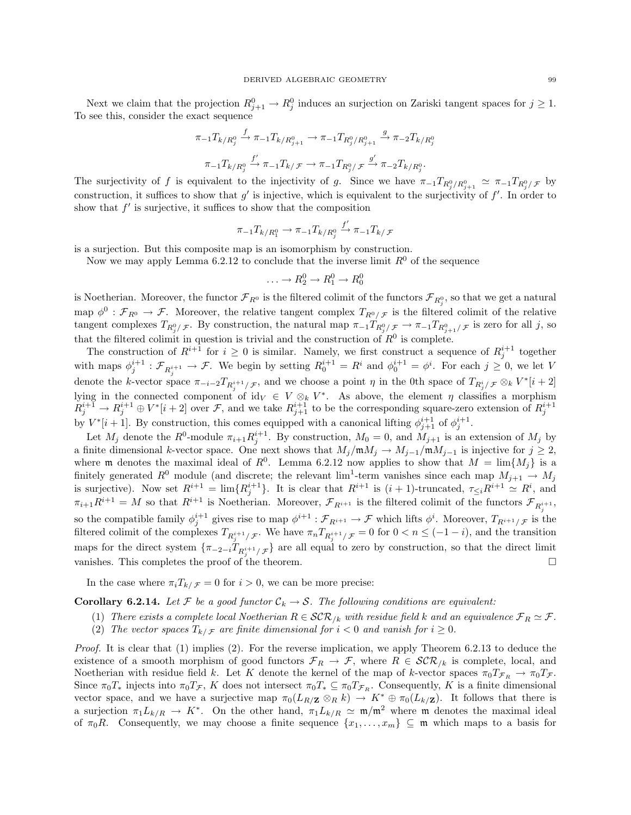Next we claim that the projection  $R_{j+1}^0 \to R_j^0$  induces an surjection on Zariski tangent spaces for  $j \geq 1$ . To see this, consider the exact sequence

$$
\pi_{-1}T_{k/R_j^0} \xrightarrow{f} \pi_{-1}T_{k/R_{j+1}^0} \to \pi_{-1}T_{R_j^0/R_{j+1}^0} \xrightarrow{g} \pi_{-2}T_{k/R_j^0}
$$

$$
\pi_{-1}T_{k/R_j^0} \xrightarrow{f'} \pi_{-1}T_{k/F} \to \pi_{-1}T_{R_j^0/F} \xrightarrow{g'} \pi_{-2}T_{k/R_j^0}.
$$

The surjectivity of f is equivalent to the injectivity of g. Since we have  $\pi_{-1}T_{R_j^0/R_{j+1}^0} \simeq \pi_{-1}T_{R_j^0/F}$  by construction, it suffices to show that  $g'$  is injective, which is equivalent to the surjectivity of  $f'$ . In order to show that  $f'$  is surjective, it suffices to show that the composition

$$
\pi_{-1}T_{k/R_1^0}\to \pi_{-1}T_{k/R_j^0}\stackrel{f'}{\to}\pi_{-1}T_{k/\mathcal{F}}
$$

is a surjection. But this composite map is an isomorphism by construction.

Now we may apply Lemma 6.2.12 to conclude that the inverse limit  $R^0$  of the sequence

$$
\ldots \to R_2^0 \to R_1^0 \to R_0^0
$$

is Noetherian. Moreover, the functor  $\mathcal{F}_{R^0}$  is the filtered colimit of the functors  $\mathcal{F}_{R^0_j}$ , so that we get a natural map  $\phi^0$ :  $\mathcal{F}_{R^0} \to \mathcal{F}$ . Moreover, the relative tangent complex  $T_{R^0/\mathcal{F}}$  is the filtered colimit of the relative tangent complexes  $T_{R_j^0/\mathcal{F}}$ . By construction, the natural map  $\pi_{-1}T_{R_j^0/\mathcal{F}} \to \pi_{-1}T_{R_{j+1}^0/\mathcal{F}}$  is zero for all j, so that the filtered colimit in question is trivial and the construction of  $R^0$  is complete.

The construction of  $R^{i+1}$  for  $i \geq 0$  is similar. Namely, we first construct a sequence of  $R_j^{i+1}$  together with maps  $\phi_j^{i+1} : \mathcal{F}_{R_j^{i+1}} \to \mathcal{F}$ . We begin by setting  $R_0^{i+1} = R^i$  and  $\phi_0^{i+1} = \phi^i$ . For each  $j \geq 0$ , we let V denote the k-vector space  $\pi_{-i-2}T_{R_i^{i+1}/\mathcal{F}}$ , and we choose a point  $\eta$  in the 0th space of  $T_{R_j^i/\mathcal{F}} \otimes_k V^*[i+2]$ lying in the connected component of id<sub>V</sub>  $\in V \otimes_k V^*$ . As above, the element  $\eta$  classifies a morphism  $R_j^{i+1} \to R_j^{i+1} \oplus V^*[i+2]$  over F, and we take  $R_{j+1}^{i+1}$  to be the corresponding square-zero extension of  $R_j^{i+1}$ by  $V^*[i+1]$ . By construction, this comes equipped with a canonical lifting  $\phi_{j+1}^{i+1}$  of  $\phi_j^{i+1}$ .

Let  $M_j$  denote the  $R^0$ -module  $\pi_{i+1} R_j^{i+1}$ . By construction,  $M_0 = 0$ , and  $M_{j+1}$  is an extension of  $M_j$  by a finite dimensional k-vector space. One next shows that  $M_j/\mathfrak{m}M_j \to M_{j-1}/\mathfrak{m}M_{j-1}$  is injective for  $j \geq 2$ , where m denotes the maximal ideal of  $R^0$ . Lemma 6.2.12 now applies to show that  $M = \lim\{M_j\}$  is a finitely generated  $R^0$  module (and discrete; the relevant  $\lim^1$ -term vanishes since each map  $M_{j+1} \to M_j$ is surjective). Now set  $R^{i+1} = \lim \{ R_j^{i+1} \}$ . It is clear that  $R^{i+1}$  is  $(i + 1)$ -truncated,  $\tau_{\leq i} R^{i+1} \simeq R^i$ , and  $\pi_{i+1}R^{i+1} = M$  so that  $R^{i+1}$  is Noetherian. Moreover,  $\mathcal{F}_{R^{i+1}}$  is the filtered colimit of the functors  $\mathcal{F}_{R^{i+1}_j}$ , so the compatible family  $\phi_j^{i+1}$  gives rise to map  $\phi^{i+1} : \mathcal{F}_{R^{i+1}} \to \mathcal{F}$  which lifts  $\phi^i$ . Moreover,  $T_{R^{i+1}/\mathcal{F}}$  is the filtered colimit of the complexes  $T_{R_j^{i+1}/\mathcal{F}}$ . We have  $\pi_n T_{R_j^{i+1}/\mathcal{F}} = 0$  for  $0 < n \leq (-1-i)$ , and the transition maps for the direct system  $\{\pi_{-2-i}T_{R_j^{i+1}/\mathcal{F}}\}$  are all equal to zero by construction, so that the direct limit vanishes. This completes the proof of the theorem.

In the case where  $\pi_i T_{k/\mathcal{F}} = 0$  for  $i > 0$ , we can be more precise:

**Corollary 6.2.14.** Let F be a good functor  $C_k \to S$ . The following conditions are equivalent:

- (1) There exists a complete local Noetherian  $R \in \mathcal{SCR}_{/k}$  with residue field k and an equivalence  $\mathcal{F}_R \simeq \mathcal{F}$ .
- (2) The vector spaces  $T_{k/\mathcal{F}}$  are finite dimensional for  $i < 0$  and vanish for  $i \geq 0$ .

*Proof.* It is clear that  $(1)$  implies  $(2)$ . For the reverse implication, we apply Theorem 6.2.13 to deduce the existence of a smooth morphism of good functors  $\mathcal{F}_R \to \mathcal{F}$ , where  $R \in \mathcal{SCR}_{/k}$  is complete, local, and Noetherian with residue field k. Let K denote the kernel of the map of k-vector spaces  $\pi_0 T_{\mathcal{F}_R} \to \pi_0 T_{\mathcal{F}}$ . Since  $\pi_0T_*$  injects into  $\pi_0T_F$ , K does not intersect  $\pi_0T_* \subseteq \pi_0T_{\mathcal{F}_R}$ . Consequently, K is a finite dimensional vector space, and we have a surjective map  $\pi_0(L_{R/\mathbf{Z}} \otimes_R k) \to K^* \oplus \pi_0(L_{k/\mathbf{Z}})$ . It follows that there is a surjection  $\pi_1 L_{k/R} \to K^*$ . On the other hand,  $\pi_1 L_{k/R} \simeq \mathfrak{m}/\mathfrak{m}^2$  where  $\mathfrak{m}$  denotes the maximal ideal of  $\pi_0R$ . Consequently, we may choose a finite sequence  $\{x_1, \ldots, x_m\} \subseteq \mathfrak{m}$  which maps to a basis for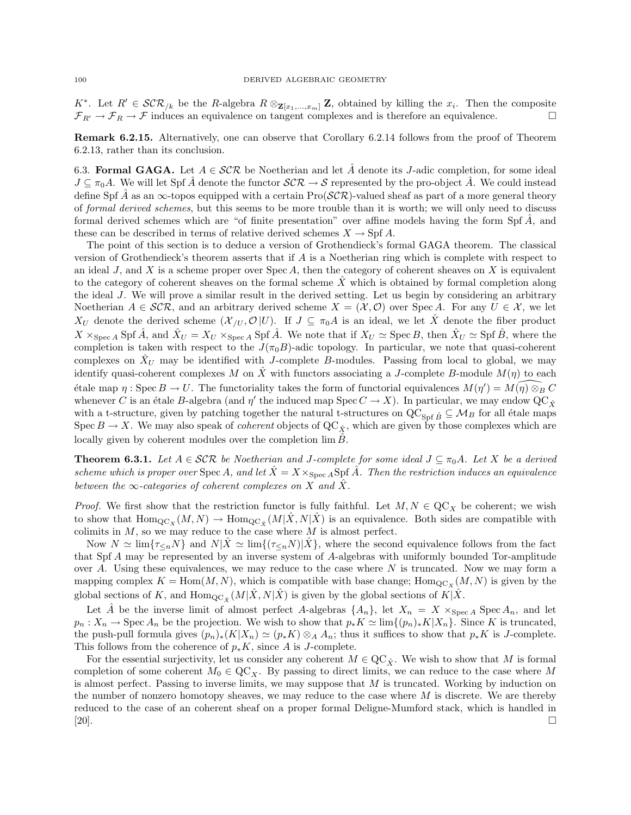K<sup>\*</sup>. Let  $R' \in \mathcal{SCR}_{/k}$  be the R-algebra  $R \otimes_{\mathbf{Z}[x_1,...,x_m]} \mathbf{Z}$ , obtained by killing the  $x_i$ . Then the composite  $\mathcal{F}_{R'} \to \mathcal{F}_R \to \mathcal{F}$  induces an equivalence on tangent complexes and is therefore an equivalence.

Remark 6.2.15. Alternatively, one can observe that Corollary 6.2.14 follows from the proof of Theorem 6.2.13, rather than its conclusion.

6.3. Formal GAGA. Let  $A \in \mathcal{SCR}$  be Noetherian and let  $\hat{A}$  denote its J-adic completion, for some ideal  $J \subseteq \pi_0 A$ . We will let Spf  $\hat{A}$  denote the functor  $\mathcal{SCR} \to \mathcal{S}$  represented by the pro-object  $\hat{A}$ . We could instead define Spf  $\tilde{A}$  as an  $\infty$ -topos equipped with a certain Pro( $\mathcal{SCR}$ )-valued sheaf as part of a more general theory of formal derived schemes, but this seems to be more trouble than it is worth; we will only need to discuss formal derived schemes which are "of finite presentation" over affine models having the form Spf  $\hat{A}$ , and these can be described in terms of relative derived schemes  $X \to \text{Spf } A$ .

The point of this section is to deduce a version of Grothendieck's formal GAGA theorem. The classical version of Grothendieck's theorem asserts that if A is a Noetherian ring which is complete with respect to an ideal  $J$ , and  $X$  is a scheme proper over Spec  $A$ , then the category of coherent sheaves on  $X$  is equivalent to the category of coherent sheaves on the formal scheme  $\ddot{X}$  which is obtained by formal completion along the ideal J. We will prove a similar result in the derived setting. Let us begin by considering an arbitrary Noetherian  $A \in \mathcal{SCR}$ , and an arbitrary derived scheme  $X = (\mathcal{X}, \mathcal{O})$  over Spec A. For any  $U \in \mathcal{X}$ , we let  $X_U$  denote the derived scheme  $(\mathcal{X}_{/U}, \mathcal{O}|U)$ . If  $J \subseteq \pi_0 A$  is an ideal, we let X denote the fiber product  $X \times_{\text{Spec } A} \text{Spf } \hat{A}$ , and  $\hat{X}_U = X_U \times_{\text{Spec } A} \text{Spf } \hat{A}$ . We note that if  $X_U \simeq \text{Spec } B$ , then  $\hat{X}_U \simeq \text{Spf } \hat{B}$ , where the completion is taken with respect to the  $J(\pi_0B)$ -adic topology. In particular, we note that quasi-coherent complexes on  $X_U$  may be identified with J-complete B-modules. Passing from local to global, we may identify quasi-coherent complexes M on  $\hat{X}$  with functors associating a J-complete B-module  $M(\eta)$  to each  $\phi$  etale map  $\eta$ : Spec  $B \to U$ . The functoriality takes the form of functorial equivalences  $M(\eta') = M(\eta) \otimes_B C$ whenever C is an étale B-algebra (and  $\eta'$  the induced map Spec  $C \to X$ ). In particular, we may endow  $\operatorname{QC}_{\hat{X}}$ with a t-structure, given by patching together the natural t-structures on  $QC_{Spf \hat{B}} \subseteq \mathcal{M}_B$  for all étale maps Spec  $B \to X$ . We may also speak of *coherent* objects of  $\mathbb{Q}(\mathcal{C}_{\hat{X}})$ , which are given by those complexes which are locally given by coherent modules over the completion  $\lim B$ .

**Theorem 6.3.1.** Let  $A \in \mathcal{SCR}$  be Noetherian and J-complete for some ideal  $J \subseteq \pi_0 A$ . Let X be a derived scheme which is proper over  $Spec A$ , and let  $\ddot{X} = X \times_{Spec A} Spf \dot{A}$ . Then the restriction induces an equivalence between the  $\infty$ -categories of coherent complexes on X and  $\hat{X}$ .

*Proof.* We first show that the restriction functor is fully faithful. Let  $M, N \in \text{QC}_X$  be coherent; we wish to show that  $\text{Hom}_{\text{QC}_X}(M, N) \to \text{Hom}_{\text{QC}_{\hat{X}}}(M|\hat{X}, N|\hat{X})$  is an equivalence. Both sides are compatible with colimits in  $M$ , so we may reduce to the case where  $M$  is almost perfect.

Now  $N \simeq \lim\{\tau_{\leq n}N\}$  and  $N|\tilde{X} \simeq \lim\{\tau_{\leq n}N\}|\tilde{X}\}\,$ , where the second equivalence follows from the fact that Spf A may be represented by an inverse system of A-algebras with uniformly bounded Tor-amplitude over A. Using these equivalences, we may reduce to the case where  $N$  is truncated. Now we may form a mapping complex  $K = \text{Hom}(M, N)$ , which is compatible with base change;  $\text{Hom}_{\text{QC}_X}(M, N)$  is given by the global sections of K, and  $\text{Hom}_{\text{QC}_{\hat{X}}}(M|\hat{X},N|\hat{X})$  is given by the global sections of  $K|\hat{X}$ .

Let  $\hat{A}$  be the inverse limit of almost perfect A-algebras  $\{A_n\}$ , let  $X_n = X \times_{\text{Spec } A} \text{Spec } A_n$ , and let  $p_n: X_n \to \text{Spec } A_n$  be the projection. We wish to show that  $p_* K \simeq \lim\{((p_n)_*K|X_n\}$ . Since K is truncated, the push-pull formula gives  $(p_n)_*(K|X_n) \simeq (p_*K) \otimes_A A_n$ ; thus it suffices to show that  $p_*K$  is J-complete. This follows from the coherence of  $p_*K$ , since A is J-complete.

For the essential surjectivity, let us consider any coherent  $M \in \mathbb{Q} \mathbb{C}_{\hat{X}}$ . We wish to show that M is formal completion of some coherent  $M_0 \in \text{QC}_X$ . By passing to direct limits, we can reduce to the case where M is almost perfect. Passing to inverse limits, we may suppose that  $M$  is truncated. Working by induction on the number of nonzero homotopy sheaves, we may reduce to the case where  $M$  is discrete. We are thereby reduced to the case of an coherent sheaf on a proper formal Deligne-Mumford stack, which is handled in [20].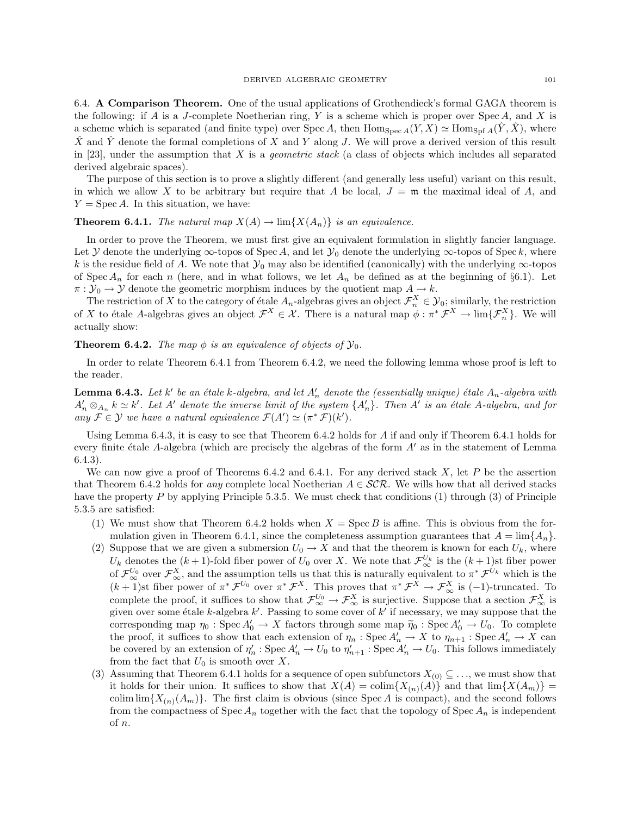6.4. A Comparison Theorem. One of the usual applications of Grothendieck's formal GAGA theorem is the following: if A is a J-complete Noetherian ring, Y is a scheme which is proper over  $Spec A$ , and X is a scheme which is separated (and finite type) over Spec A, then  $\text{Hom}_{\text{Spec } A}(Y, X) \simeq \text{Hom}_{\text{Spf }A}(Y, X)$ , where  $\hat{X}$  and  $\hat{Y}$  denote the formal completions of X and Y along J. We will prove a derived version of this result in [23], under the assumption that X is a *geometric stack* (a class of objects which includes all separated derived algebraic spaces).

The purpose of this section is to prove a slightly different (and generally less useful) variant on this result, in which we allow X to be arbitrary but require that A be local,  $J = \mathfrak{m}$  the maximal ideal of A, and  $Y = \text{Spec } A$ . In this situation, we have:

# **Theorem 6.4.1.** The natural map  $X(A) \to \lim\{X(A_n)\}\$ is an equivalence.

In order to prove the Theorem, we must first give an equivalent formulation in slightly fancier language. Let Y denote the underlying  $\infty$ -topos of Spec A, and let Y<sub>0</sub> denote the underlying  $\infty$ -topos of Spec k, where k is the residue field of A. We note that  $\mathcal{Y}_0$  may also be identified (canonically) with the underlying  $\infty$ -topos of Spec  $A_n$  for each n (here, and in what follows, we let  $A_n$  be defined as at the beginning of §6.1). Let  $\pi : \mathcal{Y}_0 \to \mathcal{Y}$  denote the geometric morphism induces by the quotient map  $A \to k$ .

The restriction of X to the category of étale  $A_n$ -algebras gives an object  $\mathcal{F}_n^X \in \mathcal{Y}_0$ ; similarly, the restriction of X to étale A-algebras gives an object  $\mathcal{F}^X \in \mathcal{X}$ . There is a natural map  $\phi: \pi^* \mathcal{F}^X \to \lim{\{\mathcal{F}_n^X\}}$ . We will actually show:

# **Theorem 6.4.2.** The map  $\phi$  is an equivalence of objects of  $\mathcal{Y}_0$ .

In order to relate Theorem 6.4.1 from Theorem 6.4.2, we need the following lemma whose proof is left to the reader.

**Lemma 6.4.3.** Let  $k'$  be an étale  $k$ -algebra, and let  $A'_n$  denote the (essentially unique) étale  $A_n$ -algebra with  $A'_n \otimes_{A_n} k \simeq k'.$  Let A' denote the inverse limit of the system  $\{A'_n\}$ . Then A' is an étale A-algebra, and for any  $\mathcal{F} \in \mathcal{Y}$  we have a natural equivalence  $\mathcal{F}(A') \simeq (\pi^* \mathcal{F})(k').$ 

Using Lemma 6.4.3, it is easy to see that Theorem 6.4.2 holds for A if and only if Theorem 6.4.1 holds for every finite étale A-algebra (which are precisely the algebras of the form  $A'$  as in the statement of Lemma 6.4.3).

We can now give a proof of Theorems 6.4.2 and 6.4.1. For any derived stack X, let P be the assertion that Theorem 6.4.2 holds for any complete local Noetherian  $A \in \mathcal{SCR}$ . We wills how that all derived stacks have the property  $P$  by applying Principle 5.3.5. We must check that conditions  $(1)$  through  $(3)$  of Principle 5.3.5 are satisfied:

- (1) We must show that Theorem 6.4.2 holds when  $X = \text{Spec } B$  is affine. This is obvious from the formulation given in Theorem 6.4.1, since the completeness assumption guarantees that  $A = \lim_{n \to \infty} \{A_n\}.$
- (2) Suppose that we are given a submersion  $U_0 \to X$  and that the theorem is known for each  $U_k$ , where  $U_k$  denotes the  $(k+1)$ -fold fiber power of  $U_0$  over X. We note that  $\mathcal{F}_{\infty}^{U_k}$  is the  $(k+1)$ st fiber power of  $\mathcal{F}_{\infty}^{U_0}$  over  $\mathcal{F}_{\infty}^{X}$ , and the assumption tells us that this is naturally equivalent to  $\pi^* \mathcal{F}^{U_k}$  which is the  $(k+1)$ st fiber power of  $\pi^* \mathcal{F}^{U_0}$  over  $\pi^* \mathcal{F}^{X}$ . This proves that  $\pi^* \mathcal{F}^{X} \to \mathcal{F}_{\infty}^{X}$  is  $(-1)$ -truncated. To complete the proof, it suffices to show that  $\mathcal{F}_{\infty}^{U_0} \to \mathcal{F}_{\infty}^{X}$  is surjective. Suppose that a section  $\mathcal{F}_{\infty}^{X}$  is given over some étale k-algebra  $k'$ . Passing to some cover of  $k'$  if necessary, we may suppose that the corresponding map  $\eta_0$  : Spec  $A'_0 \to X$  factors through some map  $\widetilde{\eta}_0$  : Spec  $A'_0 \to U_0$ . To complete the proof, it suffices to show that each extension of  $\eta_n$ : Spec  $A'_n \to X$  to  $\eta_{n+1}$ : Spec  $A'_n \to X$  can be covered by an extension of  $\eta'_n : \text{Spec } A'_n \to U_0$  to  $\eta'_{n+1} : \text{Spec } A'_n \to U_0$ . This follows immediately from the fact that  $U_0$  is smooth over X.
- (3) Assuming that Theorem 6.4.1 holds for a sequence of open subfunctors  $X_{(0)} \subseteq \ldots$ , we must show that it holds for their union. It suffices to show that  $X(A) = \text{colim}\{X_{(n)}(A)\}\$  and that  $\text{lim}\{X(A_m)\} =$ colim  $\lim\{X_{(n)}(A_m)\}\.$  The first claim is obvious (since Spec A is compact), and the second follows from the compactness of Spec  $A_n$  together with the fact that the topology of Spec  $A_n$  is independent of n.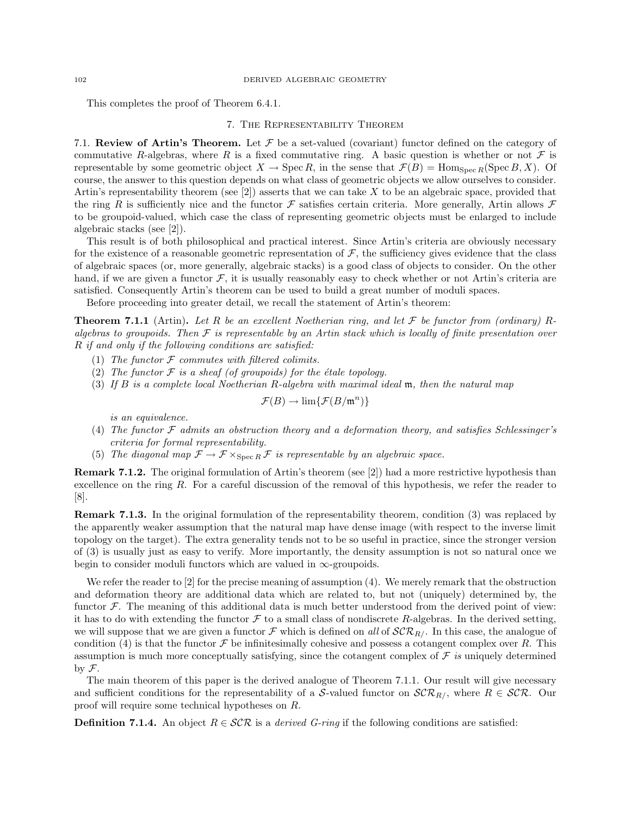This completes the proof of Theorem 6.4.1.

### 7. The Representability Theorem

7.1. Review of Artin's Theorem. Let  $\mathcal F$  be a set-valued (covariant) functor defined on the category of commutative R-algebras, where R is a fixed commutative ring. A basic question is whether or not  $\mathcal F$  is representable by some geometric object  $X \to \text{Spec } R$ , in the sense that  $\mathcal{F}(B) = \text{Hom}_{\text{Spec } R}(\text{Spec } B, X)$ . Of course, the answer to this question depends on what class of geometric objects we allow ourselves to consider. Artin's representability theorem (see  $[2]$ ) asserts that we can take X to be an algebraic space, provided that the ring R is sufficiently nice and the functor F satisfies certain criteria. More generally, Artin allows  $\mathcal F$ to be groupoid-valued, which case the class of representing geometric objects must be enlarged to include algebraic stacks (see [2]).

This result is of both philosophical and practical interest. Since Artin's criteria are obviously necessary for the existence of a reasonable geometric representation of  $F$ , the sufficiency gives evidence that the class of algebraic spaces (or, more generally, algebraic stacks) is a good class of objects to consider. On the other hand, if we are given a functor  $\mathcal{F}$ , it is usually reasonably easy to check whether or not Artin's criteria are satisfied. Consequently Artin's theorem can be used to build a great number of moduli spaces.

Before proceeding into greater detail, we recall the statement of Artin's theorem:

**Theorem 7.1.1** (Artin). Let R be an excellent Noetherian ring, and let F be functor from (ordinary) Ralgebras to groupoids. Then  $\mathcal F$  is representable by an Artin stack which is locally of finite presentation over R if and only if the following conditions are satisfied:

- (1) The functor  $F$  commutes with filtered colimits.
- (2) The functor  $\mathcal F$  is a sheaf (of groupoids) for the étale topology.
- (3) If B is a complete local Noetherian R-algebra with maximal ideal m, then the natural map

$$
\mathcal{F}(B) \to \lim{\{\mathcal{F}(B/\mathfrak{m}^n)\}}
$$

is an equivalence.

- (4) The functor F admits an obstruction theory and a deformation theory, and satisfies Schlessinger's criteria for formal representability.
- (5) The diagonal map  $\mathcal{F} \to \mathcal{F} \times_{\text{Spec } R} \mathcal{F}$  is representable by an algebraic space.

Remark 7.1.2. The original formulation of Artin's theorem (see [2]) had a more restrictive hypothesis than excellence on the ring R. For a careful discussion of the removal of this hypothesis, we refer the reader to [8].

Remark 7.1.3. In the original formulation of the representability theorem, condition (3) was replaced by the apparently weaker assumption that the natural map have dense image (with respect to the inverse limit topology on the target). The extra generality tends not to be so useful in practice, since the stronger version of (3) is usually just as easy to verify. More importantly, the density assumption is not so natural once we begin to consider moduli functors which are valued in  $\infty$ -groupoids.

We refer the reader to [2] for the precise meaning of assumption (4). We merely remark that the obstruction and deformation theory are additional data which are related to, but not (uniquely) determined by, the functor  $\mathcal F$ . The meaning of this additional data is much better understood from the derived point of view: it has to do with extending the functor  $\mathcal F$  to a small class of nondiscrete R-algebras. In the derived setting, we will suppose that we are given a functor F which is defined on all of  $\mathcal{SCR}_R$ . In this case, the analogue of condition (4) is that the functor  $\mathcal F$  be infinitesimally cohesive and possess a cotangent complex over R. This assumption is much more conceptually satisfying, since the cotangent complex of  $\mathcal F$  is uniquely determined by  $\mathcal{F}.$ 

The main theorem of this paper is the derived analogue of Theorem 7.1.1. Our result will give necessary and sufficient conditions for the representability of a S-valued functor on  $\mathcal{SCR}_{R/L}$ , where  $R \in \mathcal{SCR}$ . Our proof will require some technical hypotheses on R.

**Definition 7.1.4.** An object  $R \in \mathcal{SCR}$  is a *derived G-ring* if the following conditions are satisfied: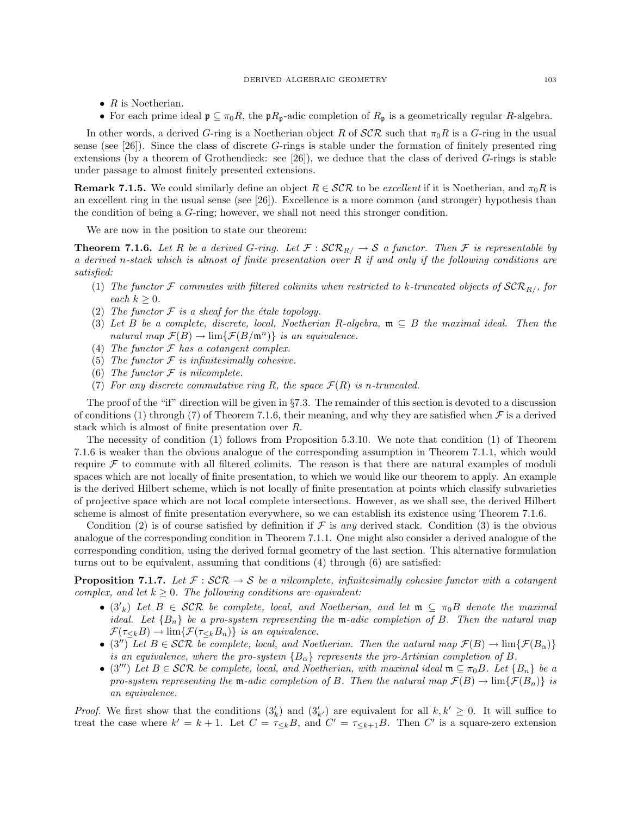- $R$  is Noetherian.
- For each prime ideal  $\mathfrak{p} \subseteq \pi_0 R$ , the  $\mathfrak{p}R_{\mathfrak{p}}$ -adic completion of  $R_{\mathfrak{p}}$  is a geometrically regular R-algebra.

In other words, a derived G-ring is a Noetherian object R of  $\mathcal{SCR}$  such that  $\pi_0R$  is a G-ring in the usual sense (see [26]). Since the class of discrete G-rings is stable under the formation of finitely presented ring extensions (by a theorem of Grothendieck: see [26]), we deduce that the class of derived G-rings is stable under passage to almost finitely presented extensions.

**Remark 7.1.5.** We could similarly define an object  $R \in \mathcal{SCR}$  to be excellent if it is Noetherian, and  $\pi_0 R$  is an excellent ring in the usual sense (see [26]). Excellence is a more common (and stronger) hypothesis than the condition of being a G-ring; however, we shall not need this stronger condition.

We are now in the position to state our theorem:

**Theorem 7.1.6.** Let R be a derived G-ring. Let  $\mathcal{F}: \mathcal{SCR}_R \rightarrow \mathcal{S}$  a functor. Then  $\mathcal{F}$  is representable by a derived n-stack which is almost of finite presentation over  $R$  if and only if the following conditions are satisfied:

- (1) The functor F commutes with filtered colimits when restricted to k-truncated objects of  $\mathcal{SCR}_{R/\sqrt{2}}$  for each  $k > 0$ .
- (2) The functor  $\mathcal F$  is a sheaf for the étale topology.
- (3) Let B be a complete, discrete, local, Noetherian R-algebra,  $\mathfrak{m} \subseteq B$  the maximal ideal. Then the natural map  $\mathcal{F}(B) \to \lim{\{\mathcal{F}(B/\mathfrak{m}^n)\}\$ is an equivalence.
- (4) The functor  $\mathcal F$  has a cotangent complex.
- (5) The functor  $\mathcal F$  is infinitesimally cohesive.
- (6) The functor  $F$  is nilcomplete.
- (7) For any discrete commutative ring R, the space  $\mathcal{F}(R)$  is n-truncated.

The proof of the "if" direction will be given in §7.3. The remainder of this section is devoted to a discussion of conditions (1) through (7) of Theorem 7.1.6, their meaning, and why they are satisfied when  $\mathcal F$  is a derived stack which is almost of finite presentation over R.

The necessity of condition (1) follows from Proposition 5.3.10. We note that condition (1) of Theorem 7.1.6 is weaker than the obvious analogue of the corresponding assumption in Theorem 7.1.1, which would require  $\mathcal F$  to commute with all filtered colimits. The reason is that there are natural examples of moduli spaces which are not locally of finite presentation, to which we would like our theorem to apply. An example is the derived Hilbert scheme, which is not locally of finite presentation at points which classify subvarieties of projective space which are not local complete intersections. However, as we shall see, the derived Hilbert scheme is almost of finite presentation everywhere, so we can establish its existence using Theorem 7.1.6.

Condition (2) is of course satisfied by definition if  $\mathcal F$  is any derived stack. Condition (3) is the obvious analogue of the corresponding condition in Theorem 7.1.1. One might also consider a derived analogue of the corresponding condition, using the derived formal geometry of the last section. This alternative formulation turns out to be equivalent, assuming that conditions (4) through (6) are satisfied:

**Proposition 7.1.7.** Let  $\mathcal{F}: \mathcal{SCR} \to \mathcal{S}$  be a nilcomplete, infinitesimally cohesive functor with a cotangent complex, and let  $k \geq 0$ . The following conditions are equivalent:

- $(3'_{k})$  Let  $B \in \mathcal{SCR}$  be complete, local, and Noetherian, and let  $\mathfrak{m} \subseteq \pi_{0}B$  denote the maximal ideal. Let  ${B_n}$  be a pro-system representing the m-adic completion of B. Then the natural map  $\mathcal{F}(\tau_{\leq k}B) \to \lim{\{\mathcal{F}(\tau_{\leq k}B_n)\}}$  is an equivalence.
- (3") Let  $B \in \mathcal{SCR}$  be complete, local, and Noetherian. Then the natural map  $\mathcal{F}(B) \to \lim{\{\mathcal{F}(B_{\alpha})\}}$ is an equivalence, where the pro-system  ${B_\alpha}$  represents the pro-Artinian completion of B.
- (3<sup>*m*</sup>) Let  $B \in \mathcal{SCR}$  be complete, local, and Noetherian, with maximal ideal  $\mathfrak{m} \subseteq \pi_0 B$ . Let  $\{B_n\}$  be a pro-system representing the m-adic completion of B. Then the natural map  $\mathcal{F}(B) \to \lim{\{\mathcal{F}(B_n)\}}$  is an equivalence.

*Proof.* We first show that the conditions  $(3'_k)$  and  $(3'_{k'})$  are equivalent for all  $k, k' \geq 0$ . It will suffice to treat the case where  $k' = k + 1$ . Let  $C = \tau_{\leq k}B$ , and  $C' = \tau_{\leq k+1}B$ . Then C' is a square-zero extension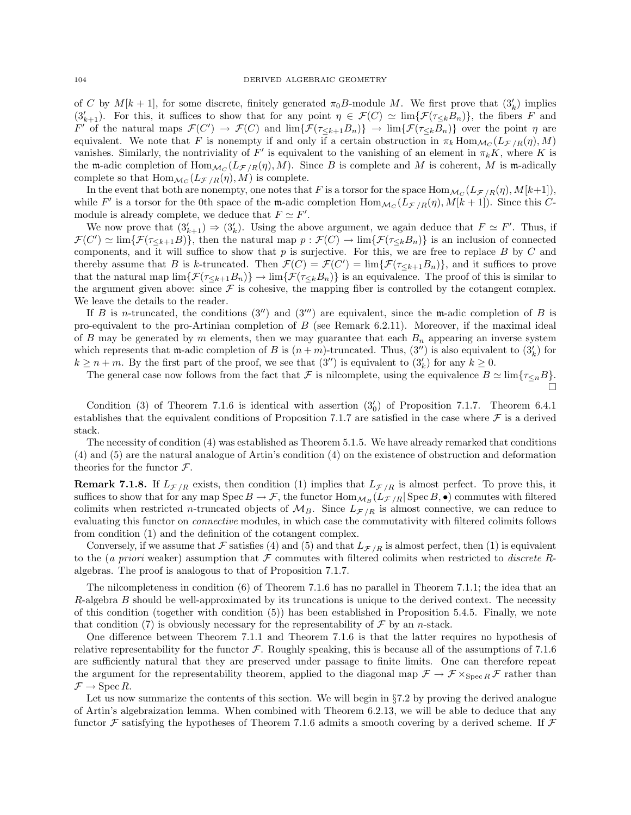of C by  $M[k+1]$ , for some discrete, finitely generated  $\pi_0 B$ -module M. We first prove that  $(3'_k)$  implies  $(3'_{k+1})$ . For this, it suffices to show that for any point  $\eta \in \mathcal{F}(C) \simeq \lim{\{\mathcal{F}(\tau_{\leq k}B_n)\}}$ , the fibers F and  $F'$  of the natural maps  $\mathcal{F}(C') \to \mathcal{F}(C)$  and  $\lim{\{\mathcal{F}(\tau_{\leq k+1}B_n)\}\to \lim{\{\mathcal{F}(\tau_{\leq k}B_n)\}}}$  over the point  $\eta$  are equivalent. We note that F is nonempty if and only if a certain obstruction in  $\pi_k \text{Hom}_{\mathcal{M}_C}(L_{\mathcal{F}/R}(\eta), M)$ vanishes. Similarly, the nontriviality of F' is equivalent to the vanishing of an element in  $\pi_k K$ , where K is the m-adic completion of  $\text{Hom}_{\mathcal{M}_C}(L_{\mathcal{F}/R}(\eta), M)$ . Since B is complete and M is coherent, M is m-adically complete so that  $\text{Hom}_{\mathcal{M}_C}(L_{\mathcal{F}/R}(\eta), M)$  is complete.

In the event that both are nonempty, one notes that F is a torsor for the space  $\text{Hom}_{\mathcal{M}_C}(L_{\mathcal{F}/R}(\eta), M[k+1]),$ while F' is a torsor for the 0th space of the m-adic completion  $\text{Hom}_{\mathcal{M}_C}(L_{\mathcal{F}/R}(\eta), M[k+1])$ . Since this Cmodule is already complete, we deduce that  $F \simeq F'$ .

We now prove that  $(3'_{k+1}) \Rightarrow (3'_k)$ . Using the above argument, we again deduce that  $F \simeq F'$ . Thus, if  $\mathcal{F}(C') \simeq \lim{\{\mathcal{F}(\tau_{\leq k+1}B)\}}$ , then the natural map  $p : \mathcal{F}(C) \to \lim{\{\mathcal{F}(\tau_{\leq k}B_n)\}}$  is an inclusion of connected components, and it will suffice to show that  $p$  is surjective. For this, we are free to replace  $B$  by  $C$  and thereby assume that B is k-truncated. Then  $\mathcal{F}(C) = \mathcal{F}(C') = \lim{\{\mathcal{F}(\tau_{\leq k+1}B_n)\}}$ , and it suffices to prove that the natural map  $\lim{\{\mathcal{F}(\tau_{\leq k+1}B_n)\}} \to \lim{\{\mathcal{F}(\tau_{\leq k}B_n)\}}$  is an equivalence. The proof of this is similar to the argument given above: since  $\mathcal F$  is cohesive, the mapping fiber is controlled by the cotangent complex. We leave the details to the reader.

If B is n-truncated, the conditions  $(3'')$  and  $(3''')$  are equivalent, since the m-adic completion of B is pro-equivalent to the pro-Artinian completion of  $B$  (see Remark 6.2.11). Moreover, if the maximal ideal of B may be generated by m elements, then we may guarantee that each  $B_n$  appearing an inverse system which represents that m-adic completion of B is  $(n+m)$ -truncated. Thus,  $(3'')$  is also equivalent to  $(3'_{k})$  for  $k \geq n+m$ . By the first part of the proof, we see that  $(3'')$  is equivalent to  $(3'_{k})$  for any  $k \geq 0$ .

The general case now follows from the fact that F is nilcomplete, using the equivalence  $B \simeq \lim \{ \tau_{\leq n} B \}.$  $\Box$ 

Condition (3) of Theorem 7.1.6 is identical with assertion  $(3'_0)$  of Proposition 7.1.7. Theorem 6.4.1 establishes that the equivalent conditions of Proposition 7.1.7 are satisfied in the case where  $\mathcal F$  is a derived stack.

The necessity of condition (4) was established as Theorem 5.1.5. We have already remarked that conditions (4) and (5) are the natural analogue of Artin's condition (4) on the existence of obstruction and deformation theories for the functor  $\mathcal{F}$ .

**Remark 7.1.8.** If  $L_{\mathcal{F}/R}$  exists, then condition (1) implies that  $L_{\mathcal{F}/R}$  is almost perfect. To prove this, it suffices to show that for any map  $Spec B \to F$ , the functor  $Hom_{\mathcal{M}_B}(L_{\mathcal{F}/R} | Spec B, \bullet)$  commutes with filtered colimits when restricted n-truncated objects of  $M_B$ . Since  $L_{\mathcal{F}/R}$  is almost connective, we can reduce to evaluating this functor on connective modules, in which case the commutativity with filtered colimits follows from condition (1) and the definition of the cotangent complex.

Conversely, if we assume that F satisfies (4) and (5) and that  $L_{\mathcal{F}/R}$  is almost perfect, then (1) is equivalent to the (a priori weaker) assumption that  $\mathcal F$  commutes with filtered colimits when restricted to discrete Ralgebras. The proof is analogous to that of Proposition 7.1.7.

The nilcompleteness in condition (6) of Theorem 7.1.6 has no parallel in Theorem 7.1.1; the idea that an R-algebra B should be well-approximated by its truncations is unique to the derived context. The necessity of this condition (together with condition (5)) has been established in Proposition 5.4.5. Finally, we note that condition (7) is obviously necessary for the representability of  $\mathcal F$  by an *n*-stack.

One difference between Theorem 7.1.1 and Theorem 7.1.6 is that the latter requires no hypothesis of relative representability for the functor  $\mathcal F$ . Roughly speaking, this is because all of the assumptions of 7.1.6 are sufficiently natural that they are preserved under passage to finite limits. One can therefore repeat the argument for the representability theorem, applied to the diagonal map  $\mathcal{F} \to \mathcal{F} \times_{\text{Spec } R} \mathcal{F}$  rather than  $\mathcal{F} \rightarrow \operatorname{Spec} R$ .

Let us now summarize the contents of this section. We will begin in  $\S7.2$  by proving the derived analogue of Artin's algebraization lemma. When combined with Theorem 6.2.13, we will be able to deduce that any functor F satisfying the hypotheses of Theorem 7.1.6 admits a smooth covering by a derived scheme. If F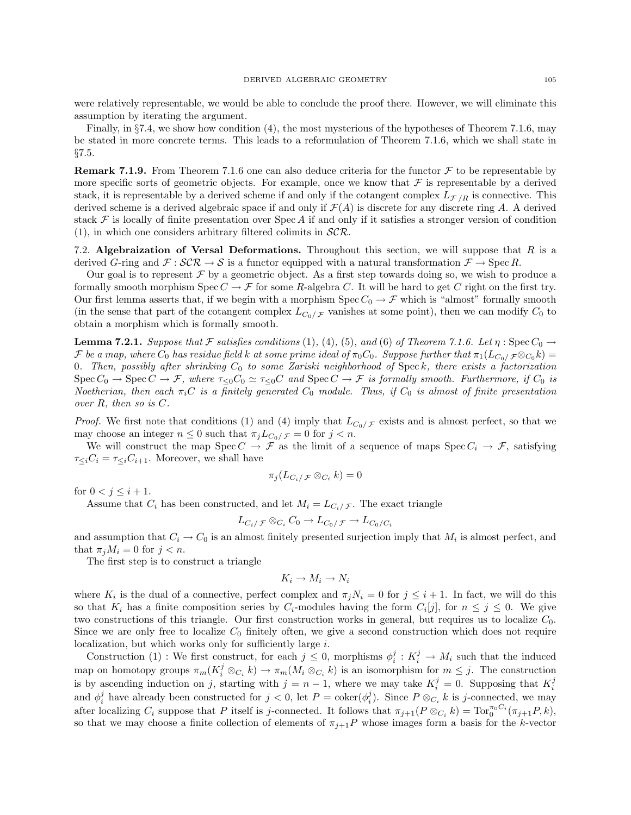were relatively representable, we would be able to conclude the proof there. However, we will eliminate this assumption by iterating the argument.

Finally, in §7.4, we show how condition (4), the most mysterious of the hypotheses of Theorem 7.1.6, may be stated in more concrete terms. This leads to a reformulation of Theorem 7.1.6, which we shall state in §7.5.

**Remark 7.1.9.** From Theorem 7.1.6 one can also deduce criteria for the functor  $\mathcal F$  to be representable by more specific sorts of geometric objects. For example, once we know that  $\mathcal F$  is representable by a derived stack, it is representable by a derived scheme if and only if the cotangent complex  $L_{\mathcal{F}/R}$  is connective. This derived scheme is a derived algebraic space if and only if  $\mathcal{F}(A)$  is discrete for any discrete ring A. A derived stack  $\mathcal F$  is locally of finite presentation over Spec A if and only if it satisfies a stronger version of condition  $(1)$ , in which one considers arbitrary filtered colimits in  $\mathcal{SCR}$ .

7.2. Algebraization of Versal Deformations. Throughout this section, we will suppose that  $R$  is a derived G-ring and  $\mathcal{F} : \mathcal{SCR} \to \mathcal{S}$  is a functor equipped with a natural transformation  $\mathcal{F} \to \text{Spec } R$ .

Our goal is to represent  $\mathcal F$  by a geometric object. As a first step towards doing so, we wish to produce a formally smooth morphism  $Spec C \to \mathcal{F}$  for some R-algebra C. It will be hard to get C right on the first try. Our first lemma asserts that, if we begin with a morphism  $Spec C_0 \to \mathcal{F}$  which is "almost" formally smooth (in the sense that part of the cotangent complex  $L_{C_0/\mathcal{F}}$  vanishes at some point), then we can modify  $C_0$  to obtain a morphism which is formally smooth.

**Lemma 7.2.1.** Suppose that F satisfies conditions (1), (4), (5), and (6) of Theorem 7.1.6. Let  $\eta$ : Spec  $C_0 \rightarrow$ F be a map, where  $C_0$  has residue field k at some prime ideal of  $\pi_0C_0$ . Suppose further that  $\pi_1(L_{C_0}/\mathcal{F} \otimes_{C_0} k)$ 0. Then, possibly after shrinking  $C_0$  to some Zariski neighborhood of Speck, there exists a factorization  $Spec C_0 \to Spec C \to \mathcal{F}$ , where  $\tau_{\leq 0}C_0 \simeq \tau_{\leq 0}C$  and  $Spec C \to \mathcal{F}$  is formally smooth. Furthermore, if  $C_0$  is Noetherian, then each  $\pi_i$ C is a finitely generated  $C_0$  module. Thus, if  $C_0$  is almost of finite presentation over R, then so is C.

*Proof.* We first note that conditions (1) and (4) imply that  $L_{C_0/F}$  exists and is almost perfect, so that we may choose an integer  $n \leq 0$  such that  $\pi_j L_{C_0/\mathcal{F}} = 0$  for  $j < n$ .

We will construct the map  $Spec C \to \mathcal{F}$  as the limit of a sequence of maps  $Spec C_i \to \mathcal{F}$ , satisfying  $\tau_{\leq i}C_i = \tau_{\leq i}C_{i+1}$ . Moreover, we shall have

$$
\pi_j(L_{C_i/\mathcal{F}} \otimes_{C_i} k) = 0
$$

for  $0 < j \leq i + 1$ .

Assume that  $C_i$  has been constructed, and let  $M_i = L_{C_i/\mathcal{F}}$ . The exact triangle

$$
L_{C_i/\mathcal{F}} \otimes_{C_i} C_0 \to L_{C_0/\mathcal{F}} \to L_{C_0/C_i}
$$

and assumption that  $C_i \to C_0$  is an almost finitely presented surjection imply that  $M_i$  is almost perfect, and that  $\pi_j M_i = 0$  for  $j < n$ .

The first step is to construct a triangle

$$
K_i \to M_i \to N_i
$$

where  $K_i$  is the dual of a connective, perfect complex and  $\pi_j N_i = 0$  for  $j \leq i + 1$ . In fact, we will do this so that  $K_i$  has a finite composition series by  $C_i$ -modules having the form  $C_i[j]$ , for  $n \leq j \leq 0$ . We give two constructions of this triangle. Our first construction works in general, but requires us to localize  $C_0$ . Since we are only free to localize  $C_0$  finitely often, we give a second construction which does not require localization, but which works only for sufficiently large  $i$ .

Construction (1): We first construct, for each  $j \leq 0$ , morphisms  $\phi_i^j : K_i^j \to M_i$  such that the induced map on homotopy groups  $\pi_m(K_i^j \otimes_{C_i} k) \to \pi_m(M_i \otimes_{C_i} k)$  is an isomorphism for  $m \leq j$ . The construction is by ascending induction on j, starting with  $j = n - 1$ , where we may take  $K_i^j = 0$ . Supposing that  $K_i^j$ and  $\phi_i^j$  have already been constructed for  $j < 0$ , let  $P = \text{coker}(\phi_i^j)$ . Since  $P \otimes_{C_i} k$  is j-connected, we may after localizing  $C_i$  suppose that P itself is j-connected. It follows that  $\pi_{j+1}(P \otimes_{C_i} k) = \text{Tor}_0^{\pi_0 C_i}(\pi_{j+1}P, k)$ , so that we may choose a finite collection of elements of  $\pi_{j+1}P$  whose images form a basis for the k-vector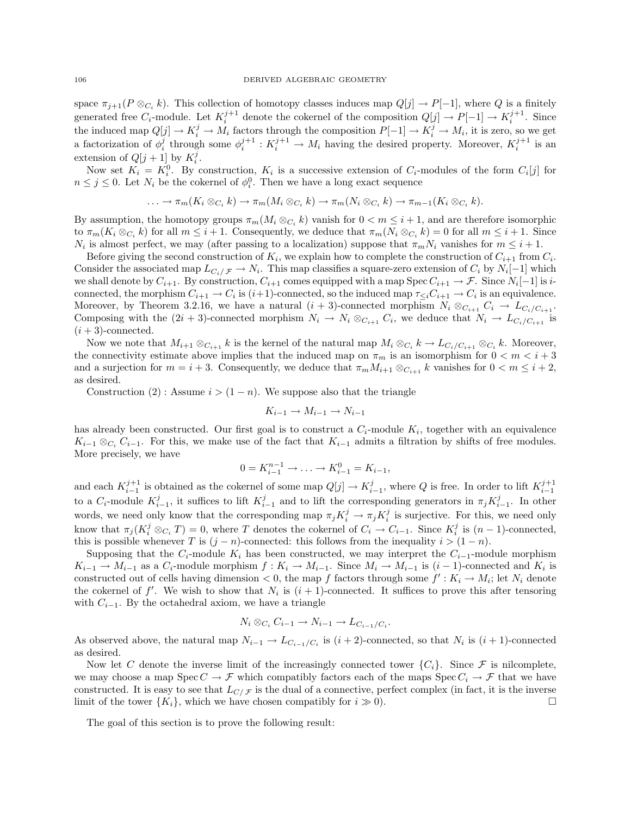space  $\pi_{j+1}(P \otimes_{C_i} k)$ . This collection of homotopy classes induces map  $Q[j] \to P[-1]$ , where Q is a finitely generated free  $C_i$ -module. Let  $K_i^{j+1}$  denote the cokernel of the composition  $Q[j] \to P[-1] \to K_i^{j+1}$ . Since the induced map  $Q[j] \to K_i^j \to M_i$  factors through the composition  $P[-1] \to K_i^j \to M_i$ , it is zero, so we get a factorization of  $\phi_i^j$  through some  $\phi_i^{j+1}: K_i^{j+1} \to M_i$  having the desired property. Moreover,  $K_i^{j+1}$  is an extension of  $Q[j+1]$  by  $K_i^j$ .

Now set  $K_i = K_i^0$ . By construction,  $K_i$  is a successive extension of  $C_i$ -modules of the form  $C_i[j]$  for  $n \leq j \leq 0$ . Let  $N_i$  be the cokernel of  $\phi_i^0$ . Then we have a long exact sequence

$$
\ldots \to \pi_m(K_i \otimes_{C_i} k) \to \pi_m(M_i \otimes_{C_i} k) \to \pi_m(N_i \otimes_{C_i} k) \to \pi_{m-1}(K_i \otimes_{C_i} k).
$$

By assumption, the homotopy groups  $\pi_m(M_i \otimes_{C_i} k)$  vanish for  $0 < m \leq i + 1$ , and are therefore isomorphic to  $\pi_m(K_i \otimes_{C_i} k)$  for all  $m \leq i+1$ . Consequently, we deduce that  $\pi_m(N_i \otimes_{C_i} k) = 0$  for all  $m \leq i+1$ . Since  $N_i$  is almost perfect, we may (after passing to a localization) suppose that  $\pi_m N_i$  vanishes for  $m \leq i + 1$ .

Before giving the second construction of  $K_i$ , we explain how to complete the construction of  $C_{i+1}$  from  $C_i$ . Consider the associated map  $L_{C_i/\mathcal{F}} \to N_i$ . This map classifies a square-zero extension of  $C_i$  by  $N_i[-1]$  which we shall denote by  $C_{i+1}$ . By construction,  $C_{i+1}$  comes equipped with a map  $\text{Spec } C_{i+1} \to \mathcal{F}$ . Since  $N_i[-1]$  is  $i$ connected, the morphism  $C_{i+1} \to C_i$  is  $(i+1)$ -connected, so the induced map  $\tau_{\leq i} C_{i+1} \to C_i$  is an equivalence. Moreover, by Theorem 3.2.16, we have a natural  $(i + 3)$ -connected morphism  $N_i \otimes_{C_{i+1}} C_i \to L_{C_i/C_{i+1}}$ . Composing with the  $(2i + 3)$ -connected morphism  $N_i \to N_i \otimes_{C_{i+1}} C_i$ , we deduce that  $N_i \to L_{C_i/C_{i+1}}$  is  $(i+3)$ -connected.

Now we note that  $M_{i+1}\otimes_{C_{i+1}}k$  is the kernel of the natural map  $M_i\otimes_{C_i}k\to L_{C_i/C_{i+1}}\otimes_{C_i}k$ . Moreover, the connectivity estimate above implies that the induced map on  $\pi_m$  is an isomorphism for  $0 < m < i + 3$ and a surjection for  $m = i + 3$ . Consequently, we deduce that  $\pi_m M_{i+1} \otimes_{C_{i+1}} k$  vanishes for  $0 < m \leq i+2$ , as desired.

Construction (2) : Assume  $i > (1 - n)$ . We suppose also that the triangle

$$
K_{i-1} \to M_{i-1} \to N_{i-1}
$$

has already been constructed. Our first goal is to construct a  $C_i$ -module  $K_i$ , together with an equivalence  $K_{i-1} \otimes_{C_i} C_{i-1}$ . For this, we make use of the fact that  $K_{i-1}$  admits a filtration by shifts of free modules. More precisely, we have

$$
0 = K_{i-1}^{n-1} \to \ldots \to K_{i-1}^0 = K_{i-1},
$$

and each  $K_{i-1}^{j+1}$  is obtained as the cokernel of some map  $Q[j] \to K_{i-1}^j$ , where Q is free. In order to lift  $K_{i-1}^{j+1}$ to a  $C_i$ -module  $K_{i-1}^j$ , it suffices to lift  $K_{i-1}^j$  and to lift the corresponding generators in  $\pi_j K_{i-1}^j$ . In other words, we need only know that the corresponding map  $\pi_j K_i^j \to \pi_j K_i^j$  is surjective. For this, we need only know that  $\pi_j(K_i^j \otimes_{C_i} T) = 0$ , where T denotes the cokernel of  $C_i \to C_{i-1}$ . Since  $K_i^j$  is  $(n-1)$ -connected, this is possible whenever T is  $(j - n)$ -connected: this follows from the inequality  $i > (1 - n)$ .

Supposing that the  $C_i$ -module  $K_i$  has been constructed, we may interpret the  $C_{i-1}$ -module morphism  $K_{i-1} \to M_{i-1}$  as a  $C_i$ -module morphism  $f: K_i \to M_{i-1}$ . Since  $M_i \to M_{i-1}$  is  $(i-1)$ -connected and  $K_i$  is constructed out of cells having dimension  $< 0$ , the map f factors through some  $f' : K_i \to M_i$ ; let  $N_i$  denote the cokernel of  $f'$ . We wish to show that  $N_i$  is  $(i + 1)$ -connected. It suffices to prove this after tensoring with  $C_{i-1}$ . By the octahedral axiom, we have a triangle

$$
N_i \otimes_{C_i} C_{i-1} \to N_{i-1} \to L_{C_{i-1}/C_i}.
$$

As observed above, the natural map  $N_{i-1} \to L_{C_{i-1}/C_i}$  is  $(i+2)$ -connected, so that  $N_i$  is  $(i+1)$ -connected as desired.

Now let C denote the inverse limit of the increasingly connected tower  ${C_i}$ . Since F is nilcomplete, we may choose a map  $Spec C \to \mathcal{F}$  which compatibly factors each of the maps  $Spec C_i \to \mathcal{F}$  that we have constructed. It is easy to see that  $L_{C/\mathcal{F}}$  is the dual of a connective, perfect complex (in fact, it is the inverse limit of the tower  $\{K_i\}$ , which we have chosen compatibly for  $i \gg 0$ .

The goal of this section is to prove the following result: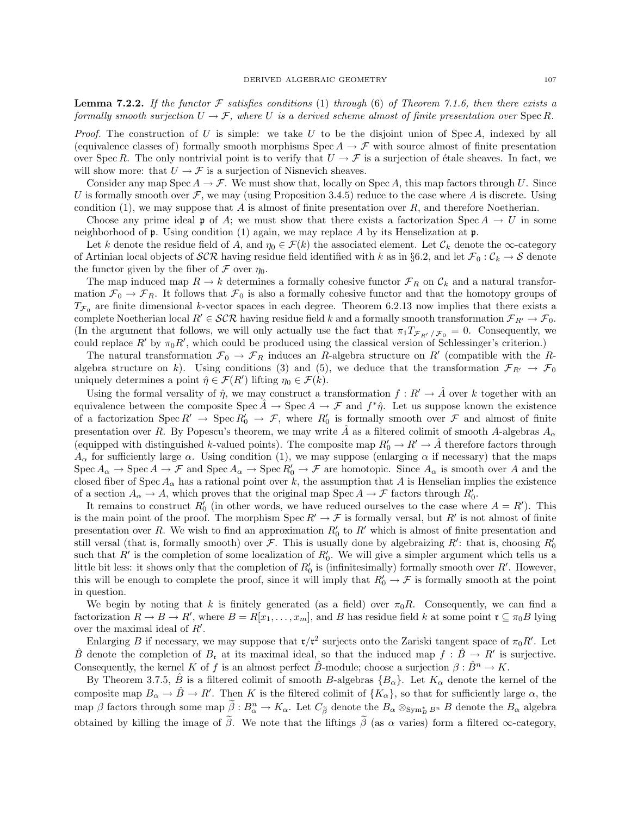**Lemma 7.2.2.** If the functor  $\mathcal F$  satisfies conditions (1) through (6) of Theorem 7.1.6, then there exists a formally smooth surjection  $U \to \mathcal{F}$ , where U is a derived scheme almost of finite presentation over Spec R.

*Proof.* The construction of U is simple: we take U to be the disjoint union of Spec A, indexed by all (equivalence classes of) formally smooth morphisms  $Spec A \to \mathcal{F}$  with source almost of finite presentation over Spec R. The only nontrivial point is to verify that  $U \to \mathcal{F}$  is a surjection of étale sheaves. In fact, we will show more: that  $U \rightarrow \mathcal{F}$  is a surjection of Nisnevich sheaves.

Consider any map Spec  $A \to \mathcal{F}$ . We must show that, locally on Spec A, this map factors through U. Since U is formally smooth over  $\mathcal F$ , we may (using Proposition 3.4.5) reduce to the case where A is discrete. Using condition (1), we may suppose that A is almost of finite presentation over  $R$ , and therefore Noetherian.

Choose any prime ideal p of A; we must show that there exists a factorization  $Spec A \rightarrow U$  in some neighborhood of  $\mathfrak p$ . Using condition (1) again, we may replace A by its Henselization at  $\mathfrak p$ .

Let k denote the residue field of A, and  $\eta_0 \in \mathcal{F}(k)$  the associated element. Let  $\mathcal{C}_k$  denote the  $\infty$ -category of Artinian local objects of  $\mathcal{SCR}$  having residue field identified with k as in §6.2, and let  $\mathcal{F}_0 : \mathcal{C}_k \to \mathcal{S}$  denote the functor given by the fiber of  $\mathcal F$  over  $\eta_0$ .

The map induced map  $R \to k$  determines a formally cohesive functor  $\mathcal{F}_R$  on  $\mathcal{C}_k$  and a natural transformation  $\mathcal{F}_0 \to \mathcal{F}_R$ . It follows that  $\mathcal{F}_0$  is also a formally cohesive functor and that the homotopy groups of  $T_{\mathcal{F}_0}$  are finite dimensional k-vector spaces in each degree. Theorem 6.2.13 now implies that there exists a complete Noetherian local  $R' \in \mathcal{SCR}$  having residue field k and a formally smooth transformation  $\mathcal{F}_{R'} \to \mathcal{F}_0$ . (In the argument that follows, we will only actually use the fact that  $\pi_1 T_{\mathcal{F}_{R'}/\mathcal{F}_0} = 0$ . Consequently, we could replace R' by  $\pi_0 R'$ , which could be produced using the classical version of Schlessinger's criterion.)

The natural transformation  $\mathcal{F}_0 \to \mathcal{F}_R$  induces an R-algebra structure on R' (compatible with the Ralgebra structure on k). Using conditions (3) and (5), we deduce that the transformation  $\mathcal{F}_{R'} \to \mathcal{F}_0$ uniquely determines a point  $\hat{\eta} \in \mathcal{F}(R')$  lifting  $\eta_0 \in \mathcal{F}(k)$ .

Using the formal versality of  $\hat{\eta}$ , we may construct a transformation  $f: R' \to \hat{A}$  over k together with an equivalence between the composite  $\text{Spec } \hat{A} \to \text{Spec } A \to \mathcal{F}$  and  $f^*\hat{\eta}$ . Let us suppose known the existence of a factorization  $Spec R' \to Spec R'_0 \to \mathcal{F}$ , where  $R'_0$  is formally smooth over  $\mathcal F$  and almost of finite presentation over R. By Popescu's theorem, we may write A as a filtered colimit of smooth A-algebras  $A_{\alpha}$ (equipped with distinguished k-valued points). The composite map  $R'_0 \to R' \to \hat{A}$  therefore factors through  $A_{\alpha}$  for sufficiently large  $\alpha$ . Using condition (1), we may suppose (enlarging  $\alpha$  if necessary) that the maps  $Spec A_{\alpha} \to Spec A \to \mathcal{F}$  and  $Spec A_{\alpha} \to Spec R'_{0} \to \mathcal{F}$  are homotopic. Since  $A_{\alpha}$  is smooth over A and the closed fiber of Spec  $A_{\alpha}$  has a rational point over k, the assumption that A is Henselian implies the existence of a section  $A_{\alpha} \to A$ , which proves that the original map Spec  $A \to \mathcal{F}$  factors through  $R'_0$ .

It remains to construct  $R'_0$  (in other words, we have reduced ourselves to the case where  $A = R'$ ). This is the main point of the proof. The morphism  $Spec R' \to \mathcal{F}$  is formally versal, but R' is not almost of finite presentation over R. We wish to find an approximation  $R'_0$  to R' which is almost of finite presentation and still versal (that is, formally smooth) over  $\mathcal F$ . This is usually done by algebraizing  $R'$ : that is, choosing  $R'_0$ such that  $R'$  is the completion of some localization of  $R'_0$ . We will give a simpler argument which tells us a little bit less: it shows only that the completion of  $R'_0$  is (infinitesimally) formally smooth over  $R'$ . However, this will be enough to complete the proof, since it will imply that  $R'_0 \to \mathcal{F}$  is formally smooth at the point in question.

We begin by noting that k is finitely generated (as a field) over  $\pi_0R$ . Consequently, we can find a factorization  $R \to B \to R'$ , where  $B = R[x_1, \ldots, x_m]$ , and B has residue field k at some point  $\mathfrak{r} \subseteq \pi_0 B$  lying over the maximal ideal of  $R'$ .

Enlarging B if necessary, we may suppose that  $\mathfrak{r}/\mathfrak{r}^2$  surjects onto the Zariski tangent space of  $\pi_0 R'$ . Let  $\hat{B}$  denote the completion of  $B_r$  at its maximal ideal, so that the induced map  $f : \hat{B} \to R'$  is surjective. Consequently, the kernel K of f is an almost perfect  $\hat{B}$ -module; choose a surjection  $\beta : \hat{B}^n \to K$ .

By Theorem 3.7.5, B<sup> $\dot{B}$ </sup> is a filtered colimit of smooth B-algebras  $\{B_{\alpha}\}\.$  Let  $K_{\alpha}$  denote the kernel of the composite map  $B_{\alpha} \to \hat{B} \to R'$ . Then K is the filtered colimit of  $\{K_{\alpha}\}\$ , so that for sufficiently large  $\alpha$ , the map  $\beta$  factors through some map  $\tilde{\beta}: B_{\alpha}^n \to K_{\alpha}$ . Let  $C_{\tilde{\beta}}$  denote the  $B_{\alpha} \otimes_{\text{Sym}_{B}^{*} B^{n}} B$  denote the  $B_{\alpha}$  algebra obtained by killing the image of  $\tilde{\beta}$ . We note that the liftings  $\tilde{\beta}$  (as  $\alpha$  varies) form a filtered  $\infty$ -category,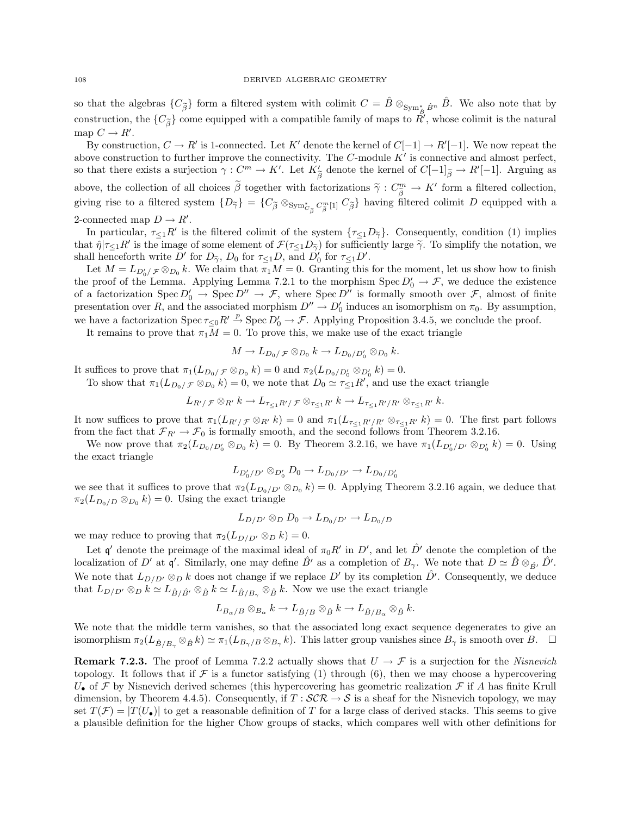so that the algebras  $\{C_{\tilde{\beta}}\}$  form a filtered system with colimit  $C = \hat{B} \otimes_{\text{Sym}_{\hat{B}}^*} \hat{B}$ <sup>n</sup>. We also note that by construction, the  $\{C_{\tilde{\beta}}\}$  come equipped with a compatible family of maps to  $\tilde{R}$ , whose colimit is the natural map  $C \to R'$ .

By construction,  $C \to R'$  is 1-connected. Let K' denote the kernel of  $C[-1] \to R'[-1]$ . We now repeat the above construction to further improve the connectivity. The  $C$ -module  $K'$  is connective and almost perfect, so that there exists a surjection  $\gamma: C^m \to K'$ . Let  $K'_{\tilde{\beta}}$  denote the kernel of  $C[-1]_{\tilde{\beta}} \to R'[-1]$ . Arguing as above, the collection of all choices  $\tilde{\beta}$  together with factorizations  $\tilde{\gamma}: C^m_{\tilde{\beta}} \to K'$  form a filtered collection, giving rise to a filtered system  $\{D_{\tilde{\gamma}}\} = \{C_{\tilde{\beta}} \otimes_{\text{Sym}^*_{C_{\tilde{\beta}}} C_{\tilde{\beta}}^m[1]} C_{\tilde{\beta}}\}$  having filtered colimit D equipped with a 2-connected map  $D \to R'$ .

In particular,  $\tau \leq 1R'$  is the filtered colimit of the system  $\{\tau \leq 1D_{\tilde{\gamma}}\}$ . Consequently, condition (1) implies that  $\hat{\eta}|\tau_{\leq 1}R'$  is the image of some element of  $\mathcal{F}(\tau_{\leq 1}D_{\tilde{\gamma}})$  for sufficiently large  $\tilde{\gamma}$ . To simplify the notation, we shall honogroth write  $D'$  for  $D_{\tilde{\gamma}}$  for  $\tau_{\tilde{\gamma}}$  and  $D'$  for  $\tau_{\$ shall henceforth write  $D'$  for  $D_{\tilde{\gamma}}$ ,  $D_0$  for  $\tau \leq_1 D$ , and  $D'_0$  for  $\tau \leq_1 D'$ .

Let  $M = L_{D'_0/\mathcal{F}} \otimes_{D_0} k$ . We claim that  $\pi_1 M = 0$ . Granting this for the moment, let us show how to finish the proof of the Lemma. Applying Lemma 7.2.1 to the morphism  $Spec D'_0 \to \mathcal{F}$ , we deduce the existence of a factorization  $Spec D'_{0} \to Spec D'' \to \mathcal{F}$ , where  $Spec D''$  is formally smooth over  $\mathcal{F}$ , almost of finite presentation over R, and the associated morphism  $D'' \to D'_0$  induces an isomorphism on  $\pi_0$ . By assumption, we have a factorization Spec  $\tau \leq 0$   $R' \stackrel{p}{\to}$  Spec  $D'_0 \to \mathcal{F}$ . Applying Proposition 3.4.5, we conclude the proof.

It remains to prove that  $\pi_1 M = 0$ . To prove this, we make use of the exact triangle

$$
M \to L_{D_0/\mathcal{F}} \otimes_{D_0} k \to L_{D_0/D'_0} \otimes_{D_0} k.
$$

It suffices to prove that  $\pi_1(L_{D_0}/\mathcal{F} \otimes_{D_0} k) = 0$  and  $\pi_2(L_{D_0/D'_0} \otimes_{D'_0} k) = 0$ .

To show that  $\pi_1(L_{D_0}/\mathcal{F} \otimes_{D_0} k) = 0$ , we note that  $D_0 \simeq \tau_{\leq 1} R'$ , and use the exact triangle

$$
L_{R'/\mathcal{F}} \otimes_{R'} k \to L_{\tau_{\leq 1}R'/\mathcal{F}} \otimes_{\tau_{\leq 1}R'} k \to L_{\tau_{\leq 1}R'/R'} \otimes_{\tau_{\leq 1}R'} k.
$$

It now suffices to prove that  $\pi_1(L_{R'/\mathcal{F}} \otimes_{R'} k) = 0$  and  $\pi_1(L_{\tau\leq 1R'/R'} \otimes_{\tau\leq 1R'} k) = 0$ . The first part follows from the fact that  $\mathcal{F}_{R'} \to \mathcal{F}_0$  is formally smooth, and the second follows from Theorem 3.2.16.

We now prove that  $\pi_2(L_{D_0/D_0'} \otimes_{D_0} k) = 0$ . By Theorem 3.2.16, we have  $\pi_1(L_{D_0/D'} \otimes_{D_0'} k) = 0$ . Using the exact triangle

$$
L_{D'_0/D'} \otimes_{D'_0} D_0 \to L_{D_0/D'} \to L_{D_0/D'_0}
$$

we see that it suffices to prove that  $\pi_2(L_{D_0/D'} \otimes_{D_0} k) = 0$ . Applying Theorem 3.2.16 again, we deduce that  $\pi_2(L_{D_0/D} \otimes_{D_0} k) = 0$ . Using the exact triangle

$$
L_{D/D'} \otimes_D D_0 \to L_{D_0/D'} \to L_{D_0/D}
$$

we may reduce to proving that  $\pi_2(L_{D/D'} \otimes_D k) = 0$ .

Let q' denote the preimage of the maximal ideal of  $\pi_0 R'$  in D', and let  $\hat{D}'$  denote the completion of the localization of D' at q'. Similarly, one may define  $\hat{B}'$  as a completion of  $B_{\gamma}$ . We note that  $D \simeq \hat{B} \otimes_{\hat{B}'} \hat{D}'$ . We note that  $L_{D/D'} \otimes_D k$  does not change if we replace D' by its completion  $\hat{D'}$ . Consequently, we deduce that  $L_{D/D'} \otimes_D k \simeq L_{\hat{B}/\hat{B'}} \otimes_{\hat{B}} k \simeq L_{\hat{B}/B_{\gamma}} \otimes_{\hat{B}} k$ . Now we use the exact triangle

$$
L_{B_{\alpha}/B}\otimes_{B_{\alpha}}k \to L_{\hat{B}/B}\otimes_{\hat{B}}k \to L_{\hat{B}/B_{\alpha}}\otimes_{\hat{B}}k.
$$

We note that the middle term vanishes, so that the associated long exact sequence degenerates to give an isomorphism  $\pi_2(L_{\hat{B}/B_\gamma} \otimes_{\hat{B}} k) \simeq \pi_1(L_{B_\gamma/B} \otimes_{B_\gamma} k)$ . This latter group vanishes since  $B_\gamma$  is smooth over  $B$ .  $\Box$ 

**Remark 7.2.3.** The proof of Lemma 7.2.2 actually shows that  $U \rightarrow \mathcal{F}$  is a surjection for the *Nisnevich* topology. It follows that if  $\mathcal F$  is a functor satisfying (1) through (6), then we may choose a hypercovering  $U_{\bullet}$  of  $\mathcal F$  by Nisnevich derived schemes (this hypercovering has geometric realization  $\mathcal F$  if A has finite Krull dimension, by Theorem 4.4.5). Consequently, if  $T : \mathcal{SCR} \to \mathcal{S}$  is a sheaf for the Nisnevich topology, we may set  $T(\mathcal{F}) = |T(U_{\bullet})|$  to get a reasonable definition of T for a large class of derived stacks. This seems to give a plausible definition for the higher Chow groups of stacks, which compares well with other definitions for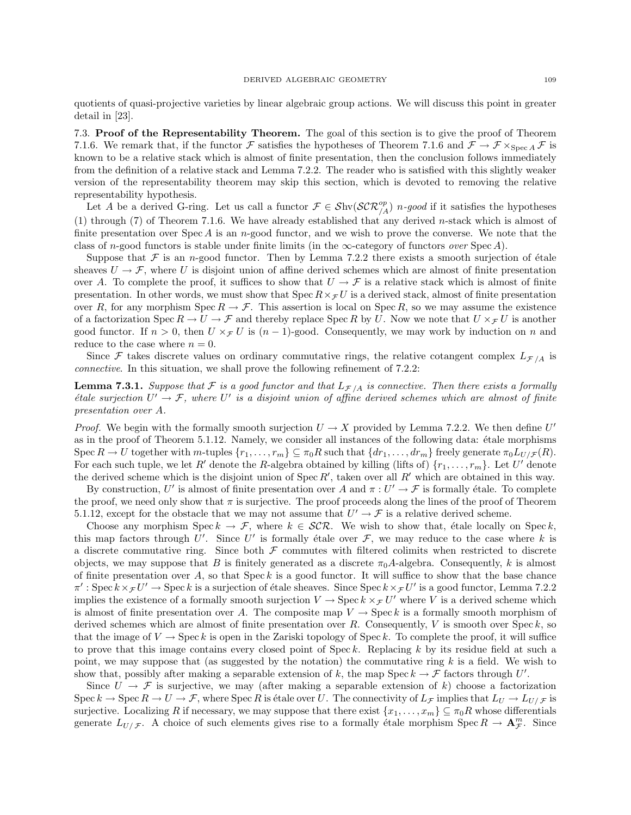quotients of quasi-projective varieties by linear algebraic group actions. We will discuss this point in greater detail in [23].

7.3. Proof of the Representability Theorem. The goal of this section is to give the proof of Theorem 7.1.6. We remark that, if the functor F satisfies the hypotheses of Theorem 7.1.6 and  $\mathcal{F} \to \mathcal{F} \times_{\text{Spec } A} \mathcal{F}$  is known to be a relative stack which is almost of finite presentation, then the conclusion follows immediately from the definition of a relative stack and Lemma 7.2.2. The reader who is satisfied with this slightly weaker version of the representability theorem may skip this section, which is devoted to removing the relative representability hypothesis.

Let A be a derived G-ring. Let us call a functor  $\mathcal{F} \in \mathcal{S}\text{hv}(\mathcal{SCR}_{/A}^{op})$  n-good if it satisfies the hypotheses (1) through (7) of Theorem 7.1.6. We have already established that any derived n-stack which is almost of finite presentation over  $Spec A$  is an n-good functor, and we wish to prove the converse. We note that the class of n-good functors is stable under finite limits (in the  $\infty$ -category of functors *over* Spec A).

Suppose that F is an n-good functor. Then by Lemma 7.2.2 there exists a smooth surjection of étale sheaves  $U \to \mathcal{F}$ , where U is disjoint union of affine derived schemes which are almost of finite presentation over A. To complete the proof, it suffices to show that  $U \to \mathcal{F}$  is a relative stack which is almost of finite presentation. In other words, we must show that Spec  $R \times \tau U$  is a derived stack, almost of finite presentation over R, for any morphism  $\text{Spec } R \to \mathcal{F}$ . This assertion is local on  $\text{Spec } R$ , so we may assume the existence of a factorization Spec  $R \to U \to \mathcal{F}$  and thereby replace Spec R by U. Now we note that  $U \times_{\mathcal{F}} U$  is another good functor. If  $n > 0$ , then  $U \times_{\mathcal{F}} U$  is  $(n - 1)$ -good. Consequently, we may work by induction on n and reduce to the case where  $n = 0$ .

Since F takes discrete values on ordinary commutative rings, the relative cotangent complex  $L_{\mathcal{F}/A}$  is connective. In this situation, we shall prove the following refinement of 7.2.2:

**Lemma 7.3.1.** Suppose that  $F$  is a good functor and that  $L_{F/A}$  is connective. Then there exists a formally étale surjection  $U' \to \mathcal{F}$ , where U' is a disjoint union of affine derived schemes which are almost of finite presentation over A.

*Proof.* We begin with the formally smooth surjection  $U \to X$  provided by Lemma 7.2.2. We then define  $U'$ as in the proof of Theorem 5.1.12. Namely, we consider all instances of the following data: étale morphisms Spec  $R \to U$  together with m-tuples  $\{r_1, \ldots, r_m\} \subseteq \pi_0 R$  such that  $\{dr_1, \ldots, dr_m\}$  freely generate  $\pi_0 L_{U/F}(R)$ . For each such tuple, we let R' denote the R-algebra obtained by killing (lifts of)  $\{r_1, \ldots, r_m\}$ . Let U' denote the derived scheme which is the disjoint union of  $Spec R'$ , taken over all  $R'$  which are obtained in this way.

By construction, U' is almost of finite presentation over A and  $\pi: U' \to \mathcal{F}$  is formally étale. To complete the proof, we need only show that  $\pi$  is surjective. The proof proceeds along the lines of the proof of Theorem 5.1.12, except for the obstacle that we may not assume that  $U' \rightarrow \mathcal{F}$  is a relative derived scheme.

Choose any morphism Spec  $k \to \mathcal{F}$ , where  $k \in \mathcal{SCR}$ . We wish to show that, étale locally on Spec k, this map factors through U'. Since U' is formally étale over  $\mathcal{F}$ , we may reduce to the case where k is a discrete commutative ring. Since both  $\mathcal F$  commutes with filtered colimits when restricted to discrete objects, we may suppose that B is finitely generated as a discrete  $\pi_0 A$ -algebra. Consequently, k is almost of finite presentation over A, so that  $\text{Spec } k$  is a good functor. It will suffice to show that the base chance  $\pi': \operatorname{Spec} k \times_{\mathcal{F}} U' \to \operatorname{Spec} k$  is a surjection of étale sheaves. Since  $\operatorname{Spec} k \times_{\mathcal{F}} U'$  is a good functor, Lemma 7.2.2 implies the existence of a formally smooth surjection  $V \to \text{Spec } k \times_{\mathcal{F}} U'$  where V is a derived scheme which is almost of finite presentation over A. The composite map  $V \to \text{Spec } k$  is a formally smooth morphism of derived schemes which are almost of finite presentation over  $R$ . Consequently,  $V$  is smooth over  $\text{Spec } k$ , so that the image of  $V \to \text{Spec } k$  is open in the Zariski topology of Spec k. To complete the proof, it will suffice to prove that this image contains every closed point of  $Spec k$ . Replacing k by its residue field at such a point, we may suppose that (as suggested by the notation) the commutative ring  $k$  is a field. We wish to show that, possibly after making a separable extension of k, the map Spec  $k \to \mathcal{F}$  factors through U'.

Since  $U \to \mathcal{F}$  is surjective, we may (after making a separable extension of k) choose a factorization Spec  $k \to \text{Spec } R \to U \to \mathcal{F}$ , where Spec R is étale over U. The connectivity of  $L_{\mathcal{F}}$  implies that  $L_U \to L_{U/\mathcal{F}}$  is surjective. Localizing R if necessary, we may suppose that there exist  $\{x_1, \ldots, x_m\} \subseteq \pi_0R$  whose differentials generate  $L_{U/F}$ . A choice of such elements gives rise to a formally étale morphism Spec  $R \to \mathbf{A}_{\mathcal{F}}^m$ . Since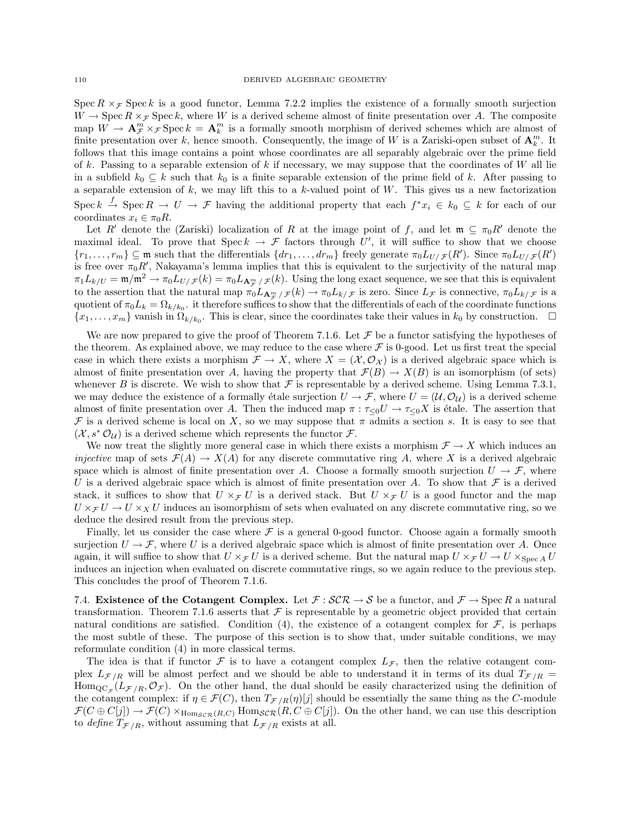Spec R  $\times$  F Spec k is a good functor, Lemma 7.2.2 implies the existence of a formally smooth surjection  $W \to \text{Spec } R \times_{\mathcal{F}} \text{Spec } k$ , where W is a derived scheme almost of finite presentation over A. The composite map  $W \to \mathbf{A}_{\mathcal{F}}^{m} \times_{\mathcal{F}} \text{Spec } k = \mathbf{A}_{k}^{m}$  is a formally smooth morphism of derived schemes which are almost of finite presentation over k, hence smooth. Consequently, the image of W is a Zariski-open subset of  $\mathbf{A}_k^m$ . It follows that this image contains a point whose coordinates are all separably algebraic over the prime field of k. Passing to a separable extension of k if necessary, we may suppose that the coordinates of W all lie in a subfield  $k_0 \subseteq k$  such that  $k_0$  is a finite separable extension of the prime field of k. After passing to a separable extension of  $k$ , we may lift this to a  $k$ -valued point of  $W$ . This gives us a new factorization Spec  $k \stackrel{f}{\to}$  Spec  $R \to U \to \mathcal{F}$  having the additional property that each  $f^*x_i \in k_0 \subseteq k$  for each of our coordinates  $x_i \in \pi_0 R$ .

Let R' denote the (Zariski) localization of R at the image point of f, and let  $\mathfrak{m} \subseteq \pi_0R'$  denote the maximal ideal. To prove that  $\text{Spec } k \to \mathcal{F}$  factors through U', it will suffice to show that we choose  ${r_1,\ldots,r_m\}\subseteq \mathfrak{m}$  such that the differentials  ${dr_1,\ldots,dr_m}$  freely generate  $\pi_0L_{U/\mathcal{F}}(R')$ . Since  $\pi_0L_{U/\mathcal{F}}(R')$ is free over  $\pi_0 R'$ , Nakayama's lemma implies that this is equivalent to the surjectivity of the natural map  $\pi_1 L_{k/U} = \mathfrak{m}/\mathfrak{m}^2 \to \pi_0 L_{U/\mathcal{F}}(k) = \pi_0 L_{\mathbf{A}_{\mathcal{F}}^{\mathfrak{m}} / \mathcal{F}}(k)$ . Using the long exact sequence, we see that this is equivalent to the assertion that the natural map  $\pi_0 L_{\mathbf{A}_{\mathcal{F}}^m/\mathcal{F}}(k) \to \pi_0 L_{k/\mathcal{F}}$  is zero. Since  $L_{\mathcal{F}}$  is connective,  $\pi_0 L_{k/\mathcal{F}}$  is a quotient of  $\pi_0 L_k = \Omega_{k/k_0}$ . it therefore suffices to show that the differentials of each of the coordinate functions  $\{x_1,\ldots,x_m\}$  vanish in  $\Omega_{k/k_0}$ . This is clear, since the coordinates take their values in  $k_0$  by construction.  $\Box$ 

We are now prepared to give the proof of Theorem 7.1.6. Let  $\mathcal F$  be a functor satisfying the hypotheses of the theorem. As explained above, we may reduce to the case where  $\mathcal F$  is 0-good. Let us first treat the special case in which there exists a morphism  $\mathcal{F} \to X$ , where  $X = (\mathcal{X}, \mathcal{O}_{\mathcal{X}})$  is a derived algebraic space which is almost of finite presentation over A, having the property that  $\mathcal{F}(B) \to X(B)$  is an isomorphism (of sets) whenever B is discrete. We wish to show that  $\mathcal F$  is representable by a derived scheme. Using Lemma 7.3.1, we may deduce the existence of a formally étale surjection  $U \to \mathcal{F}$ , where  $U = (\mathcal{U}, \mathcal{O}_\mathcal{U})$  is a derived scheme almost of finite presentation over A. Then the induced map  $\pi : \tau_{\leq 0}U \to \tau_{\leq 0}X$  is étale. The assertion that F is a derived scheme is local on X, so we may suppose that  $\pi$  admits a section s. It is easy to see that  $(\mathcal{X}, s^* \mathcal{O}_{\mathcal{U}})$  is a derived scheme which represents the functor  $\mathcal{F}$ .

We now treat the slightly more general case in which there exists a morphism  $\mathcal{F} \to X$  which induces an injective map of sets  $\mathcal{F}(A) \to X(A)$  for any discrete commutative ring A, where X is a derived algebraic space which is almost of finite presentation over A. Choose a formally smooth surjection  $U \to \mathcal{F}$ , where U is a derived algebraic space which is almost of finite presentation over A. To show that  $\mathcal F$  is a derived stack, it suffices to show that  $U \times_{\mathcal{F}} U$  is a derived stack. But  $U \times_{\mathcal{F}} U$  is a good functor and the map  $U \times_{\mathcal{F}} U \to U \times_{X} U$  induces an isomorphism of sets when evaluated on any discrete commutative ring, so we deduce the desired result from the previous step.

Finally, let us consider the case where  $\mathcal F$  is a general 0-good functor. Choose again a formally smooth surjection  $U \to \mathcal{F}$ , where U is a derived algebraic space which is almost of finite presentation over A. Once again, it will suffice to show that  $U \times_{\mathcal{F}} U$  is a derived scheme. But the natural map  $U \times_{\mathcal{F}} U \to U \times_{\text{Spec } A} U$ induces an injection when evaluated on discrete commutative rings, so we again reduce to the previous step. This concludes the proof of Theorem 7.1.6.

7.4. Existence of the Cotangent Complex. Let  $\mathcal{F} : \mathcal{SCR} \to \mathcal{S}$  be a functor, and  $\mathcal{F} \to \text{Spec } R$  a natural transformation. Theorem 7.1.6 asserts that  $\mathcal F$  is representable by a geometric object provided that certain natural conditions are satisfied. Condition (4), the existence of a cotangent complex for  $\mathcal{F}$ , is perhaps the most subtle of these. The purpose of this section is to show that, under suitable conditions, we may reformulate condition (4) in more classical terms.

The idea is that if functor  $\mathcal F$  is to have a cotangent complex  $L_{\mathcal F}$ , then the relative cotangent complex  $L_{\mathcal{F}/R}$  will be almost perfect and we should be able to understand it in terms of its dual  $T_{\mathcal{F}/R}$  =  $\text{Hom}_{\text{QC}_{\mathcal{F}}}(L_{\mathcal{F}/R},\mathcal{O}_{\mathcal{F}})$ . On the other hand, the dual should be easily characterized using the definition of the cotangent complex: if  $\eta \in \mathcal{F}(C)$ , then  $T_{\mathcal{F}/R}(\eta)[j]$  should be essentially the same thing as the C-module  $\mathcal{F}(C \oplus C[j]) \to \mathcal{F}(C) \times_{\text{Hom}_{\mathcal{SCR}}(R,C)} \text{Hom}_{\mathcal{SCR}}(R, C \oplus C[j])$ . On the other hand, we can use this description to define  $T_{\mathcal{F}/R}$ , without assuming that  $L_{\mathcal{F}/R}$  exists at all.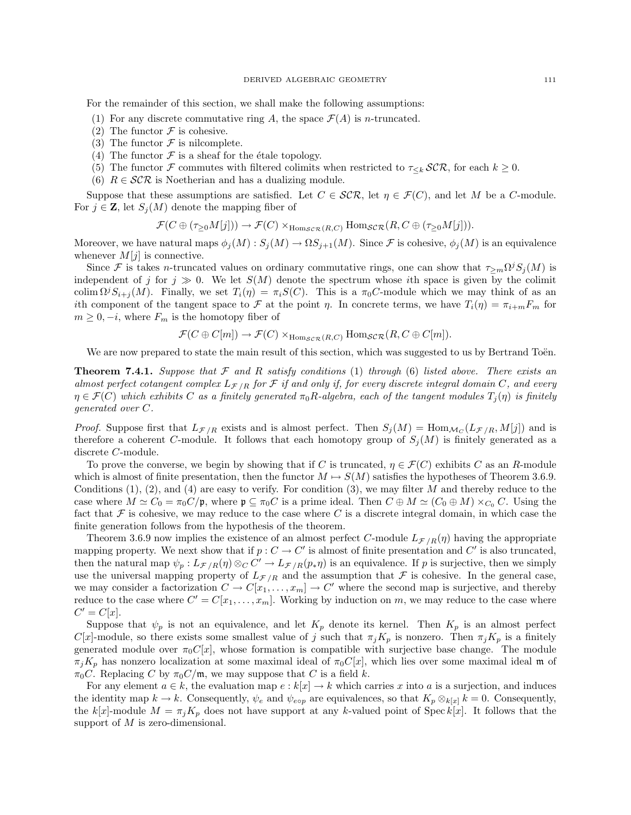For the remainder of this section, we shall make the following assumptions:

- (1) For any discrete commutative ring A, the space  $\mathcal{F}(A)$  is *n*-truncated.
- (2) The functor  $\mathcal F$  is cohesive.
- (3) The functor  $\mathcal F$  is nilcomplete.
- (4) The functor  $\mathcal F$  is a sheaf for the étale topology.
- (5) The functor F commutes with filtered colimits when restricted to  $\tau_{\leq k}$  SCR, for each  $k \geq 0$ .
- (6)  $R \in \mathcal{SCR}$  is Noetherian and has a dualizing module.

Suppose that these assumptions are satisfied. Let  $C \in \mathcal{SCR}$ , let  $\eta \in \mathcal{FC}$ , and let M be a C-module. For  $j \in \mathbf{Z}$ , let  $S_i(M)$  denote the mapping fiber of

$$
\mathcal{F}(C \oplus (\tau_{\geq 0}M[j])) \to \mathcal{F}(C) \times_{\text{Hom}_{\mathcal{SCR}}(R,C)} \text{Hom}_{\mathcal{SCR}}(R,C \oplus (\tau_{\geq 0}M[j])).
$$

Moreover, we have natural maps  $\phi_j(M)$ :  $S_j(M) \to \Omega S_{j+1}(M)$ . Since F is cohesive,  $\phi_j(M)$  is an equivalence whenever  $M[j]$  is connective.

Since F is takes n-truncated values on ordinary commutative rings, one can show that  $\tau_{\geq m} \Omega^j S_j(M)$  is independent of j for  $j \gg 0$ . We let  $S(M)$  denote the spectrum whose ith space is given by the colimit colim  $\Omega^{j}S_{i+j}(M)$ . Finally, we set  $T_{i}(\eta) = \pi_{i}S(C)$ . This is a  $\pi_{0}C$ -module which we may think of as an ith component of the tangent space to F at the point  $\eta$ . In concrete terms, we have  $T_i(\eta) = \pi_{i+m} F_m$  for  $m \geq 0, -i$ , where  $F_m$  is the homotopy fiber of

$$
\mathcal{F}(C \oplus C[m]) \to \mathcal{F}(C) \times_{\text{Hom}_{\mathcal{S}C\mathcal{R}}(R,C)} \text{Hom}_{\mathcal{S}C\mathcal{R}}(R,C \oplus C[m]).
$$

We are now prepared to state the main result of this section, which was suggested to us by Bertrand Toën.

**Theorem 7.4.1.** Suppose that  $\mathcal F$  and  $R$  satisfy conditions (1) through (6) listed above. There exists an almost perfect cotangent complex  $L_{\mathcal{F}/R}$  for  $\mathcal F$  if and only if, for every discrete integral domain C, and every  $\eta \in \mathcal{F}(C)$  which exhibits C as a finitely generated  $\pi_0 R$ -algebra, each of the tangent modules  $T_i(\eta)$  is finitely generated over C.

*Proof.* Suppose first that  $L_{\mathcal{F}/R}$  exists and is almost perfect. Then  $S_j(M) = \text{Hom}_{\mathcal{M}_C}(L_{\mathcal{F}/R}, M[j])$  and is therefore a coherent C-module. It follows that each homotopy group of  $S_i(M)$  is finitely generated as a discrete C-module.

To prove the converse, we begin by showing that if C is truncated,  $\eta \in \mathcal{F}(C)$  exhibits C as an R-module which is almost of finite presentation, then the functor  $M \mapsto S(M)$  satisfies the hypotheses of Theorem 3.6.9. Conditions  $(1), (2),$  and  $(4)$  are easy to verify. For condition  $(3),$  we may filter M and thereby reduce to the case where  $M \simeq C_0 = \pi_0 C/\mathfrak{p}$ , where  $\mathfrak{p} \subseteq \pi_0 C$  is a prime ideal. Then  $C \oplus M \simeq (C_0 \oplus M) \times_{C_0} C$ . Using the fact that  $\mathcal F$  is cohesive, we may reduce to the case where C is a discrete integral domain, in which case the finite generation follows from the hypothesis of the theorem.

Theorem 3.6.9 now implies the existence of an almost perfect C-module  $L_{\mathcal{F}/R}(\eta)$  having the appropriate mapping property. We next show that if  $p: C \to C'$  is almost of finite presentation and C' is also truncated, then the natural map  $\psi_p: L_{\mathcal{F}/R}(\eta) \otimes_C C' \to L_{\mathcal{F}/R}(p_*\eta)$  is an equivalence. If p is surjective, then we simply use the universal mapping property of  $L_{\mathcal{F}/R}$  and the assumption that  $\mathcal F$  is cohesive. In the general case, we may consider a factorization  $C \to C[x_1, \ldots, x_m] \to C'$  where the second map is surjective, and thereby reduce to the case where  $C' = C[x_1, \ldots, x_m]$ . Working by induction on m, we may reduce to the case where  $C' = C[x].$ 

Suppose that  $\psi_p$  is not an equivalence, and let  $K_p$  denote its kernel. Then  $K_p$  is an almost perfect  $C[x]$ -module, so there exists some smallest value of j such that  $\pi_j K_p$  is nonzero. Then  $\pi_j K_p$  is a finitely generated module over  $\pi_0C[x]$ , whose formation is compatible with surjective base change. The module  $\pi_j K_p$  has nonzero localization at some maximal ideal of  $\pi_0 C[x]$ , which lies over some maximal ideal m of  $\pi_0C$ . Replacing C by  $\pi_0C/\mathfrak{m}$ , we may suppose that C is a field k.

For any element  $a \in k$ , the evaluation map  $e : k[x] \to k$  which carries x into a is a surjection, and induces the identity map  $k \to k$ . Consequently,  $\psi_e$  and  $\psi_{e \circ p}$  are equivalences, so that  $K_p \otimes_{k[x]} k = 0$ . Consequently, the k[x]-module  $M = \pi_j K_p$  does not have support at any k-valued point of Spec k[x]. It follows that the support of  $M$  is zero-dimensional.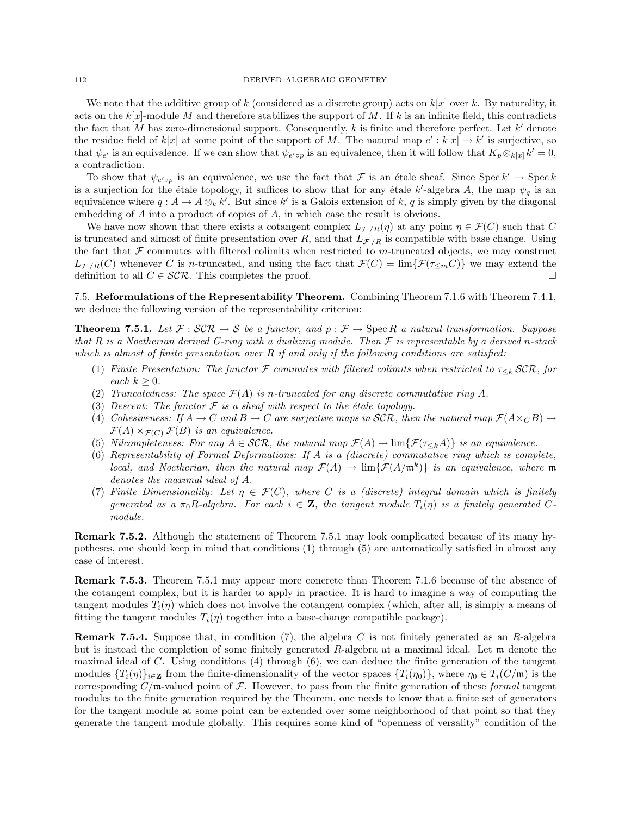We note that the additive group of k (considered as a discrete group) acts on  $k[x]$  over k. By naturality, it acts on the  $k[x]$ -module M and therefore stabilizes the support of M. If k is an infinite field, this contradicts the fact that M has zero-dimensional support. Consequently, k is finite and therefore perfect. Let  $k'$  denote the residue field of  $k[x]$  at some point of the support of M. The natural map  $e': k[x] \to k'$  is surjective, so that  $\psi_{e'}$  is an equivalence. If we can show that  $\psi_{e' \circ p}$  is an equivalence, then it will follow that  $K_p \otimes_{k[x]} k' = 0$ , a contradiction.

To show that  $\psi_{e' \circ p}$  is an equivalence, we use the fact that F is an étale sheaf. Since Spec  $k' \to \text{Spec } k$ is a surjection for the étale topology, it suffices to show that for any étale k'-algebra A, the map  $\psi_q$  is an equivalence where  $q: A \to A \otimes_k k'$ . But since  $k'$  is a Galois extension of k, q is simply given by the diagonal embedding of A into a product of copies of A, in which case the result is obvious.

We have now shown that there exists a cotangent complex  $L_{\mathcal{F}/R}(\eta)$  at any point  $\eta \in \mathcal{F}(C)$  such that C is truncated and almost of finite presentation over R, and that  $L_{\mathcal{F}/R}$  is compatible with base change. Using the fact that  $\mathcal F$  commutes with filtered colimits when restricted to m-truncated objects, we may construct  $L_{\mathcal{F}/R}(C)$  whenever C is n-truncated, and using the fact that  $\mathcal{F}(C) = \lim{\{\mathcal{F}(\tau_{\leq m}C)\}}$  we may extend the definition to all  $C \in \mathcal{SCR}$ . This completes the proof.

7.5. Reformulations of the Representability Theorem. Combining Theorem 7.1.6 with Theorem 7.4.1, we deduce the following version of the representability criterion:

**Theorem 7.5.1.** Let  $\mathcal{F}: \mathcal{SCR} \to \mathcal{S}$  be a functor, and  $p: \mathcal{F} \to \text{Spec } R$  a natural transformation. Suppose that R is a Noetherian derived G-ring with a dualizing module. Then  $\mathcal F$  is representable by a derived n-stack which is almost of finite presentation over  $R$  if and only if the following conditions are satisfied:

- (1) Finite Presentation: The functor F commutes with filtered colimits when restricted to  $\tau_{\leq k}$  SCR, for each  $k > 0$ .
- (2) Truncatedness: The space  $\mathcal{F}(A)$  is n-truncated for any discrete commutative ring A.
- (3) Descent: The functor  $\mathcal F$  is a sheaf with respect to the étale topology.
- (4) Cohesiveness: If  $A \to C$  and  $B \to C$  are surjective maps in  $\mathcal{SCR}$ , then the natural map  $\mathcal{F}(A \times_C B) \to C$  $\mathcal{F}(A) \times_{\mathcal{F}(C)} \mathcal{F}(B)$  is an equivalence.
- (5) Nilcompleteness: For any  $A \in \mathcal{SCR}$ , the natural map  $\mathcal{F}(A) \to \lim \{ \mathcal{F}(\tau_{\le k}A) \}$  is an equivalence.
- (6) Representability of Formal Deformations: If A is a (discrete) commutative ring which is complete, local, and Noetherian, then the natural map  $\mathcal{F}(A) \to \lim{\{\mathcal{F}(A/\mathfrak{m}^k)\}}$  is an equivalence, where  $\mathfrak{m}$ denotes the maximal ideal of A.
- (7) Finite Dimensionality: Let  $\eta \in \mathcal{F}(C)$ , where C is a (discrete) integral domain which is finitely generated as a  $\pi_0R$ -algebra. For each  $i \in \mathbf{Z}$ , the tangent module  $T_i(\eta)$  is a finitely generated Cmodule.

Remark 7.5.2. Although the statement of Theorem 7.5.1 may look complicated because of its many hypotheses, one should keep in mind that conditions (1) through (5) are automatically satisfied in almost any case of interest.

Remark 7.5.3. Theorem 7.5.1 may appear more concrete than Theorem 7.1.6 because of the absence of the cotangent complex, but it is harder to apply in practice. It is hard to imagine a way of computing the tangent modules  $T_i(\eta)$  which does not involve the cotangent complex (which, after all, is simply a means of fitting the tangent modules  $T_i(\eta)$  together into a base-change compatible package).

**Remark 7.5.4.** Suppose that, in condition (7), the algebra C is not finitely generated as an R-algebra but is instead the completion of some finitely generated R-algebra at a maximal ideal. Let m denote the maximal ideal of C. Using conditions (4) through (6), we can deduce the finite generation of the tangent modules  ${T_i(\eta)}_{i\in\mathbf{Z}}$  from the finite-dimensionality of the vector spaces  ${T_i(\eta_0)}$ , where  $\eta_0 \in T_i(C/\mathfrak{m})$  is the corresponding  $C/\mathfrak{m}$ -valued point of F. However, to pass from the finite generation of these formal tangent modules to the finite generation required by the Theorem, one needs to know that a finite set of generators for the tangent module at some point can be extended over some neighborhood of that point so that they generate the tangent module globally. This requires some kind of "openness of versality" condition of the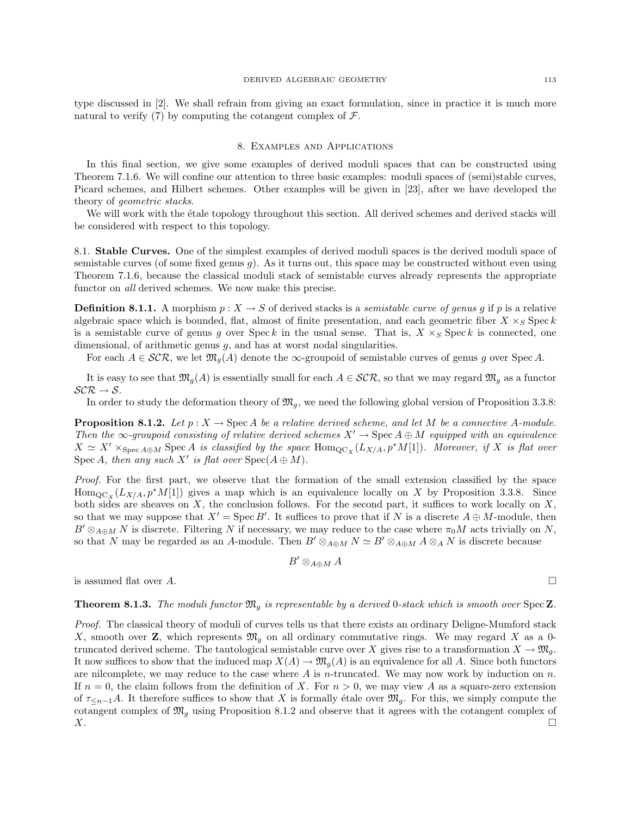type discussed in [2]. We shall refrain from giving an exact formulation, since in practice it is much more natural to verify (7) by computing the cotangent complex of  $\mathcal{F}$ .

## 8. Examples and Applications

In this final section, we give some examples of derived moduli spaces that can be constructed using Theorem 7.1.6. We will confine our attention to three basic examples: moduli spaces of (semi)stable curves, Picard schemes, and Hilbert schemes. Other examples will be given in [23], after we have developed the theory of geometric stacks.

We will work with the étale topology throughout this section. All derived schemes and derived stacks will be considered with respect to this topology.

8.1. Stable Curves. One of the simplest examples of derived moduli spaces is the derived moduli space of semistable curves (of some fixed genus  $g$ ). As it turns out, this space may be constructed without even using Theorem 7.1.6, because the classical moduli stack of semistable curves already represents the appropriate functor on all derived schemes. We now make this precise.

**Definition 8.1.1.** A morphism  $p: X \to S$  of derived stacks is a *semistable curve of genus g* if p is a relative algebraic space which is bounded, flat, almost of finite presentation, and each geometric fiber  $X \times_S \text{Spec } k$ is a semistable curve of genus g over Spec k in the usual sense. That is,  $X \times_S \text{Spec } k$  is connected, one dimensional, of arithmetic genus q, and has at worst nodal singularities.

For each  $A \in \mathcal{SCR}$ , we let  $\mathfrak{M}_q(A)$  denote the  $\infty$ -groupoid of semistable curves of genus g over Spec A.

It is easy to see that  $\mathfrak{M}_g(A)$  is essentially small for each  $A \in \mathcal{SCR}$ , so that we may regard  $\mathfrak{M}_g$  as a functor  $\mathcal{SCR} \rightarrow \mathcal{S}.$ 

In order to study the deformation theory of  $\mathfrak{M}_q$ , we need the following global version of Proposition 3.3.8:

**Proposition 8.1.2.** Let  $p : X \to \text{Spec } A$  be a relative derived scheme, and let M be a connective A-module. Then the ∞-groupoid consisting of relative derived schemes  $X' \to \text{Spec } A \oplus M$  equipped with an equivalence  $X \simeq X' \times_{\text{Spec } A \oplus M} \text{Spec } A$  is classified by the space  $\text{Hom}_{\text{QC}_X}(L_{X/A}, p^*M[1])$ . Moreover, if X is flat over Spec A, then any such X' is flat over  $Spec(A \oplus M)$ .

Proof. For the first part, we observe that the formation of the small extension classified by the space  $\text{Hom}_{\text{QC}_X}(L_{X/A}, p^*M[1])$  gives a map which is an equivalence locally on X by Proposition 3.3.8. Since both sides are sheaves on  $X$ , the conclusion follows. For the second part, it suffices to work locally on  $X$ , so that we may suppose that  $X' = \text{Spec } B'$ . It suffices to prove that if N is a discrete  $A \oplus M$ -module, then  $B' \otimes_{A\oplus M} N$  is discrete. Filtering N if necessary, we may reduce to the case where  $\pi_0 M$  acts trivially on N, so that N may be regarded as an A-module. Then  $B' \otimes_{A\oplus M} N \simeq B' \otimes_{A\oplus M} A \otimes_A N$  is discrete because

$$
B'\otimes_{A\oplus M}A
$$

is assumed flat over A.

**Theorem 8.1.3.** The moduli functor  $\mathfrak{M}_q$  is representable by a derived 0-stack which is smooth over Spec Z.

Proof. The classical theory of moduli of curves tells us that there exists an ordinary Deligne-Mumford stack X, smooth over Z, which represents  $\mathfrak{M}_q$  on all ordinary commutative rings. We may regard X as a 0truncated derived scheme. The tautological semistable curve over X gives rise to a transformation  $X \to \mathfrak{M}_g$ . It now suffices to show that the induced map  $X(A) \to \mathfrak{M}_q(A)$  is an equivalence for all A. Since both functors are nilcomplete, we may reduce to the case where  $A$  is n-truncated. We may now work by induction on  $n$ . If  $n = 0$ , the claim follows from the definition of X. For  $n > 0$ , we may view A as a square-zero extension of  $\tau_{\leq n-1}A$ . It therefore suffices to show that X is formally étale over  $\mathfrak{M}_q$ . For this, we simply compute the cotangent complex of  $\mathfrak{M}_q$  using Proposition 8.1.2 and observe that it agrees with the cotangent complex of  $X.$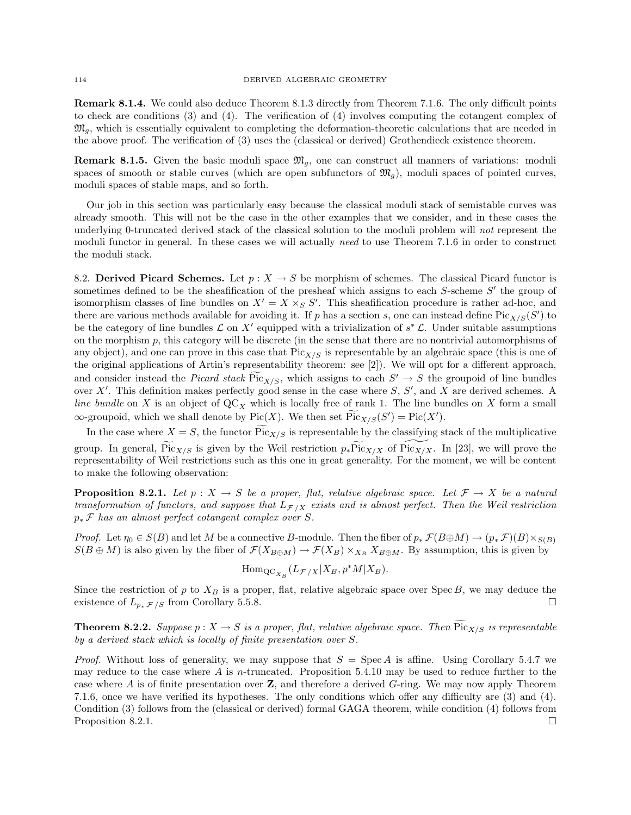Remark 8.1.4. We could also deduce Theorem 8.1.3 directly from Theorem 7.1.6. The only difficult points to check are conditions (3) and (4). The verification of (4) involves computing the cotangent complex of  $\mathfrak{M}_q$ , which is essentially equivalent to completing the deformation-theoretic calculations that are needed in the above proof. The verification of (3) uses the (classical or derived) Grothendieck existence theorem.

**Remark 8.1.5.** Given the basic moduli space  $\mathfrak{M}_q$ , one can construct all manners of variations: moduli spaces of smooth or stable curves (which are open subfunctors of  $\mathfrak{M}_q$ ), moduli spaces of pointed curves, moduli spaces of stable maps, and so forth.

Our job in this section was particularly easy because the classical moduli stack of semistable curves was already smooth. This will not be the case in the other examples that we consider, and in these cases the underlying 0-truncated derived stack of the classical solution to the moduli problem will not represent the moduli functor in general. In these cases we will actually need to use Theorem 7.1.6 in order to construct the moduli stack.

8.2. Derived Picard Schemes. Let  $p : X \to S$  be morphism of schemes. The classical Picard functor is sometimes defined to be the sheafification of the presheaf which assigns to each  $S$ -scheme  $S'$  the group of isomorphism classes of line bundles on  $X' = X \times_S S'$ . This sheafification procedure is rather ad-hoc, and there are various methods available for avoiding it. If p has a section s, one can instead define  $\text{Pic}_{X/S}(S')$  to be the category of line bundles  $\mathcal L$  on  $X'$  equipped with a trivialization of  $s^*\mathcal L$ . Under suitable assumptions on the morphism  $p$ , this category will be discrete (in the sense that there are no nontrivial automorphisms of any object), and one can prove in this case that  $Pic_{X/S}$  is representable by an algebraic space (this is one of the original applications of Artin's representability theorem: see [2]). We will opt for a different approach, and consider instead the Picard stack  $Pic_{X/S}$ , which assigns to each  $S' \to S$  the groupoid of line bundles over  $X'$ . This definition makes perfectly good sense in the case where  $S, S'$ , and X are derived schemes. A line bundle on X is an object of  $QC_X$  which is locally free of rank 1. The line bundles on X form a small  $\infty$ -groupoid, which we shall denote by Pic $(X)$ . We then set  $\text{Pic}_{X/S}(S') = \text{Pic}(X')$ .

In the case where  $X = S$ , the functor  $\text{Pic}_{X/S}$  is representable by the classifying stack of the multiplicative group. In general,  $\widetilde{\text{Pic}_{X/S}}$  is given by the Weil restriction  $p_*\widetilde{\text{Pic}_{X/X}}$  of  $\widetilde{\text{Pic}_{X/X}}$ . In [23], we will prove the representability of Weil restrictions such as this one in great generality. For the moment, we will be content to make the following observation:

**Proposition 8.2.1.** Let  $p: X \to S$  be a proper, flat, relative algebraic space. Let  $\mathcal{F} \to X$  be a natural transformation of functors, and suppose that  $L_{\mathcal{F}/X}$  exists and is almost perfect. Then the Weil restriction  $p_*\mathcal{F}$  has an almost perfect cotangent complex over S.

*Proof.* Let  $\eta_0 \in S(B)$  and let M be a connective B-module. Then the fiber of  $p_* \mathcal{F}(B \oplus M) \to (p_* \mathcal{F})(B) \times_{S(B)}$  $S(B \oplus M)$  is also given by the fiber of  $\mathcal{F}(X_{B \oplus M}) \to \mathcal{F}(X_B) \times_{X_B} X_{B \oplus M}$ . By assumption, this is given by

$$
\mathrm{Hom}_{\mathrm{QC}_{X_B}}(L_{\mathcal{F}/X}|X_B, p^*M|X_B).
$$

Since the restriction of p to  $X_B$  is a proper, flat, relative algebraic space over Spec B, we may deduce the existence of  $L_{p_*\mathcal{F}/S}$  from Corollary 5.5.8.

**Theorem 8.2.2.** Suppose  $p: X \to S$  is a proper, flat, relative algebraic space. Then  $\text{Pic}_{X/S}$  is representable by a derived stack which is locally of finite presentation over S.

*Proof.* Without loss of generality, we may suppose that  $S = \text{Spec } A$  is affine. Using Corollary 5.4.7 we may reduce to the case where A is n-truncated. Proposition 5.4.10 may be used to reduce further to the case where A is of finite presentation over  $\mathbf{Z}$ , and therefore a derived G-ring. We may now apply Theorem 7.1.6, once we have verified its hypotheses. The only conditions which offer any difficulty are (3) and (4). Condition (3) follows from the (classical or derived) formal GAGA theorem, while condition (4) follows from Proposition 8.2.1.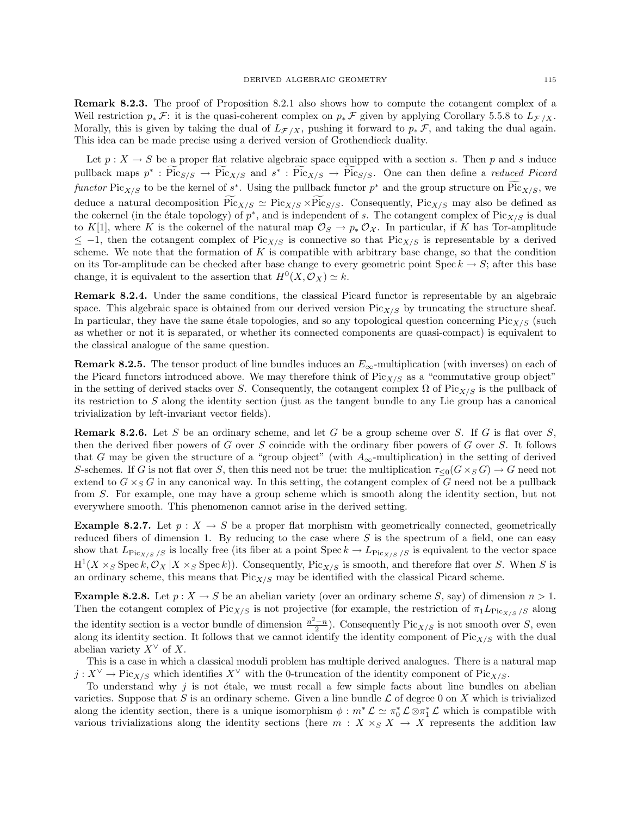Remark 8.2.3. The proof of Proposition 8.2.1 also shows how to compute the cotangent complex of a Weil restriction  $p_*\mathcal{F}$ : it is the quasi-coherent complex on  $p_*\mathcal{F}$  given by applying Corollary 5.5.8 to  $L_{\mathcal{F}/X}$ . Morally, this is given by taking the dual of  $L_{\mathcal{F}/X}$ , pushing it forward to  $p_*\mathcal{F}$ , and taking the dual again. This idea can be made precise using a derived version of Grothendieck duality.

Let  $p: X \to S$  be a proper flat relative algebraic space equipped with a section s. Then p and s induce pullback maps  $p^* : \text{Pic}_{S/S} \to \text{Pic}_{X/S}$  and  $s^* : \text{Pic}_{X/S} \to \text{Pic}_{S/S}$ . One can then define a reduced Picard functor  $Pic_{X/S}$  to be the kernel of  $s^*$ . Using the pullback functor  $p^*$  and the group structure on  $Pic_{X/S}$ , we deduce a natural decomposition  $Pic_{X/S} \simeq Pic_{X/S} \times Pic_{S/S}$ . Consequently,  $Pic_{X/S}$  may also be defined as the cokernel (in the étale topology) of  $p^*$ , and is independent of s. The cotangent complex of  $Pic_{X/S}$  is dual to K[1], where K is the cokernel of the natural map  $\mathcal{O}_S \to p_* \mathcal{O}_{\mathcal{X}}$ . In particular, if K has Tor-amplitude  $≤$  -1, then the cotangent complex of Pic<sub>X/S</sub> is connective so that Pic<sub>X/S</sub> is representable by a derived scheme. We note that the formation of K is compatible with arbitrary base change, so that the condition on its Tor-amplitude can be checked after base change to every geometric point  $Spec k \to S$ ; after this base change, it is equivalent to the assertion that  $H^0(X, \mathcal{O}_X) \simeq k$ .

Remark 8.2.4. Under the same conditions, the classical Picard functor is representable by an algebraic space. This algebraic space is obtained from our derived version  $Pic_{X/S}$  by truncating the structure sheaf. In particular, they have the same étale topologies, and so any topological question concerning  $Pic_{X/S}$  (such as whether or not it is separated, or whether its connected components are quasi-compact) is equivalent to the classical analogue of the same question.

**Remark 8.2.5.** The tensor product of line bundles induces an  $E_{\infty}$ -multiplication (with inverses) on each of the Picard functors introduced above. We may therefore think of  $Pic_{X/S}$  as a "commutative group object" in the setting of derived stacks over S. Consequently, the cotangent complex  $\Omega$  of Pic<sub>X/S</sub> is the pullback of its restriction to S along the identity section (just as the tangent bundle to any Lie group has a canonical trivialization by left-invariant vector fields).

**Remark 8.2.6.** Let S be an ordinary scheme, and let G be a group scheme over S. If G is flat over S, then the derived fiber powers of G over S coincide with the ordinary fiber powers of G over S. It follows that G may be given the structure of a "group object" (with  $A_{\infty}$ -multiplication) in the setting of derived S-schemes. If G is not flat over S, then this need not be true: the multiplication  $\tau_{\leq 0}(G\times_S G)\to G$  need not extend to  $G \times_S G$  in any canonical way. In this setting, the cotangent complex of G need not be a pullback from S. For example, one may have a group scheme which is smooth along the identity section, but not everywhere smooth. This phenomenon cannot arise in the derived setting.

**Example 8.2.7.** Let  $p : X \to S$  be a proper flat morphism with geometrically connected, geometrically reduced fibers of dimension 1. By reducing to the case where  $S$  is the spectrum of a field, one can easy show that  $L_{\text{Pic}_{X/S}/S}$  is locally free (its fiber at a point Spec  $k \to L_{\text{Pic}_{X/S}/S}$  is equivalent to the vector space  $H^1(X \times_S \text{Spec } k, \mathcal{O}_X | X \times_S \text{Spec } k)$ ). Consequently, Pic<sub>X/S</sub> is smooth, and therefore flat over S. When S is an ordinary scheme, this means that  $Pic_{X/S}$  may be identified with the classical Picard scheme.

**Example 8.2.8.** Let  $p: X \to S$  be an abelian variety (over an ordinary scheme S, say) of dimension  $n > 1$ . Then the cotangent complex of Pic<sub>X/S</sub> is not projective (for example, the restriction of  $\pi_1 L_{\text{Pic}_{X/S}}$  /s along the identity section is a vector bundle of dimension  $\frac{n^2-n}{2}$ ). Consequently Pic<sub>X/S</sub> is not smooth over S, even along its identity section. It follows that we cannot identify the identity component of  $Pic_{X/S}$  with the dual abelian variety  $X^{\vee}$  of X.

This is a case in which a classical moduli problem has multiple derived analogues. There is a natural map  $j: X^{\vee} \to \text{Pic}_{X/S}$  which identifies  $X^{\vee}$  with the 0-truncation of the identity component of  $\text{Pic}_{X/S}$ .

To understand why  $j$  is not étale, we must recall a few simple facts about line bundles on abelian varieties. Suppose that S is an ordinary scheme. Given a line bundle  $\mathcal L$  of degree 0 on X which is trivialized along the identity section, there is a unique isomorphism  $\phi : m^* \mathcal{L} \simeq \pi_0^* \mathcal{L} \otimes \pi_1^* \mathcal{L}$  which is compatible with various trivializations along the identity sections (here  $m : X \times_S X \to X$  represents the addition law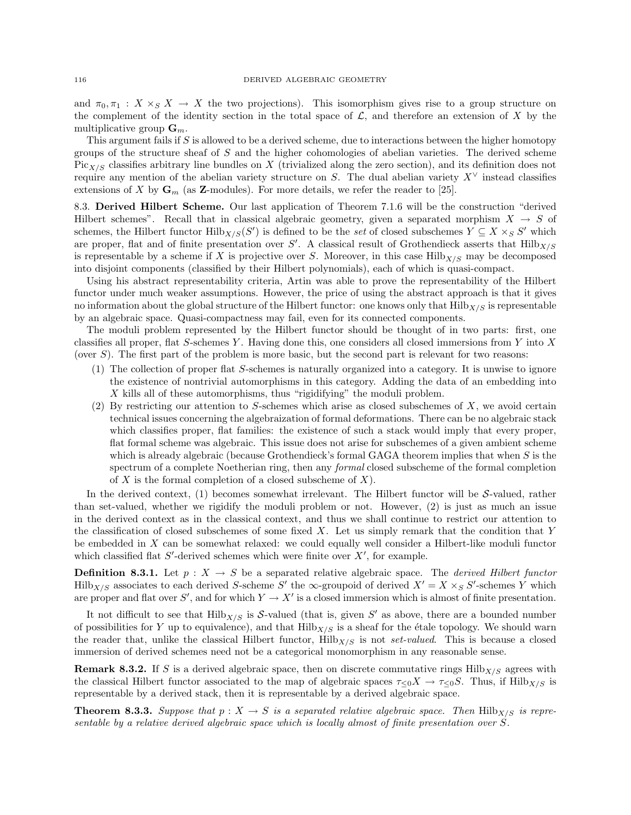and  $\pi_0, \pi_1 : X \times_S X \to X$  the two projections). This isomorphism gives rise to a group structure on the complement of the identity section in the total space of  $\mathcal{L}$ , and therefore an extension of X by the multiplicative group  $\mathbf{G}_m$ .

This argument fails if  $S$  is allowed to be a derived scheme, due to interactions between the higher homotopy groups of the structure sheaf of  $S$  and the higher cohomologies of abelian varieties. The derived scheme  $Pic_{X/S}$  classifies arbitrary line bundles on X (trivialized along the zero section), and its definition does not require any mention of the abelian variety structure on S. The dual abelian variety  $X^{\vee}$  instead classifies extensions of X by  $\mathbf{G}_m$  (as **Z**-modules). For more details, we refer the reader to [25].

8.3. Derived Hilbert Scheme. Our last application of Theorem 7.1.6 will be the construction "derived Hilbert schemes". Recall that in classical algebraic geometry, given a separated morphism  $X \to S$  of schemes, the Hilbert functor  $\text{Hilb}_{X/S}(S')$  is defined to be the set of closed subschemes  $Y \subseteq X \times_S S'$  which are proper, flat and of finite presentation over S'. A classical result of Grothendieck asserts that  $Hilb_{X/S}$ is representable by a scheme if X is projective over S. Moreover, in this case  $Hilb<sub>X/S</sub>$  may be decomposed into disjoint components (classified by their Hilbert polynomials), each of which is quasi-compact.

Using his abstract representability criteria, Artin was able to prove the representability of the Hilbert functor under much weaker assumptions. However, the price of using the abstract approach is that it gives no information about the global structure of the Hilbert functor: one knows only that  $Hilb<sub>X/S</sub>$  is representable by an algebraic space. Quasi-compactness may fail, even for its connected components.

The moduli problem represented by the Hilbert functor should be thought of in two parts: first, one classifies all proper, flat S-schemes Y. Having done this, one considers all closed immersions from Y into X (over S). The first part of the problem is more basic, but the second part is relevant for two reasons:

- (1) The collection of proper flat S-schemes is naturally organized into a category. It is unwise to ignore the existence of nontrivial automorphisms in this category. Adding the data of an embedding into X kills all of these automorphisms, thus "rigidifying" the moduli problem.
- (2) By restricting our attention to S-schemes which arise as closed subschemes of  $X$ , we avoid certain technical issues concerning the algebraization of formal deformations. There can be no algebraic stack which classifies proper, flat families: the existence of such a stack would imply that every proper, flat formal scheme was algebraic. This issue does not arise for subschemes of a given ambient scheme which is already algebraic (because Grothendieck's formal GAGA theorem implies that when S is the spectrum of a complete Noetherian ring, then any *formal* closed subscheme of the formal completion of  $X$  is the formal completion of a closed subscheme of  $X$ ).

In the derived context,  $(1)$  becomes somewhat irrelevant. The Hilbert functor will be S-valued, rather than set-valued, whether we rigidify the moduli problem or not. However, (2) is just as much an issue in the derived context as in the classical context, and thus we shall continue to restrict our attention to the classification of closed subschemes of some fixed  $X$ . Let us simply remark that the condition that  $Y$ be embedded in X can be somewhat relaxed: we could equally well consider a Hilbert-like moduli functor which classified flat  $S'$ -derived schemes which were finite over  $X'$ , for example.

**Definition 8.3.1.** Let  $p: X \to S$  be a separated relative algebraic space. The *derived Hilbert functor*  $Hilb<sub>X/S</sub>$  associates to each derived S-scheme S' the  $\infty$ -groupoid of derived  $X' = X \times_S S'$ -schemes Y which are proper and flat over S', and for which  $Y \to X'$  is a closed immersion which is almost of finite presentation.

It not difficult to see that  $Hilb_{X/S}$  is S-valued (that is, given S' as above, there are a bounded number of possibilities for Y up to equivalence), and that  $Hilb<sub>X/S</sub>$  is a sheaf for the étale topology. We should warn the reader that, unlike the classical Hilbert functor,  $Hilb<sub>X/S</sub>$  is not set-valued. This is because a closed immersion of derived schemes need not be a categorical monomorphism in any reasonable sense.

**Remark 8.3.2.** If S is a derived algebraic space, then on discrete commutative rings  $Hilb_{X/S}$  agrees with the classical Hilbert functor associated to the map of algebraic spaces  $\tau <sub>0</sub>X \rightarrow \tau <sub>0</sub>S$ . Thus, if Hilb $_{X/S}$  is representable by a derived stack, then it is representable by a derived algebraic space.

**Theorem 8.3.3.** Suppose that  $p : X \to S$  is a separated relative algebraic space. Then  $Hilb_{X/S}$  is representable by a relative derived algebraic space which is locally almost of finite presentation over S.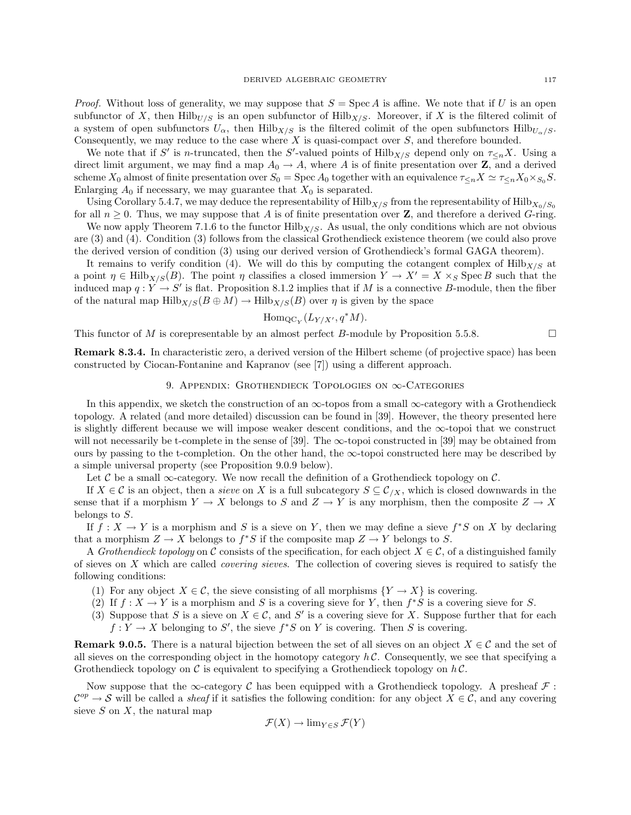*Proof.* Without loss of generality, we may suppose that  $S = \text{Spec } A$  is affine. We note that if U is an open subfunctor of X, then  $Hilb_{U/S}$  is an open subfunctor of  $Hilb_{X/S}$ . Moreover, if X is the filtered colimit of a system of open subfunctors  $U_{\alpha}$ , then Hilb $_{X/S}$  is the filtered colimit of the open subfunctors Hilb $_{U_{\alpha}/S}$ . Consequently, we may reduce to the case where  $X$  is quasi-compact over  $S$ , and therefore bounded.

We note that if S' is n-truncated, then the S'-valued points of  $Hilb_{X/S}$  depend only on  $\tau_{\leq n}X$ . Using a direct limit argument, we may find a map  $A_0 \to A$ , where A is of finite presentation over Z, and a derived scheme  $X_0$  almost of finite presentation over  $S_0 = \text{Spec } A_0$  together with an equivalence  $\tau \leq_n X \simeq \tau \leq_n X_0 \times_{S_0} S$ . Enlarging  $A_0$  if necessary, we may guarantee that  $X_0$  is separated.

Using Corollary 5.4.7, we may deduce the representability of  $Hilb_{X/S}$  from the representability of  $Hilb_{X_0/S_0}$ for all  $n \geq 0$ . Thus, we may suppose that A is of finite presentation over **Z**, and therefore a derived G-ring.

We now apply Theorem 7.1.6 to the functor  $Hilb_{X/S}$ . As usual, the only conditions which are not obvious are (3) and (4). Condition (3) follows from the classical Grothendieck existence theorem (we could also prove the derived version of condition (3) using our derived version of Grothendieck's formal GAGA theorem).

It remains to verify condition (4). We will do this by computing the cotangent complex of  $Hilb_{X/S}$  at a point  $\eta \in Hilb_{X/S}(B)$ . The point  $\eta$  classifies a closed immersion  $Y \to X' = X \times_S$  Spec B such that the induced map  $q: Y \to S'$  is flat. Proposition 8.1.2 implies that if M is a connective B-module, then the fiber of the natural map  $Hilb_{X/S}(B \oplus M) \to Hilb_{X/S}(B)$  over  $\eta$  is given by the space

$$
\mathrm{Hom}_{\mathrm{QC}_Y}(L_{Y/X'}, q^*M).
$$

This functor of M is corepresentable by an almost perfect B-module by Proposition 5.5.8.  $\Box$ 

Remark 8.3.4. In characteristic zero, a derived version of the Hilbert scheme (of projective space) has been constructed by Ciocan-Fontanine and Kapranov (see [7]) using a different approach.

## 9. Appendix: Grothendieck Topologies on ∞-Categories

In this appendix, we sketch the construction of an  $\infty$ -topos from a small  $\infty$ -category with a Grothendieck topology. A related (and more detailed) discussion can be found in [39]. However, the theory presented here is slightly different because we will impose weaker descent conditions, and the ∞-topoi that we construct will not necessarily be t-complete in the sense of [39]. The  $\infty$ -topoi constructed in [39] may be obtained from ours by passing to the t-completion. On the other hand, the  $\infty$ -topoi constructed here may be described by a simple universal property (see Proposition 9.0.9 below).

Let  $\mathcal C$  be a small  $\infty$ -category. We now recall the definition of a Grothendieck topology on  $\mathcal C$ .

If  $X \in \mathcal{C}$  is an object, then a sieve on X is a full subcategory  $S \subseteq \mathcal{C}_{X}$ , which is closed downwards in the sense that if a morphism  $Y \to X$  belongs to S and  $Z \to Y$  is any morphism, then the composite  $Z \to X$ belongs to S.

If  $f: X \to Y$  is a morphism and S is a sieve on Y, then we may define a sieve  $f^*S$  on X by declaring that a morphism  $Z \to X$  belongs to  $f^*S$  if the composite map  $Z \to Y$  belongs to S.

A Grothendieck topology on C consists of the specification, for each object  $X \in \mathcal{C}$ , of a distinguished family of sieves on X which are called covering sieves. The collection of covering sieves is required to satisfy the following conditions:

- (1) For any object  $X \in \mathcal{C}$ , the sieve consisting of all morphisms  $\{Y \to X\}$  is covering.
- (2) If  $f: X \to Y$  is a morphism and S is a covering sieve for Y, then  $f^*S$  is a covering sieve for S.
- (3) Suppose that S is a sieve on  $X \in \mathcal{C}$ , and S' is a covering sieve for X. Suppose further that for each  $f: Y \to X$  belonging to S', the sieve  $f^*S$  on Y is covering. Then S is covering.

**Remark 9.0.5.** There is a natural bijection between the set of all sieves on an object  $X \in \mathcal{C}$  and the set of all sieves on the corresponding object in the homotopy category  $h\mathcal{C}$ . Consequently, we see that specifying a Grothendieck topology on  $\mathcal C$  is equivalent to specifying a Grothendieck topology on  $h\mathcal C$ .

Now suppose that the  $\infty$ -category C has been equipped with a Grothendieck topology. A presheaf  $\mathcal F$ :  $\mathcal{C}^{op} \to \mathcal{S}$  will be called a *sheaf* if it satisfies the following condition: for any object  $X \in \mathcal{C}$ , and any covering sieve  $S$  on  $X$ , the natural map

$$
\mathcal{F}(X) \to \lim_{Y \in S} \mathcal{F}(Y)
$$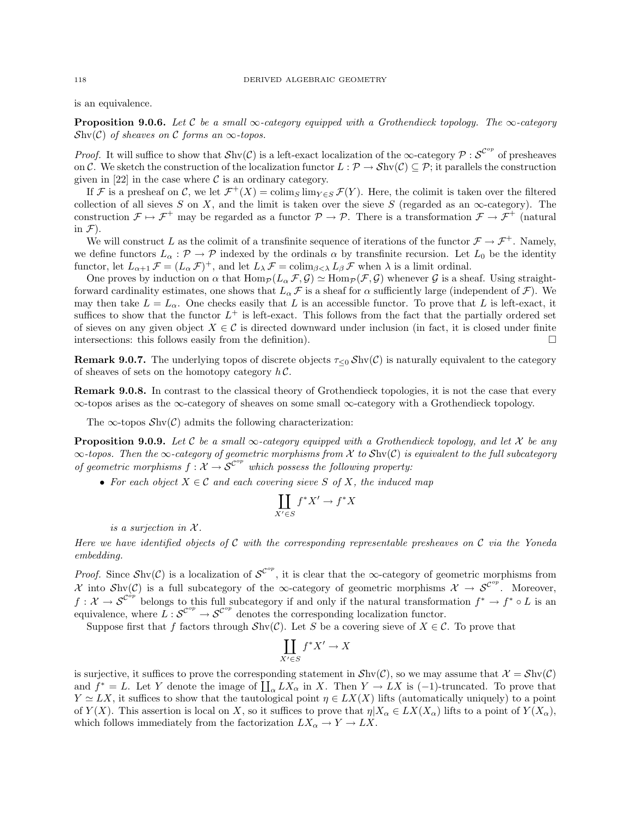is an equivalence.

**Proposition 9.0.6.** Let C be a small  $\infty$ -category equipped with a Grothendieck topology. The  $\infty$ -category  $\mathcal{S}\text{hv}(\mathcal{C})$  of sheaves on  $\mathcal C$  forms an  $\infty$ -topos.

*Proof.* It will suffice to show that  $\mathcal{S}$ hv $(C)$  is a left-exact localization of the  $\infty$ -category  $\mathcal{P}: \mathcal{S}^{^{op}}$  of presheaves on C. We sketch the construction of the localization functor  $L : \mathcal{P} \to \mathcal{S}$ hv $(\mathcal{C}) \subseteq \mathcal{P}$ ; it parallels the construction given in [22] in the case where  $\mathcal C$  is an ordinary category.

If F is a presheaf on C, we let  $\mathcal{F}^+(X) = \text{colim}_S \lim_{Y \in S} \mathcal{F}(Y)$ . Here, the colimit is taken over the filtered collection of all sieves S on X, and the limit is taken over the sieve S (regarded as an  $\infty$ -category). The construction  $\mathcal{F} \mapsto \mathcal{F}^+$  may be regarded as a functor  $\mathcal{P} \to \mathcal{P}$ . There is a transformation  $\mathcal{F} \to \mathcal{F}^+$  (natural in  $\mathcal{F}$ ).

We will construct L as the colimit of a transfinite sequence of iterations of the functor  $\mathcal{F} \to \mathcal{F}^+$ . Namely, we define functors  $L_{\alpha} : \mathcal{P} \to \mathcal{P}$  indexed by the ordinals  $\alpha$  by transfinite recursion. Let  $L_0$  be the identity functor, let  $L_{\alpha+1} \mathcal{F} = (L_{\alpha} \mathcal{F})^+$ , and let  $L_{\lambda} \mathcal{F} = \text{colim}_{\beta < \lambda} L_{\beta} \mathcal{F}$  when  $\lambda$  is a limit ordinal.

One proves by induction on  $\alpha$  that  $\text{Hom}_{\mathcal{P}}(L_\alpha \mathcal{F}, \mathcal{G}) \simeq \text{Hom}_{\mathcal{P}}(\mathcal{F}, \mathcal{G})$  whenever  $\mathcal G$  is a sheaf. Using straightforward cardinality estimates, one shows that  $L_{\alpha} \mathcal{F}$  is a sheaf for  $\alpha$  sufficiently large (independent of  $\mathcal{F}$ ). We may then take  $L = L_{\alpha}$ . One checks easily that L is an accessible functor. To prove that L is left-exact, it suffices to show that the functor  $L^+$  is left-exact. This follows from the fact that the partially ordered set of sieves on any given object  $X \in \mathcal{C}$  is directed downward under inclusion (in fact, it is closed under finite intersections: this follows easily from the definition).  $\Box$ 

**Remark 9.0.7.** The underlying topos of discrete objects  $\tau_{\leq 0}$  Shv(C) is naturally equivalent to the category of sheaves of sets on the homotopy category  $h \mathcal{C}$ .

Remark 9.0.8. In contrast to the classical theory of Grothendieck topologies, it is not the case that every ∞-topos arises as the ∞-category of sheaves on some small ∞-category with a Grothendieck topology.

The  $\infty$ -topos  $\mathcal{S}_{hv}(\mathcal{C})$  admits the following characterization:

**Proposition 9.0.9.** Let C be a small  $\infty$ -category equipped with a Grothendieck topology, and let X be any  $\infty$ -topos. Then the  $\infty$ -category of geometric morphisms from X to Shv(C) is equivalent to the full subcategory of geometric morphisms  $f: X \to \mathcal{S}^{C^{op}}$  which possess the following property:

• For each object  $X \in \mathcal{C}$  and each covering sieve S of X, the induced map

$$
\coprod_{X' \in S} f^* X' \to f^* X
$$

is a surjection in  $X$ .

Here we have identified objects of  $C$  with the corresponding representable presheaves on  $C$  via the Yoneda embedding.

*Proof.* Since  $\mathcal{S}_0^{\text{cov}}$  is a localization of  $\mathcal{S}_0^{\mathcal{C}^{op}}$ , it is clear that the  $\infty$ -category of geometric morphisms from X into Shv(C) is a full subcategory of the  $\infty$ -category of geometric morphisms  $\mathcal{X} \to \mathcal{S}^{\mathcal{C}^{op}}$ . Moreover,  $f: \mathcal{X} \to \mathcal{S}^{\mathcal{C}^{\delta p}}$  belongs to this full subcategory if and only if the natural transformation  $f^* \to f^* \circ L$  is an equivalence, where  $\tilde{L}: \mathcal{S}^{\mathcal{C}^{op}} \to \mathcal{S}^{\mathcal{C}^{op}}$  denotes the corresponding localization functor.

Suppose first that f factors through  $\mathcal{S}_{\text{hv}}(\mathcal{C})$ . Let S be a covering sieve of  $X \in \mathcal{C}$ . To prove that

$$
\coprod_{X' \in S} f^* X' \to X
$$

is surjective, it suffices to prove the corresponding statement in  $Shv(\mathcal{C})$ , so we may assume that  $\mathcal{X} = Shv(\mathcal{C})$ and  $f^* = L$ . Let Y denote the image of  $\prod_{\alpha} LX_{\alpha}$  in X. Then  $Y \to LX$  is (-1)-truncated. To prove that  $Y \simeq LX$ , it suffices to show that the tautological point  $\eta \in LX(X)$  lifts (automatically uniquely) to a point of  $Y(X)$ . This assertion is local on X, so it suffices to prove that  $\eta|X_{\alpha} \in LX(X_{\alpha})$  lifts to a point of  $Y(X_{\alpha})$ , which follows immediately from the factorization  $LX_{\alpha} \to Y \to LX$ .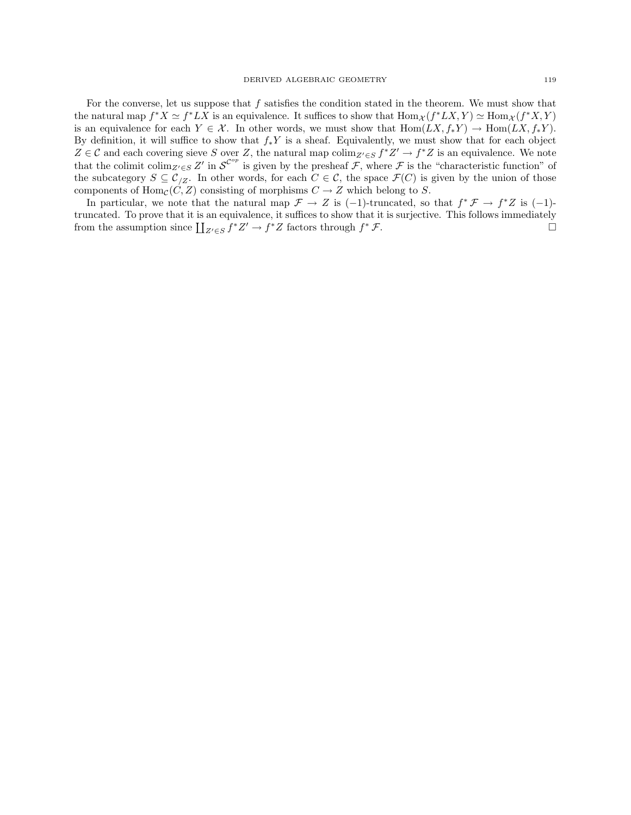For the converse, let us suppose that  $f$  satisfies the condition stated in the theorem. We must show that the natural map  $f^*X \simeq f^*LX$  is an equivalence. It suffices to show that  $\text{Hom}_{\mathcal{X}}(f^*LX, Y) \simeq \text{Hom}_{\mathcal{X}}(f^*X, Y)$ is an equivalence for each  $Y \in \mathcal{X}$ . In other words, we must show that  $\text{Hom}(LX, f_*Y) \to \text{Hom}(LX, f_*Y)$ . By definition, it will suffice to show that  $f_*Y$  is a sheaf. Equivalently, we must show that for each object  $Z \in \mathcal{C}$  and each covering sieve S over Z, the natural map  $\text{colim}_{Z' \in S} f^*Z' \to f^*Z$  is an equivalence. We note that the colimit colim<sub>Z'∈S</sub> Z' in  $\mathcal{S}^{C^{op}}$  is given by the presheaf  $\mathcal{F}$ , where  $\mathcal{F}$  is the "characteristic function" of the subcategory  $S \subseteq C_{Z}$ . In other words, for each  $C \in \mathcal{C}$ , the space  $\mathcal{F}(C)$  is given by the union of those components of  $\text{Hom}_{\mathcal{C}}(C, Z)$  consisting of morphisms  $C \to Z$  which belong to S.

In particular, we note that the natural map  $\mathcal{F} \to Z$  is (-1)-truncated, so that  $f^* \mathcal{F} \to f^* Z$  is (-1)truncated. To prove that it is an equivalence, it suffices to show that it is surjective. This follows immediately from the assumption since  $\coprod_{Z'\in S} f^*Z' \to f^*Z$  factors through  $f$  $*$   ${\cal F}.$